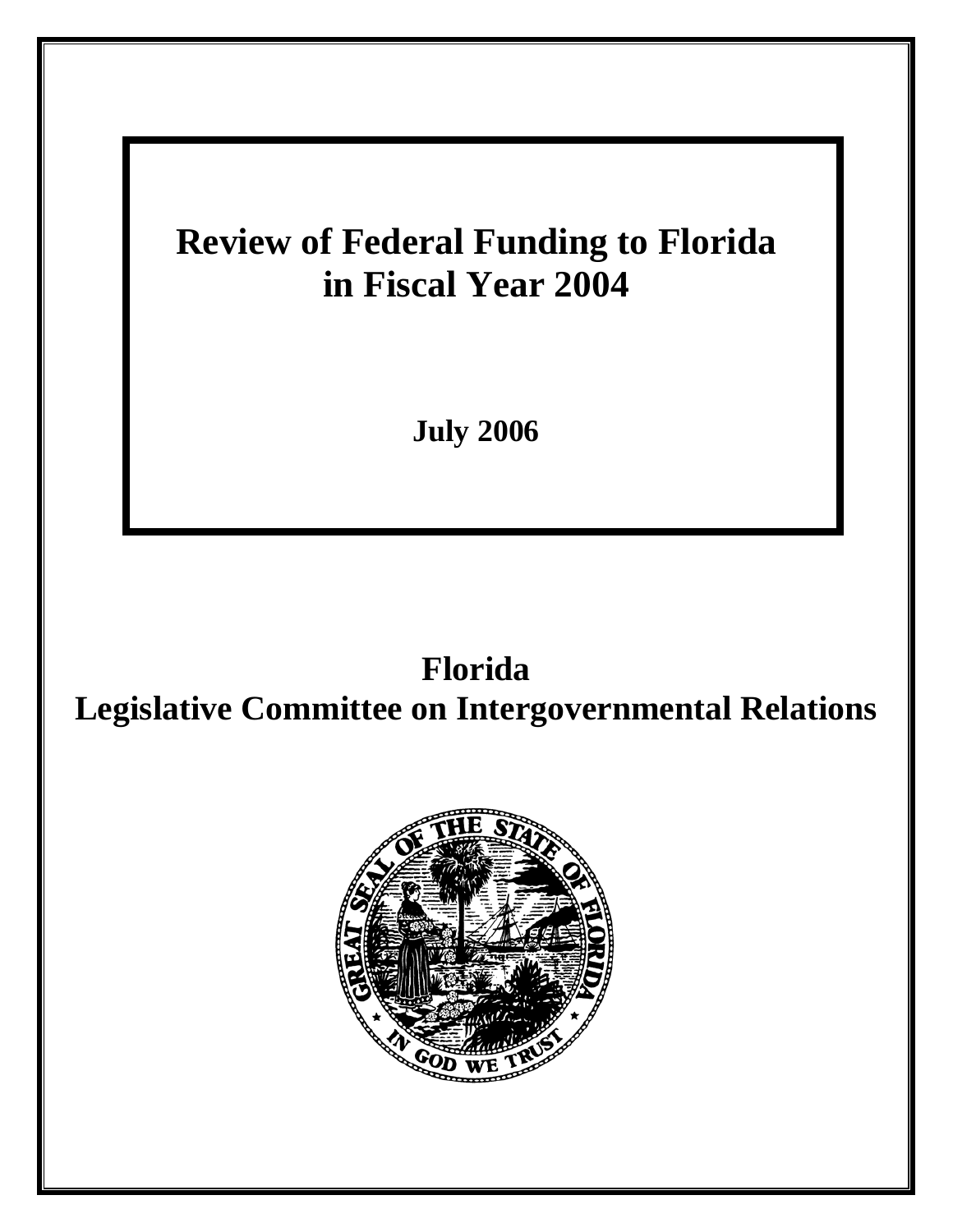# **Review of Federal Funding to Florida in Fiscal Year 2004**

**July 2006** 

# **Florida Legislative Committee on Intergovernmental Relations**

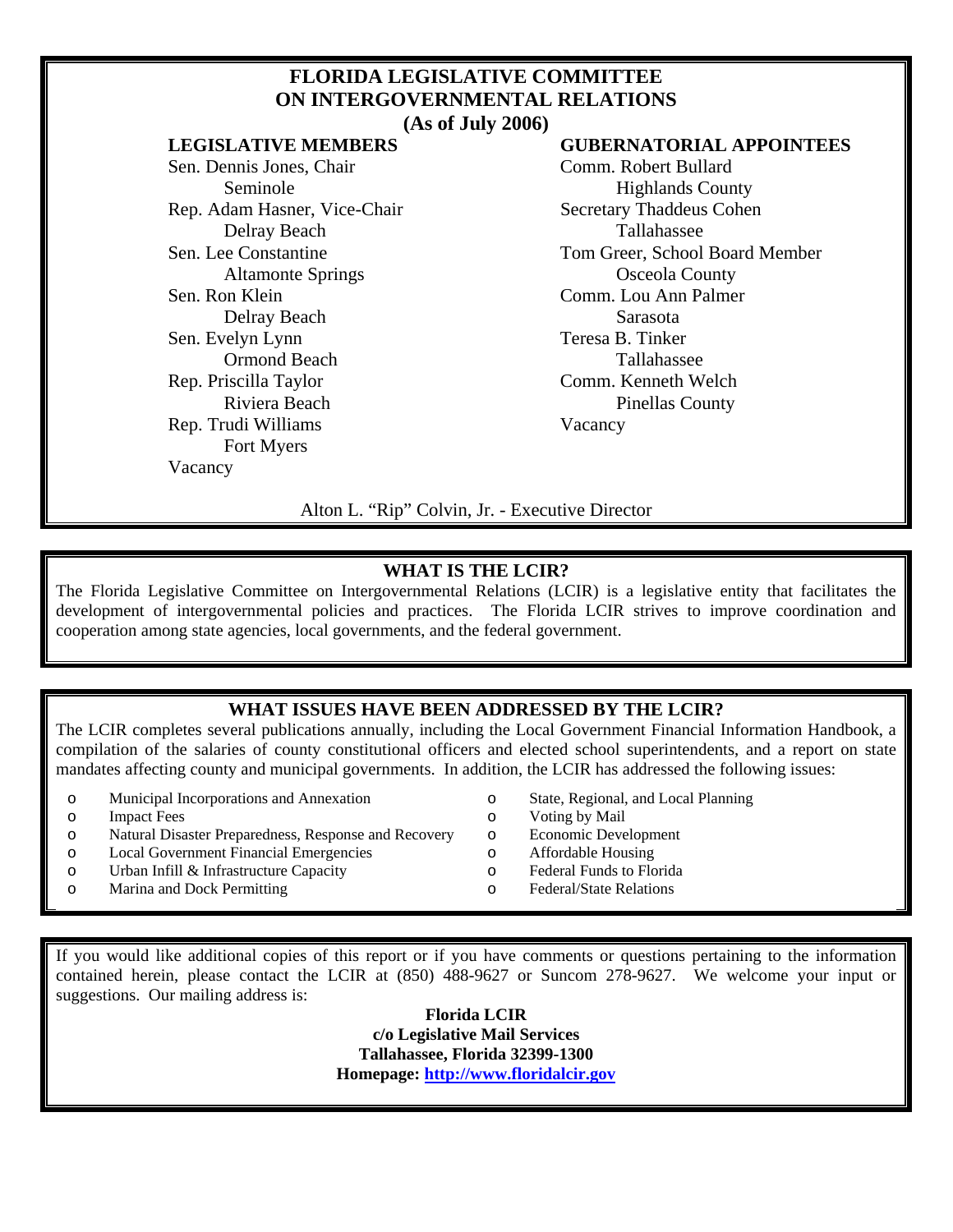# **FLORIDA LEGISLATIVE COMMITTEE ON INTERGOVERNMENTAL RELATIONS**

**(As of July 2006)** 

 Sen. Dennis Jones, Chair Comm. Robert Bullard Delray Beach Tallahassee Sen. Ron Klein Comm. Lou Ann Palmer Delray Beach Sarasota Sen. Evelyn Lynn Teresa B. Tinker Ormond Beach Tallahassee Rep. Priscilla Taylor Comm. Kenneth Welch Rep. Trudi Williams Vacancy Fort Myers Vacancy

#### **LEGISLATIVE MEMBERS GUBERNATORIAL APPOINTEES**

Seminole Highlands County Rep. Adam Hasner, Vice-Chair Secretary Thaddeus Cohen Sen. Lee Constantine Tom Greer, School Board Member Altamonte Springs Osceola County Riviera Beach Pinellas County

Alton L. "Rip" Colvin, Jr. - Executive Director

#### **WHAT IS THE LCIR?**

The Florida Legislative Committee on Intergovernmental Relations (LCIR) is a legislative entity that facilitates the development of intergovernmental policies and practices. The Florida LCIR strives to improve coordination and cooperation among state agencies, local governments, and the federal government.

#### **WHAT ISSUES HAVE BEEN ADDRESSED BY THE LCIR?**

The LCIR completes several publications annually, including the Local Government Financial Information Handbook, a compilation of the salaries of county constitutional officers and elected school superintendents, and a report on state mandates affecting county and municipal governments. In addition, the LCIR has addressed the following issues:

- o Municipal Incorporations and Annexation
- o Impact Fees
- o Natural Disaster Preparedness, Response and Recovery
- o Local Government Financial Emergencies
- o Urban Infill & Infrastructure Capacity
- o Marina and Dock Permitting
- o State, Regional, and Local Planning
- o Voting by Mail
- o Economic Development
- o Affordable Housing
- o Federal Funds to Florida
- o Federal/State Relations

If you would like additional copies of this report or if you have comments or questions pertaining to the information contained herein, please contact the LCIR at (850) 488-9627 or Suncom 278-9627. We welcome your input or suggestions. Our mailing address is:

> **Florida LCIR c/o Legislative Mail Services Tallahassee, Florida 32399-1300 Homepage: http://www.floridalcir.gov**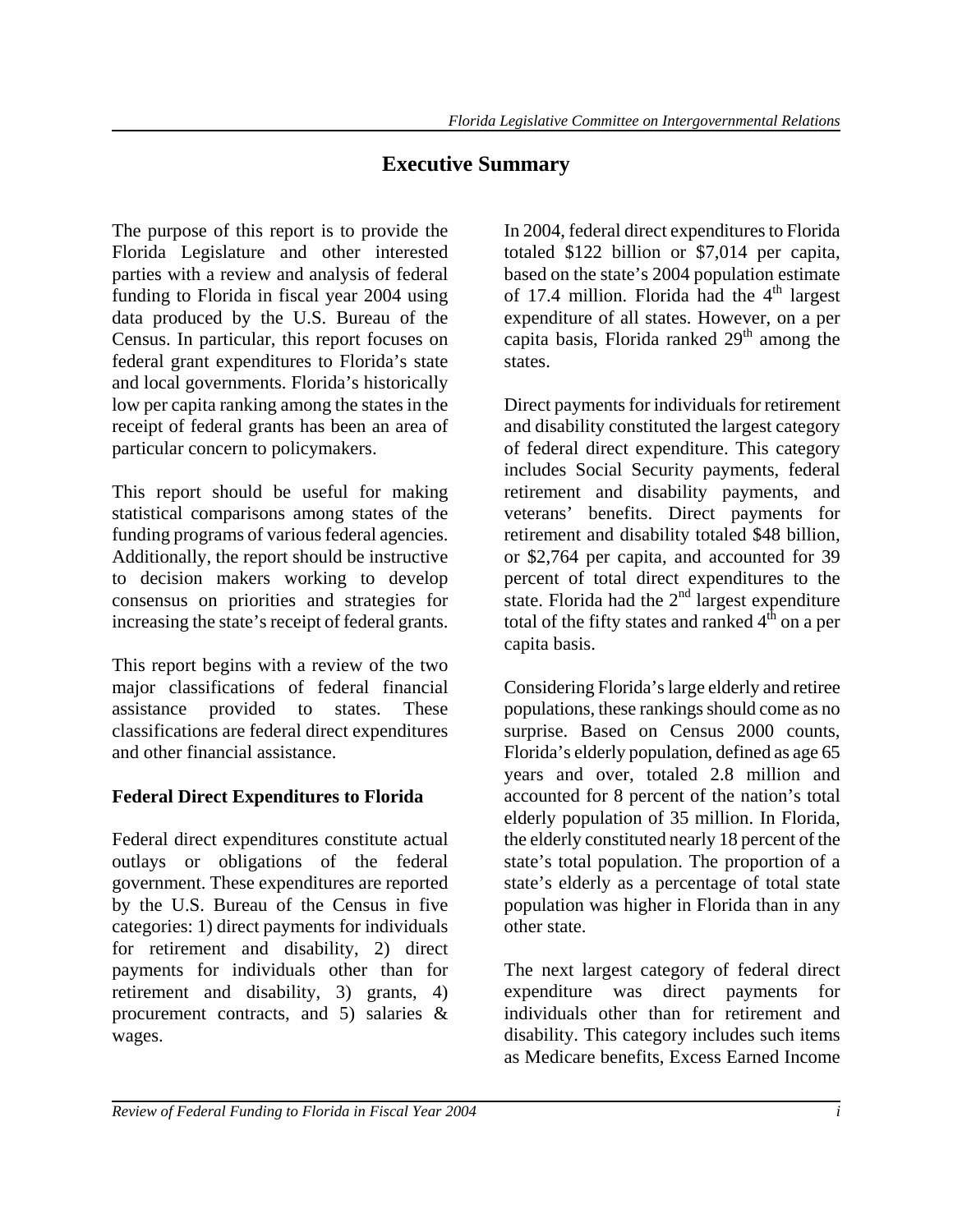# **Executive Summary**

The purpose of this report is to provide the Florida Legislature and other interested parties with a review and analysis of federal funding to Florida in fiscal year 2004 using data produced by the U.S. Bureau of the Census. In particular, this report focuses on federal grant expenditures to Florida's state and local governments. Florida's historically low per capita ranking among the states in the receipt of federal grants has been an area of particular concern to policymakers.

This report should be useful for making statistical comparisons among states of the funding programs of various federal agencies. Additionally, the report should be instructive to decision makers working to develop consensus on priorities and strategies for increasing the state's receipt of federal grants.

This report begins with a review of the two major classifications of federal financial assistance provided to states. These classifications are federal direct expenditures and other financial assistance.

# **Federal Direct Expenditures to Florida**

Federal direct expenditures constitute actual outlays or obligations of the federal government. These expenditures are reported by the U.S. Bureau of the Census in five categories: 1) direct payments for individuals for retirement and disability, 2) direct payments for individuals other than for retirement and disability, 3) grants, 4) procurement contracts, and 5) salaries & wages.

In 2004, federal direct expenditures to Florida totaled \$122 billion or \$7,014 per capita, based on the state's 2004 population estimate of 17.4 million. Florida had the  $4<sup>th</sup>$  largest expenditure of all states. However, on a per capita basis, Florida ranked  $29<sup>th</sup>$  among the states.

Direct payments for individuals for retirement and disability constituted the largest category of federal direct expenditure. This category includes Social Security payments, federal retirement and disability payments, and veterans' benefits. Direct payments for retirement and disability totaled \$48 billion, or \$2,764 per capita, and accounted for 39 percent of total direct expenditures to the state. Florida had the  $2<sup>nd</sup>$  largest expenditure total of the fifty states and ranked  $4<sup>th</sup>$  on a per capita basis.

Considering Florida's large elderly and retiree populations, these rankings should come as no surprise. Based on Census 2000 counts, Florida's elderly population, defined as age 65 years and over, totaled 2.8 million and accounted for 8 percent of the nation's total elderly population of 35 million. In Florida, the elderly constituted nearly 18 percent of the state's total population. The proportion of a state's elderly as a percentage of total state population was higher in Florida than in any other state.

The next largest category of federal direct expenditure was direct payments for individuals other than for retirement and disability. This category includes such items as Medicare benefits, Excess Earned Income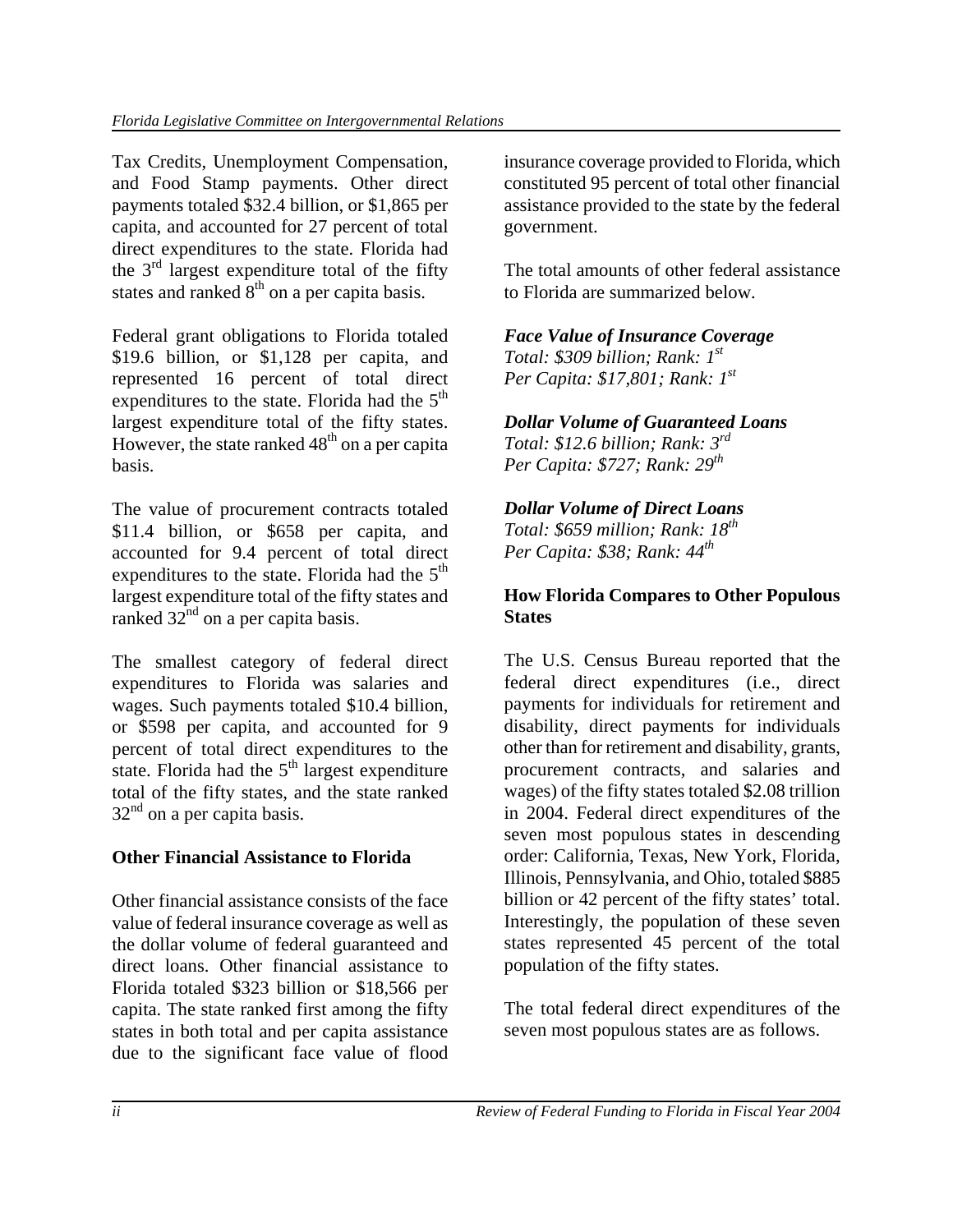Tax Credits, Unemployment Compensation, and Food Stamp payments. Other direct payments totaled \$32.4 billion, or \$1,865 per capita, and accounted for 27 percent of total direct expenditures to the state. Florida had the  $3<sup>rd</sup>$  largest expenditure total of the fifty states and ranked  $8<sup>th</sup>$  on a per capita basis.

Federal grant obligations to Florida totaled \$19.6 billion, or \$1,128 per capita, and represented 16 percent of total direct expenditures to the state. Florida had the  $5<sup>th</sup>$ largest expenditure total of the fifty states. However, the state ranked  $48<sup>th</sup>$  on a per capita basis.

The value of procurement contracts totaled \$11.4 billion, or \$658 per capita, and accounted for 9.4 percent of total direct expenditures to the state. Florida had the  $5<sup>th</sup>$ largest expenditure total of the fifty states and ranked  $32<sup>nd</sup>$  on a per capita basis.

The smallest category of federal direct expenditures to Florida was salaries and wages. Such payments totaled \$10.4 billion, or \$598 per capita, and accounted for 9 percent of total direct expenditures to the state. Florida had the  $5<sup>th</sup>$  largest expenditure total of the fifty states, and the state ranked  $32<sup>nd</sup>$  on a per capita basis.

# **Other Financial Assistance to Florida**

Other financial assistance consists of the face value of federal insurance coverage as well as the dollar volume of federal guaranteed and direct loans. Other financial assistance to Florida totaled \$323 billion or \$18,566 per capita. The state ranked first among the fifty states in both total and per capita assistance due to the significant face value of flood

insurance coverage provided to Florida, which constituted 95 percent of total other financial assistance provided to the state by the federal government.

The total amounts of other federal assistance to Florida are summarized below.

*Face Value of Insurance Coverage Total: \$309 billion; Rank: 1st*

*Per Capita: \$17,801; Rank: 1st*

# *Dollar Volume of Guaranteed Loans*

*Total: \$12.6 billion; Rank: 3rd Per Capita: \$727; Rank: 29th*

*Dollar Volume of Direct Loans* 

*Total: \$659 million; Rank: 18th Per Capita: \$38; Rank: 44th*

# **How Florida Compares to Other Populous States**

The U.S. Census Bureau reported that the federal direct expenditures (i.e., direct payments for individuals for retirement and disability, direct payments for individuals other than for retirement and disability, grants, procurement contracts, and salaries and wages) of the fifty states totaled \$2.08 trillion in 2004. Federal direct expenditures of the seven most populous states in descending order: California, Texas, New York, Florida, Illinois, Pennsylvania, and Ohio, totaled \$885 billion or 42 percent of the fifty states' total. Interestingly, the population of these seven states represented 45 percent of the total population of the fifty states.

The total federal direct expenditures of the seven most populous states are as follows.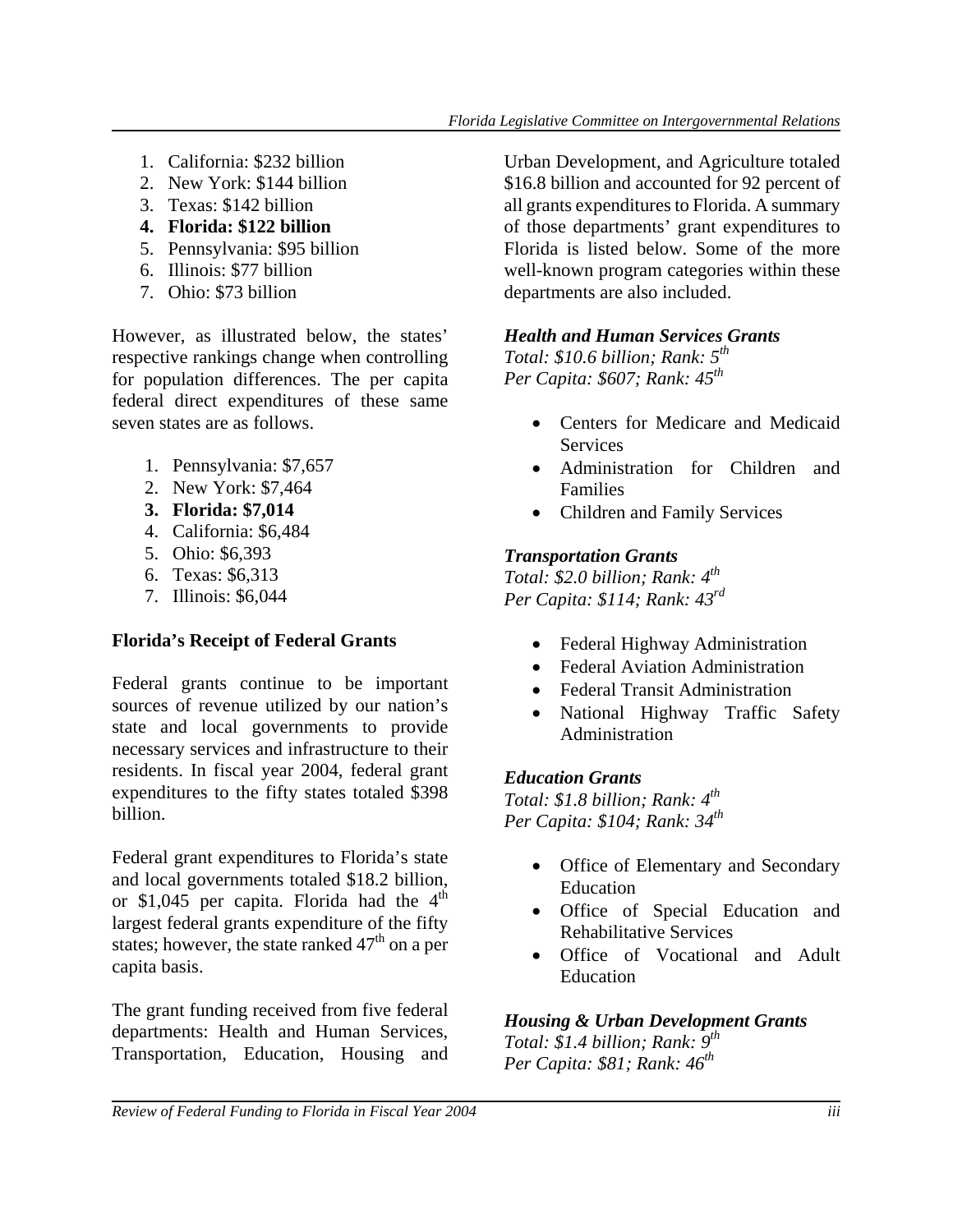- 1. California: \$232 billion
- 2. New York: \$144 billion
- 3. Texas: \$142 billion
- **4. Florida: \$122 billion**
- 5. Pennsylvania: \$95 billion
- 6. Illinois: \$77 billion
- 7. Ohio: \$73 billion

However, as illustrated below, the states' respective rankings change when controlling for population differences. The per capita federal direct expenditures of these same seven states are as follows.

- 1. Pennsylvania: \$7,657
- 2. New York: \$7,464
- **3. Florida: \$7,014**
- 4. California: \$6,484
- 5. Ohio: \$6,393
- 6. Texas: \$6,313
- 7. Illinois: \$6,044

# **Florida's Receipt of Federal Grants**

Federal grants continue to be important sources of revenue utilized by our nation's state and local governments to provide necessary services and infrastructure to their residents. In fiscal year 2004, federal grant expenditures to the fifty states totaled \$398 billion.

Federal grant expenditures to Florida's state and local governments totaled \$18.2 billion, or \$1,045 per capita. Florida had the  $4<sup>th</sup>$ largest federal grants expenditure of the fifty states; however, the state ranked  $47<sup>th</sup>$  on a per capita basis.

The grant funding received from five federal departments: Health and Human Services, Transportation, Education, Housing and Urban Development, and Agriculture totaled \$16.8 billion and accounted for 92 percent of all grants expenditures to Florida. A summary of those departments' grant expenditures to Florida is listed below. Some of the more well-known program categories within these departments are also included.

#### *Health and Human Services Grants*

*Total: \$10.6 billion; Rank: 5th Per Capita: \$607; Rank: 45th*

- Centers for Medicare and Medicaid **Services**
- Administration for Children and Families
- Children and Family Services

#### *Transportation Grants*

*Total: \$2.0 billion; Rank: 4th Per Capita: \$114; Rank: 43rd*

- Federal Highway Administration
- Federal Aviation Administration
- Federal Transit Administration
- National Highway Traffic Safety Administration

# *Education Grants*

*Total: \$1.8 billion; Rank: 4th Per Capita: \$104; Rank: 34th*

- Office of Elementary and Secondary Education
- Office of Special Education and Rehabilitative Services
- Office of Vocational and Adult Education

*Housing & Urban Development Grants Total: \$1.4 billion; Rank: 9th Per Capita: \$81; Rank: 46<sup>th</sup>*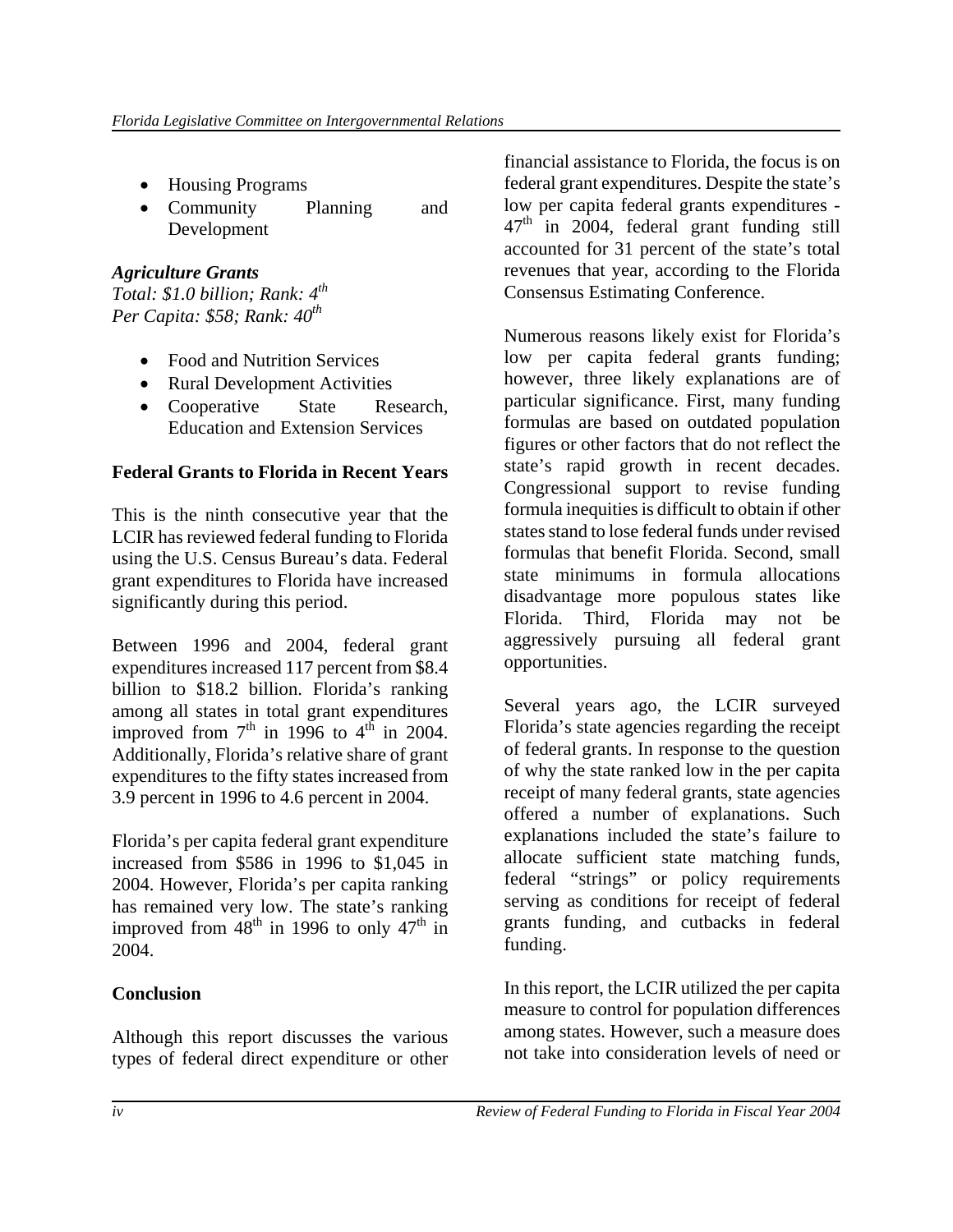- Housing Programs
- Community Planning and Development

#### *Agriculture Grants Total: \$1.0 billion; Rank: 4th Per Capita: \$58; Rank: 40<sup>th</sup>*

- Food and Nutrition Services
- Rural Development Activities
- Cooperative State Research, Education and Extension Services

#### **Federal Grants to Florida in Recent Years**

This is the ninth consecutive year that the LCIR has reviewed federal funding to Florida using the U.S. Census Bureau's data. Federal grant expenditures to Florida have increased significantly during this period.

Between 1996 and 2004, federal grant expenditures increased 117 percent from \$8.4 billion to \$18.2 billion. Florida's ranking among all states in total grant expenditures improved from  $7<sup>th</sup>$  in 1996 to  $4<sup>th</sup>$  in 2004. Additionally, Florida's relative share of grant expenditures to the fifty states increased from 3.9 percent in 1996 to 4.6 percent in 2004.

Florida's per capita federal grant expenditure increased from \$586 in 1996 to \$1,045 in 2004. However, Florida's per capita ranking has remained very low. The state's ranking improved from  $48<sup>th</sup>$  in 1996 to only  $47<sup>th</sup>$  in 2004.

# **Conclusion**

Although this report discusses the various types of federal direct expenditure or other financial assistance to Florida, the focus is on federal grant expenditures. Despite the state's low per capita federal grants expenditures - 47<sup>th</sup> in 2004, federal grant funding still accounted for 31 percent of the state's total revenues that year, according to the Florida Consensus Estimating Conference.

Numerous reasons likely exist for Florida's low per capita federal grants funding; however, three likely explanations are of particular significance. First, many funding formulas are based on outdated population figures or other factors that do not reflect the state's rapid growth in recent decades. Congressional support to revise funding formula inequities is difficult to obtain if other states stand to lose federal funds under revised formulas that benefit Florida. Second, small state minimums in formula allocations disadvantage more populous states like Florida. Third, Florida may not be aggressively pursuing all federal grant opportunities.

Several years ago, the LCIR surveyed Florida's state agencies regarding the receipt of federal grants. In response to the question of why the state ranked low in the per capita receipt of many federal grants, state agencies offered a number of explanations. Such explanations included the state's failure to allocate sufficient state matching funds, federal "strings" or policy requirements serving as conditions for receipt of federal grants funding, and cutbacks in federal funding.

In this report, the LCIR utilized the per capita measure to control for population differences among states. However, such a measure does not take into consideration levels of need or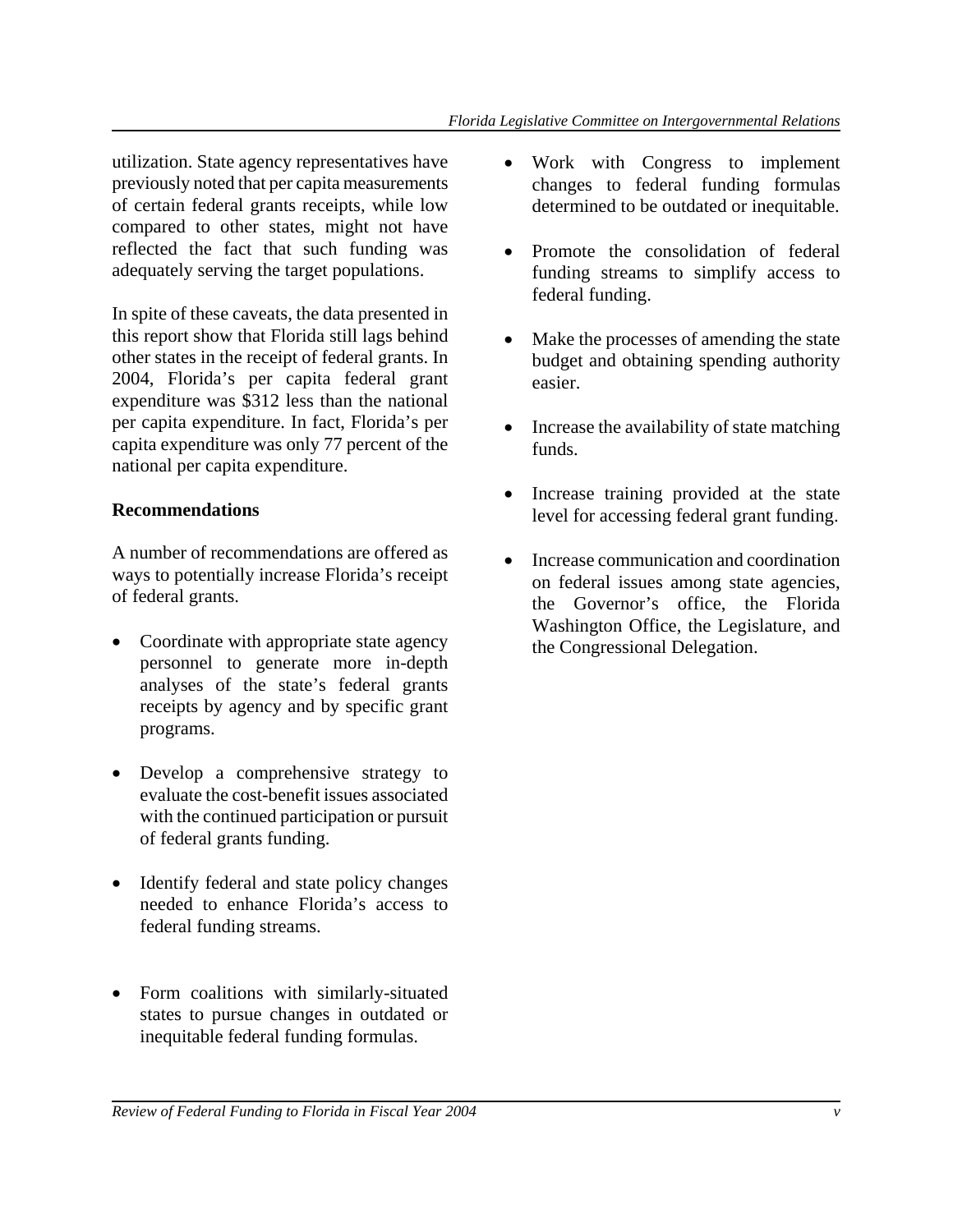utilization. State agency representatives have previously noted that per capita measurements of certain federal grants receipts, while low compared to other states, might not have reflected the fact that such funding was adequately serving the target populations.

In spite of these caveats, the data presented in this report show that Florida still lags behind other states in the receipt of federal grants. In 2004, Florida's per capita federal grant expenditure was \$312 less than the national per capita expenditure. In fact, Florida's per capita expenditure was only 77 percent of the national per capita expenditure.

#### **Recommendations**

A number of recommendations are offered as ways to potentially increase Florida's receipt of federal grants.

- Coordinate with appropriate state agency personnel to generate more in-depth analyses of the state's federal grants receipts by agency and by specific grant programs.
- Develop a comprehensive strategy to evaluate the cost-benefit issues associated with the continued participation or pursuit of federal grants funding.
- Identify federal and state policy changes needed to enhance Florida's access to federal funding streams.
- Form coalitions with similarly-situated states to pursue changes in outdated or inequitable federal funding formulas.
- Work with Congress to implement changes to federal funding formulas determined to be outdated or inequitable.
- Promote the consolidation of federal funding streams to simplify access to federal funding.
- Make the processes of amending the state budget and obtaining spending authority easier.
- Increase the availability of state matching funds.
- Increase training provided at the state level for accessing federal grant funding.
- Increase communication and coordination on federal issues among state agencies, the Governor's office, the Florida Washington Office, the Legislature, and the Congressional Delegation.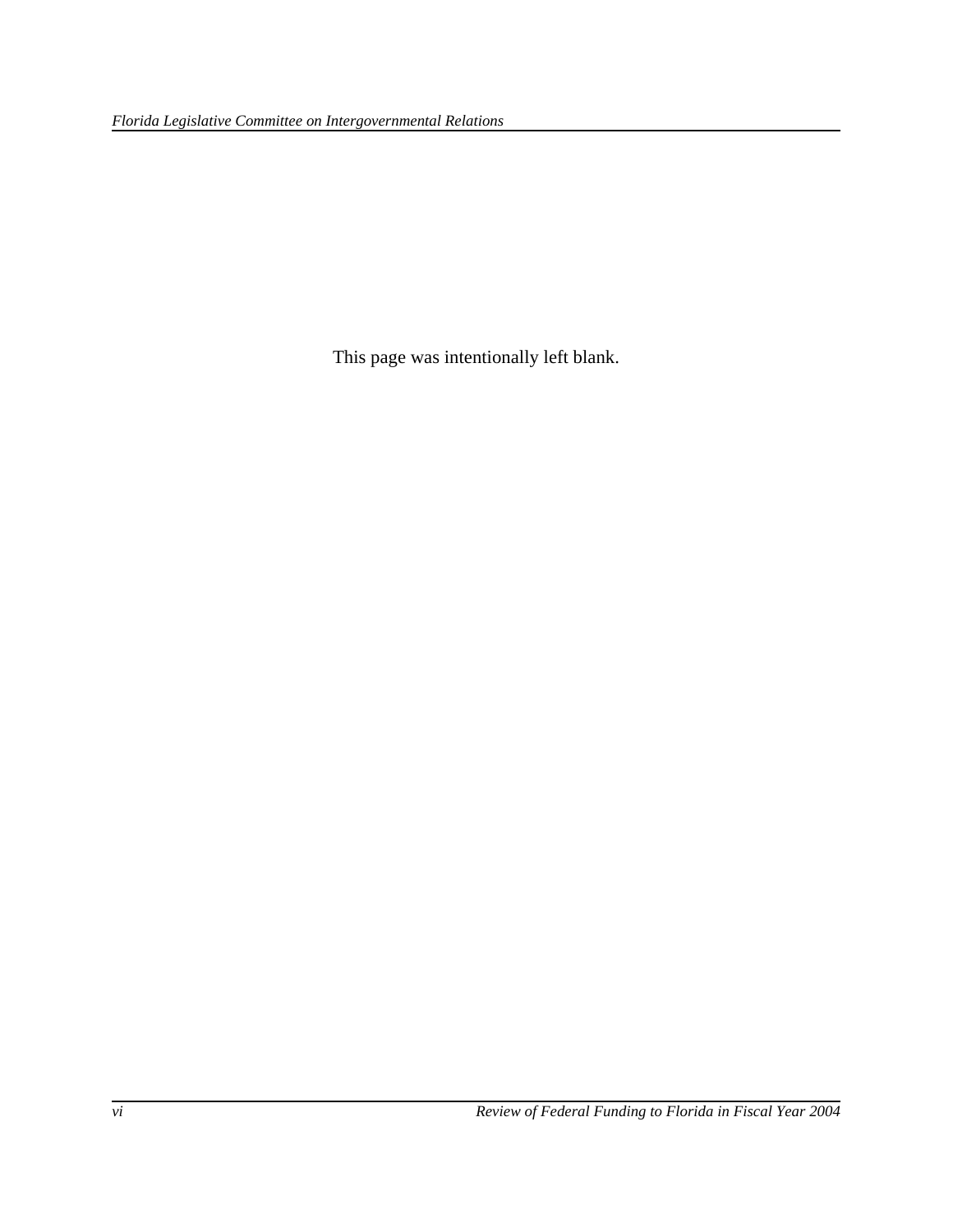This page was intentionally left blank.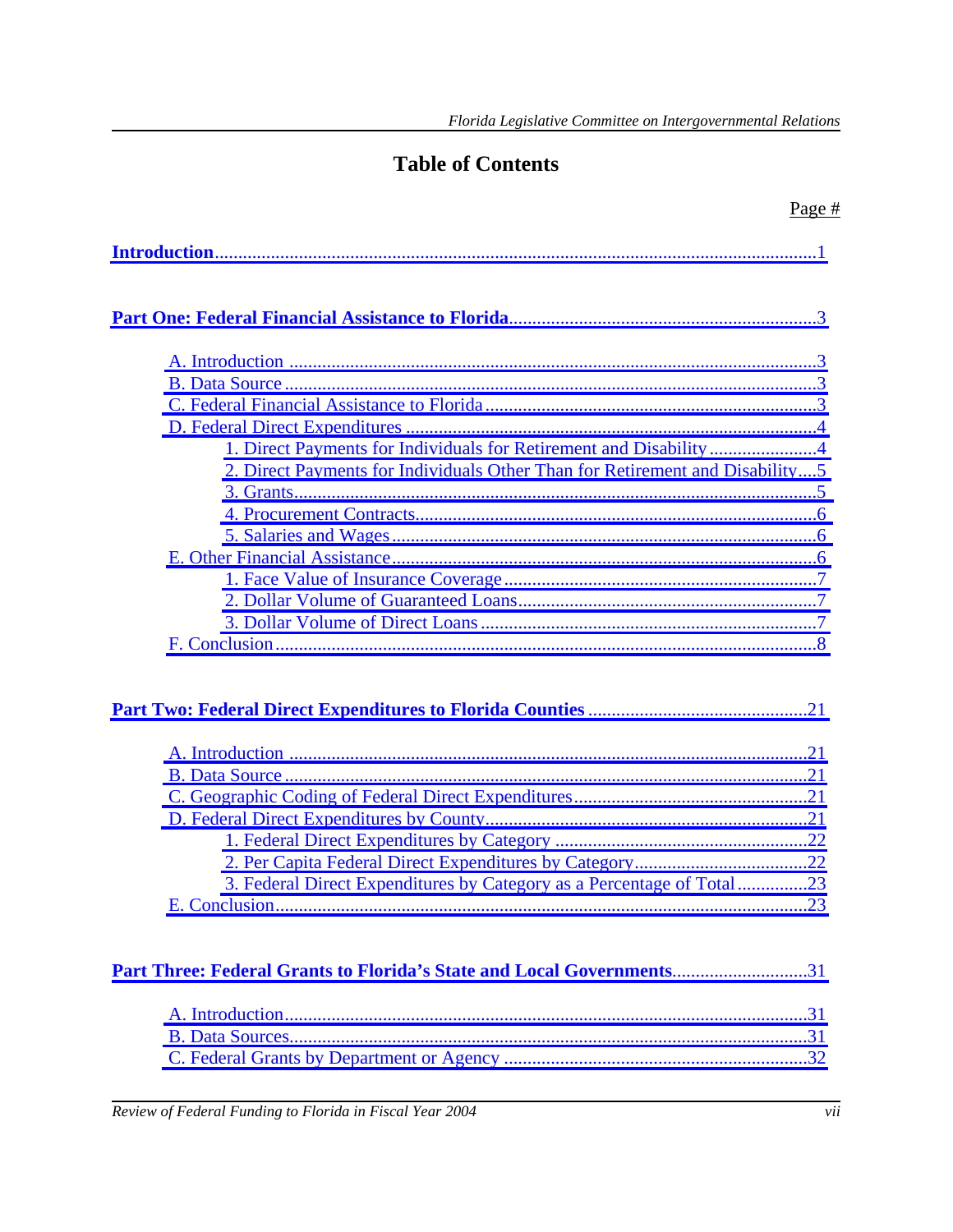# **Table of Contents**

|                                                                              | Page # |
|------------------------------------------------------------------------------|--------|
|                                                                              |        |
|                                                                              |        |
|                                                                              |        |
|                                                                              |        |
|                                                                              |        |
|                                                                              |        |
|                                                                              |        |
| 2. Direct Payments for Individuals Other Than for Retirement and Disability5 |        |
|                                                                              |        |
|                                                                              |        |
|                                                                              |        |
|                                                                              |        |
|                                                                              |        |
|                                                                              |        |
|                                                                              |        |
|                                                                              |        |
| 3. Federal Direct Expenditures by Category as a Percentage of Total23        |        |
| <b>Part Three: Federal Grants to Florida's State and Local Governments31</b> |        |
|                                                                              |        |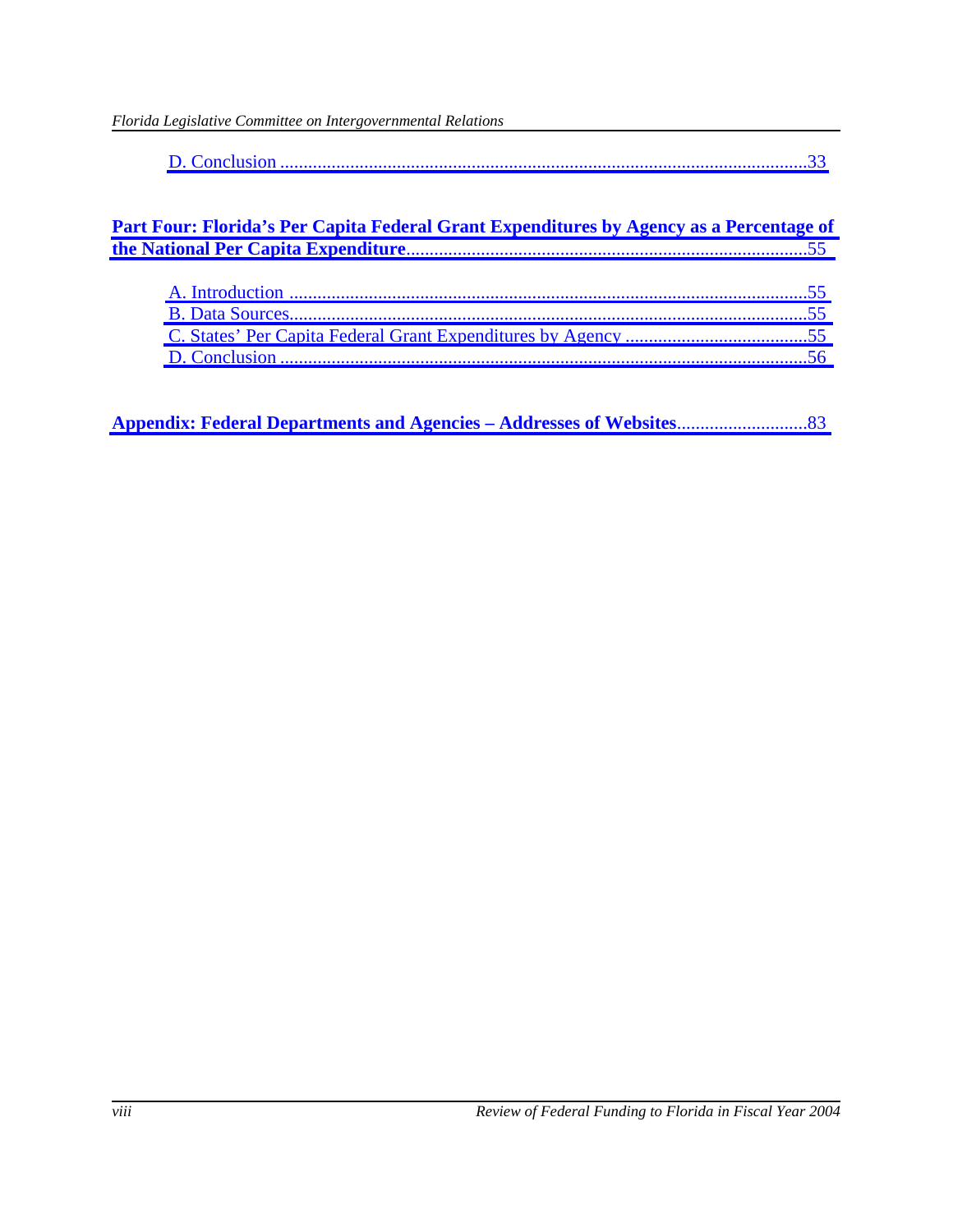#### *Florida Legislative Committee on Intergovernmental Relations*

| Part Four: Florida's Per Capita Federal Grant Expenditures by Agency as a Percentage of |  |
|-----------------------------------------------------------------------------------------|--|
|                                                                                         |  |
|                                                                                         |  |
|                                                                                         |  |
|                                                                                         |  |
|                                                                                         |  |

|  |  | <b>Appendix: Federal Departments and Agencies – Addresses of Websites</b> 83 |  |
|--|--|------------------------------------------------------------------------------|--|
|  |  |                                                                              |  |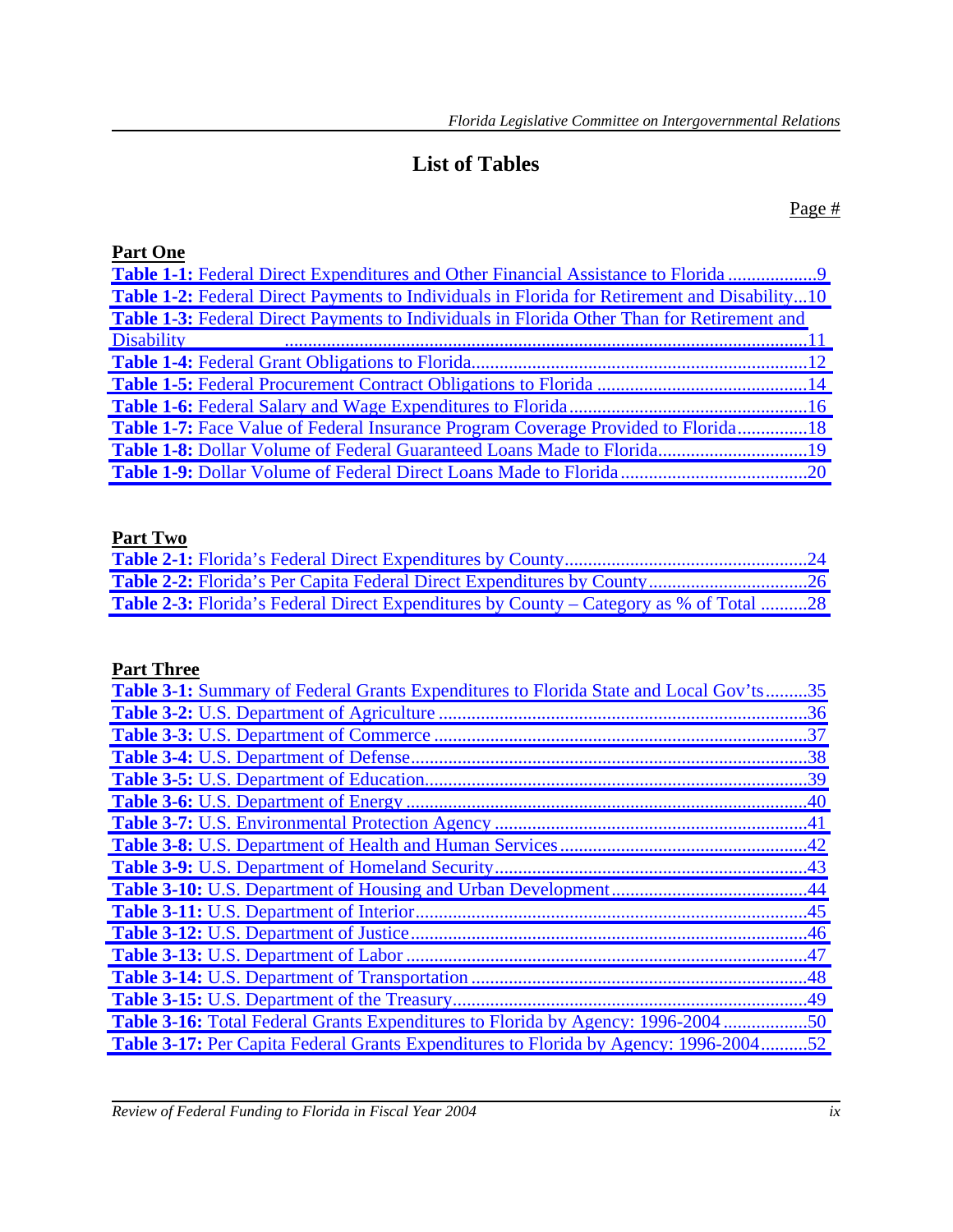# **List of Tables**

# Page #

| <b>Part One</b>                                                                              |  |
|----------------------------------------------------------------------------------------------|--|
|                                                                                              |  |
| Table 1-2: Federal Direct Payments to Individuals in Florida for Retirement and Disability10 |  |
| Table 1-3: Federal Direct Payments to Individuals in Florida Other Than for Retirement and   |  |
| <b>Disability</b>                                                                            |  |
|                                                                                              |  |
|                                                                                              |  |
|                                                                                              |  |
| <b>Table 1-7:</b> Face Value of Federal Insurance Program Coverage Provided to Florida18     |  |
|                                                                                              |  |
|                                                                                              |  |

# **Part Two**

| <b>Table 2-3:</b> Florida's Federal Direct Expenditures by County – Category as % of Total 28 |  |
|-----------------------------------------------------------------------------------------------|--|

# **Part Three**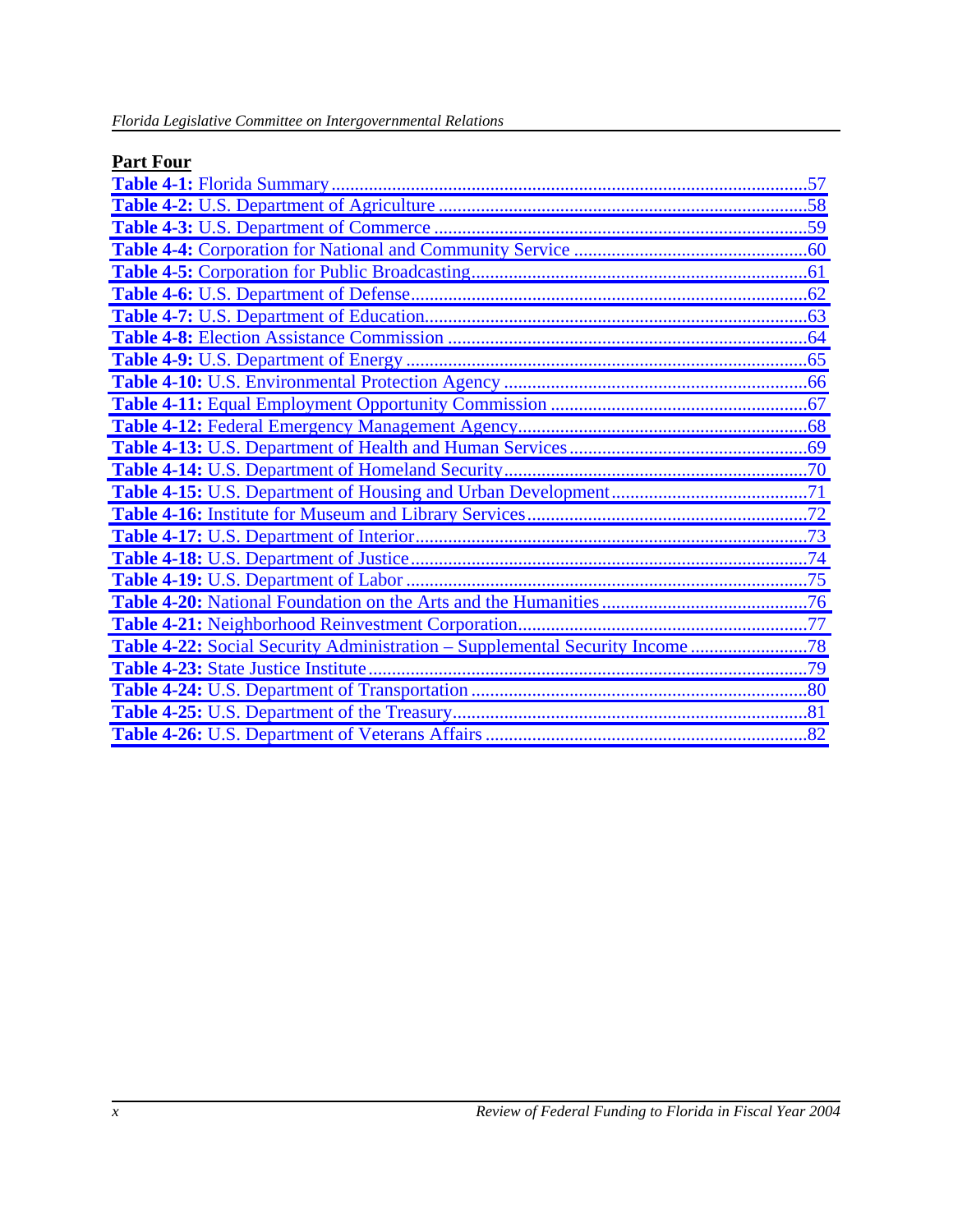#### **Part Four**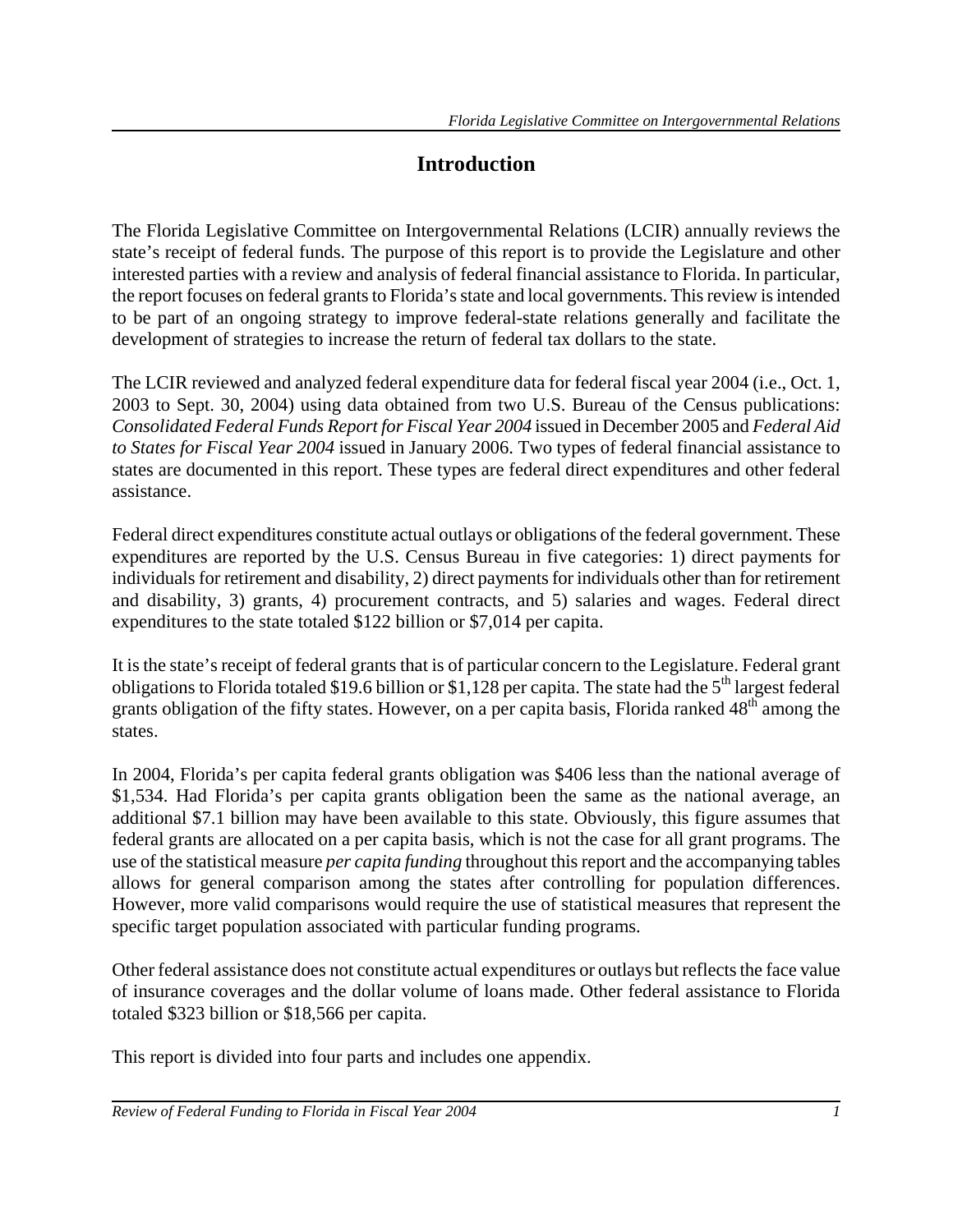# **Introduction**

<span id="page-12-0"></span>The Florida Legislative Committee on Intergovernmental Relations (LCIR) annually reviews the state's receipt of federal funds. The purpose of this report is to provide the Legislature and other interested parties with a review and analysis of federal financial assistance to Florida. In particular, the report focuses on federal grants to Florida's state and local governments. This review is intended to be part of an ongoing strategy to improve federal-state relations generally and facilitate the development of strategies to increase the return of federal tax dollars to the state.

The LCIR reviewed and analyzed federal expenditure data for federal fiscal year 2004 (i.e., Oct. 1, 2003 to Sept. 30, 2004) using data obtained from two U.S. Bureau of the Census publications: *Consolidated Federal Funds Report for Fiscal Year 2004* issued in December 2005 and *Federal Aid to States for Fiscal Year 2004* issued in January 2006. Two types of federal financial assistance to states are documented in this report. These types are federal direct expenditures and other federal assistance.

Federal direct expenditures constitute actual outlays or obligations of the federal government. These expenditures are reported by the U.S. Census Bureau in five categories: 1) direct payments for individuals for retirement and disability, 2) direct payments for individuals other than for retirement and disability, 3) grants, 4) procurement contracts, and 5) salaries and wages. Federal direct expenditures to the state totaled \$122 billion or \$7,014 per capita.

It is the state's receipt of federal grants that is of particular concern to the Legislature. Federal grant obligations to Florida totaled \$19.6 billion or \$1,128 per capita. The state had the  $5<sup>th</sup>$  largest federal grants obligation of the fifty states. However, on a per capita basis, Florida ranked 48<sup>th</sup> among the states.

In 2004, Florida's per capita federal grants obligation was \$406 less than the national average of \$1,534. Had Florida's per capita grants obligation been the same as the national average, an additional \$7.1 billion may have been available to this state. Obviously, this figure assumes that federal grants are allocated on a per capita basis, which is not the case for all grant programs. The use of the statistical measure *per capita funding* throughout this report and the accompanying tables allows for general comparison among the states after controlling for population differences. However, more valid comparisons would require the use of statistical measures that represent the specific target population associated with particular funding programs.

Other federal assistance does not constitute actual expenditures or outlays but reflects the face value of insurance coverages and the dollar volume of loans made. Other federal assistance to Florida totaled \$323 billion or \$18,566 per capita.

This report is divided into four parts and includes one appendix.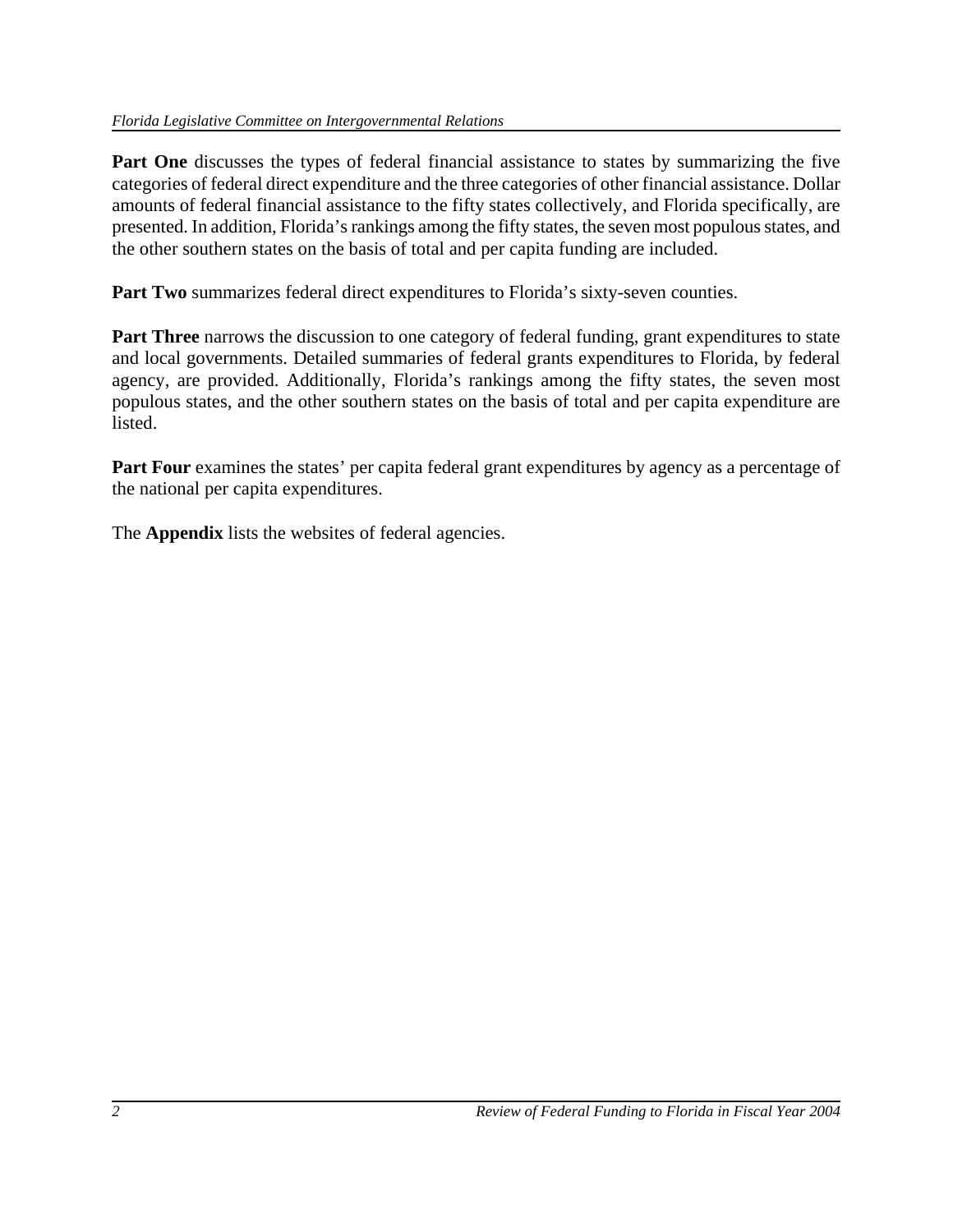Part One discusses the types of federal financial assistance to states by summarizing the five categories of federal direct expenditure and the three categories of other financial assistance. Dollar amounts of federal financial assistance to the fifty states collectively, and Florida specifically, are presented. In addition, Florida's rankings among the fifty states, the seven most populous states, and the other southern states on the basis of total and per capita funding are included.

**Part Two** summarizes federal direct expenditures to Florida's sixty-seven counties.

**Part Three** narrows the discussion to one category of federal funding, grant expenditures to state and local governments. Detailed summaries of federal grants expenditures to Florida, by federal agency, are provided. Additionally, Florida's rankings among the fifty states, the seven most populous states, and the other southern states on the basis of total and per capita expenditure are listed.

**Part Four** examines the states' per capita federal grant expenditures by agency as a percentage of the national per capita expenditures.

The **Appendix** lists the websites of federal agencies.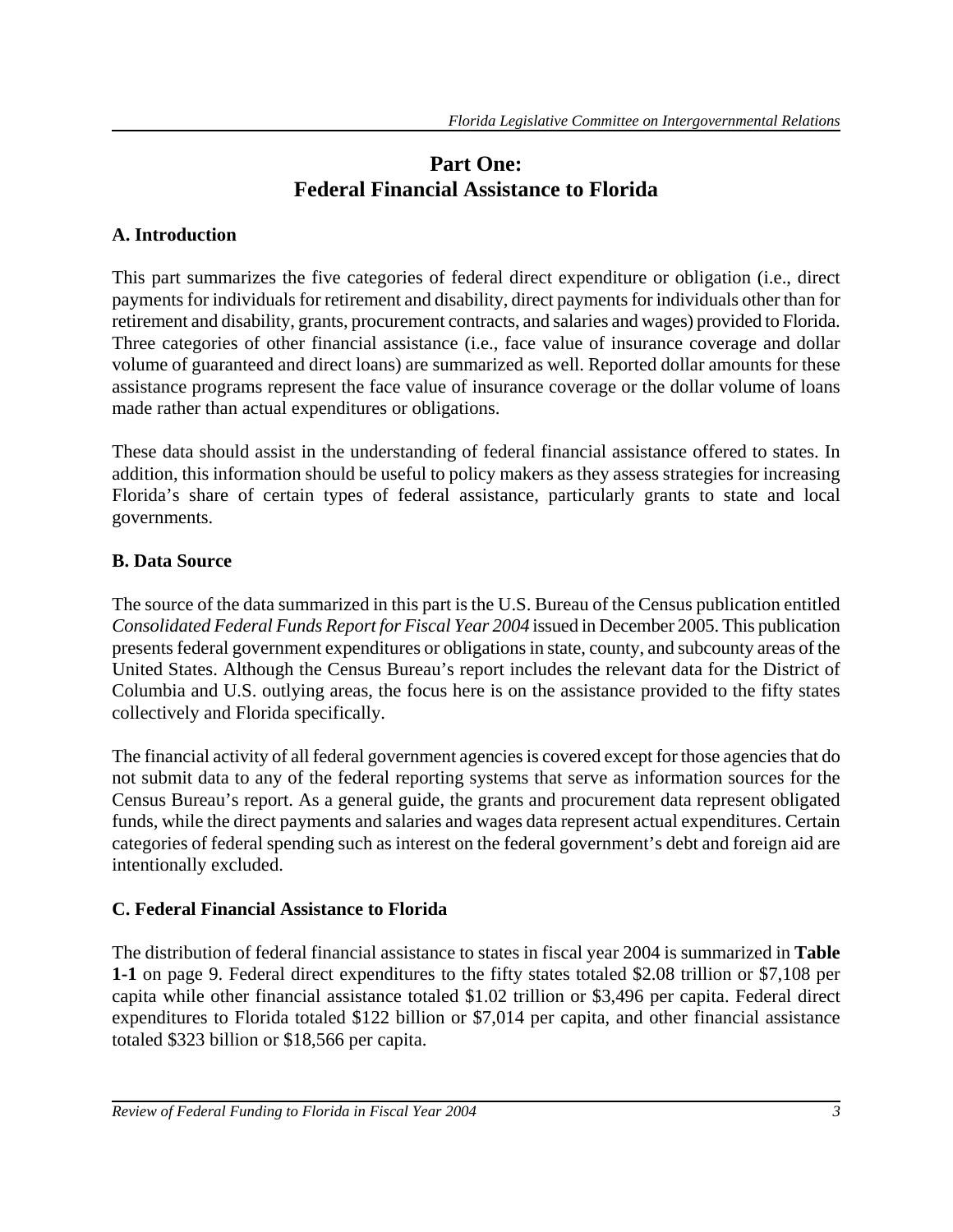# **Part One: Federal Financial Assistance to Florida**

# <span id="page-14-0"></span>**A. Introduction**

This part summarizes the five categories of federal direct expenditure or obligation (i.e., direct payments for individuals for retirement and disability, direct payments for individuals other than for retirement and disability, grants, procurement contracts, and salaries and wages) provided to Florida. Three categories of other financial assistance (i.e., face value of insurance coverage and dollar volume of guaranteed and direct loans) are summarized as well. Reported dollar amounts for these assistance programs represent the face value of insurance coverage or the dollar volume of loans made rather than actual expenditures or obligations.

These data should assist in the understanding of federal financial assistance offered to states. In addition, this information should be useful to policy makers as they assess strategies for increasing Florida's share of certain types of federal assistance, particularly grants to state and local governments.

# **B. Data Source**

The source of the data summarized in this part is the U.S. Bureau of the Census publication entitled *Consolidated Federal Funds Report for Fiscal Year 2004* issued in December 2005. This publication presents federal government expenditures or obligations in state, county, and subcounty areas of the United States. Although the Census Bureau's report includes the relevant data for the District of Columbia and U.S. outlying areas, the focus here is on the assistance provided to the fifty states collectively and Florida specifically.

The financial activity of all federal government agencies is covered except for those agencies that do not submit data to any of the federal reporting systems that serve as information sources for the Census Bureau's report. As a general guide, the grants and procurement data represent obligated funds, while the direct payments and salaries and wages data represent actual expenditures. Certain categories of federal spending such as interest on the federal government's debt and foreign aid are intentionally excluded.

# **C. Federal Financial Assistance to Florida**

The distribution of federal financial assistance to states in fiscal year 2004 is summarized in **Table 1-1** on page 9. Federal direct expenditures to the fifty states totaled \$2.08 trillion or \$7,108 per capita while other financial assistance totaled \$1.02 trillion or \$3,496 per capita. Federal direct expenditures to Florida totaled \$122 billion or \$7,014 per capita, and other financial assistance totaled \$323 billion or \$18,566 per capita.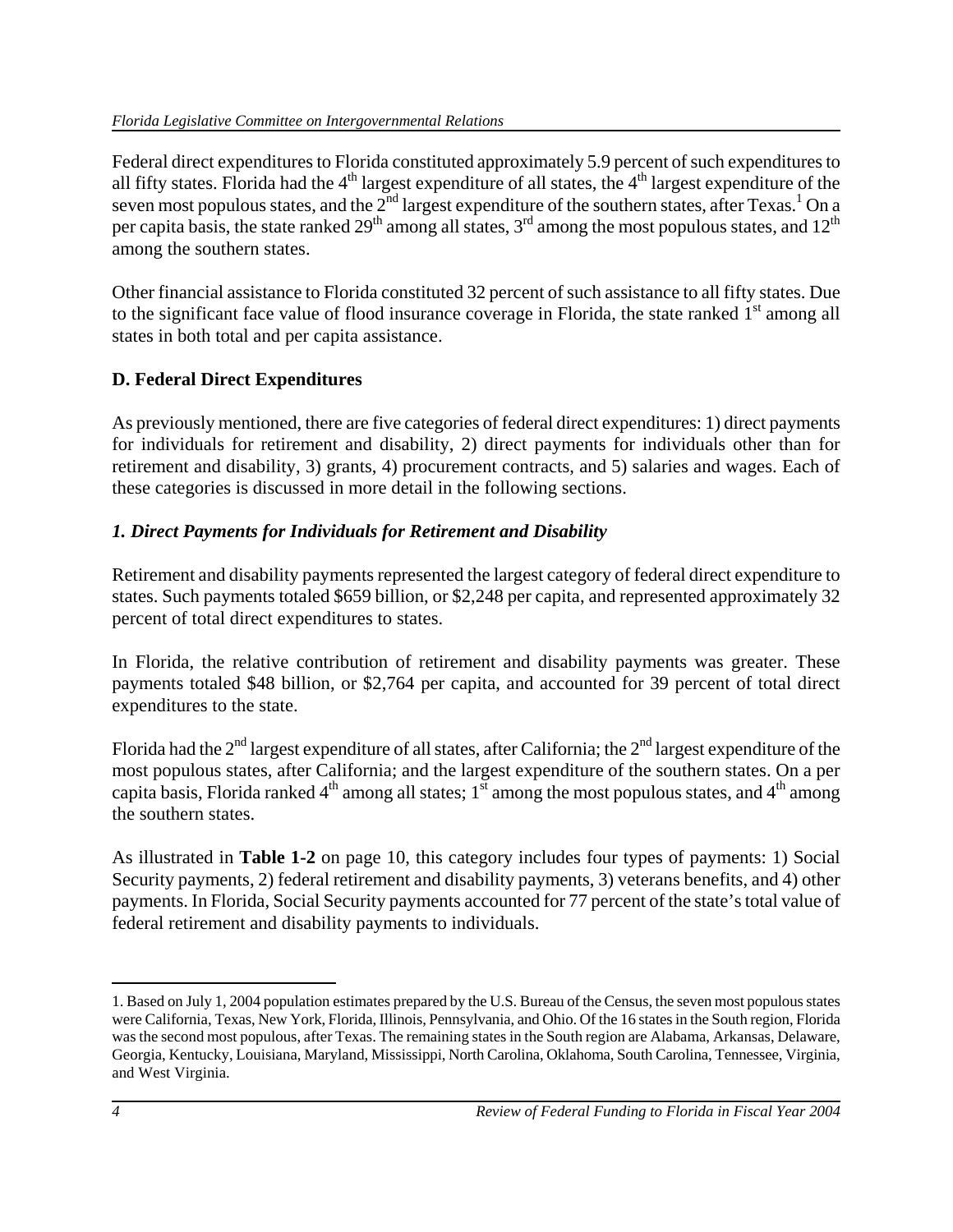<span id="page-15-0"></span>Federal direct expenditures to Florida constituted approximately 5.9 percent of such expenditures to all fifty states. Florida had the  $4<sup>th</sup>$  largest expenditure of all states, the  $4<sup>th</sup>$  largest expenditure of the seven most populous states, and the  $2^{nd}$  largest expenditure of the southern states, after Texas.<sup>1</sup> On a per capita basis, the state ranked 29<sup>th</sup> among all states, 3<sup>rd</sup> among the most populous states, and 12<sup>th</sup> among the southern states.

Other financial assistance to Florida constituted 32 percent of such assistance to all fifty states. Due to the significant face value of flood insurance coverage in Florida, the state ranked 1<sup>st</sup> among all states in both total and per capita assistance.

# **D. Federal Direct Expenditures**

As previously mentioned, there are five categories of federal direct expenditures: 1) direct payments for individuals for retirement and disability, 2) direct payments for individuals other than for retirement and disability, 3) grants, 4) procurement contracts, and 5) salaries and wages. Each of these categories is discussed in more detail in the following sections.

# *1. Direct Payments for Individuals for Retirement and Disability*

Retirement and disability payments represented the largest category of federal direct expenditure to states. Such payments totaled \$659 billion, or \$2,248 per capita, and represented approximately 32 percent of total direct expenditures to states.

In Florida, the relative contribution of retirement and disability payments was greater. These payments totaled \$48 billion, or \$2,764 per capita, and accounted for 39 percent of total direct expenditures to the state.

Florida had the  $2<sup>nd</sup>$  largest expenditure of all states, after California; the  $2<sup>nd</sup>$  largest expenditure of the most populous states, after California; and the largest expenditure of the southern states. On a per capita basis, Florida ranked  $4<sup>th</sup>$  among all states; 1<sup>st</sup> among the most populous states, and  $4<sup>th</sup>$  among the southern states.

As illustrated in **Table 1-2** on page 10, this category includes four types of payments: 1) Social Security payments, 2) federal retirement and disability payments, 3) veterans benefits, and 4) other payments. In Florida, Social Security payments accounted for 77 percent of the state's total value of federal retirement and disability payments to individuals.

 $\overline{a}$ 

<sup>1.</sup> Based on July 1, 2004 population estimates prepared by the U.S. Bureau of the Census, the seven most populous states were California, Texas, New York, Florida, Illinois, Pennsylvania, and Ohio. Of the 16 states in the South region, Florida was the second most populous, after Texas. The remaining states in the South region are Alabama, Arkansas, Delaware, Georgia, Kentucky, Louisiana, Maryland, Mississippi, North Carolina, Oklahoma, South Carolina, Tennessee, Virginia, and West Virginia.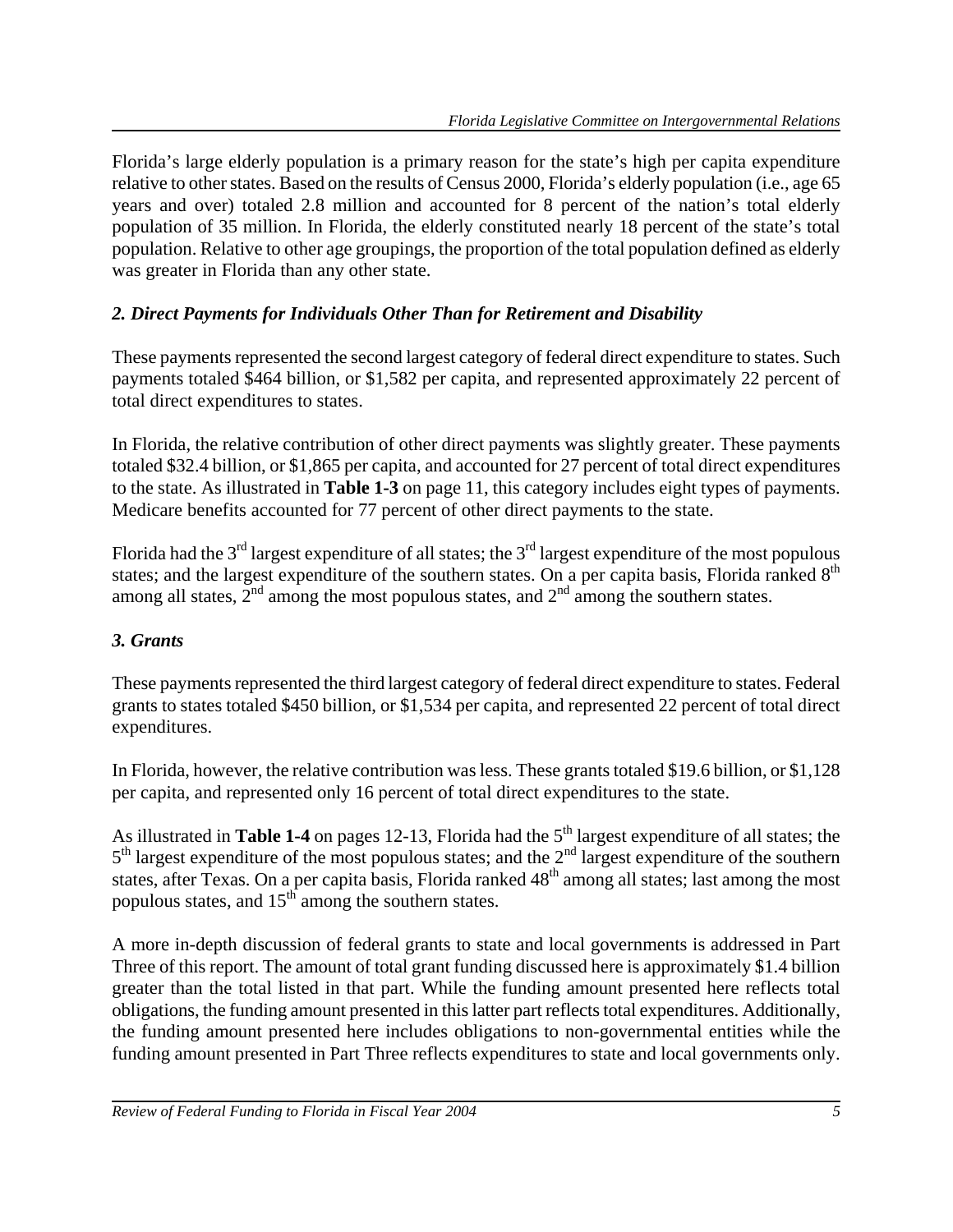<span id="page-16-0"></span>Florida's large elderly population is a primary reason for the state's high per capita expenditure relative to other states. Based on the results of Census 2000, Florida's elderly population (i.e., age 65 years and over) totaled 2.8 million and accounted for 8 percent of the nation's total elderly population of 35 million. In Florida, the elderly constituted nearly 18 percent of the state's total population. Relative to other age groupings, the proportion of the total population defined as elderly was greater in Florida than any other state.

# *2. Direct Payments for Individuals Other Than for Retirement and Disability*

These payments represented the second largest category of federal direct expenditure to states. Such payments totaled \$464 billion, or \$1,582 per capita, and represented approximately 22 percent of total direct expenditures to states.

In Florida, the relative contribution of other direct payments was slightly greater. These payments totaled \$32.4 billion, or \$1,865 per capita, and accounted for 27 percent of total direct expenditures to the state. As illustrated in **Table 1-3** on page 11, this category includes eight types of payments. Medicare benefits accounted for 77 percent of other direct payments to the state.

Florida had the  $3<sup>rd</sup>$  largest expenditure of all states; the  $3<sup>rd</sup>$  largest expenditure of the most populous states; and the largest expenditure of the southern states. On a per capita basis, Florida ranked  $8<sup>th</sup>$ among all states,  $2<sup>nd</sup>$  among the most populous states, and  $2<sup>nd</sup>$  among the southern states.

# *3. Grants*

These payments represented the third largest category of federal direct expenditure to states. Federal grants to states totaled \$450 billion, or \$1,534 per capita, and represented 22 percent of total direct expenditures.

In Florida, however, the relative contribution was less. These grants totaled \$19.6 billion, or \$1,128 per capita, and represented only 16 percent of total direct expenditures to the state.

As illustrated in **Table 1-4** on pages 12-13, Florida had the  $5<sup>th</sup>$  largest expenditure of all states; the  $5<sup>th</sup>$  largest expenditure of the most populous states; and the  $2<sup>nd</sup>$  largest expenditure of the southern states, after Texas. On a per capita basis, Florida ranked  $48<sup>th</sup>$  among all states; last among the most populous states, and  $15<sup>th</sup>$  among the southern states.

A more in-depth discussion of federal grants to state and local governments is addressed in Part Three of this report. The amount of total grant funding discussed here is approximately \$1.4 billion greater than the total listed in that part. While the funding amount presented here reflects total obligations, the funding amount presented in this latter part reflects total expenditures. Additionally, the funding amount presented here includes obligations to non-governmental entities while the funding amount presented in Part Three reflects expenditures to state and local governments only.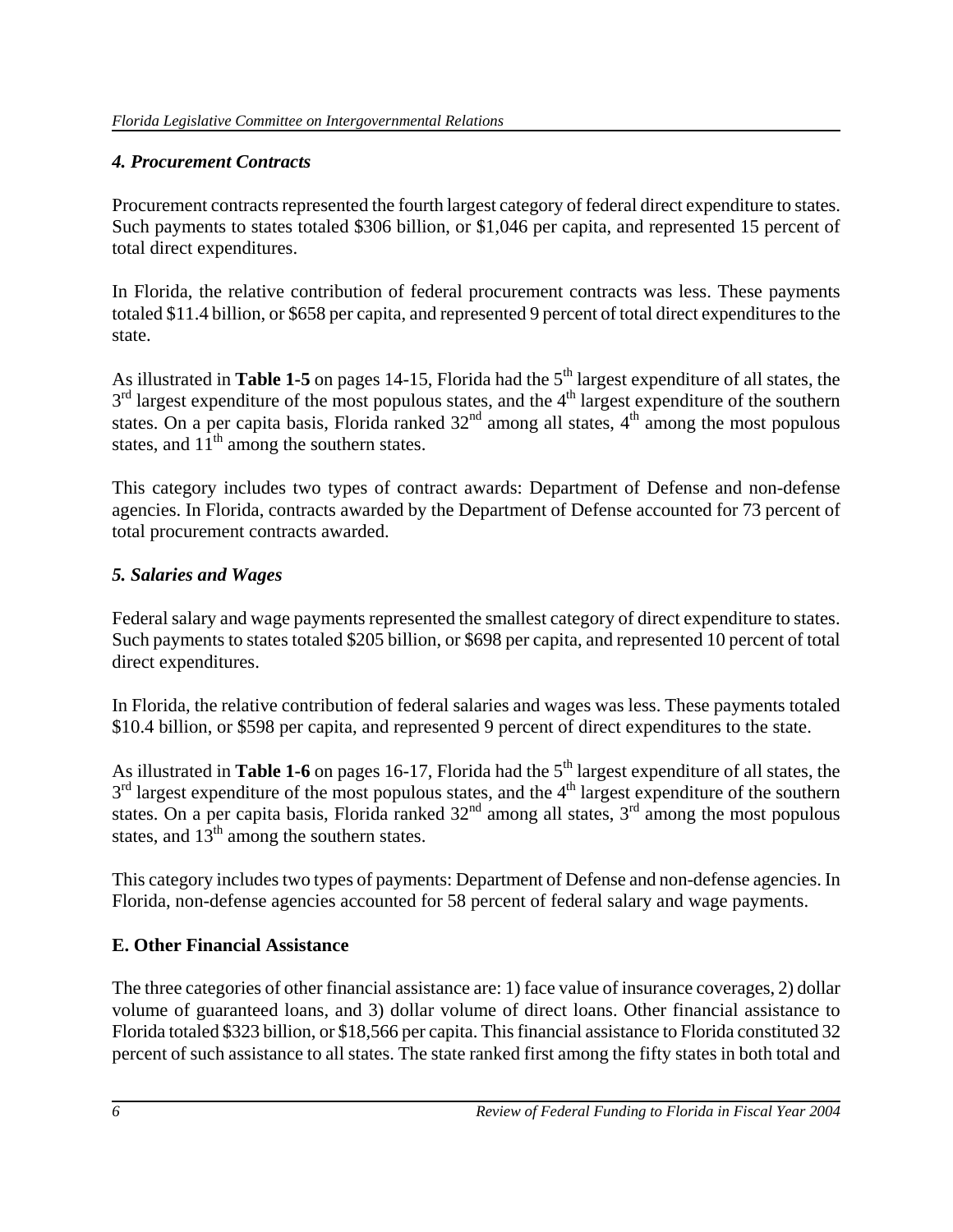# <span id="page-17-0"></span>*4. Procurement Contracts*

Procurement contracts represented the fourth largest category of federal direct expenditure to states. Such payments to states totaled \$306 billion, or \$1,046 per capita, and represented 15 percent of total direct expenditures.

In Florida, the relative contribution of federal procurement contracts was less. These payments totaled \$11.4 billion, or \$658 per capita, and represented 9 percent of total direct expenditures to the state.

As illustrated in **Table 1-5** on pages 14-15, Florida had the 5<sup>th</sup> largest expenditure of all states, the  $3<sup>rd</sup>$  largest expenditure of the most populous states, and the  $4<sup>th</sup>$  largest expenditure of the southern states. On a per capita basis, Florida ranked  $32<sup>nd</sup>$  among all states,  $4<sup>th</sup>$  among the most populous states, and  $11<sup>th</sup>$  among the southern states.

This category includes two types of contract awards: Department of Defense and non-defense agencies. In Florida, contracts awarded by the Department of Defense accounted for 73 percent of total procurement contracts awarded.

# *5. Salaries and Wages*

Federal salary and wage payments represented the smallest category of direct expenditure to states. Such payments to states totaled \$205 billion, or \$698 per capita, and represented 10 percent of total direct expenditures.

In Florida, the relative contribution of federal salaries and wages was less. These payments totaled \$10.4 billion, or \$598 per capita, and represented 9 percent of direct expenditures to the state.

As illustrated in **Table 1-6** on pages 16-17, Florida had the  $5<sup>th</sup>$  largest expenditure of all states, the 3<sup>rd</sup> largest expenditure of the most populous states, and the 4<sup>th</sup> largest expenditure of the southern states. On a per capita basis, Florida ranked  $32<sup>nd</sup>$  among all states,  $3<sup>rd</sup>$  among the most populous states, and  $13<sup>th</sup>$  among the southern states.

This category includes two types of payments: Department of Defense and non-defense agencies. In Florida, non-defense agencies accounted for 58 percent of federal salary and wage payments.

# **E. Other Financial Assistance**

The three categories of other financial assistance are: 1) face value of insurance coverages, 2) dollar volume of guaranteed loans, and 3) dollar volume of direct loans. Other financial assistance to Florida totaled \$323 billion, or \$18,566 per capita. This financial assistance to Florida constituted 32 percent of such assistance to all states. The state ranked first among the fifty states in both total and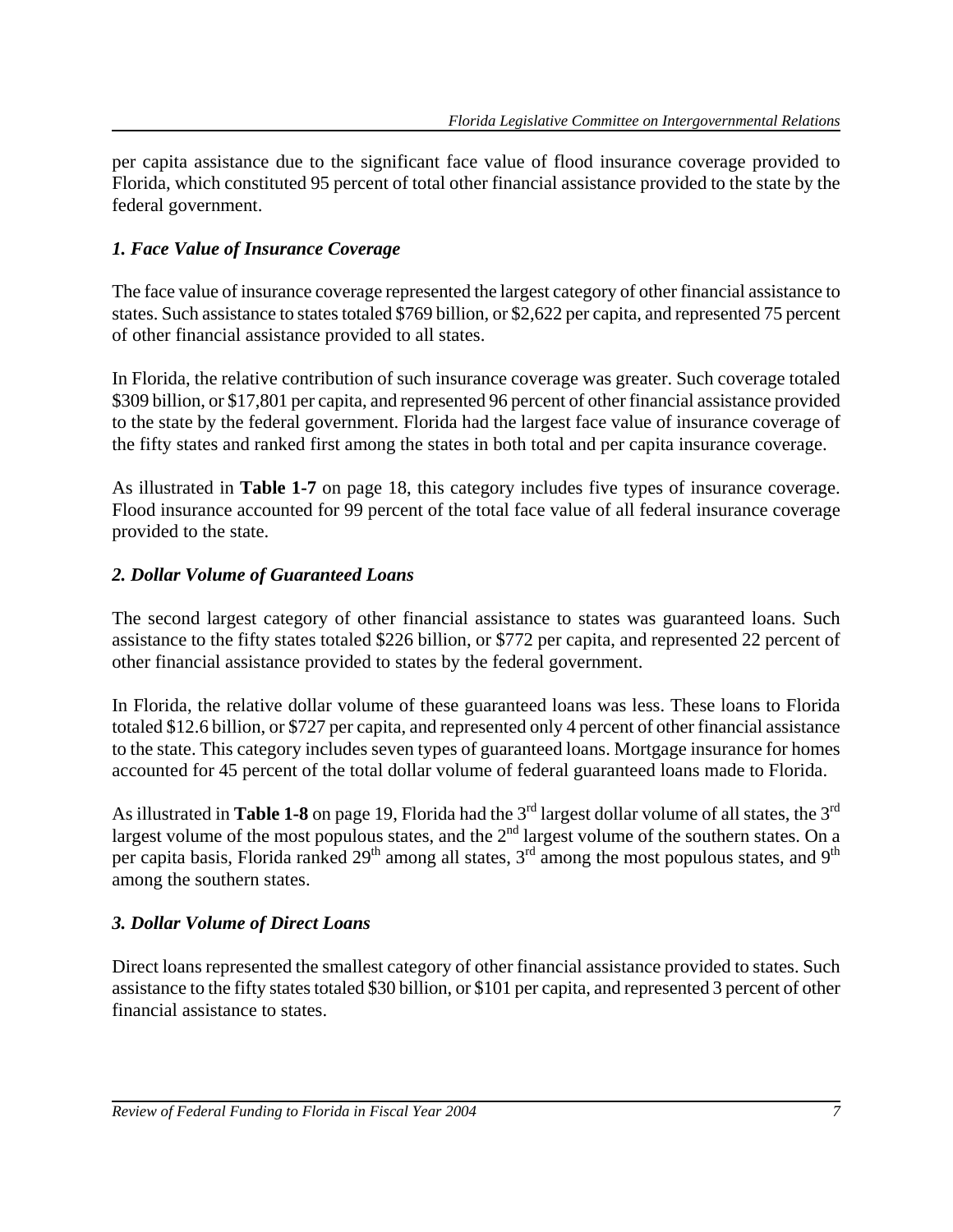<span id="page-18-0"></span>per capita assistance due to the significant face value of flood insurance coverage provided to Florida, which constituted 95 percent of total other financial assistance provided to the state by the federal government.

#### *1. Face Value of Insurance Coverage*

The face value of insurance coverage represented the largest category of other financial assistance to states. Such assistance to states totaled \$769 billion, or \$2,622 per capita, and represented 75 percent of other financial assistance provided to all states.

In Florida, the relative contribution of such insurance coverage was greater. Such coverage totaled \$309 billion, or \$17,801 per capita, and represented 96 percent of other financial assistance provided to the state by the federal government. Florida had the largest face value of insurance coverage of the fifty states and ranked first among the states in both total and per capita insurance coverage.

As illustrated in **Table 1-7** on page 18, this category includes five types of insurance coverage. Flood insurance accounted for 99 percent of the total face value of all federal insurance coverage provided to the state.

#### *2. Dollar Volume of Guaranteed Loans*

The second largest category of other financial assistance to states was guaranteed loans. Such assistance to the fifty states totaled \$226 billion, or \$772 per capita, and represented 22 percent of other financial assistance provided to states by the federal government.

In Florida, the relative dollar volume of these guaranteed loans was less. These loans to Florida totaled \$12.6 billion, or \$727 per capita, and represented only 4 percent of other financial assistance to the state. This category includes seven types of guaranteed loans. Mortgage insurance for homes accounted for 45 percent of the total dollar volume of federal guaranteed loans made to Florida.

As illustrated in **Table 1-8** on page 19, Florida had the 3<sup>rd</sup> largest dollar volume of all states, the 3<sup>rd</sup> largest volume of the most populous states, and the  $2<sup>nd</sup>$  largest volume of the southern states. On a per capita basis, Florida ranked 29<sup>th</sup> among all states, 3<sup>rd</sup> among the most populous states, and 9<sup>th</sup> among the southern states.

# *3. Dollar Volume of Direct Loans*

Direct loans represented the smallest category of other financial assistance provided to states. Such assistance to the fifty states totaled \$30 billion, or \$101 per capita, and represented 3 percent of other financial assistance to states.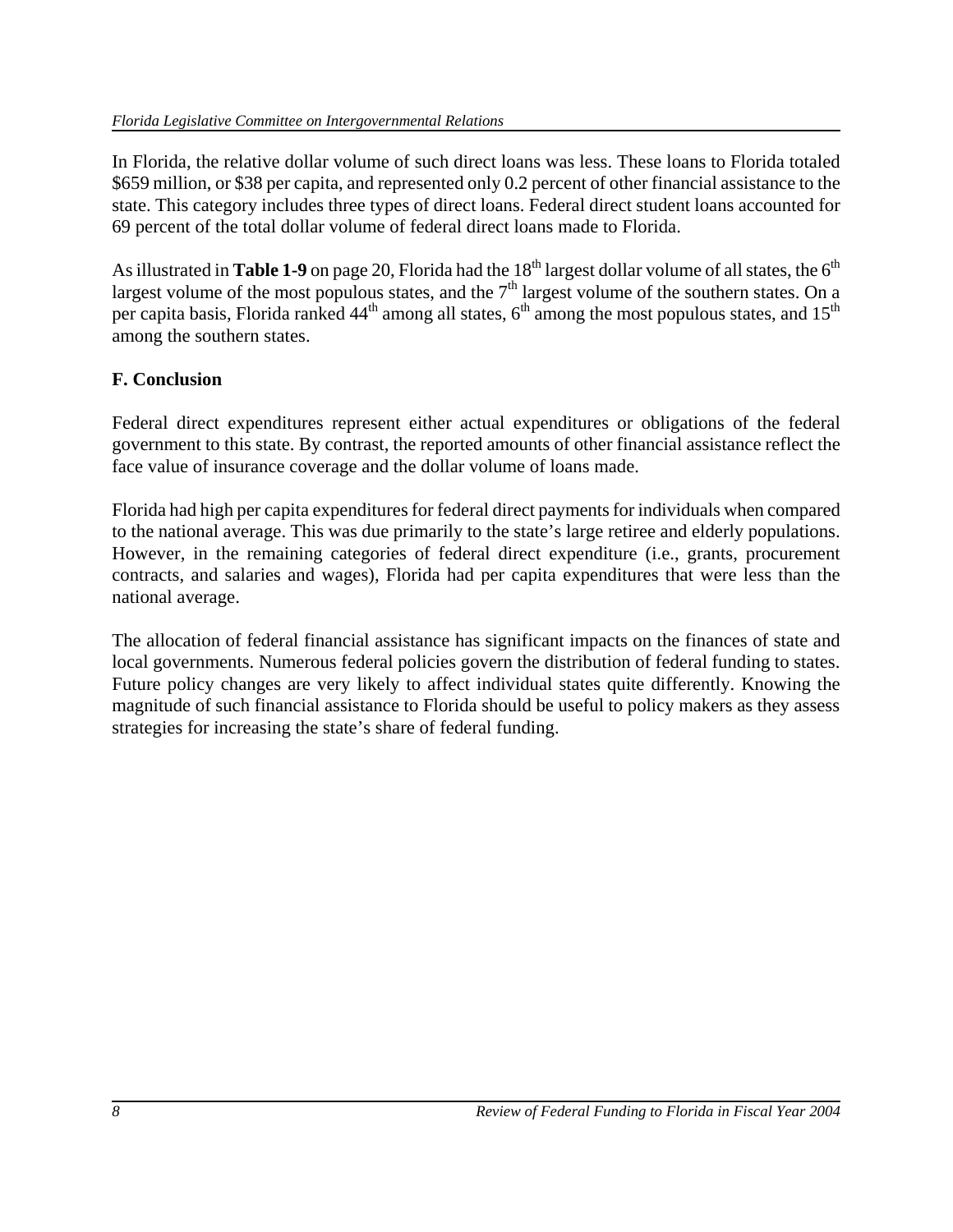<span id="page-19-0"></span>In Florida, the relative dollar volume of such direct loans was less. These loans to Florida totaled \$659 million, or \$38 per capita, and represented only 0.2 percent of other financial assistance to the state. This category includes three types of direct loans. Federal direct student loans accounted for 69 percent of the total dollar volume of federal direct loans made to Florida.

As illustrated in **Table 1-9** on page 20, Florida had the  $18^{\text{th}}$  largest dollar volume of all states, the  $6^{\text{th}}$ largest volume of the most populous states, and the  $7<sup>th</sup>$  largest volume of the southern states. On a per capita basis, Florida ranked  $44<sup>th</sup>$  among all states,  $6<sup>th</sup>$  among the most populous states, and  $15<sup>th</sup>$ among the southern states.

#### **F. Conclusion**

Federal direct expenditures represent either actual expenditures or obligations of the federal government to this state. By contrast, the reported amounts of other financial assistance reflect the face value of insurance coverage and the dollar volume of loans made.

Florida had high per capita expenditures for federal direct payments for individuals when compared to the national average. This was due primarily to the state's large retiree and elderly populations. However, in the remaining categories of federal direct expenditure (i.e., grants, procurement contracts, and salaries and wages), Florida had per capita expenditures that were less than the national average.

The allocation of federal financial assistance has significant impacts on the finances of state and local governments. Numerous federal policies govern the distribution of federal funding to states. Future policy changes are very likely to affect individual states quite differently. Knowing the magnitude of such financial assistance to Florida should be useful to policy makers as they assess strategies for increasing the state's share of federal funding.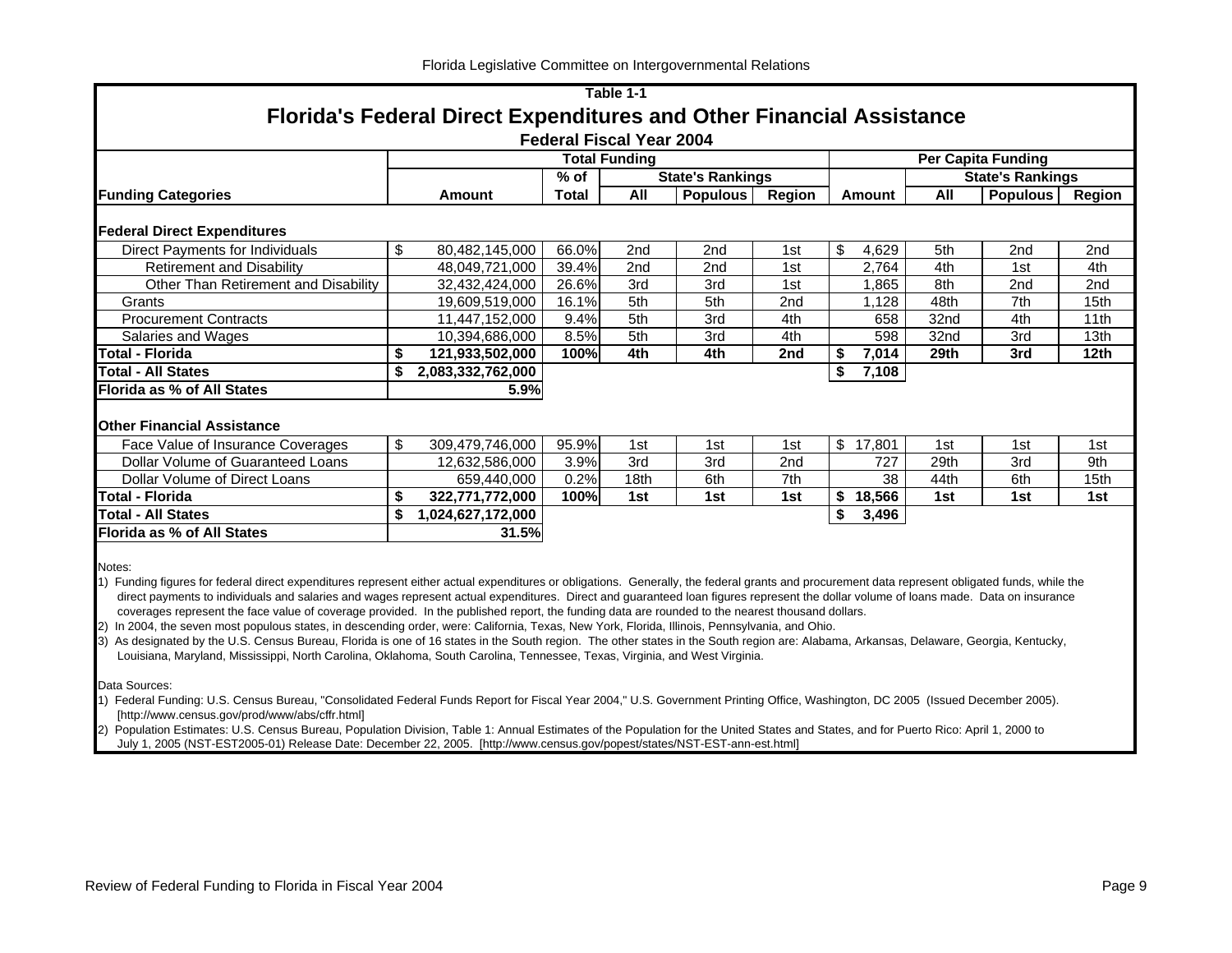<span id="page-20-0"></span>

|                                                                                                                                                                                                                                                                                                                                                                                                   |                                                   |                                                                             |                                 | Table 1-1       |                         |                 |    |        |      |                         |                  |
|---------------------------------------------------------------------------------------------------------------------------------------------------------------------------------------------------------------------------------------------------------------------------------------------------------------------------------------------------------------------------------------------------|---------------------------------------------------|-----------------------------------------------------------------------------|---------------------------------|-----------------|-------------------------|-----------------|----|--------|------|-------------------------|------------------|
|                                                                                                                                                                                                                                                                                                                                                                                                   |                                                   | <b>Florida's Federal Direct Expenditures and Other Financial Assistance</b> | <b>Federal Fiscal Year 2004</b> |                 |                         |                 |    |        |      |                         |                  |
|                                                                                                                                                                                                                                                                                                                                                                                                   | <b>Per Capita Funding</b><br><b>Total Funding</b> |                                                                             |                                 |                 |                         |                 |    |        |      |                         |                  |
|                                                                                                                                                                                                                                                                                                                                                                                                   |                                                   |                                                                             | $%$ of                          |                 | <b>State's Rankings</b> |                 |    |        |      | <b>State's Rankings</b> |                  |
| <b>Funding Categories</b>                                                                                                                                                                                                                                                                                                                                                                         |                                                   | <b>Amount</b>                                                               | <b>Total</b>                    | All             | <b>Populous</b>         | <b>Region</b>   |    | Amount | All  | <b>Populous</b>         | Region           |
| <b>Federal Direct Expenditures</b>                                                                                                                                                                                                                                                                                                                                                                |                                                   |                                                                             |                                 |                 |                         |                 |    |        |      |                         |                  |
| Direct Payments for Individuals                                                                                                                                                                                                                                                                                                                                                                   | \$                                                | 80,482,145,000                                                              | 66.0%                           | 2 <sub>nd</sub> | 2 <sub>nd</sub>         | 1st             | \$ | 4.629  | 5th  | 2 <sub>nd</sub>         | 2 <sub>nd</sub>  |
| <b>Retirement and Disability</b>                                                                                                                                                                                                                                                                                                                                                                  |                                                   | 48.049.721.000                                                              | 39.4%                           | 2 <sub>nd</sub> | 2nd                     | 1st             |    | 2.764  | 4th  | 1st                     | 4th              |
| Other Than Retirement and Disability                                                                                                                                                                                                                                                                                                                                                              |                                                   | 32,432,424,000                                                              | 26.6%                           | 3rd             | 3rd                     | 1st             |    | 1,865  | 8th  | 2 <sub>nd</sub>         | 2nd              |
| Grants                                                                                                                                                                                                                                                                                                                                                                                            |                                                   | 19,609,519,000                                                              | 16.1%                           | 5th             | 5th                     | 2 <sub>nd</sub> |    | 1,128  | 48th | 7th                     | 15 <sub>th</sub> |
| <b>Procurement Contracts</b>                                                                                                                                                                                                                                                                                                                                                                      |                                                   | 11,447,152,000                                                              | 9.4%                            | 5th             | 3rd                     | 4th             |    | 658    | 32nd | 4th                     | 11th             |
| Salaries and Wages                                                                                                                                                                                                                                                                                                                                                                                |                                                   | 10,394,686,000                                                              | 8.5%                            | 5th             | 3rd                     | 4th             |    | 598    | 32nd | 3rd                     | 13 <sub>th</sub> |
| <b>Total - Florida</b>                                                                                                                                                                                                                                                                                                                                                                            | S                                                 | 121,933,502,000                                                             | 100%                            | 4th             | 4th                     | 2nd             |    | 7,014  | 29th | 3rd                     | 12 <sub>th</sub> |
| <b>Total - All States</b>                                                                                                                                                                                                                                                                                                                                                                         | S                                                 | 2,083,332,762,000                                                           |                                 |                 |                         |                 | \$ | 7,108  |      |                         |                  |
| <b>Florida as % of All States</b>                                                                                                                                                                                                                                                                                                                                                                 |                                                   | 5.9%                                                                        |                                 |                 |                         |                 |    |        |      |                         |                  |
| <b>Other Financial Assistance</b>                                                                                                                                                                                                                                                                                                                                                                 |                                                   |                                                                             |                                 |                 |                         |                 |    |        |      |                         |                  |
| Face Value of Insurance Coverages                                                                                                                                                                                                                                                                                                                                                                 | \$                                                | 309,479,746,000                                                             | 95.9%                           | 1st             | 1st                     | 1st             | \$ | 17,801 | 1st  | 1st                     | 1st              |
| Dollar Volume of Guaranteed Loans                                                                                                                                                                                                                                                                                                                                                                 |                                                   | 12,632,586,000                                                              | 3.9%                            | 3rd             | 3rd                     | 2nd             |    | 727    | 29th | 3rd                     | 9th              |
| Dollar Volume of Direct Loans                                                                                                                                                                                                                                                                                                                                                                     |                                                   | 659,440,000                                                                 | 0.2%                            | 18th            | 6th                     | 7th             |    | 38     | 44th | 6th                     | 15th             |
| <b>Total - Florida</b>                                                                                                                                                                                                                                                                                                                                                                            | \$                                                | 322,771,772,000                                                             | 100%                            | 1st             | 1st                     | 1st             | \$ | 18,566 | 1st  | 1st                     | 1st              |
| <b>Total - All States</b>                                                                                                                                                                                                                                                                                                                                                                         | \$                                                | 1,024,627,172,000                                                           |                                 |                 |                         |                 | \$ | 3,496  |      |                         |                  |
| <b>Florida as % of All States</b>                                                                                                                                                                                                                                                                                                                                                                 |                                                   | 31.5%                                                                       |                                 |                 |                         |                 |    |        |      |                         |                  |
| Notes:<br>1) Funding figures for federal direct expenditures represent either actual expenditures or obligations. Generally, the federal grants and procurement data represent obligated funds, while the<br>direct payments to individuals and salaries and wages represent actual expenditures. Direct and quaranteed loan figures represent the dollar volume of loans made. Data on insurance |                                                   |                                                                             |                                 |                 |                         |                 |    |        |      |                         |                  |

coverages represent the face value of coverage provided. In the published report, the funding data are rounded to the nearest thousand dollars.

2) In 2004, the seven most populous states, in descending order, were: California, Texas, New York, Florida, Illinois, Pennsylvania, and Ohio.

3) As designated by the U.S. Census Bureau, Florida is one of 16 states in the South region. The other states in the South region are: Alabama, Arkansas, Delaware, Georgia, Kentucky, Louisiana, Maryland, Mississippi, North Carolina, Oklahoma, South Carolina, Tennessee, Texas, Virginia, and West Virginia.

Data Sources:

1) Federal Funding: U.S. Census Bureau, "Consolidated Federal Funds Report for Fiscal Year 2004," U.S. Government Printing Office, Washington, DC 2005 (Issued December 2005). [http://www.census.gov/prod/www/abs/cffr.html]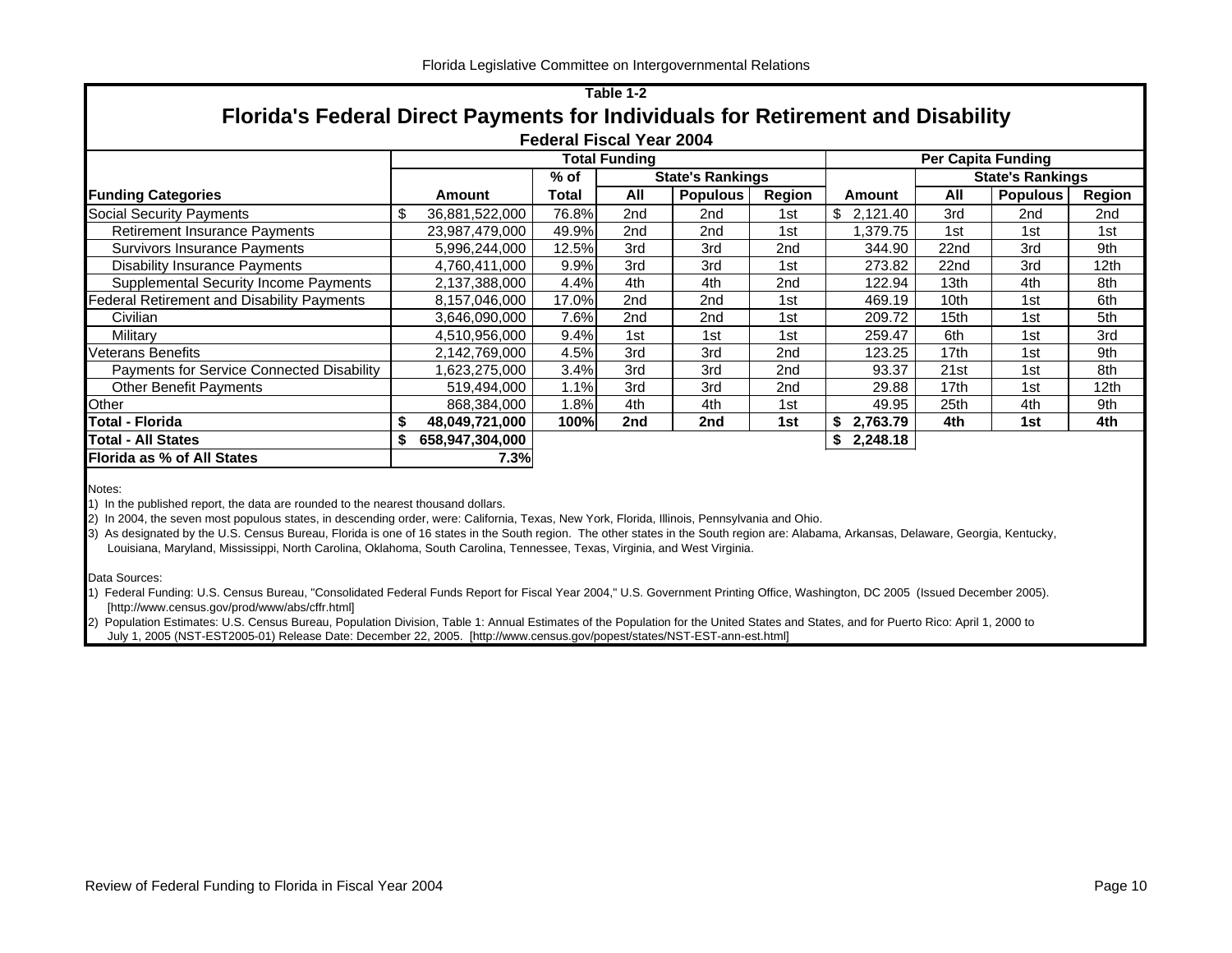<span id="page-21-0"></span>

| Table 1-2                                                                       |                                            |                 |        |                 |                         |               |                |                  |                         |                  |
|---------------------------------------------------------------------------------|--------------------------------------------|-----------------|--------|-----------------|-------------------------|---------------|----------------|------------------|-------------------------|------------------|
| Florida's Federal Direct Payments for Individuals for Retirement and Disability |                                            |                 |        |                 |                         |               |                |                  |                         |                  |
| <b>Federal Fiscal Year 2004</b>                                                 |                                            |                 |        |                 |                         |               |                |                  |                         |                  |
|                                                                                 | <b>Per Capita Funding</b><br>Total Funding |                 |        |                 |                         |               |                |                  |                         |                  |
|                                                                                 |                                            |                 | $%$ of |                 | <b>State's Rankings</b> |               |                |                  | <b>State's Rankings</b> |                  |
| <b>Funding Categories</b>                                                       |                                            | Amount          | Total  | All             | <b>Populous</b>         | <b>Region</b> | Amount         | All              | <b>Populous</b>         | Region           |
| <b>Social Security Payments</b>                                                 | \$                                         | 36,881,522,000  | 76.8%  | 2 <sub>nd</sub> | 2nd                     | 1st           | \$<br>2,121.40 | 3rd              | 2nd                     | 2nd              |
| Retirement Insurance Payments                                                   |                                            | 23,987,479,000  | 49.9%  | 2nd             | 2nd                     | 1st           | .379.75        | 1st              | 1st                     | 1st              |
| Survivors Insurance Payments                                                    |                                            | 5,996,244,000   | 12.5%  | 3rd             | 3rd                     | 2nd           | 344.90         | 22nd             | 3rd                     | 9th              |
| <b>Disability Insurance Payments</b>                                            |                                            | 4,760,411,000   | 9.9%   | 3rd             | 3rd                     | 1st           | 273.82         | 22nd             | 3rd                     | 12 <sub>th</sub> |
| Supplemental Security Income Payments                                           |                                            | 2,137,388,000   | 4.4%   | 4th             | 4th                     | 2nd           | 122.94         | 13 <sub>th</sub> | 4th                     | 8th              |
| <b>Federal Retirement and Disability Payments</b>                               |                                            | 8,157,046,000   | 17.0%  | 2 <sub>nd</sub> | 2nd                     | 1st           | 469.19         | 10 <sub>th</sub> | 1st                     | 6th              |
| Civilian                                                                        |                                            | 3,646,090,000   | 7.6%   | 2 <sub>nd</sub> | 2nd                     | 1st           | 209.72         | 15 <sub>th</sub> | 1st                     | 5th              |
| Military                                                                        |                                            | 4,510,956,000   | 9.4%   | 1st             | 1st                     | 1st           | 259.47         | 6th              | 1st                     | 3rd              |
| <b>Veterans Benefits</b>                                                        |                                            | 2,142,769,000   | 4.5%   | 3rd             | 3rd                     | 2nd           | 123.25         | 17th             | 1st                     | 9th              |
| <b>Payments for Service Connected Disability</b>                                |                                            | ,623,275,000    | 3.4%   | 3rd             | 3rd                     | 2nd           | 93.37          | 21st             | 1st                     | 8th              |
| <b>Other Benefit Payments</b>                                                   |                                            | 519,494,000     | 1.1%   | 3rd             | 3rd                     | 2nd           | 29.88          | 17th             | 1st                     | 12 <sub>th</sub> |
| Other                                                                           |                                            | 868,384,000     | 1.8%   | 4th             | 4th                     | 1st           | 49.95          | 25th             | 4th                     | 9th              |
| Total - Florida                                                                 | \$                                         | 48,049,721,000  | 100%   | 2nd             | 2nd                     | 1st           | S<br>2,763.79  | 4th              | 1st                     | 4th              |
| Total - All States                                                              |                                            | 658,947,304,000 |        |                 |                         |               | 2,248.18       |                  |                         |                  |
| <b>Florida as % of All States</b>                                               |                                            | 7.3%            |        |                 |                         |               |                |                  |                         |                  |

1) In the published report, the data are rounded to the nearest thousand dollars.

2) In 2004, the seven most populous states, in descending order, were: California, Texas, New York, Florida, Illinois, Pennsylvania and Ohio.

3) As designated by the U.S. Census Bureau, Florida is one of 16 states in the South region. The other states in the South region are: Alabama, Arkansas, Delaware, Georgia, Kentucky, Louisiana, Maryland, Mississippi, North Carolina, Oklahoma, South Carolina, Tennessee, Texas, Virginia, and West Virginia.

Data Sources:

1) Federal Funding: U.S. Census Bureau, "Consolidated Federal Funds Report for Fiscal Year 2004," U.S. Government Printing Office, Washington, DC 2005 (Issued December 2005). [http://www.census.gov/prod/www/abs/cffr.html]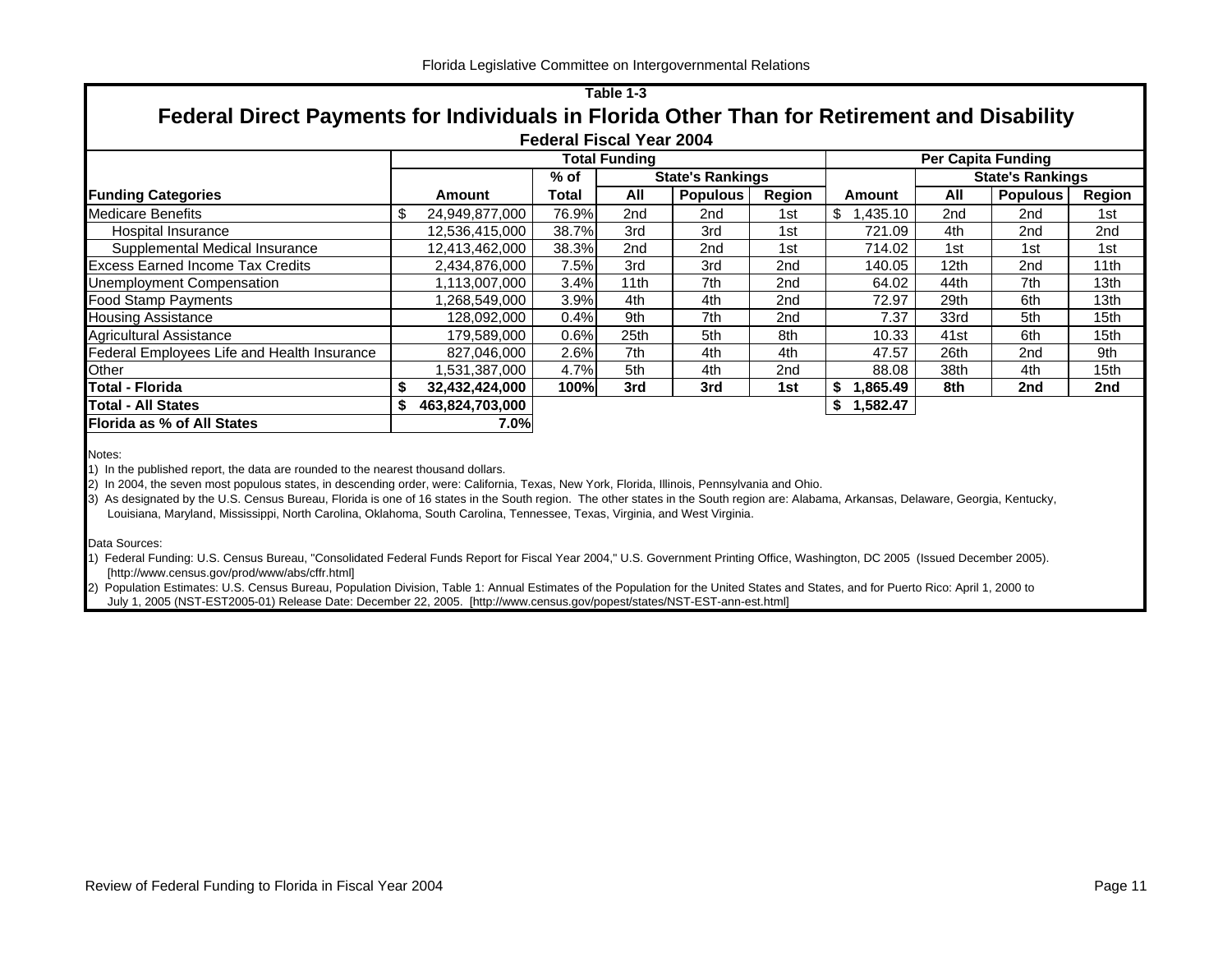<span id="page-22-0"></span>

| Table 1-3                                                                                   |    |                 |        |                 |                         |        |                |                  |                         |                  |
|---------------------------------------------------------------------------------------------|----|-----------------|--------|-----------------|-------------------------|--------|----------------|------------------|-------------------------|------------------|
| Federal Direct Payments for Individuals in Florida Other Than for Retirement and Disability |    |                 |        |                 |                         |        |                |                  |                         |                  |
| <b>Federal Fiscal Year 2004</b>                                                             |    |                 |        |                 |                         |        |                |                  |                         |                  |
| <b>Per Capita Funding</b><br>Total Funding                                                  |    |                 |        |                 |                         |        |                |                  |                         |                  |
|                                                                                             |    |                 | $%$ of |                 | <b>State's Rankings</b> |        |                |                  | <b>State's Rankings</b> |                  |
| <b>Funding Categories</b>                                                                   |    | Amount          | Total  | All             | <b>Populous</b>         | Region | Amount         | All              | <b>Populous</b>         | Region           |
| Medicare Benefits                                                                           | \$ | 24,949,877,000  | 76.9%  | 2 <sub>nd</sub> | 2nd                     | 1st    | \$<br>.435.10  | 2nd              | 2nd                     | 1st              |
| Hospital Insurance                                                                          |    | 12,536,415,000  | 38.7%  | 3rd             | 3rd                     | 1st    | 721.09         | 4th              | 2 <sub>nd</sub>         | 2nd              |
| Supplemental Medical Insurance                                                              |    | 12,413,462,000  | 38.3%  | 2 <sub>nd</sub> | 2nd                     | 1st    | 714.02         | 1st              | 1st                     | 1st              |
| <b>Excess Earned Income Tax Credits</b>                                                     |    | 2,434,876,000   | 7.5%   | 3rd             | 3rd                     | 2nd    | 140.05         | 12 <sub>th</sub> | 2 <sub>nd</sub>         | 11th             |
| Unemployment Compensation                                                                   |    | 1,113,007,000   | 3.4%   | 11th            | 7th                     | 2nd    | 64.02          | 44th             | 7th                     | 13th             |
| Food Stamp Payments                                                                         |    | .268,549,000    | 3.9%   | 4th             | 4th                     | 2nd    | 72.97          | 29th             | 6th                     | 13 <sub>th</sub> |
| Housing Assistance                                                                          |    | 128,092,000     | 0.4%   | 9th             | 7th                     | 2nd    | 7.37           | 33rd             | 5th                     | 15th             |
| <b>Agricultural Assistance</b>                                                              |    | 179,589,000     | 0.6%   | 25th            | 5th                     | 8th    | 10.33          | 41st             | 6th                     | 15th             |
| Federal Employees Life and Health Insurance                                                 |    | 827,046,000     | 2.6%   | 7th             | 4th                     | 4th    | 47.57          | 26th             | 2 <sub>nd</sub>         | 9th              |
| Other                                                                                       |    | ,531,387,000    | 4.7%   | 5th             | 4th                     | 2nd    | 88.08          | 38th             | 4th                     | 15 <sub>th</sub> |
| Total - Florida                                                                             |    | 32,432,424,000  | 100%   | 3rd             | 3rd                     | 1st    | .865.49        | 8th              | 2nd                     | 2nd              |
| <b>Total - All States</b>                                                                   |    | 463,824,703,000 |        |                 |                         |        | 1,582.47<br>\$ |                  |                         |                  |
| Florida as % of All States                                                                  |    | 7.0%            |        |                 |                         |        |                |                  |                         |                  |

1) In the published report, the data are rounded to the nearest thousand dollars.

2) In 2004, the seven most populous states, in descending order, were: California, Texas, New York, Florida, Illinois, Pennsylvania and Ohio.

3) As designated by the U.S. Census Bureau, Florida is one of 16 states in the South region. The other states in the South region are: Alabama, Arkansas, Delaware, Georgia, Kentucky, Louisiana, Maryland, Mississippi, North Carolina, Oklahoma, South Carolina, Tennessee, Texas, Virginia, and West Virginia.

Data Sources:

1) Federal Funding: U.S. Census Bureau, "Consolidated Federal Funds Report for Fiscal Year 2004," U.S. Government Printing Office, Washington, DC 2005 (Issued December 2005). [http://www.census.gov/prod/www/abs/cffr.html]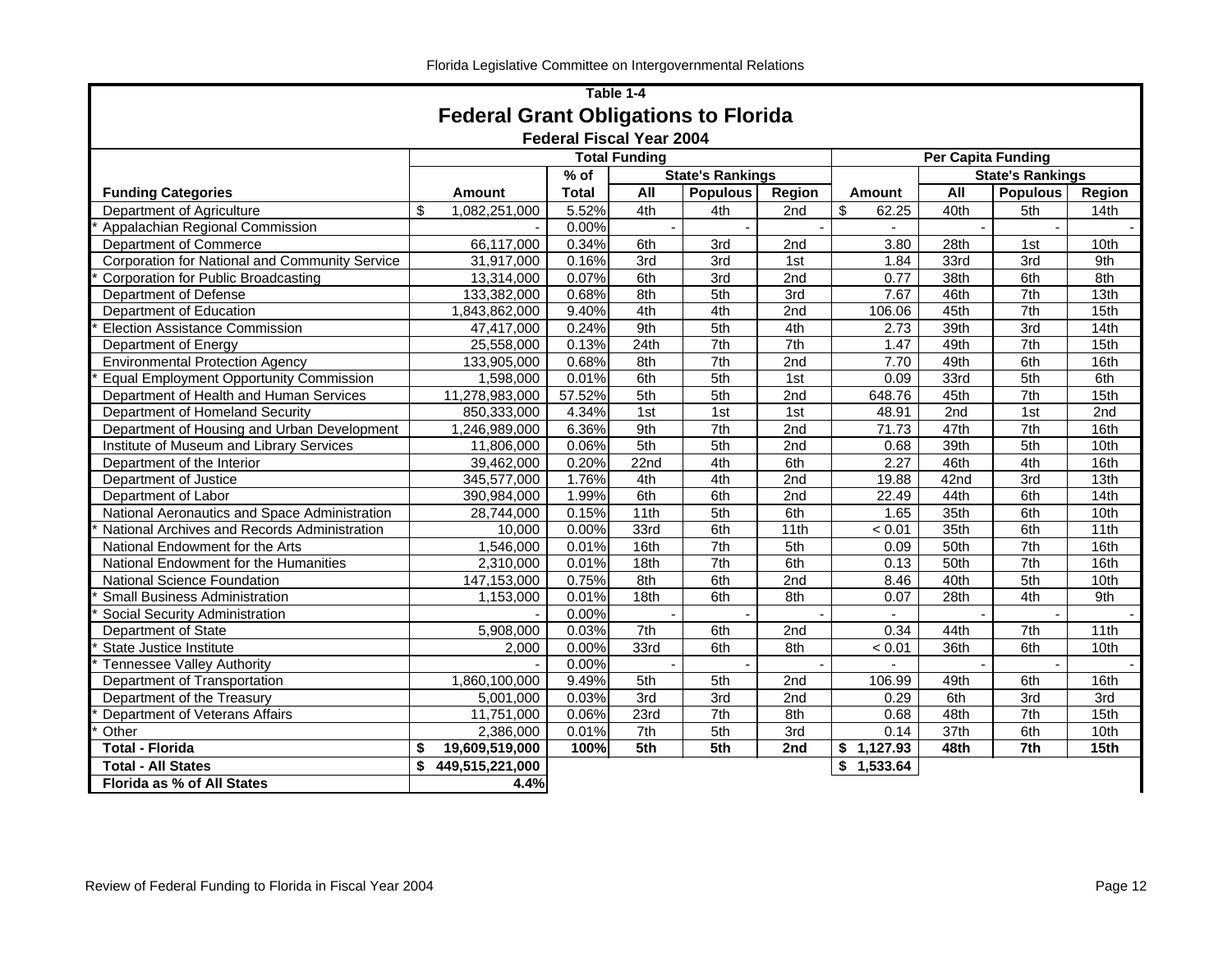<span id="page-23-0"></span>

|                                                       | Table 1-4             |              |                      |                         |                   |                                                      |                  |                   |                  |  |  |
|-------------------------------------------------------|-----------------------|--------------|----------------------|-------------------------|-------------------|------------------------------------------------------|------------------|-------------------|------------------|--|--|
| <b>Federal Grant Obligations to Florida</b>           |                       |              |                      |                         |                   |                                                      |                  |                   |                  |  |  |
| <b>Federal Fiscal Year 2004</b>                       |                       |              |                      |                         |                   |                                                      |                  |                   |                  |  |  |
|                                                       |                       |              | <b>Total Funding</b> |                         |                   |                                                      |                  |                   |                  |  |  |
|                                                       |                       | $%$ of       |                      | <b>State's Rankings</b> |                   | <b>Per Capita Funding</b><br><b>State's Rankings</b> |                  |                   |                  |  |  |
|                                                       |                       | <b>Total</b> | All                  |                         |                   |                                                      | All              |                   |                  |  |  |
| <b>Funding Categories</b>                             | Amount                |              |                      | <b>Populous</b>         | Region            | <b>Amount</b>                                        |                  | <b>Populous</b>   | <b>Region</b>    |  |  |
| Department of Agriculture                             | \$<br>1,082,251,000   | 5.52%        | 4th                  | 4th                     | 2nd               | \$<br>62.25                                          | 40th             | 5th               | 14th             |  |  |
| Appalachian Regional Commission                       |                       | 0.00%        |                      |                         |                   |                                                      |                  |                   |                  |  |  |
| <b>Department of Commerce</b>                         | 66,117,000            | 0.34%        | 6th                  | 3rd                     | 2nd               | 3.80                                                 | 28th             | 1st               | 10th             |  |  |
| <b>Corporation for National and Community Service</b> | 31,917,000            | 0.16%        | 3rd                  | 3rd                     | 1st               | 1.84                                                 | 33rd             | 3rd               | 9th              |  |  |
| <b>Corporation for Public Broadcasting</b>            | 13,314,000            | 0.07%        | 6th                  | 3rd                     | 2nd               | 0.77                                                 | 38 <sub>th</sub> | 6th               | 8th              |  |  |
| Department of Defense                                 | 133,382,000           | 0.68%        | 8th                  | 5th                     | 3rd               | 7.67                                                 | 46th             | $\overline{7}$ th | 13 <sub>th</sub> |  |  |
| Department of Education                               | 1,843,862,000         | 9.40%        | 4th                  | 4th                     | 2nd               | 106.06                                               | 45th             | $\overline{7}$ th | 15th             |  |  |
| <b>Election Assistance Commission</b>                 | 47,417,000            | 0.24%        | 9th                  | 5th                     | 4th               | 2.73                                                 | 39th             | 3rd               | 14th             |  |  |
| Department of Energy                                  | 25,558,000            | 0.13%        | 24th                 | 7th                     | $\overline{7}$ th | 1.47                                                 | 49th             | 7th               | 15th             |  |  |
| <b>Environmental Protection Agency</b>                | 133,905,000           | 0.68%        | 8th                  | 7th                     | 2nd               | 7.70                                                 | 49th             | 6th               | 16th             |  |  |
| <b>Equal Employment Opportunity Commission</b>        | 1,598,000             | 0.01%        | 6th                  | 5th                     | 1st               | 0.09                                                 | 33rd             | 5th               | 6th              |  |  |
| Department of Health and Human Services               | 11,278,983,000        | 57.52%       | 5th                  | 5th                     | 2nd               | 648.76                                               | 45th             | 7th               | 15th             |  |  |
| Department of Homeland Security                       | 850,333,000           | 4.34%        | 1st                  | 1st                     | 1st               | 48.91                                                | 2nd              | 1st               | 2nd              |  |  |
| Department of Housing and Urban Development           | 1,246,989,000         | 6.36%        | 9th                  | 7th                     | 2nd               | 71.73                                                | 47th             | 7th               | 16th             |  |  |
| Institute of Museum and Library Services              | 11,806,000            | 0.06%        | 5th                  | 5th                     | 2nd               | 0.68                                                 | 39th             | 5th               | 10th             |  |  |
| Department of the Interior                            | 39,462,000            | 0.20%        | 22nd                 | 4th                     | 6th               | 2.27                                                 | 46th             | 4th               | 16th             |  |  |
| Department of Justice                                 | 345,577,000           | 1.76%        | 4th                  | 4th                     | 2nd               | 19.88                                                | 42nd             | 3rd               | 13 <sub>th</sub> |  |  |
| Department of Labor                                   | 390,984,000           | 1.99%        | 6th                  | 6th                     | 2nd               | 22.49                                                | 44th             | 6th               | 14th             |  |  |
| National Aeronautics and Space Administration         | 28,744,000            | 0.15%        | 11th                 | 5th                     | 6th               | 1.65                                                 | 35th             | 6th               | 10th             |  |  |
| National Archives and Records Administration          | 10,000                | 0.00%        | 33rd                 | 6th                     | 11th              | < 0.01                                               | 35th             | 6th               | 11th             |  |  |
| National Endowment for the Arts                       | 1,546,000             | 0.01%        | 16th                 | $\overline{7}$ th       | 5th               | 0.09                                                 | 50th             | $\overline{7}$ th | 16th             |  |  |
| National Endowment for the Humanities                 | 2,310,000             | 0.01%        | 18th                 | $\overline{7}$ th       | 6th               | 0.13                                                 | 50th             | 7th               | 16th             |  |  |
| National Science Foundation                           | 147,153,000           | 0.75%        | 8th                  | 6th                     | 2nd               | 8.46                                                 | 40th             | 5th               | 10th             |  |  |
| <b>Small Business Administration</b>                  | 1,153,000             | 0.01%        | 18th                 | 6th                     | 8th               | 0.07                                                 | 28th             | 4th               | 9th              |  |  |
| Social Security Administration                        |                       | 0.00%        |                      |                         |                   | $\sim$                                               |                  |                   |                  |  |  |
| Department of State                                   | 5,908,000             | 0.03%        | 7th                  | 6th                     | 2nd               | 0.34                                                 | 44th             | 7th               | 11th             |  |  |
| State Justice Institute                               | 2,000                 | 0.00%        | 33rd                 | 6th                     | 8th               | < 0.01                                               | 36th             | 6th               | 10th             |  |  |
| <b>Tennessee Valley Authority</b>                     |                       | 0.00%        |                      |                         |                   |                                                      |                  |                   |                  |  |  |
| Department of Transportation                          | 1,860,100,000         | 9.49%        | 5th                  | 5th                     | 2nd               | 106.99                                               | 49th             | 6th               | 16th             |  |  |
| Department of the Treasury                            | 5,001,000             | 0.03%        | 3rd                  | 3rd                     | 2nd               | 0.29                                                 | 6th              | 3rd               | 3rd              |  |  |
| Department of Veterans Affairs                        | 11,751,000            | 0.06%        | 23rd                 | $\overline{7}$ th       | 8th               | 0.68                                                 | 48th             | $\overline{7}$ th | 15th             |  |  |
| Other                                                 | 2,386,000             | 0.01%        | 7th                  | 5th                     | 3rd               | 0.14                                                 | 37th             | 6th               | 10th             |  |  |
| <b>Total - Florida</b>                                | \$<br>19,609,519,000  | 100%         | 5th                  | 5th                     | 2nd               | 1,127.93<br>\$                                       | 48th             | 7th               | 15th             |  |  |
| <b>Total - All States</b>                             | 449,515,221,000<br>\$ |              |                      |                         |                   | \$<br>1,533.64                                       |                  |                   |                  |  |  |
| Florida as % of All States                            | 4.4%                  |              |                      |                         |                   |                                                      |                  |                   |                  |  |  |
|                                                       |                       |              |                      |                         |                   |                                                      |                  |                   |                  |  |  |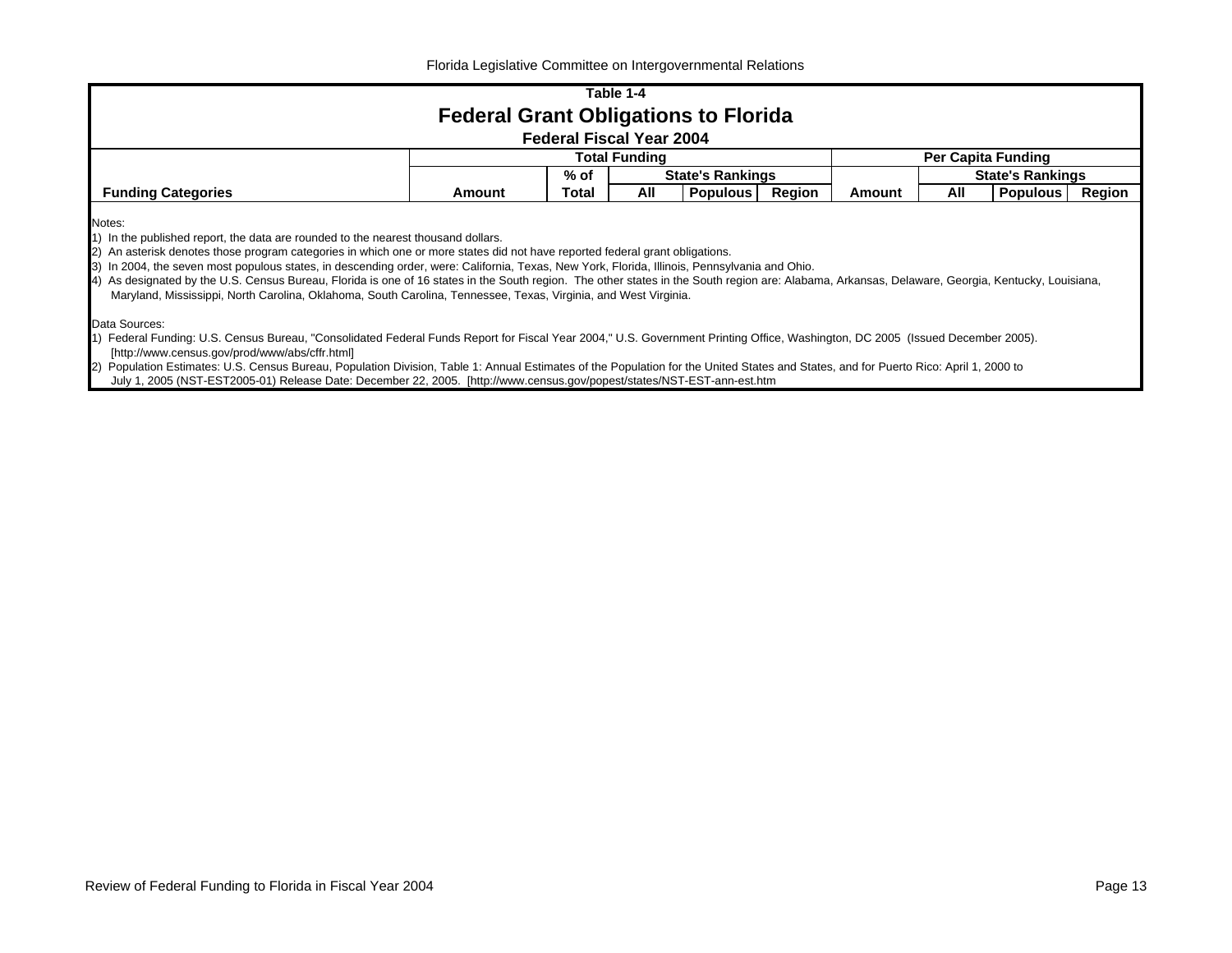| Table 1-4<br><b>Federal Grant Obligations to Florida</b><br><b>Federal Fiscal Year 2004</b>                                                                                                                                                                                                                                                                                                                                                                                                                                                                                                                                                                                                          |        |       |                         |                 |        |        |                         |                 |               |  |
|------------------------------------------------------------------------------------------------------------------------------------------------------------------------------------------------------------------------------------------------------------------------------------------------------------------------------------------------------------------------------------------------------------------------------------------------------------------------------------------------------------------------------------------------------------------------------------------------------------------------------------------------------------------------------------------------------|--------|-------|-------------------------|-----------------|--------|--------|-------------------------|-----------------|---------------|--|
| <b>Total Funding</b><br>Per Capita Funding                                                                                                                                                                                                                                                                                                                                                                                                                                                                                                                                                                                                                                                           |        |       |                         |                 |        |        |                         |                 |               |  |
|                                                                                                                                                                                                                                                                                                                                                                                                                                                                                                                                                                                                                                                                                                      |        | % of  | <b>State's Rankings</b> |                 |        |        | <b>State's Rankings</b> |                 |               |  |
| <b>Funding Categories</b>                                                                                                                                                                                                                                                                                                                                                                                                                                                                                                                                                                                                                                                                            | Amount | Total | All                     | <b>Populous</b> | Region | Amount | All                     | <b>Populous</b> | <b>Region</b> |  |
| Notes:<br>1) In the published report, the data are rounded to the nearest thousand dollars.<br>2) An asterisk denotes those program categories in which one or more states did not have reported federal grant obligations.<br>3) In 2004, the seven most populous states, in descending order, were: California, Texas, New York, Florida, Illinois, Pennsylvania and Ohio.<br>4) As designated by the U.S. Census Bureau, Florida is one of 16 states in the South region. The other states in the South region are: Alabama, Arkansas, Delaware, Georgia, Kentucky, Louisiana,<br>Maryland, Mississippi, North Carolina, Oklahoma, South Carolina, Tennessee, Texas, Virginia, and West Virginia. |        |       |                         |                 |        |        |                         |                 |               |  |

Data Sources:

1) Federal Funding: U.S. Census Bureau, "Consolidated Federal Funds Report for Fiscal Year 2004," U.S. Government Printing Office, Washington, DC 2005 (Issued December 2005). [http://www.census.gov/prod/www/abs/cffr.html]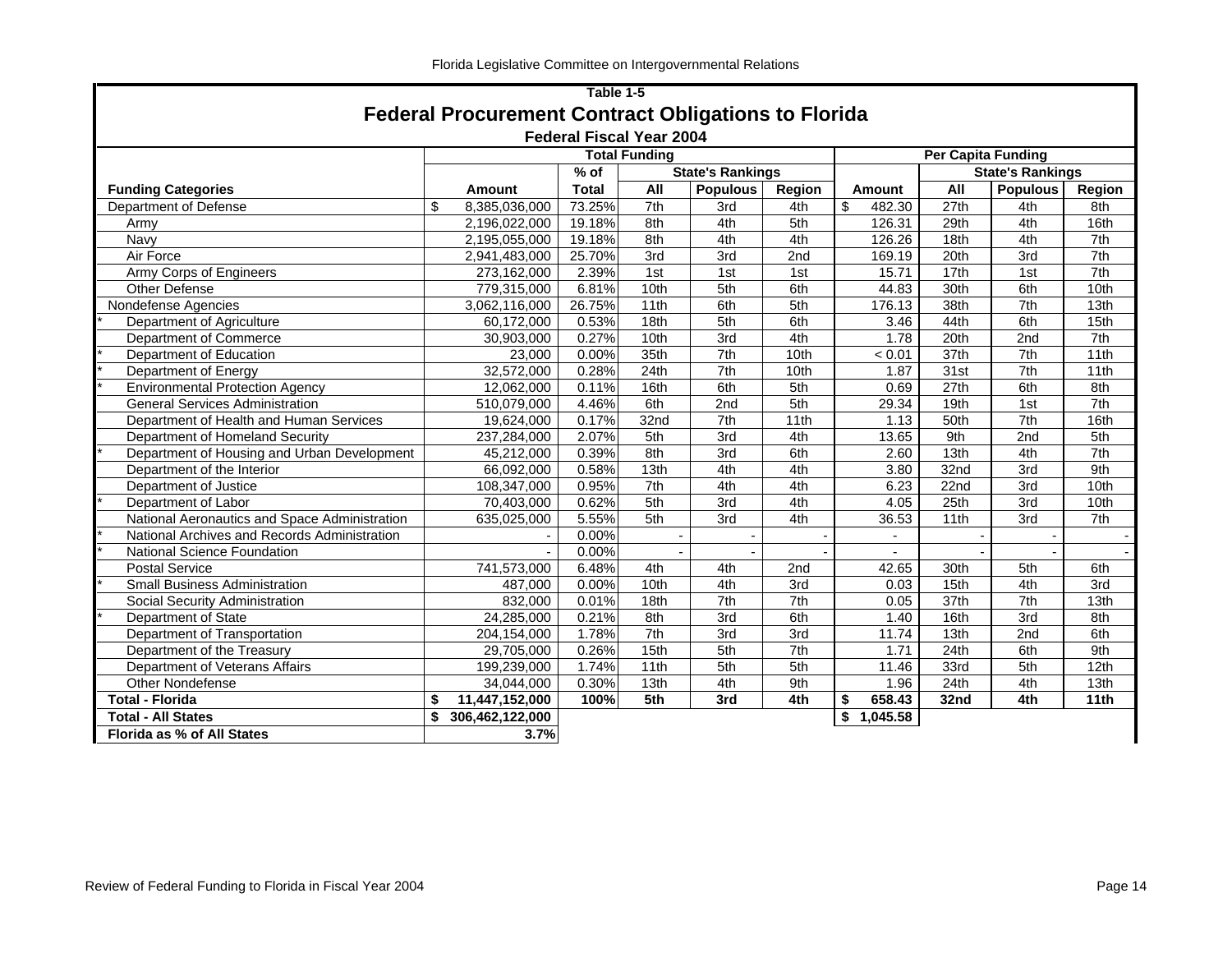|                                               |                                                            | Table 1-5                       |                      |                         |                   |                |                           |                   |                         |  |
|-----------------------------------------------|------------------------------------------------------------|---------------------------------|----------------------|-------------------------|-------------------|----------------|---------------------------|-------------------|-------------------------|--|
|                                               | <b>Federal Procurement Contract Obligations to Florida</b> |                                 |                      |                         |                   |                |                           |                   |                         |  |
|                                               |                                                            | <b>Federal Fiscal Year 2004</b> |                      |                         |                   |                |                           |                   |                         |  |
|                                               |                                                            |                                 | <b>Total Funding</b> |                         |                   |                | <b>Per Capita Funding</b> |                   |                         |  |
|                                               |                                                            | $%$ of                          |                      | <b>State's Rankings</b> |                   |                |                           |                   | <b>State's Rankings</b> |  |
| <b>Funding Categories</b>                     | Amount                                                     | <b>Total</b>                    | <b>All</b>           | <b>Populous</b>         | Region            | <b>Amount</b>  | All                       | <b>Populous</b>   | Region                  |  |
| Department of Defense                         | \$<br>8,385,036,000                                        | 73.25%                          | 7th                  | 3rd                     | 4th               | \$<br>482.30   | 27th                      | 4th               | 8th                     |  |
| Army                                          | 2,196,022,000                                              | 19.18%                          | 8th                  | 4th                     | 5th               | 126.31         | 29th                      | 4th               | 16th                    |  |
| Navy                                          | 2,195,055,000                                              | 19.18%                          | 8th                  | 4th                     | 4th               | 126.26         | 18th                      | 4th               | 7th                     |  |
| Air Force                                     | 2,941,483,000                                              | 25.70%                          | 3rd                  | 3rd                     | 2nd               | 169.19         | 20th                      | 3rd               | 7th                     |  |
| Army Corps of Engineers                       | 273,162,000                                                | 2.39%                           | 1st                  | 1st                     | 1st               | 15.71          | 17th                      | 1st               | 7th                     |  |
| <b>Other Defense</b>                          | 779,315,000                                                | 6.81%                           | 10th                 | 5th                     | 6th               | 44.83          | 30th                      | 6th               | 10th                    |  |
| Nondefense Agencies                           | 3,062,116,000                                              | 26.75%                          | 11th                 | 6th                     | 5th               | 176.13         | 38th                      | 7th               | 13th                    |  |
| Department of Agriculture                     | 60,172,000                                                 | 0.53%                           | 18th                 | 5th                     | 6th               | 3.46           | 44th                      | 6th               | 15th                    |  |
| Department of Commerce                        | 30,903,000                                                 | 0.27%                           | 10th                 | 3rd                     | 4th               | 1.78           | 20th                      | 2nd               | 7th                     |  |
| Department of Education                       | 23,000                                                     | 0.00%                           | 35 <sub>th</sub>     | 7th                     | 10th              | < 0.01         | 37th                      | 7th               | 11th                    |  |
| Department of Energy                          | 32,572,000                                                 | 0.28%                           | 24th                 | 7th                     | 10th              | 1.87           | 31st                      | 7th               | 11th                    |  |
| <b>Environmental Protection Agency</b>        | 12,062,000                                                 | 0.11%                           | 16th                 | 6th                     | 5th               | 0.69           | 27th                      | 6th               | 8th                     |  |
| <b>General Services Administration</b>        | 510,079,000                                                | 4.46%                           | 6th                  | 2nd                     | 5th               | 29.34          | 19th                      | 1st               | 7th                     |  |
| Department of Health and Human Services       | 19,624,000                                                 | 0.17%                           | 32nd                 | 7th                     | 11th              | 1.13           | 50th                      | 7th               | 16th                    |  |
| Department of Homeland Security               | 237,284,000                                                | 2.07%                           | 5th                  | 3rd                     | 4th               | 13.65          | 9th                       | 2nd               | 5th                     |  |
| Department of Housing and Urban Development   | 45,212,000                                                 | 0.39%                           | 8th                  | 3rd                     | 6th               | 2.60           | 13th                      | 4th               | 7th                     |  |
| Department of the Interior                    | 66,092,000                                                 | 0.58%                           | 13th                 | 4th                     | 4th               | 3.80           | 32 <sub>nd</sub>          | 3rd               | 9th                     |  |
| Department of Justice                         | 108,347,000                                                | 0.95%                           | 7th                  | 4th                     | 4th               | 6.23           | 22nd                      | 3rd               | 10th                    |  |
| Department of Labor                           | 70,403,000                                                 | 0.62%                           | 5th                  | 3rd                     | 4th               | 4.05           | 25th                      | 3rd               | 10th                    |  |
| National Aeronautics and Space Administration | 635,025,000                                                | 5.55%                           | 5th                  | 3rd                     | 4th               | 36.53          | 11th                      | 3rd               | 7th                     |  |
| National Archives and Records Administration  |                                                            | 0.00%                           |                      |                         |                   |                |                           |                   |                         |  |
| National Science Foundation                   |                                                            | 0.00%                           |                      |                         |                   | $\sim$         |                           |                   |                         |  |
| <b>Postal Service</b>                         | 741,573,000                                                | 6.48%                           | 4th                  | 4th                     | 2nd               | 42.65          | 30th                      | 5th               | 6th                     |  |
| <b>Small Business Administration</b>          | 487,000                                                    | 0.00%                           | 10th                 | 4th                     | 3rd               | 0.03           | 15th                      | 4th               | 3rd                     |  |
| Social Security Administration                | 832,000                                                    | 0.01%                           | 18th                 | 7th                     | $\overline{7}$ th | 0.05           | 37th                      | $\overline{7}$ th | 13th                    |  |
| Department of State                           | 24,285,000                                                 | $0.21\%$                        | 8th                  | 3rd                     | 6th               | 1.40           | 16th                      | 3rd               | 8th                     |  |
| Department of Transportation                  | 204,154,000                                                | 1.78%                           | 7th                  | 3rd                     | 3rd               | 11.74          | 13th                      | 2nd               | 6th                     |  |
| Department of the Treasury                    | 29,705,000                                                 | 0.26%                           | 15th                 | 5th                     | 7th               | 1.71           | 24th                      | 6th               | 9th                     |  |
| Department of Veterans Affairs                | 199,239,000                                                | 1.74%                           | 11th                 | 5th                     | 5th               | 11.46          | 33rd                      | 5th               | 12th                    |  |
| Other Nondefense                              | 34,044,000                                                 | 0.30%                           | 13th                 | 4th                     | 9th               | 1.96           | 24th                      | 4th               | 13th                    |  |
| <b>Total - Florida</b>                        | 11,447,152,000<br>\$                                       | 100%                            | 5th                  | 3rd                     | 4th               | 658.43<br>\$   | 32nd                      | 4th               | 11th                    |  |
| <b>Total - All States</b>                     | \$<br>306,462,122,000                                      |                                 |                      |                         |                   | \$<br>1,045.58 |                           |                   |                         |  |
| Florida as % of All States                    | 3.7%                                                       |                                 |                      |                         |                   |                |                           |                   |                         |  |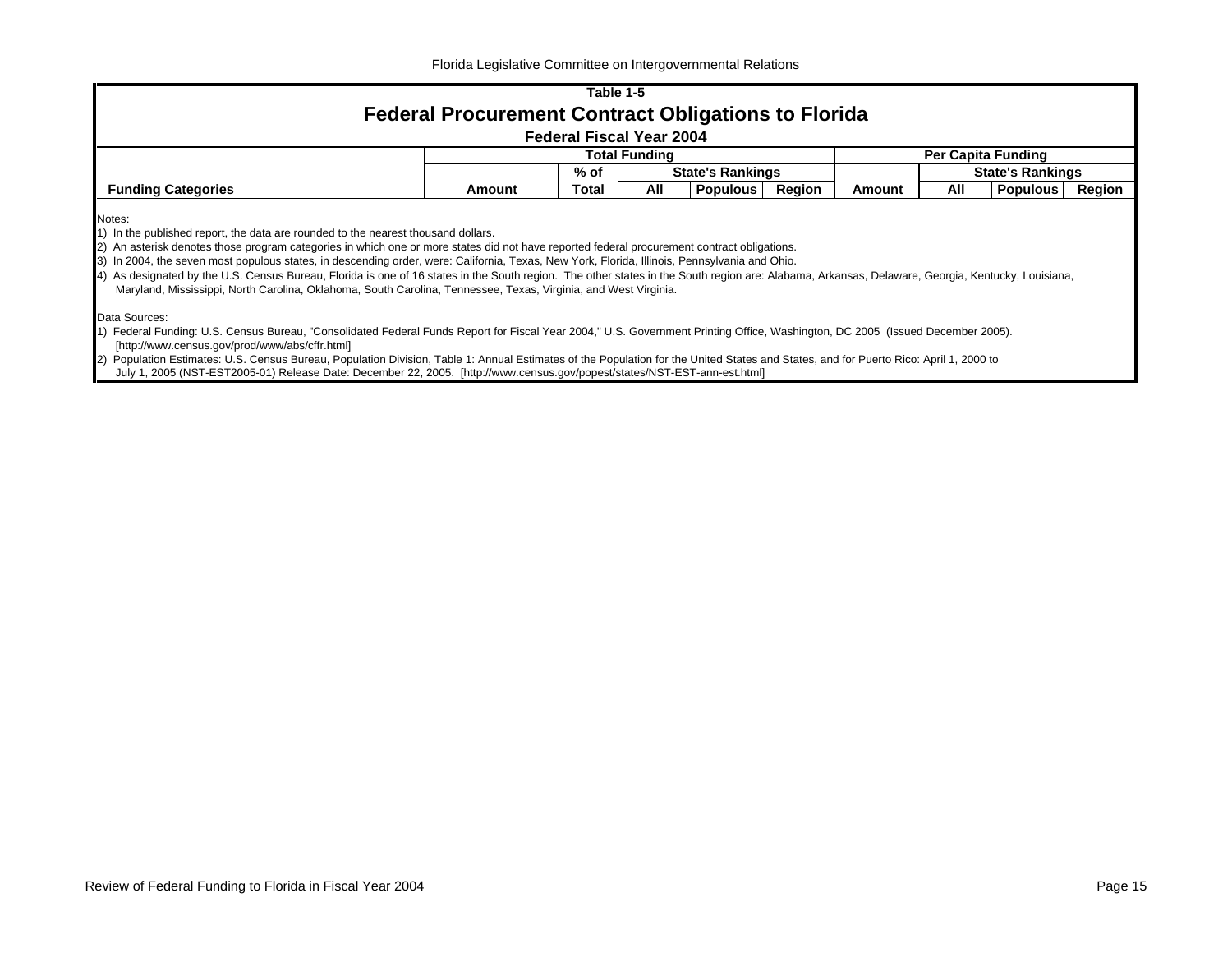<span id="page-26-0"></span>

| Table 1-5                                                                                                                                                                                                                                                                                                                                                                                                                                                                                                                                                                                                                                                                                                 |        |       |     |                         |        |        |     |                         |        |  |
|-----------------------------------------------------------------------------------------------------------------------------------------------------------------------------------------------------------------------------------------------------------------------------------------------------------------------------------------------------------------------------------------------------------------------------------------------------------------------------------------------------------------------------------------------------------------------------------------------------------------------------------------------------------------------------------------------------------|--------|-------|-----|-------------------------|--------|--------|-----|-------------------------|--------|--|
| <b>Federal Procurement Contract Obligations to Florida</b>                                                                                                                                                                                                                                                                                                                                                                                                                                                                                                                                                                                                                                                |        |       |     |                         |        |        |     |                         |        |  |
| <b>Federal Fiscal Year 2004</b>                                                                                                                                                                                                                                                                                                                                                                                                                                                                                                                                                                                                                                                                           |        |       |     |                         |        |        |     |                         |        |  |
| <b>Total Funding</b><br>Per Capita Funding                                                                                                                                                                                                                                                                                                                                                                                                                                                                                                                                                                                                                                                                |        |       |     |                         |        |        |     |                         |        |  |
|                                                                                                                                                                                                                                                                                                                                                                                                                                                                                                                                                                                                                                                                                                           |        | % of  |     | <b>State's Rankings</b> |        |        |     | <b>State's Rankings</b> |        |  |
| <b>Funding Categories</b>                                                                                                                                                                                                                                                                                                                                                                                                                                                                                                                                                                                                                                                                                 | Amount | Total | All | <b>Populous</b>         | Region | Amount | All | Populous                | Region |  |
| 1) In the published report, the data are rounded to the nearest thousand dollars.<br>2) An asterisk denotes those program categories in which one or more states did not have reported federal procurement contract obligations.<br>3) In 2004, the seven most populous states, in descending order, were: California, Texas, New York, Florida, Illinois, Pennsylvania and Ohio.<br>4) As designated by the U.S. Census Bureau, Florida is one of 16 states in the South region. The other states in the South region are: Alabama, Arkansas, Delaware, Georgia, Kentucky, Louisiana,<br>Maryland, Mississippi, North Carolina, Oklahoma, South Carolina, Tennessee, Texas, Virginia, and West Virginia. |        |       |     |                         |        |        |     |                         |        |  |
| Data Sources:<br>1) Federal Funding: U.S. Census Bureau, "Consolidated Federal Funds Report for Fiscal Year 2004," U.S. Government Printing Office, Washington, DC 2005 (Issued December 2005).                                                                                                                                                                                                                                                                                                                                                                                                                                                                                                           |        |       |     |                         |        |        |     |                         |        |  |
| [http://www.census.gov/prod/www/abs/cffr.html]                                                                                                                                                                                                                                                                                                                                                                                                                                                                                                                                                                                                                                                            |        |       |     |                         |        |        |     |                         |        |  |
| 2) Population Estimates: U.S. Census Bureau, Population Division, Table 1: Annual Estimates of the Population for the United States and States, and for Puerto Rico: April 1, 2000 to<br>July 1, 2005 (NST-EST2005-01) Release Date: December 22, 2005. [http://www.census.gov/popest/states/NST-EST-ann-est.html]                                                                                                                                                                                                                                                                                                                                                                                        |        |       |     |                         |        |        |     |                         |        |  |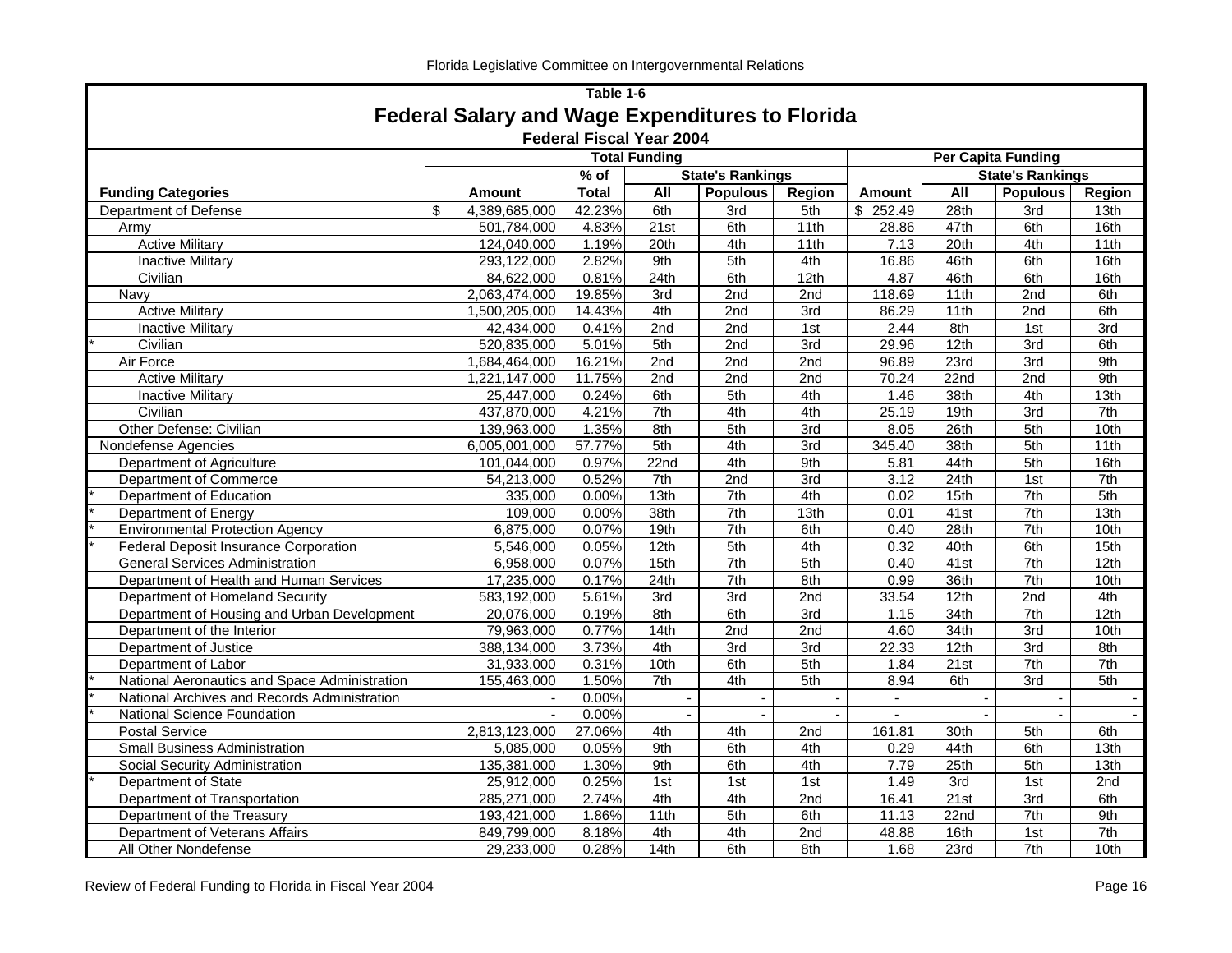<span id="page-27-0"></span>

|                                               |                                                        | Table 1-6        |                                 |                         |                          |                |                  |                         |                   |
|-----------------------------------------------|--------------------------------------------------------|------------------|---------------------------------|-------------------------|--------------------------|----------------|------------------|-------------------------|-------------------|
|                                               | <b>Federal Salary and Wage Expenditures to Florida</b> |                  |                                 |                         |                          |                |                  |                         |                   |
|                                               |                                                        |                  | <b>Federal Fiscal Year 2004</b> |                         |                          |                |                  |                         |                   |
|                                               |                                                        |                  | <b>Total Funding</b>            |                         |                          |                |                  | Per Capita Funding      |                   |
|                                               |                                                        | $\frac{9}{6}$ of |                                 | <b>State's Rankings</b> |                          |                |                  | <b>State's Rankings</b> |                   |
| <b>Funding Categories</b>                     | <b>Amount</b>                                          | <b>Total</b>     | <b>All</b>                      | <b>Populous</b>         | Region                   | <b>Amount</b>  | All              | <b>Populous</b>         | Region            |
| <b>Department of Defense</b>                  | \$<br>4,389,685,000                                    | 42.23%           | 6th                             | 3rd                     | 5th                      | \$252.49       | 28th             | 3rd                     | 13 <sub>th</sub>  |
| Army                                          | 501,784,000                                            | 4.83%            | 21st                            | 6th                     | 11th                     | 28.86          | 47th             | 6th                     | 16th              |
| <b>Active Military</b>                        | 124,040,000                                            | 1.19%            | 20th                            | 4th                     | 11th                     | 7.13           | 20th             | 4th                     | 11th              |
| <b>Inactive Military</b>                      | 293,122,000                                            | 2.82%            | 9th                             | 5th                     | 4th                      | 16.86          | 46th             | 6th                     | 16th              |
| Civilian                                      | 84,622,000                                             | 0.81%            | 24th                            | 6th                     | 12th                     | 4.87           | 46th             | 6th                     | 16th              |
| Navy                                          | 2,063,474,000                                          | 19.85%           | 3rd                             | 2nd                     | 2nd                      | 118.69         | 11th             | 2nd                     | 6th               |
| <b>Active Military</b>                        | 1,500,205,000                                          | 14.43%           | 4th                             | 2nd                     | 3rd                      | 86.29          | 11th             | 2nd                     | 6th               |
| <b>Inactive Military</b>                      | 42,434,000                                             | 0.41%            | 2nd                             | 2nd                     | $\overline{1}$ st        | 2.44           | 8th              | 1st                     | 3rd               |
| Civilian                                      | 520,835,000                                            | 5.01%            | 5th                             | 2nd                     | 3rd                      | 29.96          | 12th             | 3rd                     | 6th               |
| Air Force                                     | 1,684,464,000                                          | 16.21%           | 2nd                             | 2nd                     | 2nd                      | 96.89          | 23rd             | 3rd                     | 9th               |
| <b>Active Military</b>                        | 1,221,147,000                                          | 11.75%           | 2nd                             | 2nd                     | 2nd                      | 70.24          | 22nd             | 2nd                     | 9th               |
| <b>Inactive Military</b>                      | 25,447,000                                             | 0.24%            | 6th                             | 5th                     | 4th                      | 1.46           | 38 <sub>th</sub> | 4th                     | 13th              |
| Civilian                                      | 437,870,000                                            | 4.21%            | 7th                             | 4th                     | 4th                      | 25.19          | 19th             | 3rd                     | 7th               |
| Other Defense: Civilian                       | 139,963,000                                            | 1.35%            | 8th                             | 5th                     | 3rd                      | 8.05           | 26th             | 5th                     | 10th              |
| Nondefense Agencies                           | 6,005,001,000                                          | 57.77%           | 5th                             | 4th                     | 3rd                      | 345.40         | 38 <sub>th</sub> | 5th                     | 11th              |
| Department of Agriculture                     | 101,044,000                                            | 0.97%            | 22 <sub>nd</sub>                | 4th                     | 9th                      | 5.81           | 44th             | 5th                     | 16th              |
| Department of Commerce                        | 54,213,000                                             | 0.52%            | 7th                             | 2nd                     | 3rd                      | 3.12           | 24th             | 1st                     | 7th               |
| Department of Education                       | 335,000                                                | 0.00%            | 13th                            | 7th                     | 4th                      | 0.02           | 15th             | 7th                     | 5th               |
| Department of Energy                          | 109,000                                                | 0.00%            | 38th                            | 7th                     | 13 <sub>th</sub>         | 0.01           | 41st             | 7th                     | 13 <sub>th</sub>  |
| <b>Environmental Protection Agency</b>        | 6,875,000                                              | 0.07%            | 19th                            | 7th                     | 6th                      | 0.40           | 28th             | 7th                     | 10th              |
| Federal Deposit Insurance Corporation         | 5,546,000                                              | 0.05%            | 12th                            | 5th                     | 4th                      | 0.32           | 40th             | 6th                     | 15th              |
| <b>General Services Administration</b>        | 6,958,000                                              | 0.07%            | 15th                            | 7th                     | 5th                      | 0.40           | 41st             | 7th                     | 12th              |
| Department of Health and Human Services       | 17,235,000                                             | 0.17%            | 24th                            | 7th                     | 8th                      | 0.99           | 36th             | 7th                     | 10th              |
| Department of Homeland Security               | 583,192,000                                            | 5.61%            | 3rd                             | 3rd                     | 2nd                      | 33.54          | 12th             | 2nd                     | 4th               |
| Department of Housing and Urban Development   | 20,076,000                                             | 0.19%            | 8th                             | 6th                     | 3rd                      | 1.15           | 34th             | $\overline{7}$ th       | 12th              |
| Department of the Interior                    | 79,963,000                                             | 0.77%            | 14th                            | 2nd                     | 2nd                      | 4.60           | 34th             | 3rd                     | 10th              |
| Department of Justice                         | 388,134,000                                            | 3.73%            | 4th                             | 3rd                     | 3rd                      | 22.33          | 12th             | 3rd                     | 8th               |
| Department of Labor                           | 31,933,000                                             | 0.31%            | 10th                            | 6th                     | 5th                      | 1.84           | 21st             | 7th                     | 7th               |
| National Aeronautics and Space Administration | 155,463,000                                            | 1.50%            | 7th                             | 4th                     | 5th                      | 8.94           | 6th              | 3rd                     | 5th               |
| National Archives and Records Administration  |                                                        | 0.00%            |                                 |                         | $\overline{\phantom{a}}$ | $\blacksquare$ |                  |                         |                   |
| National Science Foundation                   |                                                        | 0.00%            |                                 |                         |                          | $\sim$         |                  |                         |                   |
| <b>Postal Service</b>                         | 2,813,123,000                                          | 27.06%           | 4th                             | 4th                     | 2nd                      | 161.81         | 30 <sub>th</sub> | 5th                     | 6th               |
| <b>Small Business Administration</b>          | 5,085,000                                              | 0.05%            | 9th                             | 6th                     | 4th                      | 0.29           | 44th             | 6th                     | 13th              |
| Social Security Administration                | 135,381,000                                            | 1.30%            | 9th                             | 6th                     | 4th                      | 7.79           | 25th             | 5th                     | 13 <sub>th</sub>  |
| Department of State                           | 25,912,000                                             | 0.25%            | 1st                             | 1st                     | 1st                      | 1.49           | 3rd              | 1st                     | 2nd               |
| Department of Transportation                  | 285,271,000                                            | 2.74%            | 4th                             | 4th                     | 2nd                      | 16.41          | 21st             | 3rd                     | 6th               |
| Department of the Treasury                    | 193,421,000                                            | 1.86%            | 11th                            | 5th                     | 6th                      | 11.13          | 22n <sub>d</sub> | 7th                     | 9th               |
| Department of Veterans Affairs                | 849,799,000                                            | 8.18%            | 4th                             | 4th                     | 2nd                      | 48.88          | 16th             | 1st                     | $\overline{7}$ th |
| All Other Nondefense                          | 29,233,000                                             | 0.28%            | 14th                            | 6th                     | 8th                      | 1.68           | 23rd             | 7th                     | 10th              |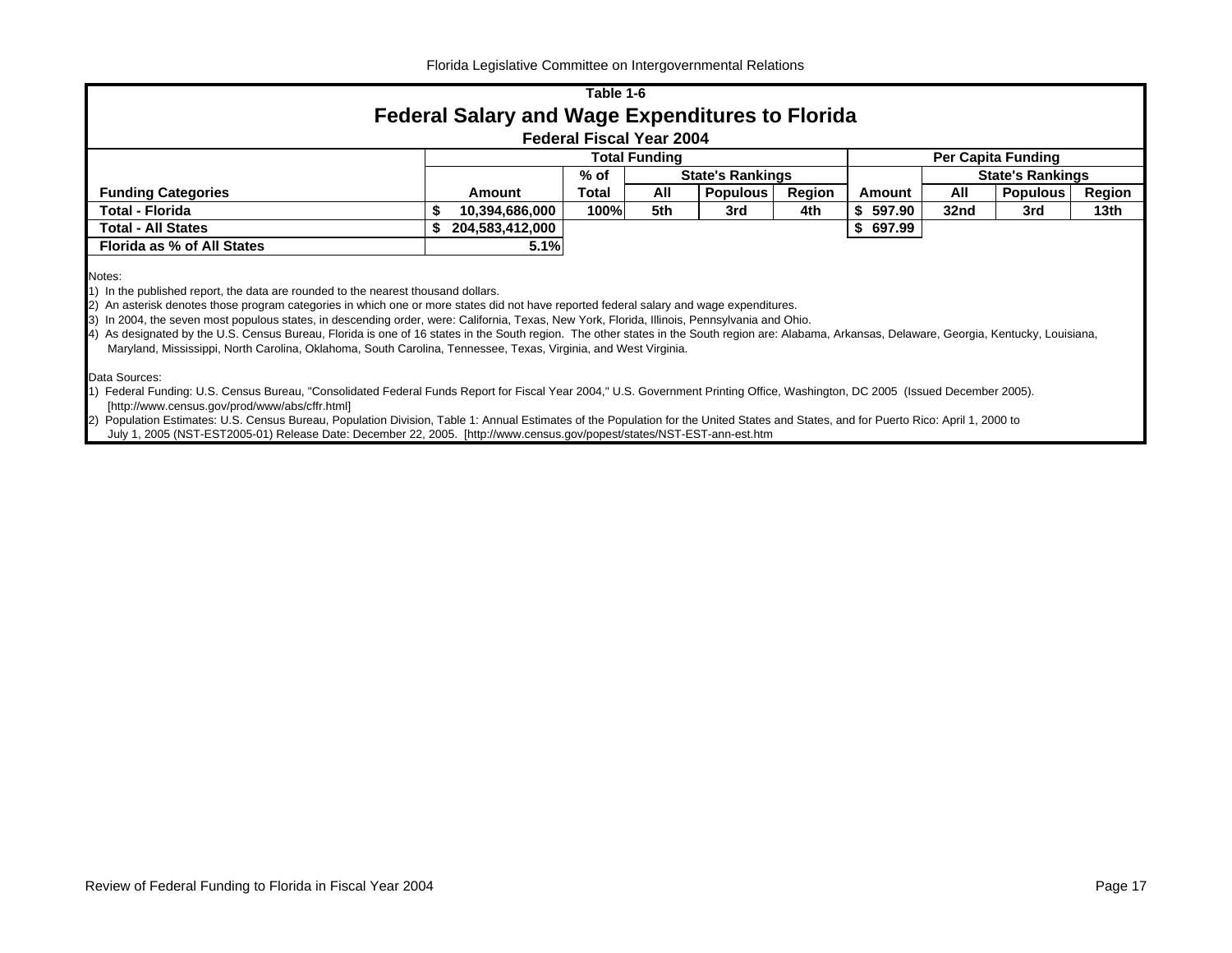|                                                                                            | <b>Federal Salary and Wage Expenditures to Florida</b> | Table 1-6                       |                      |                         |        |                    |                         |                 |        |  |
|--------------------------------------------------------------------------------------------|--------------------------------------------------------|---------------------------------|----------------------|-------------------------|--------|--------------------|-------------------------|-----------------|--------|--|
|                                                                                            |                                                        | <b>Federal Fiscal Year 2004</b> |                      |                         |        |                    |                         |                 |        |  |
|                                                                                            |                                                        |                                 | <b>Total Funding</b> |                         |        | Per Capita Funding |                         |                 |        |  |
|                                                                                            |                                                        | % of                            |                      | <b>State's Rankings</b> |        |                    | <b>State's Rankings</b> |                 |        |  |
| <b>Funding Categories</b>                                                                  | Amount                                                 | Total                           | All                  | <b>Populous</b>         | Region | Amount             | All                     | <b>Populous</b> | Region |  |
| <b>Total - Florida</b>                                                                     | 10,394,686,000                                         | 100%                            | 5th                  | 3rd                     | 4th    | 597.90             | 32nd                    | 3rd             | 13th   |  |
| <b>Total - All States</b>                                                                  | 204,583,412,000                                        |                                 |                      |                         |        | 697.99             |                         |                 |        |  |
| Florida as % of All States                                                                 |                                                        | 5.1%                            |                      |                         |        |                    |                         |                 |        |  |
| Notes:<br>1) In the published report, the date are reunded to the pearent thousand deligre |                                                        |                                 |                      |                         |        |                    |                         |                 |        |  |

1) In the published report, the data are rounded to the nearest thousand dollars.

2) An asterisk denotes those program categories in which one or more states did not have reported federal salary and wage expenditures.

3) In 2004, the seven most populous states, in descending order, were: California, Texas, New York, Florida, Illinois, Pennsylvania and Ohio.

4) As designated by the U.S. Census Bureau, Florida is one of 16 states in the South region. The other states in the South region are: Alabama, Arkansas, Delaware, Georgia, Kentucky, Louisiana, Maryland, Mississippi, North Carolina, Oklahoma, South Carolina, Tennessee, Texas, Virginia, and West Virginia.

Data Sources:

1) Federal Funding: U.S. Census Bureau, "Consolidated Federal Funds Report for Fiscal Year 2004," U.S. Government Printing Office, Washington, DC 2005 (Issued December 2005). [http://www.census.gov/prod/www/abs/cffr.html]

2) Population Estimates: U.S. Census Bureau, Population Division, Table 1: Annual Estimates of the Population for the United States and States, and for Puerto Rico: April 1, 2000 to

July 1, 2005 (NST-EST2005-01) Release Date: December 22, 2005. [http://www.census.gov/popest/states/NST-EST-ann-est.htm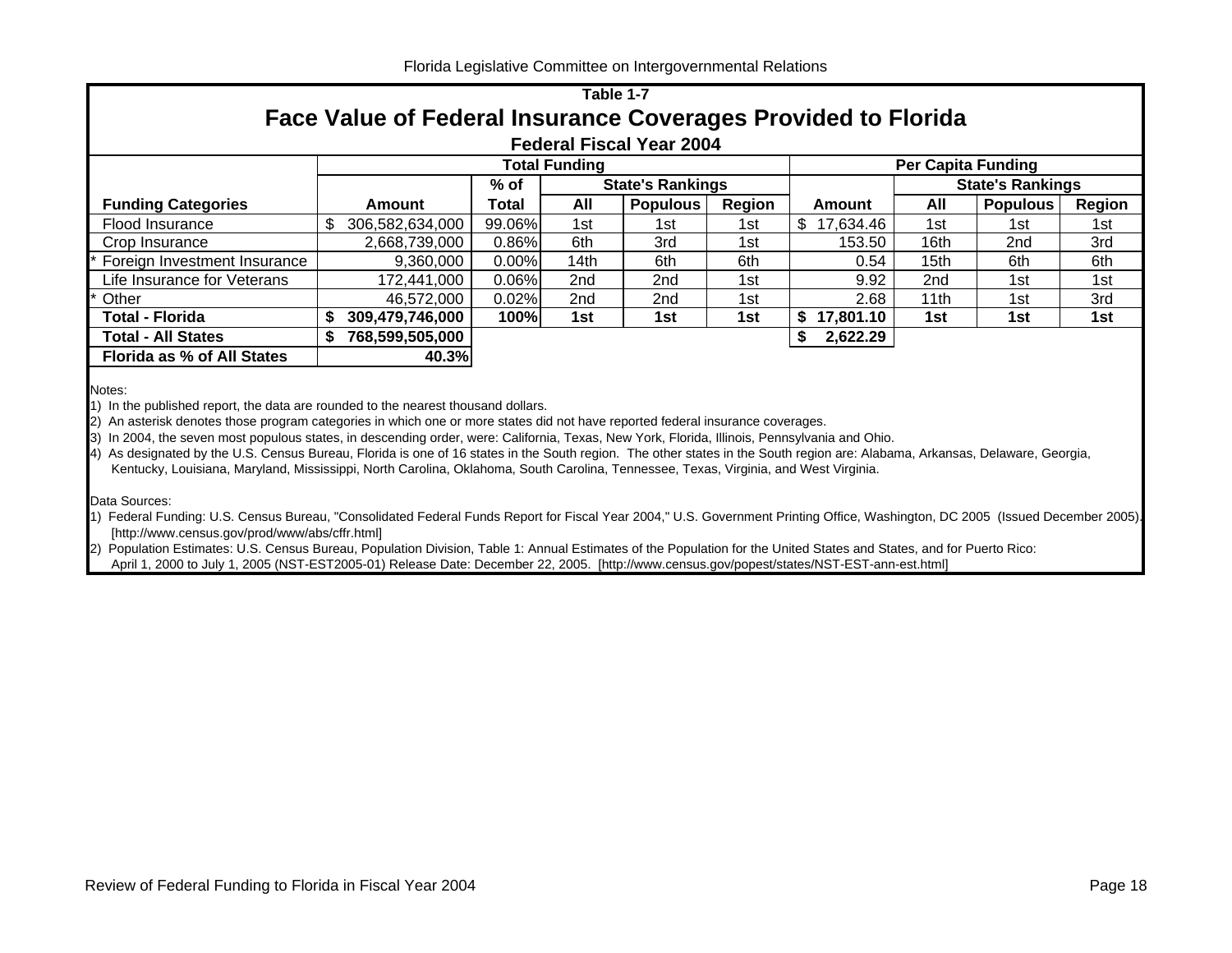<span id="page-29-0"></span>

|                                                              | <b>Face Value of Federal Insurance Coverages Provided to Florida</b> |          | Table 1-7                         |                 |        |               |                         |                 |               |  |  |  |  |
|--------------------------------------------------------------|----------------------------------------------------------------------|----------|-----------------------------------|-----------------|--------|---------------|-------------------------|-----------------|---------------|--|--|--|--|
| <b>Federal Fiscal Year 2004</b><br><b>Per Capita Funding</b> |                                                                      |          |                                   |                 |        |               |                         |                 |               |  |  |  |  |
|                                                              |                                                                      |          | <b>Total Funding</b>              |                 |        |               |                         |                 |               |  |  |  |  |
|                                                              |                                                                      |          | $%$ of<br><b>State's Rankings</b> |                 |        |               | <b>State's Rankings</b> |                 |               |  |  |  |  |
| <b>Funding Categories</b>                                    | Amount                                                               | Total    | All                               | <b>Populous</b> | Region | Amount        | All                     | <b>Populous</b> | <b>Region</b> |  |  |  |  |
| <b>Flood Insurance</b>                                       | 306,582,634,000<br>\$.                                               | 99.06%   | 1st                               | 1st             | 1st    | 17,634.46     | 1st                     | 1st             | 1st           |  |  |  |  |
| Crop Insurance                                               | 2,668,739,000                                                        | 0.86%    | 6th                               | 3rd             | 1st    | 153.50        | 16th                    | 2nd             | 3rd           |  |  |  |  |
| Foreign Investment Insurance                                 | 9.360.000                                                            | $0.00\%$ | 14th                              | 6th             | 6th    | 0.54          | 15th                    | 6th             | 6th           |  |  |  |  |
| Life Insurance for Veterans                                  | 172,441,000                                                          | 0.06%    | 2nd                               | 2nd             | 1st    | 9.92          | 2nd                     | 1st             | 1st           |  |  |  |  |
| Other                                                        | 46,572,000                                                           | 0.02%    | 2nd                               | 2nd             | 1st    | 2.68          | 11th                    | 1st             | 3rd           |  |  |  |  |
| <b>Total - Florida</b>                                       | 309,479,746,000<br>S.                                                | 100%     | 1st                               | 1st             | 1st    | 17,801.10     | 1st                     | 1st             | 1st           |  |  |  |  |
| <b>Total - All States</b>                                    | 768,599,505,000                                                      |          |                                   |                 |        | 2,622.29<br>S |                         |                 |               |  |  |  |  |
| Florida as % of All States                                   | 40.3%                                                                |          |                                   |                 |        |               |                         |                 |               |  |  |  |  |

1) In the published report, the data are rounded to the nearest thousand dollars.

2) An asterisk denotes those program categories in which one or more states did not have reported federal insurance coverages.

3) In 2004, the seven most populous states, in descending order, were: California, Texas, New York, Florida, Illinois, Pennsylvania and Ohio.

4) As designated by the U.S. Census Bureau, Florida is one of 16 states in the South region. The other states in the South region are: Alabama, Arkansas, Delaware, Georgia, Kentucky, Louisiana, Maryland, Mississippi, North Carolina, Oklahoma, South Carolina, Tennessee, Texas, Virginia, and West Virginia.

Data Sources:

1) Federal Funding: U.S. Census Bureau, "Consolidated Federal Funds Report for Fiscal Year 2004," U.S. Government Printing Office, Washington, DC 2005 (Issued December 2005). [http://www.census.gov/prod/www/abs/cffr.html]

2) Population Estimates: U.S. Census Bureau, Population Division, Table 1: Annual Estimates of the Population for the United States and States, and for Puerto Rico:

April 1, 2000 to July 1, 2005 (NST-EST2005-01) Release Date: December 22, 2005. [http://www.census.gov/popest/states/NST-EST-ann-est.html]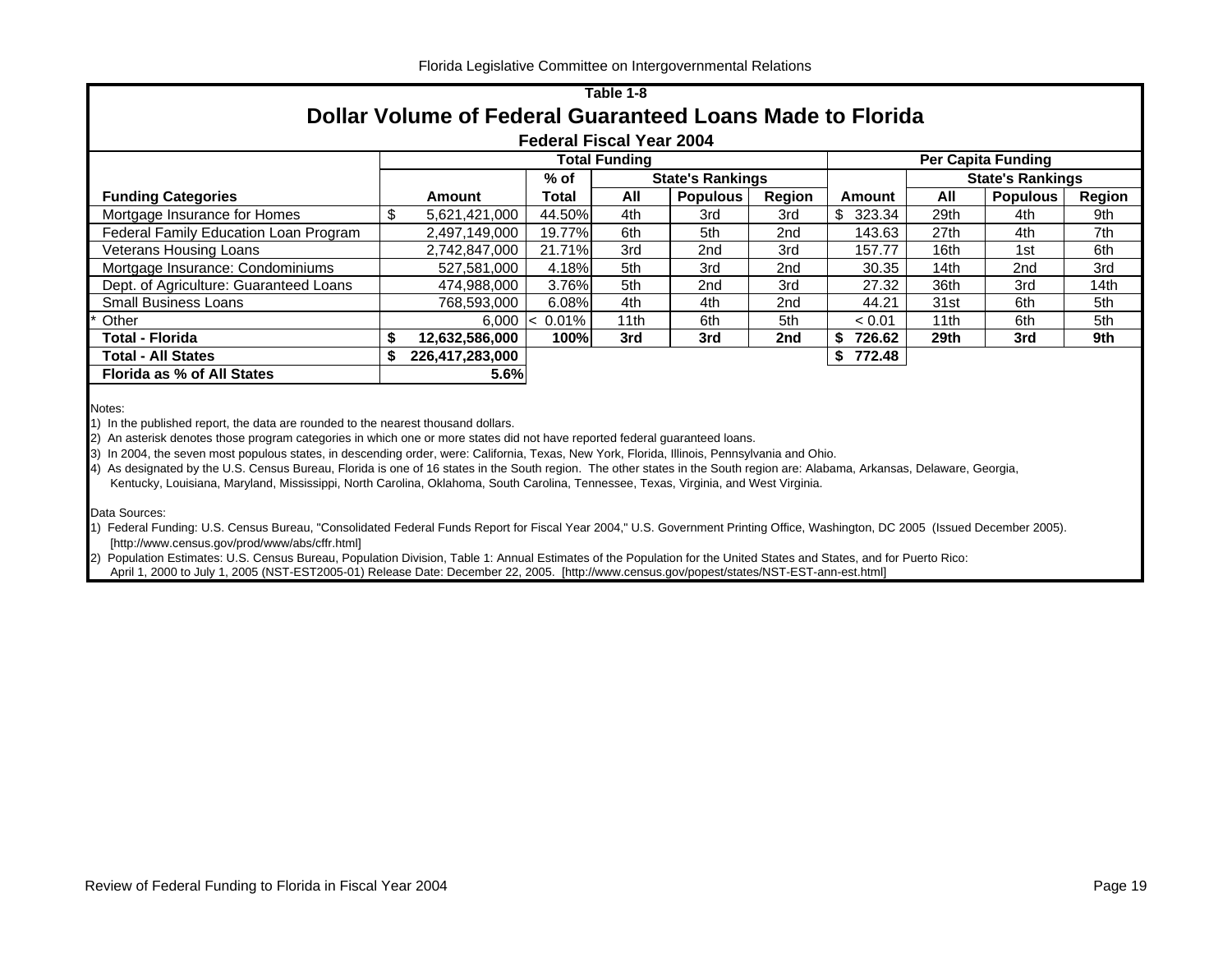<span id="page-30-0"></span>

|                                        |                                                           |                 |                  | Table 1-8 |                         |                 |              |      |                           |        |  |  |  |
|----------------------------------------|-----------------------------------------------------------|-----------------|------------------|-----------|-------------------------|-----------------|--------------|------|---------------------------|--------|--|--|--|
|                                        | Dollar Volume of Federal Guaranteed Loans Made to Florida |                 |                  |           |                         |                 |              |      |                           |        |  |  |  |
| <b>Federal Fiscal Year 2004</b>        |                                                           |                 |                  |           |                         |                 |              |      |                           |        |  |  |  |
| Total Funding                          |                                                           |                 |                  |           |                         |                 |              |      | <b>Per Capita Funding</b> |        |  |  |  |
|                                        |                                                           |                 | $%$ of           |           | <b>State's Rankings</b> |                 |              |      | <b>State's Rankings</b>   |        |  |  |  |
| <b>Funding Categories</b>              |                                                           | <b>Amount</b>   | Total            | All       | <b>Populous</b>         | Region          | Amount       | All  | <b>Populous</b>           | Region |  |  |  |
| Mortgage Insurance for Homes           | \$                                                        | 5,621,421,000   | 44.50%           | 4th       | 3rd                     | 3rd             | \$<br>323.34 | 29th | 4th                       | 9th    |  |  |  |
| Federal Family Education Loan Program  |                                                           | 2,497,149,000   | 19.77%           | 6th       | 5th                     | 2 <sub>nd</sub> | 143.63       | 27th | 4th                       | 7th    |  |  |  |
| <b>Veterans Housing Loans</b>          |                                                           | 2,742,847,000   | 21.71%           | 3rd       | 2nd                     | 3rd             | 157.77       | 16th | 1st                       | 6th    |  |  |  |
| Mortgage Insurance: Condominiums       |                                                           | 527.581.000     | 4.18%            | 5th       | 3rd                     | 2nd             | 30.35        | 14th | 2nd                       | 3rd    |  |  |  |
| Dept. of Agriculture: Guaranteed Loans |                                                           | 474.988.000     | 3.76%            | 5th       | 2 <sub>nd</sub>         | 3rd             | 27.32        | 36th | 3rd                       | 14th   |  |  |  |
| <b>Small Business Loans</b>            |                                                           | 768,593,000     | 6.08%            | 4th       | 4th                     | 2 <sub>nd</sub> | 44.21        | 31st | 6th                       | 5th    |  |  |  |
| Other                                  |                                                           | 6.000           | 0.01%<br>$\prec$ | 11th      | 6th                     | 5th             | < 0.01       | 11th | 6th                       | 5th    |  |  |  |
| <b>Total - Florida</b>                 | \$                                                        | 12,632,586,000  | 100%             | 3rd       | 3rd                     | 2nd             | 726.62       | 29th | 3rd                       | 9th    |  |  |  |
| <b>Total - All States</b>              | \$                                                        | 226,417,283,000 |                  |           |                         |                 | 772.48<br>S. |      |                           |        |  |  |  |
| Florida as % of All States             |                                                           | 5.6%            |                  |           |                         |                 |              |      |                           |        |  |  |  |

1) In the published report, the data are rounded to the nearest thousand dollars.

2) An asterisk denotes those program categories in which one or more states did not have reported federal guaranteed loans.

3) In 2004, the seven most populous states, in descending order, were: California, Texas, New York, Florida, Illinois, Pennsylvania and Ohio.

4) As designated by the U.S. Census Bureau, Florida is one of 16 states in the South region. The other states in the South region are: Alabama, Arkansas, Delaware, Georgia, Kentucky, Louisiana, Maryland, Mississippi, North Carolina, Oklahoma, South Carolina, Tennessee, Texas, Virginia, and West Virginia.

Data Sources:

1) Federal Funding: U.S. Census Bureau, "Consolidated Federal Funds Report for Fiscal Year 2004," U.S. Government Printing Office, Washington, DC 2005 (Issued December 2005). [http://www.census.gov/prod/www/abs/cffr.html]

2) Population Estimates: U.S. Census Bureau, Population Division, Table 1: Annual Estimates of the Population for the United States and States, and for Puerto Rico:

April 1, 2000 to July 1, 2005 (NST-EST2005-01) Release Date: December 22, 2005. [http://www.census.gov/popest/states/NST-EST-ann-est.html]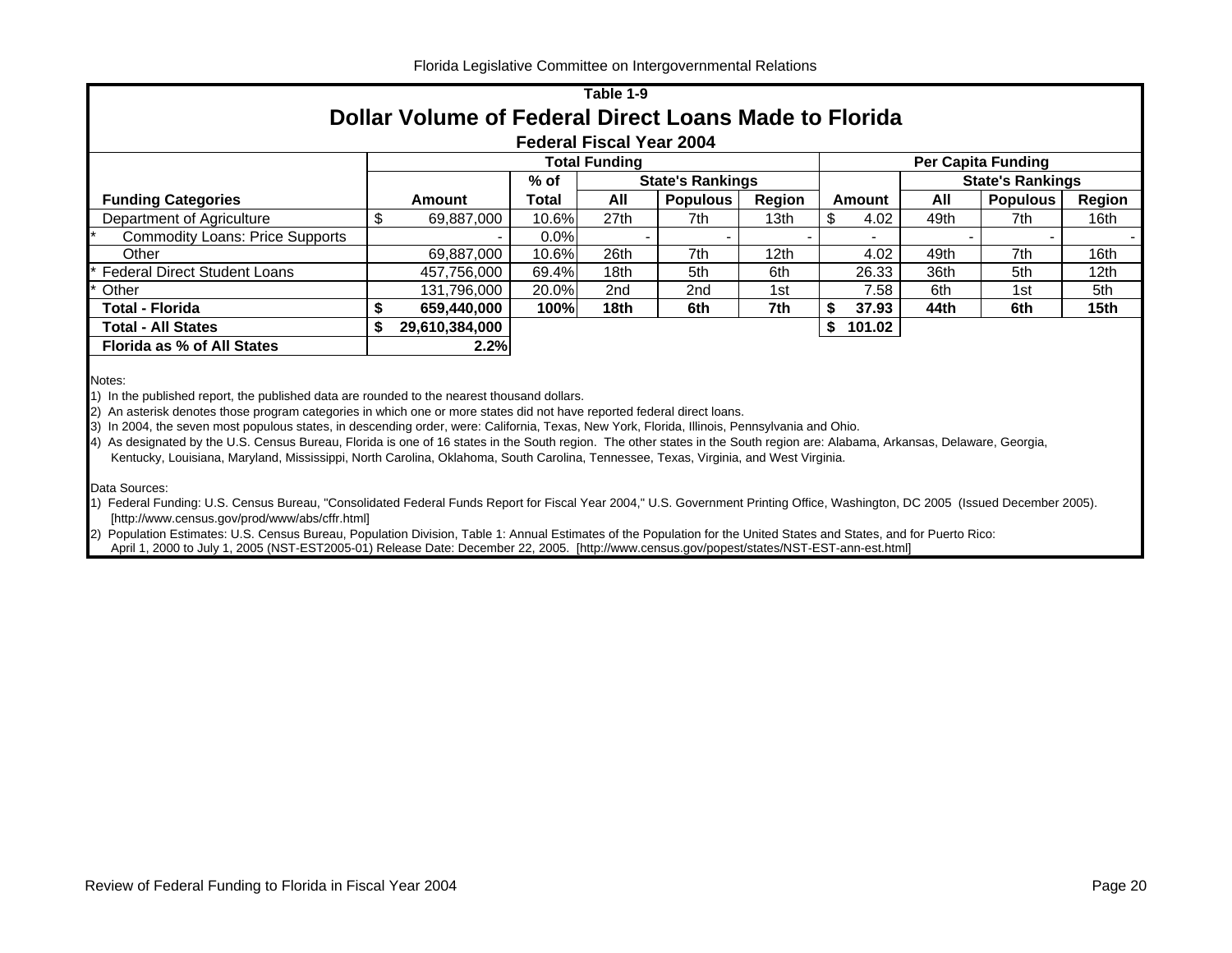<span id="page-31-0"></span>

|                                                   | Table 1-9<br>Dollar Volume of Federal Direct Loans Made to Florida<br><b>Federal Fiscal Year 2004</b> |                |          |                         |                 |                  |    |        |                         |                 |                  |  |
|---------------------------------------------------|-------------------------------------------------------------------------------------------------------|----------------|----------|-------------------------|-----------------|------------------|----|--------|-------------------------|-----------------|------------------|--|
| <b>Per Capita Funding</b><br><b>Total Funding</b> |                                                                                                       |                |          |                         |                 |                  |    |        |                         |                 |                  |  |
|                                                   |                                                                                                       |                | $%$ of   | <b>State's Rankings</b> |                 |                  |    |        | <b>State's Rankings</b> |                 |                  |  |
| <b>Funding Categories</b>                         |                                                                                                       | Amount         | Total    | All                     | <b>Populous</b> | <b>Region</b>    |    | Amount | All                     | <b>Populous</b> | Region           |  |
| Department of Agriculture                         |                                                                                                       | 69,887,000     | $10.6\%$ | 27th                    | 7th             | 13th             |    | 4.02   | 49th                    | 7th             | 16th             |  |
| $\star$<br><b>Commodity Loans: Price Supports</b> |                                                                                                       |                | $0.0\%$  |                         |                 |                  |    |        |                         |                 |                  |  |
| Other                                             |                                                                                                       | 69,887,000     | $10.6\%$ | 26th                    | 7th             | 12 <sub>th</sub> |    | 4.02   | 49th                    | 7th             | 16th             |  |
| * Federal Direct Student Loans                    |                                                                                                       | 457,756,000    | 69.4%    | 18 <sub>th</sub>        | 5th             | 6th              |    | 26.33  | 36th                    | 5th             | 12th             |  |
| * Other                                           |                                                                                                       | 131,796,000    | 20.0%    | 2nd                     | 2nd             | 1st              |    | 7.58   | 6th                     | 1st             | 5th              |  |
| <b>Total - Florida</b>                            |                                                                                                       | 659.440.000    | 100%     | 18th                    | 6th             | 7th              |    | 37.93  | 44th                    | 6th             | 15 <sub>th</sub> |  |
| <b>Total - All States</b>                         |                                                                                                       | 29,610,384,000 |          |                         |                 |                  | \$ | 101.02 |                         |                 |                  |  |
| Florida as % of All States                        |                                                                                                       | 2.2%           |          |                         |                 |                  |    |        |                         |                 |                  |  |

1) In the published report, the published data are rounded to the nearest thousand dollars.

2) An asterisk denotes those program categories in which one or more states did not have reported federal direct loans.

3) In 2004, the seven most populous states, in descending order, were: California, Texas, New York, Florida, Illinois, Pennsylvania and Ohio.

4) As designated by the U.S. Census Bureau, Florida is one of 16 states in the South region. The other states in the South region are: Alabama, Arkansas, Delaware, Georgia, Kentucky, Louisiana, Maryland, Mississippi, North Carolina, Oklahoma, South Carolina, Tennessee, Texas, Virginia, and West Virginia.

Data Sources:

1) Federal Funding: U.S. Census Bureau, "Consolidated Federal Funds Report for Fiscal Year 2004," U.S. Government Printing Office, Washington, DC 2005 (Issued December 2005). [http://www.census.gov/prod/www/abs/cffr.html]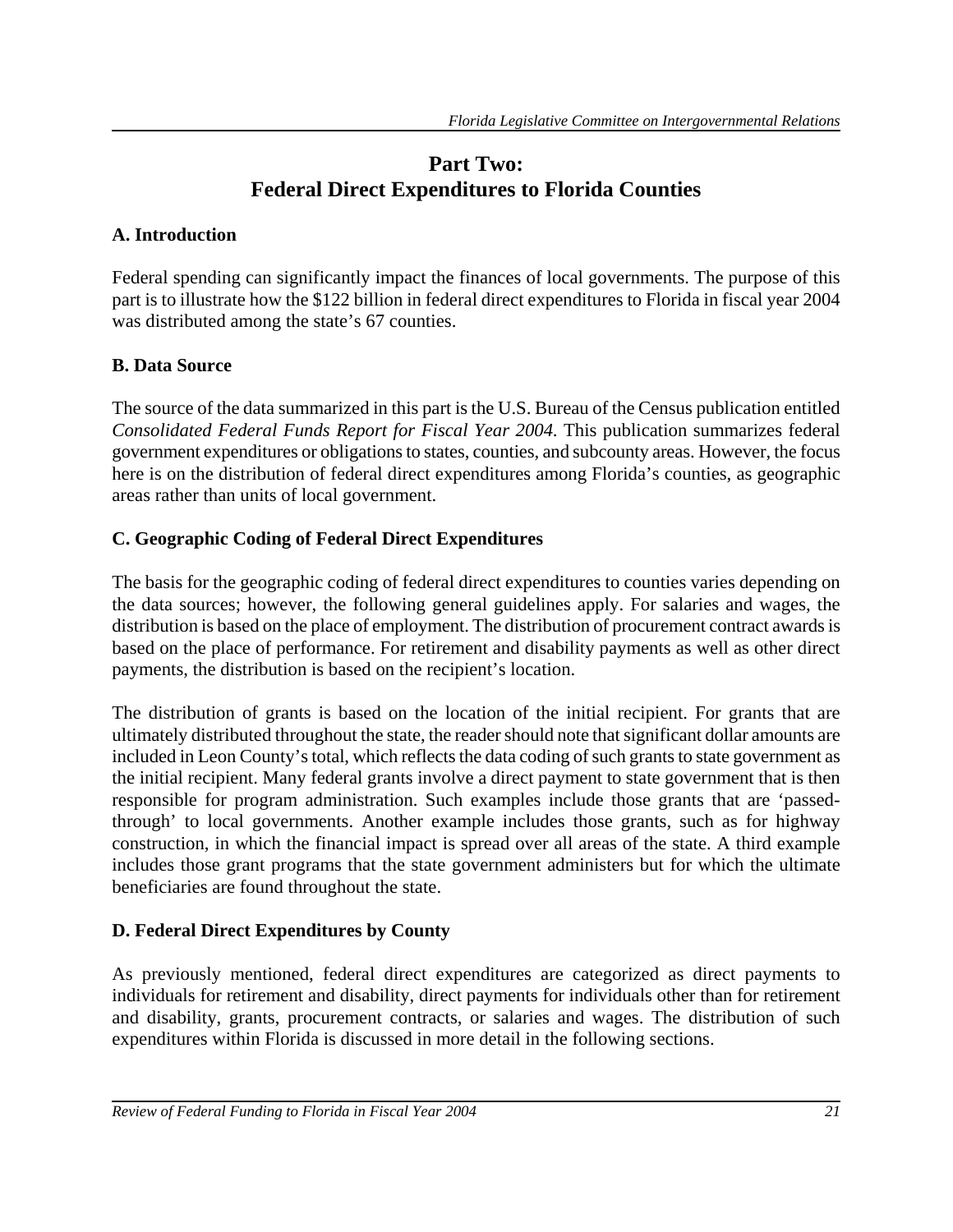# **Part Two: Federal Direct Expenditures to Florida Counties**

# <span id="page-32-0"></span>**A. Introduction**

Federal spending can significantly impact the finances of local governments. The purpose of this part is to illustrate how the \$122 billion in federal direct expenditures to Florida in fiscal year 2004 was distributed among the state's 67 counties.

# **B. Data Source**

The source of the data summarized in this part is the U.S. Bureau of the Census publication entitled *Consolidated Federal Funds Report for Fiscal Year 2004*. This publication summarizes federal government expenditures or obligations to states, counties, and subcounty areas. However, the focus here is on the distribution of federal direct expenditures among Florida's counties, as geographic areas rather than units of local government.

# **C. Geographic Coding of Federal Direct Expenditures**

The basis for the geographic coding of federal direct expenditures to counties varies depending on the data sources; however, the following general guidelines apply. For salaries and wages, the distribution is based on the place of employment. The distribution of procurement contract awards is based on the place of performance. For retirement and disability payments as well as other direct payments, the distribution is based on the recipient's location.

The distribution of grants is based on the location of the initial recipient. For grants that are ultimately distributed throughout the state, the reader should note that significant dollar amounts are included in Leon County's total, which reflects the data coding of such grants to state government as the initial recipient. Many federal grants involve a direct payment to state government that is then responsible for program administration. Such examples include those grants that are 'passedthrough' to local governments. Another example includes those grants, such as for highway construction, in which the financial impact is spread over all areas of the state. A third example includes those grant programs that the state government administers but for which the ultimate beneficiaries are found throughout the state.

# **D. Federal Direct Expenditures by County**

As previously mentioned, federal direct expenditures are categorized as direct payments to individuals for retirement and disability, direct payments for individuals other than for retirement and disability, grants, procurement contracts, or salaries and wages. The distribution of such expenditures within Florida is discussed in more detail in the following sections.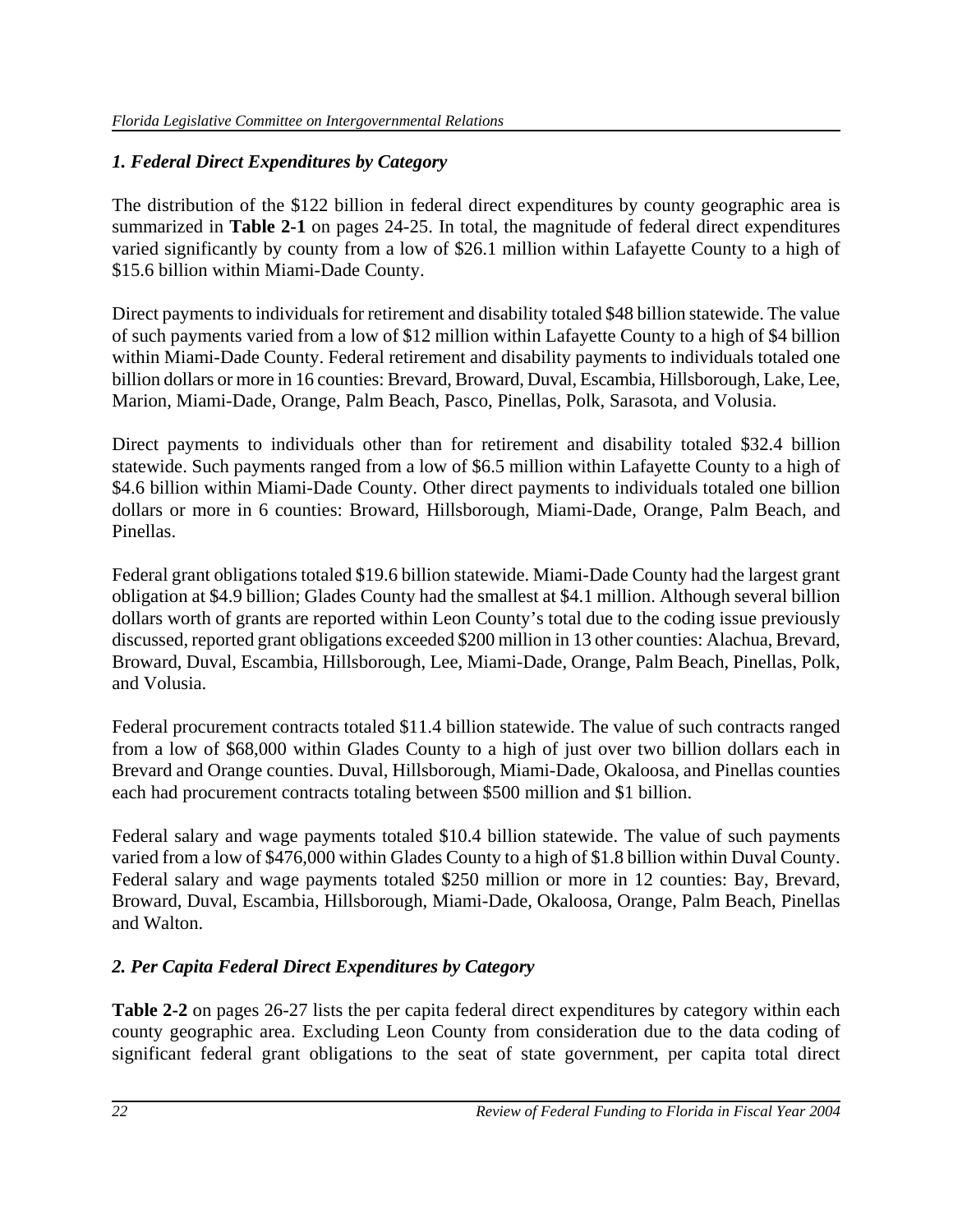# <span id="page-33-0"></span>*1. Federal Direct Expenditures by Category*

The distribution of the \$122 billion in federal direct expenditures by county geographic area is summarized in **Table 2-1** on pages 24-25. In total, the magnitude of federal direct expenditures varied significantly by county from a low of \$26.1 million within Lafayette County to a high of \$15.6 billion within Miami-Dade County.

Direct payments to individuals for retirement and disability totaled \$48 billion statewide. The value of such payments varied from a low of \$12 million within Lafayette County to a high of \$4 billion within Miami-Dade County. Federal retirement and disability payments to individuals totaled one billion dollars or more in 16 counties: Brevard, Broward, Duval, Escambia, Hillsborough, Lake, Lee, Marion, Miami-Dade, Orange, Palm Beach, Pasco, Pinellas, Polk, Sarasota, and Volusia.

Direct payments to individuals other than for retirement and disability totaled \$32.4 billion statewide. Such payments ranged from a low of \$6.5 million within Lafayette County to a high of \$4.6 billion within Miami-Dade County. Other direct payments to individuals totaled one billion dollars or more in 6 counties: Broward, Hillsborough, Miami-Dade, Orange, Palm Beach, and Pinellas.

Federal grant obligations totaled \$19.6 billion statewide. Miami-Dade County had the largest grant obligation at \$4.9 billion; Glades County had the smallest at \$4.1 million. Although several billion dollars worth of grants are reported within Leon County's total due to the coding issue previously discussed, reported grant obligations exceeded \$200 million in 13 other counties: Alachua, Brevard, Broward, Duval, Escambia, Hillsborough, Lee, Miami-Dade, Orange, Palm Beach, Pinellas, Polk, and Volusia.

Federal procurement contracts totaled \$11.4 billion statewide. The value of such contracts ranged from a low of \$68,000 within Glades County to a high of just over two billion dollars each in Brevard and Orange counties. Duval, Hillsborough, Miami-Dade, Okaloosa, and Pinellas counties each had procurement contracts totaling between \$500 million and \$1 billion.

Federal salary and wage payments totaled \$10.4 billion statewide. The value of such payments varied from a low of \$476,000 within Glades County to a high of \$1.8 billion within Duval County. Federal salary and wage payments totaled \$250 million or more in 12 counties: Bay, Brevard, Broward, Duval, Escambia, Hillsborough, Miami-Dade, Okaloosa, Orange, Palm Beach, Pinellas and Walton.

# *2. Per Capita Federal Direct Expenditures by Category*

**Table 2-2** on pages 26-27 lists the per capita federal direct expenditures by category within each county geographic area. Excluding Leon County from consideration due to the data coding of significant federal grant obligations to the seat of state government, per capita total direct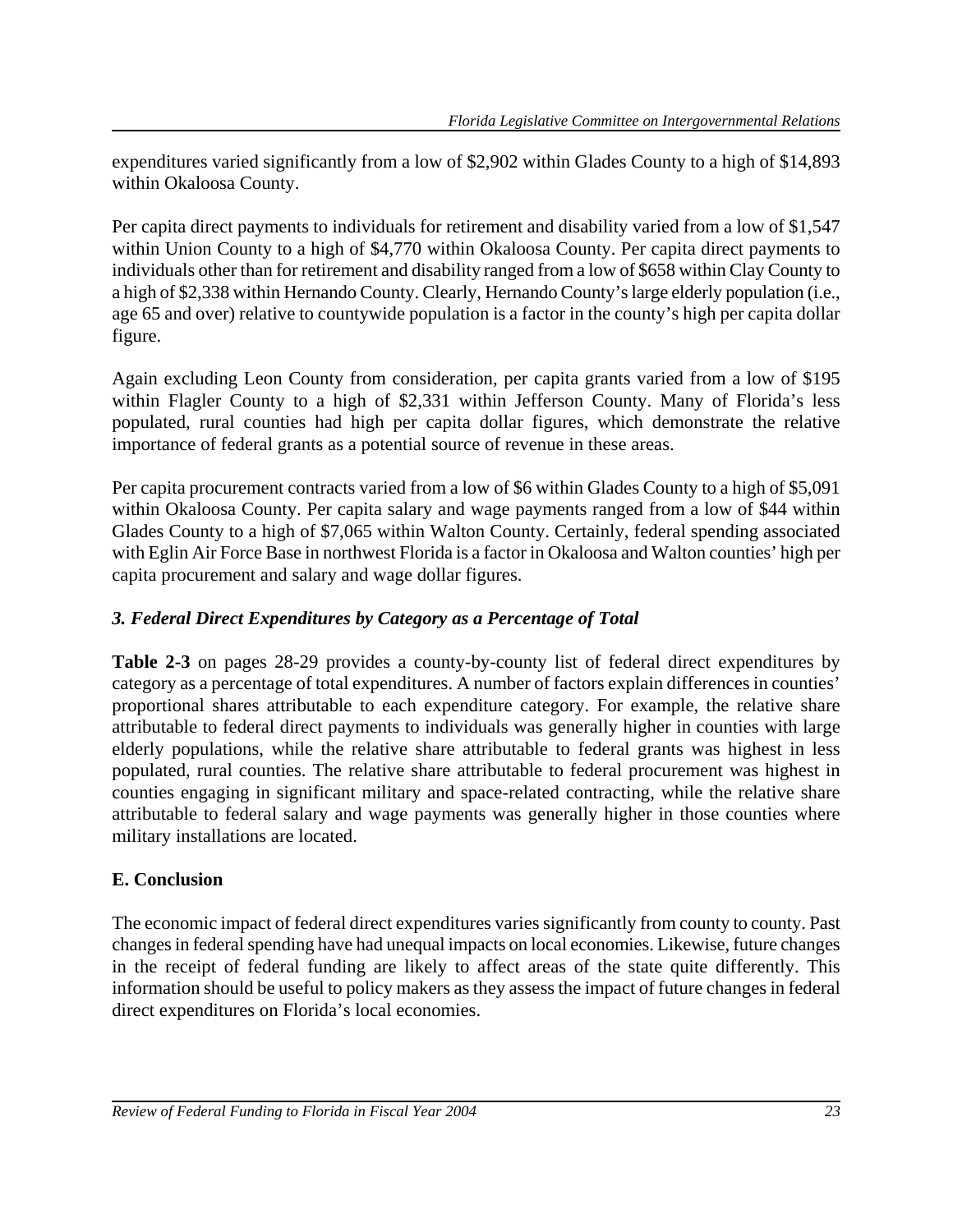<span id="page-34-0"></span>expenditures varied significantly from a low of \$2,902 within Glades County to a high of \$14,893 within Okaloosa County.

Per capita direct payments to individuals for retirement and disability varied from a low of \$1,547 within Union County to a high of \$4,770 within Okaloosa County. Per capita direct payments to individuals other than for retirement and disability ranged from a low of \$658 within Clay County to a high of \$2,338 within Hernando County. Clearly, Hernando County's large elderly population (i.e., age 65 and over) relative to countywide population is a factor in the county's high per capita dollar figure.

Again excluding Leon County from consideration, per capita grants varied from a low of \$195 within Flagler County to a high of \$2,331 within Jefferson County. Many of Florida's less populated, rural counties had high per capita dollar figures, which demonstrate the relative importance of federal grants as a potential source of revenue in these areas.

Per capita procurement contracts varied from a low of \$6 within Glades County to a high of \$5,091 within Okaloosa County. Per capita salary and wage payments ranged from a low of \$44 within Glades County to a high of \$7,065 within Walton County. Certainly, federal spending associated with Eglin Air Force Base in northwest Florida is a factor in Okaloosa and Walton counties' high per capita procurement and salary and wage dollar figures.

# *3. Federal Direct Expenditures by Category as a Percentage of Total*

**Table 2-3** on pages 28-29 provides a county-by-county list of federal direct expenditures by category as a percentage of total expenditures. A number of factors explain differences in counties' proportional shares attributable to each expenditure category. For example, the relative share attributable to federal direct payments to individuals was generally higher in counties with large elderly populations, while the relative share attributable to federal grants was highest in less populated, rural counties. The relative share attributable to federal procurement was highest in counties engaging in significant military and space-related contracting, while the relative share attributable to federal salary and wage payments was generally higher in those counties where military installations are located.

# **E. Conclusion**

The economic impact of federal direct expenditures varies significantly from county to county. Past changes in federal spending have had unequal impacts on local economies. Likewise, future changes in the receipt of federal funding are likely to affect areas of the state quite differently. This information should be useful to policy makers as they assess the impact of future changes in federal direct expenditures on Florida's local economies.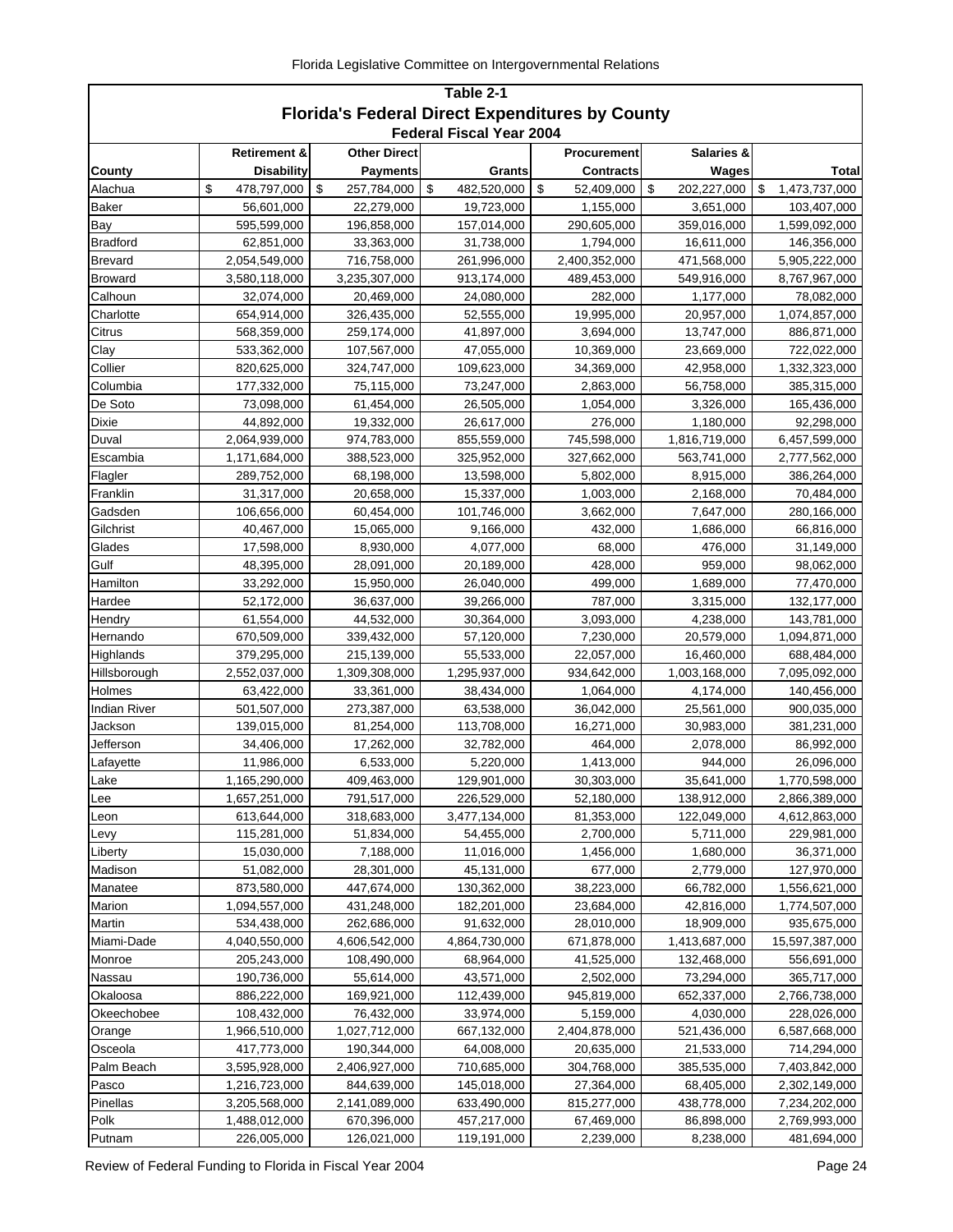<span id="page-35-0"></span>

| Table 2-1           |                          |                         |                                 |                                                        |                        |                                |  |  |  |  |  |
|---------------------|--------------------------|-------------------------|---------------------------------|--------------------------------------------------------|------------------------|--------------------------------|--|--|--|--|--|
|                     |                          |                         | <b>Federal Fiscal Year 2004</b> | <b>Florida's Federal Direct Expenditures by County</b> |                        |                                |  |  |  |  |  |
|                     | <b>Retirement &amp;</b>  | <b>Other Direct</b>     |                                 | Procurement                                            | Salaries &             |                                |  |  |  |  |  |
| County              | <b>Disability</b>        | <b>Payments</b>         | Grants                          | <b>Contracts</b>                                       | <b>Wages</b>           | Total                          |  |  |  |  |  |
| Alachua             | \$<br>478,797,000        | \$<br>257,784,000       | \$<br>482,520,000               | \$<br>52,409,000                                       | \$<br>202,227,000      | 1,473,737,000<br>\$            |  |  |  |  |  |
| Baker               | 56,601,000               | 22,279,000              | 19,723,000                      | 1,155,000                                              | 3,651,000              | 103,407,000                    |  |  |  |  |  |
| Bay                 | 595,599,000              | 196,858,000             | 157,014,000                     | 290,605,000                                            | 359,016,000            | 1,599,092,000                  |  |  |  |  |  |
| <b>Bradford</b>     | 62,851,000               | 33,363,000              | 31,738,000                      | 1,794,000                                              | 16,611,000             | 146,356,000                    |  |  |  |  |  |
| <b>Brevard</b>      | 2,054,549,000            | 716,758,000             | 261,996,000                     | 2,400,352,000                                          | 471,568,000            | 5,905,222,000                  |  |  |  |  |  |
| <b>Broward</b>      | 3,580,118,000            | 3,235,307,000           | 913,174,000                     | 489,453,000                                            | 549,916,000            | 8,767,967,000                  |  |  |  |  |  |
| Calhoun             | 32,074,000               | 20,469,000              | 24,080,000                      | 282,000                                                | 1,177,000              | 78,082,000                     |  |  |  |  |  |
| Charlotte           | 654,914,000              | 326,435,000             | 52,555,000                      | 19,995,000                                             | 20,957,000             | 1,074,857,000                  |  |  |  |  |  |
| Citrus              | 568,359,000              | 259,174,000             | 41,897,000                      | 3,694,000                                              | 13,747,000             | 886,871,000                    |  |  |  |  |  |
| Clay                | 533,362,000              | 107,567,000             | 47,055,000                      | 10,369,000                                             | 23,669,000             | 722,022,000                    |  |  |  |  |  |
| Collier             | 820,625,000              | 324,747,000             | 109,623,000                     | 34,369,000                                             | 42,958,000             | 1,332,323,000                  |  |  |  |  |  |
| Columbia            | 177,332,000              | 75,115,000              | 73,247,000                      | 2,863,000                                              | 56,758,000             | 385,315,000                    |  |  |  |  |  |
| De Soto             | 73,098,000               | 61,454,000              | 26,505,000                      | 1,054,000                                              | 3,326,000              | 165,436,000                    |  |  |  |  |  |
| Dixie               | 44,892,000               | 19,332,000              | 26,617,000                      | 276,000                                                | 1,180,000              | 92,298,000                     |  |  |  |  |  |
| Duval               | 2,064,939,000            | 974,783,000             | 855,559,000                     | 745,598,000                                            | 1,816,719,000          | 6,457,599,000                  |  |  |  |  |  |
| Escambia            | 1,171,684,000            | 388,523,000             | 325,952,000                     | 327,662,000                                            | 563,741,000            | 2,777,562,000                  |  |  |  |  |  |
| Flagler             | 289,752,000              | 68,198,000              | 13,598,000                      | 5,802,000                                              | 8,915,000              | 386,264,000                    |  |  |  |  |  |
| Franklin            | 31,317,000               | 20,658,000              | 15,337,000                      | 1,003,000                                              | 2,168,000              | 70,484,000                     |  |  |  |  |  |
| Gadsden             | 106,656,000              | 60,454,000              | 101,746,000                     | 3,662,000                                              | 7,647,000              | 280,166,000                    |  |  |  |  |  |
| Gilchrist           | 40,467,000               | 15,065,000              | 9,166,000                       | 432,000                                                | 1,686,000              | 66,816,000                     |  |  |  |  |  |
| Glades              | 17,598,000               | 8,930,000               | 4,077,000                       | 68,000                                                 | 476,000                | 31,149,000                     |  |  |  |  |  |
| Gulf                | 48,395,000               | 28,091,000              | 20,189,000                      | 428,000                                                | 959,000                | 98,062,000                     |  |  |  |  |  |
| Hamilton            | 33,292,000               | 15,950,000              | 26,040,000                      | 499,000                                                | 1,689,000              | 77,470,000                     |  |  |  |  |  |
| Hardee              | 52,172,000               | 36,637,000              | 39,266,000                      | 787,000                                                | 3,315,000              | 132,177,000                    |  |  |  |  |  |
| Hendry              | 61,554,000               | 44,532,000              | 30,364,000                      | 3,093,000                                              | 4,238,000              | 143,781,000                    |  |  |  |  |  |
| Hernando            | 670,509,000              | 339,432,000             | 57,120,000                      | 7,230,000                                              | 20,579,000             | 1,094,871,000                  |  |  |  |  |  |
| Highlands           | 379,295,000              | 215,139,000             | 55,533,000                      | 22,057,000                                             | 16,460,000             | 688,484,000                    |  |  |  |  |  |
| Hillsborough        | 2,552,037,000            | 1,309,308,000           | 1,295,937,000                   | 934,642,000                                            | 1,003,168,000          | 7,095,092,000                  |  |  |  |  |  |
| Holmes              | 63,422,000               | 33,361,000              | 38,434,000                      | 1,064,000                                              | 4,174,000              | 140,456,000                    |  |  |  |  |  |
| <b>Indian River</b> | 501,507,000              | 273,387,000             | 63,538,000                      | 36,042,000                                             | 25,561,000             | 900,035,000                    |  |  |  |  |  |
| Jackson             | 139,015,000              | 81,254,000              | 113,708,000                     | 16,271,000                                             | 30,983,000             | 381,231,000                    |  |  |  |  |  |
| Jefferson           | 34,406,000               | 17,262,000              | 32,782,000                      | 464,000                                                | 2,078,000              | 86,992,000                     |  |  |  |  |  |
| Lafayette           | 11,986,000               | 6,533,000               | 5,220,000                       | 1,413,000                                              | 944,000                | 26,096,000                     |  |  |  |  |  |
| Lake                | 1,165,290,000            | 409,463,000             | 129,901,000                     | 30,303,000                                             | 35,641,000             | 1,770,598,000                  |  |  |  |  |  |
| Lee                 | 1,657,251,000            | 791,517,000             | 226,529,000                     | 52,180,000                                             | 138,912,000            | 2,866,389,000                  |  |  |  |  |  |
| Leon                | 613,644,000              | 318,683,000             | 3,477,134,000                   | 81,353,000                                             | 122,049,000            | 4,612,863,000                  |  |  |  |  |  |
| Levy                | 115,281,000              | 51,834,000              | 54,455,000                      | 2,700,000                                              | 5,711,000              | 229,981,000                    |  |  |  |  |  |
| Liberty<br>Madison  | 15,030,000<br>51,082,000 | 7,188,000<br>28,301,000 | 11,016,000<br>45,131,000        | 1,456,000<br>677,000                                   | 1,680,000<br>2,779,000 | 36,371,000<br>127,970,000      |  |  |  |  |  |
| Manatee             | 873,580,000              | 447,674,000             | 130,362,000                     | 38,223,000                                             | 66,782,000             |                                |  |  |  |  |  |
| Marion              | 1,094,557,000            | 431,248,000             | 182,201,000                     | 23,684,000                                             | 42,816,000             | 1,556,621,000<br>1,774,507,000 |  |  |  |  |  |
| Martin              | 534,438,000              | 262,686,000             | 91,632,000                      | 28,010,000                                             | 18,909,000             | 935,675,000                    |  |  |  |  |  |
| Miami-Dade          | 4,040,550,000            | 4,606,542,000           | 4,864,730,000                   | 671,878,000                                            | 1,413,687,000          | 15,597,387,000                 |  |  |  |  |  |
| Monroe              | 205,243,000              | 108,490,000             | 68,964,000                      | 41,525,000                                             | 132,468,000            | 556,691,000                    |  |  |  |  |  |
| Nassau              | 190,736,000              | 55,614,000              | 43,571,000                      | 2,502,000                                              | 73,294,000             | 365,717,000                    |  |  |  |  |  |
| Okaloosa            | 886,222,000              | 169,921,000             | 112,439,000                     | 945,819,000                                            | 652,337,000            | 2,766,738,000                  |  |  |  |  |  |
| Okeechobee          | 108,432,000              | 76,432,000              | 33,974,000                      | 5,159,000                                              | 4,030,000              | 228,026,000                    |  |  |  |  |  |
| Orange              | 1,966,510,000            | 1,027,712,000           | 667,132,000                     | 2,404,878,000                                          | 521,436,000            | 6,587,668,000                  |  |  |  |  |  |
| Osceola             | 417,773,000              | 190,344,000             | 64,008,000                      | 20,635,000                                             | 21,533,000             | 714,294,000                    |  |  |  |  |  |
| Palm Beach          | 3,595,928,000            | 2,406,927,000           | 710,685,000                     | 304,768,000                                            | 385,535,000            | 7,403,842,000                  |  |  |  |  |  |
| Pasco               | 1,216,723,000            | 844,639,000             | 145,018,000                     | 27,364,000                                             | 68,405,000             | 2,302,149,000                  |  |  |  |  |  |
| Pinellas            | 3,205,568,000            | 2,141,089,000           | 633,490,000                     | 815,277,000                                            | 438,778,000            | 7,234,202,000                  |  |  |  |  |  |
| Polk                | 1,488,012,000            | 670,396,000             | 457,217,000                     | 67,469,000                                             | 86,898,000             | 2,769,993,000                  |  |  |  |  |  |
| Putnam              | 226,005,000              | 126,021,000             | 119,191,000                     | 2,239,000                                              | 8,238,000              | 481,694,000                    |  |  |  |  |  |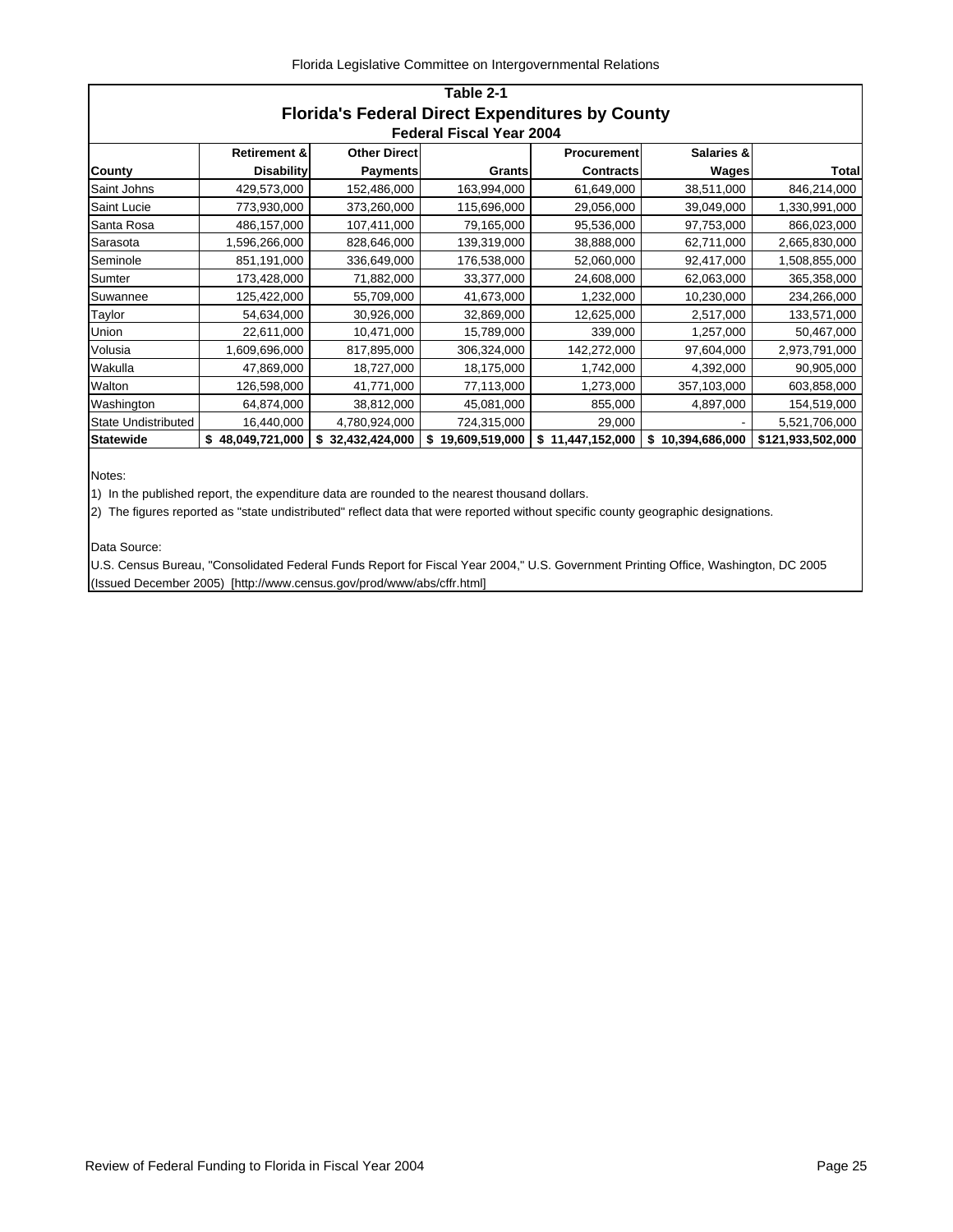|                                 |                                                        |                     | Table 2-1            |                  |                  |                   |  |  |  |  |
|---------------------------------|--------------------------------------------------------|---------------------|----------------------|------------------|------------------|-------------------|--|--|--|--|
|                                 | <b>Florida's Federal Direct Expenditures by County</b> |                     |                      |                  |                  |                   |  |  |  |  |
| <b>Federal Fiscal Year 2004</b> |                                                        |                     |                      |                  |                  |                   |  |  |  |  |
|                                 | <b>Retirement &amp;</b>                                | <b>Other Direct</b> |                      | Procurement      | Salaries &       |                   |  |  |  |  |
| <b>County</b>                   | <b>Disability</b>                                      | <b>Payments</b>     | Grants               | <b>Contracts</b> | Wages            | Total             |  |  |  |  |
| Saint Johns                     | 429,573,000                                            | 152,486,000         | 163,994,000          | 61,649,000       | 38,511,000       | 846,214,000       |  |  |  |  |
| Saint Lucie                     | 773,930,000                                            | 373,260,000         | 115,696,000          | 29,056,000       | 39,049,000       | 1,330,991,000     |  |  |  |  |
| Santa Rosa                      | 486,157,000                                            | 107,411,000         | 79,165,000           | 95,536,000       | 97,753,000       | 866,023,000       |  |  |  |  |
| Sarasota                        | 1,596,266,000                                          | 828,646,000         | 139,319,000          | 38,888,000       | 62,711,000       | 2,665,830,000     |  |  |  |  |
| Seminole                        | 851,191,000                                            | 336,649,000         | 176,538,000          | 52,060,000       | 92,417,000       | 1,508,855,000     |  |  |  |  |
| Sumter                          | 173,428,000                                            | 71,882,000          | 33,377,000           | 24,608,000       | 62,063,000       | 365,358,000       |  |  |  |  |
| Suwannee                        | 125,422,000                                            | 55,709,000          | 41,673,000           | 1,232,000        | 10,230,000       | 234,266,000       |  |  |  |  |
| Taylor                          | 54,634,000                                             | 30,926,000          | 32,869,000           | 12,625,000       | 2,517,000        | 133,571,000       |  |  |  |  |
| Union                           | 22,611,000                                             | 10,471,000          | 15,789,000           | 339,000          | 1,257,000        | 50,467,000        |  |  |  |  |
| Volusia                         | 1,609,696,000                                          | 817,895,000         | 306,324,000          | 142,272,000      | 97,604,000       | 2,973,791,000     |  |  |  |  |
| Wakulla                         | 47,869,000                                             | 18,727,000          | 18,175,000           | 1,742,000        | 4,392,000        | 90,905,000        |  |  |  |  |
| Walton                          | 126,598,000                                            | 41,771,000          | 77,113,000           | 1,273,000        | 357,103,000      | 603,858,000       |  |  |  |  |
| Washington                      | 64,874,000                                             | 38,812,000          | 45,081,000           | 855,000          | 4,897,000        | 154,519,000       |  |  |  |  |
| <b>State Undistributed</b>      | 16,440,000                                             | 4,780,924,000       | 724,315,000          | 29,000           |                  | 5,521,706,000     |  |  |  |  |
| Statewide                       | \$48,049,721,000                                       | \$32,432,424,000    | 19,609,519,000<br>\$ | \$11,447,152,000 | \$10,394,686,000 | \$121,933,502,000 |  |  |  |  |

1) In the published report, the expenditure data are rounded to the nearest thousand dollars.

2) The figures reported as "state undistributed" reflect data that were reported without specific county geographic designations.

Data Source:

U.S. Census Bureau, "Consolidated Federal Funds Report for Fiscal Year 2004," U.S. Government Printing Office, Washington, DC 2005 (Issued December 2005) [http://www.census.gov/prod/www/abs/cffr.html]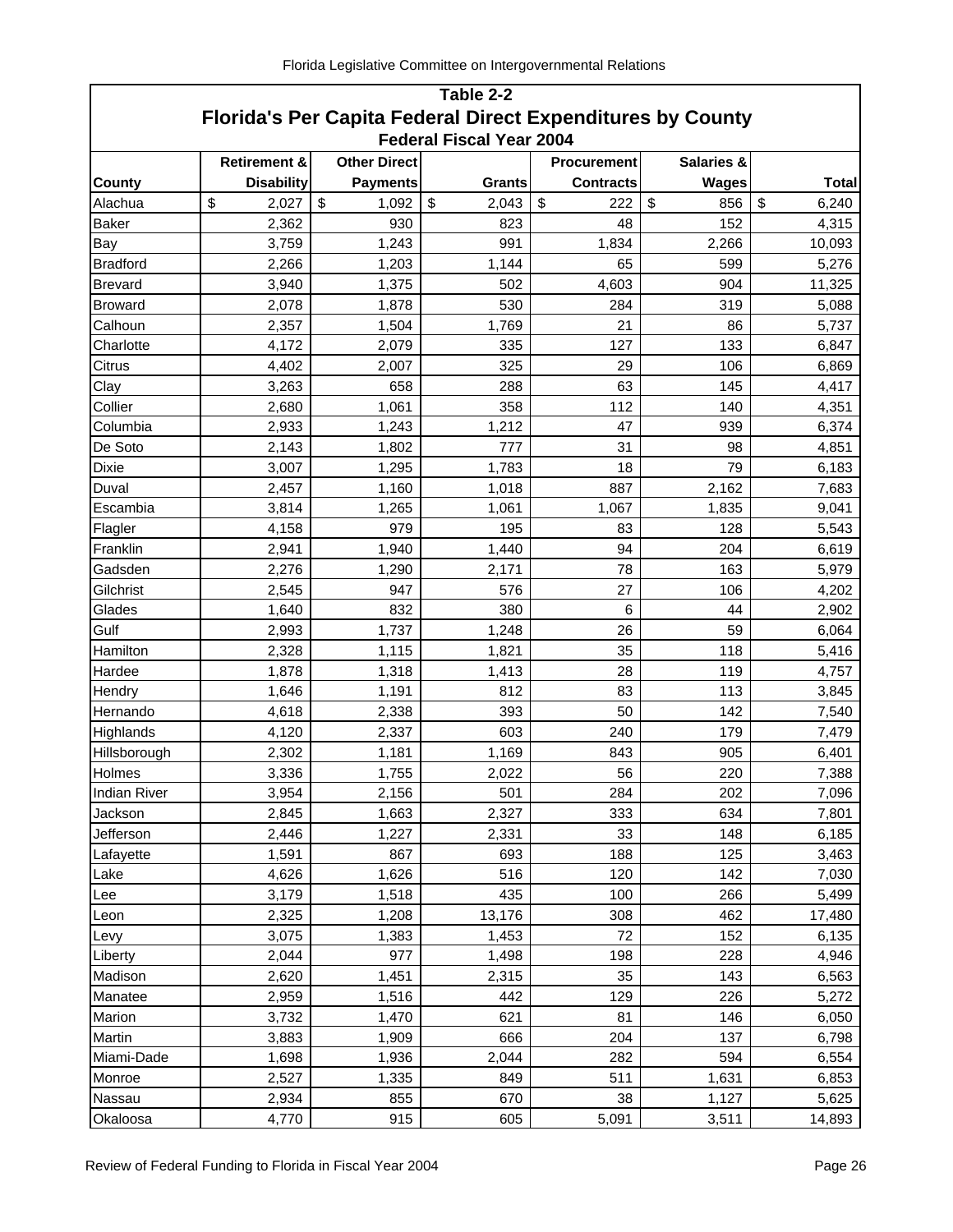|                                                                   |                                 |                                    | Table 2-2     |                    |              |                                    |  |  |  |  |  |
|-------------------------------------------------------------------|---------------------------------|------------------------------------|---------------|--------------------|--------------|------------------------------------|--|--|--|--|--|
| <b>Florida's Per Capita Federal Direct Expenditures by County</b> |                                 |                                    |               |                    |              |                                    |  |  |  |  |  |
|                                                                   | <b>Federal Fiscal Year 2004</b> |                                    |               |                    |              |                                    |  |  |  |  |  |
|                                                                   | <b>Retirement &amp;</b>         | <b>Other Direct</b>                |               | <b>Procurement</b> | Salaries &   |                                    |  |  |  |  |  |
| <b>County</b>                                                     | <b>Disability</b>               | <b>Payments</b>                    | <b>Grants</b> | <b>Contracts</b>   | <b>Wages</b> | <b>Total</b>                       |  |  |  |  |  |
| Alachua                                                           | \$<br>2,027                     | $\boldsymbol{\mathsf{S}}$<br>1,092 | \$<br>2,043   | \$<br>222          | \$<br>856    | $\boldsymbol{\mathsf{S}}$<br>6,240 |  |  |  |  |  |
| <b>Baker</b>                                                      | 2,362                           | 930                                | 823           | 48                 | 152          | 4,315                              |  |  |  |  |  |
| Bay                                                               | 3,759                           | 1,243                              | 991           | 1,834              | 2,266        | 10,093                             |  |  |  |  |  |
| <b>Bradford</b>                                                   | 2,266                           | 1,203                              | 1,144         | 65                 | 599          | 5,276                              |  |  |  |  |  |
| <b>Brevard</b>                                                    | 3,940                           | 1,375                              | 502           | 4,603              | 904          | 11,325                             |  |  |  |  |  |
| <b>Broward</b>                                                    | 2,078                           | 1,878                              | 530           | 284                | 319          | 5,088                              |  |  |  |  |  |
| Calhoun                                                           | 2,357                           | 1,504                              | 1,769         | 21                 | 86           | 5,737                              |  |  |  |  |  |
| Charlotte                                                         | 4,172                           | 2,079                              | 335           | 127                | 133          | 6,847                              |  |  |  |  |  |
| Citrus                                                            | 4,402                           | 2,007                              | 325           | 29                 | 106          | 6,869                              |  |  |  |  |  |
| Clay                                                              | 3,263                           | 658                                | 288           | 63                 | 145          | 4,417                              |  |  |  |  |  |
| Collier                                                           | 2,680                           | 1,061                              | 358           | 112                | 140          | 4,351                              |  |  |  |  |  |
| Columbia                                                          | 2,933                           | 1,243                              | 1,212         | 47                 | 939          | 6,374                              |  |  |  |  |  |
| De Soto                                                           | 2,143                           | 1,802                              | 777           | 31                 | 98           | 4,851                              |  |  |  |  |  |
| <b>Dixie</b>                                                      | 3,007                           | 1,295                              | 1,783         | 18                 | 79           | 6,183                              |  |  |  |  |  |
| Duval                                                             | 2,457                           | 1,160                              | 1,018         | 887                | 2,162        | 7,683                              |  |  |  |  |  |
| Escambia                                                          | 3,814                           | 1,265                              | 1,061         | 1,067              | 1,835        | 9,041                              |  |  |  |  |  |
| Flagler                                                           | 4,158                           | 979                                | 195           | 83                 | 128          | 5,543                              |  |  |  |  |  |
| Franklin                                                          | 2,941                           | 1,940                              | 1,440         | 94                 | 204          | 6,619                              |  |  |  |  |  |
| Gadsden                                                           | 2,276                           | 1,290                              | 2,171         | 78                 | 163          | 5,979                              |  |  |  |  |  |
| Gilchrist                                                         | 2,545                           | 947                                | 576           | 27                 | 106          | 4,202                              |  |  |  |  |  |
| Glades                                                            | 1,640                           | 832                                | 380           | 6                  | 44           | 2,902                              |  |  |  |  |  |
| Gulf                                                              | 2,993                           | 1,737                              | 1,248         | 26                 | 59           | 6,064                              |  |  |  |  |  |
| Hamilton                                                          | 2,328                           | 1,115                              | 1,821         | 35                 | 118          | 5,416                              |  |  |  |  |  |
| Hardee                                                            | 1,878                           | 1,318                              | 1,413         | 28                 | 119          | 4,757                              |  |  |  |  |  |
| Hendry                                                            | 1,646                           | 1,191                              | 812           | 83                 | 113          | 3,845                              |  |  |  |  |  |
| Hernando                                                          | 4,618                           | 2,338                              | 393           | 50                 | 142          | 7,540                              |  |  |  |  |  |
| Highlands                                                         | 4,120                           | 2,337                              | 603           | 240                | 179          | 7,479                              |  |  |  |  |  |
| Hillsborough                                                      | 2,302                           | 1,181                              | 1,169         | 843                | 905          | 6,401                              |  |  |  |  |  |
| Holmes                                                            | 3,336                           | 1,755                              | 2,022         | 56                 | 220          | 7,388                              |  |  |  |  |  |
| <b>Indian River</b>                                               | 3,954                           | 2,156                              | 501           | 284                | 202          | 7,096                              |  |  |  |  |  |
| Jackson                                                           | 2,845                           | 1,663                              | 2,327         | 333                | 634          | 7,801                              |  |  |  |  |  |
| Jefferson                                                         | 2,446                           | 1,227                              | 2,331         | 33                 | 148          | 6,185                              |  |  |  |  |  |
| Lafayette                                                         | 1,591                           | 867                                | 693           | 188                | 125          | 3,463                              |  |  |  |  |  |
| Lake                                                              | 4,626                           | 1,626                              | 516           | 120                | 142          | 7,030                              |  |  |  |  |  |
| Lee                                                               | 3,179                           | 1,518                              | 435           | 100                | 266          | 5,499                              |  |  |  |  |  |
| Leon                                                              | 2,325                           | 1,208                              | 13,176        | 308                | 462          | 17,480                             |  |  |  |  |  |
| Levy                                                              | 3,075                           | 1,383                              | 1,453         | 72                 | 152          | 6,135                              |  |  |  |  |  |
| Liberty                                                           | 2,044                           | 977                                | 1,498         | 198                | 228          | 4,946                              |  |  |  |  |  |
| Madison                                                           | 2,620                           | 1,451                              | 2,315         | 35                 | 143          | 6,563                              |  |  |  |  |  |
| Manatee                                                           | 2,959                           | 1,516                              | 442           | 129                | 226          | 5,272                              |  |  |  |  |  |
| Marion                                                            | 3,732                           | 1,470                              | 621           | 81                 | 146          | 6,050                              |  |  |  |  |  |
| Martin                                                            | 3,883                           | 1,909                              | 666           | 204                | 137          | 6,798                              |  |  |  |  |  |
| Miami-Dade                                                        | 1,698                           | 1,936                              | 2,044         | 282                | 594          | 6,554                              |  |  |  |  |  |
| Monroe                                                            | 2,527                           | 1,335                              | 849           | 511                | 1,631        | 6,853                              |  |  |  |  |  |
| Nassau                                                            | 2,934                           | 855                                | 670           | 38                 | 1,127        | 5,625                              |  |  |  |  |  |
| Okaloosa                                                          | 4,770                           | 915                                | 605           | 5,091              | 3,511        | 14,893                             |  |  |  |  |  |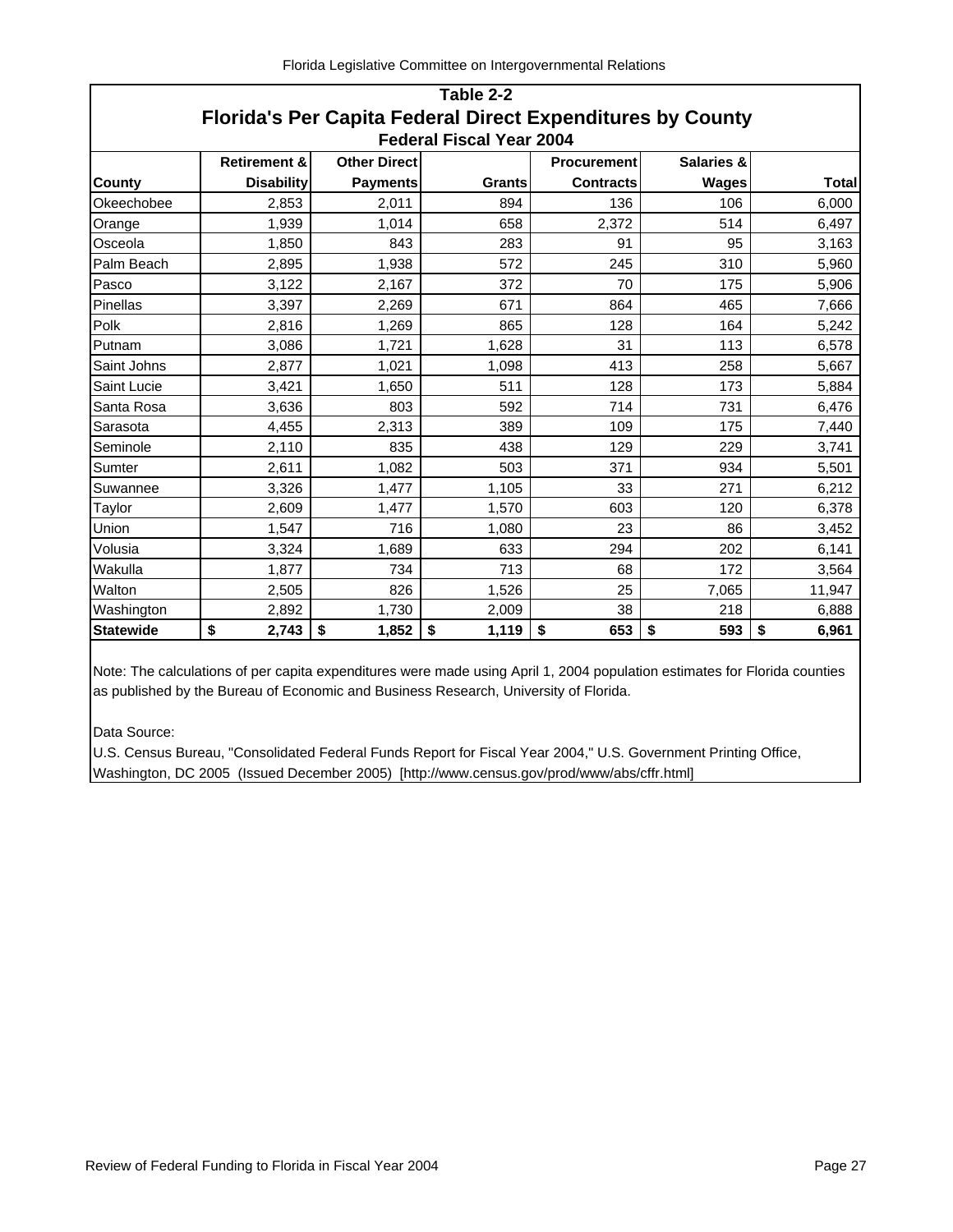|                  |                                                                   |                     | Table 2-2     |                    |              |              |  |  |  |  |  |
|------------------|-------------------------------------------------------------------|---------------------|---------------|--------------------|--------------|--------------|--|--|--|--|--|
|                  | <b>Florida's Per Capita Federal Direct Expenditures by County</b> |                     |               |                    |              |              |  |  |  |  |  |
|                  | <b>Federal Fiscal Year 2004</b>                                   |                     |               |                    |              |              |  |  |  |  |  |
|                  | <b>Retirement &amp;</b>                                           | <b>Other Direct</b> |               | <b>Procurement</b> | Salaries &   |              |  |  |  |  |  |
| <b>County</b>    | <b>Disability</b>                                                 | <b>Payments</b>     | <b>Grants</b> | <b>Contracts</b>   | <b>Wages</b> | <b>Total</b> |  |  |  |  |  |
| Okeechobee       | 2,853                                                             | 2,011               | 894           | 136                | 106          | 6,000        |  |  |  |  |  |
| Orange           | 1,939                                                             | 1,014               | 658           | 2,372              | 514          | 6,497        |  |  |  |  |  |
| Osceola          | 1,850                                                             | 843                 | 283           | 91                 | 95           | 3,163        |  |  |  |  |  |
| Palm Beach       | 2,895                                                             | 1,938               | 572           | 245                | 310          | 5,960        |  |  |  |  |  |
| Pasco            | 3,122                                                             | 2,167               | 372           | 70                 | 175          | 5,906        |  |  |  |  |  |
| Pinellas         | 3,397                                                             | 2,269               | 671           | 864                | 465          | 7,666        |  |  |  |  |  |
| Polk             | 2,816                                                             | 1,269               | 865           | 128                | 164          | 5,242        |  |  |  |  |  |
| Putnam           | 3,086                                                             | 1,721               | 1,628         | 31                 | 113          | 6,578        |  |  |  |  |  |
| Saint Johns      | 2,877                                                             | 1,021               | 1,098         | 413                | 258          | 5,667        |  |  |  |  |  |
| Saint Lucie      | 3,421                                                             | 1,650               | 511           | 128                | 173          | 5,884        |  |  |  |  |  |
| Santa Rosa       | 3,636                                                             | 803                 | 592           | 714                | 731          | 6,476        |  |  |  |  |  |
| Sarasota         | 4,455                                                             | 2,313               | 389           | 109                | 175          | 7,440        |  |  |  |  |  |
| Seminole         | 2,110                                                             | 835                 | 438           | 129                | 229          | 3,741        |  |  |  |  |  |
| Sumter           | 2,611                                                             | 1,082               | 503           | 371                | 934          | 5,501        |  |  |  |  |  |
| Suwannee         | 3,326                                                             | 1,477               | 1,105         | 33                 | 271          | 6,212        |  |  |  |  |  |
| Taylor           | 2,609                                                             | 1,477               | 1,570         | 603                | 120          | 6,378        |  |  |  |  |  |
| Union            | 1,547                                                             | 716                 | 1,080         | 23                 | 86           | 3,452        |  |  |  |  |  |
| Volusia          | 3,324                                                             | 1,689               | 633           | 294                | 202          | 6,141        |  |  |  |  |  |
| Wakulla          | 1,877                                                             | 734                 | 713           | 68                 | 172          | 3,564        |  |  |  |  |  |
| Walton           | 2,505                                                             | 826                 | 1,526         | 25                 | 7,065        | 11,947       |  |  |  |  |  |
| Washington       | 2,892                                                             | 1,730               | 2,009         | 38                 | 218          | 6,888        |  |  |  |  |  |
| <b>Statewide</b> | \$<br>2,743                                                       | \$<br>1,852         | \$<br>1,119   | \$<br>653          | \$<br>593    | \$<br>6,961  |  |  |  |  |  |

Note: The calculations of per capita expenditures were made using April 1, 2004 population estimates for Florida counties as published by the Bureau of Economic and Business Research, University of Florida.

Data Source:

U.S. Census Bureau, "Consolidated Federal Funds Report for Fiscal Year 2004," U.S. Government Printing Office, Washington, DC 2005 (Issued December 2005) [http://www.census.gov/prod/www/abs/cffr.html]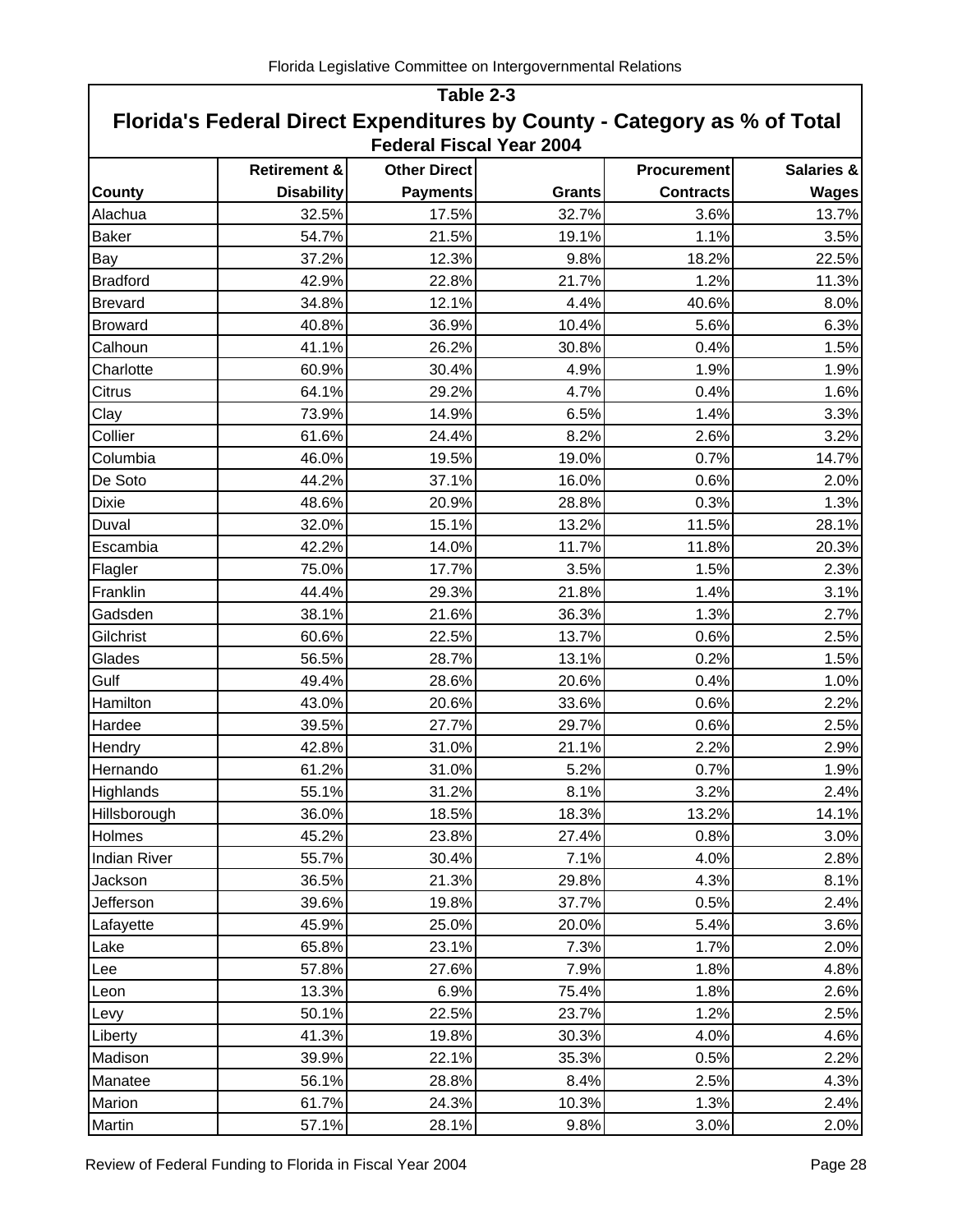|                     |                                                                          | Table 2-3                       |               |                    |                       |
|---------------------|--------------------------------------------------------------------------|---------------------------------|---------------|--------------------|-----------------------|
|                     | Florida's Federal Direct Expenditures by County - Category as % of Total |                                 |               |                    |                       |
|                     |                                                                          | <b>Federal Fiscal Year 2004</b> |               |                    |                       |
|                     | <b>Retirement &amp;</b>                                                  | <b>Other Direct</b>             |               | <b>Procurement</b> | <b>Salaries &amp;</b> |
| <b>County</b>       | <b>Disability</b>                                                        | <b>Payments</b>                 | <b>Grants</b> | <b>Contracts</b>   | <b>Wages</b>          |
| Alachua             | 32.5%                                                                    | 17.5%                           | 32.7%         | 3.6%               | 13.7%                 |
| <b>Baker</b>        | 54.7%                                                                    | 21.5%                           | 19.1%         | 1.1%               | 3.5%                  |
| Bay                 | 37.2%                                                                    | 12.3%                           | 9.8%          | 18.2%              | 22.5%                 |
| <b>Bradford</b>     | 42.9%                                                                    | 22.8%                           | 21.7%         | 1.2%               | 11.3%                 |
| <b>Brevard</b>      | 34.8%                                                                    | 12.1%                           | 4.4%          | 40.6%              | 8.0%                  |
| <b>Broward</b>      | 40.8%                                                                    | 36.9%                           | 10.4%         | 5.6%               | 6.3%                  |
| Calhoun             | 41.1%                                                                    | 26.2%                           | 30.8%         | 0.4%               | 1.5%                  |
| Charlotte           | 60.9%                                                                    | 30.4%                           | 4.9%          | 1.9%               | 1.9%                  |
| Citrus              | 64.1%                                                                    | 29.2%                           | 4.7%          | 0.4%               | 1.6%                  |
| Clay                | 73.9%                                                                    | 14.9%                           | 6.5%          | 1.4%               | 3.3%                  |
| Collier             | 61.6%                                                                    | 24.4%                           | 8.2%          | 2.6%               | 3.2%                  |
| Columbia            | 46.0%                                                                    | 19.5%                           | 19.0%         | 0.7%               | 14.7%                 |
| De Soto             | 44.2%                                                                    | 37.1%                           | 16.0%         | 0.6%               | 2.0%                  |
| <b>Dixie</b>        | 48.6%                                                                    | 20.9%                           | 28.8%         | 0.3%               | 1.3%                  |
| Duval               | 32.0%                                                                    | 15.1%                           | 13.2%         | 11.5%              | 28.1%                 |
| Escambia            | 42.2%                                                                    | 14.0%                           | 11.7%         | 11.8%              | 20.3%                 |
| Flagler             | 75.0%                                                                    | 17.7%                           | 3.5%          | 1.5%               | 2.3%                  |
| Franklin            | 44.4%                                                                    | 29.3%                           | 21.8%         | 1.4%               | 3.1%                  |
| Gadsden             | 38.1%                                                                    | 21.6%                           | 36.3%         | 1.3%               | 2.7%                  |
| Gilchrist           | 60.6%                                                                    | 22.5%                           | 13.7%         | 0.6%               | 2.5%                  |
| Glades              | 56.5%                                                                    | 28.7%                           | 13.1%         | 0.2%               | 1.5%                  |
| Gulf                | 49.4%                                                                    | 28.6%                           | 20.6%         | 0.4%               | 1.0%                  |
| Hamilton            | 43.0%                                                                    | 20.6%                           | 33.6%         | 0.6%               | 2.2%                  |
| Hardee              | 39.5%                                                                    | 27.7%                           | 29.7%         | 0.6%               | 2.5%                  |
| Hendry              | 42.8%                                                                    | 31.0%                           | 21.1%         | 2.2%               | 2.9%                  |
| Hernando            | 61.2%                                                                    | 31.0%                           | 5.2%          | 0.7%               | 1.9%                  |
| Highlands           | 55.1%                                                                    | 31.2%                           | 8.1%          | 3.2%               | 2.4%                  |
| Hillsborough        | 36.0%                                                                    | 18.5%                           | 18.3%         | 13.2%              | 14.1%                 |
| Holmes              | 45.2%                                                                    | 23.8%                           | 27.4%         | 0.8%               | 3.0%                  |
| <b>Indian River</b> | 55.7%                                                                    | 30.4%                           | 7.1%          | 4.0%               | 2.8%                  |
| Jackson             | 36.5%                                                                    | 21.3%                           | 29.8%         | 4.3%               | 8.1%                  |
| Jefferson           | 39.6%                                                                    | 19.8%                           | 37.7%         | 0.5%               | 2.4%                  |
| Lafayette           | 45.9%                                                                    | 25.0%                           | 20.0%         | 5.4%               | 3.6%                  |
| Lake                | 65.8%                                                                    | 23.1%                           | 7.3%          | 1.7%               | 2.0%                  |
| Lee                 | 57.8%                                                                    | 27.6%                           | 7.9%          | 1.8%               | 4.8%                  |
| Leon                | 13.3%                                                                    | 6.9%                            | 75.4%         | 1.8%               | 2.6%                  |
| Levy                | 50.1%                                                                    | 22.5%                           | 23.7%         | 1.2%               | 2.5%                  |
| Liberty             | 41.3%                                                                    | 19.8%                           | 30.3%         | 4.0%               | 4.6%                  |
| Madison             | 39.9%                                                                    | 22.1%                           | 35.3%         | 0.5%               | 2.2%                  |
| Manatee             | 56.1%                                                                    | 28.8%                           | 8.4%          | 2.5%               | 4.3%                  |
| Marion              | 61.7%                                                                    | 24.3%                           | 10.3%         | 1.3%               | 2.4%                  |
| Martin              | 57.1%                                                                    | 28.1%                           | 9.8%          | 3.0%               | 2.0%                  |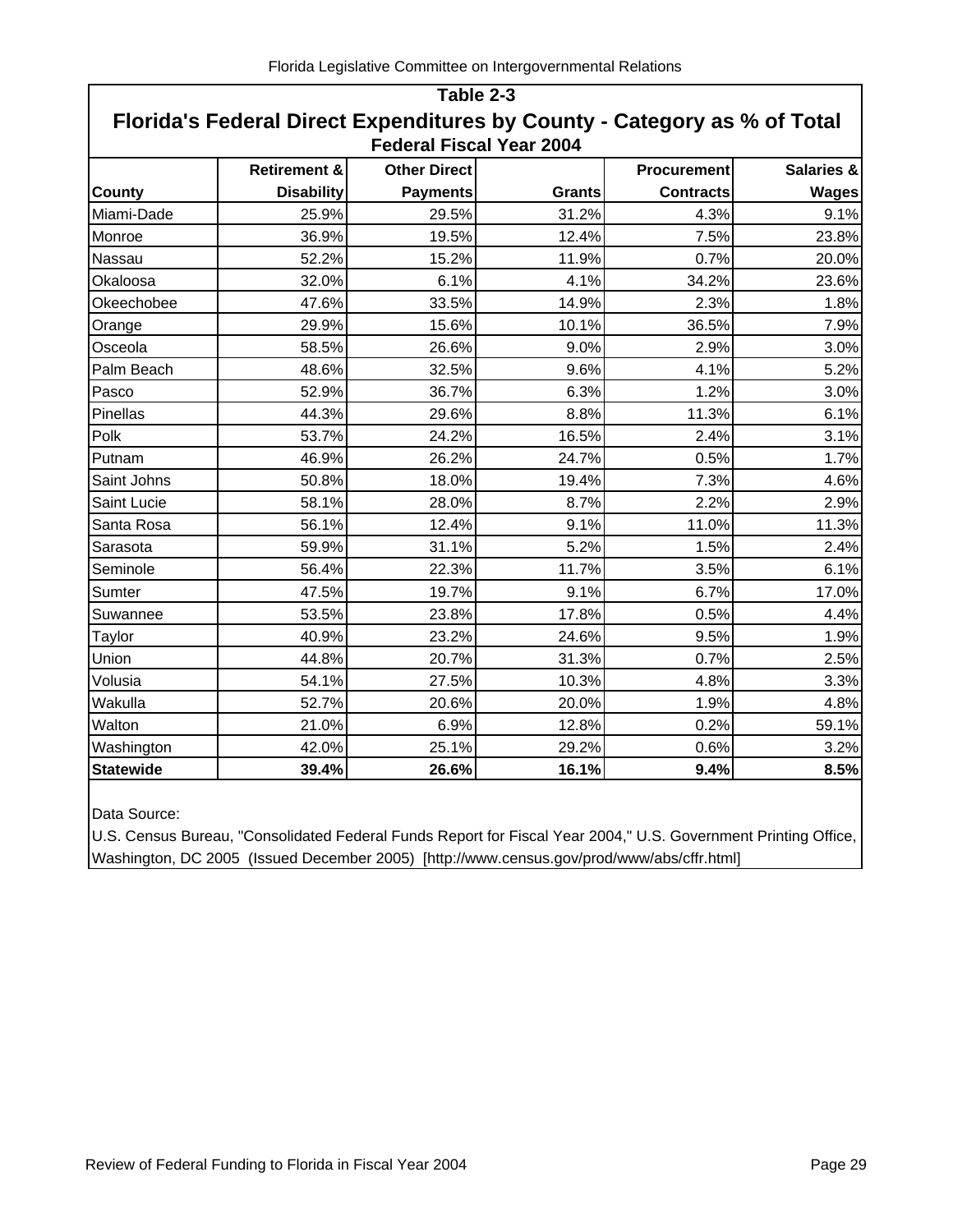|                                                                          |                         | Table 2-3           |               |                    |              |  |  |  |  |  |  |
|--------------------------------------------------------------------------|-------------------------|---------------------|---------------|--------------------|--------------|--|--|--|--|--|--|
| Florida's Federal Direct Expenditures by County - Category as % of Total |                         |                     |               |                    |              |  |  |  |  |  |  |
| <b>Federal Fiscal Year 2004</b>                                          |                         |                     |               |                    |              |  |  |  |  |  |  |
|                                                                          | <b>Retirement &amp;</b> | <b>Other Direct</b> |               | <b>Procurement</b> | Salaries &   |  |  |  |  |  |  |
| <b>County</b>                                                            | <b>Disability</b>       | <b>Payments</b>     | <b>Grants</b> | <b>Contracts</b>   | <b>Wages</b> |  |  |  |  |  |  |
| Miami-Dade                                                               | 25.9%                   | 29.5%               | 31.2%         | 4.3%               | 9.1%         |  |  |  |  |  |  |
| Monroe                                                                   | 36.9%                   | 19.5%               | 12.4%         | 7.5%               | 23.8%        |  |  |  |  |  |  |
| Nassau                                                                   | 52.2%                   | 15.2%               | 11.9%         | 0.7%               | 20.0%        |  |  |  |  |  |  |
| Okaloosa                                                                 | 32.0%                   | 6.1%                | 4.1%          | 34.2%              | 23.6%        |  |  |  |  |  |  |
| Okeechobee                                                               | 47.6%                   | 33.5%               | 14.9%         | 2.3%               | 1.8%         |  |  |  |  |  |  |
| Orange                                                                   | 29.9%                   | 15.6%               | 10.1%         | 36.5%              | 7.9%         |  |  |  |  |  |  |
| Osceola                                                                  | 58.5%                   | 26.6%               | 9.0%          | 2.9%               | 3.0%         |  |  |  |  |  |  |
| Palm Beach                                                               | 48.6%                   | 32.5%               | 9.6%          | 4.1%               | 5.2%         |  |  |  |  |  |  |
| Pasco                                                                    | 52.9%                   | 36.7%               | 6.3%          | 1.2%               | 3.0%         |  |  |  |  |  |  |
| Pinellas                                                                 | 44.3%                   | 29.6%               | 8.8%          | 11.3%              | 6.1%         |  |  |  |  |  |  |
| Polk                                                                     | 53.7%                   | 24.2%               | 16.5%         | 2.4%               | 3.1%         |  |  |  |  |  |  |
| Putnam                                                                   | 46.9%                   | 26.2%               | 24.7%         | 0.5%               | 1.7%         |  |  |  |  |  |  |
| Saint Johns                                                              | 50.8%                   | 18.0%               | 19.4%         | 7.3%               | 4.6%         |  |  |  |  |  |  |
| Saint Lucie                                                              | 58.1%                   | 28.0%               | 8.7%          | 2.2%               | 2.9%         |  |  |  |  |  |  |
| Santa Rosa                                                               | 56.1%                   | 12.4%               | 9.1%          | 11.0%              | 11.3%        |  |  |  |  |  |  |
| Sarasota                                                                 | 59.9%                   | 31.1%               | 5.2%          | 1.5%               | 2.4%         |  |  |  |  |  |  |
| Seminole                                                                 | 56.4%                   | 22.3%               | 11.7%         | 3.5%               | 6.1%         |  |  |  |  |  |  |
| Sumter                                                                   | 47.5%                   | 19.7%               | 9.1%          | 6.7%               | 17.0%        |  |  |  |  |  |  |
| Suwannee                                                                 | 53.5%                   | 23.8%               | 17.8%         | 0.5%               | 4.4%         |  |  |  |  |  |  |
| Taylor                                                                   | 40.9%                   | 23.2%               | 24.6%         | 9.5%               | 1.9%         |  |  |  |  |  |  |
| Union                                                                    | 44.8%                   | 20.7%               | 31.3%         | 0.7%               | 2.5%         |  |  |  |  |  |  |
| Volusia                                                                  | 54.1%                   | 27.5%               | 10.3%         | 4.8%               | 3.3%         |  |  |  |  |  |  |
| Wakulla                                                                  | 52.7%                   | 20.6%               | 20.0%         | 1.9%               | 4.8%         |  |  |  |  |  |  |
| Walton                                                                   | 21.0%                   | 6.9%                | 12.8%         | 0.2%               | 59.1%        |  |  |  |  |  |  |
| Washington                                                               | 42.0%                   | 25.1%               | 29.2%         | 0.6%               | 3.2%         |  |  |  |  |  |  |
| <b>Statewide</b>                                                         | 39.4%                   | 26.6%               | 16.1%         | 9.4%               | 8.5%         |  |  |  |  |  |  |

Data Source:

U.S. Census Bureau, "Consolidated Federal Funds Report for Fiscal Year 2004," U.S. Government Printing Office, Washington, DC 2005 (Issued December 2005) [http://www.census.gov/prod/www/abs/cffr.html]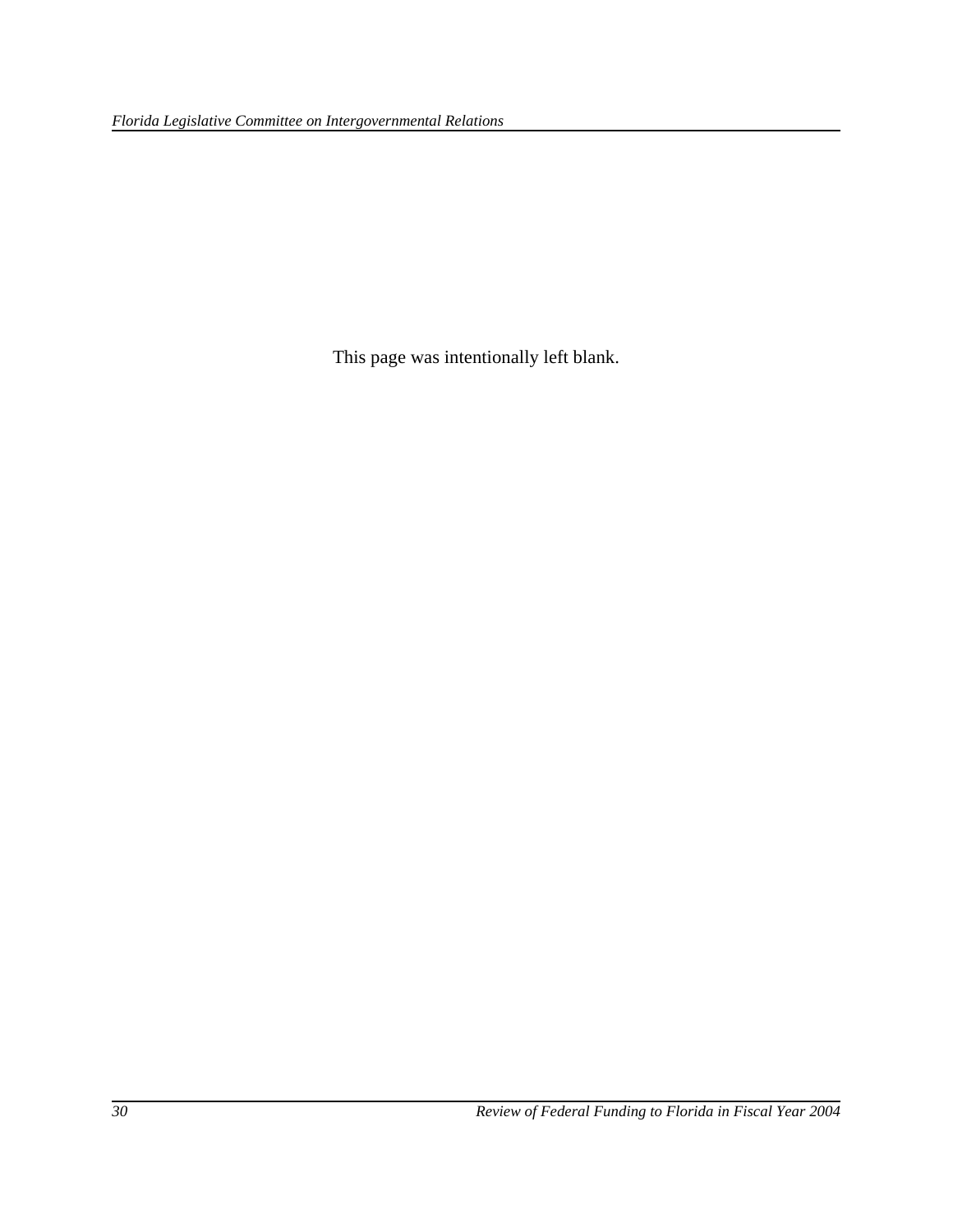This page was intentionally left blank.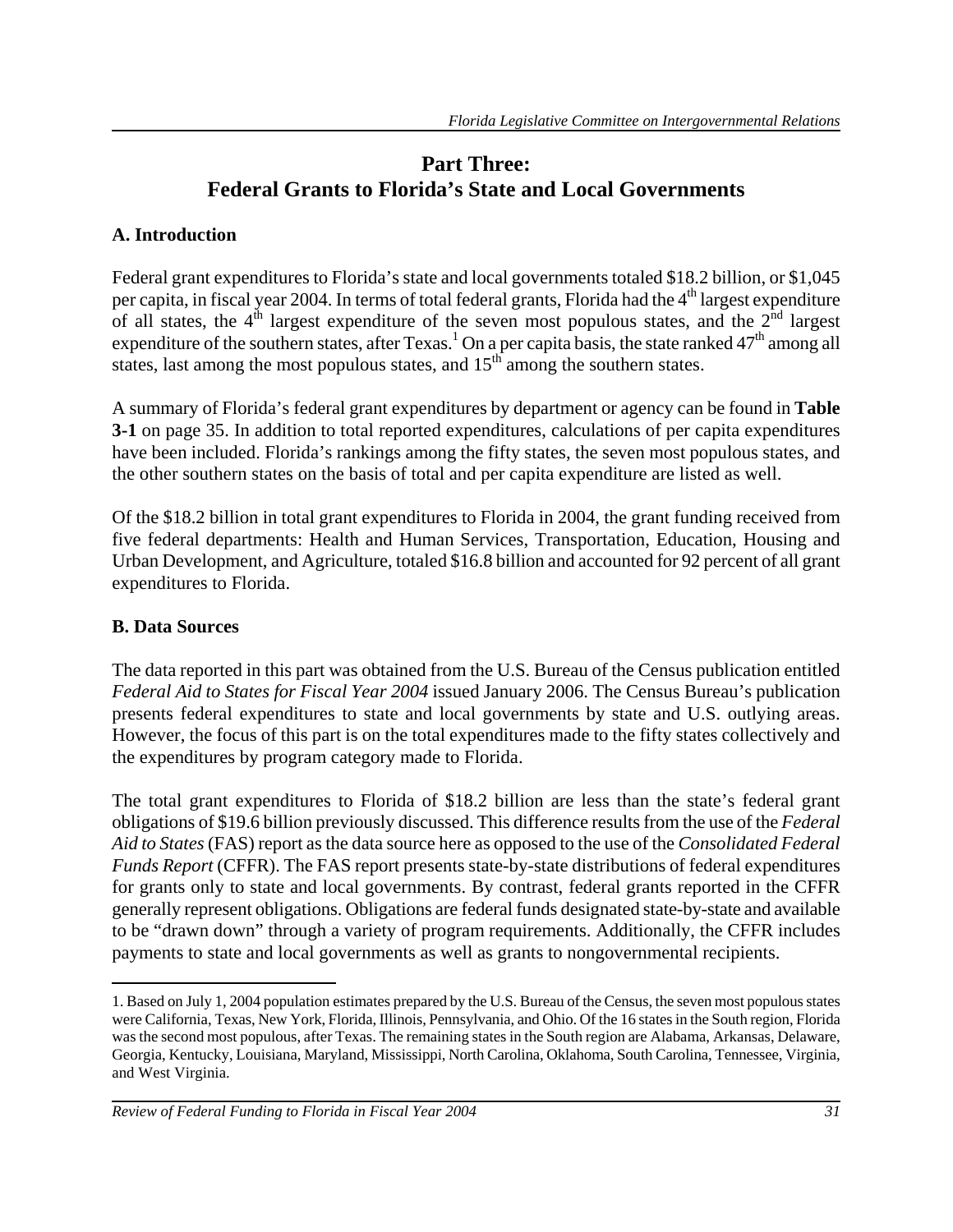# **Part Three: Federal Grants to Florida's State and Local Governments**

## **A. Introduction**

Federal grant expenditures to Florida's state and local governments totaled \$18.2 billion, or \$1,045 per capita, in fiscal year 2004. In terms of total federal grants, Florida had the 4<sup>th</sup> largest expenditure of all states, the  $4<sup>th</sup>$  largest expenditure of the seven most populous states, and the  $2<sup>nd</sup>$  largest expenditure of the southern states, after Texas.<sup>1</sup> On a per capita basis, the state ranked  $47<sup>th</sup>$  among all states, last among the most populous states, and  $15<sup>th</sup>$  among the southern states.

A summary of Florida's federal grant expenditures by department or agency can be found in **Table 3-1** on page 35. In addition to total reported expenditures, calculations of per capita expenditures have been included. Florida's rankings among the fifty states, the seven most populous states, and the other southern states on the basis of total and per capita expenditure are listed as well.

Of the \$18.2 billion in total grant expenditures to Florida in 2004, the grant funding received from five federal departments: Health and Human Services, Transportation, Education, Housing and Urban Development, and Agriculture, totaled \$16.8 billion and accounted for 92 percent of all grant expenditures to Florida.

### **B. Data Sources**

<u>.</u>

The data reported in this part was obtained from the U.S. Bureau of the Census publication entitled *Federal Aid to States for Fiscal Year 2004* issued January 2006. The Census Bureau's publication presents federal expenditures to state and local governments by state and U.S. outlying areas. However, the focus of this part is on the total expenditures made to the fifty states collectively and the expenditures by program category made to Florida.

The total grant expenditures to Florida of \$18.2 billion are less than the state's federal grant obligations of \$19.6 billion previously discussed. This difference results from the use of the *Federal Aid to States* (FAS) report as the data source here as opposed to the use of the *Consolidated Federal Funds Report* (CFFR). The FAS report presents state-by-state distributions of federal expenditures for grants only to state and local governments. By contrast, federal grants reported in the CFFR generally represent obligations. Obligations are federal funds designated state-by-state and available to be "drawn down" through a variety of program requirements. Additionally, the CFFR includes payments to state and local governments as well as grants to nongovernmental recipients.

<sup>1.</sup> Based on July 1, 2004 population estimates prepared by the U.S. Bureau of the Census, the seven most populous states were California, Texas, New York, Florida, Illinois, Pennsylvania, and Ohio. Of the 16 states in the South region, Florida was the second most populous, after Texas. The remaining states in the South region are Alabama, Arkansas, Delaware, Georgia, Kentucky, Louisiana, Maryland, Mississippi, North Carolina, Oklahoma, South Carolina, Tennessee, Virginia, and West Virginia.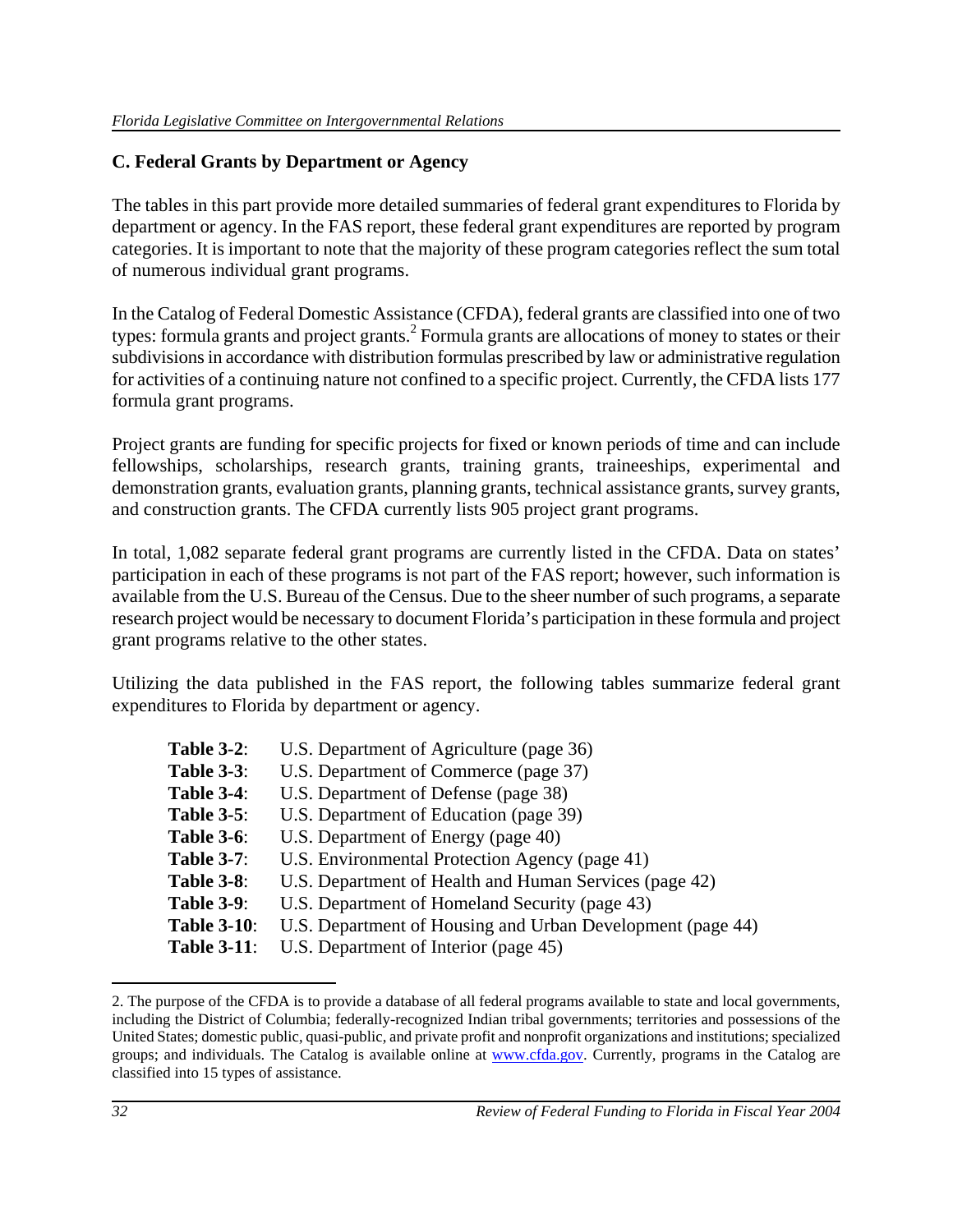### **C. Federal Grants by Department or Agency**

The tables in this part provide more detailed summaries of federal grant expenditures to Florida by department or agency. In the FAS report, these federal grant expenditures are reported by program categories. It is important to note that the majority of these program categories reflect the sum total of numerous individual grant programs.

In the Catalog of Federal Domestic Assistance (CFDA), federal grants are classified into one of two types: formula grants and project grants.<sup>2</sup> Formula grants are allocations of money to states or their subdivisions in accordance with distribution formulas prescribed by law or administrative regulation for activities of a continuing nature not confined to a specific project. Currently, the CFDA lists 177 formula grant programs.

Project grants are funding for specific projects for fixed or known periods of time and can include fellowships, scholarships, research grants, training grants, traineeships, experimental and demonstration grants, evaluation grants, planning grants, technical assistance grants, survey grants, and construction grants. The CFDA currently lists 905 project grant programs.

In total, 1,082 separate federal grant programs are currently listed in the CFDA. Data on states' participation in each of these programs is not part of the FAS report; however, such information is available from the U.S. Bureau of the Census. Due to the sheer number of such programs, a separate research project would be necessary to document Florida's participation in these formula and project grant programs relative to the other states.

Utilizing the data published in the FAS report, the following tables summarize federal grant expenditures to Florida by department or agency.

| <b>Table 3-2:</b>  | U.S. Department of Agriculture (page 36)                   |
|--------------------|------------------------------------------------------------|
| <b>Table 3-3:</b>  | U.S. Department of Commerce (page 37)                      |
| <b>Table 3-4:</b>  | U.S. Department of Defense (page 38)                       |
| <b>Table 3-5:</b>  | U.S. Department of Education (page 39)                     |
| <b>Table 3-6:</b>  | U.S. Department of Energy (page 40)                        |
| <b>Table 3-7:</b>  | U.S. Environmental Protection Agency (page 41)             |
| <b>Table 3-8:</b>  | U.S. Department of Health and Human Services (page 42)     |
| <b>Table 3-9:</b>  | U.S. Department of Homeland Security (page 43)             |
| <b>Table 3-10:</b> | U.S. Department of Housing and Urban Development (page 44) |
| <b>Table 3-11:</b> | U.S. Department of Interior (page 45)                      |

<sup>2.</sup> The purpose of the CFDA is to provide a database of all federal programs available to state and local governments, including the District of Columbia; federally-recognized Indian tribal governments; territories and possessions of the United States; domestic public, quasi-public, and private profit and nonprofit organizations and institutions; specialized groups; and individuals. The Catalog is available online at www.cfda.gov. Currently, programs in the Catalog are classified into 15 types of assistance.

 $\overline{a}$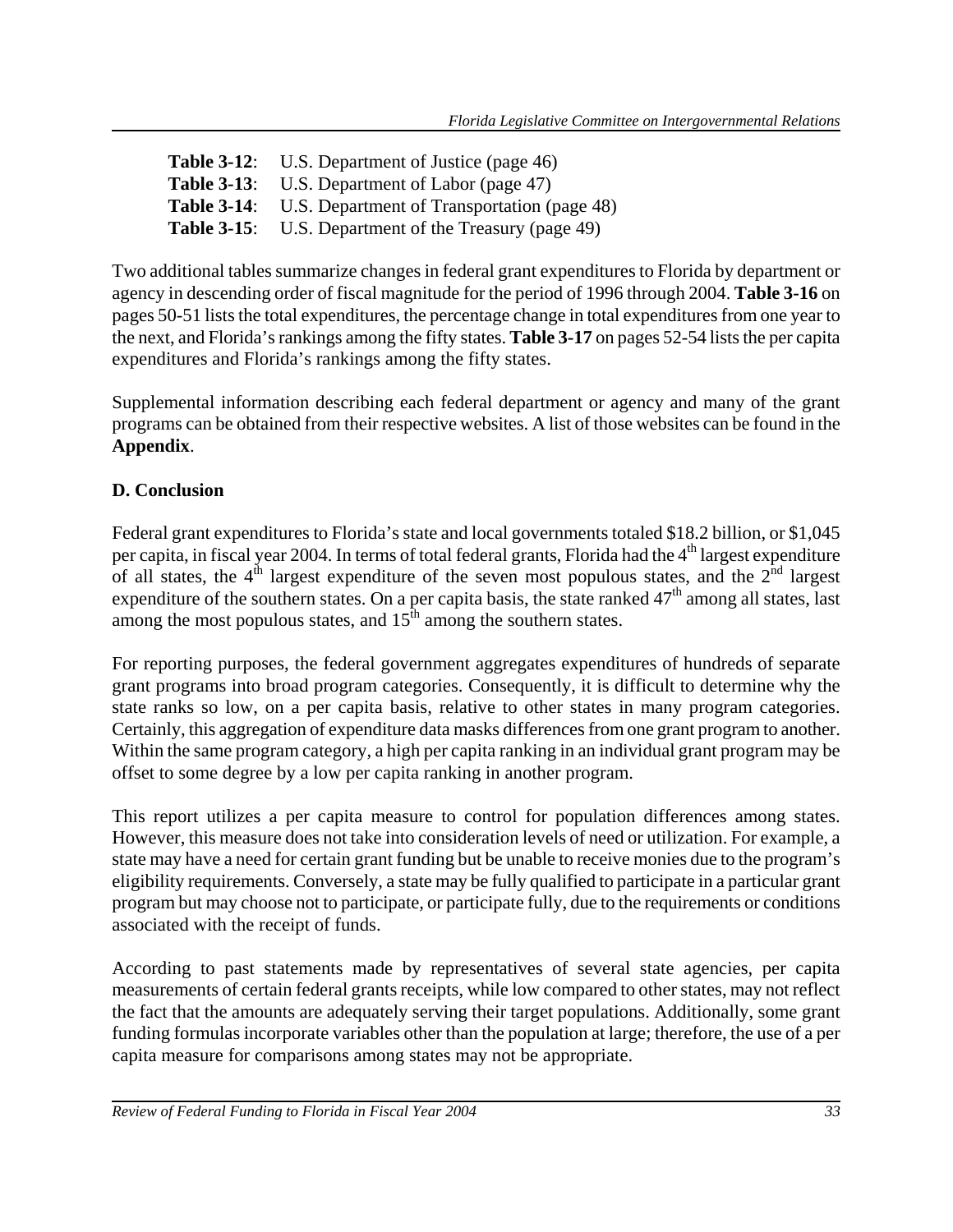| <b>Table 3-12:</b> U.S. Department of Justice (page 46)        |
|----------------------------------------------------------------|
| <b>Table 3-13:</b> U.S. Department of Labor (page 47)          |
| <b>Table 3-14:</b> U.S. Department of Transportation (page 48) |
| <b>Table 3-15:</b> U.S. Department of the Treasury (page 49)   |

Two additional tables summarize changes in federal grant expenditures to Florida by department or agency in descending order of fiscal magnitude for the period of 1996 through 2004. **Table 3-16** on pages 50-51 lists the total expenditures, the percentage change in total expenditures from one year to the next, and Florida's rankings among the fifty states. **Table 3-17** on pages 52-54 lists the per capita expenditures and Florida's rankings among the fifty states.

Supplemental information describing each federal department or agency and many of the grant programs can be obtained from their respective websites. A list of those websites can be found in the **Appendix**.

## **D. Conclusion**

Federal grant expenditures to Florida's state and local governments totaled \$18.2 billion, or \$1,045 per capita, in fiscal year 2004. In terms of total federal grants, Florida had the 4<sup>th</sup> largest expenditure of all states, the  $4<sup>th</sup>$  largest expenditure of the seven most populous states, and the  $2<sup>nd</sup>$  largest expenditure of the southern states. On a per capita basis, the state ranked  $47<sup>th</sup>$  among all states, last among the most populous states, and  $15<sup>th</sup>$  among the southern states.

For reporting purposes, the federal government aggregates expenditures of hundreds of separate grant programs into broad program categories. Consequently, it is difficult to determine why the state ranks so low, on a per capita basis, relative to other states in many program categories. Certainly, this aggregation of expenditure data masks differences from one grant program to another. Within the same program category, a high per capita ranking in an individual grant program may be offset to some degree by a low per capita ranking in another program.

This report utilizes a per capita measure to control for population differences among states. However, this measure does not take into consideration levels of need or utilization. For example, a state may have a need for certain grant funding but be unable to receive monies due to the program's eligibility requirements. Conversely, a state may be fully qualified to participate in a particular grant program but may choose not to participate, or participate fully, due to the requirements or conditions associated with the receipt of funds.

According to past statements made by representatives of several state agencies, per capita measurements of certain federal grants receipts, while low compared to other states, may not reflect the fact that the amounts are adequately serving their target populations. Additionally, some grant funding formulas incorporate variables other than the population at large; therefore, the use of a per capita measure for comparisons among states may not be appropriate.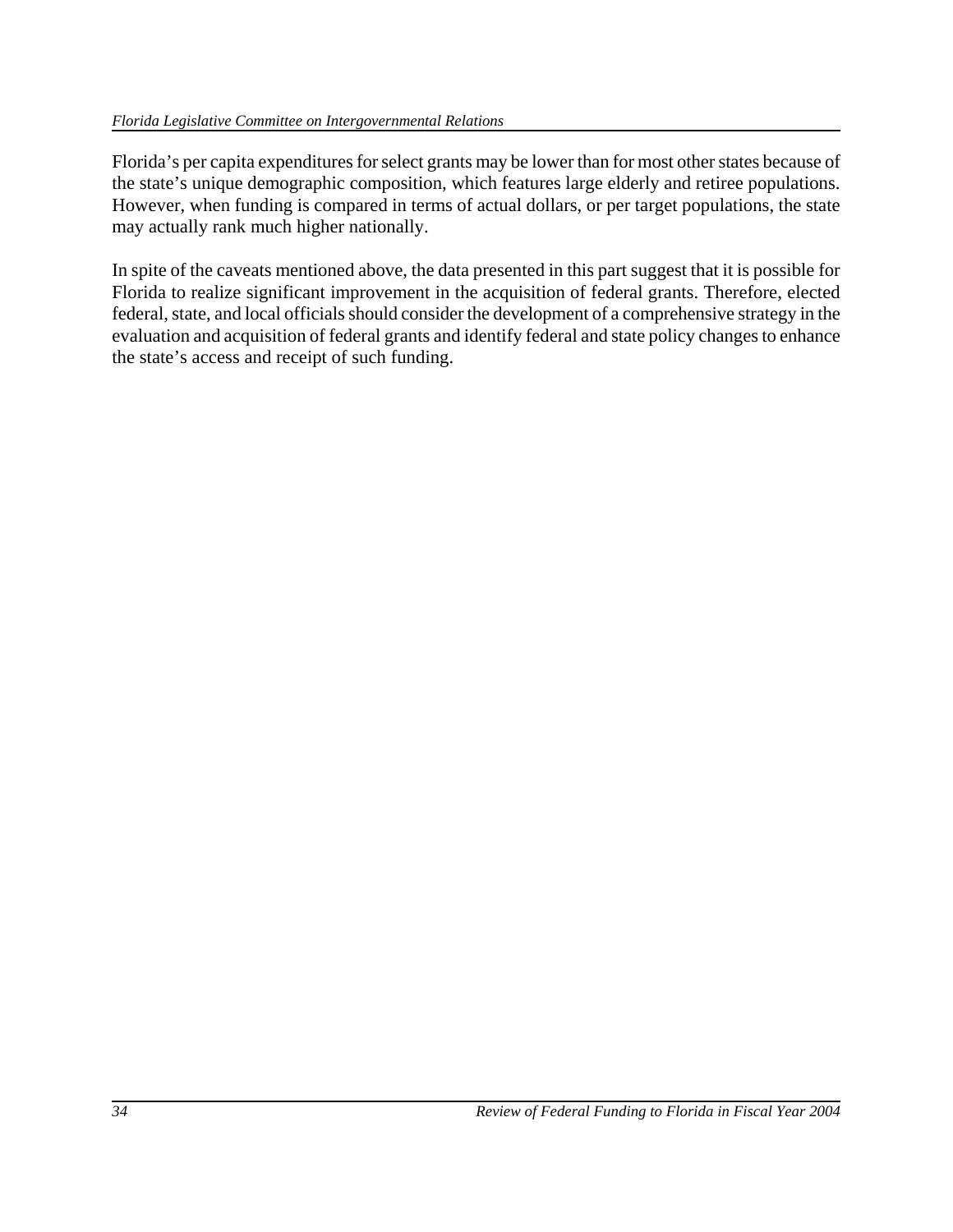Florida's per capita expenditures for select grants may be lower than for most other states because of the state's unique demographic composition, which features large elderly and retiree populations. However, when funding is compared in terms of actual dollars, or per target populations, the state may actually rank much higher nationally.

In spite of the caveats mentioned above, the data presented in this part suggest that it is possible for Florida to realize significant improvement in the acquisition of federal grants. Therefore, elected federal, state, and local officials should consider the development of a comprehensive strategy in the evaluation and acquisition of federal grants and identify federal and state policy changes to enhance the state's access and receipt of such funding.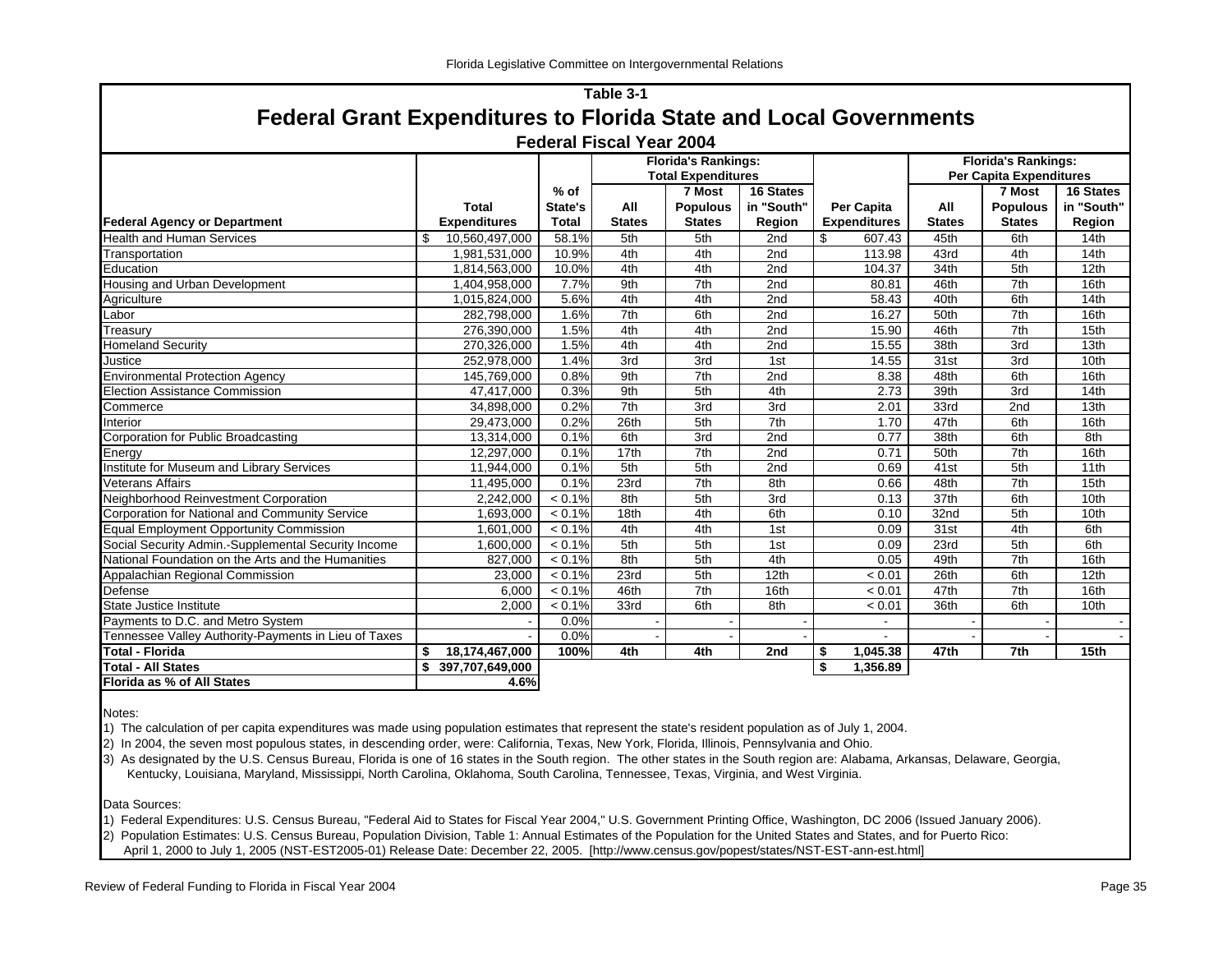| Table 3-1                                                                |
|--------------------------------------------------------------------------|
| <b>Federal Grant Expenditures to Florida State and Local Governments</b> |
| Eaderal Ficant Vess 2004                                                 |

|                                                      |                                     |                                   | <b>Federal Fiscal Year 2004</b> |                                                                                 |                 |                                   |                      |                                                              |                                          |
|------------------------------------------------------|-------------------------------------|-----------------------------------|---------------------------------|---------------------------------------------------------------------------------|-----------------|-----------------------------------|----------------------|--------------------------------------------------------------|------------------------------------------|
|                                                      |                                     |                                   |                                 | <b>Florida's Rankings:</b><br><b>Total Expenditures</b>                         |                 |                                   |                      | <b>Florida's Rankings:</b><br><b>Per Capita Expenditures</b> |                                          |
| <b>Federal Agency or Department</b>                  | <b>Total</b><br><b>Expenditures</b> | $%$ of<br>State's<br><b>Total</b> | All<br><b>States</b>            | 7 Most<br>16 States<br>in "South"<br><b>Populous</b><br><b>States</b><br>Region |                 | Per Capita<br><b>Expenditures</b> | All<br><b>States</b> | 7 Most<br><b>Populous</b><br><b>States</b>                   | <b>16 States</b><br>in "South"<br>Region |
| <b>Health and Human Services</b>                     | 10,560,497,000<br>\$                | 58.1%                             | 5th                             | 5th                                                                             | 2nd             | 607.43<br>\$                      | 45th                 | 6th                                                          | 14th                                     |
| Transportation                                       | 1,981,531,000                       | 10.9%                             | 4th                             | 4th                                                                             | 2nd             | 113.98                            | 43rd                 | 4th                                                          | 14th                                     |
| Education                                            | 1,814,563,000                       | 10.0%                             | 4th                             | 4th                                                                             | 2 <sub>nd</sub> | 104.37                            | 34th                 | 5th                                                          | 12th                                     |
| Housing and Urban Development                        | 1,404,958,000                       | 7.7%                              | 9th                             | 7th                                                                             | 2nd             | 80.81                             | 46th                 | 7th                                                          | 16th                                     |
| Agriculture                                          | 1,015,824,000                       | 5.6%                              | 4th                             | 4th                                                                             | 2nd             | 58.43                             | 40th                 | 6th                                                          | 14th                                     |
| Labor                                                | 282,798,000                         | 1.6%                              | 7th                             | 6th                                                                             | 2 <sub>nd</sub> | 16.27                             | 50th                 | 7th                                                          | 16th                                     |
| Treasury                                             | 276,390,000                         | 1.5%                              | 4th                             | 4th                                                                             | 2 <sub>nd</sub> | 15.90                             | 46th                 | 7th                                                          | 15th                                     |
| <b>Homeland Security</b>                             | 270,326,000                         | 1.5%                              | 4th                             | 4th                                                                             | 2nd             | 15.55                             | 38th                 | 3rd                                                          | 13th                                     |
| Justice                                              | 252,978,000                         | 1.4%                              | 3rd                             | 3rd                                                                             | 1st             | 14.55                             | 31st                 | 3rd                                                          | 10th                                     |
| <b>Environmental Protection Agency</b>               | 145.769.000                         | 0.8%                              | 9th                             | 7th                                                                             | 2nd             | 8.38                              | 48th                 | 6th                                                          | 16th                                     |
| <b>Election Assistance Commission</b>                | 47,417,000                          | 0.3%                              | 9th                             | 5th                                                                             | 4th             | 2.73                              | 39th                 | 3rd                                                          | 14th                                     |
| Commerce                                             | 34,898,000                          | 0.2%                              | 7th                             | 3rd                                                                             | 3rd             | 2.01                              | 33rd                 | 2 <sub>nd</sub>                                              | 13th                                     |
| Interior                                             | 29,473,000                          | 0.2%                              | 26th                            | 5th                                                                             | 7th             | 1.70                              | 47th                 | 6th                                                          | 16th                                     |
| Corporation for Public Broadcasting                  | 13,314,000                          | 0.1%                              | 6th                             | 3rd                                                                             | 2 <sub>nd</sub> | 0.77                              | 38th                 | 6th                                                          | 8th                                      |
| Energy                                               | 12,297,000                          | 0.1%                              | 17th                            | 7th                                                                             | 2nd             | 0.71                              | 50th                 | $\overline{7}$ th                                            | 16th                                     |
| Institute for Museum and Library Services            | 11,944,000                          | 0.1%                              | 5th                             | 5th                                                                             | 2nd             | 0.69                              | 41st                 | 5th                                                          | 11th                                     |
| Veterans Affairs                                     | 11,495,000                          | 0.1%                              | 23rd                            | 7th                                                                             | 8th             | 0.66                              | 48th                 | 7th                                                          | 15th                                     |
| Neighborhood Reinvestment Corporation                | 2,242,000                           | $< 0.1\%$                         | 8th                             | 5th                                                                             | 3rd             | 0.13                              | 37th                 | 6th                                                          | 10th                                     |
| Corporation for National and Community Service       | 1,693,000                           | $< 0.1\%$                         | 18th                            | 4th                                                                             | 6th             | 0.10                              | 32nd                 | 5th                                                          | 10th                                     |
| <b>Equal Employment Opportunity Commission</b>       | 1,601,000                           | $< 0.1\%$                         | 4th                             | 4th                                                                             | 1st             | 0.09                              | 31st                 | 4th                                                          | 6th                                      |
| Social Security Admin.-Supplemental Security Income  | 1,600,000                           | $< 0.1\%$                         | 5th                             | 5th                                                                             | 1st             | 0.09                              | 23rd                 | 5th                                                          | 6th                                      |
| National Foundation on the Arts and the Humanities   | 827,000                             | $< 0.1\%$                         | 8th                             | 5th                                                                             | 4th             | 0.05                              | 49th                 | 7th                                                          | 16th                                     |
| Appalachian Regional Commission                      | 23,000                              | $< 0.1\%$                         | 23rd                            | 5th                                                                             | 12th            | < 0.01                            | 26th                 | 6th                                                          | 12th                                     |
| Defense                                              | 6,000                               | $< 0.1\%$                         | 46th                            | 7th                                                                             | 16th            | < 0.01                            | 47th                 | 7th                                                          | 16th                                     |
| State Justice Institute                              | 2.000                               | $< 0.1\%$                         | 33rd                            | 6th                                                                             | 8th             | < 0.01                            | 36th                 | 6th                                                          | 10th                                     |
| Payments to D.C. and Metro System                    |                                     | 0.0%                              |                                 |                                                                                 |                 |                                   |                      |                                                              |                                          |
| Tennessee Valley Authority-Payments in Lieu of Taxes |                                     | 0.0%                              |                                 |                                                                                 |                 |                                   |                      |                                                              |                                          |
| <b>Total - Florida</b>                               | \$<br>18,174,467,000                | 100%                              | 4th                             | 4th                                                                             | 2nd             | 1,045.38<br>\$                    | 47th                 | 7th                                                          | 15 <sub>th</sub>                         |
| <b>Total - All States</b>                            | \$<br>397,707,649,000               |                                   |                                 |                                                                                 |                 | \$<br>1,356.89                    |                      |                                                              |                                          |
| Florida as % of All States                           | 4.6%                                |                                   |                                 |                                                                                 |                 |                                   |                      |                                                              |                                          |

1) The calculation of per capita expenditures was made using population estimates that represent the state's resident population as of July 1, 2004.

2) In 2004, the seven most populous states, in descending order, were: California, Texas, New York, Florida, Illinois, Pennsylvania and Ohio.

3) As designated by the U.S. Census Bureau, Florida is one of 16 states in the South region. The other states in the South region are: Alabama, Arkansas, Delaware, Georgia, Kentucky, Louisiana, Maryland, Mississippi, North Carolina, Oklahoma, South Carolina, Tennessee, Texas, Virginia, and West Virginia.

Data Sources:

1) Federal Expenditures: U.S. Census Bureau, "Federal Aid to States for Fiscal Year 2004," U.S. Government Printing Office, Washington, DC 2006 (Issued January 2006).

2) Population Estimates: U.S. Census Bureau, Population Division, Table 1: Annual Estimates of the Population for the United States and States, and for Puerto Rico: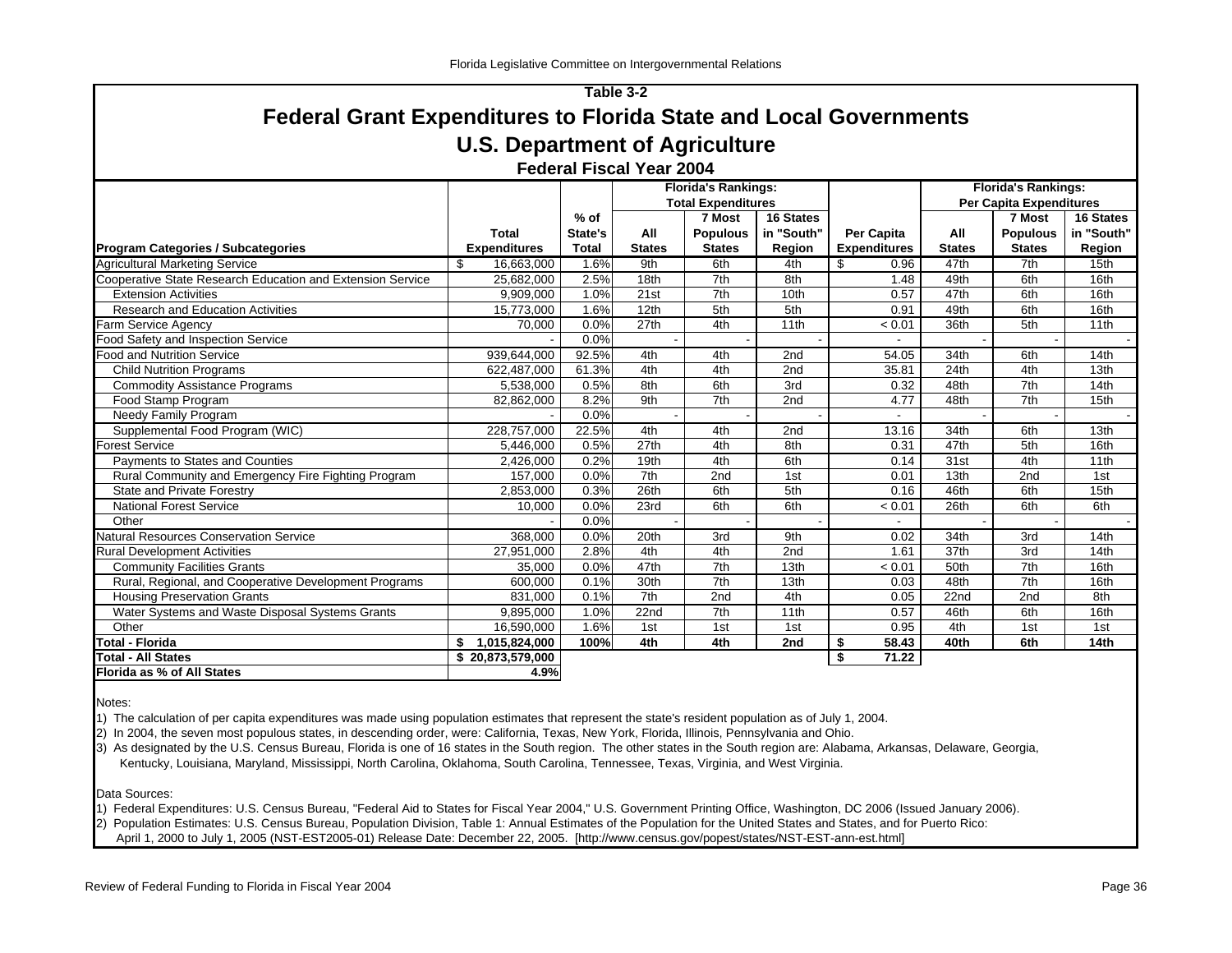| Table 3-2                                                                     |                                       |              |                                 |                           |                  |                     |               |                                |                            |
|-------------------------------------------------------------------------------|---------------------------------------|--------------|---------------------------------|---------------------------|------------------|---------------------|---------------|--------------------------------|----------------------------|
| <b>Federal Grant Expenditures to Florida State and Local Governments</b>      |                                       |              |                                 |                           |                  |                     |               |                                |                            |
|                                                                               |                                       |              |                                 |                           |                  |                     |               |                                |                            |
|                                                                               | <b>U.S. Department of Agriculture</b> |              |                                 |                           |                  |                     |               |                                |                            |
|                                                                               |                                       |              | <b>Federal Fiscal Year 2004</b> |                           |                  |                     |               |                                |                            |
|                                                                               | <b>Florida's Rankings:</b>            |              |                                 |                           |                  |                     |               |                                | <b>Florida's Rankings:</b> |
|                                                                               |                                       |              |                                 | <b>Total Expenditures</b> |                  |                     |               | <b>Per Capita Expenditures</b> |                            |
|                                                                               |                                       | $%$ of       |                                 | 7 Most                    | 16 States        |                     |               | 7 Most                         | <b>16 States</b>           |
|                                                                               | <b>Total</b>                          | State's      | All                             | <b>Populous</b>           | in "South"       | <b>Per Capita</b>   | All           | <b>Populous</b>                | in "South"                 |
| <b>Program Categories / Subcategories</b>                                     | <b>Expenditures</b>                   | <b>Total</b> | <b>States</b>                   | <b>States</b>             | Region           | <b>Expenditures</b> | <b>States</b> | <b>States</b>                  | Region                     |
| <b>Agricultural Marketing Service</b>                                         | 16,663,000                            | 1.6%         | 9th                             | 6th                       | 4th              | \$<br>0.96          | 47th          | 7th                            | 15th                       |
| Cooperative State Research Education and Extension Service                    | 25.682.000                            | 2.5%         | 18th                            | 7th                       | 8th              | 1.48                | 49th          | 6th                            | 16th                       |
| <b>Extension Activities</b>                                                   | 9,909,000                             | 1.0%         | 21st                            | 7th                       | 10th             | 0.57                | 47th          | 6th                            | 16th                       |
| <b>Research and Education Activities</b>                                      | 15,773,000                            | 1.6%         | 12th                            | 5th                       | 5th              | 0.91                | 49th          | 6th                            | 16th                       |
| Farm Service Agency                                                           | 70,000                                | 0.0%         | 27th                            | 4th                       | 11th             | < 0.01              | 36th          | 5th                            | 11th                       |
| Food Safety and Inspection Service                                            |                                       | 0.0%         |                                 |                           |                  | $\sim$              |               |                                |                            |
| <b>Food and Nutrition Service</b>                                             | 939.644.000                           | 92.5%        | 4th                             | 4th                       | 2nd              | 54.05               | 34th          | 6th                            | 14th                       |
| <b>Child Nutrition Programs</b>                                               | 622,487,000                           | 61.3%        | 4th                             | 4th                       | 2nd              | 35.81               | 24th          | 4th                            | 13th                       |
| <b>Commodity Assistance Programs</b>                                          | 5,538,000                             | 0.5%         | 8th<br>9th                      | 6th                       | 3rd              | 0.32                | 48th          | 7th<br>7th                     | 14th                       |
| Food Stamp Program                                                            | 82,862,000                            | 8.2%<br>0.0% |                                 | 7th                       | 2nd              | 4.77                | 48th          |                                | 15th                       |
| Needy Family Program                                                          |                                       | 22.5%        |                                 |                           |                  |                     |               |                                |                            |
| Supplemental Food Program (WIC)                                               | 228,757,000                           |              | 4th<br>27th                     | 4th                       | 2nd              | 13.16               | 34th          | 6th                            | 13 <sub>th</sub>           |
| <b>Forest Service</b>                                                         | 5,446,000                             | 0.5%         |                                 | 4th                       | 8th              | 0.31                | 47th          | 5th                            | 16th                       |
| Payments to States and Counties                                               | 2,426,000                             | 0.2%         | 19th                            | 4th                       | 6th              | 0.14                | 31st          | 4th                            | 11th                       |
| Rural Community and Emergency Fire Fighting Program                           | 157.000                               | 0.0%         | 7th                             | 2nd                       | 1st              | 0.01                | 13th          | 2nd                            | 1st                        |
| State and Private Forestry<br><b>National Forest Service</b>                  | 2,853,000                             | 0.3%<br>0.0% | 26th<br>23rd                    | 6th<br>6th                | 5th<br>6th       | 0.16                | 46th<br>26th  | 6th<br>6th                     | 15th                       |
| Other                                                                         | 10,000                                | 0.0%         |                                 |                           |                  | < 0.01              |               |                                | 6th                        |
|                                                                               | 368,000                               | 0.0%         | 20th                            | 3rd                       |                  | 0.02                | 34th          |                                |                            |
| Natural Resources Conservation Service<br><b>Rural Development Activities</b> | 27,951,000                            | 2.8%         | 4th                             | 4th                       | 9th<br>2nd       | 1.61                | 37th          | 3rd<br>3rd                     | 14 <sub>th</sub><br>14th   |
| <b>Community Facilities Grants</b>                                            | 35.000                                | 0.0%         | 47th                            | 7th                       | 13 <sub>th</sub> | < 0.01              | 50th          | 7th                            | 16th                       |
| Rural, Regional, and Cooperative Development Programs                         | 600,000                               | 0.1%         | 30th                            | 7th                       | 13th             | 0.03                | 48th          | 7th                            | 16th                       |
| <b>Housing Preservation Grants</b>                                            | 831,000                               | 0.1%         | 7th                             | 2nd                       | 4th              | 0.05                | 22nd          | 2nd                            | 8th                        |
| Water Systems and Waste Disposal Systems Grants                               | 9.895.000                             | 1.0%         | 22 <sub>nd</sub>                | 7th                       | 11th             | 0.57                | 46th          | 6th                            | 16th                       |
| Other                                                                         | 16,590,000                            | 1.6%         | 1st                             | 1st                       | 1st              | 0.95                | 4th           | 1st                            | 1st                        |
| <b>Total - Florida</b>                                                        | 1,015,824,000<br>\$                   | 100%         | 4th                             | 4th                       | 2nd              | 58.43<br>\$         | 40th          | 6th                            | 14th                       |
| <b>Total - All States</b>                                                     | $\overline{20,873,579,000}$           |              |                                 |                           |                  | 71.22<br>\$         |               |                                |                            |
| Florida as % of All States                                                    | 4.9%                                  |              |                                 |                           |                  |                     |               |                                |                            |

1) The calculation of per capita expenditures was made using population estimates that represent the state's resident population as of July 1, 2004.

2) In 2004, the seven most populous states, in descending order, were: California, Texas, New York, Florida, Illinois, Pennsylvania and Ohio.

3) As designated by the U.S. Census Bureau, Florida is one of 16 states in the South region. The other states in the South region are: Alabama, Arkansas, Delaware, Georgia, Kentucky, Louisiana, Maryland, Mississippi, North Carolina, Oklahoma, South Carolina, Tennessee, Texas, Virginia, and West Virginia.

Data Sources:

1) Federal Expenditures: U.S. Census Bureau, "Federal Aid to States for Fiscal Year 2004," U.S. Government Printing Office, Washington, DC 2006 (Issued January 2006).

2) Population Estimates: U.S. Census Bureau, Population Division, Table 1: Annual Estimates of the Population for the United States and States, and for Puerto Rico: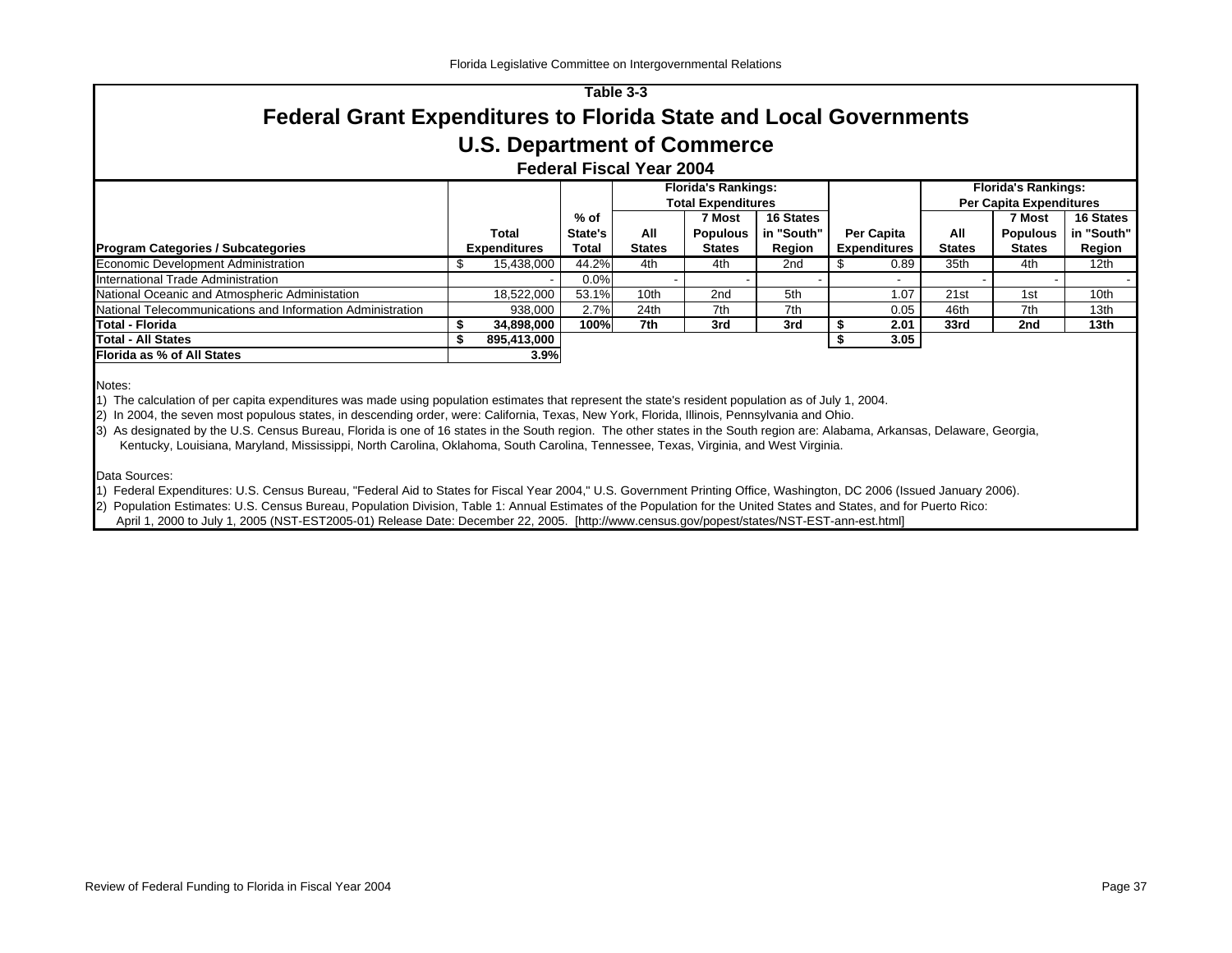# **Table 3-3U.S. Department of Commerce Federal Grant Expenditures to Florida State and Local Governments**

#### **Federal Fiscal Year 2004**

|                                                            |                     |         | <b>Florida's Rankings:</b> |                           |                  |                     |                                | <b>Florida's Rankings:</b> |                  |
|------------------------------------------------------------|---------------------|---------|----------------------------|---------------------------|------------------|---------------------|--------------------------------|----------------------------|------------------|
|                                                            |                     |         |                            | <b>Total Expenditures</b> |                  |                     | <b>Per Capita Expenditures</b> |                            |                  |
|                                                            |                     | $%$ of  |                            | 7 Most                    | <b>16 States</b> |                     |                                | 7 Most                     | 16 States        |
|                                                            | Total               | State's | All                        | <b>Populous</b>           | in "South"       | <b>Per Capita</b>   | All                            | <b>Populous</b>            | in "South"       |
| <b>Program Categories / Subcategories</b>                  | <b>Expenditures</b> | Total   | <b>States</b>              | <b>States</b>             | Region           | <b>Expenditures</b> | <b>States</b>                  | <b>States</b>              | Region           |
| Economic Development Administration                        | 15,438,000          | 44.2%   | 4th                        | 4th                       | 2nd              | 0.89                | 35th                           | 4th                        | 12th             |
| International Trade Administration                         |                     | 0.0%    |                            |                           |                  |                     |                                |                            |                  |
| National Oceanic and Atmospheric Administation             | 18,522,000          | 53.1%   | 10th                       | 2 <sub>nd</sub>           | 5th              | 1.07                | 21st                           | 1st                        | 10th             |
| National Telecommunications and Information Administration | 938,000             | 2.7%    | 24th                       | 7th                       | 7th              | 0.05                | 46th                           | 7th                        | 13th             |
| <b>Total - Florida</b>                                     | 34.898.000          | 100%    | 7th                        | 3rd                       | 3rd              | 2.01                | 33rd                           | 2nd                        | 13 <sub>th</sub> |
| <b>Total - All States</b>                                  | 895,413,000         |         |                            |                           |                  | 3.05                |                                |                            |                  |
| Florida as % of All States                                 | 3.9%                |         |                            |                           |                  |                     |                                |                            |                  |

Notes:

1) The calculation of per capita expenditures was made using population estimates that represent the state's resident population as of July 1, 2004.

2) In 2004, the seven most populous states, in descending order, were: California, Texas, New York, Florida, Illinois, Pennsylvania and Ohio.

3) As designated by the U.S. Census Bureau, Florida is one of 16 states in the South region. The other states in the South region are: Alabama, Arkansas, Delaware, Georgia, Kentucky, Louisiana, Maryland, Mississippi, North Carolina, Oklahoma, South Carolina, Tennessee, Texas, Virginia, and West Virginia.

Data Sources:

1) Federal Expenditures: U.S. Census Bureau, "Federal Aid to States for Fiscal Year 2004," U.S. Government Printing Office, Washington, DC 2006 (Issued January 2006).

2) Population Estimates: U.S. Census Bureau, Population Division, Table 1: Annual Estimates of the Population for the United States and States, and for Puerto Rico: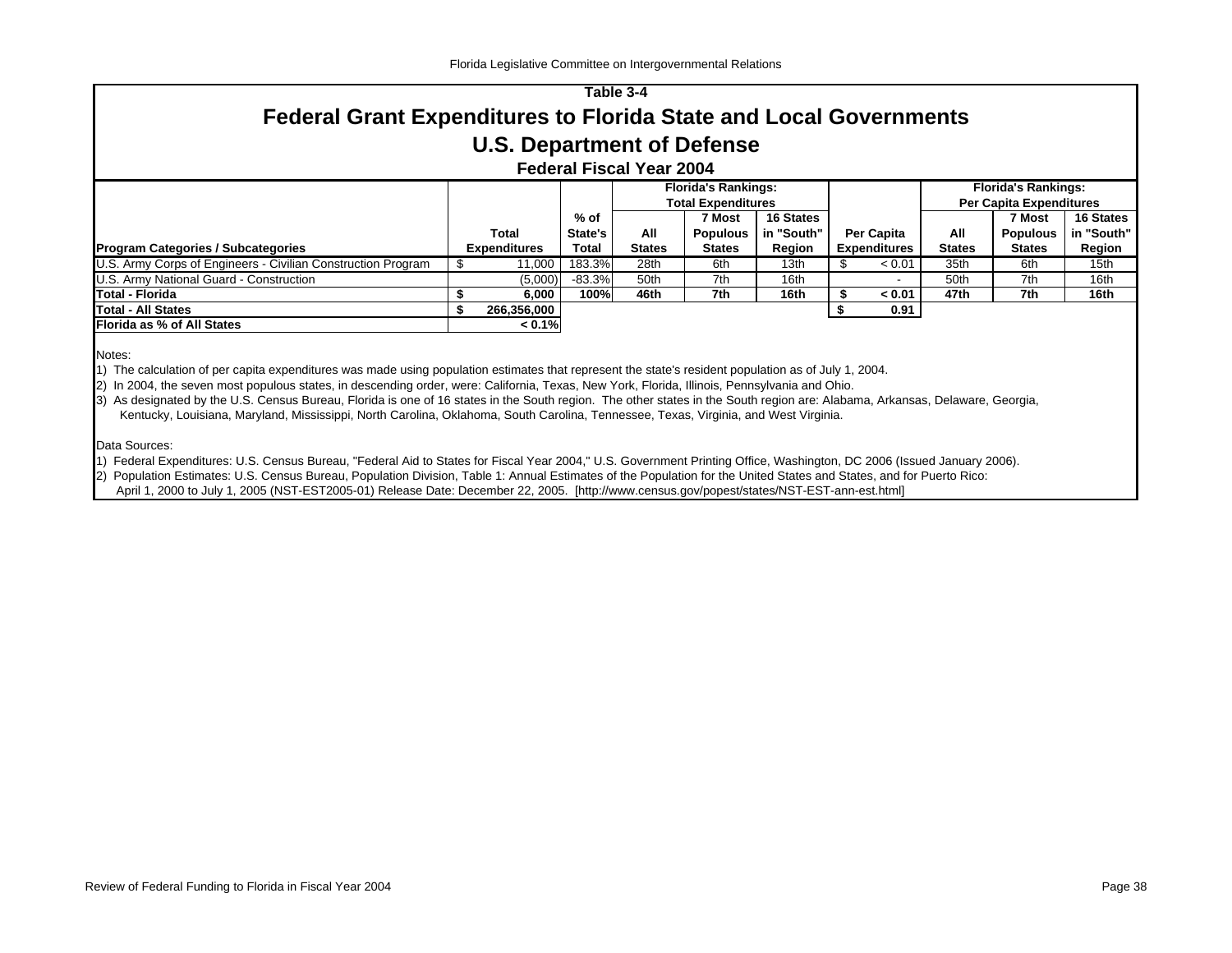| Table 3-4                                                                |
|--------------------------------------------------------------------------|
| <b>Federal Grant Expenditures to Florida State and Local Governments</b> |
| <b>U.S. Department of Defense</b>                                        |

#### **Federal Fiscal Year 2004**

|                                                              |  |                     |          | <b>Florida's Rankings:</b><br><b>Total Expenditures</b> |                 |                  |  |                     |               | <b>Florida's Rankings:</b><br><b>Per Capita Expenditures</b> |            |
|--------------------------------------------------------------|--|---------------------|----------|---------------------------------------------------------|-----------------|------------------|--|---------------------|---------------|--------------------------------------------------------------|------------|
|                                                              |  |                     | % of     |                                                         | 7 Most          | <b>16 States</b> |  |                     |               | 7 Most                                                       | 16 States  |
|                                                              |  | Total               | State's  | All                                                     | <b>Populous</b> | l in "South"     |  | Per Capita          | All           | <b>Populous</b>                                              | in "South" |
| <b>Program Categories / Subcategories</b>                    |  | <b>Expenditures</b> | Total    | <b>States</b>                                           | <b>States</b>   | Region           |  | <b>Expenditures</b> | <b>States</b> | <b>States</b>                                                | Region     |
| U.S. Army Corps of Engineers - Civilian Construction Program |  | 11,000              | 183.3%   | 28th                                                    | 6th             | 13th             |  | < 0.01              | 35th          | 6th                                                          | 15th       |
| U.S. Army National Guard - Construction                      |  | (5,000)             | $-83.3%$ | 50th                                                    | 7th             | 16th             |  |                     | 50th          | 7th                                                          | 16th       |
| <b>Total - Florida</b>                                       |  | 6.000               | 100%     | 46th                                                    | 7th             | 16th             |  | < 0.01              | 47th          | 7th                                                          | 16th       |
| <b>Total - All States</b>                                    |  | 266,356,000         |          |                                                         |                 |                  |  | 0.91                |               |                                                              |            |
| <b>Florida as % of All States</b>                            |  | < 0.1%              |          |                                                         |                 |                  |  |                     |               |                                                              |            |

Notes:

1) The calculation of per capita expenditures was made using population estimates that represent the state's resident population as of July 1, 2004.

2) In 2004, the seven most populous states, in descending order, were: California, Texas, New York, Florida, Illinois, Pennsylvania and Ohio.

3) As designated by the U.S. Census Bureau, Florida is one of 16 states in the South region. The other states in the South region are: Alabama, Arkansas, Delaware, Georgia, Kentucky, Louisiana, Maryland, Mississippi, North Carolina, Oklahoma, South Carolina, Tennessee, Texas, Virginia, and West Virginia.

Data Sources:

1) Federal Expenditures: U.S. Census Bureau, "Federal Aid to States for Fiscal Year 2004," U.S. Government Printing Office, Washington, DC 2006 (Issued January 2006).

2) Population Estimates: U.S. Census Bureau, Population Division, Table 1: Annual Estimates of the Population for the United States and States, and for Puerto Rico: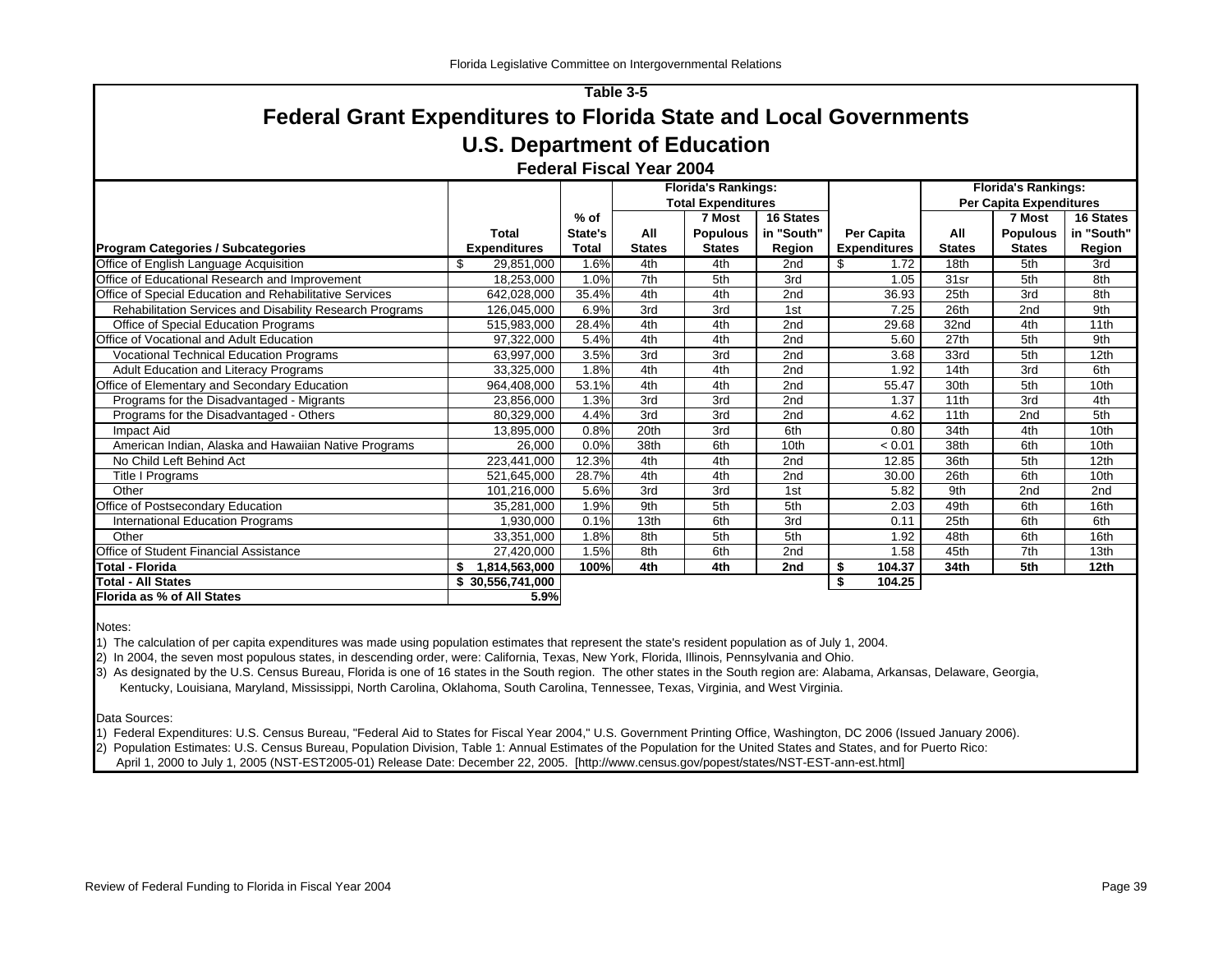| Table 3-5                                                                                                                    |                                                                    |              |               |                            |                 |                     |               |                                |                  |  |  |  |
|------------------------------------------------------------------------------------------------------------------------------|--------------------------------------------------------------------|--------------|---------------|----------------------------|-----------------|---------------------|---------------|--------------------------------|------------------|--|--|--|
|                                                                                                                              |                                                                    |              |               |                            |                 |                     |               |                                |                  |  |  |  |
| <b>Federal Grant Expenditures to Florida State and Local Governments</b>                                                     |                                                                    |              |               |                            |                 |                     |               |                                |                  |  |  |  |
| <b>U.S. Department of Education</b>                                                                                          |                                                                    |              |               |                            |                 |                     |               |                                |                  |  |  |  |
| <b>Federal Fiscal Year 2004</b>                                                                                              |                                                                    |              |               |                            |                 |                     |               |                                |                  |  |  |  |
|                                                                                                                              |                                                                    |              |               | <b>Florida's Rankings:</b> |                 |                     |               | <b>Florida's Rankings:</b>     |                  |  |  |  |
|                                                                                                                              |                                                                    |              |               | <b>Total Expenditures</b>  |                 |                     |               | <b>Per Capita Expenditures</b> |                  |  |  |  |
|                                                                                                                              | $%$ of<br>7 Most<br><b>16 States</b><br>7 Most<br><b>16 States</b> |              |               |                            |                 |                     |               |                                |                  |  |  |  |
| in "South"<br>in "South"<br><b>Total</b><br>State's<br>All<br><b>Populous</b><br><b>Per Capita</b><br>All<br><b>Populous</b> |                                                                    |              |               |                            |                 |                     |               |                                |                  |  |  |  |
| <b>Program Categories / Subcategories</b>                                                                                    | <b>Expenditures</b>                                                | <b>Total</b> | <b>States</b> | <b>States</b>              | Region          | <b>Expenditures</b> | <b>States</b> | <b>States</b>                  | Region           |  |  |  |
| Office of English Language Acquisition                                                                                       | \$<br>29,851,000                                                   | 1.6%         | 4th           | 4th                        | 2nd             | \$<br>1.72          | 18th          | 5th                            | 3rd              |  |  |  |
| Office of Educational Research and Improvement                                                                               | 18,253,000                                                         | 1.0%         | 7th           | 5th                        | 3rd             | 1.05                | 31sr          | 5th                            | 8th              |  |  |  |
| Office of Special Education and Rehabilitative Services                                                                      | 642,028,000                                                        | 35.4%        | 4th           | 4th                        | 2nd             | 36.93               | 25th          | 3rd                            | 8th              |  |  |  |
| Rehabilitation Services and Disability Research Programs                                                                     | 126,045,000                                                        | 6.9%         | 3rd           | 3rd                        | 1st             | 7.25                | 26th          | 2 <sub>nd</sub>                | 9th              |  |  |  |
| Office of Special Education Programs                                                                                         | 515,983,000                                                        | 28.4%        | 4th           | 4th                        | 2nd             | 29.68               | 32nd          | 4th                            | 11th             |  |  |  |
| Office of Vocational and Adult Education                                                                                     | 97,322,000                                                         | 5.4%         | 4th           | 4th                        | 2 <sub>nd</sub> | 5.60                | 27th          | 5th                            | 9th              |  |  |  |
| <b>Vocational Technical Education Programs</b>                                                                               | 63,997,000                                                         | 3.5%         | 3rd           | 3rd                        | 2nd             | 3.68                | 33rd          | 5th                            | 12th             |  |  |  |
| <b>Adult Education and Literacy Programs</b>                                                                                 | 33,325,000                                                         | 1.8%         | 4th           | 4th                        | 2nd             | 1.92                | 14th          | 3rd                            | 6th              |  |  |  |
| Office of Elementary and Secondary Education                                                                                 | 964,408,000                                                        | 53.1%        | 4th           | 4th                        | 2 <sub>nd</sub> | 55.47               | 30th          | 5th                            | 10th             |  |  |  |
| Programs for the Disadvantaged - Migrants                                                                                    | 23,856,000                                                         | 1.3%         | 3rd           | 3rd                        | 2nd             | 1.37                | 11th          | 3rd                            | 4th              |  |  |  |
| Programs for the Disadvantaged - Others                                                                                      | 80,329,000                                                         | 4.4%         | 3rd           | 3rd                        | 2nd             | 4.62                | 11th          | 2 <sub>nd</sub>                | 5th              |  |  |  |
| Impact Aid                                                                                                                   | 13,895,000                                                         | 0.8%         | 20th          | 3rd                        | 6th             | 0.80                | 34th          | 4th                            | 10th             |  |  |  |
| American Indian, Alaska and Hawaiian Native Programs                                                                         | 26,000                                                             | 0.0%         | 38th          | 6th                        | 10th            | < 0.01              | 38th          | 6th                            | 10th             |  |  |  |
| No Child Left Behind Act                                                                                                     | 223,441,000                                                        | 12.3%        | 4th           | 4th                        | 2nd             | 12.85               | 36th          | 5th                            | 12th             |  |  |  |
| Title I Programs                                                                                                             | 521,645,000                                                        | 28.7%        | 4th           | 4th                        | 2 <sub>nd</sub> | 30.00               | 26th          | 6th                            | 10th             |  |  |  |
| Other                                                                                                                        | 101,216,000                                                        | 5.6%         | 3rd           | 3rd                        | 1st             | 5.82                | 9th           | 2nd                            | 2nd              |  |  |  |
| Office of Postsecondary Education                                                                                            | 35,281,000                                                         | 1.9%         | 9th           | 5th                        | 5th             | 2.03                | 49th          | 6th                            | 16th             |  |  |  |
| International Education Programs                                                                                             | 1.930.000                                                          | 0.1%         | 13th          | 6th                        | 3rd             | 0.11                | 25th          | 6th                            | 6th              |  |  |  |
| Other                                                                                                                        | 33,351,000                                                         | 1.8%         | 8th           | 5th                        | 5th             | 1.92                | 48th          | 6th                            | 16th             |  |  |  |
| Office of Student Financial Assistance                                                                                       | 27,420,000                                                         | 1.5%         | 8th           | 6th                        | 2 <sub>nd</sub> | 1.58                | 45th          | 7th                            | 13th             |  |  |  |
| <b>Total - Florida</b>                                                                                                       | \$1,814,563,000                                                    | 100%         | 4th           | 4th                        | 2nd             | \$<br>104.37        | 34th          | 5th                            | 12 <sub>th</sub> |  |  |  |
| <b>Total - All States</b>                                                                                                    | \$30,556,741,000                                                   |              |               |                            |                 | \$<br>104.25        |               |                                |                  |  |  |  |
| Florida as % of All States                                                                                                   | 5.9%                                                               |              |               |                            |                 |                     |               |                                |                  |  |  |  |

1) The calculation of per capita expenditures was made using population estimates that represent the state's resident population as of July 1, 2004.

2) In 2004, the seven most populous states, in descending order, were: California, Texas, New York, Florida, Illinois, Pennsylvania and Ohio.

3) As designated by the U.S. Census Bureau, Florida is one of 16 states in the South region. The other states in the South region are: Alabama, Arkansas, Delaware, Georgia, Kentucky, Louisiana, Maryland, Mississippi, North Carolina, Oklahoma, South Carolina, Tennessee, Texas, Virginia, and West Virginia.

Data Sources:

1) Federal Expenditures: U.S. Census Bureau, "Federal Aid to States for Fiscal Year 2004," U.S. Government Printing Office, Washington, DC 2006 (Issued January 2006).

- 2) Population Estimates: U.S. Census Bureau, Population Division, Table 1: Annual Estimates of the Population for the United States and States, and for Puerto Rico:
- April 1, 2000 to July 1, 2005 (NST-EST2005-01) Release Date: December 22, 2005. [http://www.census.gov/popest/states/NST-EST-ann-est.html]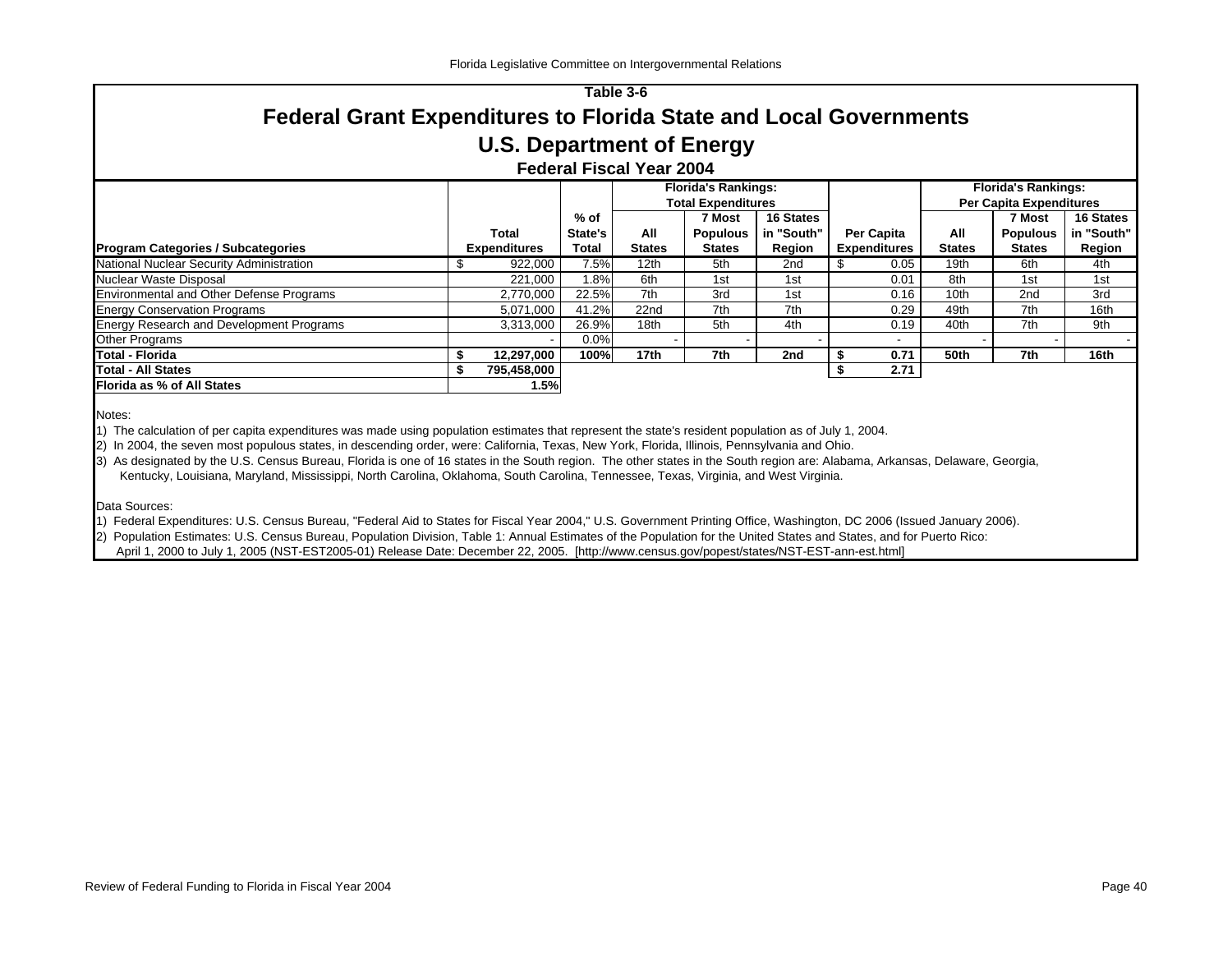# **Table 3-6U.S. Department of Energy Federal Grant Expenditures to Florida State and Local Governments**

### **Federal Fiscal Year 2004**

|                                                 |                     |         |                  | <b>Florida's Rankings:</b> |                  |  |                     | <b>Florida's Rankings:</b> |                                |            |
|-------------------------------------------------|---------------------|---------|------------------|----------------------------|------------------|--|---------------------|----------------------------|--------------------------------|------------|
|                                                 |                     |         |                  | <b>Total Expenditures</b>  |                  |  |                     |                            | <b>Per Capita Expenditures</b> |            |
|                                                 |                     | $%$ of  |                  | 7 Most                     | <b>16 States</b> |  |                     |                            | 7 Most                         | 16 States  |
|                                                 | Total               | State's | All              | <b>Populous</b>            | in "South"       |  | <b>Per Capita</b>   | All                        | <b>Populous</b>                | in "South" |
| <b>Program Categories / Subcategories</b>       | <b>Expenditures</b> | Total   | <b>States</b>    | <b>States</b>              | Region           |  | <b>Expenditures</b> | <b>States</b>              | <b>States</b>                  | Region     |
| National Nuclear Security Administration        | 922.000             | 7.5%    | 12 <sub>th</sub> | 5th                        | 2nd              |  | 0.05                | 19th                       | 6th                            | 4th        |
| Nuclear Waste Disposal                          | 221,000             | 1.8%    | 6th              | 1st                        | 1st              |  | 0.01                | 8th                        | 1st                            | 1st        |
| <b>Environmental and Other Defense Programs</b> | 2,770,000           | 22.5%   | 7th              | 3rd                        | 1st              |  | 0.16                | 10th                       | 2 <sub>nd</sub>                | 3rd        |
| <b>Energy Conservation Programs</b>             | 5.071.000           | 41.2%   | 22nd             | 7th                        | 7th              |  | 0.29                | 49th                       | 7th                            | 16th       |
| <b>Energy Research and Development Programs</b> | 3.313.000           | 26.9%   | 18th             | 5th                        | 4th              |  | 0.19                | 40th                       | 7th                            | 9th        |
| <b>Other Programs</b>                           |                     | 0.0%    |                  |                            |                  |  |                     |                            |                                |            |
| Total - Florida                                 | 12.297.000          | 100%    | 17th             | 7th                        | 2nd              |  | 0.71                | 50th                       | 7th                            | 16th       |
| Total - All States                              | 795,458,000         |         |                  |                            |                  |  | 2.71                |                            |                                |            |
| <b>IFlorida as % of All States</b>              | 1.5%                |         |                  |                            |                  |  |                     |                            |                                |            |

Notes:

1) The calculation of per capita expenditures was made using population estimates that represent the state's resident population as of July 1, 2004.

2) In 2004, the seven most populous states, in descending order, were: California, Texas, New York, Florida, Illinois, Pennsylvania and Ohio.

3) As designated by the U.S. Census Bureau, Florida is one of 16 states in the South region. The other states in the South region are: Alabama, Arkansas, Delaware, Georgia, Kentucky, Louisiana, Maryland, Mississippi, North Carolina, Oklahoma, South Carolina, Tennessee, Texas, Virginia, and West Virginia.

Data Sources:

1) Federal Expenditures: U.S. Census Bureau, "Federal Aid to States for Fiscal Year 2004," U.S. Government Printing Office, Washington, DC 2006 (Issued January 2006).

2) Population Estimates: U.S. Census Bureau, Population Division, Table 1: Annual Estimates of the Population for the United States and States, and for Puerto Rico: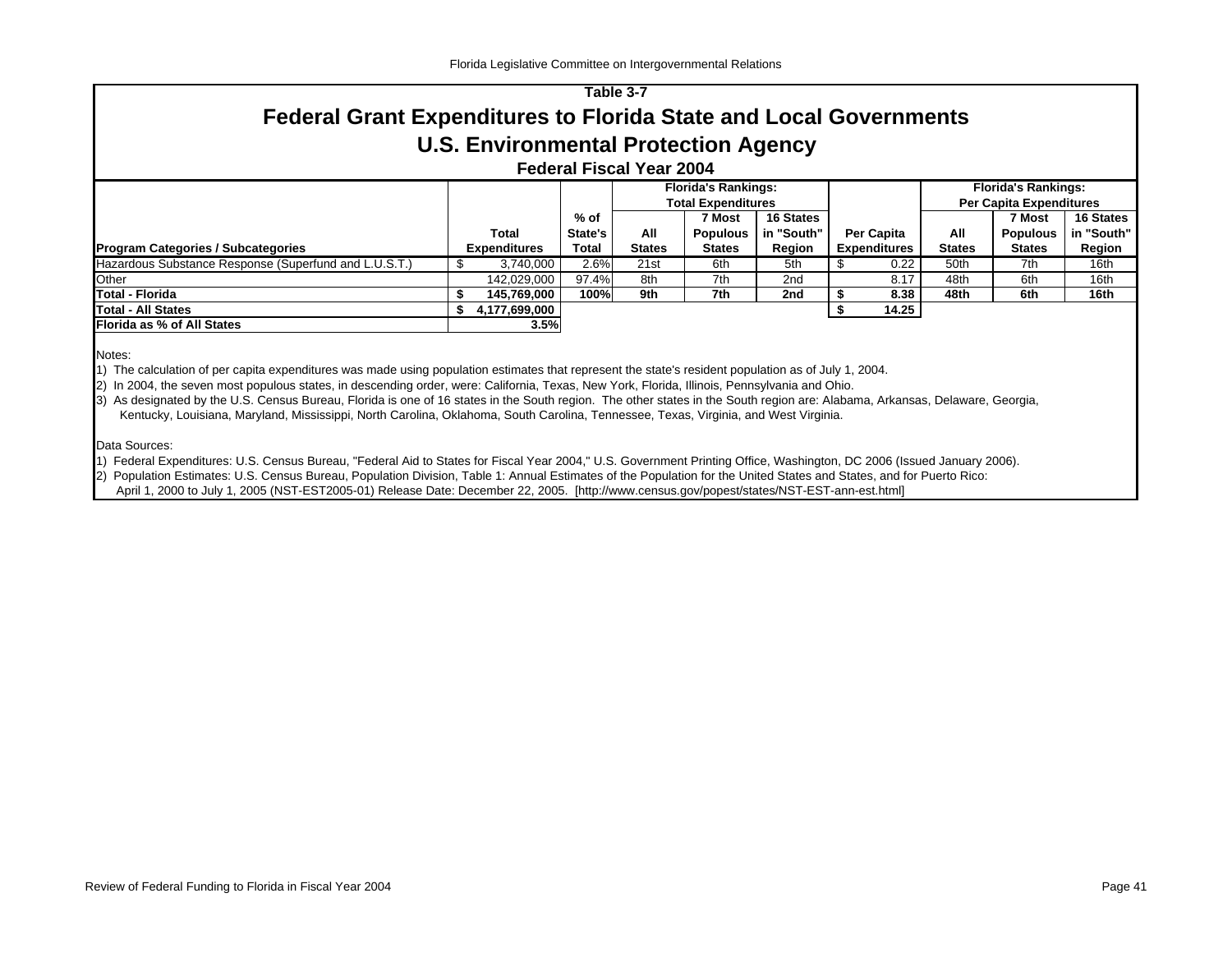## **Table 3-7U.S. Environmental Protection Agency Federal Grant Expenditures to Florida State and Local Governments**

#### **Federal Fiscal Year 2004**

|                                                       |                     |         | <b>Florida's Rankings:</b> |                 |                 |  |                     | <b>Florida's Rankings:</b> |                                |            |
|-------------------------------------------------------|---------------------|---------|----------------------------|-----------------|-----------------|--|---------------------|----------------------------|--------------------------------|------------|
|                                                       |                     |         | <b>Total Expenditures</b>  |                 |                 |  |                     |                            | <b>Per Capita Expenditures</b> |            |
|                                                       |                     | $%$ of  |                            | 7 Most          | 16 States       |  |                     |                            | 7 Most                         | 16 States  |
|                                                       | Total               | State's | All                        | <b>Populous</b> | in "South"      |  | Per Capita          | All                        | <b>Populous</b>                | in "South" |
| <b>Program Categories / Subcategories</b>             | <b>Expenditures</b> | Total   | <b>States</b>              | <b>States</b>   | Region          |  | <b>Expenditures</b> | <b>States</b>              | <b>States</b>                  | Region     |
| Hazardous Substance Response (Superfund and L.U.S.T.) | 3.740.000           | 2.6%    | 21st                       | 6th             | 5th             |  | 0.22                | 50th                       | 7th                            | 16th       |
| Other                                                 | 142.029.000         | 97.4%   | 8th                        | 7th             | 2 <sub>nd</sub> |  | 8.17                | 48th                       | 6th                            | 16th       |
| Total - Florida                                       | 145.769.000         | 100%    | 9th                        | 7th             | 2nd             |  | 8.38                | 48th                       | 6th                            | 16th       |
| <b>Total - All States</b>                             | 4.177.699.000       |         |                            |                 |                 |  | 14.25               |                            |                                |            |
| Florida as % of All States                            | 3.5%                |         |                            |                 |                 |  |                     |                            |                                |            |

Notes:

1) The calculation of per capita expenditures was made using population estimates that represent the state's resident population as of July 1, 2004.

2) In 2004, the seven most populous states, in descending order, were: California, Texas, New York, Florida, Illinois, Pennsylvania and Ohio.

3) As designated by the U.S. Census Bureau, Florida is one of 16 states in the South region. The other states in the South region are: Alabama, Arkansas, Delaware, Georgia, Kentucky, Louisiana, Maryland, Mississippi, North Carolina, Oklahoma, South Carolina, Tennessee, Texas, Virginia, and West Virginia.

Data Sources:

1) Federal Expenditures: U.S. Census Bureau, "Federal Aid to States for Fiscal Year 2004," U.S. Government Printing Office, Washington, DC 2006 (Issued January 2006).

2) Population Estimates: U.S. Census Bureau, Population Division, Table 1: Annual Estimates of the Population for the United States and States, and for Puerto Rico: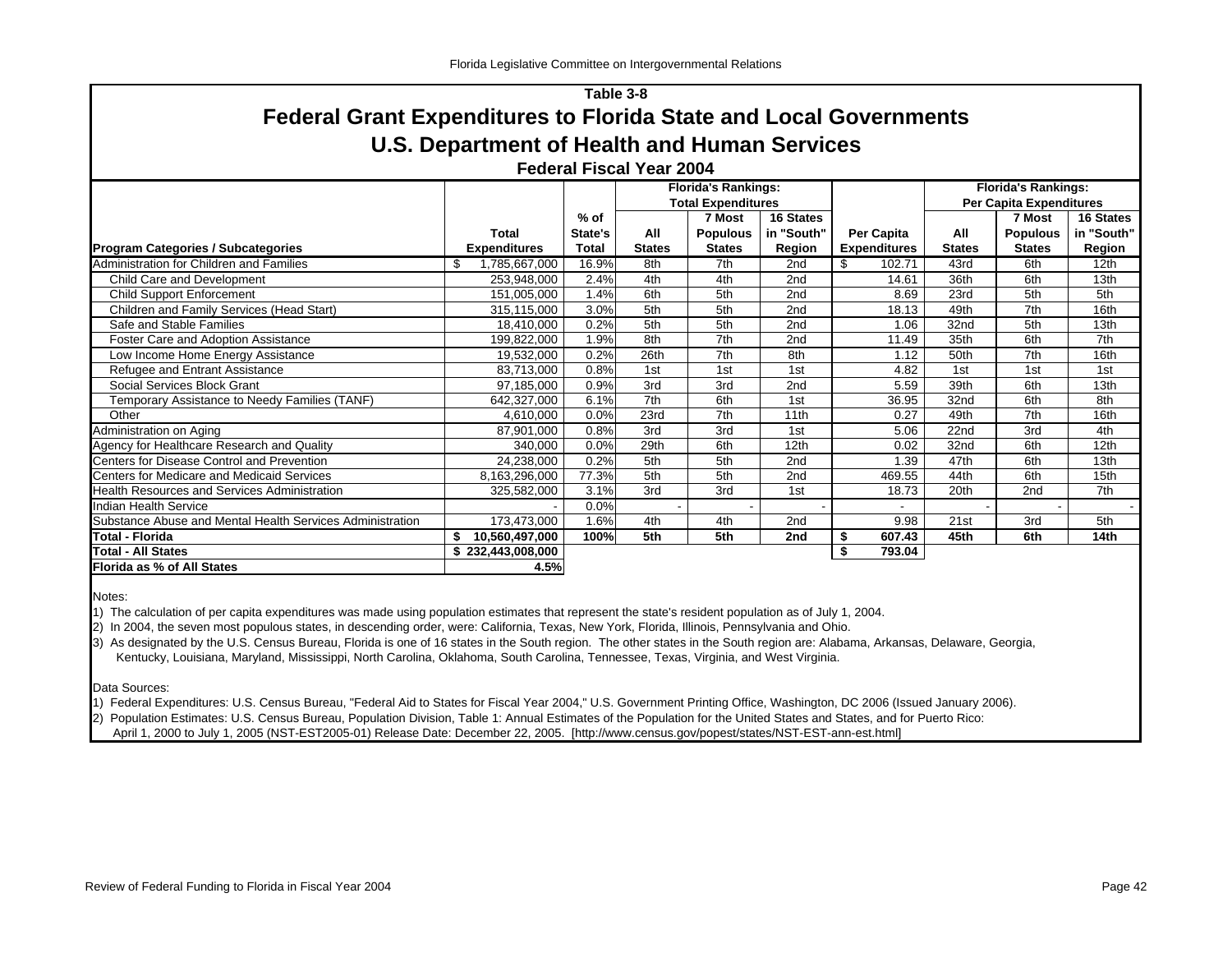## **Table 3-8U.S. Department of Health and Human Services Federal Grant Expenditures to Florida State and Local Governments**

#### **Federal Fiscal Year 2004**

|                                                           |                     |              | 1 GUGIAI 1 13641 1 GAI 2007 |                            |                  |                     |                            |                                |                  |
|-----------------------------------------------------------|---------------------|--------------|-----------------------------|----------------------------|------------------|---------------------|----------------------------|--------------------------------|------------------|
|                                                           |                     |              |                             | <b>Florida's Rankings:</b> |                  |                     | <b>Florida's Rankings:</b> |                                |                  |
|                                                           |                     |              |                             | <b>Total Expenditures</b>  |                  |                     |                            | <b>Per Capita Expenditures</b> |                  |
|                                                           |                     | $%$ of       |                             | 7 Most                     | 16 States        |                     |                            | 7 Most                         | 16 States        |
|                                                           | Total               | State's      | All                         | <b>Populous</b>            | in "South"       | Per Capita          | All                        | <b>Populous</b>                | in "South"       |
| <b>Program Categories / Subcategories</b>                 | <b>Expenditures</b> | <b>Total</b> | <b>States</b>               | <b>States</b>              | Region           | <b>Expenditures</b> | <b>States</b>              | <b>States</b>                  | Region           |
| Administration for Children and Families                  | 1,785,667,000<br>\$ | 16.9%        | 8th                         | 7th                        | 2 <sub>nd</sub>  | \$.<br>102.71       | 43rd                       | 6th                            | 12 <sub>th</sub> |
| Child Care and Development                                | 253,948,000         | 2.4%         | 4th                         | 4th                        | 2nd              | 14.61               | 36th                       | 6th                            | 13 <sub>th</sub> |
| <b>Child Support Enforcement</b>                          | 151,005,000         | 1.4%         | 6th                         | 5th                        | 2 <sub>nd</sub>  | 8.69                | 23rd                       | 5th                            | 5th              |
| Children and Family Services (Head Start)                 | 315,115,000         | 3.0%         | 5th                         | 5th                        | 2 <sub>nd</sub>  | 18.13               | 49th                       | 7th                            | 16th             |
| Safe and Stable Families                                  | 18,410,000          | 0.2%         | 5th                         | 5th                        | 2nd              | 1.06                | 32nd                       | 5th                            | 13 <sub>th</sub> |
| <b>Foster Care and Adoption Assistance</b>                | 199,822,000         | 1.9%         | 8th                         | 7th                        | 2 <sub>nd</sub>  | 11.49               | 35th                       | 6th                            | 7th              |
| Low Income Home Energy Assistance                         | 19,532,000          | 0.2%         | 26th                        | 7th                        | 8th              | 1.12                | 50th                       | 7th                            | 16th             |
| Refugee and Entrant Assistance                            | 83,713,000          | 0.8%         | 1st                         | 1st                        | 1st              | 4.82                | 1st                        | 1st                            | 1st              |
| Social Services Block Grant                               | 97,185,000          | 0.9%         | 3rd                         | 3rd                        | 2nd              | 5.59                | 39th                       | 6th                            | 13 <sub>th</sub> |
| Temporary Assistance to Needy Families (TANF)             | 642,327,000         | 6.1%         | 7th                         | 6th                        | 1st              | 36.95               | 32nd                       | 6th                            | 8th              |
| Other                                                     | 4,610,000           | 0.0%         | 23rd                        | 7th                        | 11th             | 0.27                | 49th                       | 7th                            | 16th             |
| Administration on Aging                                   | 87,901,000          | 0.8%         | 3rd                         | 3rd                        | 1st              | 5.06                | 22 <sub>nd</sub>           | 3rd                            | 4th              |
| Agency for Healthcare Research and Quality                | 340,000             | 0.0%         | 29th                        | 6th                        | 12 <sub>th</sub> | 0.02                | 32nd                       | 6th                            | 12th             |
| Centers for Disease Control and Prevention                | 24,238,000          | 0.2%         | 5th                         | 5th                        | 2nd              | 1.39                | 47th                       | 6th                            | 13 <sub>th</sub> |
| Centers for Medicare and Medicaid Services                | 8,163,296,000       | 77.3%        | 5th                         | 5th                        | 2 <sub>nd</sub>  | 469.55              | 44th                       | 6th                            | 15th             |
| Health Resources and Services Administration              | 325,582,000         | 3.1%         | 3rd                         | 3rd                        | 1st              | 18.73               | 20th                       | 2nd                            | 7th              |
| Indian Health Service                                     |                     | 0.0%         |                             |                            |                  |                     |                            |                                |                  |
| Substance Abuse and Mental Health Services Administration | 173,473,000         | 1.6%         | 4th                         | 4th                        | 2nd              | 9.98                | 21st                       | 3rd                            | 5th              |
| Total - Florida                                           | 10,560,497,000      | 100%         | 5th                         | 5th                        | 2nd              | 607.43<br>\$        | 45th                       | 6th                            | 14 <sub>th</sub> |
| Total - All States                                        | \$232,443,008,000   |              |                             |                            |                  | \$<br>793.04        |                            |                                |                  |
| Florida as % of All States                                | 4.5%                |              |                             |                            |                  |                     |                            |                                |                  |

Notes:

1) The calculation of per capita expenditures was made using population estimates that represent the state's resident population as of July 1, 2004.

2) In 2004, the seven most populous states, in descending order, were: California, Texas, New York, Florida, Illinois, Pennsylvania and Ohio.

3) As designated by the U.S. Census Bureau, Florida is one of 16 states in the South region. The other states in the South region are: Alabama, Arkansas, Delaware, Georgia, Kentucky, Louisiana, Maryland, Mississippi, North Carolina, Oklahoma, South Carolina, Tennessee, Texas, Virginia, and West Virginia.

Data Sources:

1) Federal Expenditures: U.S. Census Bureau, "Federal Aid to States for Fiscal Year 2004," U.S. Government Printing Office, Washington, DC 2006 (Issued January 2006).

2) Population Estimates: U.S. Census Bureau, Population Division, Table 1: Annual Estimates of the Population for the United States and States, and for Puerto Rico: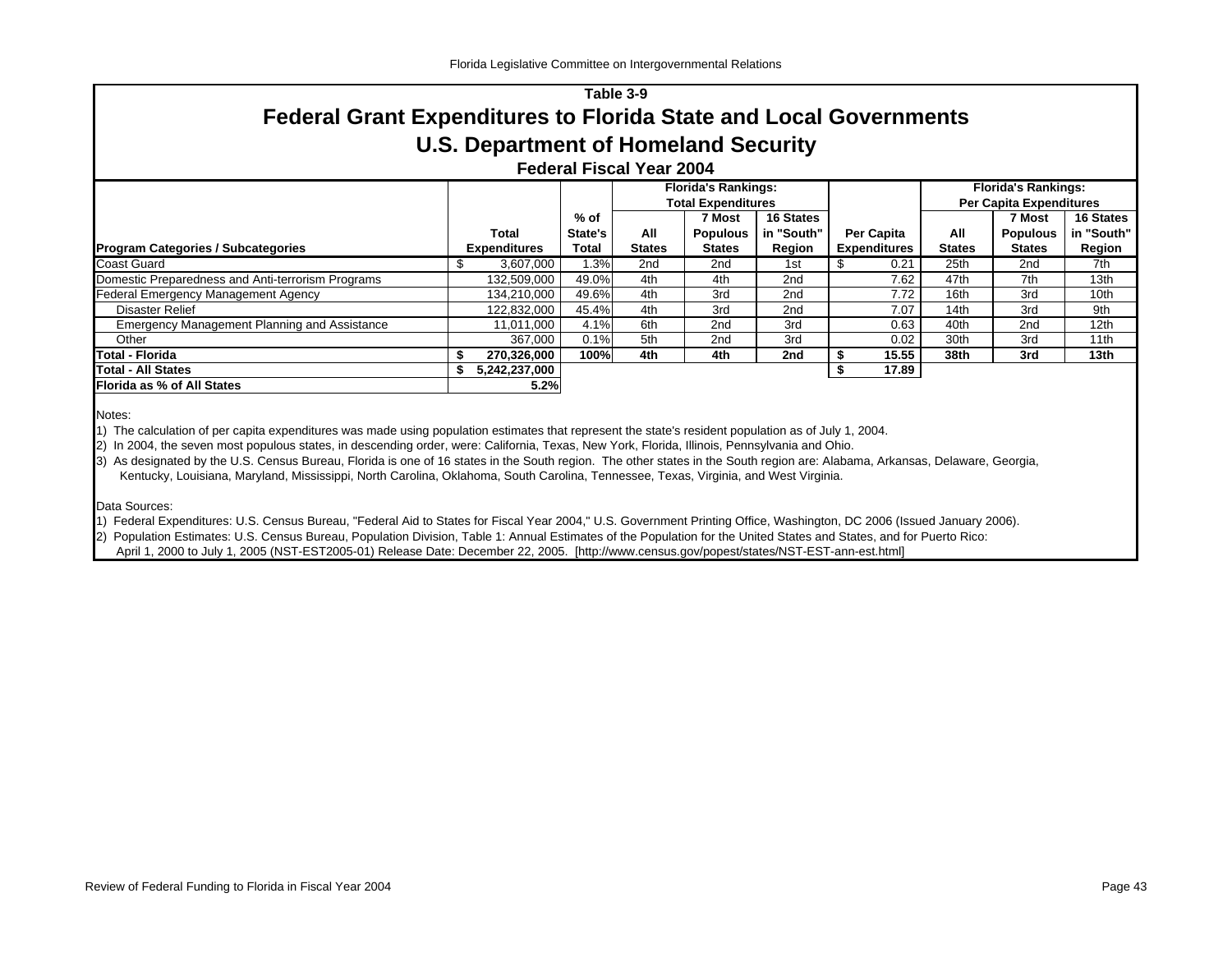# **Table 3-9U.S. Department of Homeland Security Federal Grant Expenditures to Florida State and Local Governments**

#### **Federal Fiscal Year 2004**

|                                                   |                              |                            |                      | <b>Florida's Rankings:</b><br><b>Total Expenditures</b> |                                          |  |                                          | <b>Florida's Rankings:</b><br><b>Per Capita Expenditures</b> |                                            |                                   |
|---------------------------------------------------|------------------------------|----------------------------|----------------------|---------------------------------------------------------|------------------------------------------|--|------------------------------------------|--------------------------------------------------------------|--------------------------------------------|-----------------------------------|
| <b>Program Categories / Subcategories</b>         | Total<br><b>Expenditures</b> | $%$ of<br>State's<br>Total | All<br><b>States</b> | 7 Most<br><b>Populous</b><br><b>States</b>              | <b>16 States</b><br>in "South"<br>Region |  | <b>Per Capita</b><br><b>Expenditures</b> | All<br><b>States</b>                                         | 7 Most<br><b>Populous</b><br><b>States</b> | 16 States<br>in "South"<br>Region |
| <b>Coast Guard</b>                                | 3.607.000                    | 1.3%                       | 2nd                  | 2 <sub>nd</sub>                                         | 1st                                      |  | 0.21                                     | 25th                                                         | 2 <sub>nd</sub>                            | 7th                               |
| Domestic Preparedness and Anti-terrorism Programs | 132,509,000                  | 49.0%                      | 4th                  | 4th                                                     | 2 <sub>nd</sub>                          |  | 7.62                                     | 47th                                                         | 7th                                        | 13th                              |
| Federal Emergency Management Agency               | 134,210,000                  | 49.6%                      | 4th                  | 3rd                                                     | 2 <sub>nd</sub>                          |  | 7.72                                     | 16th                                                         | 3rd                                        | 10th                              |
| Disaster Relief                                   | 122.832.000                  | 45.4%                      | 4th                  | 3rd                                                     | 2nd                                      |  | 7.07                                     | 14th                                                         | 3rd                                        | 9th                               |
| Emergency Management Planning and Assistance      | 11.011.000                   | 4.1%                       | 6th                  | 2 <sub>nd</sub>                                         | 3rd                                      |  | 0.63                                     | 40th                                                         | 2 <sub>nd</sub>                            | 12 <sub>th</sub>                  |
| Other                                             | 367,000                      | 0.1%                       | 5th                  | 2nd                                                     | 3rd                                      |  | 0.02                                     | 30th                                                         | 3rd                                        | 11th                              |
| Total - Florida                                   | 270.326.000                  | 100%                       | 4th                  | 4th                                                     | 2nd                                      |  | 15.55                                    | 38th                                                         | 3rd                                        | 13th                              |
| Total - All States                                | 5,242,237,000                |                            |                      |                                                         |                                          |  | 17.89                                    |                                                              |                                            |                                   |
| <b>IFlorida as % of All States</b>                | 5.2%                         |                            |                      |                                                         |                                          |  |                                          |                                                              |                                            |                                   |

Notes:

1) The calculation of per capita expenditures was made using population estimates that represent the state's resident population as of July 1, 2004.

2) In 2004, the seven most populous states, in descending order, were: California, Texas, New York, Florida, Illinois, Pennsylvania and Ohio.

3) As designated by the U.S. Census Bureau, Florida is one of 16 states in the South region. The other states in the South region are: Alabama, Arkansas, Delaware, Georgia, Kentucky, Louisiana, Maryland, Mississippi, North Carolina, Oklahoma, South Carolina, Tennessee, Texas, Virginia, and West Virginia.

Data Sources:

1) Federal Expenditures: U.S. Census Bureau, "Federal Aid to States for Fiscal Year 2004," U.S. Government Printing Office, Washington, DC 2006 (Issued January 2006).

2) Population Estimates: U.S. Census Bureau, Population Division, Table 1: Annual Estimates of the Population for the United States and States, and for Puerto Rico: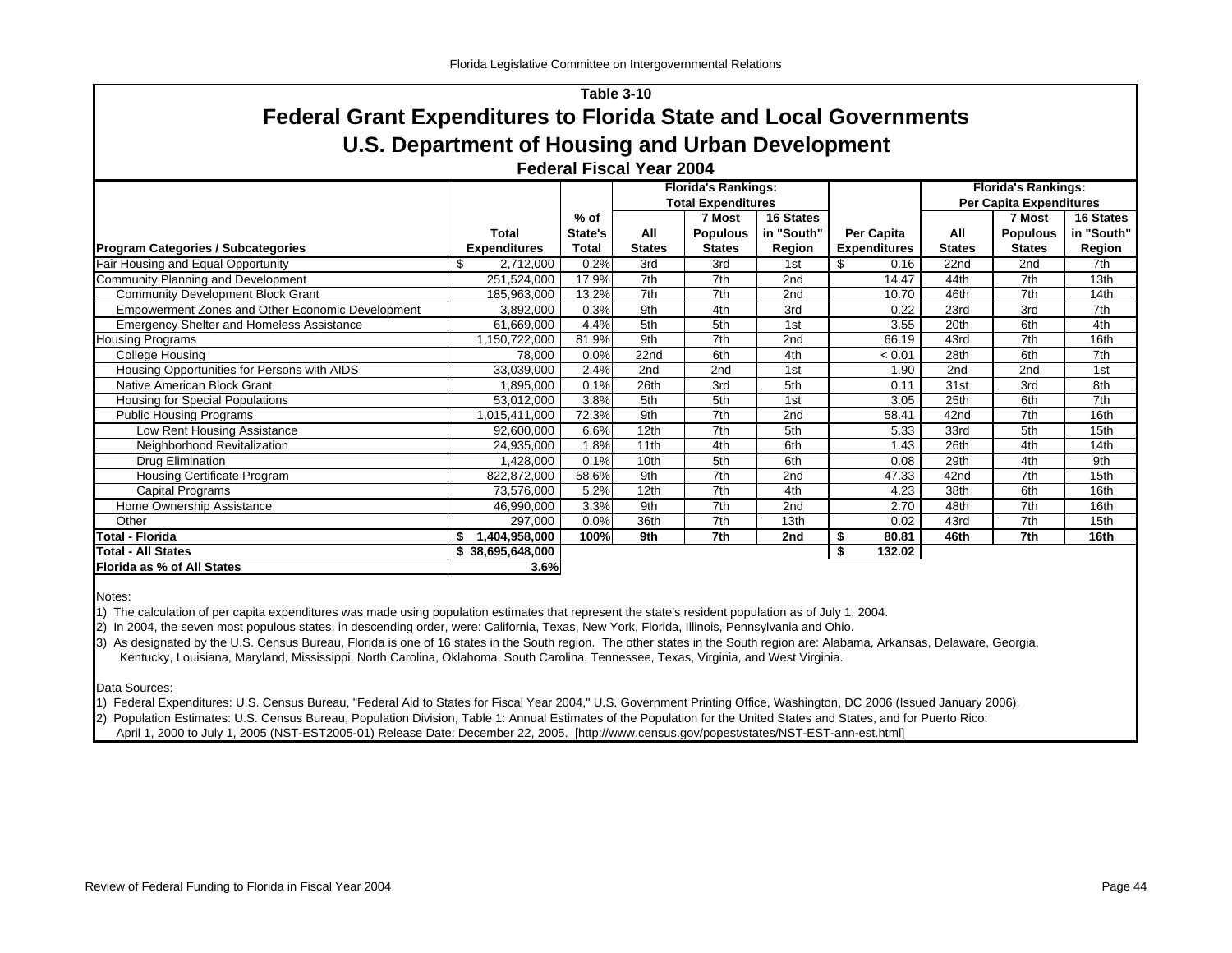# **Table 3-10U.S. Department of Housing and Urban Development Federal Grant Expenditures to Florida State and Local Governments**

#### **Federal Fiscal Year 2004**

|                                                         |                     |         |                  | <b>Florida's Rankings:</b> |            |                     | <b>Florida's Rankings:</b> |                         |                  |
|---------------------------------------------------------|---------------------|---------|------------------|----------------------------|------------|---------------------|----------------------------|-------------------------|------------------|
|                                                         |                     |         |                  | <b>Total Expenditures</b>  |            |                     |                            | Per Capita Expenditures |                  |
|                                                         |                     | $%$ of  |                  | 7 Most                     | 16 States  |                     |                            | 7 Most                  | 16 States        |
|                                                         | Total               | State's | All              | <b>Populous</b>            | in "South" | Per Capita          | All                        | <b>Populous</b>         | in "South"       |
| <b>Program Categories / Subcategories</b>               | <b>Expenditures</b> | Total   | <b>States</b>    | <b>States</b>              | Region     | <b>Expenditures</b> | <b>States</b>              | <b>States</b>           | Region           |
| Fair Housing and Equal Opportunity                      | 2,712,000<br>\$     | 0.2%    | 3rd              | 3rd                        | 1st        | 0.16                | 22nd                       | 2 <sub>nd</sub>         | 7th              |
| Community Planning and Development                      | 251,524,000         | 17.9%   | 7th              | 7th                        | 2nd        | 14.47               | 44th                       | 7th                     | 13 <sub>th</sub> |
| <b>Community Development Block Grant</b>                | 185,963,000         | 13.2%   | 7th              | 7th                        | 2nd        | 10.70               | 46th                       | 7th                     | 14 <sub>th</sub> |
| <b>Empowerment Zones and Other Economic Development</b> | 3,892,000           | 0.3%    | 9th              | 4th                        | 3rd        | 0.22                | 23rd                       | 3rd                     | 7th              |
| <b>Emergency Shelter and Homeless Assistance</b>        | 61,669,000          | 4.4%    | 5th              | 5th                        | 1st        | 3.55                | 20th                       | 6th                     | 4th              |
| <b>Housing Programs</b>                                 | 1,150,722,000       | 81.9%   | 9th              | 7th                        | 2nd        | 66.19               | 43rd                       | 7th                     | 16th             |
| College Housing                                         | 78,000              | 0.0%    | 22nd             | 6th                        | 4th        | < 0.01              | 28th                       | 6th                     | 7th              |
| Housing Opportunities for Persons with AIDS             | 33,039,000          | 2.4%    | 2nd              | 2nd                        | 1st        | 1.90                | 2nd                        | 2nd                     | 1st              |
| Native American Block Grant                             | ,895,000            | 0.1%    | 26th             | 3rd                        | 5th        | 0.11                | 31st                       | 3rd                     | 8th              |
| <b>Housing for Special Populations</b>                  | 53,012,000          | 3.8%    | 5th              | 5th                        | 1st        | 3.05                | 25th                       | 6th                     | 7th              |
| <b>Public Housing Programs</b>                          | 1,015,411,000       | 72.3%   | 9th              | 7th                        | 2nd        | 58.41               | 42nd                       | 7th                     | 16th             |
| Low Rent Housing Assistance                             | 92,600,000          | 6.6%    | 12 <sub>th</sub> | 7th                        | 5th        | 5.33                | 33rd                       | 5th                     | 15th             |
| Neighborhood Revitalization                             | 24,935,000          | 1.8%    | 11th             | 4th                        | 6th        | 1.43                | 26th                       | 4th                     | 14 <sub>th</sub> |
| Drug Elimination                                        | ,428,000            | 0.1%    | 10th             | 5th                        | 6th        | 0.08                | 29th                       | 4th                     | 9th              |
| Housing Certificate Program                             | 822,872,000         | 58.6%   | 9th              | 7th                        | 2nd        | 47.33               | 42nd                       | 7th                     | 15th             |
| Capital Programs                                        | 73,576,000          | 5.2%    | 12 <sub>th</sub> | 7th                        | 4th        | 4.23                | 38th                       | 6th                     | 16th             |
| Home Ownership Assistance                               | 46,990,000          | 3.3%    | 9th              | 7th                        | 2nd        | 2.70                | 48th                       | 7th                     | 16th             |
| Other                                                   | 297,000             | 0.0%    | 36th             | 7th                        | 13th       | 0.02                | 43rd                       | 7th                     | 15 <sub>th</sub> |
| <b>Total - Florida</b>                                  | 1,404,958,000       | 100%    | 9th              | 7th                        | 2nd        | 80.81               | 46th                       | 7th                     | 16th             |
| <b>Total - All States</b>                               | 38,695,648,000      |         |                  |                            |            | 132.02<br>\$        |                            |                         |                  |
| <b>Florida as % of All States</b>                       | 3.6%                |         |                  |                            |            |                     |                            |                         |                  |

Notes:

1) The calculation of per capita expenditures was made using population estimates that represent the state's resident population as of July 1, 2004.

2) In 2004, the seven most populous states, in descending order, were: California, Texas, New York, Florida, Illinois, Pennsylvania and Ohio.

3) As designated by the U.S. Census Bureau, Florida is one of 16 states in the South region. The other states in the South region are: Alabama, Arkansas, Delaware, Georgia, Kentucky, Louisiana, Maryland, Mississippi, North Carolina, Oklahoma, South Carolina, Tennessee, Texas, Virginia, and West Virginia.

Data Sources:

1) Federal Expenditures: U.S. Census Bureau, "Federal Aid to States for Fiscal Year 2004," U.S. Government Printing Office, Washington, DC 2006 (Issued January 2006).

2) Population Estimates: U.S. Census Bureau, Population Division, Table 1: Annual Estimates of the Population for the United States and States, and for Puerto Rico: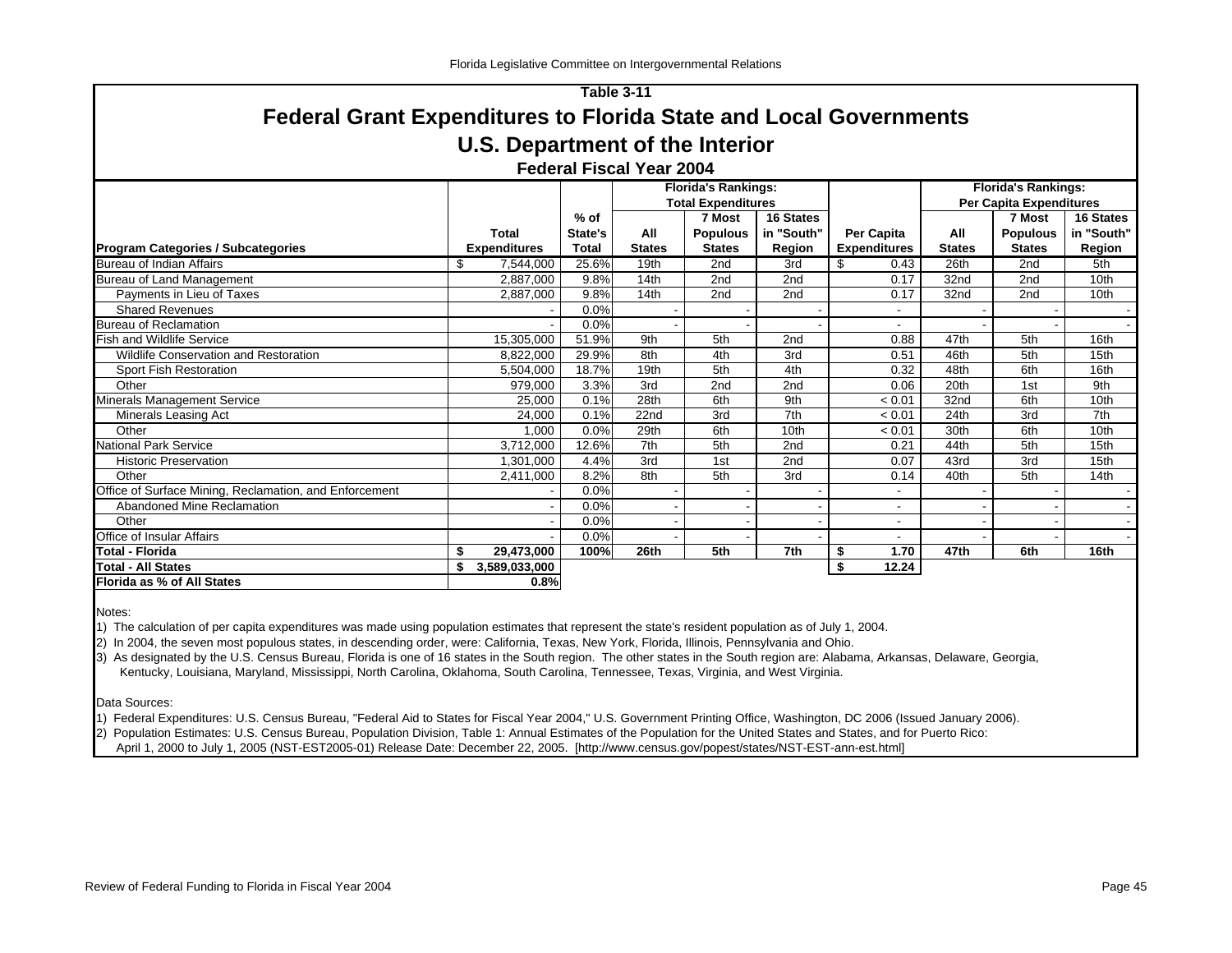| Table 3-11                                                               |                     |            |              |                  |                            |                 |                     |               |                                |                  |  |
|--------------------------------------------------------------------------|---------------------|------------|--------------|------------------|----------------------------|-----------------|---------------------|---------------|--------------------------------|------------------|--|
| <b>Federal Grant Expenditures to Florida State and Local Governments</b> |                     |            |              |                  |                            |                 |                     |               |                                |                  |  |
|                                                                          |                     |            |              |                  |                            |                 |                     |               |                                |                  |  |
| U.S. Department of the Interior                                          |                     |            |              |                  |                            |                 |                     |               |                                |                  |  |
| <b>Federal Fiscal Year 2004</b>                                          |                     |            |              |                  |                            |                 |                     |               |                                |                  |  |
|                                                                          |                     |            |              |                  | <b>Florida's Rankings:</b> |                 |                     |               | <b>Florida's Rankings:</b>     |                  |  |
|                                                                          |                     |            |              |                  | <b>Total Expenditures</b>  |                 |                     |               | <b>Per Capita Expenditures</b> |                  |  |
|                                                                          |                     |            | $%$ of       |                  | 7 Most                     | 16 States       |                     |               | 7 Most                         | 16 States        |  |
|                                                                          | <b>Total</b>        |            | State's      | All              | <b>Populous</b>            | in "South"      | Per Capita          | All           | <b>Populous</b>                | in "South"       |  |
| <b>Program Categories / Subcategories</b>                                | <b>Expenditures</b> |            | <b>Total</b> | <b>States</b>    | <b>States</b>              | Region          | <b>Expenditures</b> | <b>States</b> | <b>States</b>                  | Region           |  |
| <b>Bureau of Indian Affairs</b>                                          | £.                  | 7,544,000  | 25.6%        | 19 <sub>th</sub> | 2 <sub>nd</sub>            | 3rd             | \$<br>0.43          | 26th          | 2 <sub>nd</sub>                | 5th              |  |
| Bureau of Land Management                                                |                     | 2,887,000  | 9.8%         | 14th             | 2nd                        | 2 <sub>nd</sub> | 0.17                | 32nd          | 2 <sub>nd</sub>                | 10th             |  |
| Payments in Lieu of Taxes                                                |                     | 2,887,000  | 9.8%         | 14th             | 2 <sub>nd</sub>            | 2nd             | 0.17                | 32nd          | 2 <sub>nd</sub>                | 10th             |  |
| <b>Shared Revenues</b>                                                   |                     |            | 0.0%         |                  |                            |                 |                     |               |                                |                  |  |
| <b>Bureau of Reclamation</b>                                             |                     |            | 0.0%         |                  |                            |                 |                     |               |                                |                  |  |
| <b>Fish and Wildlife Service</b>                                         |                     | 15,305,000 | 51.9%        | 9th              | 5th                        | 2nd             | 0.88                | 47th          | 5th                            | 16th             |  |
| <b>Wildlife Conservation and Restoration</b>                             |                     | 8.822.000  | 29.9%        | 8th              | 4th                        | 3rd             | 0.51                | 46th          | 5th                            | 15 <sub>th</sub> |  |
| Sport Fish Restoration                                                   |                     | 5,504,000  | 18.7%        | 19th             | 5th                        | 4th             | 0.32                | 48th          | 6th                            | 16th             |  |
| Other                                                                    |                     | 979,000    | 3.3%         | 3rd              | 2nd                        | 2nd             | 0.06                | 20th          | 1st                            | 9th              |  |
| <b>Minerals Management Service</b>                                       |                     | 25.000     | 0.1%         | 28th             | 6th                        | 9th             | < 0.01              | 32nd          | 6th                            | 10th             |  |
| <b>Minerals Leasing Act</b>                                              |                     | 24,000     | 0.1%         | 22 <sub>nd</sub> | 3rd                        | 7th             | < 0.01              | 24th          | 3rd                            | 7th              |  |
| Other                                                                    |                     | 1.000      | 0.0%         | 29th             | 6th                        | 10th            | < 0.01              | 30th          | 6th                            | 10th             |  |
| <b>National Park Service</b>                                             |                     | 3,712,000  | 12.6%        | 7th              | 5th                        | 2nd             | 0.21                | 44th          | 5th                            | 15 <sub>th</sub> |  |
| <b>Historic Preservation</b>                                             |                     | 1.301.000  | 4.4%         | 3rd              | 1st                        | 2nd             | 0.07                | 43rd          | 3rd                            | 15 <sub>th</sub> |  |
| Other                                                                    |                     | 2,411,000  | 8.2%         | 8th              | 5th                        | 3rd             | 0.14                | 40th          | 5th                            | 14th             |  |
| Office of Surface Mining, Reclamation, and Enforcement                   |                     |            | 0.0%         |                  |                            |                 |                     |               |                                |                  |  |
| Abandoned Mine Reclamation                                               |                     |            | 0.0%         |                  |                            |                 |                     |               |                                |                  |  |
| Other                                                                    |                     |            | 0.0%         |                  |                            |                 |                     |               |                                |                  |  |
| <b>Office of Insular Affairs</b>                                         |                     |            | 0.0%         |                  |                            |                 |                     |               |                                |                  |  |
| <b>Total - Florida</b>                                                   | \$                  | 29,473,000 | 100%         | 26th             | 5th                        | 7th             | 1.70<br>\$          | 47th          | 6th                            | 16th             |  |
| Total - All States                                                       | \$<br>3,589,033,000 |            |              |                  |                            |                 | \$<br>12.24         |               |                                |                  |  |
| <b>IFlorida as % of All States</b>                                       |                     | 0.8%       |              |                  |                            |                 |                     |               |                                |                  |  |

1) The calculation of per capita expenditures was made using population estimates that represent the state's resident population as of July 1, 2004.

2) In 2004, the seven most populous states, in descending order, were: California, Texas, New York, Florida, Illinois, Pennsylvania and Ohio.

3) As designated by the U.S. Census Bureau, Florida is one of 16 states in the South region. The other states in the South region are: Alabama, Arkansas, Delaware, Georgia, Kentucky, Louisiana, Maryland, Mississippi, North Carolina, Oklahoma, South Carolina, Tennessee, Texas, Virginia, and West Virginia.

Data Sources:

1) Federal Expenditures: U.S. Census Bureau, "Federal Aid to States for Fiscal Year 2004," U.S. Government Printing Office, Washington, DC 2006 (Issued January 2006).

2) Population Estimates: U.S. Census Bureau, Population Division, Table 1: Annual Estimates of the Population for the United States and States, and for Puerto Rico: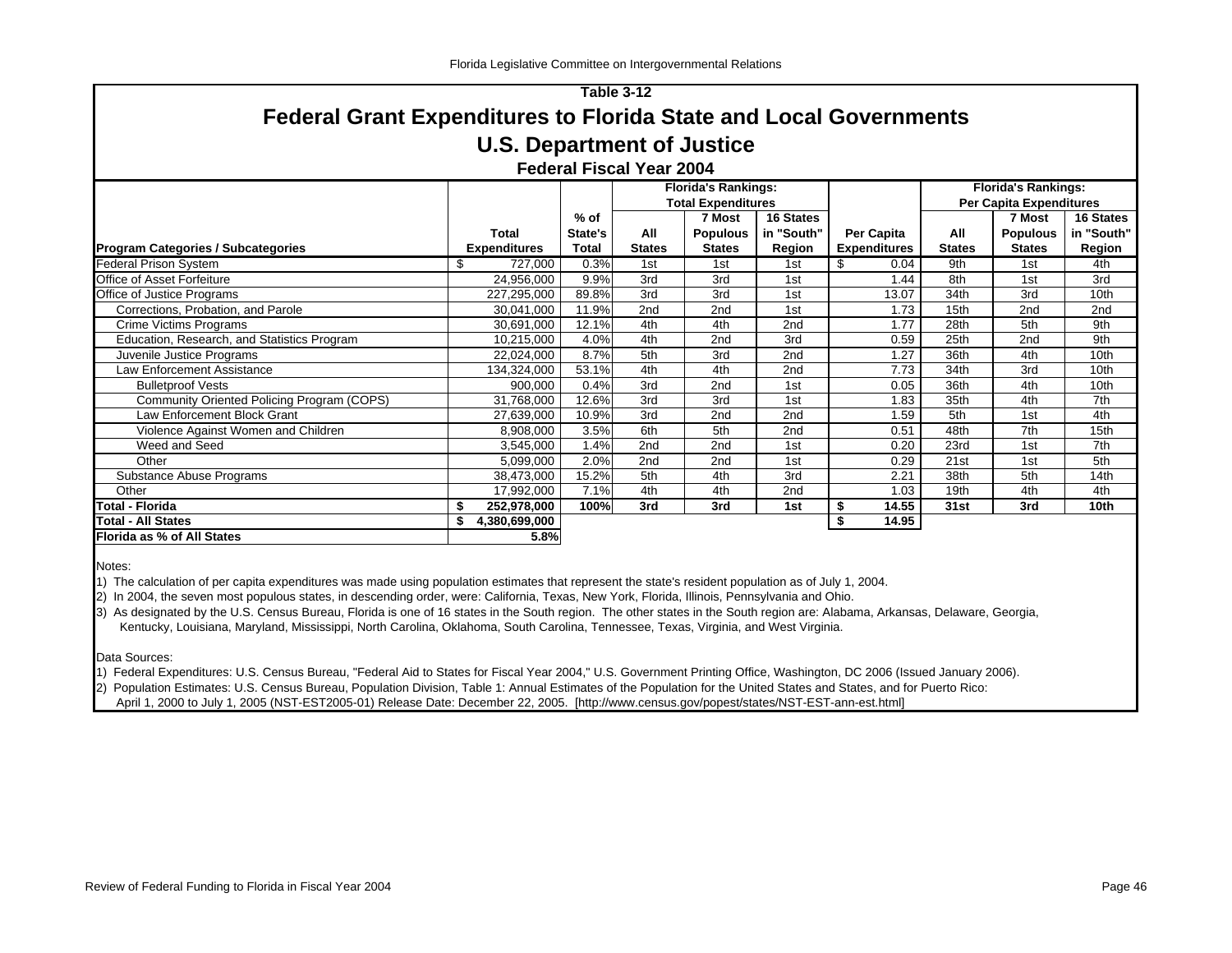| Table 3-12                                                               |  |
|--------------------------------------------------------------------------|--|
| <b>Federal Grant Expenditures to Florida State and Local Governments</b> |  |
| <b>U.S. Department of Justice</b>                                        |  |
| <b>Federal Fiscal Vear 2004</b>                                          |  |

|                                             |                     |         | 1 YUVIUI 1 19941 1 941 £997 |                            |                 |                     |                  |                                |                  |
|---------------------------------------------|---------------------|---------|-----------------------------|----------------------------|-----------------|---------------------|------------------|--------------------------------|------------------|
|                                             |                     |         |                             | <b>Florida's Rankings:</b> |                 |                     |                  | <b>Florida's Rankings:</b>     |                  |
|                                             |                     |         |                             | <b>Total Expenditures</b>  |                 |                     |                  | <b>Per Capita Expenditures</b> |                  |
|                                             |                     | % of    |                             | 7 Most                     | 16 States       |                     |                  | 7 Most                         | <b>16 States</b> |
|                                             | Total               | State's | All                         | <b>Populous</b>            | in "South"      | Per Capita          | All              | <b>Populous</b>                | in "South"       |
| <b>Program Categories / Subcategories</b>   | <b>Expenditures</b> | Total   | <b>States</b>               | <b>States</b>              | Region          | <b>Expenditures</b> | <b>States</b>    | <b>States</b>                  | Region           |
| <b>Federal Prison System</b>                | 727,000<br>\$       | 0.3%    | 1st                         | 1st                        | 1st             | \$<br>0.04          | 9th              | 1st                            | 4th              |
| Office of Asset Forfeiture                  | 24,956,000          | 9.9%    | 3rd                         | 3rd                        | 1st             | 1.44                | 8th              | 1st                            | 3rd              |
| Office of Justice Programs                  | 227,295,000         | 89.8%   | 3rd                         | 3rd                        | 1st             | 13.07               | 34th             | 3rd                            | 10 <sub>th</sub> |
| Corrections, Probation, and Parole          | 30,041,000          | 11.9%   | 2nd                         | 2nd                        | 1st             | 1.73                | 15 <sub>th</sub> | 2nd                            | 2nd              |
| Crime Victims Programs                      | 30,691,000          | 12.1%   | 4th                         | 4th                        | 2 <sub>nd</sub> | 1.77                | 28th             | 5th                            | 9th              |
| Education, Research, and Statistics Program | 10,215,000          | 4.0%    | 4th                         | 2nd                        | 3rd             | 0.59                | 25th             | 2nd                            | 9th              |
| Juvenile Justice Programs                   | 22,024,000          | 8.7%    | 5th                         | 3rd                        | 2 <sub>nd</sub> | 1.27                | 36th             | 4th                            | 10th             |
| Law Enforcement Assistance                  | 134,324,000         | 53.1%   | 4th                         | 4th                        | 2 <sub>nd</sub> | 7.73                | 34th             | 3rd                            | 10th             |
| <b>Bulletproof Vests</b>                    | 900,000             | 0.4%    | 3rd                         | 2 <sub>nd</sub>            | 1st             | 0.05                | 36th             | 4th                            | 10th             |
| Community Oriented Policing Program (COPS)  | 31,768,000          | 12.6%   | 3rd                         | 3rd                        | 1st             | 1.83                | 35th             | 4th                            | 7th              |
| Law Enforcement Block Grant                 | 27,639,000          | 10.9%   | 3rd                         | 2 <sub>nd</sub>            | 2 <sub>nd</sub> | 1.59                | 5th              | 1st                            | 4th              |
| Violence Against Women and Children         | 8,908,000           | 3.5%    | 6th                         | 5th                        | 2 <sub>nd</sub> | 0.51                | 48th             | 7th                            | 15th             |
| Weed and Seed                               | 3,545,000           | 1.4%    | 2 <sub>nd</sub>             | 2 <sub>nd</sub>            | 1st             | 0.20                | 23rd             | 1st                            | 7th              |
| Other                                       | 5,099,000           | 2.0%    | 2 <sub>nd</sub>             | 2 <sub>nd</sub>            | 1st             | 0.29                | 21st             | 1st                            | 5th              |
| Substance Abuse Programs                    | 38,473,000          | 15.2%   | 5th                         | 4th                        | 3rd             | 2.21                | 38th             | 5th                            | 14th             |
| Other                                       | 17,992,000          | 7.1%    | 4th                         | 4th                        | 2nd             | 1.03                | 19 <sub>th</sub> | 4th                            | 4th              |
| <b>Total - Florida</b>                      | 252,978,000         | 100%    | 3rd                         | 3rd                        | 1st             | 14.55               | 31st             | 3rd                            | 10th             |
| <b>Total - All States</b>                   | 4,380,699,000       |         |                             |                            |                 | \$<br>14.95         |                  |                                |                  |
| Florida as % of All States                  | 5.8%                |         |                             |                            |                 |                     |                  |                                |                  |

1) The calculation of per capita expenditures was made using population estimates that represent the state's resident population as of July 1, 2004.

2) In 2004, the seven most populous states, in descending order, were: California, Texas, New York, Florida, Illinois, Pennsylvania and Ohio.

3) As designated by the U.S. Census Bureau, Florida is one of 16 states in the South region. The other states in the South region are: Alabama, Arkansas, Delaware, Georgia, Kentucky, Louisiana, Maryland, Mississippi, North Carolina, Oklahoma, South Carolina, Tennessee, Texas, Virginia, and West Virginia.

Data Sources:

1) Federal Expenditures: U.S. Census Bureau, "Federal Aid to States for Fiscal Year 2004," U.S. Government Printing Office, Washington, DC 2006 (Issued January 2006).

2) Population Estimates: U.S. Census Bureau, Population Division, Table 1: Annual Estimates of the Population for the United States and States, and for Puerto Rico: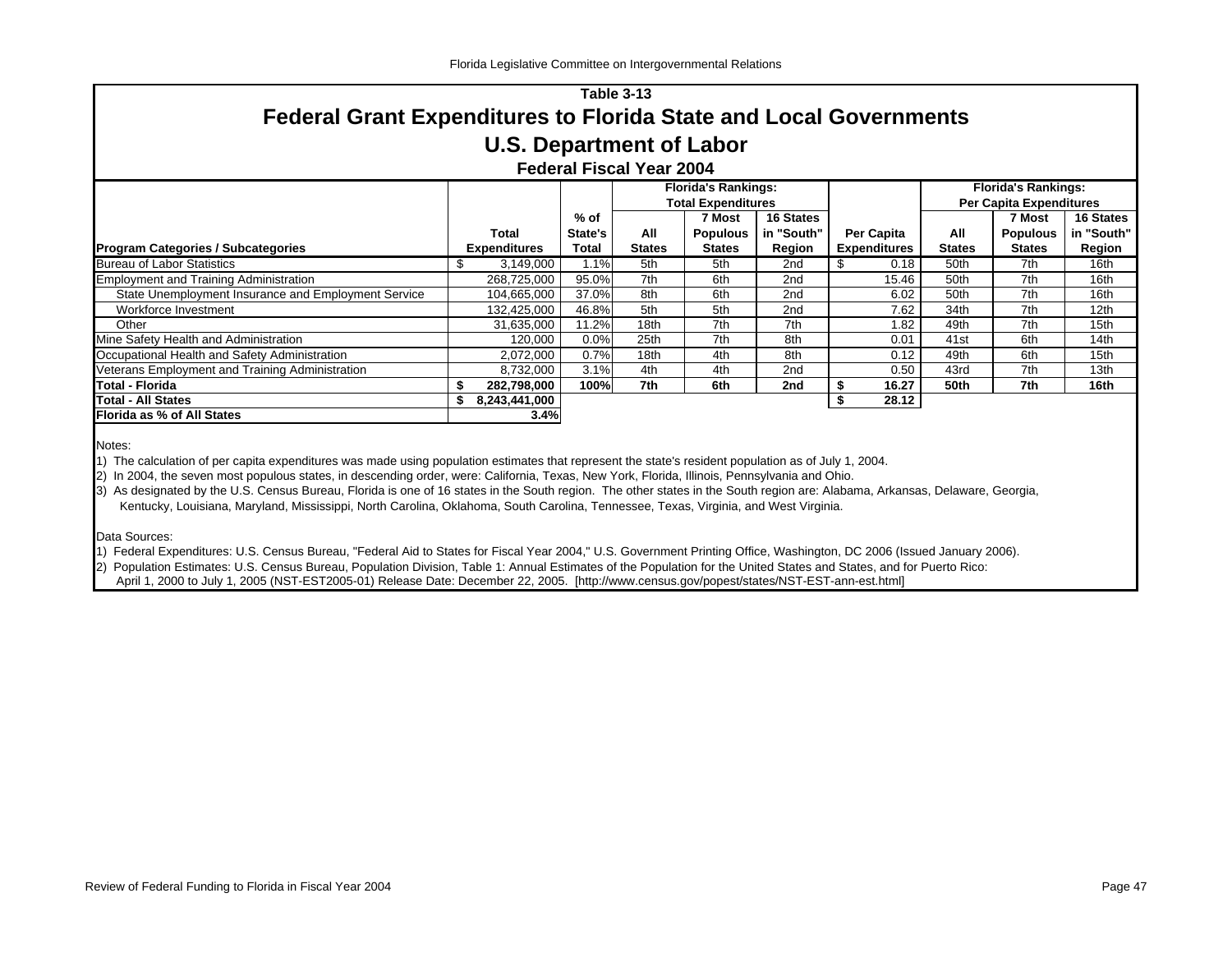# **Table 3-13U.S. Department of Labor Federal Grant Expenditures to Florida State and Local Governments**

#### **Federal Fiscal Year 2004**

|                                                     |                     |         | <b>Florida's Rankings:</b> |                           |                  | <b>Florida's Rankings:</b> |       |               |                                |                  |
|-----------------------------------------------------|---------------------|---------|----------------------------|---------------------------|------------------|----------------------------|-------|---------------|--------------------------------|------------------|
|                                                     |                     |         |                            | <b>Total Expenditures</b> |                  |                            |       |               | <b>Per Capita Expenditures</b> |                  |
|                                                     |                     | $%$ of  |                            | 7 Most                    | <b>16 States</b> |                            |       |               | 7 Most                         | <b>16 States</b> |
|                                                     | Total               | State's | All                        | <b>Populous</b>           | in "South"       | Per Capita                 |       | All           | <b>Populous</b>                | in "South"       |
| <b>Program Categories / Subcategories</b>           | <b>Expenditures</b> | Total   | <b>States</b>              | <b>States</b>             | Region           | <b>Expenditures</b>        |       | <b>States</b> | <b>States</b>                  | Region           |
| Bureau of Labor Statistics                          | 3.149.000           | 1.1%    | 5th                        | 5th                       | 2nd              |                            | 0.18  | 50th          | 7th                            | 16th             |
| <b>Employment and Training Administration</b>       | 268.725.000         | 95.0%   | 7th                        | 6th                       | 2nd              |                            | 15.46 | 50th          | 7th                            | 16th             |
| State Unemployment Insurance and Employment Service | 104.665.000         | 37.0%   | 8th                        | 6th                       | 2nd              |                            | 6.02  | 50th          | 7th                            | 16th             |
| Workforce Investment                                | 132,425,000         | 46.8%   | 5th                        | 5th                       | 2nd              |                            | 7.62  | 34th          | 7th                            | 12th             |
| Other                                               | 31,635,000          | 11.2%   | 18th                       | 7th                       | 7th              |                            | 1.82  | 49th          | 7th                            | 15 <sub>th</sub> |
| Mine Safety Health and Administration               | 120.000             | 0.0%    | 25th                       | 7th                       | 8th              |                            | 0.01  | 41st          | 6th                            | 14th             |
| Occupational Health and Safety Administration       | 2.072.000           | 0.7%    | 18th                       | 4th                       | 8th              |                            | 0.12  | 49th          | 6th                            | 15 <sub>th</sub> |
| Veterans Employment and Training Administration     | 8,732,000           | 3.1%    | 4th                        | 4th                       | 2 <sub>nd</sub>  |                            | 0.50  | 43rd          | 7th                            | 13 <sub>th</sub> |
| Total - Florida                                     | 282,798,000         | 100%    | 7th                        | 6th                       | 2nd              |                            | 16.27 | 50th          | 7th                            | 16th             |
| Total - All States                                  | 8,243,441,000       |         |                            |                           |                  |                            | 28.12 |               |                                |                  |
| <b>IFlorida as % of All States</b>                  | 3.4%                |         |                            |                           |                  |                            |       |               |                                |                  |

Notes:

1) The calculation of per capita expenditures was made using population estimates that represent the state's resident population as of July 1, 2004.

2) In 2004, the seven most populous states, in descending order, were: California, Texas, New York, Florida, Illinois, Pennsylvania and Ohio.

3) As designated by the U.S. Census Bureau, Florida is one of 16 states in the South region. The other states in the South region are: Alabama, Arkansas, Delaware, Georgia, Kentucky, Louisiana, Maryland, Mississippi, North Carolina, Oklahoma, South Carolina, Tennessee, Texas, Virginia, and West Virginia.

Data Sources:

1) Federal Expenditures: U.S. Census Bureau, "Federal Aid to States for Fiscal Year 2004," U.S. Government Printing Office, Washington, DC 2006 (Issued January 2006).

2) Population Estimates: U.S. Census Bureau, Population Division, Table 1: Annual Estimates of the Population for the United States and States, and for Puerto Rico: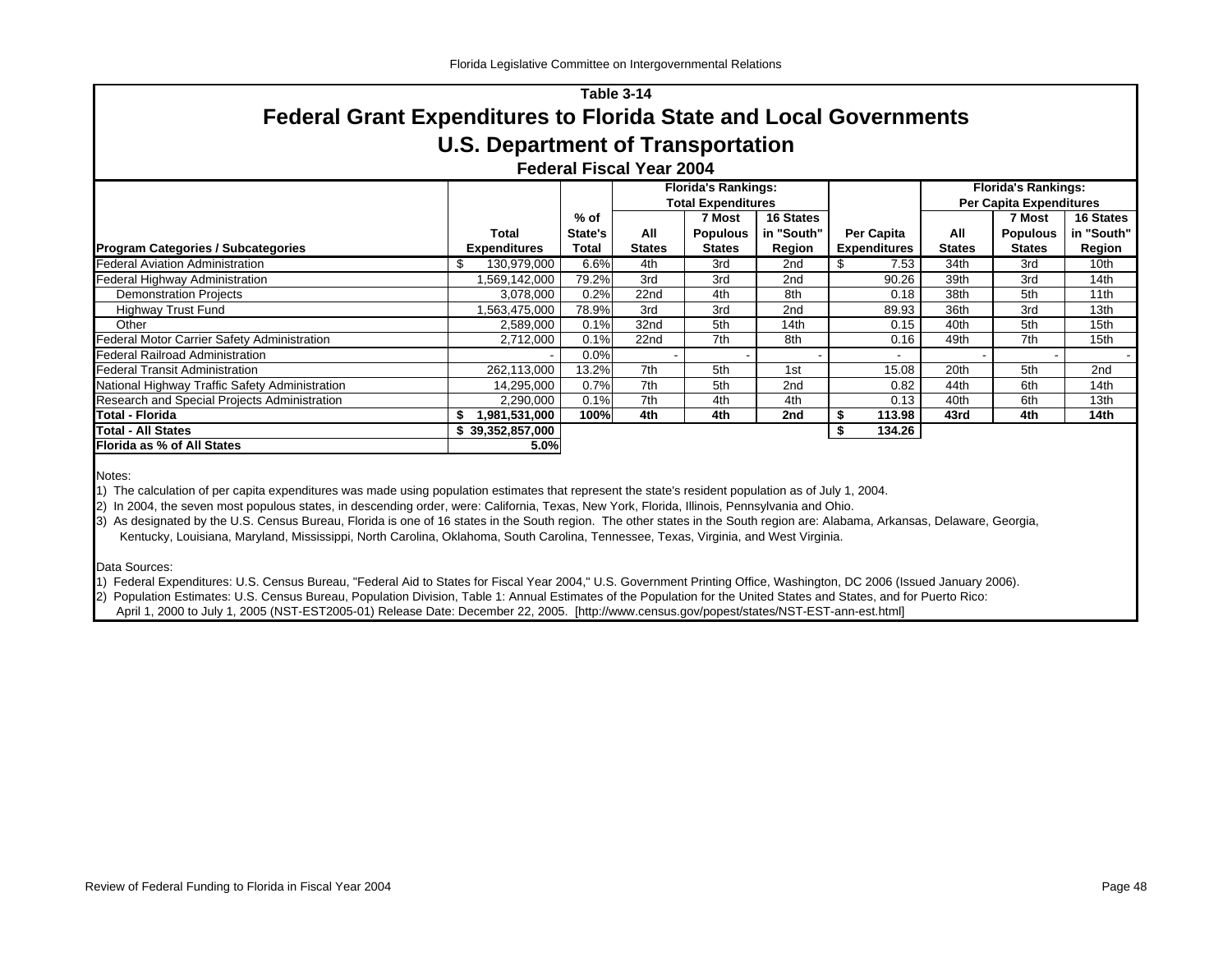# **Table 3-14U.S. Department of Transportation Federal Grant Expenditures to Florida State and Local Governments**

#### **Federal Fiscal Year 2004**

|                                                    |                     |         |               | <b>Florida's Rankings:</b> |                  |                     |        | <b>Florida's Rankings:</b>     |                  |
|----------------------------------------------------|---------------------|---------|---------------|----------------------------|------------------|---------------------|--------|--------------------------------|------------------|
|                                                    |                     |         |               | <b>Total Expenditures</b>  |                  |                     |        | <b>Per Capita Expenditures</b> |                  |
|                                                    |                     | $%$ of  |               | 7 Most                     | <b>16 States</b> |                     |        | 7 Most                         | 16 States        |
|                                                    | Total               | State's | All           | <b>Populous</b>            | in "South"       | Per Capita          | All    | <b>Populous</b>                | in "South"       |
| <b>Program Categories / Subcategories</b>          | <b>Expenditures</b> | Total   | <b>States</b> | <b>States</b>              | Region           | <b>Expenditures</b> | States | <b>States</b>                  | Region           |
| <b>Federal Aviation Administration</b>             | 130,979,000<br>S    | 6.6%    | 4th           | 3rd                        | 2nd              | 7.53                | 34th   | 3rd                            | 10 <sub>th</sub> |
| <b>Federal Highway Administration</b>              | 1,569,142,000       | 79.2%   | 3rd           | 3rd                        | 2nd              | 90.26               | 39th   | 3rd                            | 14th             |
| <b>Demonstration Projects</b>                      | 3.078.000           | 0.2%    | 22nd          | 4th                        | 8th              | 0.18                | 38th   | 5th                            | 11th             |
| <b>Highway Trust Fund</b>                          | 1.563.475.000       | 78.9%   | 3rd           | 3rd                        | 2nd              | 89.93               | 36th   | 3rd                            | 13 <sub>th</sub> |
| Other                                              | 2,589,000           | 0.1%    | 32nd          | 5th                        | 14th             | 0.15                | 40th   | 5th                            | 15 <sub>th</sub> |
| <b>Federal Motor Carrier Safety Administration</b> | 2,712,000           | 0.1%    | 22nd          | 7th                        | 8th              | 0.16                | 49th   | 7th                            | 15 <sub>th</sub> |
| <b>Federal Railroad Administration</b>             |                     | 0.0%    |               |                            |                  |                     |        |                                |                  |
| <b>Federal Transit Administration</b>              | 262,113,000         | 13.2%   | 7th           | 5th                        | 1st              | 15.08               | 20th   | 5th                            | 2 <sub>nd</sub>  |
| National Highway Traffic Safety Administration     | 14.295.000          | 0.7%    | 7th           | 5th                        | 2nd              | 0.82                | 44th   | 6th                            | 14th             |
| Research and Special Projects Administration       | 2,290,000           | 0.1%    | 7th           | 4th                        | 4th              | 0.13                | 40th   | 6th                            | 13th             |
| Total - Florida                                    | 1,981,531,000       | 100%    | 4th           | 4th                        | 2nd              | 113.98              | 43rd   | 4th                            | 14th             |
| Total - All States                                 | \$39,352,857,000    |         |               |                            |                  | 134.26              |        |                                |                  |
| <b>IFlorida as % of All States</b>                 | 5.0%                |         |               |                            |                  |                     |        |                                |                  |

Notes:

1) The calculation of per capita expenditures was made using population estimates that represent the state's resident population as of July 1, 2004.

2) In 2004, the seven most populous states, in descending order, were: California, Texas, New York, Florida, Illinois, Pennsylvania and Ohio.

3) As designated by the U.S. Census Bureau, Florida is one of 16 states in the South region. The other states in the South region are: Alabama, Arkansas, Delaware, Georgia, Kentucky, Louisiana, Maryland, Mississippi, North Carolina, Oklahoma, South Carolina, Tennessee, Texas, Virginia, and West Virginia.

Data Sources:

1) Federal Expenditures: U.S. Census Bureau, "Federal Aid to States for Fiscal Year 2004," U.S. Government Printing Office, Washington, DC 2006 (Issued January 2006).

2) Population Estimates: U.S. Census Bureau, Population Division, Table 1: Annual Estimates of the Population for the United States and States, and for Puerto Rico: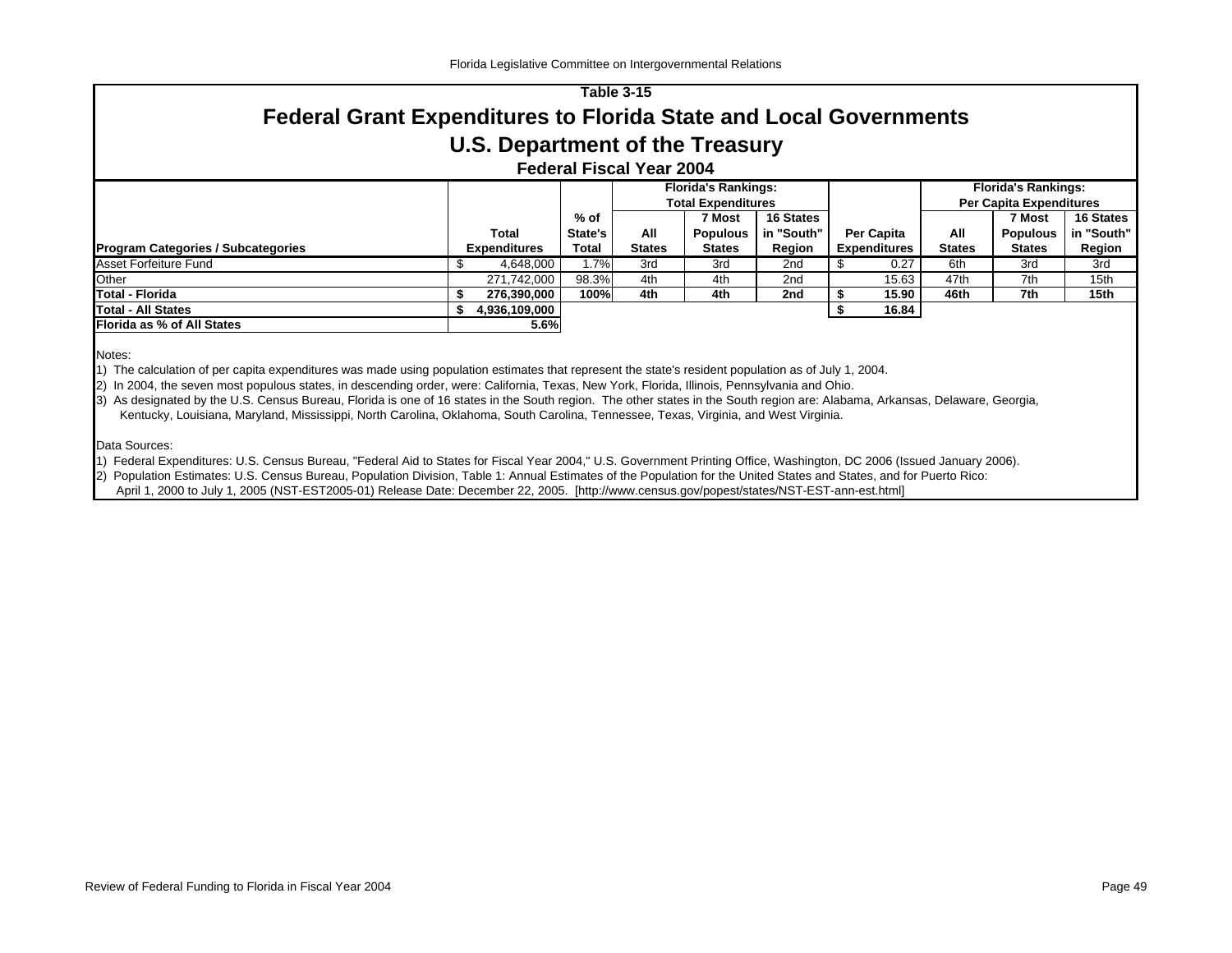# **Table 3-15U.S. Department of the Treasury Federal Grant Expenditures to Florida State and Local Governments**

#### **Federal Fiscal Year 2004**

|                                           |                              |                          |                      | <b>Florida's Rankings:</b><br><b>Total Expenditures</b> |                                          |                                   |                      | <b>Florida's Rankings:</b><br><b>Per Capita Expenditures</b> |                                   |
|-------------------------------------------|------------------------------|--------------------------|----------------------|---------------------------------------------------------|------------------------------------------|-----------------------------------|----------------------|--------------------------------------------------------------|-----------------------------------|
| <b>Program Categories / Subcategories</b> | Total<br><b>Expenditures</b> | % of<br>State's<br>Total | All<br><b>States</b> | 7 Most<br><b>Populous</b><br><b>States</b>              | <b>16 States</b><br>in "South"<br>Region | Per Capita<br><b>Expenditures</b> | All<br><b>States</b> | 7 Most<br><b>Populous</b><br><b>States</b>                   | 16 States<br>in "South"<br>Region |
| Asset Forfeiture Fund                     | 4.648.000                    | $.7\%$                   | 3rd                  | 3rd                                                     | 2nd                                      | 0.27                              | 6th                  | 3rd                                                          | 3rd                               |
| Other                                     | 271,742,000                  | 98.3%                    | 4th                  | 4th                                                     | 2nd                                      | 15.63                             | 47th                 | 7th                                                          | 15th                              |
| <b>Total - Florida</b>                    | 276.390.000                  | 100%                     | 4th                  | 4th                                                     | 2nd                                      | 15.90                             | 46th                 | 7th                                                          | 15th                              |
| <b>Total - All States</b>                 | 4.936.109.000                |                          |                      |                                                         |                                          | 16.84                             |                      |                                                              |                                   |
| <b>Florida as % of All States</b>         | 5.6%                         |                          |                      |                                                         |                                          |                                   |                      |                                                              |                                   |

Notes:

1) The calculation of per capita expenditures was made using population estimates that represent the state's resident population as of July 1, 2004.

2) In 2004, the seven most populous states, in descending order, were: California, Texas, New York, Florida, Illinois, Pennsylvania and Ohio.

3) As designated by the U.S. Census Bureau, Florida is one of 16 states in the South region. The other states in the South region are: Alabama, Arkansas, Delaware, Georgia, Kentucky, Louisiana, Maryland, Mississippi, North Carolina, Oklahoma, South Carolina, Tennessee, Texas, Virginia, and West Virginia.

Data Sources:

1) Federal Expenditures: U.S. Census Bureau, "Federal Aid to States for Fiscal Year 2004," U.S. Government Printing Office, Washington, DC 2006 (Issued January 2006).

2) Population Estimates: U.S. Census Bureau, Population Division, Table 1: Annual Estimates of the Population for the United States and States, and for Puerto Rico: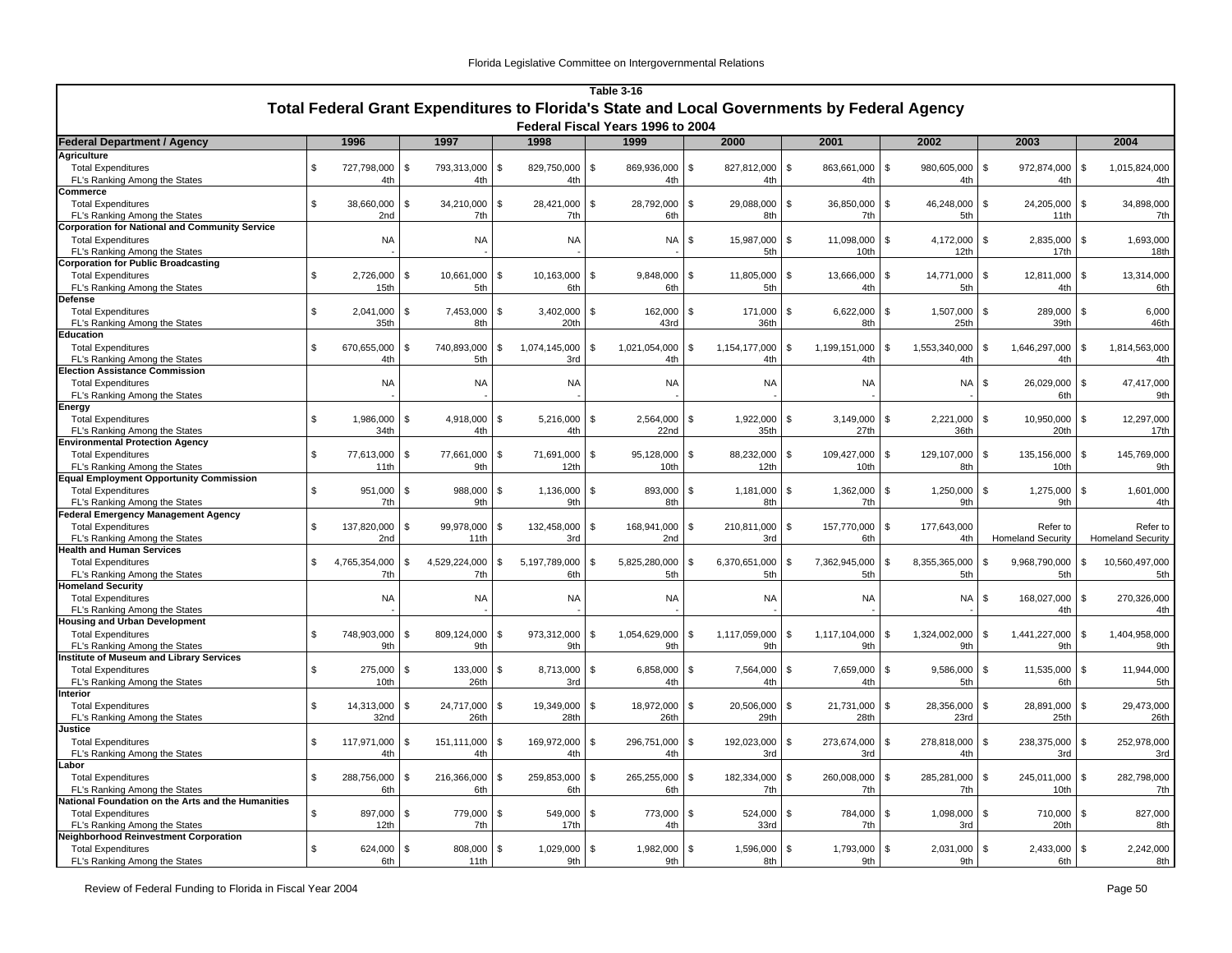| Table 3-16<br>Total Federal Grant Expenditures to Florida's State and Local Governments by Federal Agency           |    |                      |                |                      |    |                      |                    |                                   |    |                      |              |                      |     |                      |                                      |              |                                      |
|---------------------------------------------------------------------------------------------------------------------|----|----------------------|----------------|----------------------|----|----------------------|--------------------|-----------------------------------|----|----------------------|--------------|----------------------|-----|----------------------|--------------------------------------|--------------|--------------------------------------|
|                                                                                                                     |    |                      |                |                      |    |                      |                    | Federal Fiscal Years 1996 to 2004 |    |                      |              |                      |     |                      |                                      |              |                                      |
| <b>Federal Department / Agency</b>                                                                                  |    | 1996                 |                | 1997                 |    | 1998                 |                    | 1999                              |    | 2000                 |              | 2001                 |     | 2002                 | 2003                                 |              | 2004                                 |
| Agriculture<br><b>Total Expenditures</b><br>FL's Ranking Among the States                                           | \$ | 727,798,000<br>4th   | \$             | 793,313,000<br>4th   | \$ | 829,750,000<br>4th   | $\mathbf{\hat{s}}$ | 869,936,000<br>4th                | \$ | 827,812,000<br>4th   | \$           | 863,661,000<br>4th   | \$  | 980,605,000<br>4th   | \$<br>972,874,000<br>4th             | $\mathbf{s}$ | 1,015,824,000<br>4th                 |
| commerce:<br><b>Total Expenditures</b><br>FL's Ranking Among the States                                             | \$ | 38,660,000<br>2nd    | \$             | 34,210,000<br>7th    | \$ | 28,421,000<br>7th    | \$                 | 28,792,000<br>6th                 | \$ | 29,088,000<br>8th    | \$           | 36,850,000<br>7th    | \$  | 46,248,000<br>5th    | \$<br>24,205,000<br>11th             | \$           | 34,898,000<br>7th                    |
| <b>Corporation for National and Community Service</b><br><b>Total Expenditures</b><br>FL's Ranking Among the States |    | <b>NA</b>            |                | <b>NA</b>            |    | <b>NA</b>            |                    | <b>NA</b>                         | \$ | 15,987,000<br>5th    | \$           | 11,098,000<br>10th   | \$  | 4,172,000<br>12th    | \$<br>2,835,000<br>17th              | \$           | 1,693,000<br>18th                    |
| <b>Corporation for Public Broadcasting</b><br><b>Total Expenditures</b><br>FL's Ranking Among the States            | \$ | 2,726,000<br>15th    | \$             | 10,661,000<br>5th    | \$ | 10,163,000<br>6th    | $\sqrt{3}$         | 9,848,000<br>6th                  | \$ | 11,805,000<br>5th    | \$           | 13,666,000<br>4th    | \$  | 14,771,000<br>5th    | \$<br>12,811,000<br>4th              | \$           | 13,314,000<br>6th                    |
| Defense<br><b>Total Expenditures</b><br>FL's Ranking Among the States                                               | \$ | 2,041,000<br>35th    | $\mathfrak{s}$ | 7,453,000<br>8th     | \$ | 3,402,000<br>20th    | \$                 | 162,000<br>43rd                   | \$ | 171,000<br>36th      | \$           | 6,622,000<br>8th     | \$  | 1,507,000<br>25th    | \$<br>289,000<br>39th                | $\mathbf{s}$ | 6,000<br>46th                        |
| Education<br><b>Total Expenditures</b><br>FL's Ranking Among the States<br><b>Election Assistance Commission</b>    | \$ | 670,655,000<br>4th   | \$             | 740,893,000<br>5th   | \$ | 1,074,145,000<br>3rd | \$.                | 1,021,054,000<br>4th              | \$ | 1,154,177,000<br>4th | \$           | 1,199,151,000<br>4th | \$  | 1,553,340,000<br>4th | \$<br>1,646,297,000<br>4th           | $\mathbf{s}$ | 1,814,563,000<br>4th                 |
| <b>Total Expenditures</b><br>FL's Ranking Among the States                                                          |    | <b>NA</b>            |                | <b>NA</b>            |    | <b>NA</b>            |                    | <b>NA</b>                         |    | <b>NA</b>            |              | NA                   |     | <b>NA</b>            | \$<br>26,029,000<br>6th              | \$           | 47,417,000<br>9th                    |
| Energy<br><b>Total Expenditures</b><br>FL's Ranking Among the States<br><b>Environmental Protection Agency</b>      | \$ | 1.986.000<br>34th    | \$             | 4.918.000<br>4th     | \$ | 5,216,000<br>4th     | \$                 | 2.564.000<br>22 <sub>nd</sub>     | \$ | 1.922.000<br>35th    | \$           | 3.149.000<br>27th    | \$  | 2,221,000<br>36th    | \$<br>10.950.000<br>20th             | $\mathbf{s}$ | 12,297,000<br>17th                   |
| <b>Total Expenditures</b><br>FL's Ranking Among the States                                                          | \$ | 77,613,000<br>11th   | \$             | 77,661,000<br>9th    | \$ | 71,691,000<br>12th   | \$                 | 95,128,000<br>10th                | \$ | 88,232,000<br>12th   | \$           | 109,427,000<br>10th  | \$  | 129,107,000<br>8th   | \$<br>135,156,000<br>10th            | \$           | 145,769,000<br>9th                   |
| qual Employment Opportunity Commission<br><b>Total Expenditures</b><br>FL's Ranking Among the States                | \$ | 951,000<br>7th       | $\mathfrak{s}$ | 988,000<br>9th       | \$ | 1,136,000<br>9th     | S.                 | 893,000<br>8th                    | \$ | 1,181,000<br>8th     | \$           | 1,362,000<br>7th     | \$  | 1,250,000<br>9th     | \$<br>1,275,000<br>9th               | \$           | 1,601,000<br>4th                     |
| ederal Emergency Management Agency<br><b>Total Expenditures</b><br>FL's Ranking Among the States                    | \$ | 137,820,000<br>2nd   | \$             | 99,978,000<br>11th   | \$ | 132,458,000<br>3rd   | \$                 | 168,941,000<br>2nd                | \$ | 210,811,000<br>3rd   | \$           | 157,770,000<br>6th   | \$  | 177,643,000<br>4th   | Refer to<br><b>Homeland Security</b> |              | Refer to<br><b>Homeland Security</b> |
| lealth and Human Services<br><b>Total Expenditures</b><br>FL's Ranking Among the States                             | \$ | 4,765,354,000<br>7th | \$             | 4,529,224,000<br>7th | \$ | 5,197,789,000<br>6th | \$                 | 5,825,280,000<br>5th              | \$ | 6,370,651,000<br>5th | \$           | 7,362,945,000<br>5th | \$  | 8,355,365,000<br>5th | \$<br>9,968,790,000<br>5th           | \$           | 10,560,497,000<br>5th                |
| <b>Iomeland Security</b><br><b>Total Expenditures</b><br>FL's Ranking Among the States                              |    | <b>NA</b>            |                | <b>NA</b>            |    | <b>NA</b>            |                    | <b>NA</b>                         |    | <b>NA</b>            |              | <b>NA</b>            |     | NA                   | \$<br>168,027,000<br>4th             | $\mathbf{s}$ | 270,326,000<br>4th                   |
| lousing and Urban Development<br><b>Total Expenditures</b><br>FL's Ranking Among the States                         | \$ | 748,903,000<br>9th   | \$             | 809,124,000<br>9th   | \$ | 973,312,000<br>9th   | \$.                | 1,054,629,000<br>9th              | \$ | 1,117,059,000<br>9th | \$           | 1,117,104,000<br>9th | \$  | 1,324,002,000<br>9th | \$<br>1,441,227,000<br>9th           | $\mathbf{s}$ | 1,404,958,000<br>9th                 |
| <b>nstitute of Museum and Library Services</b><br><b>Total Expenditures</b><br>FL's Ranking Among the States        | \$ | 275,000<br>10th      | $\mathfrak{L}$ | 133,000<br>26th      | \$ | 8,713,000<br>3rd     | <b>S</b>           | 6,858,000<br>4th                  | \$ | 7,564,000<br>4th     | \$           | 7,659,000<br>4th     | \$  | 9,586,000<br>5th     | \$<br>11,535,000<br>6th              | \$           | 11,944,000<br>5th                    |
| nterior<br><b>Total Expenditures</b><br>FL's Ranking Among the States                                               | \$ | 14,313,000<br>32nd   | $\mathfrak{L}$ | 24.717.000<br>26th   | \$ | 19,349,000<br>28th   | \$                 | 18,972,000<br>26th                | \$ | 20,506,000<br>29th   | \$           | 21,731,000<br>28th   | \$  | 28,356,000<br>23rd   | \$<br>28,891,000<br>25th             | \$           | 29,473,000<br>26th                   |
| Justice<br><b>Total Expenditures</b><br>FL's Ranking Among the States                                               | \$ | 117,971,000<br>4th   | \$             | 151,111,000<br>4th   | \$ | 169,972,000<br>4th   | S.                 | 296,751,000<br>4th                | \$ | 192,023,000<br>3rd   | \$           | 273,674,000<br>3rd   | \$  | 278,818,000<br>4th   | \$<br>238,375,000<br>3rd             | \$           | 252,978,000<br>3rd                   |
| abor<br><b>Total Expenditures</b><br>FL's Ranking Among the States                                                  | \$ | 288.756.000<br>6th   | \$             | 216,366,000<br>6th   | \$ | 259,853,000<br>6th   | \$.                | 265,255,000<br>6th                | \$ | 182,334,000<br>7th   | $\mathbf{s}$ | 260,008,000<br>7th   | \$. | 285,281,000<br>7th   | \$<br>245,011,000<br>10th            | \$           | 282,798,000<br>7th                   |
| ational Foundation on the Arts and the Humanities<br><b>Total Expenditures</b><br>FL's Ranking Among the States     | \$ | 897,000<br>12th      | \$             | 779,000<br>7th       | \$ | 549,000<br>17th      | \$.                | 773,000<br>4th                    | \$ | 524,000<br>33rd      | \$           | 784,000<br>7th       | \$  | 1,098,000<br>3rd     | \$<br>710,000<br>20th                | \$           | 827,000<br>8th                       |
| leighborhood Reinvestment Corporation<br><b>Total Expenditures</b><br>FL's Ranking Among the States                 | \$ | 624,000<br>6th       | $\mathfrak{L}$ | 808,000<br>11th      | \$ | 1,029,000<br>9th     | <b>S</b>           | 1,982,000<br>9th                  | \$ | 1,596,000<br>8th     | \$           | 1,793,000<br>9th     | \$  | 2,031,000<br>9th     | \$<br>2,433,000<br>6th               | \$           | 2,242,000<br>8th                     |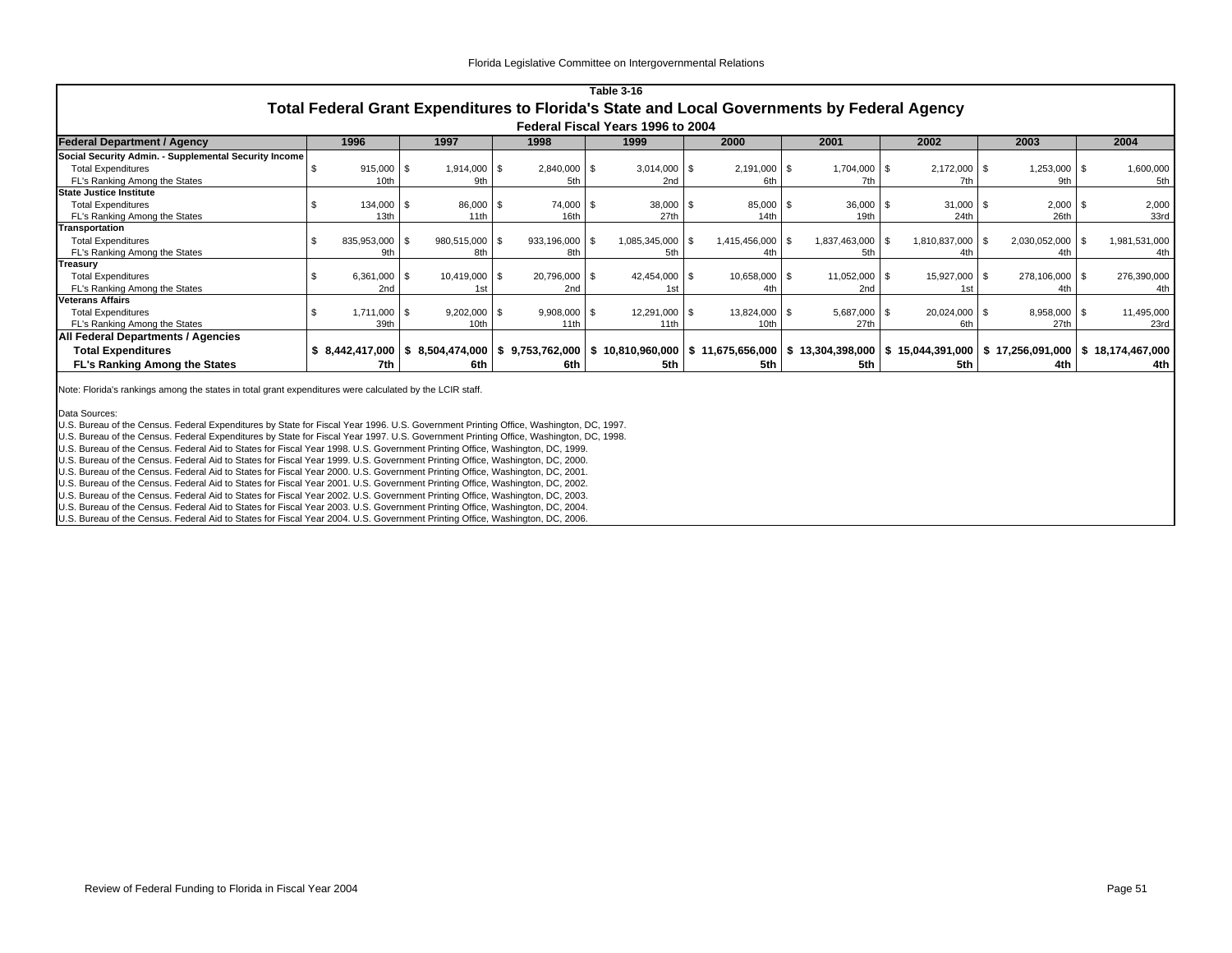| Table 3-16                                            |  |                  |  |                                                                                             |  |                 |  |                                   |  |               |      |                  |                  |                                                                                                                                                             |               |
|-------------------------------------------------------|--|------------------|--|---------------------------------------------------------------------------------------------|--|-----------------|--|-----------------------------------|--|---------------|------|------------------|------------------|-------------------------------------------------------------------------------------------------------------------------------------------------------------|---------------|
|                                                       |  |                  |  | Total Federal Grant Expenditures to Florida's State and Local Governments by Federal Agency |  |                 |  |                                   |  |               |      |                  |                  |                                                                                                                                                             |               |
|                                                       |  |                  |  |                                                                                             |  |                 |  | Federal Fiscal Years 1996 to 2004 |  |               |      |                  |                  |                                                                                                                                                             |               |
| <b>Federal Department / Agency</b>                    |  | 1996             |  | 1997                                                                                        |  | 1998            |  | 1999                              |  | 2000          |      | 2001             | 2002             | 2003                                                                                                                                                        | 2004          |
| Social Security Admin. - Supplemental Security Income |  |                  |  |                                                                                             |  |                 |  |                                   |  |               |      |                  |                  |                                                                                                                                                             |               |
| <b>Total Expenditures</b>                             |  | 915,000 \$       |  | 1,914,000 \$                                                                                |  | 2,840,000 \$    |  | $3,014,000$ \\$                   |  | 2,191,000 \$  |      | 1,704,000 \$     | 2,172,000 \$     | 1,253,000 \$                                                                                                                                                | 1,600,000     |
| FL's Ranking Among the States                         |  | 10th             |  | 9th                                                                                         |  | 5th             |  | 2 <sub>nd</sub>                   |  | 6th           |      | 7th              | 7th              | 9th                                                                                                                                                         | 5th           |
| <b>State Justice Institute</b>                        |  |                  |  |                                                                                             |  |                 |  |                                   |  |               |      |                  |                  |                                                                                                                                                             |               |
| <b>Total Expenditures</b>                             |  | 134,000 \$       |  | 86,000 \$                                                                                   |  | 74,000 \$       |  | $38,000$ \$                       |  | 85,000 \$     |      | $36,000$ \$      | $31,000$ \$      | $2,000$ \$                                                                                                                                                  | 2,000         |
| FL's Ranking Among the States                         |  | 13 <sub>th</sub> |  | 11th                                                                                        |  | 16th            |  | 27th                              |  | 14th          |      | 19th             | 24th             | 26th                                                                                                                                                        | 33rd          |
| <b>Transportation</b>                                 |  |                  |  |                                                                                             |  |                 |  |                                   |  |               |      |                  |                  |                                                                                                                                                             |               |
| <b>Total Expenditures</b>                             |  | 835,953,000 \$   |  | 980,515,000 \$                                                                              |  | 933,196,000 \$  |  | 1,085,345,000 \$                  |  | 1,415,456,000 | - \$ | 1,837,463,000 \$ | 1,810,837,000 \$ | $2,030,052,000$ \$                                                                                                                                          | 1,981,531,000 |
| FL's Ranking Among the States                         |  | 9th              |  | 8th                                                                                         |  | 8th             |  | 5th                               |  | 4th           |      | 5th              | 4th              | 4th                                                                                                                                                         | 4th           |
| <b>Treasury</b>                                       |  |                  |  |                                                                                             |  |                 |  |                                   |  |               |      |                  |                  |                                                                                                                                                             |               |
| <b>Total Expenditures</b>                             |  | $6,361,000$ \$   |  | 10,419,000 \$                                                                               |  | 20.796.000 \$   |  | 42,454,000 \$                     |  | 10,658,000 \$ |      | 11,052,000 \$    | 15,927,000       | 278,106,000 \$                                                                                                                                              | 276,390,000   |
| FL's Ranking Among the States                         |  | 2 <sub>nd</sub>  |  | 1st                                                                                         |  | 2 <sub>nd</sub> |  | 1st                               |  | 4th           |      | 2nd              | 1st              | 4th                                                                                                                                                         | 4th           |
| <b>Veterans Affairs</b>                               |  |                  |  |                                                                                             |  |                 |  |                                   |  |               |      |                  |                  |                                                                                                                                                             |               |
| <b>Total Expenditures</b>                             |  | 1,711,000 \$     |  | $9,202,000$ \$                                                                              |  | $9,908,000$ \$  |  | 12,291,000 \$                     |  | 13,824,000 \$ |      | 5,687,000 \$     | 20,024,000       | 8,958,000 \$                                                                                                                                                | 11,495,000    |
| FL's Ranking Among the States                         |  | 39th             |  | 10th                                                                                        |  | 11th            |  | 11th                              |  | 10th          |      | 27th             | 6th              | 27th                                                                                                                                                        | 23rd          |
| All Federal Departments / Agencies                    |  |                  |  |                                                                                             |  |                 |  |                                   |  |               |      |                  |                  |                                                                                                                                                             |               |
| <b>Total Expenditures</b>                             |  | \$8,442,417,000  |  |                                                                                             |  |                 |  |                                   |  |               |      |                  |                  | \$ 8,504,474,000   \$ 9,753,762,000   \$ 10,810,960,000   \$ 11,675,656,000   \$ 13,304,398,000   \$ 15,044,391,000   \$ 17,256,091,000   \$ 18,174,467,000 |               |
| <b>FL's Ranking Among the States</b>                  |  | 7th.             |  | 6th                                                                                         |  | 6th             |  | 5th                               |  | 5th           |      | 5th              | 5th              | 4th                                                                                                                                                         | 4th           |
|                                                       |  |                  |  |                                                                                             |  |                 |  |                                   |  |               |      |                  |                  |                                                                                                                                                             |               |

Note: Florida's rankings among the states in total grant expenditures were calculated by the LCIR staff.

Data Sources:

U.S. Bureau of the Census. Federal Expenditures by State for Fiscal Year 1996. U.S. Government Printing Office, Washington, DC, 1997.

U.S. Bureau of the Census. Federal Expenditures by State for Fiscal Year 1997. U.S. Government Printing Office, Washington, DC, 1998.

U.S. Bureau of the Census. Federal Aid to States for Fiscal Year 1998. U.S. Government Printing Office, Washington, DC, 1999.

U.S. Bureau of the Census. Federal Aid to States for Fiscal Year 1999. U.S. Government Printing Office, Washington, DC, 2000.

U.S. Bureau of the Census. Federal Aid to States for Fiscal Year 2000. U.S. Government Printing Office, Washington, DC, 2001.

U.S. Bureau of the Census. Federal Aid to States for Fiscal Year 2001. U.S. Government Printing Office, Washington, DC, 2002.

U.S. Bureau of the Census. Federal Aid to States for Fiscal Year 2002. U.S. Government Printing Office, Washington, DC, 2003.<br>U.S. Bureau of the Census. Federal Aid to States for Fiscal Year 2003. U.S. Government Printing

U.S. Bureau of the Census. Federal Aid to States for Fiscal Year 2004. U.S. Government Printing Office, Washington, DC, 2006.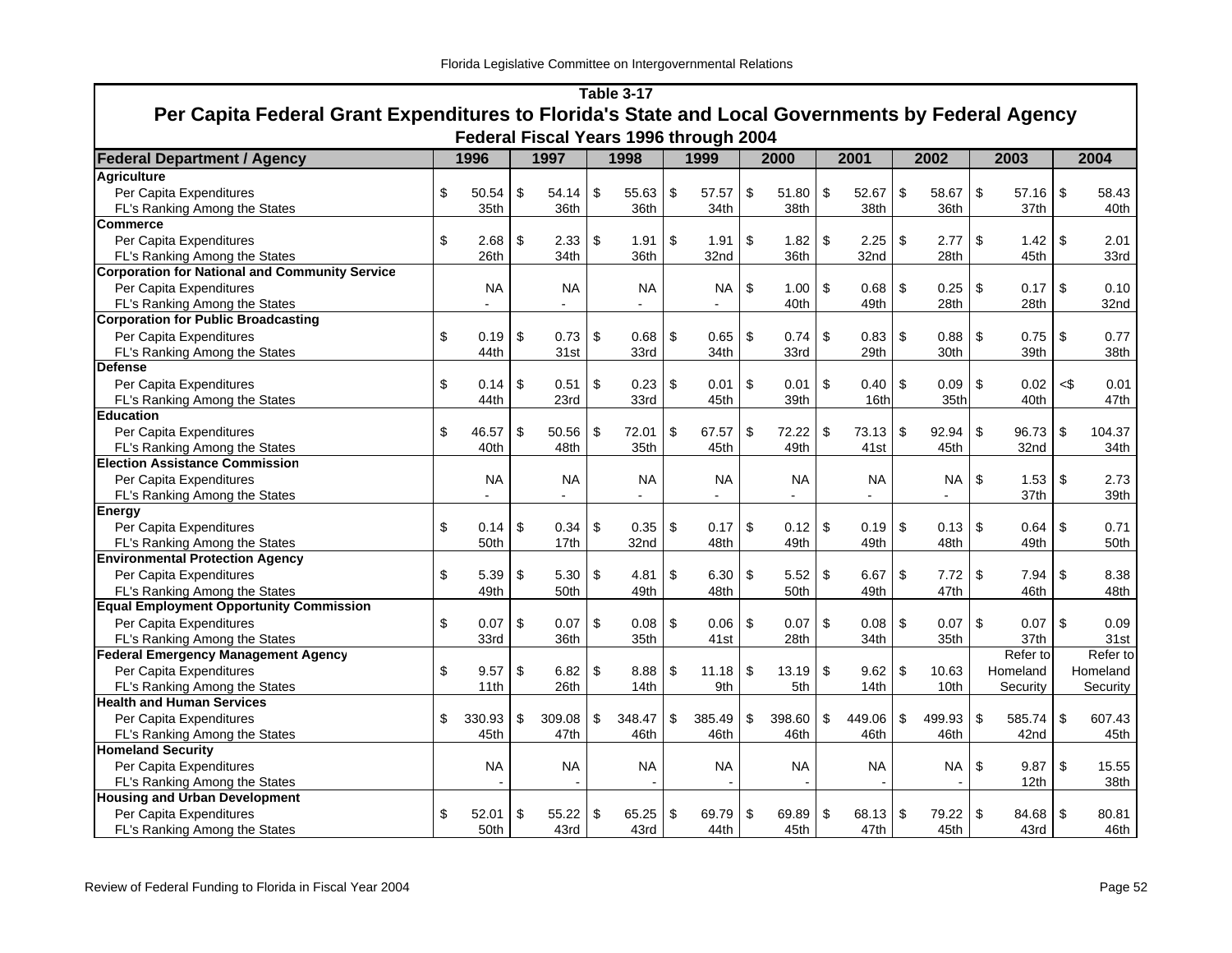| Per Capita Federal Grant Expenditures to Florida's State and Local Governments by Federal Agency<br>Federal Fiscal Years 1996 through 2004<br>1996<br>1997<br>1998<br>1999<br>2000<br>2001<br>2002<br>2003<br>2004<br>\$<br>\$<br>Per Capita Expenditures<br>\$<br>\$<br>\$<br>55.63<br>\$<br>57.57<br>\$<br>\$<br>52.67<br>\$<br>58.67<br>57.16<br>58.43<br>50.54<br>54.14<br>51.80<br>36th<br>36th<br>38th<br>38th<br>36th<br>37th<br>40th<br>FL's Ranking Among the States<br>35th<br>34th<br>\$<br>$\mathfrak{L}$<br>\$<br>\$<br>\$<br>\$<br>\$<br>\$<br>\$<br>Per Capita Expenditures<br>2.68<br>2.33<br>1.91<br>1.91<br>1.82<br>2.25<br>2.77<br>1.42<br>2.01<br>26th<br>36th<br>32nd<br>32nd<br>28th<br>33rd<br>FL's Ranking Among the States<br>34th<br>36th<br>45th<br>\$<br>\$<br>Per Capita Expenditures<br>\$<br>\$<br>\$<br>NA<br><b>NA</b><br><b>NA</b><br><b>NA</b><br>1.00<br>0.68<br>0.25<br>0.17<br>0.10<br>28th<br>32nd<br>FL's Ranking Among the States<br>40th<br>49th<br>28th<br>$\overline{a}$<br>$\overline{a}$<br>$\mathfrak{L}$<br>Per Capita Expenditures<br>\$<br>\$<br>\$<br>\$<br>\$<br>\$<br>0.19<br>\$<br>0.73<br>\$<br>0.68<br>0.65<br>0.74<br>0.83<br>0.88<br>0.75<br>0.77<br>29th<br>39th<br>38th<br>FL's Ranking Among the States<br>44th<br>31st<br>33rd<br>34th<br>33rd<br>30th<br>\$<br>\$<br>\$<br>\$<br>\$<br>\$<br>\$<br>\$<br>0.01<br>Per Capita Expenditures<br>0.14<br>0.51<br>0.23<br>0.01<br>0.01<br>0.40<br>0.09<br>0.02<br><<br>23rd<br>33rd<br>39th<br>40th<br>FL's Ranking Among the States<br>44th<br>45th<br>16th<br>35th<br>47th<br>\$<br>\$<br>\$<br>\$<br>\$<br>\$<br>104.37<br>Per Capita Expenditures<br>46.57<br>50.56<br>\$<br>72.01<br>67.57<br>72.22<br>\$<br>73.13<br>\$<br>92.94<br>96.73<br>32nd<br>FL's Ranking Among the States<br>40th<br>48th<br>35th<br>45th<br>49th<br>41 <sub>st</sub><br>45th<br>34th<br>\$<br>\$<br>Per Capita Expenditures<br>NA<br>NA<br><b>NA</b><br><b>NA</b><br><b>NA</b><br>1.53<br>2.73<br><b>NA</b><br><b>NA</b><br>39th<br>FL's Ranking Among the States<br>37th<br>$\blacksquare$<br>$\blacksquare$<br>$\blacksquare$<br>$\blacksquare$<br>\$<br>\$<br>\$<br>\$<br>\$<br>\$<br>Per Capita Expenditures<br>0.14<br>\$<br>0.34<br>\$<br>0.35<br>0.17<br>0.12<br>\$<br>0.19<br>0.13<br>0.64<br>0.71<br>FL's Ranking Among the States<br>50th<br>17th<br>32nd<br>48th<br>49th<br>49th<br>48th<br>49th<br>50th<br>\$<br>\$<br>Per Capita Expenditures<br>5.39<br>\$<br>5.30<br>\$<br>4.81<br>\$<br>6.30<br>\$<br>5.52<br>\$<br>6.67<br>\$<br>7.72<br>\$<br>7.94<br>8.38<br>50th<br>49th<br>48th<br>FL's Ranking Among the States<br>49th<br>48th<br>50th<br>49th<br>47th<br>46th<br><b>Equal Employment Opportunity Commission</b><br>Per Capita Expenditures<br>\$<br>\$<br>\$<br>\$<br>\$<br>\$<br>0.07<br>\$<br>0.07<br>0.08<br>\$<br>0.06<br>0.07<br>0.08<br>\$<br>0.07<br>0.07<br>0.09<br>37th<br>FL's Ranking Among the States<br>33rd<br>36th<br>35th<br>41 <sub>st</sub><br>28th<br>34th<br>35th<br>31st<br><b>Federal Emergency Management Agency</b><br>Refer to<br>Refer to<br>\$<br>Per Capita Expenditures<br>9.57<br>\$<br>\$<br>8.88<br>\$<br>11.18<br>\$<br>13.19<br>\$<br>9.62<br>\$<br>Homeland<br>Homeland<br>6.82<br>10.63<br>FL's Ranking Among the States<br>26th<br>14th<br>9th<br>5th<br>14th<br>10th<br>11th<br>Security<br>Security<br>\$<br>\$<br>\$<br>Per Capita Expenditures<br>330.93<br>\$<br>309.08<br>\$<br>348.47<br>\$<br>385.49<br>\$<br>398.60<br>\$<br>449.06<br>\$<br>499.93<br>585.74<br>607.43<br>FL's Ranking Among the States<br>47th<br>46th<br>46th<br>46th<br>42nd<br>45th<br>45th<br>46th<br>46th<br>\$<br>Per Capita Expenditures<br>NA<br>NA<br><b>NA</b><br><b>NA</b><br>NA<br>\$<br>9.87<br>15.55<br>NA<br>NA<br>12 <sub>th</sub><br>38th<br>FL's Ranking Among the States<br><b>Housing and Urban Development</b><br>Per Capita Expenditures<br>\$<br>52.01<br>\$<br>55.22<br>65.25<br>\$<br>69.79<br>\$<br>\$<br>68.13<br>79.22<br>\$<br>84.68<br>\$<br>80.81<br>\$<br>69.89<br>\$ |                                                       |      |      | Table 3-17 |      |      |      |      |      |      |
|----------------------------------------------------------------------------------------------------------------------------------------------------------------------------------------------------------------------------------------------------------------------------------------------------------------------------------------------------------------------------------------------------------------------------------------------------------------------------------------------------------------------------------------------------------------------------------------------------------------------------------------------------------------------------------------------------------------------------------------------------------------------------------------------------------------------------------------------------------------------------------------------------------------------------------------------------------------------------------------------------------------------------------------------------------------------------------------------------------------------------------------------------------------------------------------------------------------------------------------------------------------------------------------------------------------------------------------------------------------------------------------------------------------------------------------------------------------------------------------------------------------------------------------------------------------------------------------------------------------------------------------------------------------------------------------------------------------------------------------------------------------------------------------------------------------------------------------------------------------------------------------------------------------------------------------------------------------------------------------------------------------------------------------------------------------------------------------------------------------------------------------------------------------------------------------------------------------------------------------------------------------------------------------------------------------------------------------------------------------------------------------------------------------------------------------------------------------------------------------------------------------------------------------------------------------------------------------------------------------------------------------------------------------------------------------------------------------------------------------------------------------------------------------------------------------------------------------------------------------------------------------------------------------------------------------------------------------------------------------------------------------------------------------------------------------------------------------------------------------------------------------------------------------------------------------------------------------------------------------------------------------------------------------------------------------------------------------------------------------------------------------------------------------------------------------------------------------------------------------------------------------------------------------------------------------------------------------------------------------------------------------------------------------------------------------------------------------------------------------------------------------------------------------------------------------------------------------------------------------------------------------------------------------------------------------------------------------------------------------------------------------------------------------|-------------------------------------------------------|------|------|------------|------|------|------|------|------|------|
|                                                                                                                                                                                                                                                                                                                                                                                                                                                                                                                                                                                                                                                                                                                                                                                                                                                                                                                                                                                                                                                                                                                                                                                                                                                                                                                                                                                                                                                                                                                                                                                                                                                                                                                                                                                                                                                                                                                                                                                                                                                                                                                                                                                                                                                                                                                                                                                                                                                                                                                                                                                                                                                                                                                                                                                                                                                                                                                                                                                                                                                                                                                                                                                                                                                                                                                                                                                                                                                                                                                                                                                                                                                                                                                                                                                                                                                                                                                                                                                                                                        |                                                       |      |      |            |      |      |      |      |      |      |
|                                                                                                                                                                                                                                                                                                                                                                                                                                                                                                                                                                                                                                                                                                                                                                                                                                                                                                                                                                                                                                                                                                                                                                                                                                                                                                                                                                                                                                                                                                                                                                                                                                                                                                                                                                                                                                                                                                                                                                                                                                                                                                                                                                                                                                                                                                                                                                                                                                                                                                                                                                                                                                                                                                                                                                                                                                                                                                                                                                                                                                                                                                                                                                                                                                                                                                                                                                                                                                                                                                                                                                                                                                                                                                                                                                                                                                                                                                                                                                                                                                        | <b>Federal Department / Agency</b>                    |      |      |            |      |      |      |      |      |      |
|                                                                                                                                                                                                                                                                                                                                                                                                                                                                                                                                                                                                                                                                                                                                                                                                                                                                                                                                                                                                                                                                                                                                                                                                                                                                                                                                                                                                                                                                                                                                                                                                                                                                                                                                                                                                                                                                                                                                                                                                                                                                                                                                                                                                                                                                                                                                                                                                                                                                                                                                                                                                                                                                                                                                                                                                                                                                                                                                                                                                                                                                                                                                                                                                                                                                                                                                                                                                                                                                                                                                                                                                                                                                                                                                                                                                                                                                                                                                                                                                                                        | <b>Agriculture</b>                                    |      |      |            |      |      |      |      |      |      |
|                                                                                                                                                                                                                                                                                                                                                                                                                                                                                                                                                                                                                                                                                                                                                                                                                                                                                                                                                                                                                                                                                                                                                                                                                                                                                                                                                                                                                                                                                                                                                                                                                                                                                                                                                                                                                                                                                                                                                                                                                                                                                                                                                                                                                                                                                                                                                                                                                                                                                                                                                                                                                                                                                                                                                                                                                                                                                                                                                                                                                                                                                                                                                                                                                                                                                                                                                                                                                                                                                                                                                                                                                                                                                                                                                                                                                                                                                                                                                                                                                                        |                                                       |      |      |            |      |      |      |      |      |      |
|                                                                                                                                                                                                                                                                                                                                                                                                                                                                                                                                                                                                                                                                                                                                                                                                                                                                                                                                                                                                                                                                                                                                                                                                                                                                                                                                                                                                                                                                                                                                                                                                                                                                                                                                                                                                                                                                                                                                                                                                                                                                                                                                                                                                                                                                                                                                                                                                                                                                                                                                                                                                                                                                                                                                                                                                                                                                                                                                                                                                                                                                                                                                                                                                                                                                                                                                                                                                                                                                                                                                                                                                                                                                                                                                                                                                                                                                                                                                                                                                                                        |                                                       |      |      |            |      |      |      |      |      |      |
|                                                                                                                                                                                                                                                                                                                                                                                                                                                                                                                                                                                                                                                                                                                                                                                                                                                                                                                                                                                                                                                                                                                                                                                                                                                                                                                                                                                                                                                                                                                                                                                                                                                                                                                                                                                                                                                                                                                                                                                                                                                                                                                                                                                                                                                                                                                                                                                                                                                                                                                                                                                                                                                                                                                                                                                                                                                                                                                                                                                                                                                                                                                                                                                                                                                                                                                                                                                                                                                                                                                                                                                                                                                                                                                                                                                                                                                                                                                                                                                                                                        | <b>Commerce</b>                                       |      |      |            |      |      |      |      |      |      |
|                                                                                                                                                                                                                                                                                                                                                                                                                                                                                                                                                                                                                                                                                                                                                                                                                                                                                                                                                                                                                                                                                                                                                                                                                                                                                                                                                                                                                                                                                                                                                                                                                                                                                                                                                                                                                                                                                                                                                                                                                                                                                                                                                                                                                                                                                                                                                                                                                                                                                                                                                                                                                                                                                                                                                                                                                                                                                                                                                                                                                                                                                                                                                                                                                                                                                                                                                                                                                                                                                                                                                                                                                                                                                                                                                                                                                                                                                                                                                                                                                                        |                                                       |      |      |            |      |      |      |      |      |      |
|                                                                                                                                                                                                                                                                                                                                                                                                                                                                                                                                                                                                                                                                                                                                                                                                                                                                                                                                                                                                                                                                                                                                                                                                                                                                                                                                                                                                                                                                                                                                                                                                                                                                                                                                                                                                                                                                                                                                                                                                                                                                                                                                                                                                                                                                                                                                                                                                                                                                                                                                                                                                                                                                                                                                                                                                                                                                                                                                                                                                                                                                                                                                                                                                                                                                                                                                                                                                                                                                                                                                                                                                                                                                                                                                                                                                                                                                                                                                                                                                                                        |                                                       |      |      |            |      |      |      |      |      |      |
|                                                                                                                                                                                                                                                                                                                                                                                                                                                                                                                                                                                                                                                                                                                                                                                                                                                                                                                                                                                                                                                                                                                                                                                                                                                                                                                                                                                                                                                                                                                                                                                                                                                                                                                                                                                                                                                                                                                                                                                                                                                                                                                                                                                                                                                                                                                                                                                                                                                                                                                                                                                                                                                                                                                                                                                                                                                                                                                                                                                                                                                                                                                                                                                                                                                                                                                                                                                                                                                                                                                                                                                                                                                                                                                                                                                                                                                                                                                                                                                                                                        | <b>Corporation for National and Community Service</b> |      |      |            |      |      |      |      |      |      |
|                                                                                                                                                                                                                                                                                                                                                                                                                                                                                                                                                                                                                                                                                                                                                                                                                                                                                                                                                                                                                                                                                                                                                                                                                                                                                                                                                                                                                                                                                                                                                                                                                                                                                                                                                                                                                                                                                                                                                                                                                                                                                                                                                                                                                                                                                                                                                                                                                                                                                                                                                                                                                                                                                                                                                                                                                                                                                                                                                                                                                                                                                                                                                                                                                                                                                                                                                                                                                                                                                                                                                                                                                                                                                                                                                                                                                                                                                                                                                                                                                                        |                                                       |      |      |            |      |      |      |      |      |      |
|                                                                                                                                                                                                                                                                                                                                                                                                                                                                                                                                                                                                                                                                                                                                                                                                                                                                                                                                                                                                                                                                                                                                                                                                                                                                                                                                                                                                                                                                                                                                                                                                                                                                                                                                                                                                                                                                                                                                                                                                                                                                                                                                                                                                                                                                                                                                                                                                                                                                                                                                                                                                                                                                                                                                                                                                                                                                                                                                                                                                                                                                                                                                                                                                                                                                                                                                                                                                                                                                                                                                                                                                                                                                                                                                                                                                                                                                                                                                                                                                                                        |                                                       |      |      |            |      |      |      |      |      |      |
|                                                                                                                                                                                                                                                                                                                                                                                                                                                                                                                                                                                                                                                                                                                                                                                                                                                                                                                                                                                                                                                                                                                                                                                                                                                                                                                                                                                                                                                                                                                                                                                                                                                                                                                                                                                                                                                                                                                                                                                                                                                                                                                                                                                                                                                                                                                                                                                                                                                                                                                                                                                                                                                                                                                                                                                                                                                                                                                                                                                                                                                                                                                                                                                                                                                                                                                                                                                                                                                                                                                                                                                                                                                                                                                                                                                                                                                                                                                                                                                                                                        | <b>Corporation for Public Broadcasting</b>            |      |      |            |      |      |      |      |      |      |
|                                                                                                                                                                                                                                                                                                                                                                                                                                                                                                                                                                                                                                                                                                                                                                                                                                                                                                                                                                                                                                                                                                                                                                                                                                                                                                                                                                                                                                                                                                                                                                                                                                                                                                                                                                                                                                                                                                                                                                                                                                                                                                                                                                                                                                                                                                                                                                                                                                                                                                                                                                                                                                                                                                                                                                                                                                                                                                                                                                                                                                                                                                                                                                                                                                                                                                                                                                                                                                                                                                                                                                                                                                                                                                                                                                                                                                                                                                                                                                                                                                        |                                                       |      |      |            |      |      |      |      |      |      |
|                                                                                                                                                                                                                                                                                                                                                                                                                                                                                                                                                                                                                                                                                                                                                                                                                                                                                                                                                                                                                                                                                                                                                                                                                                                                                                                                                                                                                                                                                                                                                                                                                                                                                                                                                                                                                                                                                                                                                                                                                                                                                                                                                                                                                                                                                                                                                                                                                                                                                                                                                                                                                                                                                                                                                                                                                                                                                                                                                                                                                                                                                                                                                                                                                                                                                                                                                                                                                                                                                                                                                                                                                                                                                                                                                                                                                                                                                                                                                                                                                                        |                                                       |      |      |            |      |      |      |      |      |      |
|                                                                                                                                                                                                                                                                                                                                                                                                                                                                                                                                                                                                                                                                                                                                                                                                                                                                                                                                                                                                                                                                                                                                                                                                                                                                                                                                                                                                                                                                                                                                                                                                                                                                                                                                                                                                                                                                                                                                                                                                                                                                                                                                                                                                                                                                                                                                                                                                                                                                                                                                                                                                                                                                                                                                                                                                                                                                                                                                                                                                                                                                                                                                                                                                                                                                                                                                                                                                                                                                                                                                                                                                                                                                                                                                                                                                                                                                                                                                                                                                                                        | <b>Defense</b>                                        |      |      |            |      |      |      |      |      |      |
|                                                                                                                                                                                                                                                                                                                                                                                                                                                                                                                                                                                                                                                                                                                                                                                                                                                                                                                                                                                                                                                                                                                                                                                                                                                                                                                                                                                                                                                                                                                                                                                                                                                                                                                                                                                                                                                                                                                                                                                                                                                                                                                                                                                                                                                                                                                                                                                                                                                                                                                                                                                                                                                                                                                                                                                                                                                                                                                                                                                                                                                                                                                                                                                                                                                                                                                                                                                                                                                                                                                                                                                                                                                                                                                                                                                                                                                                                                                                                                                                                                        |                                                       |      |      |            |      |      |      |      |      |      |
|                                                                                                                                                                                                                                                                                                                                                                                                                                                                                                                                                                                                                                                                                                                                                                                                                                                                                                                                                                                                                                                                                                                                                                                                                                                                                                                                                                                                                                                                                                                                                                                                                                                                                                                                                                                                                                                                                                                                                                                                                                                                                                                                                                                                                                                                                                                                                                                                                                                                                                                                                                                                                                                                                                                                                                                                                                                                                                                                                                                                                                                                                                                                                                                                                                                                                                                                                                                                                                                                                                                                                                                                                                                                                                                                                                                                                                                                                                                                                                                                                                        |                                                       |      |      |            |      |      |      |      |      |      |
|                                                                                                                                                                                                                                                                                                                                                                                                                                                                                                                                                                                                                                                                                                                                                                                                                                                                                                                                                                                                                                                                                                                                                                                                                                                                                                                                                                                                                                                                                                                                                                                                                                                                                                                                                                                                                                                                                                                                                                                                                                                                                                                                                                                                                                                                                                                                                                                                                                                                                                                                                                                                                                                                                                                                                                                                                                                                                                                                                                                                                                                                                                                                                                                                                                                                                                                                                                                                                                                                                                                                                                                                                                                                                                                                                                                                                                                                                                                                                                                                                                        | Education                                             |      |      |            |      |      |      |      |      |      |
|                                                                                                                                                                                                                                                                                                                                                                                                                                                                                                                                                                                                                                                                                                                                                                                                                                                                                                                                                                                                                                                                                                                                                                                                                                                                                                                                                                                                                                                                                                                                                                                                                                                                                                                                                                                                                                                                                                                                                                                                                                                                                                                                                                                                                                                                                                                                                                                                                                                                                                                                                                                                                                                                                                                                                                                                                                                                                                                                                                                                                                                                                                                                                                                                                                                                                                                                                                                                                                                                                                                                                                                                                                                                                                                                                                                                                                                                                                                                                                                                                                        |                                                       |      |      |            |      |      |      |      |      |      |
|                                                                                                                                                                                                                                                                                                                                                                                                                                                                                                                                                                                                                                                                                                                                                                                                                                                                                                                                                                                                                                                                                                                                                                                                                                                                                                                                                                                                                                                                                                                                                                                                                                                                                                                                                                                                                                                                                                                                                                                                                                                                                                                                                                                                                                                                                                                                                                                                                                                                                                                                                                                                                                                                                                                                                                                                                                                                                                                                                                                                                                                                                                                                                                                                                                                                                                                                                                                                                                                                                                                                                                                                                                                                                                                                                                                                                                                                                                                                                                                                                                        |                                                       |      |      |            |      |      |      |      |      |      |
|                                                                                                                                                                                                                                                                                                                                                                                                                                                                                                                                                                                                                                                                                                                                                                                                                                                                                                                                                                                                                                                                                                                                                                                                                                                                                                                                                                                                                                                                                                                                                                                                                                                                                                                                                                                                                                                                                                                                                                                                                                                                                                                                                                                                                                                                                                                                                                                                                                                                                                                                                                                                                                                                                                                                                                                                                                                                                                                                                                                                                                                                                                                                                                                                                                                                                                                                                                                                                                                                                                                                                                                                                                                                                                                                                                                                                                                                                                                                                                                                                                        | <b>Election Assistance Commission</b>                 |      |      |            |      |      |      |      |      |      |
|                                                                                                                                                                                                                                                                                                                                                                                                                                                                                                                                                                                                                                                                                                                                                                                                                                                                                                                                                                                                                                                                                                                                                                                                                                                                                                                                                                                                                                                                                                                                                                                                                                                                                                                                                                                                                                                                                                                                                                                                                                                                                                                                                                                                                                                                                                                                                                                                                                                                                                                                                                                                                                                                                                                                                                                                                                                                                                                                                                                                                                                                                                                                                                                                                                                                                                                                                                                                                                                                                                                                                                                                                                                                                                                                                                                                                                                                                                                                                                                                                                        |                                                       |      |      |            |      |      |      |      |      |      |
|                                                                                                                                                                                                                                                                                                                                                                                                                                                                                                                                                                                                                                                                                                                                                                                                                                                                                                                                                                                                                                                                                                                                                                                                                                                                                                                                                                                                                                                                                                                                                                                                                                                                                                                                                                                                                                                                                                                                                                                                                                                                                                                                                                                                                                                                                                                                                                                                                                                                                                                                                                                                                                                                                                                                                                                                                                                                                                                                                                                                                                                                                                                                                                                                                                                                                                                                                                                                                                                                                                                                                                                                                                                                                                                                                                                                                                                                                                                                                                                                                                        |                                                       |      |      |            |      |      |      |      |      |      |
|                                                                                                                                                                                                                                                                                                                                                                                                                                                                                                                                                                                                                                                                                                                                                                                                                                                                                                                                                                                                                                                                                                                                                                                                                                                                                                                                                                                                                                                                                                                                                                                                                                                                                                                                                                                                                                                                                                                                                                                                                                                                                                                                                                                                                                                                                                                                                                                                                                                                                                                                                                                                                                                                                                                                                                                                                                                                                                                                                                                                                                                                                                                                                                                                                                                                                                                                                                                                                                                                                                                                                                                                                                                                                                                                                                                                                                                                                                                                                                                                                                        | Energy                                                |      |      |            |      |      |      |      |      |      |
|                                                                                                                                                                                                                                                                                                                                                                                                                                                                                                                                                                                                                                                                                                                                                                                                                                                                                                                                                                                                                                                                                                                                                                                                                                                                                                                                                                                                                                                                                                                                                                                                                                                                                                                                                                                                                                                                                                                                                                                                                                                                                                                                                                                                                                                                                                                                                                                                                                                                                                                                                                                                                                                                                                                                                                                                                                                                                                                                                                                                                                                                                                                                                                                                                                                                                                                                                                                                                                                                                                                                                                                                                                                                                                                                                                                                                                                                                                                                                                                                                                        |                                                       |      |      |            |      |      |      |      |      |      |
|                                                                                                                                                                                                                                                                                                                                                                                                                                                                                                                                                                                                                                                                                                                                                                                                                                                                                                                                                                                                                                                                                                                                                                                                                                                                                                                                                                                                                                                                                                                                                                                                                                                                                                                                                                                                                                                                                                                                                                                                                                                                                                                                                                                                                                                                                                                                                                                                                                                                                                                                                                                                                                                                                                                                                                                                                                                                                                                                                                                                                                                                                                                                                                                                                                                                                                                                                                                                                                                                                                                                                                                                                                                                                                                                                                                                                                                                                                                                                                                                                                        |                                                       |      |      |            |      |      |      |      |      |      |
|                                                                                                                                                                                                                                                                                                                                                                                                                                                                                                                                                                                                                                                                                                                                                                                                                                                                                                                                                                                                                                                                                                                                                                                                                                                                                                                                                                                                                                                                                                                                                                                                                                                                                                                                                                                                                                                                                                                                                                                                                                                                                                                                                                                                                                                                                                                                                                                                                                                                                                                                                                                                                                                                                                                                                                                                                                                                                                                                                                                                                                                                                                                                                                                                                                                                                                                                                                                                                                                                                                                                                                                                                                                                                                                                                                                                                                                                                                                                                                                                                                        | <b>Environmental Protection Agency</b>                |      |      |            |      |      |      |      |      |      |
|                                                                                                                                                                                                                                                                                                                                                                                                                                                                                                                                                                                                                                                                                                                                                                                                                                                                                                                                                                                                                                                                                                                                                                                                                                                                                                                                                                                                                                                                                                                                                                                                                                                                                                                                                                                                                                                                                                                                                                                                                                                                                                                                                                                                                                                                                                                                                                                                                                                                                                                                                                                                                                                                                                                                                                                                                                                                                                                                                                                                                                                                                                                                                                                                                                                                                                                                                                                                                                                                                                                                                                                                                                                                                                                                                                                                                                                                                                                                                                                                                                        |                                                       |      |      |            |      |      |      |      |      |      |
|                                                                                                                                                                                                                                                                                                                                                                                                                                                                                                                                                                                                                                                                                                                                                                                                                                                                                                                                                                                                                                                                                                                                                                                                                                                                                                                                                                                                                                                                                                                                                                                                                                                                                                                                                                                                                                                                                                                                                                                                                                                                                                                                                                                                                                                                                                                                                                                                                                                                                                                                                                                                                                                                                                                                                                                                                                                                                                                                                                                                                                                                                                                                                                                                                                                                                                                                                                                                                                                                                                                                                                                                                                                                                                                                                                                                                                                                                                                                                                                                                                        |                                                       |      |      |            |      |      |      |      |      |      |
|                                                                                                                                                                                                                                                                                                                                                                                                                                                                                                                                                                                                                                                                                                                                                                                                                                                                                                                                                                                                                                                                                                                                                                                                                                                                                                                                                                                                                                                                                                                                                                                                                                                                                                                                                                                                                                                                                                                                                                                                                                                                                                                                                                                                                                                                                                                                                                                                                                                                                                                                                                                                                                                                                                                                                                                                                                                                                                                                                                                                                                                                                                                                                                                                                                                                                                                                                                                                                                                                                                                                                                                                                                                                                                                                                                                                                                                                                                                                                                                                                                        |                                                       |      |      |            |      |      |      |      |      |      |
|                                                                                                                                                                                                                                                                                                                                                                                                                                                                                                                                                                                                                                                                                                                                                                                                                                                                                                                                                                                                                                                                                                                                                                                                                                                                                                                                                                                                                                                                                                                                                                                                                                                                                                                                                                                                                                                                                                                                                                                                                                                                                                                                                                                                                                                                                                                                                                                                                                                                                                                                                                                                                                                                                                                                                                                                                                                                                                                                                                                                                                                                                                                                                                                                                                                                                                                                                                                                                                                                                                                                                                                                                                                                                                                                                                                                                                                                                                                                                                                                                                        |                                                       |      |      |            |      |      |      |      |      |      |
|                                                                                                                                                                                                                                                                                                                                                                                                                                                                                                                                                                                                                                                                                                                                                                                                                                                                                                                                                                                                                                                                                                                                                                                                                                                                                                                                                                                                                                                                                                                                                                                                                                                                                                                                                                                                                                                                                                                                                                                                                                                                                                                                                                                                                                                                                                                                                                                                                                                                                                                                                                                                                                                                                                                                                                                                                                                                                                                                                                                                                                                                                                                                                                                                                                                                                                                                                                                                                                                                                                                                                                                                                                                                                                                                                                                                                                                                                                                                                                                                                                        |                                                       |      |      |            |      |      |      |      |      |      |
|                                                                                                                                                                                                                                                                                                                                                                                                                                                                                                                                                                                                                                                                                                                                                                                                                                                                                                                                                                                                                                                                                                                                                                                                                                                                                                                                                                                                                                                                                                                                                                                                                                                                                                                                                                                                                                                                                                                                                                                                                                                                                                                                                                                                                                                                                                                                                                                                                                                                                                                                                                                                                                                                                                                                                                                                                                                                                                                                                                                                                                                                                                                                                                                                                                                                                                                                                                                                                                                                                                                                                                                                                                                                                                                                                                                                                                                                                                                                                                                                                                        |                                                       |      |      |            |      |      |      |      |      |      |
|                                                                                                                                                                                                                                                                                                                                                                                                                                                                                                                                                                                                                                                                                                                                                                                                                                                                                                                                                                                                                                                                                                                                                                                                                                                                                                                                                                                                                                                                                                                                                                                                                                                                                                                                                                                                                                                                                                                                                                                                                                                                                                                                                                                                                                                                                                                                                                                                                                                                                                                                                                                                                                                                                                                                                                                                                                                                                                                                                                                                                                                                                                                                                                                                                                                                                                                                                                                                                                                                                                                                                                                                                                                                                                                                                                                                                                                                                                                                                                                                                                        |                                                       |      |      |            |      |      |      |      |      |      |
|                                                                                                                                                                                                                                                                                                                                                                                                                                                                                                                                                                                                                                                                                                                                                                                                                                                                                                                                                                                                                                                                                                                                                                                                                                                                                                                                                                                                                                                                                                                                                                                                                                                                                                                                                                                                                                                                                                                                                                                                                                                                                                                                                                                                                                                                                                                                                                                                                                                                                                                                                                                                                                                                                                                                                                                                                                                                                                                                                                                                                                                                                                                                                                                                                                                                                                                                                                                                                                                                                                                                                                                                                                                                                                                                                                                                                                                                                                                                                                                                                                        |                                                       |      |      |            |      |      |      |      |      |      |
|                                                                                                                                                                                                                                                                                                                                                                                                                                                                                                                                                                                                                                                                                                                                                                                                                                                                                                                                                                                                                                                                                                                                                                                                                                                                                                                                                                                                                                                                                                                                                                                                                                                                                                                                                                                                                                                                                                                                                                                                                                                                                                                                                                                                                                                                                                                                                                                                                                                                                                                                                                                                                                                                                                                                                                                                                                                                                                                                                                                                                                                                                                                                                                                                                                                                                                                                                                                                                                                                                                                                                                                                                                                                                                                                                                                                                                                                                                                                                                                                                                        | <b>Health and Human Services</b>                      |      |      |            |      |      |      |      |      |      |
|                                                                                                                                                                                                                                                                                                                                                                                                                                                                                                                                                                                                                                                                                                                                                                                                                                                                                                                                                                                                                                                                                                                                                                                                                                                                                                                                                                                                                                                                                                                                                                                                                                                                                                                                                                                                                                                                                                                                                                                                                                                                                                                                                                                                                                                                                                                                                                                                                                                                                                                                                                                                                                                                                                                                                                                                                                                                                                                                                                                                                                                                                                                                                                                                                                                                                                                                                                                                                                                                                                                                                                                                                                                                                                                                                                                                                                                                                                                                                                                                                                        |                                                       |      |      |            |      |      |      |      |      |      |
|                                                                                                                                                                                                                                                                                                                                                                                                                                                                                                                                                                                                                                                                                                                                                                                                                                                                                                                                                                                                                                                                                                                                                                                                                                                                                                                                                                                                                                                                                                                                                                                                                                                                                                                                                                                                                                                                                                                                                                                                                                                                                                                                                                                                                                                                                                                                                                                                                                                                                                                                                                                                                                                                                                                                                                                                                                                                                                                                                                                                                                                                                                                                                                                                                                                                                                                                                                                                                                                                                                                                                                                                                                                                                                                                                                                                                                                                                                                                                                                                                                        |                                                       |      |      |            |      |      |      |      |      |      |
|                                                                                                                                                                                                                                                                                                                                                                                                                                                                                                                                                                                                                                                                                                                                                                                                                                                                                                                                                                                                                                                                                                                                                                                                                                                                                                                                                                                                                                                                                                                                                                                                                                                                                                                                                                                                                                                                                                                                                                                                                                                                                                                                                                                                                                                                                                                                                                                                                                                                                                                                                                                                                                                                                                                                                                                                                                                                                                                                                                                                                                                                                                                                                                                                                                                                                                                                                                                                                                                                                                                                                                                                                                                                                                                                                                                                                                                                                                                                                                                                                                        | <b>Homeland Security</b>                              |      |      |            |      |      |      |      |      |      |
|                                                                                                                                                                                                                                                                                                                                                                                                                                                                                                                                                                                                                                                                                                                                                                                                                                                                                                                                                                                                                                                                                                                                                                                                                                                                                                                                                                                                                                                                                                                                                                                                                                                                                                                                                                                                                                                                                                                                                                                                                                                                                                                                                                                                                                                                                                                                                                                                                                                                                                                                                                                                                                                                                                                                                                                                                                                                                                                                                                                                                                                                                                                                                                                                                                                                                                                                                                                                                                                                                                                                                                                                                                                                                                                                                                                                                                                                                                                                                                                                                                        |                                                       |      |      |            |      |      |      |      |      |      |
|                                                                                                                                                                                                                                                                                                                                                                                                                                                                                                                                                                                                                                                                                                                                                                                                                                                                                                                                                                                                                                                                                                                                                                                                                                                                                                                                                                                                                                                                                                                                                                                                                                                                                                                                                                                                                                                                                                                                                                                                                                                                                                                                                                                                                                                                                                                                                                                                                                                                                                                                                                                                                                                                                                                                                                                                                                                                                                                                                                                                                                                                                                                                                                                                                                                                                                                                                                                                                                                                                                                                                                                                                                                                                                                                                                                                                                                                                                                                                                                                                                        |                                                       |      |      |            |      |      |      |      |      |      |
|                                                                                                                                                                                                                                                                                                                                                                                                                                                                                                                                                                                                                                                                                                                                                                                                                                                                                                                                                                                                                                                                                                                                                                                                                                                                                                                                                                                                                                                                                                                                                                                                                                                                                                                                                                                                                                                                                                                                                                                                                                                                                                                                                                                                                                                                                                                                                                                                                                                                                                                                                                                                                                                                                                                                                                                                                                                                                                                                                                                                                                                                                                                                                                                                                                                                                                                                                                                                                                                                                                                                                                                                                                                                                                                                                                                                                                                                                                                                                                                                                                        |                                                       |      |      |            |      |      |      |      |      |      |
|                                                                                                                                                                                                                                                                                                                                                                                                                                                                                                                                                                                                                                                                                                                                                                                                                                                                                                                                                                                                                                                                                                                                                                                                                                                                                                                                                                                                                                                                                                                                                                                                                                                                                                                                                                                                                                                                                                                                                                                                                                                                                                                                                                                                                                                                                                                                                                                                                                                                                                                                                                                                                                                                                                                                                                                                                                                                                                                                                                                                                                                                                                                                                                                                                                                                                                                                                                                                                                                                                                                                                                                                                                                                                                                                                                                                                                                                                                                                                                                                                                        |                                                       |      |      |            |      |      |      |      |      |      |
|                                                                                                                                                                                                                                                                                                                                                                                                                                                                                                                                                                                                                                                                                                                                                                                                                                                                                                                                                                                                                                                                                                                                                                                                                                                                                                                                                                                                                                                                                                                                                                                                                                                                                                                                                                                                                                                                                                                                                                                                                                                                                                                                                                                                                                                                                                                                                                                                                                                                                                                                                                                                                                                                                                                                                                                                                                                                                                                                                                                                                                                                                                                                                                                                                                                                                                                                                                                                                                                                                                                                                                                                                                                                                                                                                                                                                                                                                                                                                                                                                                        | FL's Ranking Among the States                         | 50th | 43rd | 43rd       | 44th | 45th | 47th | 45th | 43rd | 46th |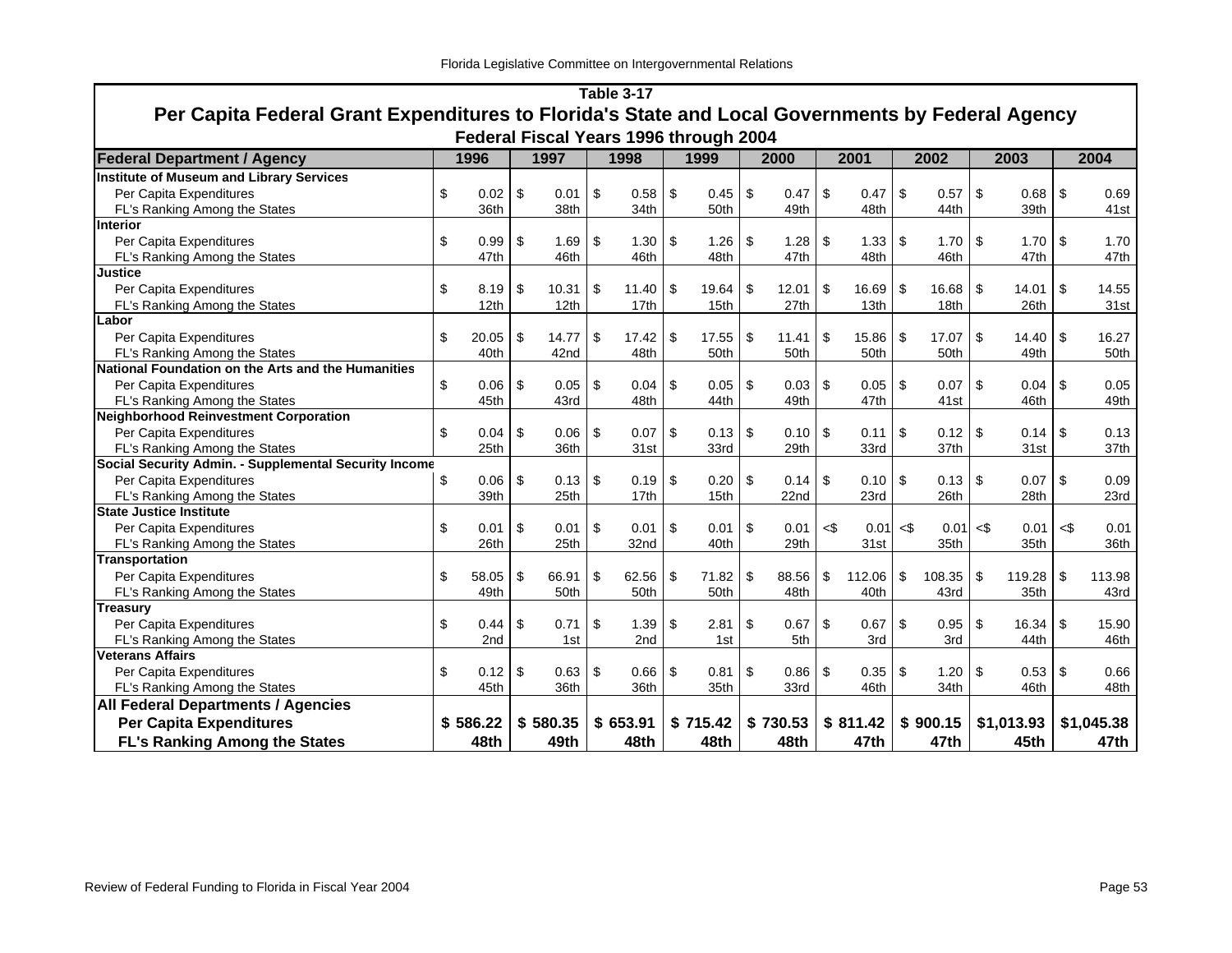|                                                                                                  | Table 3-17 |        |     |          |     |          |    |                                        |    |          |        |          |        |                  |        |            |                |            |
|--------------------------------------------------------------------------------------------------|------------|--------|-----|----------|-----|----------|----|----------------------------------------|----|----------|--------|----------|--------|------------------|--------|------------|----------------|------------|
| Per Capita Federal Grant Expenditures to Florida's State and Local Governments by Federal Agency |            |        |     |          |     |          |    |                                        |    |          |        |          |        |                  |        |            |                |            |
|                                                                                                  |            |        |     |          |     |          |    | Federal Fiscal Years 1996 through 2004 |    |          |        |          |        |                  |        |            |                |            |
| <b>Federal Department / Agency</b>                                                               |            | 1996   |     | 1997     |     | 1998     |    | 1999                                   |    | 2000     |        | 2001     |        | 2002             |        | 2003       |                | 2004       |
| Institute of Museum and Library Services                                                         |            |        |     |          |     |          |    |                                        |    |          |        |          |        |                  |        |            |                |            |
| Per Capita Expenditures                                                                          | \$         | 0.02   | \$  | 0.01     | \$  | 0.58     | \$ | 0.45                                   | \$ | 0.47     | \$     | 0.47     | \$     | 0.57             | \$     | 0.68       | \$             | 0.69       |
| FL's Ranking Among the States                                                                    |            | 36th   |     | 38th     |     | 34th     |    | 50th                                   |    | 49th     |        | 48th     |        | 44th             |        | 39th       |                | 41st       |
| <b>Interior</b>                                                                                  |            |        |     |          |     |          |    |                                        |    |          |        |          |        |                  |        |            |                |            |
| Per Capita Expenditures                                                                          | \$         | 0.99   | \$  | 1.69     | \$  | 1.30     | \$ | 1.26                                   | \$ | 1.28     | \$     | 1.33     | \$     | 1.70             | \$     | 1.70       | \$             | 1.70       |
| FL's Ranking Among the States                                                                    |            | 47th   |     | 46th     |     | 46th     |    | 48th                                   |    | 47th     |        | 48th     |        | 46th             |        | 47th       |                | 47th       |
| <b>Justice</b>                                                                                   |            |        |     |          |     |          |    |                                        |    |          |        |          |        |                  |        |            |                |            |
| Per Capita Expenditures                                                                          | \$         | 8.19   | \$  | 10.31    | \$  | 11.40    | \$ | 19.64                                  | \$ | 12.01    | \$     | 16.69    | \$     | 16.68            | \$     | 14.01      | $\mathfrak{L}$ | 14.55      |
| FL's Ranking Among the States                                                                    |            | 12th   |     | 12th     |     | 17th     |    | 15th                                   |    | 27th     |        | 13th     |        | 18th             |        | 26th       |                | 31st       |
| Labor                                                                                            |            |        |     |          |     |          |    |                                        |    |          |        |          |        |                  |        |            |                |            |
| Per Capita Expenditures                                                                          | \$         | 20.05  | -S  | 14.77    | \$  | 17.42    | \$ | 17.55                                  | \$ | 11.41    | \$     | 15.86    | -S     | 17.07            | \$     | 14.40      | \$             | 16.27      |
| FL's Ranking Among the States                                                                    |            | 40th   |     | 42nd     |     | 48th     |    | 50th                                   |    | 50th     |        | 50th     |        | 50th             |        | 49th       |                | 50th       |
| National Foundation on the Arts and the Humanities                                               |            |        |     |          |     |          |    |                                        |    |          |        |          |        |                  |        |            |                |            |
| Per Capita Expenditures                                                                          | \$         | 0.06   | -\$ | 0.05     | -\$ | 0.04     | \$ | 0.05                                   | \$ | 0.03     | \$     | 0.05     | \$     | 0.07             | \$     | 0.04       | -S             | 0.05       |
| FL's Ranking Among the States                                                                    |            | 45th   |     | 43rd     |     | 48th     |    | 44th                                   |    | 49th     |        | 47th     |        | 41 <sub>st</sub> |        | 46th       |                | 49th       |
| <b>Neighborhood Reinvestment Corporation</b>                                                     |            |        |     |          |     |          |    |                                        |    |          |        |          |        |                  |        |            |                |            |
| Per Capita Expenditures                                                                          | \$         | 0.04   | \$  | 0.06     | \$  | 0.07     | \$ | 0.13                                   | \$ | 0.10     | \$     | 0.11     | \$     | 0.12             | \$     | 0.14       | \$             | 0.13       |
| FL's Ranking Among the States                                                                    |            | 25th   |     | 36th     |     | 31st     |    | 33rd                                   |    | 29th     |        | 33rd     |        | 37th             |        | 31st       |                | 37th       |
| Social Security Admin. - Supplemental Security Income                                            |            |        |     |          |     |          |    |                                        |    |          |        |          |        |                  |        |            |                |            |
| Per Capita Expenditures                                                                          | \$         | 0.06   | \$  | 0.13     | \$  | 0.19     | \$ | 0.20                                   | \$ | 0.14     | \$     | 0.10     | \$     | 0.13             | \$     | 0.07       | \$             | 0.09       |
| FL's Ranking Among the States                                                                    |            | 39th   |     | 25th     |     | 17th     |    | 15th                                   |    | 22nd     |        | 23rd     |        | 26th             |        | 28th       |                | 23rd       |
| <b>State Justice Institute</b>                                                                   |            |        |     |          |     |          |    |                                        |    |          |        |          |        |                  |        |            |                |            |
| Per Capita Expenditures                                                                          | \$         | 0.01   | \$  | 0.01     | \$  | 0.01     | \$ | 0.01                                   | \$ | 0.01     | $\leq$ | 0.01     | $\leq$ | 0.01             | $\leq$ | 0.01       | $\leq$         | 0.01       |
| FL's Ranking Among the States                                                                    |            | 26th   |     | 25th     |     | 32nd     |    | 40th                                   |    | 29th     |        | 31st     |        | 35th             |        | 35th       |                | 36th       |
| <b>Transportation</b>                                                                            |            |        |     |          |     |          |    |                                        |    |          |        |          |        |                  |        |            |                |            |
| Per Capita Expenditures                                                                          | \$         | 58.05  | \$  | 66.91    | \$  | 62.56    | \$ | 71.82                                  | \$ | 88.56    | \$     | 112.06   | \$     | 108.35           | \$     | 119.28     | \$             | 113.98     |
| FL's Ranking Among the States                                                                    |            | 49th   |     | 50th     |     | 50th     |    | 50th                                   |    | 48th     |        | 40th     |        | 43rd             |        | 35th       |                | 43rd       |
| Treasury                                                                                         |            |        |     |          |     |          |    |                                        |    |          |        |          |        |                  |        |            |                |            |
| Per Capita Expenditures                                                                          | \$         | 0.44   | \$  | 0.71     | \$  | 1.39     | \$ | 2.81                                   | \$ | 0.67     | \$     | 0.67     | \$     | 0.95             | \$     | 16.34      | \$             | 15.90      |
| FL's Ranking Among the States                                                                    |            | 2nd    |     | 1st      |     | 2nd      |    | 1st                                    |    | 5th      |        | 3rd      |        | 3rd              |        | 44th       |                | 46th       |
| <b>Veterans Affairs</b>                                                                          |            |        |     |          |     |          |    |                                        |    |          |        |          |        |                  |        |            |                |            |
| Per Capita Expenditures                                                                          | \$         | 0.12   | \$  | 0.63     | \$  | 0.66     | \$ | 0.81                                   | \$ | 0.86     | \$     | 0.35     | \$     | 1.20             | \$     | 0.53       | \$             | 0.66       |
| FL's Ranking Among the States                                                                    |            | 45th   |     | 36th     |     | 36th     |    | 35th                                   |    | 33rd     |        | 46th     |        | 34th             |        | 46th       |                | 48th       |
| <b>All Federal Departments / Agencies</b>                                                        |            |        |     |          |     |          |    |                                        |    |          |        |          |        |                  |        |            |                |            |
| <b>Per Capita Expenditures</b>                                                                   | S          | 586.22 |     | \$580.35 |     | \$653.91 |    | \$715.42                               |    | \$730.53 |        | \$811.42 |        | \$900.15         |        | \$1,013.93 |                | \$1,045.38 |
| <b>FL's Ranking Among the States</b>                                                             |            | 48th   |     | 49th     |     | 48th     |    | 48th                                   |    | 48th     |        | 47th     |        | 47th             |        | 45th       |                | 47th       |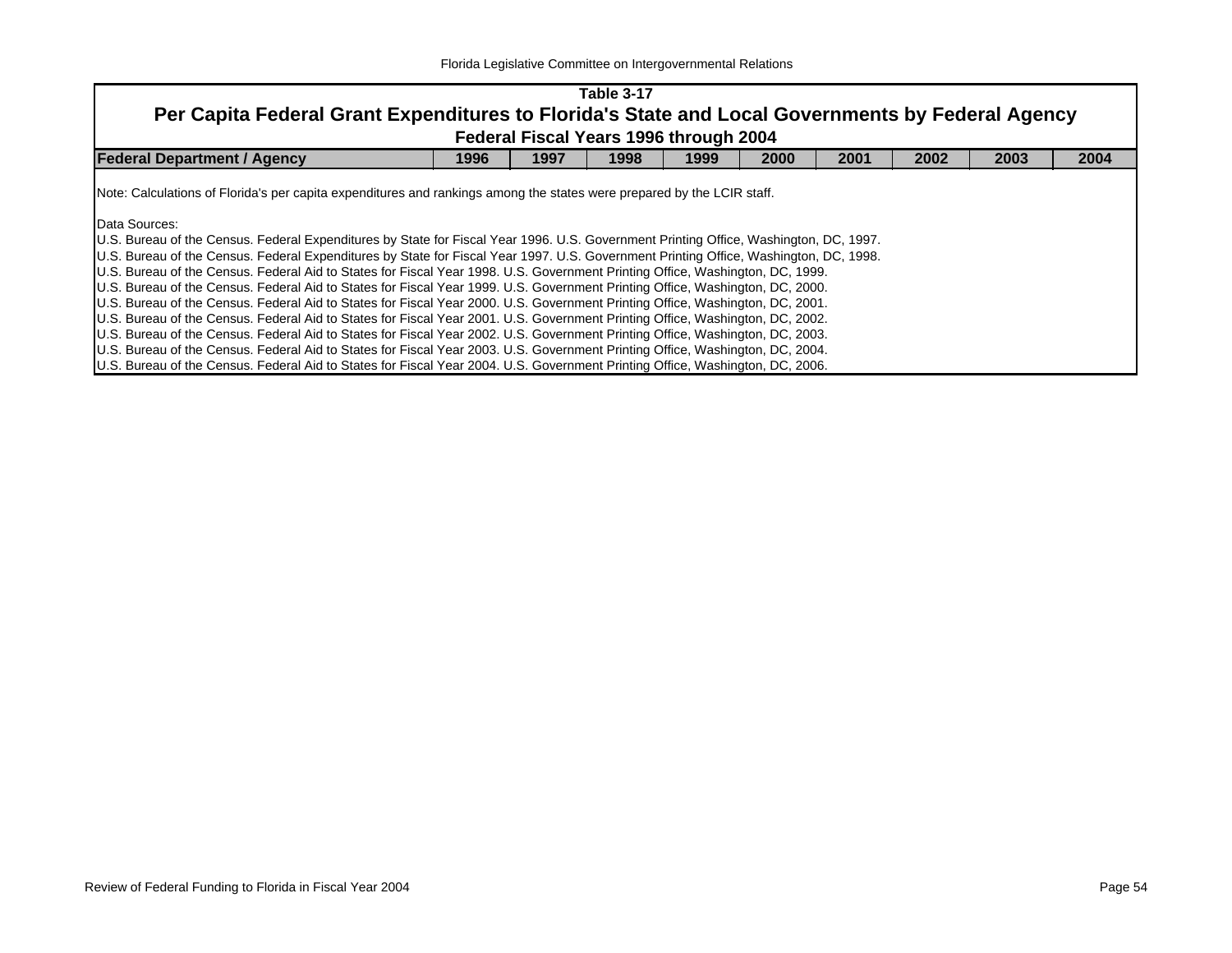|                                                                                                                                       |      |      | <b>Table 3-17</b> |                                        |      |      |      |      |      |
|---------------------------------------------------------------------------------------------------------------------------------------|------|------|-------------------|----------------------------------------|------|------|------|------|------|
| Per Capita Federal Grant Expenditures to Florida's State and Local Governments by Federal Agency                                      |      |      |                   |                                        |      |      |      |      |      |
|                                                                                                                                       |      |      |                   | Federal Fiscal Years 1996 through 2004 |      |      |      |      |      |
| <b>Federal Department / Agency</b>                                                                                                    | 1996 | 1997 | 1998              | 1999                                   | 2000 | 2001 | 2002 | 2003 | 2004 |
| Note: Calculations of Florida's per capita expenditures and rankings among the states were prepared by the LCIR staff.                |      |      |                   |                                        |      |      |      |      |      |
| Data Sources:                                                                                                                         |      |      |                   |                                        |      |      |      |      |      |
| U.S. Bureau of the Census. Federal Expenditures by State for Fiscal Year 1996. U.S. Government Printing Office, Washington, DC, 1997. |      |      |                   |                                        |      |      |      |      |      |
| U.S. Bureau of the Census. Federal Expenditures by State for Fiscal Year 1997. U.S. Government Printing Office, Washington, DC, 1998. |      |      |                   |                                        |      |      |      |      |      |
| U.S. Bureau of the Census. Federal Aid to States for Fiscal Year 1998. U.S. Government Printing Office, Washington, DC, 1999.         |      |      |                   |                                        |      |      |      |      |      |
| U.S. Bureau of the Census. Federal Aid to States for Fiscal Year 1999. U.S. Government Printing Office, Washington, DC, 2000.         |      |      |                   |                                        |      |      |      |      |      |
| U.S. Bureau of the Census. Federal Aid to States for Fiscal Year 2000. U.S. Government Printing Office, Washington, DC, 2001.         |      |      |                   |                                        |      |      |      |      |      |
| U.S. Bureau of the Census. Federal Aid to States for Fiscal Year 2001. U.S. Government Printing Office, Washington, DC, 2002.         |      |      |                   |                                        |      |      |      |      |      |
| U.S. Bureau of the Census. Federal Aid to States for Fiscal Year 2002. U.S. Government Printing Office, Washington, DC, 2003.         |      |      |                   |                                        |      |      |      |      |      |
| U.S. Bureau of the Census. Federal Aid to States for Fiscal Year 2003. U.S. Government Printing Office, Washington, DC, 2004.         |      |      |                   |                                        |      |      |      |      |      |
| U.S. Bureau of the Census. Federal Aid to States for Fiscal Year 2004. U.S. Government Printing Office, Washington, DC, 2006.         |      |      |                   |                                        |      |      |      |      |      |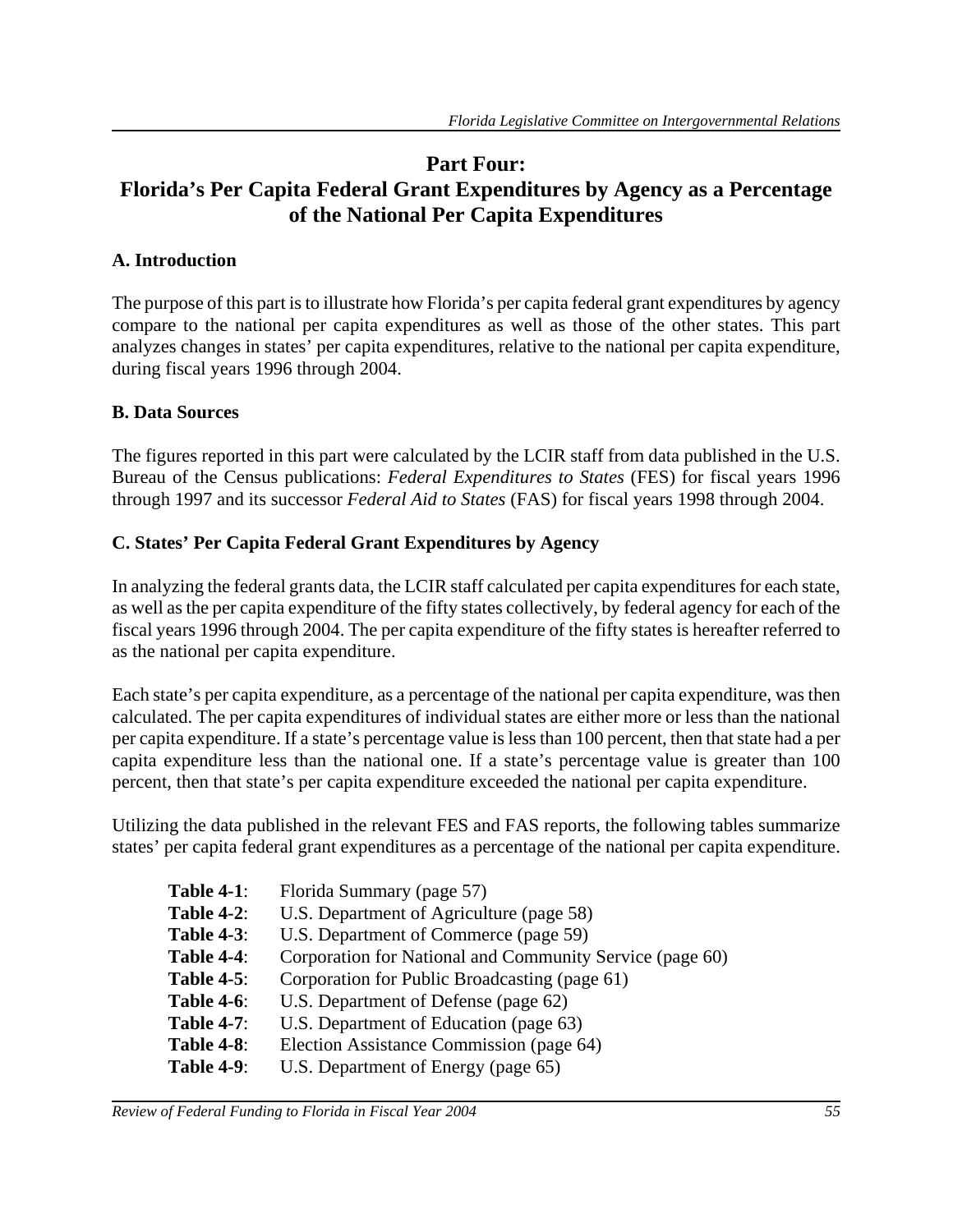# **Part Four: Florida's Per Capita Federal Grant Expenditures by Agency as a Percentage of the National Per Capita Expenditures**

### **A. Introduction**

The purpose of this part is to illustrate how Florida's per capita federal grant expenditures by agency compare to the national per capita expenditures as well as those of the other states. This part analyzes changes in states' per capita expenditures, relative to the national per capita expenditure, during fiscal years 1996 through 2004.

### **B. Data Sources**

The figures reported in this part were calculated by the LCIR staff from data published in the U.S. Bureau of the Census publications: *Federal Expenditures to States* (FES) for fiscal years 1996 through 1997 and its successor *Federal Aid to States* (FAS) for fiscal years 1998 through 2004.

### **C. States' Per Capita Federal Grant Expenditures by Agency**

In analyzing the federal grants data, the LCIR staff calculated per capita expenditures for each state, as well as the per capita expenditure of the fifty states collectively, by federal agency for each of the fiscal years 1996 through 2004. The per capita expenditure of the fifty states is hereafter referred to as the national per capita expenditure.

Each state's per capita expenditure, as a percentage of the national per capita expenditure, was then calculated. The per capita expenditures of individual states are either more or less than the national per capita expenditure. If a state's percentage value is less than 100 percent, then that state had a per capita expenditure less than the national one. If a state's percentage value is greater than 100 percent, then that state's per capita expenditure exceeded the national per capita expenditure.

Utilizing the data published in the relevant FES and FAS reports, the following tables summarize states' per capita federal grant expenditures as a percentage of the national per capita expenditure.

| Florida Summary (page 57)                                |
|----------------------------------------------------------|
| U.S. Department of Agriculture (page 58)                 |
| U.S. Department of Commerce (page 59)                    |
| Corporation for National and Community Service (page 60) |
| Corporation for Public Broadcasting (page 61)            |
| U.S. Department of Defense (page 62)                     |
| U.S. Department of Education (page 63)                   |
| Election Assistance Commission (page 64)                 |
| U.S. Department of Energy (page 65)                      |
|                                                          |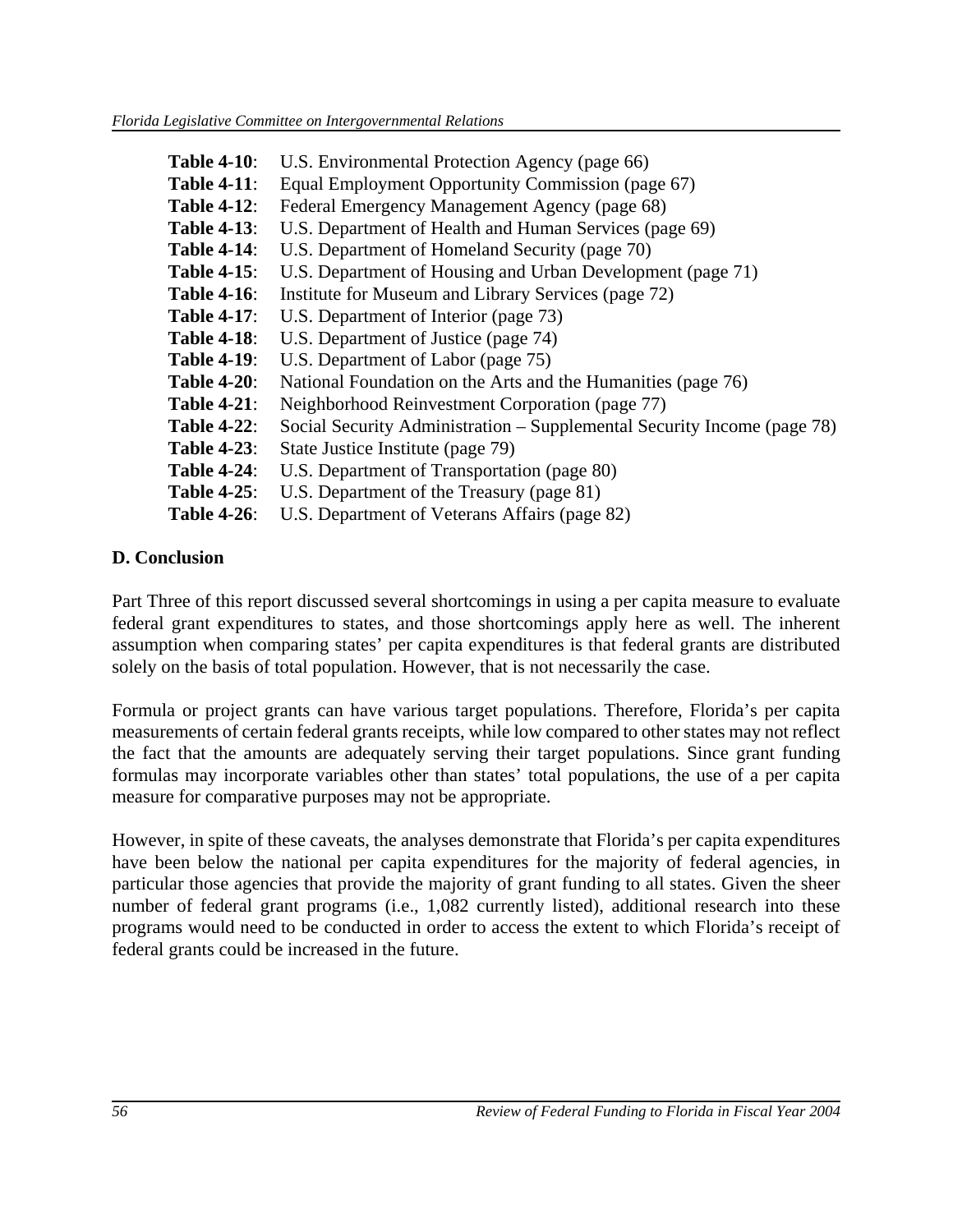| <b>Table 4-10:</b> | U.S. Environmental Protection Agency (page 66)                          |
|--------------------|-------------------------------------------------------------------------|
| <b>Table 4-11:</b> | Equal Employment Opportunity Commission (page 67)                       |
| <b>Table 4-12:</b> | Federal Emergency Management Agency (page 68)                           |
| <b>Table 4-13:</b> | U.S. Department of Health and Human Services (page 69)                  |
| <b>Table 4-14:</b> | U.S. Department of Homeland Security (page 70)                          |
| <b>Table 4-15:</b> | U.S. Department of Housing and Urban Development (page 71)              |
| <b>Table 4-16:</b> | Institute for Museum and Library Services (page 72)                     |
| <b>Table 4-17:</b> | U.S. Department of Interior (page 73)                                   |
| <b>Table 4-18:</b> | U.S. Department of Justice (page 74)                                    |
| <b>Table 4-19:</b> | U.S. Department of Labor (page 75)                                      |
| <b>Table 4-20:</b> | National Foundation on the Arts and the Humanities (page 76)            |
| <b>Table 4-21:</b> | Neighborhood Reinvestment Corporation (page 77)                         |
| <b>Table 4-22:</b> | Social Security Administration – Supplemental Security Income (page 78) |
| <b>Table 4-23:</b> | State Justice Institute (page 79)                                       |
| <b>Table 4-24:</b> | U.S. Department of Transportation (page 80)                             |
| <b>Table 4-25:</b> | U.S. Department of the Treasury (page 81)                               |
| <b>Table 4-26:</b> | U.S. Department of Veterans Affairs (page 82)                           |

## **D. Conclusion**

Part Three of this report discussed several shortcomings in using a per capita measure to evaluate federal grant expenditures to states, and those shortcomings apply here as well. The inherent assumption when comparing states' per capita expenditures is that federal grants are distributed solely on the basis of total population. However, that is not necessarily the case.

Formula or project grants can have various target populations. Therefore, Florida's per capita measurements of certain federal grants receipts, while low compared to other states may not reflect the fact that the amounts are adequately serving their target populations. Since grant funding formulas may incorporate variables other than states' total populations, the use of a per capita measure for comparative purposes may not be appropriate.

However, in spite of these caveats, the analyses demonstrate that Florida's per capita expenditures have been below the national per capita expenditures for the majority of federal agencies, in particular those agencies that provide the majority of grant funding to all states. Given the sheer number of federal grant programs (i.e., 1,082 currently listed), additional research into these programs would need to be conducted in order to access the extent to which Florida's receipt of federal grants could be increased in the future.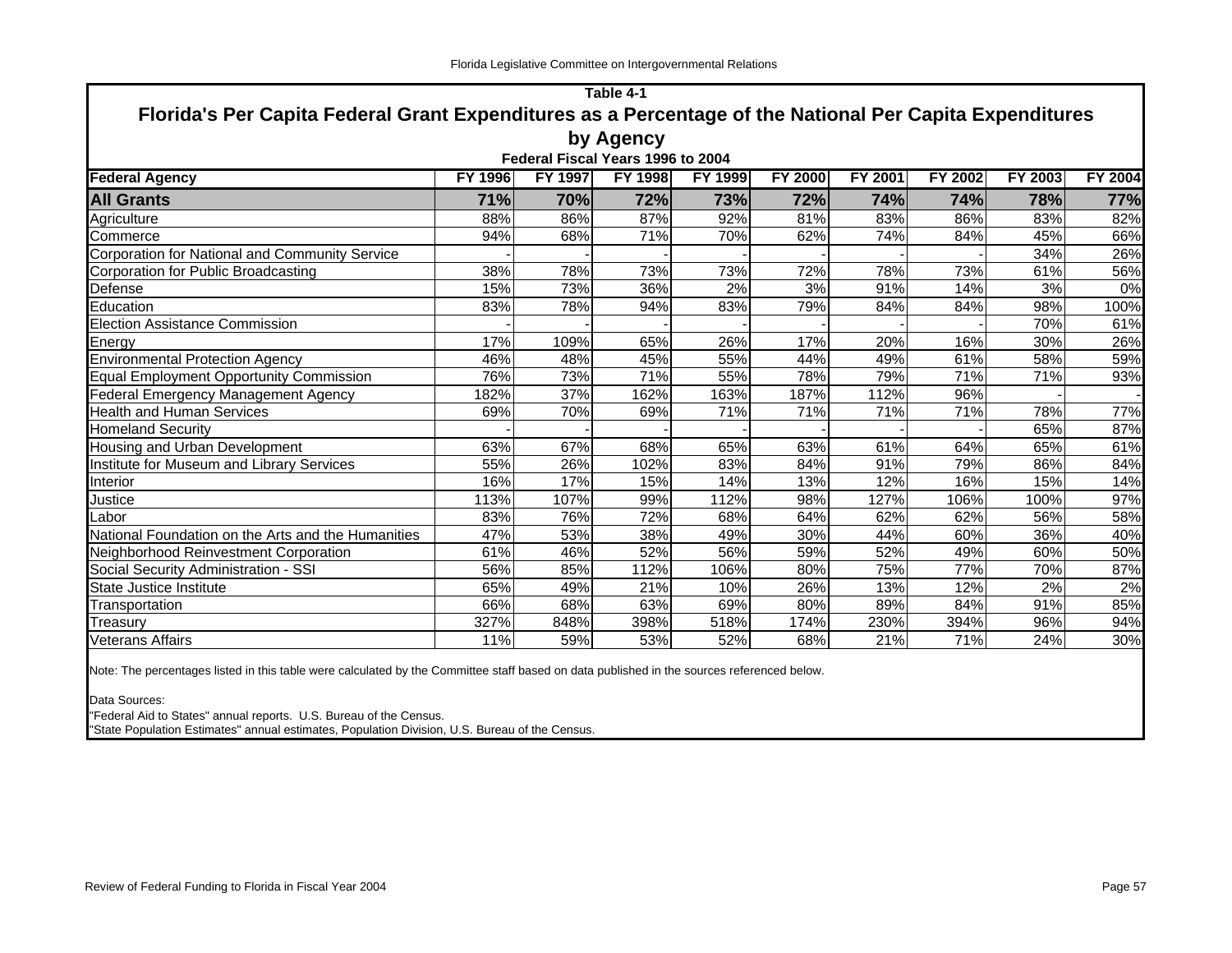| Table 4-1<br>Florida's Per Capita Federal Grant Expenditures as a Percentage of the National Per Capita Expenditures |         |                                   |           |         |                |         |         |         |         |  |  |  |  |
|----------------------------------------------------------------------------------------------------------------------|---------|-----------------------------------|-----------|---------|----------------|---------|---------|---------|---------|--|--|--|--|
|                                                                                                                      |         |                                   |           |         |                |         |         |         |         |  |  |  |  |
|                                                                                                                      |         |                                   | by Agency |         |                |         |         |         |         |  |  |  |  |
|                                                                                                                      |         | Federal Fiscal Years 1996 to 2004 |           |         |                |         |         |         |         |  |  |  |  |
| <b>Federal Agency</b>                                                                                                | FY 1996 | FY 1997                           | FY 1998   | FY 1999 | <b>FY 2000</b> | FY 2001 | FY 2002 | FY 2003 | FY 2004 |  |  |  |  |
| <b>All Grants</b>                                                                                                    | 71%     | 70%                               | 72%       | 73%     | 72%            | 74%     | 74%     | 78%     | 77%     |  |  |  |  |
| Agriculture                                                                                                          | 88%     | 86%                               | 87%       | 92%     | 81%            | 83%     | 86%     | 83%     | 82%     |  |  |  |  |
| Commerce                                                                                                             | 94%     | 68%                               | 71%       | 70%     | 62%            | 74%     | 84%     | 45%     | 66%     |  |  |  |  |
| Corporation for National and Community Service                                                                       |         |                                   |           |         |                |         |         | 34%     | 26%     |  |  |  |  |
| Corporation for Public Broadcasting                                                                                  | 38%     | 78%                               | 73%       | 73%     | 72%            | 78%     | 73%     | 61%     | 56%     |  |  |  |  |
| Defense                                                                                                              | 15%     | 73%                               | 36%       | 2%      | 3%             | 91%     | 14%     | 3%      | 0%      |  |  |  |  |
| Education                                                                                                            | 83%     | 78%                               | 94%       | 83%     | 79%            | 84%     | 84%     | 98%     | 100%    |  |  |  |  |
| <b>Election Assistance Commission</b>                                                                                |         |                                   |           |         |                |         |         | 70%     | 61%     |  |  |  |  |
| Energy                                                                                                               | 17%     | 109%                              | 65%       | 26%     | 17%            | 20%     | 16%     | 30%     | 26%     |  |  |  |  |
| <b>Environmental Protection Agency</b>                                                                               | 46%     | 48%                               | 45%       | 55%     | 44%            | 49%     | 61%     | 58%     | 59%     |  |  |  |  |
| <b>Equal Employment Opportunity Commission</b>                                                                       | 76%     | 73%                               | 71%       | 55%     | 78%            | 79%     | 71%     | 71%     | 93%     |  |  |  |  |
| <b>Federal Emergency Management Agency</b>                                                                           | 182%    | 37%                               | 162%      | 163%    | 187%           | 112%    | 96%     |         |         |  |  |  |  |
| <b>Health and Human Services</b>                                                                                     | 69%     | 70%                               | 69%       | 71%     | 71%            | 71%     | 71%     | 78%     | 77%     |  |  |  |  |
| <b>Homeland Security</b>                                                                                             |         |                                   |           |         |                |         |         | 65%     | 87%     |  |  |  |  |
| Housing and Urban Development                                                                                        | 63%     | 67%                               | 68%       | 65%     | 63%            | 61%     | 64%     | 65%     | 61%     |  |  |  |  |
| Institute for Museum and Library Services                                                                            | 55%     | 26%                               | 102%      | 83%     | 84%            | 91%     | 79%     | 86%     | 84%     |  |  |  |  |
| Interior                                                                                                             | 16%     | 17%                               | 15%       | 14%     | 13%            | 12%     | 16%     | 15%     | 14%     |  |  |  |  |
| Justice                                                                                                              | 113%    | 107%                              | 99%       | 112%    | 98%            | 127%    | 106%    | 100%    | 97%     |  |  |  |  |
| Labor                                                                                                                | 83%     | 76%                               | 72%       | 68%     | 64%            | 62%     | 62%     | 56%     | 58%     |  |  |  |  |
| National Foundation on the Arts and the Humanities                                                                   | 47%     | 53%                               | 38%       | 49%     | 30%            | 44%     | 60%     | 36%     | 40%     |  |  |  |  |
| Neighborhood Reinvestment Corporation                                                                                | 61%     | 46%                               | 52%       | 56%     | 59%            | 52%     | 49%     | 60%     | 50%     |  |  |  |  |
| Social Security Administration - SSI                                                                                 | 56%     | 85%                               | 112%      | 106%    | 80%            | 75%     | 77%     | 70%     | 87%     |  |  |  |  |
| State Justice Institute                                                                                              | 65%     | 49%                               | 21%       | 10%     | 26%            | 13%     | 12%     | 2%      | 2%      |  |  |  |  |
| Transportation                                                                                                       | 66%     | 68%                               | 63%       | 69%     | 80%            | 89%     | 84%     | 91%     | 85%     |  |  |  |  |
| Treasury                                                                                                             | 327%    | 848%                              | 398%      | 518%    | 174%           | 230%    | 394%    | 96%     | 94%     |  |  |  |  |
| <b>Veterans Affairs</b>                                                                                              | 11%     | 59%                               | 53%       | 52%     | 68%            | 21%     | 71%     | 24%     | 30%     |  |  |  |  |

Data Sources:

"Federal Aid to States" annual reports. U.S. Bureau of the Census.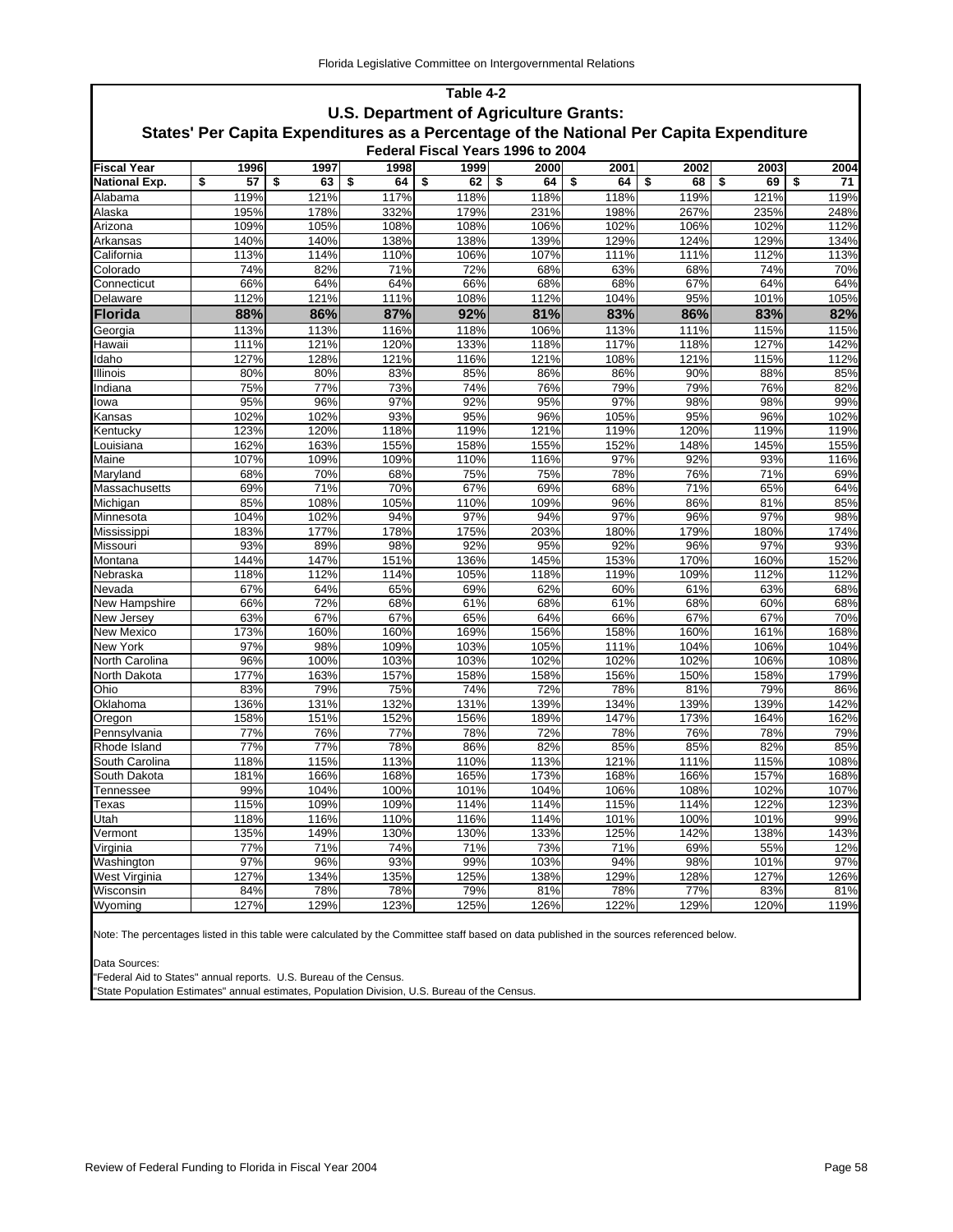|                      |                                                                                        |          |                                               | Table 4-2                         |          |          |          |          |          |
|----------------------|----------------------------------------------------------------------------------------|----------|-----------------------------------------------|-----------------------------------|----------|----------|----------|----------|----------|
|                      |                                                                                        |          | <b>U.S. Department of Agriculture Grants:</b> |                                   |          |          |          |          |          |
|                      | States' Per Capita Expenditures as a Percentage of the National Per Capita Expenditure |          |                                               |                                   |          |          |          |          |          |
|                      |                                                                                        |          |                                               | Federal Fiscal Years 1996 to 2004 |          |          |          |          |          |
| <b>Fiscal Year</b>   | 1996                                                                                   | 1997     | 1998                                          | 1999                              | 2000     | 2001     | 2002     | 2003     | 2004     |
| <b>National Exp.</b> | \$<br>57                                                                               | \$<br>63 | 64<br>\$                                      | \$<br>62                          | \$<br>64 | 64<br>\$ | \$<br>68 | \$<br>69 | \$<br>71 |
| Alabama              | 119%                                                                                   | 121%     | 117%                                          | 118%                              | 118%     | 118%     | 119%     | 121%     | 119%     |
| Alaska               | 195%                                                                                   | 178%     | 332%                                          | 179%                              | 231%     | 198%     | 267%     | 235%     | 248%     |
| Arizona              | 109%                                                                                   | 105%     | 108%                                          | 108%                              | 106%     | 102%     | 106%     | 102%     | 112%     |
| Arkansas             | 140%                                                                                   | 140%     | 138%                                          | 138%                              | 139%     | 129%     | 124%     | 129%     | 134%     |
| California           | 113%                                                                                   | 114%     | 110%                                          | 106%                              | 107%     | 111%     | 111%     | 112%     | 113%     |
| Colorado             | 74%                                                                                    | 82%      | 71%                                           | 72%                               | 68%      | 63%      | 68%      | 74%      | 70%      |
| Connecticut          | 66%                                                                                    | 64%      | 64%                                           | 66%                               | 68%      | 68%      | 67%      | 64%      | 64%      |
| Delaware             | 112%                                                                                   | 121%     | 111%                                          | 108%                              | 112%     | 104%     | 95%      | 101%     | 105%     |
| Florida              | 88%                                                                                    | 86%      | 87%                                           | 92%                               | 81%      | 83%      | 86%      | 83%      | 82%      |
| Georgia              | 113%                                                                                   | 113%     | 116%                                          | 118%                              | 106%     | 113%     | 111%     | 115%     | 115%     |
| Hawaii               | 111%                                                                                   | 121%     | 120%                                          | 133%                              | 118%     | 117%     | 118%     | 127%     | 142%     |
| Idaho                | 127%                                                                                   | 128%     | 121%                                          | 116%                              | 121%     | 108%     | 121%     | 115%     | 112%     |
| Illinois             | 80%                                                                                    | 80%      | 83%                                           | 85%                               | 86%      | 86%      | 90%      | 88%      | 85%      |
| Indiana              | 75%                                                                                    | 77%      | 73%                                           | 74%                               | 76%      | 79%      | 79%      | 76%      | 82%      |
| lowa                 | 95%                                                                                    | 96%      | 97%                                           | 92%                               | 95%      | 97%      | 98%      | 98%      | 99%      |
| Kansas               | 102%                                                                                   | 102%     | 93%                                           | 95%                               | 96%      | 105%     | 95%      | 96%      | 102%     |
| Kentucky             | 123%                                                                                   | 120%     | 118%                                          | 119%                              | 121%     | 119%     | 120%     | 119%     | 119%     |
| Louisiana            | 162%                                                                                   | 163%     | 155%                                          | 158%                              | 155%     | 152%     | 148%     | 145%     | 155%     |
| Maine                | 107%                                                                                   | 109%     | 109%                                          | 110%                              | 116%     | 97%      | 92%      | 93%      | 116%     |
| Maryland             | 68%                                                                                    | 70%      | 68%                                           | 75%                               | 75%      | 78%      | 76%      | 71%      | 69%      |
| Massachusetts        | 69%                                                                                    | 71%      | 70%                                           | 67%                               | 69%      | 68%      | 71%      | 65%      | 64%      |
| Michigan             | 85%                                                                                    | 108%     | 105%                                          | 110%                              | 109%     | 96%      | 86%      | 81%      | 85%      |
| Minnesota            | 104%                                                                                   | 102%     | 94%                                           | 97%                               | 94%      | 97%      | 96%      | 97%      | 98%      |
| Mississippi          | 183%                                                                                   | 177%     | 178%                                          | 175%                              | 203%     | 180%     | 179%     | 180%     | 174%     |
| Missouri             | 93%                                                                                    | 89%      | 98%                                           | 92%                               | 95%      | 92%      | 96%      | 97%      | 93%      |
| Montana              | 144%                                                                                   | 147%     | 151%                                          | 136%                              | 145%     | 153%     | 170%     | 160%     | 152%     |
| Nebraska             | 118%                                                                                   | 112%     | 114%                                          | 105%                              | 118%     | 119%     | 109%     | 112%     | 112%     |
| Nevada               | 67%                                                                                    | 64%      | 65%                                           | 69%                               | 62%      | 60%      | 61%      | 63%      | 68%      |
| New Hampshire        | 66%                                                                                    | 72%      | 68%                                           | 61%                               | 68%      | 61%      | 68%      | 60%      | 68%      |
| New Jersey           | 63%                                                                                    | 67%      | 67%                                           | 65%                               | 64%      | 66%      | 67%      | 67%      | 70%      |
| New Mexico           | 173%                                                                                   | 160%     | 160%                                          | 169%                              | 156%     | 158%     | 160%     | 161%     | 168%     |
| New York             | 97%                                                                                    | 98%      | 109%                                          | 103%                              | 105%     | 111%     | 104%     | 106%     | 104%     |
| North Carolina       | 96%                                                                                    | 100%     | 103%                                          | 103%                              | 102%     | 102%     | 102%     | 106%     | 108%     |
| North Dakota         | 177%                                                                                   | 163%     | 157%                                          | 158%                              | 158%     | 156%     | 150%     | 158%     | 179%     |
| Ohio                 | 83%                                                                                    | 79%      | 75%                                           | 74%                               | 72%      | 78%      | 81%      | 79%      | 86%      |
| Oklahoma             | 136%                                                                                   | 131%     | 132%                                          | 131%                              | 139%     | 134%     | 139%     | 139%     | 142%     |
| Oregon               | 158%                                                                                   | 151%     | 152%                                          | 156%                              | 189%     | 147%     | 173%     | 164%     | 162%     |
| Pennsylvania         | 77%                                                                                    | 76%      | 77%                                           | 78%                               | 72%      | 78%      | 76%      | 78%      | 79%      |
| Rhode Island         | 77%                                                                                    | 77%      | 78%                                           | 86%                               | 82%      | 85%      | 85%      | 82%      | 85%      |
| South Carolina       | 118%                                                                                   | 115%     | 113%                                          | 110%                              | 113%     | 121%     | 111%     | 115%     | 108%     |
| South Dakota         | 181%                                                                                   | 166%     | 168%                                          | 165%                              | 173%     | 168%     | 166%     | 157%     | 168%     |
| Tennessee            | 99%                                                                                    | 104%     | 100%                                          | 101%                              | 104%     | 106%     | 108%     | 102%     | 107%     |
| Texas                | 115%                                                                                   | 109%     | 109%                                          | 114%                              | 114%     | 115%     | 114%     | 122%     | 123%     |
| Utah                 | 118%                                                                                   | 116%     | 110%                                          | 116%                              | 114%     | 101%     | 100%     | 101%     | 99%      |
| Vermont              | 135%                                                                                   | 149%     | 130%                                          | 130%                              | 133%     | 125%     | 142%     | 138%     | 143%     |
| Virginia             | 77%                                                                                    | 71%      | 74%                                           | 71%                               | 73%      | 71%      | 69%      | 55%      | 12%      |
| Washington           | 97%                                                                                    | 96%      | 93%                                           | 99%                               | 103%     | 94%      | 98%      | 101%     | 97%      |
| West Virginia        | 127%                                                                                   | 134%     | 135%                                          | 125%                              | 138%     | 129%     | 128%     | 127%     | 126%     |
| Wisconsin            | 84%                                                                                    | 78%      | 78%                                           | 79%                               | 81%      | 78%      | 77%      | 83%      | 81%      |
| Wyoming              | 127%                                                                                   | 129%     | 123%                                          | 125%                              | 126%     | 122%     | 129%     | 120%     | 119%     |

Data Sources:

"Federal Aid to States" annual reports. U.S. Bureau of the Census.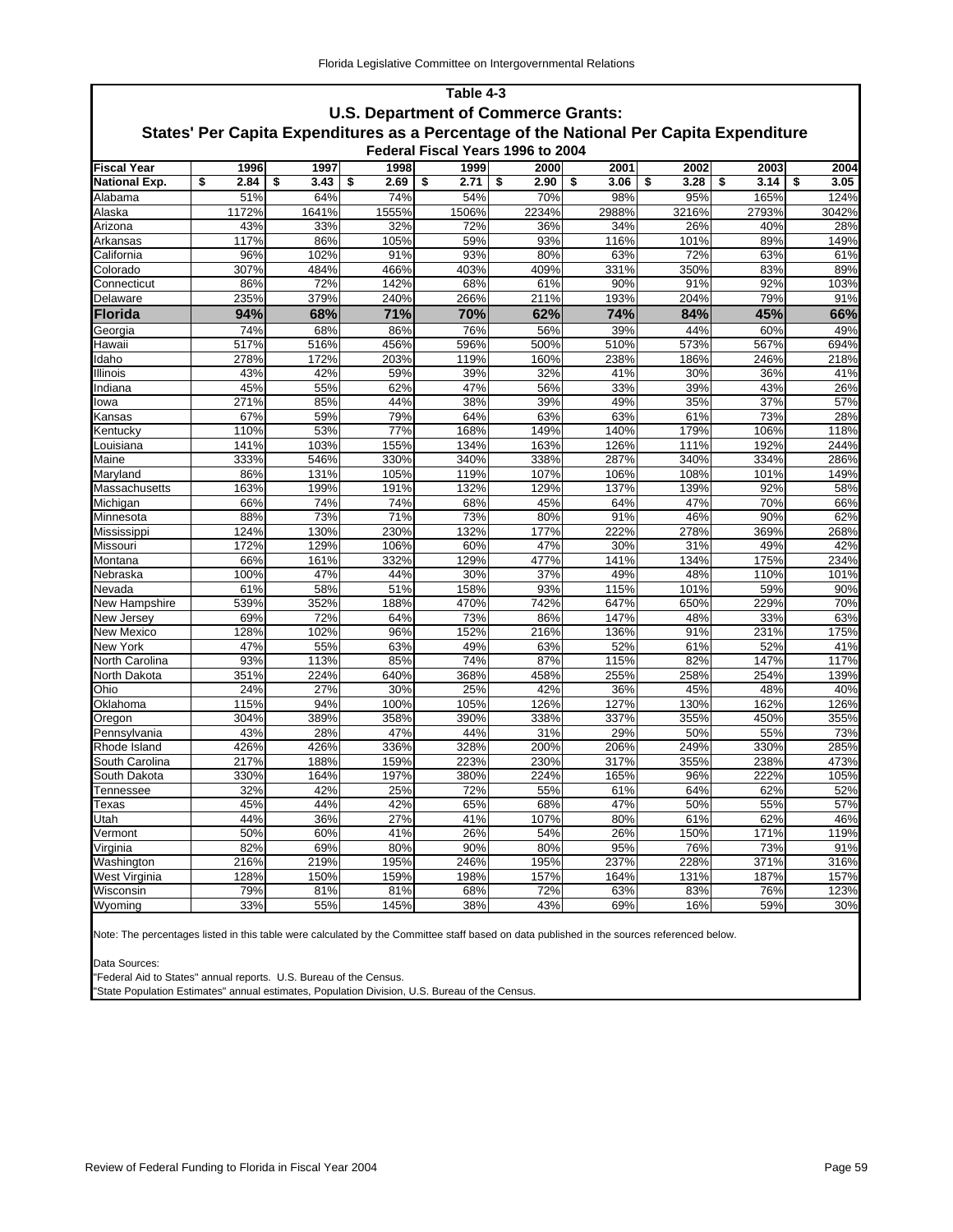|                      | Table 4-3<br><b>U.S. Department of Commerce Grants:</b>                                |            |            |                                   |            |            |            |            |            |  |  |  |  |  |
|----------------------|----------------------------------------------------------------------------------------|------------|------------|-----------------------------------|------------|------------|------------|------------|------------|--|--|--|--|--|
|                      |                                                                                        |            |            |                                   |            |            |            |            |            |  |  |  |  |  |
|                      | States' Per Capita Expenditures as a Percentage of the National Per Capita Expenditure |            |            | Federal Fiscal Years 1996 to 2004 |            |            |            |            |            |  |  |  |  |  |
| <b>Fiscal Year</b>   | 1996                                                                                   | 1997       | 1998       | 1999                              | 2000       | 2001       | 2002       | 2003       | 2004       |  |  |  |  |  |
| <b>National Exp.</b> | 2.84<br>\$                                                                             | \$<br>3.43 | 2.69<br>\$ | 2.71<br>\$                        | 2.90<br>\$ | 3.06<br>\$ | 3.28<br>\$ | 3.14<br>\$ | 3.05<br>\$ |  |  |  |  |  |
| Alabama              | 51%                                                                                    | 64%        | 74%        | 54%                               | 70%        | 98%        | 95%        | 165%       | 124%       |  |  |  |  |  |
| Alaska               | 1172%                                                                                  | 1641%      | 1555%      | 1506%                             | 2234%      | 2988%      | 3216%      | 2793%      | 3042%      |  |  |  |  |  |
| Arizona              | 43%                                                                                    | 33%        | 32%        | 72%                               | 36%        | 34%        | 26%        | 40%        | 28%        |  |  |  |  |  |
| Arkansas             | 117%                                                                                   | 86%        | 105%       | 59%                               | 93%        | 116%       | 101%       | 89%        | 149%       |  |  |  |  |  |
| California           | 96%                                                                                    | 102%       | 91%        | 93%                               | 80%        | 63%        | 72%        | 63%        | 61%        |  |  |  |  |  |
| Colorado             | 307%                                                                                   | 484%       | 466%       | 403%                              | 409%       | 331%       | 350%       | 83%        | 89%        |  |  |  |  |  |
| Connecticut          | 86%                                                                                    | 72%        | 142%       | 68%                               | 61%        | 90%        | 91%        | 92%        | 103%       |  |  |  |  |  |
| Delaware             | 235%                                                                                   | 379%       | 240%       | 266%                              | 211%       | 193%       | 204%       | 79%        | 91%        |  |  |  |  |  |
| <b>Florida</b>       | 94%                                                                                    | 68%        | 71%        | 70%                               | 62%        | 74%        | 84%        | 45%        | 66%        |  |  |  |  |  |
| Georgia              | 74%                                                                                    | 68%        | 86%        | 76%                               | 56%        | 39%        | 44%        | 60%        | 49%        |  |  |  |  |  |
| Hawaii               | 517%                                                                                   | 516%       | 456%       | 596%                              | 500%       | 510%       | 573%       | 567%       | 694%       |  |  |  |  |  |
| ldaho                | 278%                                                                                   | 172%       | 203%       | 119%                              | 160%       | 238%       | 186%       | 246%       | 218%       |  |  |  |  |  |
| Illinois             | 43%                                                                                    | 42%        | 59%        | 39%                               | 32%        | 41%        | 30%        | 36%        | 41%        |  |  |  |  |  |
| Indiana              | 45%                                                                                    | 55%        | 62%        | 47%                               | 56%        | 33%        | 39%        | 43%        | 26%        |  |  |  |  |  |
| lowa                 | 271%                                                                                   | 85%        | 44%        | 38%                               | 39%        | 49%        | 35%        | 37%        | 57%        |  |  |  |  |  |
| Kansas               | 67%                                                                                    | 59%        | 79%        | 64%                               | 63%        | 63%        | 61%        | 73%        | 28%        |  |  |  |  |  |
| Kentucky             | 110%                                                                                   | 53%        | 77%        | 168%                              | 149%       | 140%       | 179%       | 106%       | 118%       |  |  |  |  |  |
| Louisiana            | 141%                                                                                   | 103%       | 155%       | 134%                              | 163%       | 126%       | 111%       | 192%       | 244%       |  |  |  |  |  |
| Maine                | 333%                                                                                   | 546%       | 330%       | 340%                              | 338%       | 287%       | 340%       | 334%       | 286%       |  |  |  |  |  |
| Maryland             | 86%                                                                                    | 131%       | 105%       | 119%                              | 107%       | 106%       | 108%       | 101%       | 149%       |  |  |  |  |  |
| Massachusetts        | 163%                                                                                   | 199%       | 191%       | 132%                              | 129%       | 137%       | 139%       | 92%        | 58%        |  |  |  |  |  |
| Michigan             | 66%                                                                                    | 74%        | 74%        | 68%                               | 45%        | 64%        | 47%        | 70%        | 66%        |  |  |  |  |  |
| Minnesota            | 88%                                                                                    | 73%        | 71%        | 73%                               | 80%        | 91%        | 46%        | 90%        | 62%        |  |  |  |  |  |
| Mississippi          | 124%                                                                                   | 130%       | 230%       | 132%                              | 177%       | 222%       | 278%       | 369%       | 268%       |  |  |  |  |  |
| Missouri             | 172%                                                                                   | 129%       | 106%       | 60%                               | 47%        | 30%        | 31%        | 49%        | 42%        |  |  |  |  |  |
| Montana              | 66%                                                                                    | 161%       | 332%       | 129%                              | 477%       | 141%       | 134%       | 175%       | 234%       |  |  |  |  |  |
| Nebraska             | 100%                                                                                   | 47%        | 44%        | 30%                               | 37%        | 49%        | 48%        | 110%       | 101%       |  |  |  |  |  |
| Nevada               | 61%                                                                                    | 58%        | 51%        | 158%                              | 93%        | 115%       | 101%       | 59%        | 90%        |  |  |  |  |  |
| New Hampshire        | 539%                                                                                   | 352%       | 188%       | 470%                              | 742%       | 647%       | 650%       | 229%       | 70%        |  |  |  |  |  |
| New Jersey           | 69%                                                                                    | 72%        | 64%        | 73%                               | 86%        | 147%       | 48%        | 33%        | 63%        |  |  |  |  |  |
| New Mexico           | 128%                                                                                   | 102%       | 96%        | 152%                              | 216%       | 136%       | 91%        | 231%       | 175%       |  |  |  |  |  |
| New York             | 47%                                                                                    | 55%        | 63%        | 49%                               | 63%        | 52%        | 61%        | 52%        | 41%        |  |  |  |  |  |
| North Carolina       | 93%                                                                                    | 113%       | 85%        | 74%                               | 87%        | 115%       | 82%        | 147%       | 117%       |  |  |  |  |  |
| North Dakota         | 351%                                                                                   | 224%       | 640%       | 368%                              | 458%       | 255%       | 258%       | 254%       | 139%       |  |  |  |  |  |
| Ohio                 | 24%                                                                                    | 27%        | 30%        | 25%                               | 42%        | 36%        | 45%        | 48%        | 40%        |  |  |  |  |  |
| Oklahoma             | 115%                                                                                   | 94%        | 100%       | 105%                              | 126%       | 127%       | 130%       | 162%       | 126%       |  |  |  |  |  |
| Oregon               | 304%                                                                                   | 389%       | 358%       | 390%                              | 338%       | 337%       | 355%       | 450%       | 355%       |  |  |  |  |  |
| Pennsylvania         | 43%                                                                                    | 28%        | 47%        | 44%                               | 31%        | 29%        | 50%        | 55%        | 73%        |  |  |  |  |  |
| Rhode Island         | 426%                                                                                   | 426%       | 336%       | 328%                              | 200%       | 206%       | 249%       | 330%       | 285%       |  |  |  |  |  |
| South Carolina       | 217%                                                                                   | 188%       | 159%       | 223%                              | 230%       | 317%       | 355%       | 238%       | 473%       |  |  |  |  |  |
| South Dakota         | 330%                                                                                   | 164%       | 197%       | 380%                              | 224%       | 165%       | 96%        | 222%       | 105%       |  |  |  |  |  |
| Tennessee            | 32%                                                                                    | 42%        | 25%        | 72%                               | 55%        | 61%        | 64%        | 62%        | 52%        |  |  |  |  |  |
| Texas                | 45%                                                                                    | 44%        | 42%        | 65%                               | 68%        | 47%        | 50%        | 55%        | 57%        |  |  |  |  |  |
| Utah                 | 44%                                                                                    | 36%        | 27%        | 41%                               | 107%       | 80%        | 61%        | 62%        | 46%        |  |  |  |  |  |
| Vermont              | 50%                                                                                    | 60%        | 41%        | 26%                               | 54%        | 26%        | 150%       | 171%       | 119%       |  |  |  |  |  |
| Virginia             | 82%                                                                                    | 69%        | 80%        | 90%                               | 80%        | 95%        | 76%        | 73%        | 91%        |  |  |  |  |  |
| Washington           | 216%                                                                                   | 219%       | 195%       | 246%                              | 195%       | 237%       | 228%       | 371%       | 316%       |  |  |  |  |  |
| West Virginia        | 128%                                                                                   | 150%       | 159%       | 198%                              | 157%       | 164%       | 131%       | 187%       | 157%       |  |  |  |  |  |
| Wisconsin            | 79%                                                                                    | 81%        | 81%        | 68%                               | 72%        | 63%        | 83%        | 76%        | 123%       |  |  |  |  |  |
| Wyoming              | 33%                                                                                    | 55%        | 145%       | 38%                               | 43%        | 69%        | 16%        | 59%        | 30%        |  |  |  |  |  |
|                      |                                                                                        |            |            |                                   |            |            |            |            |            |  |  |  |  |  |

Data Sources:

"Federal Aid to States" annual reports. U.S. Bureau of the Census.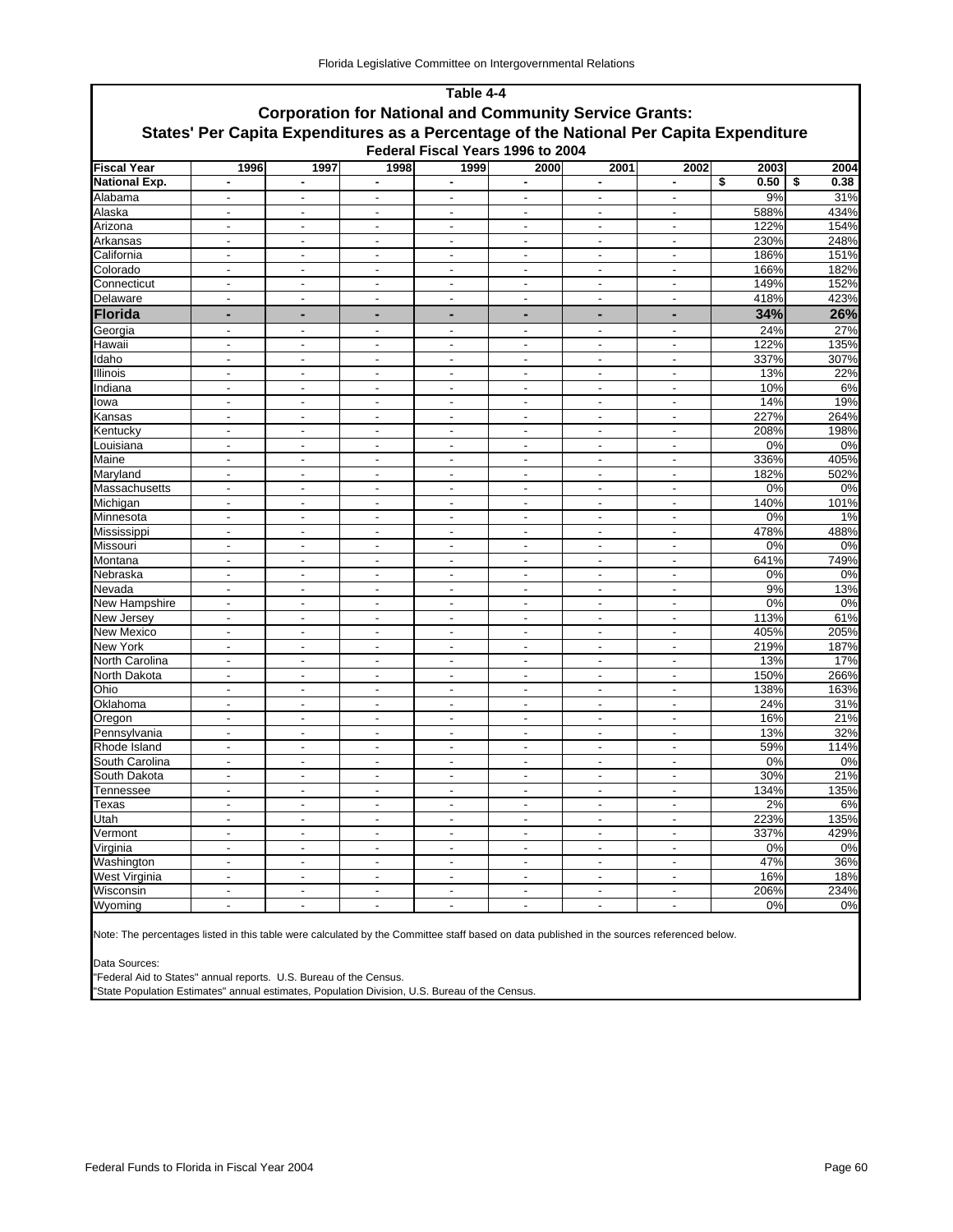|                      |                                                                                        |                                  |                                  | Table 4-4                                                     |                                  |                                  |                                                      |             |             |
|----------------------|----------------------------------------------------------------------------------------|----------------------------------|----------------------------------|---------------------------------------------------------------|----------------------------------|----------------------------------|------------------------------------------------------|-------------|-------------|
|                      |                                                                                        |                                  |                                  | <b>Corporation for National and Community Service Grants:</b> |                                  |                                  |                                                      |             |             |
|                      | States' Per Capita Expenditures as a Percentage of the National Per Capita Expenditure |                                  |                                  |                                                               |                                  |                                  |                                                      |             |             |
|                      |                                                                                        |                                  |                                  | Federal Fiscal Years 1996 to 2004                             |                                  |                                  |                                                      |             |             |
| <b>Fiscal Year</b>   | 1996                                                                                   | 1997                             | 1998                             | 1999                                                          | 2000                             | 2001                             | 2002                                                 | 2003        | 2004        |
| <b>National Exp.</b> |                                                                                        |                                  |                                  |                                                               |                                  |                                  | ٠                                                    | \$<br>0.50  | \$<br>0.38  |
| Alabama              | $\overline{\phantom{a}}$                                                               | $\overline{\phantom{a}}$         | $\overline{\phantom{a}}$         | $\overline{\phantom{a}}$                                      | $\overline{\phantom{a}}$         | $\overline{\phantom{a}}$         | $\overline{\phantom{a}}$                             | 9%          | 31%         |
| Alaska               | -                                                                                      | $\blacksquare$                   | $\blacksquare$                   | $\overline{\phantom{0}}$                                      | $\overline{\phantom{a}}$         | $\overline{\phantom{a}}$         | $\overline{\phantom{a}}$                             | 588%        | 434%        |
| Arizona              | $\overline{a}$                                                                         | $\overline{a}$                   | $\blacksquare$                   | $\overline{\phantom{0}}$                                      | $\overline{\phantom{a}}$         | $\overline{a}$                   | $\overline{\phantom{a}}$                             | 122%        | 154%        |
| Arkansas             | $\overline{\phantom{a}}$                                                               | $\overline{\phantom{a}}$         | $\overline{\phantom{a}}$         | $\overline{\phantom{a}}$                                      | $\overline{\phantom{a}}$         | $\overline{\phantom{a}}$         | $\overline{\phantom{a}}$                             | 230%        | 248%        |
| California           | $\overline{a}$                                                                         | $\overline{\phantom{a}}$         | $\blacksquare$                   | ٠                                                             | $\overline{\phantom{a}}$         | $\overline{\phantom{a}}$         | $\overline{\phantom{a}}$                             | 186%        | 151%        |
| Colorado             | $\blacksquare$                                                                         | $\blacksquare$                   | $\blacksquare$                   | $\blacksquare$                                                | $\overline{\phantom{a}}$         | $\blacksquare$                   | $\overline{\phantom{a}}$                             | 166%        | 182%        |
| Connecticut          | $\overline{\phantom{a}}$                                                               | $\overline{\phantom{a}}$         | $\overline{\phantom{a}}$         | $\overline{\phantom{a}}$                                      | $\overline{\phantom{a}}$         | $\overline{\phantom{a}}$         | $\blacksquare$                                       | 149%        | 152%        |
| Delaware             | $\blacksquare$                                                                         | $\blacksquare$                   | $\blacksquare$                   | $\overline{\phantom{a}}$                                      | $\overline{\phantom{a}}$         | $\overline{a}$                   | $\overline{\phantom{a}}$                             | 418%        | 423%        |
| Florida              | н                                                                                      | $\blacksquare$                   | $\blacksquare$                   | ٠                                                             | $\blacksquare$                   | $\blacksquare$                   | ۰                                                    | 34%         | 26%         |
|                      |                                                                                        |                                  |                                  |                                                               |                                  |                                  |                                                      |             | 27%         |
| Georgia              | $\overline{\phantom{a}}$                                                               | $\blacksquare$                   | $\overline{\phantom{a}}$         | $\blacksquare$                                                | $\overline{\phantom{a}}$         | $\overline{\phantom{0}}$         | $\overline{\phantom{a}}$                             | 24%         |             |
| Hawaii               | $\overline{\phantom{a}}$                                                               | $\overline{\phantom{a}}$         | $\overline{\phantom{a}}$         | $\overline{\phantom{a}}$                                      | $\overline{\phantom{a}}$         | $\overline{\phantom{a}}$         | $\overline{\phantom{a}}$                             | 122%        | 135%        |
| Idaho                | $\overline{\phantom{0}}$<br>$\blacksquare$                                             | $\blacksquare$<br>$\blacksquare$ | $\blacksquare$<br>$\blacksquare$ | $\overline{\phantom{0}}$                                      | $\blacksquare$<br>$\blacksquare$ | $\blacksquare$<br>$\blacksquare$ | $\blacksquare$                                       | 337%<br>13% | 307%<br>22% |
| Illinois             | $\overline{\phantom{a}}$                                                               | $\overline{\phantom{a}}$         | $\overline{\phantom{a}}$         | $\overline{\phantom{a}}$<br>٠                                 | $\blacksquare$                   |                                  | $\overline{\phantom{a}}$                             |             |             |
| Indiana              | $\overline{\phantom{a}}$                                                               | $\overline{\phantom{a}}$         | $\overline{\phantom{a}}$         | $\blacksquare$                                                | $\overline{\phantom{a}}$         | $\overline{a}$                   | $\overline{\phantom{a}}$<br>$\overline{\phantom{a}}$ | 10%<br>14%  | 6%<br>19%   |
| lowa<br>Kansas       | $\blacksquare$                                                                         | $\blacksquare$                   | $\blacksquare$                   | $\blacksquare$                                                | $\blacksquare$                   | $\overline{\phantom{a}}$         | $\overline{\phantom{a}}$                             | 227%        | 264%        |
| Kentucky             | $\overline{a}$                                                                         | $\overline{\phantom{a}}$         | $\overline{a}$                   | $\overline{a}$                                                | $\overline{\phantom{a}}$         | $\overline{a}$                   | $\overline{\phantom{a}}$                             | 208%        | 198%        |
| Louisiana            | $\overline{\phantom{a}}$                                                               | $\blacksquare$                   | $\blacksquare$                   | $\overline{\phantom{0}}$                                      | $\blacksquare$                   | $\overline{\phantom{a}}$         | $\overline{\phantom{a}}$                             | 0%          | 0%          |
| Maine                | $\overline{a}$                                                                         | $\overline{a}$                   | $\overline{a}$                   | $\overline{\phantom{0}}$                                      | $\overline{\phantom{a}}$         | $\overline{a}$                   | $\overline{\phantom{a}}$                             | 336%        | 405%        |
| Maryland             | $\overline{\phantom{a}}$                                                               | $\overline{\phantom{a}}$         | $\overline{\phantom{a}}$         | $\overline{\phantom{a}}$                                      | $\overline{\phantom{a}}$         | $\overline{\phantom{a}}$         | $\overline{\phantom{a}}$                             | 182%        | 502%        |
| Massachusetts        |                                                                                        | $\overline{\phantom{a}}$         | $\overline{\phantom{a}}$         | $\overline{a}$                                                | $\overline{\phantom{a}}$         |                                  | $\overline{\phantom{a}}$                             | 0%          | 0%          |
| Michigan             | $\blacksquare$                                                                         | $\blacksquare$                   | $\overline{\phantom{a}}$         | $\overline{\phantom{a}}$                                      | $\overline{\phantom{a}}$         | $\blacksquare$                   | $\overline{\phantom{a}}$                             | 140%        | 101%        |
| Minnesota            | $\overline{\phantom{a}}$                                                               | $\blacksquare$                   | $\overline{\phantom{a}}$         | $\overline{\phantom{a}}$                                      | $\overline{\phantom{a}}$         | $\overline{\phantom{a}}$         | $\blacksquare$                                       | 0%          | 1%          |
| Mississippi          | $\overline{\phantom{a}}$                                                               | $\overline{\phantom{a}}$         | $\overline{\phantom{a}}$         | $\overline{\phantom{a}}$                                      | $\overline{\phantom{a}}$         | $\overline{\phantom{a}}$         | $\overline{\phantom{a}}$                             | 478%        | 488%        |
| Missouri             | $\overline{a}$                                                                         | $\blacksquare$                   | $\blacksquare$                   | $\overline{\phantom{0}}$                                      | $\blacksquare$                   | $\blacksquare$                   | $\blacksquare$                                       | 0%          | 0%          |
| Montana              | $\blacksquare$                                                                         | $\blacksquare$                   | $\blacksquare$                   | $\blacksquare$                                                | $\blacksquare$                   |                                  | $\overline{\phantom{a}}$                             | 641%        | 749%        |
| Nebraska             | $\overline{\phantom{a}}$                                                               | $\blacksquare$                   | $\blacksquare$                   | $\overline{\phantom{a}}$                                      | $\blacksquare$                   | $\overline{\phantom{a}}$         | $\overline{\phantom{a}}$                             | 0%          | 0%          |
| Nevada               | $\sim$                                                                                 | $\overline{\phantom{a}}$         | $\overline{a}$                   | $\blacksquare$                                                | $\overline{\phantom{a}}$         | $\overline{a}$                   | $\blacksquare$                                       | 9%          | 13%         |
| New Hampshire        | $\overline{\phantom{a}}$                                                               | $\overline{\phantom{a}}$         | $\overline{\phantom{a}}$         | $\overline{\phantom{a}}$                                      | $\overline{\phantom{a}}$         | $\overline{\phantom{a}}$         | $\overline{\phantom{a}}$                             | 0%          | 0%          |
| New Jersey           | $\overline{\phantom{a}}$                                                               | $\overline{\phantom{a}}$         | $\overline{\phantom{a}}$         | $\overline{\phantom{a}}$                                      | $\overline{\phantom{a}}$         | $\overline{\phantom{a}}$         | $\overline{\phantom{a}}$                             | 113%        | 61%         |
| New Mexico           | $\overline{\phantom{a}}$                                                               | $\overline{a}$                   | $\blacksquare$                   | $\overline{\phantom{0}}$                                      | $\overline{\phantom{a}}$         | $\blacksquare$                   | $\overline{\phantom{a}}$                             | 405%        | 205%        |
| New York             | ٠                                                                                      | $\blacksquare$                   | $\blacksquare$                   | $\overline{\phantom{a}}$                                      | $\overline{\phantom{a}}$         |                                  | $\overline{\phantom{a}}$                             | 219%        | 187%        |
| North Carolina       | $\overline{\phantom{a}}$                                                               | $\overline{\phantom{a}}$         | $\overline{\phantom{a}}$         | $\overline{\phantom{a}}$                                      | $\overline{\phantom{a}}$         | $\overline{\phantom{a}}$         | $\overline{\phantom{a}}$                             | 13%         | 17%         |
| North Dakota         | ٠                                                                                      | $\blacksquare$                   | $\blacksquare$                   | $\overline{a}$                                                | $\overline{\phantom{a}}$         | $\overline{\phantom{a}}$         | $\overline{\phantom{a}}$                             | 150%        | 266%        |
| Ohio                 | $\blacksquare$                                                                         | $\blacksquare$                   | $\overline{\phantom{a}}$         | $\overline{\phantom{a}}$                                      | $\overline{\phantom{a}}$         | $\blacksquare$                   | $\overline{\phantom{a}}$                             | 138%        | 163%        |
| Oklahoma             | $\overline{\phantom{a}}$                                                               | $\blacksquare$                   | $\overline{\phantom{a}}$         | $\overline{\phantom{a}}$                                      | $\overline{\phantom{a}}$         | $\overline{\phantom{a}}$         | $\overline{\phantom{a}}$                             | 24%         | 31%         |
| Oregon               | $\overline{\phantom{a}}$                                                               | $\overline{\phantom{a}}$         | $\blacksquare$                   | $\overline{\phantom{a}}$                                      | $\blacksquare$                   | $\blacksquare$                   | $\overline{\phantom{a}}$                             | 16%         | 21%         |
| Pennsylvania         | $\overline{a}$                                                                         | $\blacksquare$                   | $\blacksquare$                   | $\overline{\phantom{0}}$                                      | $\blacksquare$                   | $\blacksquare$                   | $\overline{\phantom{a}}$                             | 13%         | 32%         |
| Rhode Island         | $\blacksquare$                                                                         | $\blacksquare$                   | $\blacksquare$                   | $\blacksquare$                                                | $\blacksquare$                   | $\overline{\phantom{a}}$         | $\overline{\phantom{a}}$                             | 59%         | 114%        |
| South Carolina       | $\blacksquare$                                                                         | $\overline{\phantom{a}}$         | $\blacksquare$                   | $\blacksquare$                                                | $\overline{\phantom{a}}$         | $\overline{\phantom{a}}$         | $\overline{\phantom{a}}$                             | 0%          | 0%          |
| South Dakota         | $\blacksquare$                                                                         | $\overline{\phantom{a}}$         | $\overline{\phantom{a}}$         | $\blacksquare$                                                | $\overline{\phantom{a}}$         | $\overline{\phantom{a}}$         | $\blacksquare$                                       | 30%         | 21%         |
| Tennessee            | $\overline{\phantom{a}}$                                                               | $\overline{\phantom{a}}$         | ۰                                | -                                                             | $\overline{\phantom{a}}$         | ٠                                | ۰                                                    | 134%        | 135%        |
| Texas                | $\overline{\phantom{a}}$                                                               | $\overline{\phantom{a}}$         | $\overline{\phantom{a}}$         | $\overline{\phantom{0}}$                                      | $\overline{\phantom{a}}$         | $\overline{\phantom{a}}$         | $\overline{\phantom{a}}$                             | 2%          | 6%          |
| Utah                 | $\overline{\phantom{a}}$                                                               | $\overline{\phantom{a}}$         | $\overline{\phantom{a}}$         | -                                                             | $\overline{\phantom{a}}$         | $\overline{\phantom{a}}$         | $\overline{\phantom{a}}$                             | 223%        | 135%        |
| Vermont              | $\overline{\phantom{a}}$                                                               | $\overline{\phantom{a}}$         | $\overline{\phantom{a}}$         | $\overline{\phantom{a}}$                                      | $\overline{\phantom{a}}$         | $\overline{\phantom{a}}$         | $\overline{\phantom{a}}$                             | 337%        | 429%        |
| Virginia             | $\overline{\phantom{a}}$                                                               | $\overline{\phantom{a}}$         | $\overline{\phantom{a}}$         | $\overline{\phantom{a}}$                                      | $\overline{\phantom{a}}$         | $\overline{\phantom{a}}$         | $\overline{\phantom{a}}$                             | 0%          | 0%          |
| Washington           | $\blacksquare$                                                                         | $\overline{\phantom{a}}$         | $\overline{\phantom{a}}$         | $\blacksquare$                                                | $\blacksquare$                   | $\blacksquare$                   | $\overline{\phantom{a}}$                             | 47%         | 36%         |
| West Virginia        | $\overline{\phantom{a}}$                                                               | $\overline{\phantom{a}}$         | $\overline{\phantom{a}}$         | $\blacksquare$                                                | $\overline{\phantom{a}}$         | $\overline{\phantom{a}}$         | $\blacksquare$                                       | 16%         | 18%         |
| Wisconsin            | $\overline{\phantom{a}}$                                                               | $\overline{\phantom{a}}$         | $\overline{\phantom{a}}$         | $\overline{\phantom{a}}$                                      | $\overline{\phantom{a}}$         | $\overline{\phantom{a}}$         | $\overline{\phantom{a}}$                             | 206%        | 234%        |
| Wyoming              | $\overline{\phantom{a}}$                                                               | $\overline{\phantom{a}}$         | $\overline{\phantom{a}}$         | $\overline{\phantom{a}}$                                      | $\overline{\phantom{a}}$         | $\blacksquare$                   | $\overline{\phantom{a}}$                             | 0%          | 0%          |

Data Sources:

"Federal Aid to States" annual reports. U.S. Bureau of the Census.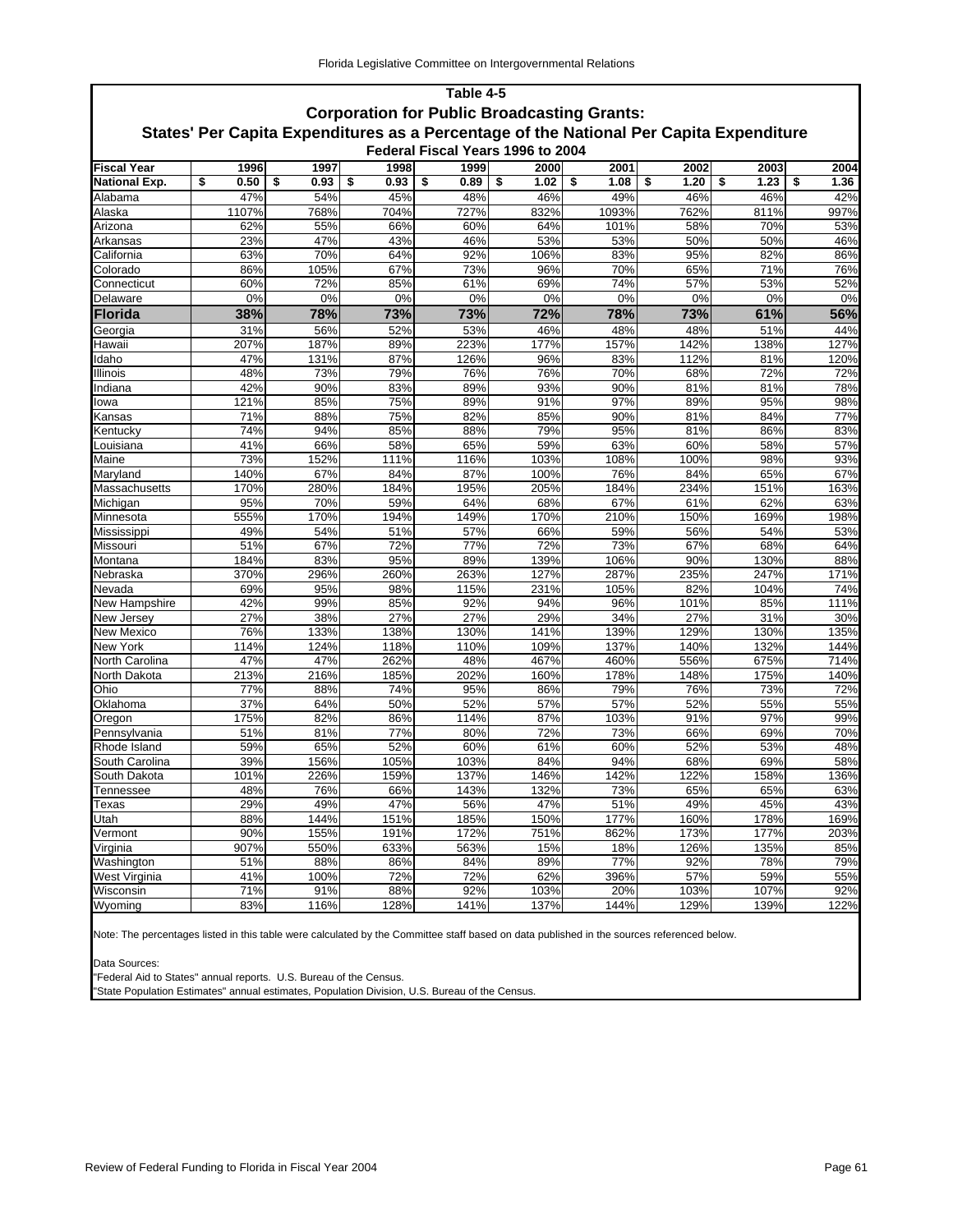| Table 4-5                                                                                  |              |             |             |              |              |              |             |              |             |  |  |
|--------------------------------------------------------------------------------------------|--------------|-------------|-------------|--------------|--------------|--------------|-------------|--------------|-------------|--|--|
| <b>Corporation for Public Broadcasting Grants:</b>                                         |              |             |             |              |              |              |             |              |             |  |  |
| States' Per Capita Expenditures as a Percentage of the National Per Capita Expenditure     |              |             |             |              |              |              |             |              |             |  |  |
| Federal Fiscal Years 1996 to 2004                                                          |              |             |             |              |              |              |             |              |             |  |  |
| 1996<br>1998<br>1999<br>2000<br>2001<br>2002<br>2003<br><b>Fiscal Year</b><br>1997<br>2004 |              |             |             |              |              |              |             |              |             |  |  |
| <b>National Exp.</b>                                                                       | 0.50<br>\$   | \$<br>0.93  | \$<br>0.93  | 0.89<br>\$   | \$<br>1.02   | 1.08<br>\$   | 1.20<br>\$  | 1.23<br>\$   | 1.36<br>\$  |  |  |
| Alabama                                                                                    | 47%          | 54%         | 45%         | 48%          | 46%          | 49%          | 46%         | 46%          | 42%         |  |  |
| Alaska                                                                                     | 1107%        | 768%        | 704%        | 727%         | 832%         | 1093%        | 762%        | 811%         | 997%        |  |  |
| Arizona                                                                                    | 62%          | 55%         | 66%         | 60%          | 64%          | 101%         | 58%         | 70%          | 53%         |  |  |
| Arkansas                                                                                   | 23%          | 47%         | 43%         | 46%          | 53%          | 53%          | 50%         | 50%          | 46%         |  |  |
| California                                                                                 | 63%          | 70%         | 64%         | 92%          | 106%         | 83%          | 95%         | 82%          | 86%         |  |  |
| Colorado                                                                                   | 86%          | 105%        | 67%         | 73%          | 96%          | 70%          | 65%         | 71%          | 76%         |  |  |
| Connecticut                                                                                | 60%          | 72%         | 85%         | 61%          | 69%          | 74%          | 57%         | 53%          | 52%         |  |  |
| Delaware                                                                                   | 0%           | 0%          | 0%          | 0%           | 0%           | 0%           | 0%          | 0%           | 0%          |  |  |
| <b>Florida</b>                                                                             | 38%          | 78%         | 73%         | 73%          | 72%          | 78%          | 73%         | 61%          | 56%         |  |  |
| Georgia                                                                                    | 31%          | 56%         | 52%         | 53%          | 46%          | 48%          | 48%         | 51%          | 44%         |  |  |
| Hawaii                                                                                     | 207%         | 187%        | 89%         | 223%         | 177%         | 157%         | 142%        | 138%         | 127%        |  |  |
| Idaho                                                                                      | 47%          | 131%        | 87%         | 126%         | 96%          | 83%          | 112%        | 81%          | 120%        |  |  |
| Illinois                                                                                   | 48%          | 73%         | 79%         | 76%          | 76%          | 70%          | 68%         | 72%          | 72%         |  |  |
| Indiana                                                                                    | 42%          | 90%         | 83%         | 89%          | 93%          | 90%          | 81%         | 81%          | 78%         |  |  |
| lowa                                                                                       | 121%         | 85%         | 75%         | 89%          | 91%          | 97%          | 89%         | 95%          | 98%         |  |  |
| Kansas                                                                                     | 71%          | 88%         | 75%         | 82%          | 85%          | 90%          | 81%         | 84%          | 77%         |  |  |
| Kentucky                                                                                   | 74%          | 94%         | 85%         | 88%          | 79%          | 95%          | 81%         | 86%          | 83%         |  |  |
| Louisiana                                                                                  | 41%          | 66%         | 58%         | 65%          | 59%          | 63%          | 60%         | 58%          | 57%         |  |  |
| Maine                                                                                      | 73%          | 152%        | 111%        | 116%         | 103%         | 108%         | 100%        | 98%          | 93%         |  |  |
| Maryland                                                                                   | 140%         | 67%         | 84%         | 87%          | 100%         | 76%          | 84%         | 65%          | 67%         |  |  |
| Massachusetts                                                                              | 170%         | 280%        | 184%        | 195%         | 205%         | 184%         | 234%        | 151%         | 163%        |  |  |
| Michigan                                                                                   | 95%          | 70%         | 59%         | 64%          | 68%          | 67%          | 61%         | 62%          | 63%         |  |  |
| Minnesota                                                                                  | 555%         | 170%        | 194%        | 149%         | 170%         | 210%         | 150%        | 169%         | 198%        |  |  |
| Mississippi                                                                                | 49%          | 54%         | 51%         | 57%          | 66%          | 59%          | 56%         | 54%          | 53%         |  |  |
| Missouri                                                                                   | 51%          | 67%         | 72%         | 77%          | 72%          | 73%          | 67%         | 68%          | 64%         |  |  |
| Montana                                                                                    | 184%<br>370% | 83%         | 95%<br>260% | 89%          | 139%         | 106%<br>287% | 90%         | 130%         | 88%<br>171% |  |  |
| Nebraska<br>Nevada                                                                         | 69%          | 296%<br>95% | 98%         | 263%<br>115% | 127%<br>231% | 105%         | 235%<br>82% | 247%<br>104% | 74%         |  |  |
| New Hampshire                                                                              | 42%          | 99%         | 85%         | 92%          | 94%          | 96%          | 101%        | 85%          | 111%        |  |  |
| New Jersev                                                                                 | 27%          | 38%         | 27%         | 27%          | 29%          | 34%          | 27%         | 31%          | 30%         |  |  |
| New Mexico                                                                                 | 76%          | 133%        | 138%        | 130%         | 141%         | 139%         | 129%        | 130%         | 135%        |  |  |
| New York                                                                                   | 114%         | 124%        | 118%        | 110%         | 109%         | 137%         | 140%        | 132%         | 144%        |  |  |
| North Carolina                                                                             | 47%          | 47%         | 262%        | 48%          | 467%         | 460%         | 556%        | 675%         | 714%        |  |  |
| North Dakota                                                                               | 213%         | 216%        | 185%        | 202%         | 160%         | 178%         | 148%        | 175%         | 140%        |  |  |
| Ohio                                                                                       | 77%          | 88%         | 74%         | 95%          | 86%          | 79%          | 76%         | 73%          | 72%         |  |  |
| Oklahoma                                                                                   | 37%          | 64%         | 50%         | 52%          | 57%          | 57%          | 52%         | 55%          | 55%         |  |  |
| Oregon                                                                                     | 175%         | 82%         | 86%         | 114%         | 87%          | 103%         | 91%         | 97%          | 99%         |  |  |
| Pennsylvania                                                                               | 51%          | 81%         | 77%         | 80%          | 72%          | 73%          | 66%         | 69%          | 70%         |  |  |
| Rhode Island                                                                               | 59%          | 65%         | 52%         | 60%          | 61%          | 60%          | 52%         | 53%          | 48%         |  |  |
| South Carolina                                                                             | 39%          | 156%        | 105%        | 103%         | 84%          | 94%          | 68%         | 69%          | 58%         |  |  |
| South Dakota                                                                               | 101%         | 226%        | 159%        | 137%         | 146%         | 142%         | 122%        | 158%         | 136%        |  |  |
| Tennessee                                                                                  | 48%          | 76%         | 66%         | 143%         | 132%         | 73%          | 65%         | 65%          | 63%         |  |  |
| Texas                                                                                      | 29%          | 49%         | 47%         | 56%          | 47%          | 51%          | 49%         | 45%          | 43%         |  |  |
| Utah                                                                                       | 88%          | 144%        | 151%        | 185%         | 150%         | 177%         | 160%        | 178%         | 169%        |  |  |
| Vermont                                                                                    | 90%          | 155%        | 191%        | 172%         | 751%         | 862%         | 173%        | 177%         | 203%        |  |  |
| Virginia                                                                                   | 907%         | 550%        | 633%        | 563%         | 15%          | 18%          | 126%        | 135%         | 85%         |  |  |
| Washington                                                                                 | 51%          | 88%         | 86%         | 84%          | 89%          | 77%          | 92%         | 78%          | 79%         |  |  |
| West Virginia                                                                              | 41%          | 100%        | 72%         | 72%          | 62%          | 396%         | 57%         | 59%          | 55%         |  |  |
| Wisconsin                                                                                  | 71%          | 91%         | 88%         | 92%          | 103%         | 20%          | 103%        | 107%         | 92%         |  |  |
| Wyoming                                                                                    | 83%          | 116%        | 128%        | 141%         | 137%         | 144%         | 129%        | 139%         | 122%        |  |  |

Data Sources:

"Federal Aid to States" annual reports. U.S. Bureau of the Census.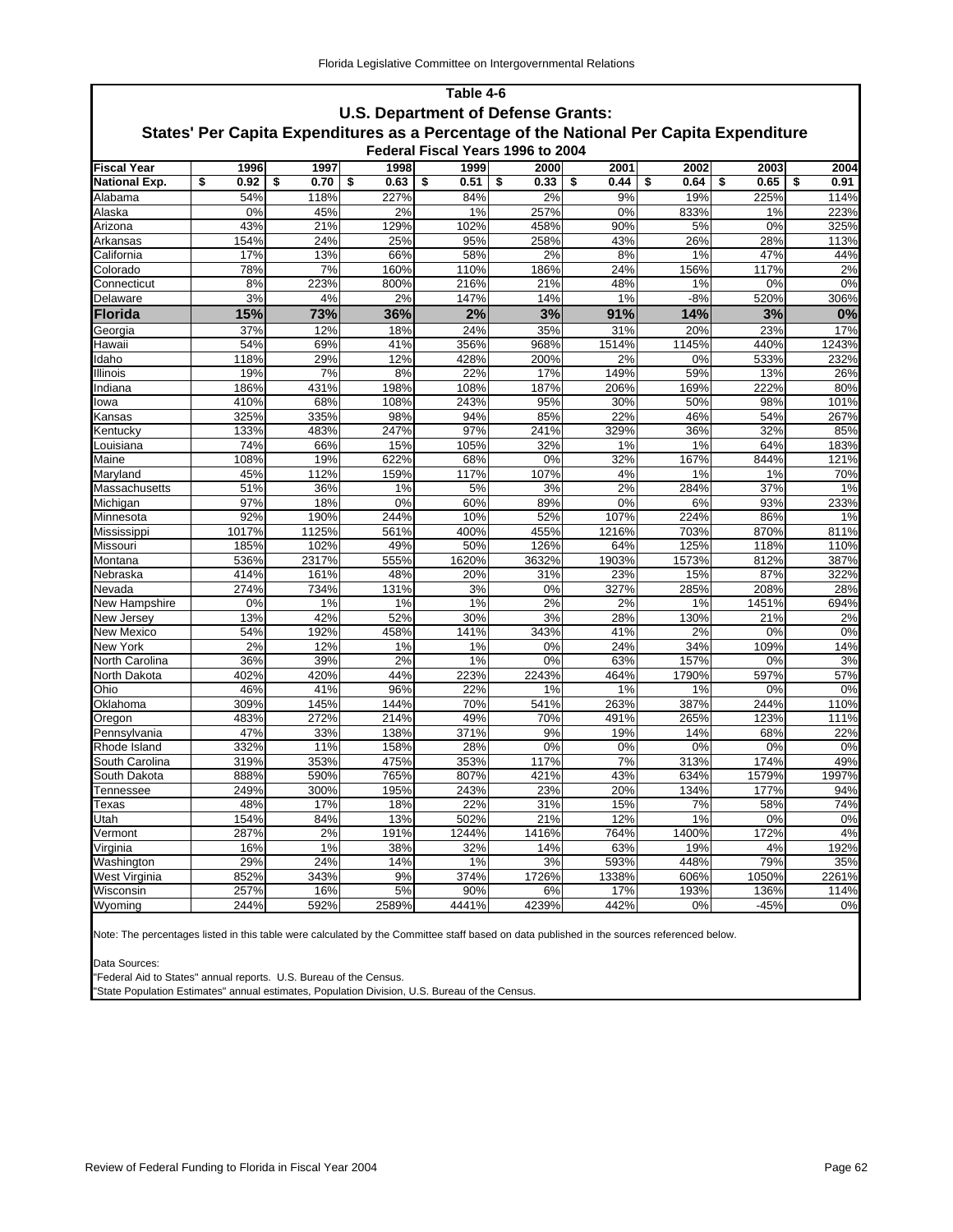| Table 4-6            |                                                                                        |            |            |                                           |            |            |            |            |            |  |  |
|----------------------|----------------------------------------------------------------------------------------|------------|------------|-------------------------------------------|------------|------------|------------|------------|------------|--|--|
|                      |                                                                                        |            |            | <b>U.S. Department of Defense Grants:</b> |            |            |            |            |            |  |  |
|                      | States' Per Capita Expenditures as a Percentage of the National Per Capita Expenditure |            |            | Federal Fiscal Years 1996 to 2004         |            |            |            |            |            |  |  |
| <b>Fiscal Year</b>   | 1996                                                                                   | 1997       | 1998       | 1999                                      | 2000       | 2001       | 2002       | 2003       | 2004       |  |  |
| <b>National Exp.</b> | 0.92<br>\$                                                                             | 0.70<br>\$ | \$<br>0.63 | 0.51<br>\$                                | \$<br>0.33 | 0.44<br>\$ | 0.64<br>\$ | 0.65<br>\$ | 0.91<br>\$ |  |  |
| Alabama              | 54%                                                                                    | 118%       | 227%       | 84%                                       | 2%         | 9%         | 19%        | 225%       | 114%       |  |  |
| Alaska               | 0%                                                                                     | 45%        | 2%         | 1%                                        | 257%       | 0%         | 833%       | 1%         | 223%       |  |  |
| Arizona              | 43%                                                                                    | 21%        | 129%       | 102%                                      | 458%       | 90%        | 5%         | 0%         | 325%       |  |  |
| Arkansas             | 154%                                                                                   | 24%        | 25%        | 95%                                       | 258%       | 43%        | 26%        | 28%        | 113%       |  |  |
| California           | 17%                                                                                    | 13%        | 66%        | 58%                                       | 2%         | 8%         | 1%         | 47%        | 44%        |  |  |
| Colorado             | 78%                                                                                    | 7%         | 160%       | 110%                                      | 186%       | 24%        | 156%       | 117%       | 2%         |  |  |
| Connecticut          | 8%                                                                                     | 223%       | 800%       | 216%                                      | 21%        | 48%        | 1%         | 0%         | 0%         |  |  |
| Delaware             | 3%                                                                                     | 4%         | 2%         | 147%                                      | 14%        | 1%         | $-8%$      | 520%       | 306%       |  |  |
| Florida              | 15%                                                                                    | 73%        | 36%        | 2%                                        | 3%         | 91%        | 14%        | 3%         | 0%         |  |  |
| Georgia              | 37%                                                                                    | 12%        | 18%        | 24%                                       | 35%        | 31%        | 20%        | 23%        | 17%        |  |  |
| Hawaii               | 54%                                                                                    | 69%        | 41%        | 356%                                      | 968%       | 1514%      | 1145%      | 440%       | 1243%      |  |  |
| ldaho                | 118%                                                                                   | 29%        | 12%        | 428%                                      | 200%       | 2%         | 0%         | 533%       | 232%       |  |  |
| Illinois             | 19%                                                                                    | 7%         | 8%         | 22%                                       | 17%        | 149%       | 59%        | 13%        | 26%        |  |  |
| Indiana              | 186%                                                                                   | 431%       | 198%       | 108%                                      | 187%       | 206%       | 169%       | 222%       | 80%        |  |  |
| lowa                 | 410%                                                                                   | 68%        | 108%       | 243%                                      | 95%        | 30%        | 50%        | 98%        | 101%       |  |  |
| Kansas               | 325%                                                                                   | 335%       | 98%        | 94%                                       | 85%        | 22%        | 46%        | 54%        | 267%       |  |  |
| Kentucky             | 133%                                                                                   | 483%       | 247%       | 97%                                       | 241%       | 329%       | 36%        | 32%        | 85%        |  |  |
| Louisiana            | 74%                                                                                    | 66%        | 15%        | 105%                                      | 32%        | 1%         | 1%         | 64%        | 183%       |  |  |
| Maine                | 108%                                                                                   | 19%        | 622%       | 68%                                       | 0%         | 32%        | 167%       | 844%       | 121%       |  |  |
| Maryland             | 45%                                                                                    | 112%       | 159%       | 117%                                      | 107%       | 4%         | 1%         | 1%         | 70%        |  |  |
| Massachusetts        | 51%                                                                                    | 36%        | 1%         | 5%                                        | 3%         | 2%         | 284%       | 37%        | 1%         |  |  |
| Michigan             | 97%                                                                                    | 18%        | 0%         | 60%                                       | 89%        | 0%         | 6%         | 93%        | 233%       |  |  |
| Minnesota            | 92%                                                                                    | 190%       | 244%       | 10%                                       | 52%        | 107%       | 224%       | 86%        | 1%         |  |  |
| Mississippi          | 1017%                                                                                  | 1125%      | 561%       | 400%                                      | 455%       | 1216%      | 703%       | 870%       | 811%       |  |  |
| Missouri             | 185%                                                                                   | 102%       | 49%        | 50%                                       | 126%       | 64%        | 125%       | 118%       | 110%       |  |  |
| Montana              | 536%                                                                                   | 2317%      | 555%       | 1620%                                     | 3632%      | 1903%      | 1573%      | 812%       | 387%       |  |  |
| Nebraska             | 414%                                                                                   | 161%       | 48%        | 20%                                       | 31%        | 23%        | 15%        | 87%        | 322%       |  |  |
| Nevada               | 274%                                                                                   | 734%       | 131%       | 3%                                        | 0%         | 327%       | 285%       | 208%       | 28%        |  |  |
| New Hampshire        | 0%                                                                                     | 1%         | 1%         | 1%                                        | 2%         | 2%         | 1%         | 1451%      | 694%       |  |  |
| New Jersey           | 13%                                                                                    | 42%        | 52%        | 30%                                       | 3%         | 28%        | 130%       | 21%        | 2%         |  |  |
| New Mexico           | 54%                                                                                    | 192%       | 458%       | 141%                                      | 343%       | 41%        | 2%         | 0%         | 0%         |  |  |
| New York             | 2%                                                                                     | 12%        | 1%         | 1%                                        | 0%         | 24%        | 34%        | 109%       | 14%        |  |  |
| North Carolina       | 36%                                                                                    | 39%        | 2%         | 1%                                        | 0%         | 63%        | 157%       | 0%         | 3%         |  |  |
| North Dakota         | 402%                                                                                   | 420%       | 44%        | 223%                                      | 2243%      | 464%       | 1790%      | 597%       | 57%        |  |  |
| Ohio                 | 46%                                                                                    | 41%        | 96%        | 22%                                       | 1%         | 1%         | 1%         | 0%         | 0%         |  |  |
| Oklahoma             | 309%                                                                                   | 145%       | 144%       | 70%                                       | 541%       | 263%       | 387%       | 244%       | 110%       |  |  |
| Oregon               | 483%                                                                                   | 272%       | 214%       | 49%                                       | 70%        | 491%       | 265%       | 123%       | 111%       |  |  |
| Pennsylvania         | 47%                                                                                    | 33%        | 138%       | 371%                                      | 9%         | 19%        | 14%        | 68%        | 22%        |  |  |
| Rhode Island         | 332%                                                                                   | 11%        | 158%       | 28%                                       | 0%         | 0%         | 0%         | 0%         | 0%         |  |  |
| South Carolina       | 319%                                                                                   | 353%       | 475%       | 353%                                      | 117%       | 7%         | 313%       | 174%       | 49%        |  |  |
| South Dakota         | 888%                                                                                   | 590%       | 765%       | 807%                                      | 421%       | 43%        | 634%       | 1579%      | 1997%      |  |  |
| Tennessee            | 249%                                                                                   | 300%       | 195%       | 243%                                      | 23%        | 20%        | 134%       | 177%       | 94%        |  |  |
| Texas                | 48%                                                                                    | 17%        | 18%        | 22%                                       | 31%        | 15%        | 7%         | 58%        | 74%        |  |  |
| Utah                 | 154%                                                                                   | 84%        | 13%        | 502%                                      | 21%        | 12%        | $1\%$      | 0%         | 0%         |  |  |
| Vermont              | 287%                                                                                   | 2%         | 191%       | 1244%                                     | 1416%      | 764%       | 1400%      | 172%       | 4%         |  |  |
| Virginia             | 16%                                                                                    | 1%         | 38%        | 32%                                       | 14%        | 63%        | 19%        | 4%         | 192%       |  |  |
| Washington           | 29%                                                                                    | 24%        | 14%        | 1%                                        | 3%         | 593%       | 448%       | 79%        | 35%        |  |  |
| West Virginia        | 852%                                                                                   | 343%       | 9%         | 374%                                      | 1726%      | 1338%      | 606%       | 1050%      | 2261%      |  |  |
| Wisconsin            | 257%                                                                                   | 16%        | 5%         | 90%                                       | 6%         | 17%        | 193%       | 136%       | 114%       |  |  |
| Wyoming              | 244%                                                                                   | 592%       | 2589%      | 4441%                                     | 4239%      | 442%       | 0%         | $-45%$     | 0%         |  |  |

Data Sources:

"Federal Aid to States" annual reports. U.S. Bureau of the Census.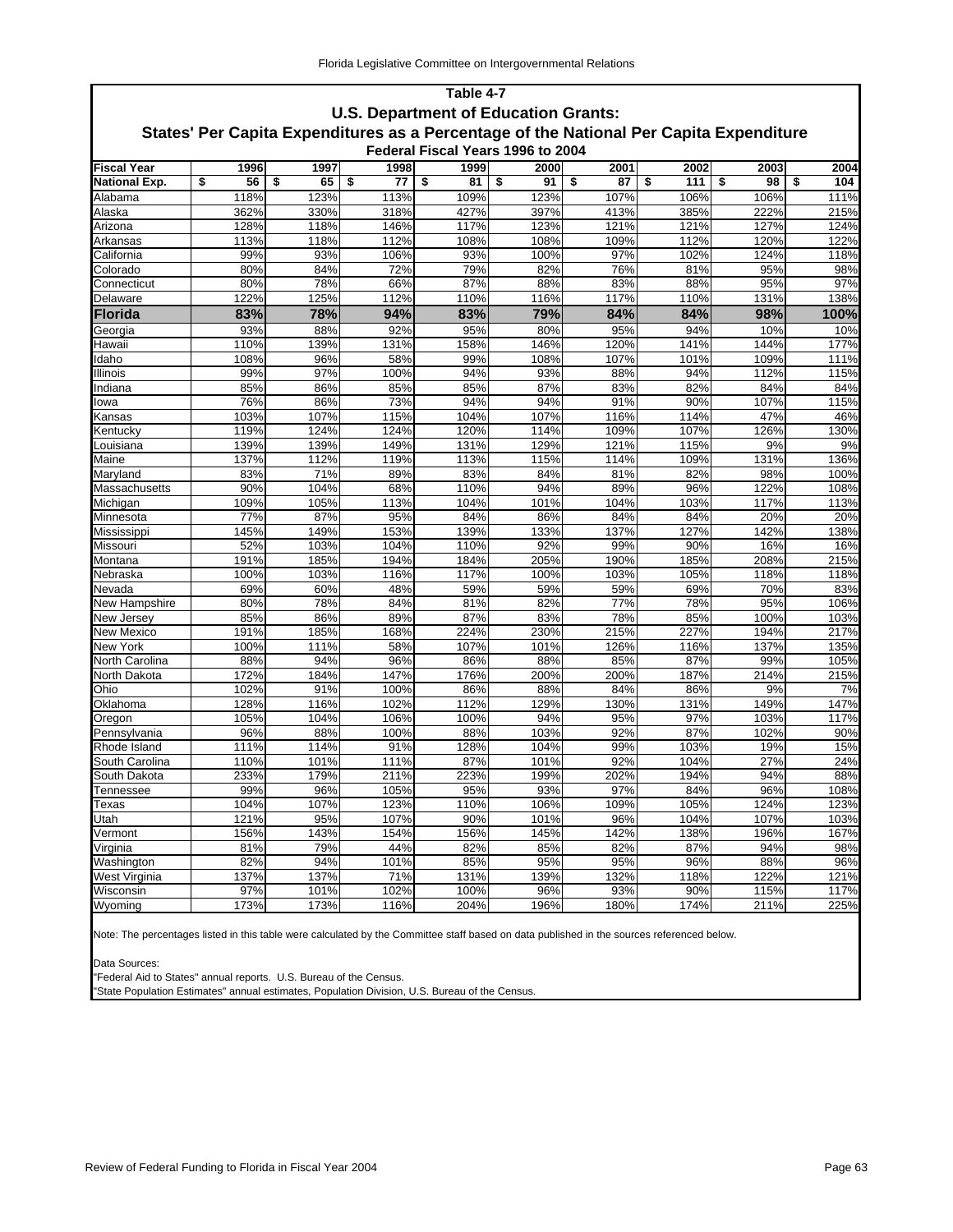| Table 4-7                                                                              |                       |          |          |          |          |          |           |          |           |  |  |  |  |
|----------------------------------------------------------------------------------------|-----------------------|----------|----------|----------|----------|----------|-----------|----------|-----------|--|--|--|--|
| <b>U.S. Department of Education Grants:</b>                                            |                       |          |          |          |          |          |           |          |           |  |  |  |  |
| States' Per Capita Expenditures as a Percentage of the National Per Capita Expenditure |                       |          |          |          |          |          |           |          |           |  |  |  |  |
| Federal Fiscal Years 1996 to 2004                                                      |                       |          |          |          |          |          |           |          |           |  |  |  |  |
| <b>Fiscal Year</b>                                                                     | 1996                  | 1997     | 1998     | 1999     | 2000     | 2001     | 2002      | 2003     | 2004      |  |  |  |  |
| <b>National Exp.</b>                                                                   | $\overline{56}$<br>\$ | 65<br>\$ | 77<br>\$ | \$<br>81 | \$<br>91 | 87<br>\$ | \$<br>111 | \$<br>98 | 104<br>\$ |  |  |  |  |
| Alabama                                                                                | 118%                  | 123%     | 113%     | 109%     | 123%     | 107%     | 106%      | 106%     | 111%      |  |  |  |  |
| Alaska                                                                                 | 362%                  | 330%     | 318%     | 427%     | 397%     | 413%     | 385%      | 222%     | 215%      |  |  |  |  |
| Arizona                                                                                | 128%                  | 118%     | 146%     | 117%     | 123%     | 121%     | 121%      | 127%     | 124%      |  |  |  |  |
| Arkansas                                                                               | 113%                  | 118%     | 112%     | 108%     | 108%     | 109%     | 112%      | 120%     | 122%      |  |  |  |  |
| California                                                                             | 99%                   | 93%      | 106%     | 93%      | 100%     | 97%      | 102%      | 124%     | 118%      |  |  |  |  |
| Colorado                                                                               | 80%                   | 84%      | 72%      | 79%      | 82%      | 76%      | 81%       | 95%      | 98%       |  |  |  |  |
| Connecticut                                                                            | 80%                   | 78%      | 66%      | 87%      | 88%      | 83%      | 88%       | 95%      | 97%       |  |  |  |  |
| Delaware                                                                               | 122%                  | 125%     | 112%     | 110%     | 116%     | 117%     | 110%      | 131%     | 138%      |  |  |  |  |
| Florida                                                                                | 83%                   | 78%      | 94%      | 83%      | 79%      | 84%      | 84%       | 98%      | 100%      |  |  |  |  |
| Georgia                                                                                | 93%                   | 88%      | 92%      | 95%      | 80%      | 95%      | 94%       | 10%      | 10%       |  |  |  |  |
| Hawaii                                                                                 | 110%                  | 139%     | 131%     | 158%     | 146%     | 120%     | 141%      | 144%     | 177%      |  |  |  |  |
| ldaho                                                                                  | 108%                  | 96%      | 58%      | 99%      | 108%     | 107%     | 101%      | 109%     | 111%      |  |  |  |  |
| Illinois                                                                               | 99%                   | 97%      | 100%     | 94%      | 93%      | 88%      | 94%       | 112%     | 115%      |  |  |  |  |
| Indiana                                                                                | 85%                   | 86%      | 85%      | 85%      | 87%      | 83%      | 82%       | 84%      | 84%       |  |  |  |  |
| lowa                                                                                   | 76%                   | 86%      | 73%      | 94%      | 94%      | 91%      | 90%       | 107%     | 115%      |  |  |  |  |
| Kansas                                                                                 | 103%                  | 107%     | 115%     | 104%     | 107%     | 116%     | 114%      | 47%      | 46%       |  |  |  |  |
| 119%<br>124%<br>124%<br>120%<br>114%<br>109%<br>107%<br>126%<br>130%<br>Kentuckv       |                       |          |          |          |          |          |           |          |           |  |  |  |  |
| Louisiana                                                                              | 139%                  | 139%     | 149%     | 131%     | 129%     | 121%     | 115%      | 9%       | 9%        |  |  |  |  |
| Maine                                                                                  | 137%                  | 112%     | 119%     | 113%     | 115%     | 114%     | 109%      | 131%     | 136%      |  |  |  |  |
| Maryland                                                                               | 83%                   | 71%      | 89%      | 83%      | 84%      | 81%      | 82%       | 98%      | 100%      |  |  |  |  |
| Massachusetts                                                                          | 90%                   | 104%     | 68%      | 110%     | 94%      | 89%      | 96%       | 122%     | 108%      |  |  |  |  |
| Michigan                                                                               | 109%                  | 105%     | 113%     | 104%     | 101%     | 104%     | 103%      | 117%     | 113%      |  |  |  |  |
| Minnesota                                                                              | 77%                   | 87%      | 95%      | 84%      | 86%      | 84%      | 84%       | 20%      | 20%       |  |  |  |  |
| Mississippi                                                                            | 145%                  | 149%     | 153%     | 139%     | 133%     | 137%     | 127%      | 142%     | 138%      |  |  |  |  |
| Missouri                                                                               | 52%                   | 103%     | 104%     | 110%     | 92%      | 99%      | 90%       | 16%      | 16%       |  |  |  |  |
| Montana                                                                                | 191%                  | 185%     | 194%     | 184%     | 205%     | 190%     | 185%      | 208%     | 215%      |  |  |  |  |
| Nebraska                                                                               | 100%                  | 103%     | 116%     | 117%     | 100%     | 103%     | 105%      | 118%     | 118%      |  |  |  |  |
| Nevada                                                                                 | 69%                   | 60%      | 48%      | 59%      | 59%      | 59%      | 69%       | 70%      | 83%       |  |  |  |  |
| New Hampshire                                                                          | 80%                   | 78%      | 84%      | 81%      | 82%      | 77%      | 78%       | 95%      | 106%      |  |  |  |  |
| New Jersey                                                                             | 85%                   | 86%      | 89%      | 87%      | 83%      | 78%      | 85%       | 100%     | 103%      |  |  |  |  |
| New Mexico                                                                             | 191%                  | 185%     | 168%     | 224%     | 230%     | 215%     | 227%      | 194%     | 217%      |  |  |  |  |
| New York                                                                               | 100%                  | 111%     | 58%      | 107%     | 101%     | 126%     | 116%      | 137%     | 135%      |  |  |  |  |
| North Carolina                                                                         | 88%                   | 94%      | 96%      | 86%      | 88%      | 85%      | 87%       | 99%      | 105%      |  |  |  |  |
| North Dakota                                                                           | 172%                  | 184%     | 147%     | 176%     | 200%     | 200%     | 187%      | 214%     | 215%      |  |  |  |  |
| Ohio                                                                                   | 102%                  | 91%      | 100%     | 86%      | 88%      | 84%      | 86%       | 9%       | 7%        |  |  |  |  |
| Oklahoma                                                                               | 128%                  | 116%     | 102%     | 112%     | 129%     | 130%     | 131%      | 149%     | 147%      |  |  |  |  |
| Oregon                                                                                 | 105%                  | 104%     | 106%     | 100%     | 94%      | 95%      | 97%       | 103%     | 117%      |  |  |  |  |
| Pennsylvania                                                                           | 96%                   | 88%      | 100%     | 88%      | 103%     | 92%      | 87%       | 102%     | 90%       |  |  |  |  |
| Rhode Island                                                                           | 111%                  | 114%     | 91%      | 128%     | 104%     | 99%      | 103%      | 19%      | 15%       |  |  |  |  |
| South Carolina                                                                         | 110%                  | 101%     | 111%     | 87%      | 101%     | 92%      | 104%      | 27%      | 24%       |  |  |  |  |
| South Dakota                                                                           | 233%                  | 179%     | 211%     | 223%     | 199%     | 202%     | 194%      | 94%      | 88%       |  |  |  |  |
| Tennessee                                                                              | 99%                   | 96%      | 105%     | 95%      | 93%      | 97%      | 84%       | 96%      | 108%      |  |  |  |  |
| Texas                                                                                  | 104%                  | 107%     | 123%     | 110%     | 106%     | 109%     | 105%      | 124%     | 123%      |  |  |  |  |
| Utah                                                                                   | 121%                  | 95%      | 107%     | 90%      | 101%     | 96%      | 104%      | 107%     | 103%      |  |  |  |  |
| Vermont                                                                                | 156%                  | 143%     | 154%     | 156%     | 145%     | 142%     | 138%      | 196%     | 167%      |  |  |  |  |
| Virginia                                                                               | 81%                   | 79%      | 44%      | 82%      | 85%      | 82%      | 87%       | 94%      | 98%       |  |  |  |  |
| Washington                                                                             | 82%                   | 94%      | 101%     | 85%      | 95%      | 95%      | 96%       | 88%      | 96%       |  |  |  |  |
| West Virginia                                                                          | 137%                  | 137%     | 71%      | 131%     | 139%     | 132%     | 118%      | 122%     | 121%      |  |  |  |  |
| Wisconsin                                                                              | 97%                   | 101%     | 102%     | 100%     | 96%      | 93%      | 90%       | 115%     | 117%      |  |  |  |  |
| Wyoming                                                                                | 173%                  | 173%     | 116%     | 204%     | 196%     | 180%     | 174%      | 211%     | 225%      |  |  |  |  |

Data Sources:

"Federal Aid to States" annual reports. U.S. Bureau of the Census.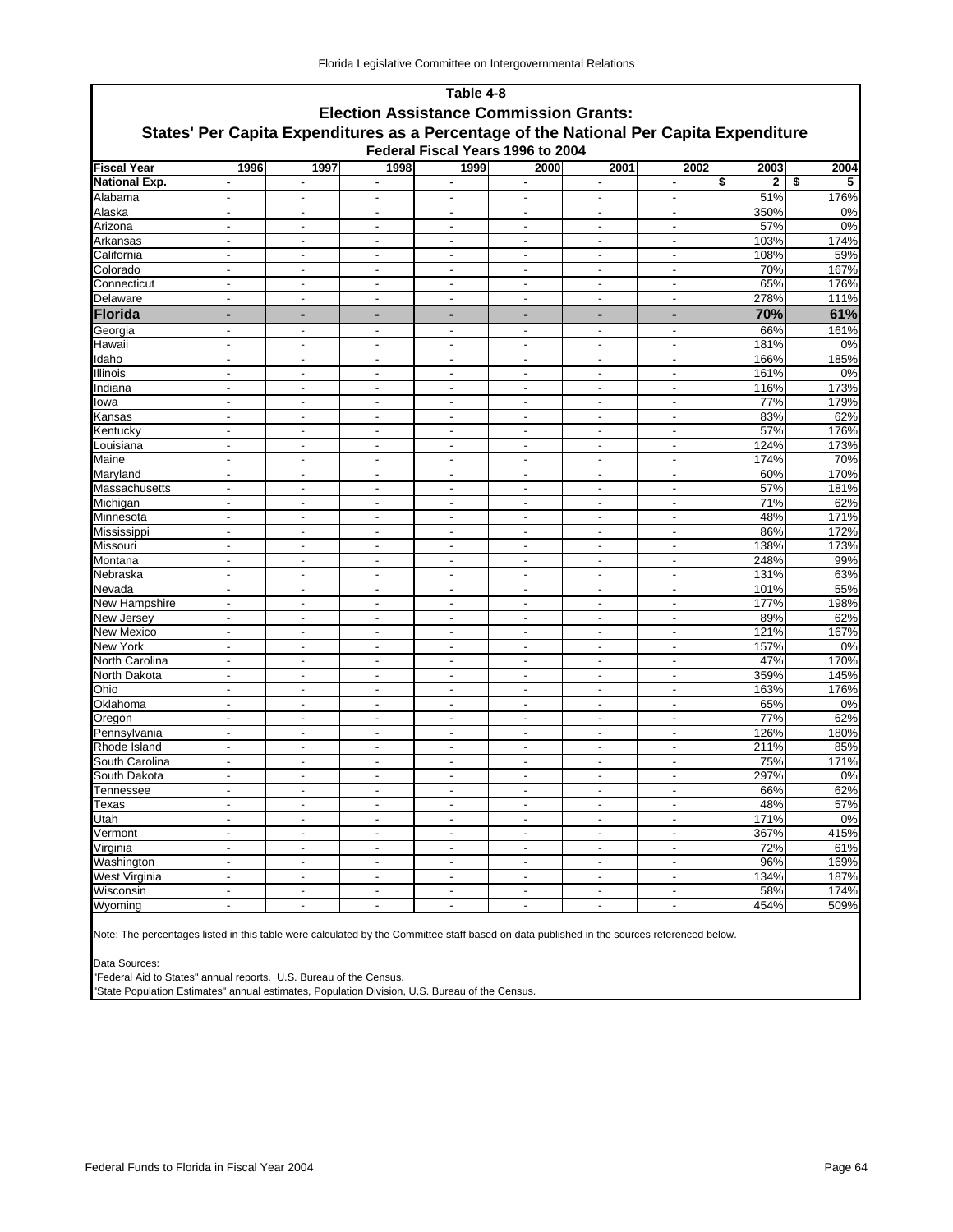|                                                                                                                             |                          |                          |                          | Table 4-8                |                          |                          |                          |         |         |  |  |  |
|-----------------------------------------------------------------------------------------------------------------------------|--------------------------|--------------------------|--------------------------|--------------------------|--------------------------|--------------------------|--------------------------|---------|---------|--|--|--|
| <b>Election Assistance Commission Grants:</b>                                                                               |                          |                          |                          |                          |                          |                          |                          |         |         |  |  |  |
|                                                                                                                             |                          |                          |                          |                          |                          |                          |                          |         |         |  |  |  |
| States' Per Capita Expenditures as a Percentage of the National Per Capita Expenditure<br>Federal Fiscal Years 1996 to 2004 |                          |                          |                          |                          |                          |                          |                          |         |         |  |  |  |
|                                                                                                                             |                          |                          |                          |                          |                          |                          |                          |         |         |  |  |  |
| <b>Fiscal Year</b>                                                                                                          | 1996                     | 1997                     | 1998                     | 1999                     | 2000                     | 2001                     | 2002                     | 2003    | 2004    |  |  |  |
| <b>National Exp.</b>                                                                                                        | $\blacksquare$           | $\blacksquare$           | $\blacksquare$           | ٠                        | ٠                        |                          | $\blacksquare$           | 2<br>\$ | 5<br>\$ |  |  |  |
| Alabama                                                                                                                     | $\overline{\phantom{a}}$ | $\blacksquare$           | $\overline{\phantom{a}}$ | $\overline{\phantom{a}}$ | $\overline{\phantom{a}}$ | $\overline{\phantom{a}}$ | $\overline{\phantom{a}}$ | 51%     | 176%    |  |  |  |
| Alaska                                                                                                                      | $\blacksquare$           | $\overline{\phantom{a}}$ | $\overline{\phantom{a}}$ | $\blacksquare$           | $\overline{\phantom{a}}$ | $\blacksquare$           | $\overline{\phantom{a}}$ | 350%    | 0%      |  |  |  |
| Arizona                                                                                                                     | $\overline{\phantom{a}}$ | $\blacksquare$           | $\overline{a}$           | $\overline{\phantom{a}}$ | $\overline{\phantom{a}}$ | $\overline{\phantom{a}}$ | $\blacksquare$           | 57%     | 0%      |  |  |  |
| Arkansas                                                                                                                    | $\overline{\phantom{a}}$ | $\overline{\phantom{a}}$ | $\overline{\phantom{a}}$ | $\overline{\phantom{a}}$ | $\overline{\phantom{a}}$ | $\blacksquare$           | $\overline{\phantom{a}}$ | 103%    | 174%    |  |  |  |
| California                                                                                                                  | $\overline{a}$           | $\blacksquare$           | $\blacksquare$           | $\overline{\phantom{0}}$ | $\blacksquare$           | $\blacksquare$           | $\blacksquare$           | 108%    | 59%     |  |  |  |
| Colorado                                                                                                                    | $\blacksquare$           | $\blacksquare$           | $\blacksquare$           | $\blacksquare$           | $\blacksquare$           | $\overline{\phantom{a}}$ | $\overline{\phantom{a}}$ | 70%     | 167%    |  |  |  |
| Connecticut                                                                                                                 | $\blacksquare$           | $\overline{a}$           | $\blacksquare$           | $\blacksquare$           | $\overline{\phantom{a}}$ | $\overline{\phantom{a}}$ | $\overline{\phantom{a}}$ | 65%     | 176%    |  |  |  |
| Delaware                                                                                                                    | $\blacksquare$           | $\overline{\phantom{a}}$ | $\blacksquare$           | $\overline{\phantom{a}}$ | $\overline{\phantom{a}}$ | $\overline{a}$           | $\overline{\phantom{a}}$ | 278%    | 111%    |  |  |  |
| <b>Florida</b>                                                                                                              | ×.                       | $\blacksquare$           | $\blacksquare$           | $\blacksquare$           | $\blacksquare$           | $\blacksquare$           | -                        | 70%     | 61%     |  |  |  |
| Georgia                                                                                                                     | $\blacksquare$           | $\blacksquare$           | $\blacksquare$           | $\blacksquare$           | $\blacksquare$           | $\blacksquare$           | $\overline{\phantom{a}}$ | 66%     | 161%    |  |  |  |
| Hawaii                                                                                                                      | $\blacksquare$           | $\overline{\phantom{a}}$ | $\overline{\phantom{a}}$ | $\overline{\phantom{a}}$ | $\overline{\phantom{a}}$ | $\overline{\phantom{a}}$ | $\blacksquare$           | 181%    | 0%      |  |  |  |
| Idaho                                                                                                                       | $\blacksquare$           | $\overline{\phantom{a}}$ | $\overline{a}$           | $\blacksquare$           | $\overline{\phantom{a}}$ | $\overline{a}$           | $\blacksquare$           | 166%    | 185%    |  |  |  |
| Illinois                                                                                                                    | $\overline{\phantom{a}}$ | $\overline{\phantom{a}}$ | $\overline{\phantom{a}}$ | $\overline{\phantom{a}}$ | $\overline{\phantom{a}}$ | $\overline{\phantom{a}}$ | $\overline{\phantom{a}}$ | 161%    | 0%      |  |  |  |
| Indiana                                                                                                                     | $\overline{\phantom{a}}$ | $\overline{a}$           | $\blacksquare$           | $\overline{\phantom{0}}$ | $\blacksquare$           | $\blacksquare$           | $\overline{\phantom{a}}$ | 116%    | 173%    |  |  |  |
| lowa                                                                                                                        | ٠                        | $\blacksquare$           | $\blacksquare$           | $\overline{\phantom{a}}$ | $\overline{\phantom{a}}$ |                          | $\overline{\phantom{a}}$ | 77%     | 179%    |  |  |  |
| Kansas                                                                                                                      | $\overline{\phantom{a}}$ | $\overline{\phantom{a}}$ | $\overline{\phantom{a}}$ | $\overline{\phantom{a}}$ | $\overline{\phantom{a}}$ | $\overline{\phantom{a}}$ | $\overline{\phantom{a}}$ | 83%     | 62%     |  |  |  |
| Kentucky                                                                                                                    | $\overline{a}$           | $\blacksquare$           | $\blacksquare$           | $\overline{\phantom{a}}$ | $\overline{\phantom{a}}$ | $\overline{\phantom{a}}$ | $\overline{\phantom{a}}$ | 57%     | 176%    |  |  |  |
| Louisiana                                                                                                                   | $\blacksquare$           | $\overline{\phantom{a}}$ | $\overline{\phantom{a}}$ | $\blacksquare$           | $\overline{\phantom{a}}$ | $\overline{\phantom{a}}$ | $\overline{\phantom{a}}$ | 124%    | 173%    |  |  |  |
| Maine                                                                                                                       | $\overline{\phantom{a}}$ | $\blacksquare$           | $\overline{\phantom{a}}$ | $\overline{\phantom{a}}$ | $\overline{\phantom{a}}$ | $\overline{\phantom{a}}$ | $\overline{\phantom{a}}$ | 174%    | 70%     |  |  |  |
| Maryland                                                                                                                    | $\overline{\phantom{a}}$ | $\overline{\phantom{a}}$ | $\blacksquare$           | $\overline{\phantom{a}}$ | $\blacksquare$           | $\blacksquare$           | $\overline{\phantom{a}}$ | 60%     | 170%    |  |  |  |
| Massachusetts                                                                                                               | $\blacksquare$           | $\blacksquare$           | $\blacksquare$           | $\overline{\phantom{0}}$ | $\blacksquare$           | $\overline{a}$           | $\overline{\phantom{a}}$ | 57%     | 181%    |  |  |  |
| Michigan                                                                                                                    | $\blacksquare$           | $\blacksquare$           | $\blacksquare$           | $\blacksquare$           | $\blacksquare$           | $\overline{\phantom{a}}$ | $\blacksquare$           | 71%     | 62%     |  |  |  |
| Minnesota                                                                                                                   | $\blacksquare$           | $\overline{\phantom{a}}$ | $\blacksquare$           | $\overline{\phantom{a}}$ | $\overline{\phantom{a}}$ | $\overline{a}$           | $\overline{\phantom{a}}$ | 48%     | 171%    |  |  |  |
| Mississippi                                                                                                                 | $\blacksquare$           | $\overline{\phantom{a}}$ | $\overline{\phantom{a}}$ | $\overline{\phantom{a}}$ | $\overline{\phantom{a}}$ | $\overline{a}$           | $\overline{\phantom{a}}$ | 86%     | 172%    |  |  |  |
| Missouri                                                                                                                    | $\blacksquare$           | $\blacksquare$           | $\overline{a}$           | $\blacksquare$           | $\overline{\phantom{a}}$ | $\blacksquare$           | $\blacksquare$           | 138%    | 173%    |  |  |  |
| Montana                                                                                                                     | $\overline{a}$           | $\overline{a}$           | $\blacksquare$           | $\overline{\phantom{0}}$ | $\overline{\phantom{a}}$ | $\overline{a}$           |                          | 248%    | 99%     |  |  |  |
| Nebraska                                                                                                                    | $\overline{\phantom{a}}$ | $\blacksquare$           | $\blacksquare$           | $\overline{\phantom{a}}$ | $\overline{\phantom{a}}$ | $\blacksquare$           | $\overline{\phantom{a}}$ | 131%    | 63%     |  |  |  |
| Nevada                                                                                                                      | $\overline{\phantom{0}}$ | $\overline{\phantom{a}}$ | $\blacksquare$           | $\overline{\phantom{a}}$ | $\overline{\phantom{a}}$ | $\overline{\phantom{a}}$ | $\overline{\phantom{a}}$ | 101%    | 55%     |  |  |  |
| New Hampshire                                                                                                               | $\blacksquare$           | $\blacksquare$           | $\blacksquare$           | $\overline{\phantom{a}}$ | $\overline{\phantom{a}}$ | $\blacksquare$           | $\blacksquare$           | 177%    | 198%    |  |  |  |
| New Jersey                                                                                                                  | $\blacksquare$           | $\blacksquare$           | $\blacksquare$           | $\blacksquare$           | $\overline{\phantom{a}}$ | $\overline{\phantom{a}}$ | $\overline{\phantom{a}}$ | 89%     | 62%     |  |  |  |
| New Mexico                                                                                                                  | $\blacksquare$           | $\overline{\phantom{a}}$ | $\blacksquare$           | $\blacksquare$           | $\overline{\phantom{a}}$ | $\overline{a}$           | $\blacksquare$           | 121%    | 167%    |  |  |  |
| New York                                                                                                                    | $\blacksquare$           | $\blacksquare$           | $\overline{\phantom{a}}$ | $\blacksquare$           | $\overline{\phantom{a}}$ | $\overline{\phantom{a}}$ | $\blacksquare$           | 157%    | 0%      |  |  |  |
| North Carolina                                                                                                              | $\overline{\phantom{a}}$ | $\overline{\phantom{a}}$ | $\blacksquare$           | $\overline{\phantom{a}}$ | $\blacksquare$           | $\blacksquare$           | $\overline{\phantom{a}}$ | 47%     | 170%    |  |  |  |
| North Dakota                                                                                                                | $\overline{\phantom{a}}$ | $\overline{\phantom{a}}$ | $\blacksquare$           | $\blacksquare$           | $\blacksquare$           | $\overline{\phantom{a}}$ | $\overline{\phantom{a}}$ | 359%    | 145%    |  |  |  |
| Ohio                                                                                                                        | $\blacksquare$           | $\blacksquare$           | $\blacksquare$           | $\blacksquare$           | $\blacksquare$           | $\overline{\phantom{a}}$ | $\overline{\phantom{a}}$ | 163%    | 176%    |  |  |  |
| Oklahoma                                                                                                                    | $\blacksquare$           | $\blacksquare$           | $\blacksquare$           | $\blacksquare$           | $\blacksquare$           | $\overline{\phantom{a}}$ | $\blacksquare$           | 65%     | 0%      |  |  |  |
| Oregon                                                                                                                      | $\overline{a}$           | $\overline{a}$           | $\overline{a}$           | $\overline{a}$           | $\overline{\phantom{a}}$ | $\overline{a}$           | $\overline{\phantom{a}}$ | 77%     | 62%     |  |  |  |
| Pennsylvania                                                                                                                | $\blacksquare$           | $\blacksquare$           | $\blacksquare$           | $\blacksquare$           | $\overline{\phantom{a}}$ | $\overline{\phantom{a}}$ | $\blacksquare$           | 126%    | 180%    |  |  |  |
| Rhode Island                                                                                                                | $\overline{a}$           | $\overline{a}$           | $\blacksquare$           | $\overline{\phantom{0}}$ | $\overline{\phantom{a}}$ | $\overline{a}$           |                          | 211%    | 85%     |  |  |  |
| South Carolina                                                                                                              | $\overline{\phantom{a}}$ | $\overline{\phantom{a}}$ | $\overline{\phantom{a}}$ | $\overline{\phantom{a}}$ | $\overline{\phantom{a}}$ | $\overline{\phantom{a}}$ | $\overline{\phantom{a}}$ | 75%     | 171%    |  |  |  |
| South Dakota                                                                                                                | $\overline{\phantom{0}}$ | $\blacksquare$           | $\blacksquare$           | ٠                        | $\overline{\phantom{a}}$ |                          | $\overline{\phantom{a}}$ | 297%    | 0%      |  |  |  |
| Tennessee                                                                                                                   | $\overline{\phantom{a}}$ | $\overline{\phantom{a}}$ | $\overline{\phantom{a}}$ | $\overline{\phantom{a}}$ | $\overline{\phantom{a}}$ | $\overline{\phantom{a}}$ | $\overline{\phantom{a}}$ | 66%     | 62%     |  |  |  |
| Texas                                                                                                                       | $\blacksquare$           | $\overline{\phantom{a}}$ | $\blacksquare$           | $\blacksquare$           | $\blacksquare$           | $\blacksquare$           | $\overline{\phantom{a}}$ | 48%     | 57%     |  |  |  |
| Utah                                                                                                                        | $\overline{\phantom{a}}$ | $\overline{\phantom{a}}$ | $\overline{\phantom{a}}$ | $\overline{\phantom{a}}$ | $\overline{\phantom{a}}$ | $\overline{\phantom{a}}$ | $\overline{\phantom{a}}$ | 171%    | 0%      |  |  |  |
| Vermont                                                                                                                     | $\overline{\phantom{a}}$ | $\overline{\phantom{a}}$ | $\overline{\phantom{a}}$ | $\overline{\phantom{a}}$ | $\overline{\phantom{a}}$ | $\overline{\phantom{a}}$ | $\overline{\phantom{a}}$ | 367%    | 415%    |  |  |  |
| Virginia                                                                                                                    | $\overline{\phantom{a}}$ | $\overline{\phantom{a}}$ | $\overline{\phantom{a}}$ | $\overline{\phantom{a}}$ | $\overline{\phantom{a}}$ | $\overline{\phantom{a}}$ | ÷,                       | 72%     | 61%     |  |  |  |
| Washington                                                                                                                  | $\overline{\phantom{a}}$ | $\overline{\phantom{a}}$ | $\overline{\phantom{a}}$ | $\overline{\phantom{a}}$ | $\overline{\phantom{a}}$ | $\overline{\phantom{a}}$ | $\overline{\phantom{a}}$ | 96%     | 169%    |  |  |  |
| <b>West Virginia</b>                                                                                                        | $\blacksquare$           | $\overline{\phantom{a}}$ | $\overline{\phantom{a}}$ | $\blacksquare$           | $\overline{\phantom{a}}$ | $\blacksquare$           | $\overline{\phantom{a}}$ | 134%    | 187%    |  |  |  |
| Wisconsin                                                                                                                   | $\overline{\phantom{a}}$ | $\overline{\phantom{a}}$ | $\overline{\phantom{a}}$ | $\overline{\phantom{a}}$ | $\overline{\phantom{a}}$ | $\overline{\phantom{a}}$ | $\overline{\phantom{a}}$ | 58%     | 174%    |  |  |  |
| Wyoming                                                                                                                     | $\blacksquare$           | $\overline{\phantom{a}}$ | $\overline{\phantom{a}}$ | $\blacksquare$           | $\blacksquare$           | $\blacksquare$           | $\overline{\phantom{a}}$ | 454%    | 509%    |  |  |  |

Data Sources:

"Federal Aid to States" annual reports. U.S. Bureau of the Census.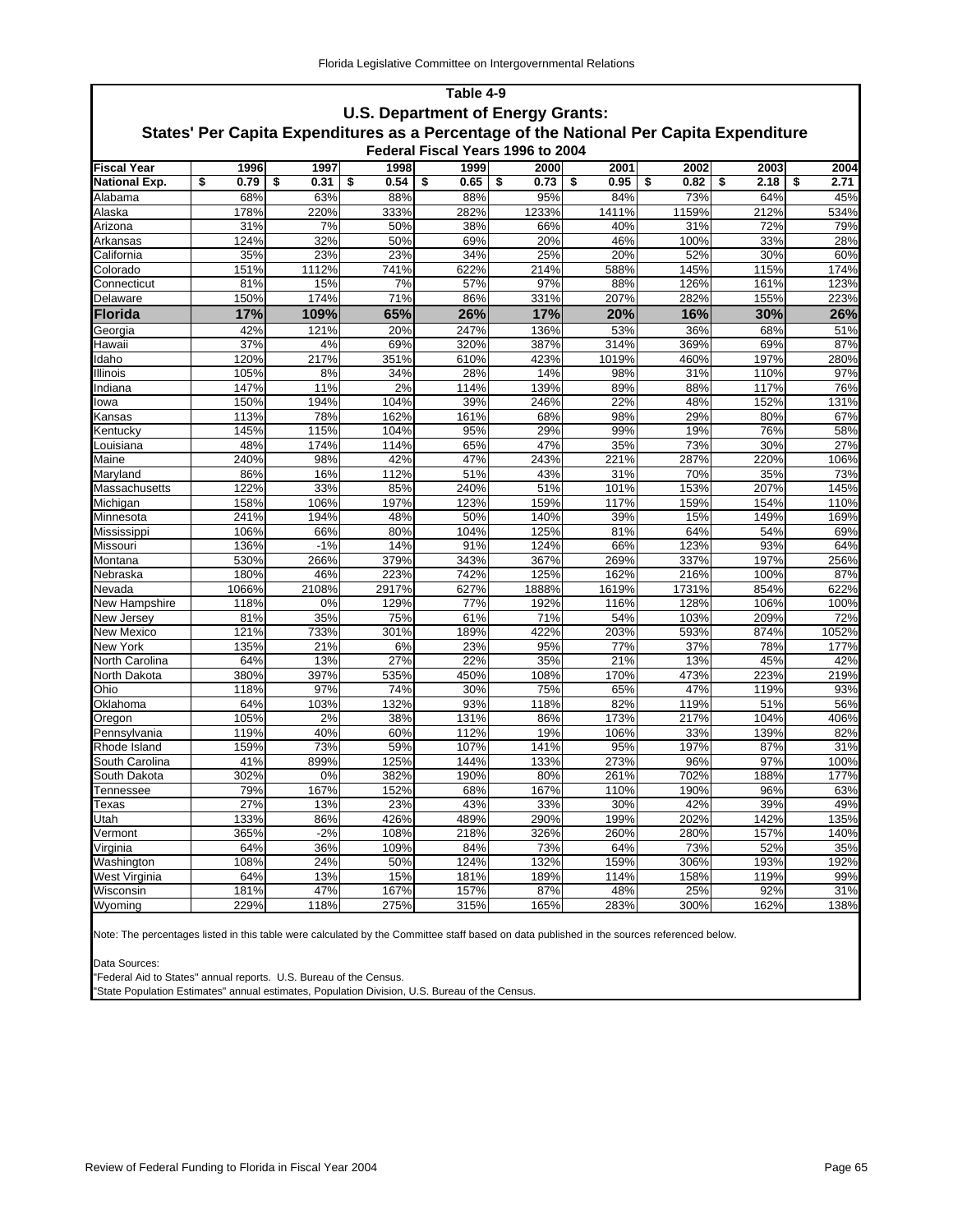| Table 4-9                                                                              |            |            |            |            |            |            |            |            |            |  |  |
|----------------------------------------------------------------------------------------|------------|------------|------------|------------|------------|------------|------------|------------|------------|--|--|
| <b>U.S. Department of Energy Grants:</b>                                               |            |            |            |            |            |            |            |            |            |  |  |
| States' Per Capita Expenditures as a Percentage of the National Per Capita Expenditure |            |            |            |            |            |            |            |            |            |  |  |
| Federal Fiscal Years 1996 to 2004                                                      |            |            |            |            |            |            |            |            |            |  |  |
| <b>Fiscal Year</b>                                                                     | 1996       | 1997       | 1998       | 1999       | 2000       | 2001       | 2002       | 2003       | 2004       |  |  |
| <b>National Exp.</b>                                                                   | \$<br>0.79 | \$<br>0.31 | 0.54<br>\$ | \$<br>0.65 | \$<br>0.73 | 0.95<br>\$ | 0.82<br>\$ | \$<br>2.18 | \$<br>2.71 |  |  |
| Alabama                                                                                | 68%        | 63%        | 88%        | 88%        | 95%        | 84%        | 73%        | 64%        | 45%        |  |  |
| Alaska                                                                                 | 178%       | 220%       | 333%       | 282%       | 1233%      | 1411%      | 1159%      | 212%       | 534%       |  |  |
| Arizona                                                                                | 31%        | 7%         | 50%        | 38%        | 66%        | 40%        | 31%        | 72%        | 79%        |  |  |
| Arkansas                                                                               | 124%       | 32%        | 50%        | 69%        | 20%        | 46%        | 100%       | 33%        | 28%        |  |  |
| California                                                                             | 35%        | 23%        | 23%        | 34%        | 25%        | 20%        | 52%        | 30%        | 60%        |  |  |
| Colorado                                                                               | 151%       | 1112%      | 741%       | 622%       | 214%       | 588%       | 145%       | 115%       | 174%       |  |  |
| Connecticut                                                                            | 81%        | 15%        | 7%         | 57%        | 97%        | 88%        | 126%       | 161%       | 123%       |  |  |
| Delaware                                                                               | 150%       | 174%       | 71%        | 86%        | 331%       | 207%       | 282%       | 155%       | 223%       |  |  |
| Florida                                                                                | 17%        | 109%       | 65%        | 26%        | 17%        | 20%        | 16%        | 30%        | 26%        |  |  |
| Georgia                                                                                | 42%        | 121%       | 20%        | 247%       | 136%       | 53%        | 36%        | 68%        | 51%        |  |  |
| Hawaii                                                                                 | 37%        | 4%         | 69%        | 320%       | 387%       | 314%       | 369%       | 69%        | 87%        |  |  |
| ldaho                                                                                  | 120%       | 217%       | 351%       | 610%       | 423%       | 1019%      | 460%       | 197%       | 280%       |  |  |
| Illinois                                                                               | 105%       | 8%         | 34%        | 28%        | 14%        | 98%        | 31%        | 110%       | 97%        |  |  |
| Indiana                                                                                | 147%       | 11%        | 2%         | 114%       | 139%       | 89%        | 88%        | 117%       | 76%        |  |  |
| lowa                                                                                   | 150%       | 194%       | 104%       | 39%        | 246%       | 22%        | 48%        | 152%       | 131%       |  |  |
| Kansas                                                                                 | 113%       | 78%        | 162%       | 161%       | 68%        | 98%        | 29%        | 80%        | 67%        |  |  |
| Kentucky                                                                               | 145%       | 115%       | 104%       | 95%        | 29%        | 99%        | 19%        | 76%        | 58%        |  |  |
| Louisiana                                                                              | 48%        | 174%       | 114%       | 65%        | 47%        | 35%        | 73%        | 30%        | 27%        |  |  |
| Maine                                                                                  | 240%       | 98%        | 42%        | 47%        | 243%       | 221%       | 287%       | 220%       | 106%       |  |  |
| Maryland                                                                               | 86%        | 16%        | 112%       | 51%        | 43%        | 31%        | 70%        | 35%        | 73%        |  |  |
| Massachusetts                                                                          | 122%       | 33%        | 85%        | 240%       | 51%        | 101%       | 153%       | 207%       | 145%       |  |  |
| Michigan                                                                               | 158%       | 106%       | 197%       | 123%       | 159%       | 117%       | 159%       | 154%       | 110%       |  |  |
| Minnesota                                                                              | 241%       | 194%       | 48%        | 50%        | 140%       | 39%        | 15%        | 149%       | 169%       |  |  |
| Mississippi                                                                            | 106%       | 66%        | 80%        | 104%       | 125%       | 81%        | 64%        | 54%        | 69%        |  |  |
| Missouri                                                                               | 136%       | $-1%$      | 14%        | 91%        | 124%       | 66%        | 123%       | 93%        | 64%        |  |  |
| Montana                                                                                | 530%       | 266%       | 379%       | 343%       | 367%       | 269%       | 337%       | 197%       | 256%       |  |  |
| Nebraska                                                                               | 180%       | 46%        | 223%       | 742%       | 125%       | 162%       | 216%       | 100%       | 87%        |  |  |
| Nevada                                                                                 | 1066%      | 2108%      | 2917%      | 627%       | 1888%      | 1619%      | 1731%      | 854%       | 622%       |  |  |
| New Hampshire                                                                          | 118%       | 0%         | 129%       | 77%        | 192%       | 116%       | 128%       | 106%       | 100%       |  |  |
| New Jersey                                                                             | 81%        | 35%        | 75%        | 61%        | 71%        | 54%        | 103%       | 209%       | 72%        |  |  |
| New Mexico                                                                             | 121%       | 733%       | 301%       | 189%       | 422%       | 203%       | 593%       | 874%       | 1052%      |  |  |
| New York                                                                               | 135%       | 21%        | 6%         | 23%        | 95%        | 77%        | 37%        | 78%        | 177%       |  |  |
| North Carolina                                                                         | 64%        | 13%        | 27%        | 22%        | 35%        | 21%        | 13%        | 45%        | 42%        |  |  |
| North Dakota                                                                           | 380%       | 397%       | 535%       | 450%       | 108%       | 170%       | 473%       | 223%       | 219%       |  |  |
| Ohio                                                                                   | 118%       | 97%        | 74%        | 30%        | 75%        | 65%        | 47%        | 119%       | 93%        |  |  |
| Oklahoma                                                                               | 64%        | 103%       | 132%       | 93%        | 118%       | 82%        | 119%       | 51%        | 56%        |  |  |
| Oregon                                                                                 | 105%       | 2%         | 38%        | 131%       | 86%        | 173%       | 217%       | 104%       | 406%       |  |  |
| Pennsylvania                                                                           | 119%       | 40%        | 60%        | 112%       | 19%        | 106%       | 33%        | 139%       | 82%        |  |  |
| Rhode Island                                                                           | 159%       | 73%        | 59%        | 107%       | 141%       | 95%        | 197%       | 87%        | 31%        |  |  |
| South Carolina                                                                         | 41%        | 899%       | 125%       | 144%       | 133%       | 273%       | 96%        | 97%        | 100%       |  |  |
| South Dakota                                                                           | 302%       | 0%         | 382%       | 190%       | 80%        | 261%       | 702%       | 188%       | 177%       |  |  |
| Tennessee                                                                              | 79%        | 167%       | 152%       | 68%        | 167%       | 110%       | 190%       | 96%        | 63%        |  |  |
| Texas                                                                                  | 27%        | 13%        | 23%        | 43%        | 33%        | 30%        | 42%        | 39%        | 49%        |  |  |
| Utah                                                                                   | 133%       | 86%        | 426%       | 489%       | 290%       | 199%       | 202%       | 142%       | 135%       |  |  |
| Vermont                                                                                | 365%       | $-2%$      | 108%       | 218%       | 326%       | 260%       | 280%       | 157%       | 140%       |  |  |
| Virginia                                                                               | 64%        | 36%        | 109%       | 84%        | 73%        | 64%        | 73%        | 52%        | 35%        |  |  |
| Washington                                                                             | 108%       | 24%        | 50%        | 124%       | 132%       | 159%       | 306%       | 193%       | 192%       |  |  |
| West Virginia                                                                          | 64%        | 13%        | 15%        | 181%       | 189%       | 114%       | 158%       | 119%       | 99%        |  |  |
| Wisconsin                                                                              | 181%       | 47%        | 167%       | 157%       | 87%        | 48%        | 25%        | 92%        | 31%        |  |  |
| Wyoming                                                                                | 229%       | 118%       | 275%       | 315%       | 165%       | 283%       | 300%       | 162%       | 138%       |  |  |
|                                                                                        |            |            |            |            |            |            |            |            |            |  |  |

Data Sources:

"Federal Aid to States" annual reports. U.S. Bureau of the Census.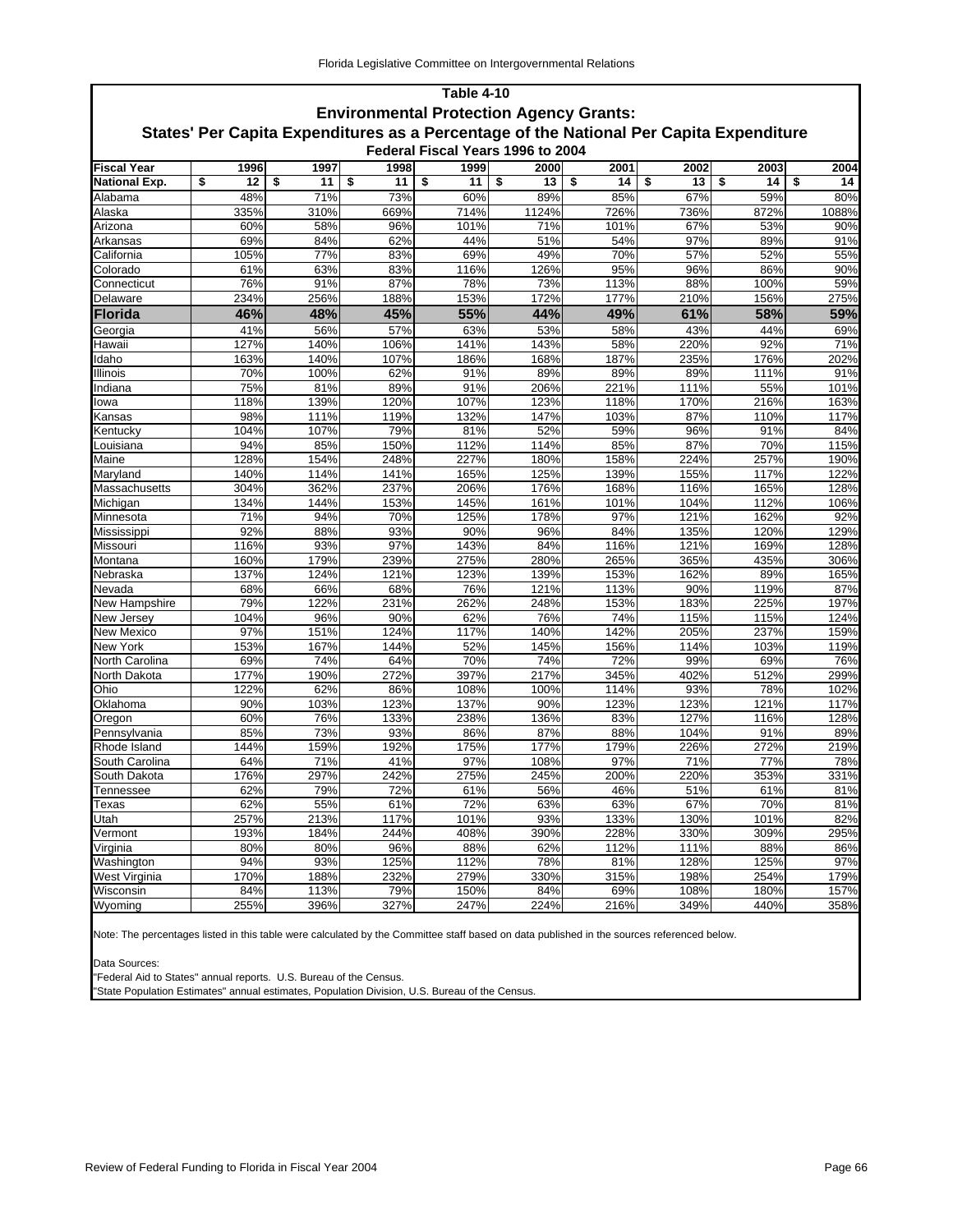| <b>Environmental Protection Agency Grants:</b><br>States' Per Capita Expenditures as a Percentage of the National Per Capita Expenditure<br>Federal Fiscal Years 1996 to 2004<br><b>Fiscal Year</b><br>1996<br>1997<br>1998<br>1999<br>2000<br>2001<br>2002<br>2003<br>2004<br><b>National Exp.</b><br>\$<br>12<br>\$<br>11<br>\$<br>11<br>11<br>\$<br>13<br>\$<br>14<br>\$<br>13<br>\$<br>14<br>\$<br>14<br>\$<br>48%<br>85%<br>80%<br>Alabama<br>71%<br>73%<br>60%<br>89%<br>67%<br>59%<br>335%<br>669%<br>714%<br>1124%<br>Alaska<br>310%<br>726%<br>736%<br>872%<br>1088%<br>60%<br>58%<br>96%<br>101%<br>71%<br>101%<br>67%<br>53%<br>90%<br>Arizona<br>69%<br>84%<br>62%<br>44%<br>51%<br>54%<br>97%<br>89%<br>91%<br>Arkansas<br>105%<br>77%<br>83%<br>69%<br>49%<br>70%<br>57%<br>52%<br>55%<br>California<br>95%<br>Colorado<br>61%<br>63%<br>83%<br>116%<br>126%<br>96%<br>86%<br>90%<br>59%<br>76%<br>91%<br>87%<br>78%<br>73%<br>113%<br>88%<br>Connecticut<br>100%<br>Delaware<br>234%<br>153%<br>172%<br>177%<br>275%<br>256%<br>188%<br>210%<br>156%<br>45%<br>55%<br>44%<br>49%<br>61%<br><b>Florida</b><br>46%<br>48%<br>58%<br>59%<br>57%<br>63%<br>41%<br>56%<br>53%<br>58%<br>43%<br>44%<br>69%<br>Georgia<br>Hawaii<br>127%<br>140%<br>141%<br>58%<br>220%<br>92%<br>71%<br>106%<br>143%<br>163%<br>140%<br>107%<br>186%<br>168%<br>187%<br>235%<br>176%<br>202%<br>Idaho<br>70%<br>100%<br>62%<br>91%<br>89%<br>89%<br>89%<br>111%<br>91%<br>Illinois<br>75%<br>89%<br>91%<br>206%<br>221%<br>101%<br>81%<br>111%<br>55%<br>Indiana<br>118%<br>120%<br>107%<br>118%<br>170%<br>163%<br>139%<br>123%<br>216%<br>lowa<br>98%<br>119%<br>132%<br>147%<br>103%<br>87%<br>117%<br>Kansas<br>111%<br>110%<br>59%<br>104%<br>107%<br>79%<br>81%<br>52%<br>96%<br>91%<br>84%<br>Kentucky<br>Louisiana<br>94%<br>150%<br>112%<br>114%<br>85%<br>85%<br>87%<br>70%<br>115%<br>128%<br>154%<br>248%<br>227%<br>180%<br>158%<br>224%<br>257%<br>190%<br>Maine<br>Maryland<br>140%<br>141%<br>165%<br>125%<br>139%<br>117%<br>122%<br>114%<br>155%<br>304%<br>362%<br>237%<br>206%<br>176%<br>168%<br>116%<br>165%<br>128%<br>Massachusetts<br>Michigan<br>134%<br>144%<br>153%<br>145%<br>161%<br>101%<br>104%<br>112%<br>106%<br>71%<br>94%<br>70%<br>125%<br>178%<br>97%<br>121%<br>162%<br>92%<br>Minnesota<br>Mississippi<br>92%<br>93%<br>84%<br>120%<br>129%<br>88%<br>90%<br>96%<br>135%<br>116%<br>93%<br>97%<br>143%<br>84%<br>116%<br>121%<br>169%<br>128%<br>Missouri<br>239%<br>160%<br>179%<br>275%<br>280%<br>265%<br>365%<br>435%<br>306%<br>Montana<br>137%<br>Nebraska<br>124%<br>121%<br>123%<br>139%<br>153%<br>162%<br>89%<br>165%<br>87%<br>68%<br>66%<br>68%<br>76%<br>121%<br>113%<br>90%<br>119%<br>Nevada<br>New Hampshire<br>79%<br>153%<br>225%<br>197%<br>122%<br>231%<br>262%<br>248%<br>183%<br>104%<br>96%<br>90%<br>62%<br>74%<br>124%<br>New Jersey<br>76%<br>115%<br>115%<br>97%<br>151%<br>124%<br>117%<br>142%<br>205%<br>237%<br>159%<br>New Mexico<br>140%<br>153%<br>167%<br>144%<br>52%<br>145%<br>156%<br>114%<br>103%<br>119%<br>New York<br>74%<br>64%<br>70%<br>74%<br>72%<br>76%<br>North Carolina<br>69%<br>99%<br>69%<br>177%<br>272%<br>397%<br>190%<br>217%<br>345%<br>402%<br>512%<br>299%<br>North Dakota<br>122%<br>62%<br>86%<br>100%<br>114%<br>93%<br>78%<br>102%<br>Ohio<br>108%<br>90%<br>103%<br>123%<br>90%<br>123%<br>Oklahoma<br>137%<br>123%<br>121%<br>117%<br>Oregon<br>60%<br>76%<br>133%<br>238%<br>136%<br>83%<br>127%<br>116%<br>128%<br>85%<br>73%<br>93%<br>87%<br>88%<br>104%<br>91%<br>89%<br>Pennsylvania<br>86%<br>179%<br>219%<br>144%<br>159%<br>192%<br>175%<br>177%<br>226%<br>272%<br>Rhode Island<br>South Carolina<br>64%<br>71%<br>41%<br>97%<br>108%<br>97%<br>71%<br>78%<br>77%<br>176%<br>297%<br>242%<br>275%<br>245%<br>200%<br>220%<br>353%<br>331%<br>South Dakota<br><b>Tennessee</b><br>62%<br>79%<br>72%<br>61%<br>56%<br>46%<br>51%<br>61%<br>81%<br>62%<br>55%<br>61%<br>72%<br>63%<br>63%<br>67%<br>70%<br>81%<br>Texas<br>82%<br>257%<br>213%<br>117%<br>101%<br>93%<br>133%<br>130%<br>101%<br>Utah<br>193%<br>184%<br>244%<br>408%<br>390%<br>228%<br>330%<br>309%<br>295%<br>Vermont<br>80%<br>80%<br>96%<br>88%<br>62%<br>112%<br>111%<br>86%<br>Virginia<br>88%<br>125%<br>112%<br>78%<br>125%<br>97%<br>94%<br>93%<br>81%<br>128%<br>Washington<br>West Virginia<br>170%<br>188%<br>232%<br>279%<br>330%<br>315%<br>198%<br>254%<br>179%<br>Wisconsin<br>84%<br>79%<br>150%<br>84%<br>69%<br>113%<br>108%<br>180%<br>157% | Table 4-10 |      |      |      |      |      |      |      |      |      |  |  |  |  |  |
|-------------------------------------------------------------------------------------------------------------------------------------------------------------------------------------------------------------------------------------------------------------------------------------------------------------------------------------------------------------------------------------------------------------------------------------------------------------------------------------------------------------------------------------------------------------------------------------------------------------------------------------------------------------------------------------------------------------------------------------------------------------------------------------------------------------------------------------------------------------------------------------------------------------------------------------------------------------------------------------------------------------------------------------------------------------------------------------------------------------------------------------------------------------------------------------------------------------------------------------------------------------------------------------------------------------------------------------------------------------------------------------------------------------------------------------------------------------------------------------------------------------------------------------------------------------------------------------------------------------------------------------------------------------------------------------------------------------------------------------------------------------------------------------------------------------------------------------------------------------------------------------------------------------------------------------------------------------------------------------------------------------------------------------------------------------------------------------------------------------------------------------------------------------------------------------------------------------------------------------------------------------------------------------------------------------------------------------------------------------------------------------------------------------------------------------------------------------------------------------------------------------------------------------------------------------------------------------------------------------------------------------------------------------------------------------------------------------------------------------------------------------------------------------------------------------------------------------------------------------------------------------------------------------------------------------------------------------------------------------------------------------------------------------------------------------------------------------------------------------------------------------------------------------------------------------------------------------------------------------------------------------------------------------------------------------------------------------------------------------------------------------------------------------------------------------------------------------------------------------------------------------------------------------------------------------------------------------------------------------------------------------------------------------------------------------------------------------------------------------------------------------------------------------------------------------------------------------------------------------------------------------------------------------------------------------------------------------------------------------------------------------------------------------------------------------------------------------------------------------------------------------------------------------------------------------------------------------------------------------------------------------------------------------------------------------------------------------------------------------------------------------------------------------------------------------------------------------------------------------------------------------------------------------------|------------|------|------|------|------|------|------|------|------|------|--|--|--|--|--|
|                                                                                                                                                                                                                                                                                                                                                                                                                                                                                                                                                                                                                                                                                                                                                                                                                                                                                                                                                                                                                                                                                                                                                                                                                                                                                                                                                                                                                                                                                                                                                                                                                                                                                                                                                                                                                                                                                                                                                                                                                                                                                                                                                                                                                                                                                                                                                                                                                                                                                                                                                                                                                                                                                                                                                                                                                                                                                                                                                                                                                                                                                                                                                                                                                                                                                                                                                                                                                                                                                                                                                                                                                                                                                                                                                                                                                                                                                                                                                                                                                                                                                                                                                                                                                                                                                                                                                                                                                                                                                                                                           |            |      |      |      |      |      |      |      |      |      |  |  |  |  |  |
|                                                                                                                                                                                                                                                                                                                                                                                                                                                                                                                                                                                                                                                                                                                                                                                                                                                                                                                                                                                                                                                                                                                                                                                                                                                                                                                                                                                                                                                                                                                                                                                                                                                                                                                                                                                                                                                                                                                                                                                                                                                                                                                                                                                                                                                                                                                                                                                                                                                                                                                                                                                                                                                                                                                                                                                                                                                                                                                                                                                                                                                                                                                                                                                                                                                                                                                                                                                                                                                                                                                                                                                                                                                                                                                                                                                                                                                                                                                                                                                                                                                                                                                                                                                                                                                                                                                                                                                                                                                                                                                                           |            |      |      |      |      |      |      |      |      |      |  |  |  |  |  |
|                                                                                                                                                                                                                                                                                                                                                                                                                                                                                                                                                                                                                                                                                                                                                                                                                                                                                                                                                                                                                                                                                                                                                                                                                                                                                                                                                                                                                                                                                                                                                                                                                                                                                                                                                                                                                                                                                                                                                                                                                                                                                                                                                                                                                                                                                                                                                                                                                                                                                                                                                                                                                                                                                                                                                                                                                                                                                                                                                                                                                                                                                                                                                                                                                                                                                                                                                                                                                                                                                                                                                                                                                                                                                                                                                                                                                                                                                                                                                                                                                                                                                                                                                                                                                                                                                                                                                                                                                                                                                                                                           |            |      |      |      |      |      |      |      |      |      |  |  |  |  |  |
|                                                                                                                                                                                                                                                                                                                                                                                                                                                                                                                                                                                                                                                                                                                                                                                                                                                                                                                                                                                                                                                                                                                                                                                                                                                                                                                                                                                                                                                                                                                                                                                                                                                                                                                                                                                                                                                                                                                                                                                                                                                                                                                                                                                                                                                                                                                                                                                                                                                                                                                                                                                                                                                                                                                                                                                                                                                                                                                                                                                                                                                                                                                                                                                                                                                                                                                                                                                                                                                                                                                                                                                                                                                                                                                                                                                                                                                                                                                                                                                                                                                                                                                                                                                                                                                                                                                                                                                                                                                                                                                                           |            |      |      |      |      |      |      |      |      |      |  |  |  |  |  |
|                                                                                                                                                                                                                                                                                                                                                                                                                                                                                                                                                                                                                                                                                                                                                                                                                                                                                                                                                                                                                                                                                                                                                                                                                                                                                                                                                                                                                                                                                                                                                                                                                                                                                                                                                                                                                                                                                                                                                                                                                                                                                                                                                                                                                                                                                                                                                                                                                                                                                                                                                                                                                                                                                                                                                                                                                                                                                                                                                                                                                                                                                                                                                                                                                                                                                                                                                                                                                                                                                                                                                                                                                                                                                                                                                                                                                                                                                                                                                                                                                                                                                                                                                                                                                                                                                                                                                                                                                                                                                                                                           |            |      |      |      |      |      |      |      |      |      |  |  |  |  |  |
|                                                                                                                                                                                                                                                                                                                                                                                                                                                                                                                                                                                                                                                                                                                                                                                                                                                                                                                                                                                                                                                                                                                                                                                                                                                                                                                                                                                                                                                                                                                                                                                                                                                                                                                                                                                                                                                                                                                                                                                                                                                                                                                                                                                                                                                                                                                                                                                                                                                                                                                                                                                                                                                                                                                                                                                                                                                                                                                                                                                                                                                                                                                                                                                                                                                                                                                                                                                                                                                                                                                                                                                                                                                                                                                                                                                                                                                                                                                                                                                                                                                                                                                                                                                                                                                                                                                                                                                                                                                                                                                                           |            |      |      |      |      |      |      |      |      |      |  |  |  |  |  |
|                                                                                                                                                                                                                                                                                                                                                                                                                                                                                                                                                                                                                                                                                                                                                                                                                                                                                                                                                                                                                                                                                                                                                                                                                                                                                                                                                                                                                                                                                                                                                                                                                                                                                                                                                                                                                                                                                                                                                                                                                                                                                                                                                                                                                                                                                                                                                                                                                                                                                                                                                                                                                                                                                                                                                                                                                                                                                                                                                                                                                                                                                                                                                                                                                                                                                                                                                                                                                                                                                                                                                                                                                                                                                                                                                                                                                                                                                                                                                                                                                                                                                                                                                                                                                                                                                                                                                                                                                                                                                                                                           |            |      |      |      |      |      |      |      |      |      |  |  |  |  |  |
|                                                                                                                                                                                                                                                                                                                                                                                                                                                                                                                                                                                                                                                                                                                                                                                                                                                                                                                                                                                                                                                                                                                                                                                                                                                                                                                                                                                                                                                                                                                                                                                                                                                                                                                                                                                                                                                                                                                                                                                                                                                                                                                                                                                                                                                                                                                                                                                                                                                                                                                                                                                                                                                                                                                                                                                                                                                                                                                                                                                                                                                                                                                                                                                                                                                                                                                                                                                                                                                                                                                                                                                                                                                                                                                                                                                                                                                                                                                                                                                                                                                                                                                                                                                                                                                                                                                                                                                                                                                                                                                                           |            |      |      |      |      |      |      |      |      |      |  |  |  |  |  |
|                                                                                                                                                                                                                                                                                                                                                                                                                                                                                                                                                                                                                                                                                                                                                                                                                                                                                                                                                                                                                                                                                                                                                                                                                                                                                                                                                                                                                                                                                                                                                                                                                                                                                                                                                                                                                                                                                                                                                                                                                                                                                                                                                                                                                                                                                                                                                                                                                                                                                                                                                                                                                                                                                                                                                                                                                                                                                                                                                                                                                                                                                                                                                                                                                                                                                                                                                                                                                                                                                                                                                                                                                                                                                                                                                                                                                                                                                                                                                                                                                                                                                                                                                                                                                                                                                                                                                                                                                                                                                                                                           |            |      |      |      |      |      |      |      |      |      |  |  |  |  |  |
|                                                                                                                                                                                                                                                                                                                                                                                                                                                                                                                                                                                                                                                                                                                                                                                                                                                                                                                                                                                                                                                                                                                                                                                                                                                                                                                                                                                                                                                                                                                                                                                                                                                                                                                                                                                                                                                                                                                                                                                                                                                                                                                                                                                                                                                                                                                                                                                                                                                                                                                                                                                                                                                                                                                                                                                                                                                                                                                                                                                                                                                                                                                                                                                                                                                                                                                                                                                                                                                                                                                                                                                                                                                                                                                                                                                                                                                                                                                                                                                                                                                                                                                                                                                                                                                                                                                                                                                                                                                                                                                                           |            |      |      |      |      |      |      |      |      |      |  |  |  |  |  |
|                                                                                                                                                                                                                                                                                                                                                                                                                                                                                                                                                                                                                                                                                                                                                                                                                                                                                                                                                                                                                                                                                                                                                                                                                                                                                                                                                                                                                                                                                                                                                                                                                                                                                                                                                                                                                                                                                                                                                                                                                                                                                                                                                                                                                                                                                                                                                                                                                                                                                                                                                                                                                                                                                                                                                                                                                                                                                                                                                                                                                                                                                                                                                                                                                                                                                                                                                                                                                                                                                                                                                                                                                                                                                                                                                                                                                                                                                                                                                                                                                                                                                                                                                                                                                                                                                                                                                                                                                                                                                                                                           |            |      |      |      |      |      |      |      |      |      |  |  |  |  |  |
|                                                                                                                                                                                                                                                                                                                                                                                                                                                                                                                                                                                                                                                                                                                                                                                                                                                                                                                                                                                                                                                                                                                                                                                                                                                                                                                                                                                                                                                                                                                                                                                                                                                                                                                                                                                                                                                                                                                                                                                                                                                                                                                                                                                                                                                                                                                                                                                                                                                                                                                                                                                                                                                                                                                                                                                                                                                                                                                                                                                                                                                                                                                                                                                                                                                                                                                                                                                                                                                                                                                                                                                                                                                                                                                                                                                                                                                                                                                                                                                                                                                                                                                                                                                                                                                                                                                                                                                                                                                                                                                                           |            |      |      |      |      |      |      |      |      |      |  |  |  |  |  |
|                                                                                                                                                                                                                                                                                                                                                                                                                                                                                                                                                                                                                                                                                                                                                                                                                                                                                                                                                                                                                                                                                                                                                                                                                                                                                                                                                                                                                                                                                                                                                                                                                                                                                                                                                                                                                                                                                                                                                                                                                                                                                                                                                                                                                                                                                                                                                                                                                                                                                                                                                                                                                                                                                                                                                                                                                                                                                                                                                                                                                                                                                                                                                                                                                                                                                                                                                                                                                                                                                                                                                                                                                                                                                                                                                                                                                                                                                                                                                                                                                                                                                                                                                                                                                                                                                                                                                                                                                                                                                                                                           |            |      |      |      |      |      |      |      |      |      |  |  |  |  |  |
|                                                                                                                                                                                                                                                                                                                                                                                                                                                                                                                                                                                                                                                                                                                                                                                                                                                                                                                                                                                                                                                                                                                                                                                                                                                                                                                                                                                                                                                                                                                                                                                                                                                                                                                                                                                                                                                                                                                                                                                                                                                                                                                                                                                                                                                                                                                                                                                                                                                                                                                                                                                                                                                                                                                                                                                                                                                                                                                                                                                                                                                                                                                                                                                                                                                                                                                                                                                                                                                                                                                                                                                                                                                                                                                                                                                                                                                                                                                                                                                                                                                                                                                                                                                                                                                                                                                                                                                                                                                                                                                                           |            |      |      |      |      |      |      |      |      |      |  |  |  |  |  |
|                                                                                                                                                                                                                                                                                                                                                                                                                                                                                                                                                                                                                                                                                                                                                                                                                                                                                                                                                                                                                                                                                                                                                                                                                                                                                                                                                                                                                                                                                                                                                                                                                                                                                                                                                                                                                                                                                                                                                                                                                                                                                                                                                                                                                                                                                                                                                                                                                                                                                                                                                                                                                                                                                                                                                                                                                                                                                                                                                                                                                                                                                                                                                                                                                                                                                                                                                                                                                                                                                                                                                                                                                                                                                                                                                                                                                                                                                                                                                                                                                                                                                                                                                                                                                                                                                                                                                                                                                                                                                                                                           |            |      |      |      |      |      |      |      |      |      |  |  |  |  |  |
|                                                                                                                                                                                                                                                                                                                                                                                                                                                                                                                                                                                                                                                                                                                                                                                                                                                                                                                                                                                                                                                                                                                                                                                                                                                                                                                                                                                                                                                                                                                                                                                                                                                                                                                                                                                                                                                                                                                                                                                                                                                                                                                                                                                                                                                                                                                                                                                                                                                                                                                                                                                                                                                                                                                                                                                                                                                                                                                                                                                                                                                                                                                                                                                                                                                                                                                                                                                                                                                                                                                                                                                                                                                                                                                                                                                                                                                                                                                                                                                                                                                                                                                                                                                                                                                                                                                                                                                                                                                                                                                                           |            |      |      |      |      |      |      |      |      |      |  |  |  |  |  |
|                                                                                                                                                                                                                                                                                                                                                                                                                                                                                                                                                                                                                                                                                                                                                                                                                                                                                                                                                                                                                                                                                                                                                                                                                                                                                                                                                                                                                                                                                                                                                                                                                                                                                                                                                                                                                                                                                                                                                                                                                                                                                                                                                                                                                                                                                                                                                                                                                                                                                                                                                                                                                                                                                                                                                                                                                                                                                                                                                                                                                                                                                                                                                                                                                                                                                                                                                                                                                                                                                                                                                                                                                                                                                                                                                                                                                                                                                                                                                                                                                                                                                                                                                                                                                                                                                                                                                                                                                                                                                                                                           |            |      |      |      |      |      |      |      |      |      |  |  |  |  |  |
|                                                                                                                                                                                                                                                                                                                                                                                                                                                                                                                                                                                                                                                                                                                                                                                                                                                                                                                                                                                                                                                                                                                                                                                                                                                                                                                                                                                                                                                                                                                                                                                                                                                                                                                                                                                                                                                                                                                                                                                                                                                                                                                                                                                                                                                                                                                                                                                                                                                                                                                                                                                                                                                                                                                                                                                                                                                                                                                                                                                                                                                                                                                                                                                                                                                                                                                                                                                                                                                                                                                                                                                                                                                                                                                                                                                                                                                                                                                                                                                                                                                                                                                                                                                                                                                                                                                                                                                                                                                                                                                                           |            |      |      |      |      |      |      |      |      |      |  |  |  |  |  |
|                                                                                                                                                                                                                                                                                                                                                                                                                                                                                                                                                                                                                                                                                                                                                                                                                                                                                                                                                                                                                                                                                                                                                                                                                                                                                                                                                                                                                                                                                                                                                                                                                                                                                                                                                                                                                                                                                                                                                                                                                                                                                                                                                                                                                                                                                                                                                                                                                                                                                                                                                                                                                                                                                                                                                                                                                                                                                                                                                                                                                                                                                                                                                                                                                                                                                                                                                                                                                                                                                                                                                                                                                                                                                                                                                                                                                                                                                                                                                                                                                                                                                                                                                                                                                                                                                                                                                                                                                                                                                                                                           |            |      |      |      |      |      |      |      |      |      |  |  |  |  |  |
|                                                                                                                                                                                                                                                                                                                                                                                                                                                                                                                                                                                                                                                                                                                                                                                                                                                                                                                                                                                                                                                                                                                                                                                                                                                                                                                                                                                                                                                                                                                                                                                                                                                                                                                                                                                                                                                                                                                                                                                                                                                                                                                                                                                                                                                                                                                                                                                                                                                                                                                                                                                                                                                                                                                                                                                                                                                                                                                                                                                                                                                                                                                                                                                                                                                                                                                                                                                                                                                                                                                                                                                                                                                                                                                                                                                                                                                                                                                                                                                                                                                                                                                                                                                                                                                                                                                                                                                                                                                                                                                                           |            |      |      |      |      |      |      |      |      |      |  |  |  |  |  |
|                                                                                                                                                                                                                                                                                                                                                                                                                                                                                                                                                                                                                                                                                                                                                                                                                                                                                                                                                                                                                                                                                                                                                                                                                                                                                                                                                                                                                                                                                                                                                                                                                                                                                                                                                                                                                                                                                                                                                                                                                                                                                                                                                                                                                                                                                                                                                                                                                                                                                                                                                                                                                                                                                                                                                                                                                                                                                                                                                                                                                                                                                                                                                                                                                                                                                                                                                                                                                                                                                                                                                                                                                                                                                                                                                                                                                                                                                                                                                                                                                                                                                                                                                                                                                                                                                                                                                                                                                                                                                                                                           |            |      |      |      |      |      |      |      |      |      |  |  |  |  |  |
|                                                                                                                                                                                                                                                                                                                                                                                                                                                                                                                                                                                                                                                                                                                                                                                                                                                                                                                                                                                                                                                                                                                                                                                                                                                                                                                                                                                                                                                                                                                                                                                                                                                                                                                                                                                                                                                                                                                                                                                                                                                                                                                                                                                                                                                                                                                                                                                                                                                                                                                                                                                                                                                                                                                                                                                                                                                                                                                                                                                                                                                                                                                                                                                                                                                                                                                                                                                                                                                                                                                                                                                                                                                                                                                                                                                                                                                                                                                                                                                                                                                                                                                                                                                                                                                                                                                                                                                                                                                                                                                                           |            |      |      |      |      |      |      |      |      |      |  |  |  |  |  |
|                                                                                                                                                                                                                                                                                                                                                                                                                                                                                                                                                                                                                                                                                                                                                                                                                                                                                                                                                                                                                                                                                                                                                                                                                                                                                                                                                                                                                                                                                                                                                                                                                                                                                                                                                                                                                                                                                                                                                                                                                                                                                                                                                                                                                                                                                                                                                                                                                                                                                                                                                                                                                                                                                                                                                                                                                                                                                                                                                                                                                                                                                                                                                                                                                                                                                                                                                                                                                                                                                                                                                                                                                                                                                                                                                                                                                                                                                                                                                                                                                                                                                                                                                                                                                                                                                                                                                                                                                                                                                                                                           |            |      |      |      |      |      |      |      |      |      |  |  |  |  |  |
|                                                                                                                                                                                                                                                                                                                                                                                                                                                                                                                                                                                                                                                                                                                                                                                                                                                                                                                                                                                                                                                                                                                                                                                                                                                                                                                                                                                                                                                                                                                                                                                                                                                                                                                                                                                                                                                                                                                                                                                                                                                                                                                                                                                                                                                                                                                                                                                                                                                                                                                                                                                                                                                                                                                                                                                                                                                                                                                                                                                                                                                                                                                                                                                                                                                                                                                                                                                                                                                                                                                                                                                                                                                                                                                                                                                                                                                                                                                                                                                                                                                                                                                                                                                                                                                                                                                                                                                                                                                                                                                                           |            |      |      |      |      |      |      |      |      |      |  |  |  |  |  |
|                                                                                                                                                                                                                                                                                                                                                                                                                                                                                                                                                                                                                                                                                                                                                                                                                                                                                                                                                                                                                                                                                                                                                                                                                                                                                                                                                                                                                                                                                                                                                                                                                                                                                                                                                                                                                                                                                                                                                                                                                                                                                                                                                                                                                                                                                                                                                                                                                                                                                                                                                                                                                                                                                                                                                                                                                                                                                                                                                                                                                                                                                                                                                                                                                                                                                                                                                                                                                                                                                                                                                                                                                                                                                                                                                                                                                                                                                                                                                                                                                                                                                                                                                                                                                                                                                                                                                                                                                                                                                                                                           |            |      |      |      |      |      |      |      |      |      |  |  |  |  |  |
|                                                                                                                                                                                                                                                                                                                                                                                                                                                                                                                                                                                                                                                                                                                                                                                                                                                                                                                                                                                                                                                                                                                                                                                                                                                                                                                                                                                                                                                                                                                                                                                                                                                                                                                                                                                                                                                                                                                                                                                                                                                                                                                                                                                                                                                                                                                                                                                                                                                                                                                                                                                                                                                                                                                                                                                                                                                                                                                                                                                                                                                                                                                                                                                                                                                                                                                                                                                                                                                                                                                                                                                                                                                                                                                                                                                                                                                                                                                                                                                                                                                                                                                                                                                                                                                                                                                                                                                                                                                                                                                                           |            |      |      |      |      |      |      |      |      |      |  |  |  |  |  |
|                                                                                                                                                                                                                                                                                                                                                                                                                                                                                                                                                                                                                                                                                                                                                                                                                                                                                                                                                                                                                                                                                                                                                                                                                                                                                                                                                                                                                                                                                                                                                                                                                                                                                                                                                                                                                                                                                                                                                                                                                                                                                                                                                                                                                                                                                                                                                                                                                                                                                                                                                                                                                                                                                                                                                                                                                                                                                                                                                                                                                                                                                                                                                                                                                                                                                                                                                                                                                                                                                                                                                                                                                                                                                                                                                                                                                                                                                                                                                                                                                                                                                                                                                                                                                                                                                                                                                                                                                                                                                                                                           |            |      |      |      |      |      |      |      |      |      |  |  |  |  |  |
|                                                                                                                                                                                                                                                                                                                                                                                                                                                                                                                                                                                                                                                                                                                                                                                                                                                                                                                                                                                                                                                                                                                                                                                                                                                                                                                                                                                                                                                                                                                                                                                                                                                                                                                                                                                                                                                                                                                                                                                                                                                                                                                                                                                                                                                                                                                                                                                                                                                                                                                                                                                                                                                                                                                                                                                                                                                                                                                                                                                                                                                                                                                                                                                                                                                                                                                                                                                                                                                                                                                                                                                                                                                                                                                                                                                                                                                                                                                                                                                                                                                                                                                                                                                                                                                                                                                                                                                                                                                                                                                                           |            |      |      |      |      |      |      |      |      |      |  |  |  |  |  |
|                                                                                                                                                                                                                                                                                                                                                                                                                                                                                                                                                                                                                                                                                                                                                                                                                                                                                                                                                                                                                                                                                                                                                                                                                                                                                                                                                                                                                                                                                                                                                                                                                                                                                                                                                                                                                                                                                                                                                                                                                                                                                                                                                                                                                                                                                                                                                                                                                                                                                                                                                                                                                                                                                                                                                                                                                                                                                                                                                                                                                                                                                                                                                                                                                                                                                                                                                                                                                                                                                                                                                                                                                                                                                                                                                                                                                                                                                                                                                                                                                                                                                                                                                                                                                                                                                                                                                                                                                                                                                                                                           |            |      |      |      |      |      |      |      |      |      |  |  |  |  |  |
|                                                                                                                                                                                                                                                                                                                                                                                                                                                                                                                                                                                                                                                                                                                                                                                                                                                                                                                                                                                                                                                                                                                                                                                                                                                                                                                                                                                                                                                                                                                                                                                                                                                                                                                                                                                                                                                                                                                                                                                                                                                                                                                                                                                                                                                                                                                                                                                                                                                                                                                                                                                                                                                                                                                                                                                                                                                                                                                                                                                                                                                                                                                                                                                                                                                                                                                                                                                                                                                                                                                                                                                                                                                                                                                                                                                                                                                                                                                                                                                                                                                                                                                                                                                                                                                                                                                                                                                                                                                                                                                                           |            |      |      |      |      |      |      |      |      |      |  |  |  |  |  |
|                                                                                                                                                                                                                                                                                                                                                                                                                                                                                                                                                                                                                                                                                                                                                                                                                                                                                                                                                                                                                                                                                                                                                                                                                                                                                                                                                                                                                                                                                                                                                                                                                                                                                                                                                                                                                                                                                                                                                                                                                                                                                                                                                                                                                                                                                                                                                                                                                                                                                                                                                                                                                                                                                                                                                                                                                                                                                                                                                                                                                                                                                                                                                                                                                                                                                                                                                                                                                                                                                                                                                                                                                                                                                                                                                                                                                                                                                                                                                                                                                                                                                                                                                                                                                                                                                                                                                                                                                                                                                                                                           |            |      |      |      |      |      |      |      |      |      |  |  |  |  |  |
|                                                                                                                                                                                                                                                                                                                                                                                                                                                                                                                                                                                                                                                                                                                                                                                                                                                                                                                                                                                                                                                                                                                                                                                                                                                                                                                                                                                                                                                                                                                                                                                                                                                                                                                                                                                                                                                                                                                                                                                                                                                                                                                                                                                                                                                                                                                                                                                                                                                                                                                                                                                                                                                                                                                                                                                                                                                                                                                                                                                                                                                                                                                                                                                                                                                                                                                                                                                                                                                                                                                                                                                                                                                                                                                                                                                                                                                                                                                                                                                                                                                                                                                                                                                                                                                                                                                                                                                                                                                                                                                                           |            |      |      |      |      |      |      |      |      |      |  |  |  |  |  |
|                                                                                                                                                                                                                                                                                                                                                                                                                                                                                                                                                                                                                                                                                                                                                                                                                                                                                                                                                                                                                                                                                                                                                                                                                                                                                                                                                                                                                                                                                                                                                                                                                                                                                                                                                                                                                                                                                                                                                                                                                                                                                                                                                                                                                                                                                                                                                                                                                                                                                                                                                                                                                                                                                                                                                                                                                                                                                                                                                                                                                                                                                                                                                                                                                                                                                                                                                                                                                                                                                                                                                                                                                                                                                                                                                                                                                                                                                                                                                                                                                                                                                                                                                                                                                                                                                                                                                                                                                                                                                                                                           |            |      |      |      |      |      |      |      |      |      |  |  |  |  |  |
|                                                                                                                                                                                                                                                                                                                                                                                                                                                                                                                                                                                                                                                                                                                                                                                                                                                                                                                                                                                                                                                                                                                                                                                                                                                                                                                                                                                                                                                                                                                                                                                                                                                                                                                                                                                                                                                                                                                                                                                                                                                                                                                                                                                                                                                                                                                                                                                                                                                                                                                                                                                                                                                                                                                                                                                                                                                                                                                                                                                                                                                                                                                                                                                                                                                                                                                                                                                                                                                                                                                                                                                                                                                                                                                                                                                                                                                                                                                                                                                                                                                                                                                                                                                                                                                                                                                                                                                                                                                                                                                                           |            |      |      |      |      |      |      |      |      |      |  |  |  |  |  |
|                                                                                                                                                                                                                                                                                                                                                                                                                                                                                                                                                                                                                                                                                                                                                                                                                                                                                                                                                                                                                                                                                                                                                                                                                                                                                                                                                                                                                                                                                                                                                                                                                                                                                                                                                                                                                                                                                                                                                                                                                                                                                                                                                                                                                                                                                                                                                                                                                                                                                                                                                                                                                                                                                                                                                                                                                                                                                                                                                                                                                                                                                                                                                                                                                                                                                                                                                                                                                                                                                                                                                                                                                                                                                                                                                                                                                                                                                                                                                                                                                                                                                                                                                                                                                                                                                                                                                                                                                                                                                                                                           |            |      |      |      |      |      |      |      |      |      |  |  |  |  |  |
|                                                                                                                                                                                                                                                                                                                                                                                                                                                                                                                                                                                                                                                                                                                                                                                                                                                                                                                                                                                                                                                                                                                                                                                                                                                                                                                                                                                                                                                                                                                                                                                                                                                                                                                                                                                                                                                                                                                                                                                                                                                                                                                                                                                                                                                                                                                                                                                                                                                                                                                                                                                                                                                                                                                                                                                                                                                                                                                                                                                                                                                                                                                                                                                                                                                                                                                                                                                                                                                                                                                                                                                                                                                                                                                                                                                                                                                                                                                                                                                                                                                                                                                                                                                                                                                                                                                                                                                                                                                                                                                                           |            |      |      |      |      |      |      |      |      |      |  |  |  |  |  |
|                                                                                                                                                                                                                                                                                                                                                                                                                                                                                                                                                                                                                                                                                                                                                                                                                                                                                                                                                                                                                                                                                                                                                                                                                                                                                                                                                                                                                                                                                                                                                                                                                                                                                                                                                                                                                                                                                                                                                                                                                                                                                                                                                                                                                                                                                                                                                                                                                                                                                                                                                                                                                                                                                                                                                                                                                                                                                                                                                                                                                                                                                                                                                                                                                                                                                                                                                                                                                                                                                                                                                                                                                                                                                                                                                                                                                                                                                                                                                                                                                                                                                                                                                                                                                                                                                                                                                                                                                                                                                                                                           |            |      |      |      |      |      |      |      |      |      |  |  |  |  |  |
|                                                                                                                                                                                                                                                                                                                                                                                                                                                                                                                                                                                                                                                                                                                                                                                                                                                                                                                                                                                                                                                                                                                                                                                                                                                                                                                                                                                                                                                                                                                                                                                                                                                                                                                                                                                                                                                                                                                                                                                                                                                                                                                                                                                                                                                                                                                                                                                                                                                                                                                                                                                                                                                                                                                                                                                                                                                                                                                                                                                                                                                                                                                                                                                                                                                                                                                                                                                                                                                                                                                                                                                                                                                                                                                                                                                                                                                                                                                                                                                                                                                                                                                                                                                                                                                                                                                                                                                                                                                                                                                                           |            |      |      |      |      |      |      |      |      |      |  |  |  |  |  |
|                                                                                                                                                                                                                                                                                                                                                                                                                                                                                                                                                                                                                                                                                                                                                                                                                                                                                                                                                                                                                                                                                                                                                                                                                                                                                                                                                                                                                                                                                                                                                                                                                                                                                                                                                                                                                                                                                                                                                                                                                                                                                                                                                                                                                                                                                                                                                                                                                                                                                                                                                                                                                                                                                                                                                                                                                                                                                                                                                                                                                                                                                                                                                                                                                                                                                                                                                                                                                                                                                                                                                                                                                                                                                                                                                                                                                                                                                                                                                                                                                                                                                                                                                                                                                                                                                                                                                                                                                                                                                                                                           |            |      |      |      |      |      |      |      |      |      |  |  |  |  |  |
|                                                                                                                                                                                                                                                                                                                                                                                                                                                                                                                                                                                                                                                                                                                                                                                                                                                                                                                                                                                                                                                                                                                                                                                                                                                                                                                                                                                                                                                                                                                                                                                                                                                                                                                                                                                                                                                                                                                                                                                                                                                                                                                                                                                                                                                                                                                                                                                                                                                                                                                                                                                                                                                                                                                                                                                                                                                                                                                                                                                                                                                                                                                                                                                                                                                                                                                                                                                                                                                                                                                                                                                                                                                                                                                                                                                                                                                                                                                                                                                                                                                                                                                                                                                                                                                                                                                                                                                                                                                                                                                                           |            |      |      |      |      |      |      |      |      |      |  |  |  |  |  |
|                                                                                                                                                                                                                                                                                                                                                                                                                                                                                                                                                                                                                                                                                                                                                                                                                                                                                                                                                                                                                                                                                                                                                                                                                                                                                                                                                                                                                                                                                                                                                                                                                                                                                                                                                                                                                                                                                                                                                                                                                                                                                                                                                                                                                                                                                                                                                                                                                                                                                                                                                                                                                                                                                                                                                                                                                                                                                                                                                                                                                                                                                                                                                                                                                                                                                                                                                                                                                                                                                                                                                                                                                                                                                                                                                                                                                                                                                                                                                                                                                                                                                                                                                                                                                                                                                                                                                                                                                                                                                                                                           |            |      |      |      |      |      |      |      |      |      |  |  |  |  |  |
|                                                                                                                                                                                                                                                                                                                                                                                                                                                                                                                                                                                                                                                                                                                                                                                                                                                                                                                                                                                                                                                                                                                                                                                                                                                                                                                                                                                                                                                                                                                                                                                                                                                                                                                                                                                                                                                                                                                                                                                                                                                                                                                                                                                                                                                                                                                                                                                                                                                                                                                                                                                                                                                                                                                                                                                                                                                                                                                                                                                                                                                                                                                                                                                                                                                                                                                                                                                                                                                                                                                                                                                                                                                                                                                                                                                                                                                                                                                                                                                                                                                                                                                                                                                                                                                                                                                                                                                                                                                                                                                                           |            |      |      |      |      |      |      |      |      |      |  |  |  |  |  |
|                                                                                                                                                                                                                                                                                                                                                                                                                                                                                                                                                                                                                                                                                                                                                                                                                                                                                                                                                                                                                                                                                                                                                                                                                                                                                                                                                                                                                                                                                                                                                                                                                                                                                                                                                                                                                                                                                                                                                                                                                                                                                                                                                                                                                                                                                                                                                                                                                                                                                                                                                                                                                                                                                                                                                                                                                                                                                                                                                                                                                                                                                                                                                                                                                                                                                                                                                                                                                                                                                                                                                                                                                                                                                                                                                                                                                                                                                                                                                                                                                                                                                                                                                                                                                                                                                                                                                                                                                                                                                                                                           |            |      |      |      |      |      |      |      |      |      |  |  |  |  |  |
|                                                                                                                                                                                                                                                                                                                                                                                                                                                                                                                                                                                                                                                                                                                                                                                                                                                                                                                                                                                                                                                                                                                                                                                                                                                                                                                                                                                                                                                                                                                                                                                                                                                                                                                                                                                                                                                                                                                                                                                                                                                                                                                                                                                                                                                                                                                                                                                                                                                                                                                                                                                                                                                                                                                                                                                                                                                                                                                                                                                                                                                                                                                                                                                                                                                                                                                                                                                                                                                                                                                                                                                                                                                                                                                                                                                                                                                                                                                                                                                                                                                                                                                                                                                                                                                                                                                                                                                                                                                                                                                                           |            |      |      |      |      |      |      |      |      |      |  |  |  |  |  |
|                                                                                                                                                                                                                                                                                                                                                                                                                                                                                                                                                                                                                                                                                                                                                                                                                                                                                                                                                                                                                                                                                                                                                                                                                                                                                                                                                                                                                                                                                                                                                                                                                                                                                                                                                                                                                                                                                                                                                                                                                                                                                                                                                                                                                                                                                                                                                                                                                                                                                                                                                                                                                                                                                                                                                                                                                                                                                                                                                                                                                                                                                                                                                                                                                                                                                                                                                                                                                                                                                                                                                                                                                                                                                                                                                                                                                                                                                                                                                                                                                                                                                                                                                                                                                                                                                                                                                                                                                                                                                                                                           |            |      |      |      |      |      |      |      |      |      |  |  |  |  |  |
|                                                                                                                                                                                                                                                                                                                                                                                                                                                                                                                                                                                                                                                                                                                                                                                                                                                                                                                                                                                                                                                                                                                                                                                                                                                                                                                                                                                                                                                                                                                                                                                                                                                                                                                                                                                                                                                                                                                                                                                                                                                                                                                                                                                                                                                                                                                                                                                                                                                                                                                                                                                                                                                                                                                                                                                                                                                                                                                                                                                                                                                                                                                                                                                                                                                                                                                                                                                                                                                                                                                                                                                                                                                                                                                                                                                                                                                                                                                                                                                                                                                                                                                                                                                                                                                                                                                                                                                                                                                                                                                                           |            |      |      |      |      |      |      |      |      |      |  |  |  |  |  |
|                                                                                                                                                                                                                                                                                                                                                                                                                                                                                                                                                                                                                                                                                                                                                                                                                                                                                                                                                                                                                                                                                                                                                                                                                                                                                                                                                                                                                                                                                                                                                                                                                                                                                                                                                                                                                                                                                                                                                                                                                                                                                                                                                                                                                                                                                                                                                                                                                                                                                                                                                                                                                                                                                                                                                                                                                                                                                                                                                                                                                                                                                                                                                                                                                                                                                                                                                                                                                                                                                                                                                                                                                                                                                                                                                                                                                                                                                                                                                                                                                                                                                                                                                                                                                                                                                                                                                                                                                                                                                                                                           |            |      |      |      |      |      |      |      |      |      |  |  |  |  |  |
|                                                                                                                                                                                                                                                                                                                                                                                                                                                                                                                                                                                                                                                                                                                                                                                                                                                                                                                                                                                                                                                                                                                                                                                                                                                                                                                                                                                                                                                                                                                                                                                                                                                                                                                                                                                                                                                                                                                                                                                                                                                                                                                                                                                                                                                                                                                                                                                                                                                                                                                                                                                                                                                                                                                                                                                                                                                                                                                                                                                                                                                                                                                                                                                                                                                                                                                                                                                                                                                                                                                                                                                                                                                                                                                                                                                                                                                                                                                                                                                                                                                                                                                                                                                                                                                                                                                                                                                                                                                                                                                                           |            |      |      |      |      |      |      |      |      |      |  |  |  |  |  |
|                                                                                                                                                                                                                                                                                                                                                                                                                                                                                                                                                                                                                                                                                                                                                                                                                                                                                                                                                                                                                                                                                                                                                                                                                                                                                                                                                                                                                                                                                                                                                                                                                                                                                                                                                                                                                                                                                                                                                                                                                                                                                                                                                                                                                                                                                                                                                                                                                                                                                                                                                                                                                                                                                                                                                                                                                                                                                                                                                                                                                                                                                                                                                                                                                                                                                                                                                                                                                                                                                                                                                                                                                                                                                                                                                                                                                                                                                                                                                                                                                                                                                                                                                                                                                                                                                                                                                                                                                                                                                                                                           |            |      |      |      |      |      |      |      |      |      |  |  |  |  |  |
|                                                                                                                                                                                                                                                                                                                                                                                                                                                                                                                                                                                                                                                                                                                                                                                                                                                                                                                                                                                                                                                                                                                                                                                                                                                                                                                                                                                                                                                                                                                                                                                                                                                                                                                                                                                                                                                                                                                                                                                                                                                                                                                                                                                                                                                                                                                                                                                                                                                                                                                                                                                                                                                                                                                                                                                                                                                                                                                                                                                                                                                                                                                                                                                                                                                                                                                                                                                                                                                                                                                                                                                                                                                                                                                                                                                                                                                                                                                                                                                                                                                                                                                                                                                                                                                                                                                                                                                                                                                                                                                                           |            |      |      |      |      |      |      |      |      |      |  |  |  |  |  |
|                                                                                                                                                                                                                                                                                                                                                                                                                                                                                                                                                                                                                                                                                                                                                                                                                                                                                                                                                                                                                                                                                                                                                                                                                                                                                                                                                                                                                                                                                                                                                                                                                                                                                                                                                                                                                                                                                                                                                                                                                                                                                                                                                                                                                                                                                                                                                                                                                                                                                                                                                                                                                                                                                                                                                                                                                                                                                                                                                                                                                                                                                                                                                                                                                                                                                                                                                                                                                                                                                                                                                                                                                                                                                                                                                                                                                                                                                                                                                                                                                                                                                                                                                                                                                                                                                                                                                                                                                                                                                                                                           |            |      |      |      |      |      |      |      |      |      |  |  |  |  |  |
|                                                                                                                                                                                                                                                                                                                                                                                                                                                                                                                                                                                                                                                                                                                                                                                                                                                                                                                                                                                                                                                                                                                                                                                                                                                                                                                                                                                                                                                                                                                                                                                                                                                                                                                                                                                                                                                                                                                                                                                                                                                                                                                                                                                                                                                                                                                                                                                                                                                                                                                                                                                                                                                                                                                                                                                                                                                                                                                                                                                                                                                                                                                                                                                                                                                                                                                                                                                                                                                                                                                                                                                                                                                                                                                                                                                                                                                                                                                                                                                                                                                                                                                                                                                                                                                                                                                                                                                                                                                                                                                                           |            |      |      |      |      |      |      |      |      |      |  |  |  |  |  |
|                                                                                                                                                                                                                                                                                                                                                                                                                                                                                                                                                                                                                                                                                                                                                                                                                                                                                                                                                                                                                                                                                                                                                                                                                                                                                                                                                                                                                                                                                                                                                                                                                                                                                                                                                                                                                                                                                                                                                                                                                                                                                                                                                                                                                                                                                                                                                                                                                                                                                                                                                                                                                                                                                                                                                                                                                                                                                                                                                                                                                                                                                                                                                                                                                                                                                                                                                                                                                                                                                                                                                                                                                                                                                                                                                                                                                                                                                                                                                                                                                                                                                                                                                                                                                                                                                                                                                                                                                                                                                                                                           |            |      |      |      |      |      |      |      |      |      |  |  |  |  |  |
|                                                                                                                                                                                                                                                                                                                                                                                                                                                                                                                                                                                                                                                                                                                                                                                                                                                                                                                                                                                                                                                                                                                                                                                                                                                                                                                                                                                                                                                                                                                                                                                                                                                                                                                                                                                                                                                                                                                                                                                                                                                                                                                                                                                                                                                                                                                                                                                                                                                                                                                                                                                                                                                                                                                                                                                                                                                                                                                                                                                                                                                                                                                                                                                                                                                                                                                                                                                                                                                                                                                                                                                                                                                                                                                                                                                                                                                                                                                                                                                                                                                                                                                                                                                                                                                                                                                                                                                                                                                                                                                                           | Wyoming    | 255% | 396% | 327% | 247% | 224% | 216% | 349% | 440% | 358% |  |  |  |  |  |

Data Sources:

"Federal Aid to States" annual reports. U.S. Bureau of the Census.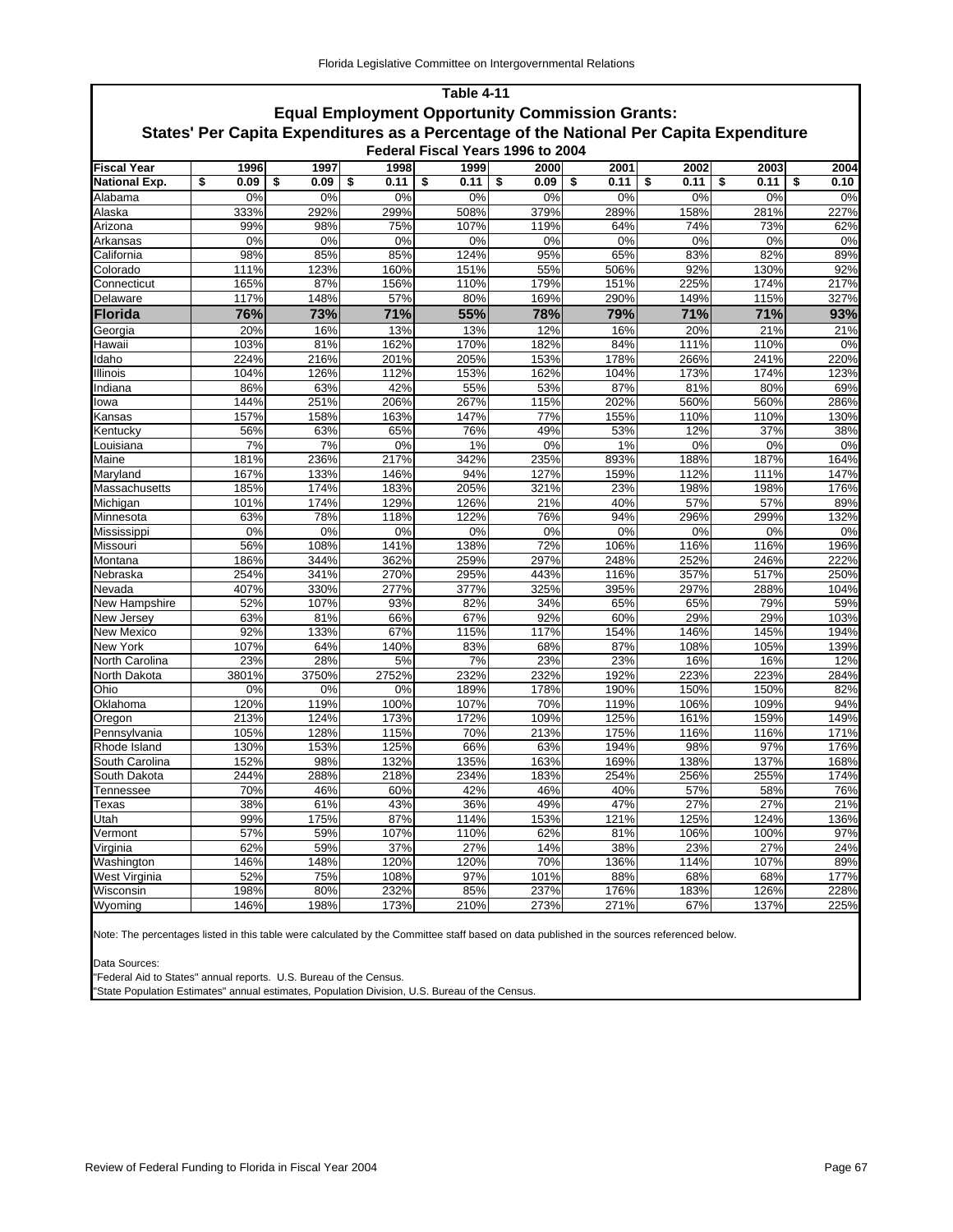| Table 4-11                                                                             |            |            |              |             |              |              |            |             |              |  |  |
|----------------------------------------------------------------------------------------|------------|------------|--------------|-------------|--------------|--------------|------------|-------------|--------------|--|--|
| <b>Equal Employment Opportunity Commission Grants:</b>                                 |            |            |              |             |              |              |            |             |              |  |  |
| States' Per Capita Expenditures as a Percentage of the National Per Capita Expenditure |            |            |              |             |              |              |            |             |              |  |  |
| Federal Fiscal Years 1996 to 2004                                                      |            |            |              |             |              |              |            |             |              |  |  |
| <b>Fiscal Year</b>                                                                     | 1996       | 1997       | 1998         | 1999        | 2000         | 2001         | 2002       | 2003        | 2004         |  |  |
| <b>National Exp.</b>                                                                   | 0.09<br>\$ | \$<br>0.09 | \$<br>0.11   | \$<br>0.11  | 0.09<br>\$   | 0.11<br>\$   | \$<br>0.11 | \$<br>0.11  | \$<br>0.10   |  |  |
| Alabama                                                                                | 0%         | 0%         | 0%           | 0%          | 0%           | 0%           | 0%         | 0%          | 0%           |  |  |
| Alaska                                                                                 | 333%       | 292%       | 299%         | 508%        | 379%         | 289%         | 158%       | 281%        | 227%         |  |  |
| Arizona                                                                                | 99%        | 98%        | 75%          | 107%        | 119%         | 64%          | 74%        | 73%         | 62%          |  |  |
| Arkansas                                                                               | 0%         | 0%         | 0%           | 0%          | 0%           | 0%           | 0%         | 0%          | 0%           |  |  |
| California                                                                             | 98%        | 85%        | 85%          | 124%        | 95%          | 65%          | 83%        | 82%         | 89%          |  |  |
| Colorado                                                                               | 111%       | 123%       | 160%         | 151%        | 55%          | 506%         | 92%        | 130%        | 92%          |  |  |
| Connecticut                                                                            | 165%       | 87%        | 156%         | 110%        | 179%         | 151%         | 225%       | 174%        | 217%         |  |  |
| Delaware                                                                               | 117%       | 148%       | 57%          | 80%         | 169%         | 290%         | 149%       | 115%        | 327%         |  |  |
| <b>Florida</b>                                                                         | 76%        | 73%        | 71%          | 55%         | 78%          | 79%          | 71%        | 71%         | 93%          |  |  |
| Georgia                                                                                | 20%        | 16%        | 13%          | 13%         | 12%          | 16%          | 20%        | 21%         | 21%          |  |  |
| Hawaii                                                                                 | 103%       | 81%        | 162%         | 170%        | 182%         | 84%          | 111%       | 110%        | 0%           |  |  |
| Idaho                                                                                  | 224%       | 216%       | 201%         | 205%        | 153%         | 178%         | 266%       | 241%        | 220%         |  |  |
| Illinois                                                                               | 104%       | 126%       | 112%         | 153%        | 162%         | 104%         | 173%       | 174%        | 123%         |  |  |
| Indiana                                                                                | 86%        | 63%        | 42%          | 55%         | 53%          | 87%          | 81%        | 80%         | 69%          |  |  |
| lowa                                                                                   | 144%       | 251%       | 206%         | 267%        | 115%         | 202%         | 560%       | 560%        | 286%         |  |  |
| Kansas                                                                                 | 157%       | 158%       | 163%         | 147%        | 77%          | 155%         | 110%       | 110%        | 130%         |  |  |
| Kentucky                                                                               | 56%        | 63%        | 65%          | 76%         | 49%          | 53%          | 12%        | 37%         | 38%          |  |  |
| Louisiana                                                                              | 7%         | 7%         | 0%           | 1%          | 0%           | 1%           | 0%         | 0%          | 0%           |  |  |
| Maine                                                                                  | 181%       | 236%       | 217%         | 342%        | 235%         | 893%         | 188%       | 187%        | 164%         |  |  |
| Maryland                                                                               | 167%       | 133%       | 146%         | 94%         | 127%         | 159%         | 112%       | 111%        | 147%         |  |  |
| Massachusetts                                                                          | 185%       | 174%       | 183%         | 205%        | 321%         | 23%          | 198%       | 198%        | 176%         |  |  |
| Michigan                                                                               | 101%       | 174%       | 129%         | 126%        | 21%          | 40%          | 57%        | 57%         | 89%          |  |  |
| Minnesota                                                                              | 63%        | 78%        | 118%         | 122%        | 76%          | 94%          | 296%       | 299%        | 132%         |  |  |
| Mississippi                                                                            | 0%         | 0%         | 0%           | 0%          | 0%           | 0%           | 0%         | 0%          | 0%           |  |  |
| Missouri                                                                               | 56%        | 108%       | 141%         | 138%        | 72%          | 106%         | 116%       | 116%        | 196%         |  |  |
| Montana                                                                                | 186%       | 344%       | 362%         | 259%        | 297%         | 248%         | 252%       | 246%        | 222%         |  |  |
| Nebraska                                                                               | 254%       | 341%       | 270%         | 295%        | 443%         | 116%         | 357%       | 517%        | 250%         |  |  |
| Nevada                                                                                 | 407%       | 330%       | 277%         | 377%        | 325%         | 395%         | 297%       | 288%        | 104%         |  |  |
| New Hampshire                                                                          | 52%        | 107%       | 93%          | 82%         | 34%          | 65%          | 65%        | 79%         | 59%          |  |  |
| New Jersey                                                                             | 63%        | 81%        | 66%          | 67%         | 92%          | 60%          | 29%        | 29%         | 103%         |  |  |
| New Mexico                                                                             | 92%        | 133%       | 67%          | 115%        | 117%         | 154%         | 146%       | 145%        | 194%         |  |  |
| New York                                                                               | 107%       | 64%        | 140%         | 83%         | 68%          | 87%          | 108%       | 105%        | 139%         |  |  |
| North Carolina                                                                         | 23%        | 28%        | 5%           | 7%          | 23%          | 23%          | 16%        | 16%         | 12%          |  |  |
| North Dakota                                                                           | 3801%      | 3750%      | 2752%        | 232%        | 232%         | 192%         | 223%       | 223%        | 284%         |  |  |
| Ohio                                                                                   | 0%         | 0%         | 0%           | 189%        | 178%         | 190%         | 150%       | 150%        | 82%          |  |  |
| Oklahoma                                                                               | 120%       | 119%       | 100%         | 107%        | 70%          | 119%         | 106%       | 109%        | 94%          |  |  |
| Oreaon                                                                                 | 213%       | 124%       | 173%         | 172%        | 109%         | 125%         | 161%       | 159%        | 149%         |  |  |
| Pennsylvania                                                                           | 105%       | 128%       | 115%         | 70%         | 213%         | 175%         | 116%       | 116%        | 171%         |  |  |
| Rhode Island                                                                           | 130%       | 153%       | 125%         | 66%         | 63%          | 194%         | 98%        | 97%         | 176%         |  |  |
| South Carolina                                                                         | 152%       | 98%        | 132%         | 135%        | 163%         | 169%         | 138%       | 137%        | 168%         |  |  |
| South Dakota                                                                           | 244%       | 288%       | 218%         | 234%        | 183%         | 254%         | 256%       | 255%        | 174%         |  |  |
| Tennessee                                                                              | 70%        | 46%        | 60%          | 42%         | 46%          | 40%          | 57%        | 58%         | 76%          |  |  |
| Texas                                                                                  | 38%        | 61%        | 43%          | 36%         | 49%          | 47%          | 27%        | 27%         | 21%          |  |  |
| Utah                                                                                   | 99%        | 175%       | 87%          | 114%        | 153%         | 121%         | 125%       | 124%        | 136%         |  |  |
| Vermont                                                                                | 57%        | 59%        | 107%         | 110%        | 62%          | 81%          | 106%       | 100%        | 97%          |  |  |
| Virginia                                                                               | 62%        | 59%        | 37%          | 27%         | 14%          | 38%          | 23%        | 27%         | 24%          |  |  |
| Washington<br><b>West Virginia</b>                                                     | 146%       | 148%       | 120%         | 120%<br>97% | 70%          | 136%         | 114%       | 107%        | 89%          |  |  |
| Wisconsin                                                                              | 52%        | 75%<br>80% | 108%<br>232% | 85%         | 101%         | 88%          | 68%        | 68%<br>126% | 177%<br>228% |  |  |
|                                                                                        | 198%       |            | 173%         |             | 237%<br>273% | 176%<br>271% | 183%       |             |              |  |  |
| Wyoming                                                                                | 146%       | 198%       |              | 210%        |              |              | 67%        | 137%        | 225%         |  |  |

Data Sources:

"Federal Aid to States" annual reports. U.S. Bureau of the Census.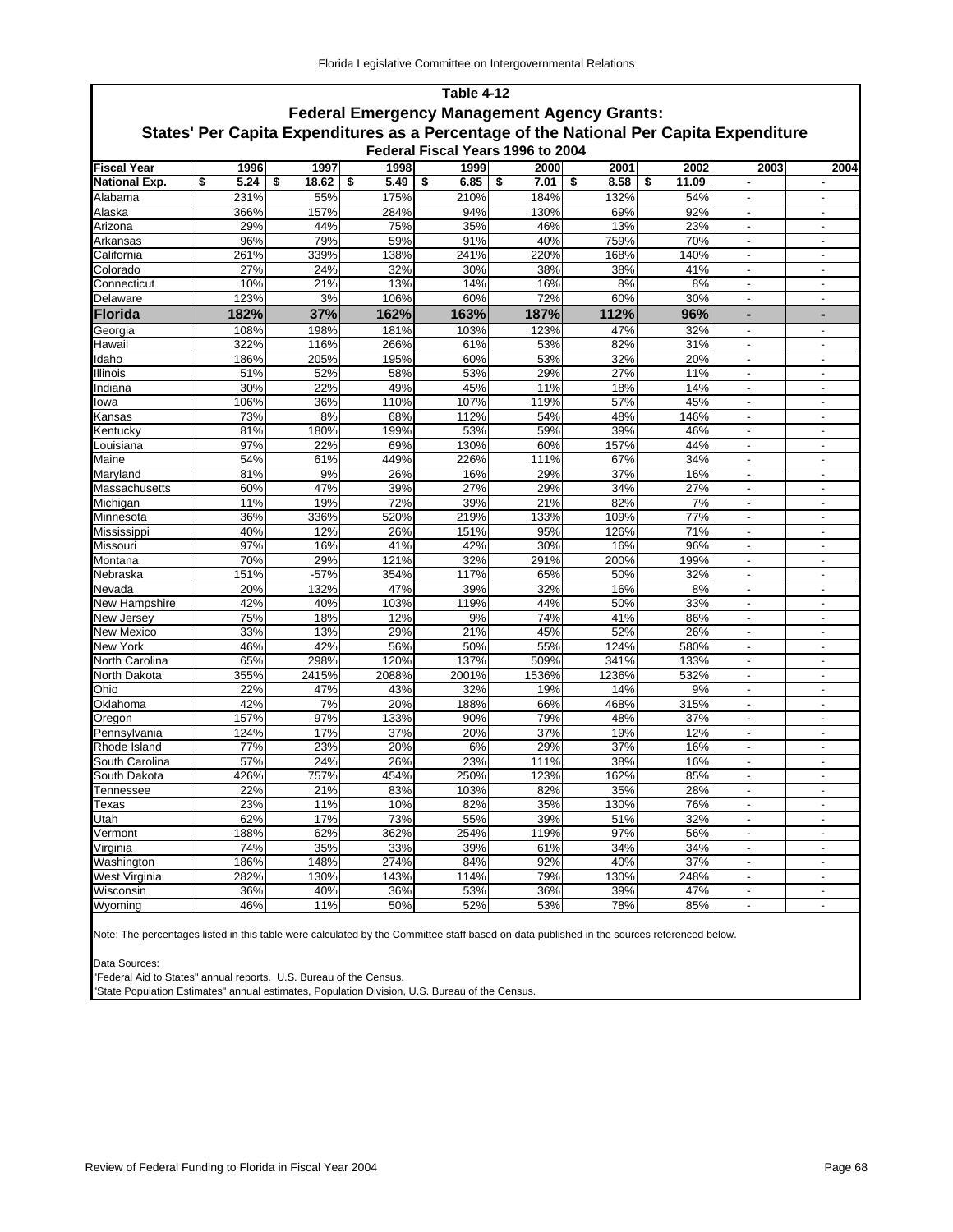|                                                                                        | Table 4-12                                                                                            |                     |                    |                    |            |                    |                     |                          |                          |  |  |
|----------------------------------------------------------------------------------------|-------------------------------------------------------------------------------------------------------|---------------------|--------------------|--------------------|------------|--------------------|---------------------|--------------------------|--------------------------|--|--|
|                                                                                        | <b>Federal Emergency Management Agency Grants:</b>                                                    |                     |                    |                    |            |                    |                     |                          |                          |  |  |
| States' Per Capita Expenditures as a Percentage of the National Per Capita Expenditure |                                                                                                       |                     |                    |                    |            |                    |                     |                          |                          |  |  |
|                                                                                        | Federal Fiscal Years 1996 to 2004                                                                     |                     |                    |                    |            |                    |                     |                          |                          |  |  |
|                                                                                        |                                                                                                       |                     |                    |                    | 2000       |                    |                     |                          |                          |  |  |
| <b>Fiscal Year</b><br><b>National Exp.</b>                                             | 1996<br>5.24<br>\$                                                                                    | 1997<br>\$<br>18.62 | 1998<br>5.49<br>\$ | 1999<br>6.85<br>\$ | \$<br>7.01 | 2001<br>8.58<br>\$ | 2002<br>\$<br>11.09 | 2003                     | 2004                     |  |  |
| Alabama                                                                                | 231%                                                                                                  | 55%                 | 175%               | 210%               | 184%       | 132%               | 54%                 |                          |                          |  |  |
|                                                                                        | 366%                                                                                                  | 157%                | 284%               | 94%                | 130%       | 69%                | 92%                 |                          |                          |  |  |
| Alaska<br>Arizona                                                                      | 29%                                                                                                   | 44%                 | 75%                | 35%                | 46%        | 13%                | 23%                 |                          |                          |  |  |
| Arkansas                                                                               | 96%                                                                                                   | 79%                 | 59%                | 91%                | 40%        | 759%               | 70%                 | $\blacksquare$           | $\blacksquare$           |  |  |
| California                                                                             | 261%                                                                                                  | 339%                | 138%               | 241%               | 220%       | 168%               | 140%                |                          | $\overline{\phantom{a}}$ |  |  |
| Colorado                                                                               | 27%                                                                                                   | 24%                 | 32%                | 30%                | 38%        | 38%                | 41%                 | $\overline{a}$           | $\blacksquare$           |  |  |
| Connecticut                                                                            | 10%                                                                                                   | 21%                 | 13%                | 14%                | 16%        | 8%                 | 8%                  | $\overline{\phantom{a}}$ | $\blacksquare$           |  |  |
| Delaware                                                                               | 123%                                                                                                  | 3%                  | 106%               | 60%                | 72%        | 60%                | 30%                 | $\overline{\phantom{a}}$ | $\blacksquare$           |  |  |
| <b>Florida</b>                                                                         | 182%                                                                                                  | 37%                 | 162%               | 163%               | 187%       | 112%               | 96%                 | $\blacksquare$           | ۰                        |  |  |
| Georgia                                                                                | 108%                                                                                                  | 198%                | 181%               | 103%               | 123%       | 47%                | 32%                 | $\overline{\phantom{a}}$ | $\blacksquare$           |  |  |
| Hawaii                                                                                 | 322%                                                                                                  | 116%                | 266%               | 61%                | 53%        | 82%                | 31%                 | $\blacksquare$           | $\overline{\phantom{a}}$ |  |  |
| Idaho                                                                                  | 186%                                                                                                  | 205%                | 195%               | 60%                | 53%        | 32%                | 20%                 |                          | $\overline{\phantom{a}}$ |  |  |
| Illinois                                                                               | 51%                                                                                                   | 52%                 | 58%                | 53%                | 29%        | 27%                | 11%                 | $\blacksquare$           | $\blacksquare$           |  |  |
| Indiana                                                                                | 30%                                                                                                   | 22%                 | 49%                | 45%                | 11%        | 18%                | 14%                 | $\overline{\phantom{a}}$ | $\overline{\phantom{a}}$ |  |  |
| lowa                                                                                   | 106%                                                                                                  | 36%                 | 110%               | 107%               | 119%       | 57%                | 45%                 | $\overline{\phantom{a}}$ | $\overline{a}$           |  |  |
| Kansas                                                                                 | 73%                                                                                                   | 8%                  | 68%                | 112%               | 54%        | 48%                | 146%                | $\overline{\phantom{a}}$ | $\blacksquare$           |  |  |
| Kentucky                                                                               | 81%                                                                                                   | 180%                | 199%               | 53%                | 59%        | 39%                | 46%                 | $\overline{a}$           |                          |  |  |
| Louisiana                                                                              | 97%                                                                                                   | 22%                 | 69%                | 130%               | 60%        | 157%               | 44%                 | $\blacksquare$           | $\blacksquare$           |  |  |
| Maine                                                                                  | 54%                                                                                                   | 61%                 | 449%               | 226%               | 111%       | 67%                | 34%                 |                          |                          |  |  |
| Maryland                                                                               | 81%                                                                                                   | 9%                  | 26%                | 16%                | 29%        | 37%                | 16%                 | $\blacksquare$           | $\blacksquare$           |  |  |
| Massachusetts                                                                          | 60%                                                                                                   | 47%                 | 39%                | 27%                | 29%        | 34%                | 27%                 |                          | $\overline{\phantom{a}}$ |  |  |
| Michigan                                                                               | 11%                                                                                                   | 19%                 | 72%                | 39%                | 21%        | 82%                | 7%                  | $\blacksquare$           | $\overline{\phantom{a}}$ |  |  |
| Minnesota                                                                              | 36%                                                                                                   | 336%                | 520%               | 219%               | 133%       | 109%               | 77%                 | $\blacksquare$           | $\blacksquare$           |  |  |
| Mississippi                                                                            | 40%                                                                                                   | 12%                 | 26%                | 151%               | 95%        | 126%               | 71%                 | $\overline{a}$           | $\overline{\phantom{a}}$ |  |  |
| Missouri                                                                               | 97%                                                                                                   | 16%                 | 41%                | 42%                | 30%        | 16%                | 96%                 |                          | $\blacksquare$           |  |  |
| Montana                                                                                | 70%                                                                                                   | 29%                 | 121%               | 32%                | 291%       | 200%               | 199%                | $\overline{a}$           | $\overline{a}$           |  |  |
| Nebraska                                                                               | 151%                                                                                                  | $-57%$              | 354%               | 117%               | 65%        | 50%                | 32%                 | $\overline{a}$           | $\blacksquare$           |  |  |
| Nevada                                                                                 | 20%                                                                                                   | 132%                | 47%                | 39%                | 32%        | 16%                | 8%                  | $\overline{\phantom{a}}$ | $\overline{a}$           |  |  |
| New Hampshire                                                                          | 42%                                                                                                   | 40%                 | 103%               | 119%               | 44%        | 50%                | 33%                 | $\blacksquare$           | $\overline{\phantom{a}}$ |  |  |
| New Jersey                                                                             | 75%                                                                                                   | 18%                 | 12%                | 9%                 | 74%        | 41%                | 86%                 | $\overline{a}$           |                          |  |  |
| New Mexico                                                                             | 33%                                                                                                   | 13%                 | 29%                | 21%                | 45%        | 52%                | 26%                 | $\blacksquare$           | $\overline{\phantom{a}}$ |  |  |
| New York                                                                               | 46%                                                                                                   | 42%                 | 56%                | 50%                | 55%        | 124%               | 580%                |                          | $\overline{\phantom{a}}$ |  |  |
| North Carolina                                                                         | 65%                                                                                                   | 298%                | 120%               | 137%               | 509%       | 341%               | 133%                | $\blacksquare$           | $\blacksquare$           |  |  |
| North Dakota                                                                           | 355%                                                                                                  | 2415%               | 2088%              | 2001%              | 1536%      | 1236%              | 532%                | $\overline{\phantom{a}}$ | $\overline{\phantom{a}}$ |  |  |
| Ohio                                                                                   | 22%                                                                                                   | 47%                 | 43%                | 32%                | 19%        | 14%                | 9%                  | $\blacksquare$           | $\frac{1}{2}$            |  |  |
| Oklahoma                                                                               | 42%                                                                                                   | 7%                  | 20%                | 188%               | 66%        | 468%               | 315%                | $\overline{\phantom{a}}$ | $\blacksquare$           |  |  |
| Oregon                                                                                 | 157%                                                                                                  | 97%                 | 133%               | 90%                | 79%        | 48%                | 37%                 |                          | $\blacksquare$           |  |  |
| Pennsylvania                                                                           | 124%                                                                                                  | 17%                 | 37%                | 20%                | 37%        | 19%                | 12%                 | $\blacksquare$           | $\blacksquare$           |  |  |
| Rhode Island                                                                           | 77%                                                                                                   | 23%                 | 20%                | 6%                 | 29%        | 37%                | 16%                 | $\overline{\phantom{a}}$ | $\overline{\phantom{a}}$ |  |  |
| South Carolina                                                                         | 57%                                                                                                   | 24%                 | 26%                | 23%                | 111%       | 38%                | 16%                 | $\blacksquare$           | $\blacksquare$           |  |  |
| South Dakota                                                                           | 426%                                                                                                  | 757%                | 454%               | 250%               | 123%       | 162%               | 85%                 |                          |                          |  |  |
| Tennessee                                                                              | 22%                                                                                                   | 21%                 | 83%                | 103%               | 82%        | 35%                | 28%                 | $\overline{\phantom{a}}$ | ۰                        |  |  |
| Texas                                                                                  | 23%                                                                                                   | 11%                 | 10%                | 82%                | 35%        | 130%               | 76%                 | $\overline{\phantom{a}}$ |                          |  |  |
| Utah                                                                                   | 62%                                                                                                   | 17%                 | 73%                | 55%                | 39%        | 51%                | 32%                 | $\overline{\phantom{a}}$ | $\overline{\phantom{a}}$ |  |  |
| Vermont                                                                                | 188%                                                                                                  | 62%                 | 362%               | 254%               | 119%       | 97%                | 56%                 | $\overline{\phantom{a}}$ | $\overline{\phantom{a}}$ |  |  |
| Virginia                                                                               | 74%                                                                                                   | 35%                 | 33%                | 39%                | 61%        | 34%                | 34%                 | $\overline{\phantom{a}}$ | $\overline{\phantom{a}}$ |  |  |
| Washington                                                                             | 186%                                                                                                  | 148%                | 274%               | 84%                | 92%        | 40%                | 37%                 | $\overline{\phantom{a}}$ | $\overline{\phantom{a}}$ |  |  |
| West Virginia                                                                          | 282%                                                                                                  | 130%                | 143%               | 114%               | 79%        | 130%               | 248%                | $\overline{\phantom{a}}$ | $\overline{\phantom{a}}$ |  |  |
| Wisconsin                                                                              | 36%<br>40%<br>53%<br>39%<br>47%<br>36%<br>36%<br>$\overline{\phantom{a}}$<br>$\overline{\phantom{a}}$ |                     |                    |                    |            |                    |                     |                          |                          |  |  |
| Wyoming                                                                                | 46%                                                                                                   | 11%                 | 50%                | 52%                | 53%        | 78%                | 85%                 | $\overline{\phantom{a}}$ | $\overline{\phantom{a}}$ |  |  |

Data Sources:

"Federal Aid to States" annual reports. U.S. Bureau of the Census.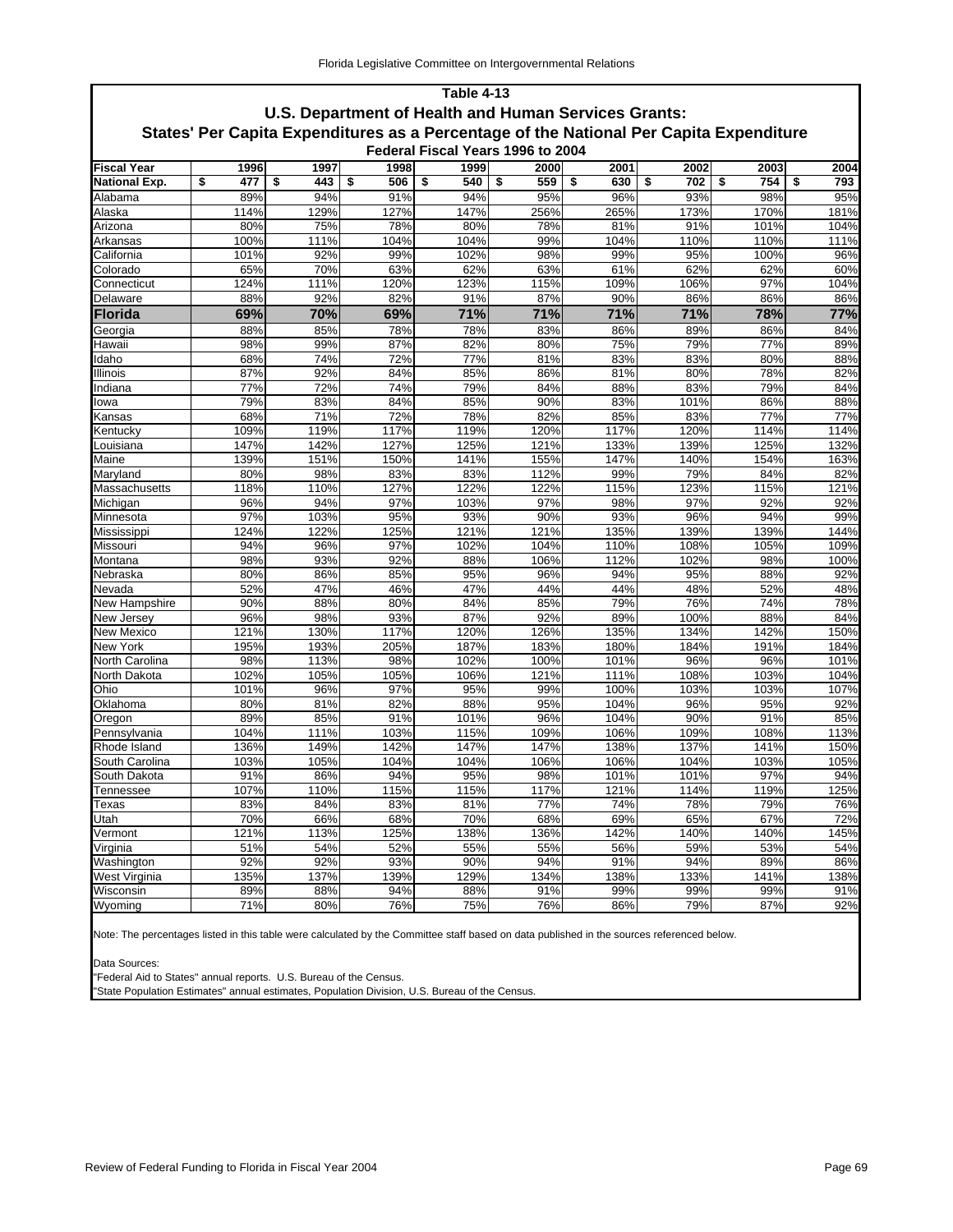| Table 4-13                                                                             |           |           |           |           |           |           |           |           |           |  |  |  |  |
|----------------------------------------------------------------------------------------|-----------|-----------|-----------|-----------|-----------|-----------|-----------|-----------|-----------|--|--|--|--|
| U.S. Department of Health and Human Services Grants:                                   |           |           |           |           |           |           |           |           |           |  |  |  |  |
| States' Per Capita Expenditures as a Percentage of the National Per Capita Expenditure |           |           |           |           |           |           |           |           |           |  |  |  |  |
| Federal Fiscal Years 1996 to 2004                                                      |           |           |           |           |           |           |           |           |           |  |  |  |  |
| <b>Fiscal Year</b>                                                                     | 1996      | 1997      | 1998      | 1999      | 2000      | 2001      | 2002      | 2003      | 2004      |  |  |  |  |
| <b>National Exp.</b>                                                                   | \$<br>477 | \$<br>443 | 506<br>\$ | \$<br>540 | 559<br>\$ | 630<br>\$ | 702<br>\$ | 754<br>\$ | \$<br>793 |  |  |  |  |
| Alabama                                                                                | 89%       | 94%       | 91%       | 94%       | 95%       | 96%       | 93%       | 98%       | 95%       |  |  |  |  |
| Alaska                                                                                 | 114%      | 129%      | 127%      | 147%      | 256%      | 265%      | 173%      | 170%      | 181%      |  |  |  |  |
| Arizona                                                                                | 80%       | 75%       | 78%       | 80%       | 78%       | 81%       | 91%       | 101%      | 104%      |  |  |  |  |
| Arkansas                                                                               | 100%      | 111%      | 104%      | 104%      | 99%       | 104%      | 110%      | 110%      | 111%      |  |  |  |  |
| California                                                                             | 101%      | 92%       | 99%       | 102%      | 98%       | 99%       | 95%       | 100%      | 96%       |  |  |  |  |
| Colorado                                                                               | 65%       | 70%       | 63%       | 62%       | 63%       | 61%       | 62%       | 62%       | 60%       |  |  |  |  |
| Connecticut                                                                            | 124%      | 111%      | 120%      | 123%      | 115%      | 109%      | 106%      | 97%       | 104%      |  |  |  |  |
| Delaware                                                                               | 88%       | 92%       | 82%       | 91%       | 87%       | 90%       | 86%       | 86%       | 86%       |  |  |  |  |
| Florida                                                                                | 69%       | 70%       | 69%       | 71%       | 71%       | 71%       | 71%       | 78%       | 77%       |  |  |  |  |
| Georgia                                                                                | 88%       | 85%       | 78%       | 78%       | 83%       | 86%       | 89%       | 86%       | 84%       |  |  |  |  |
| Hawaii                                                                                 | 98%       | 99%       | 87%       | 82%       | 80%       | 75%       | 79%       | 77%       | 89%       |  |  |  |  |
| Idaho                                                                                  | 68%       | 74%       | 72%       | 77%       | 81%       | 83%       | 83%       | 80%       | 88%       |  |  |  |  |
| Illinois                                                                               | 87%       | 92%       | 84%       | 85%       | 86%       | 81%       | 80%       | 78%       | 82%       |  |  |  |  |
| Indiana                                                                                | 77%       | 72%       | 74%       | 79%       | 84%       | 88%       | 83%       | 79%       | 84%       |  |  |  |  |
| lowa                                                                                   | 79%       | 83%       | 84%       | 85%       | 90%       | 83%       | 101%      | 86%       | 88%       |  |  |  |  |
| Kansas                                                                                 | 68%       | 71%       | 72%       | 78%       | 82%       | 85%       | 83%       | 77%       | 77%       |  |  |  |  |
| 109%<br>119%<br>117%<br>119%<br>120%<br>117%<br>120%<br>114%<br>114%<br>Kentucky       |           |           |           |           |           |           |           |           |           |  |  |  |  |
| Louisiana                                                                              | 147%      | 142%      | 127%      | 125%      | 121%      | 133%      | 139%      | 125%      | 132%      |  |  |  |  |
| Maine                                                                                  | 139%      | 151%      | 150%      | 141%      | 155%      | 147%      | 140%      | 154%      | 163%      |  |  |  |  |
| Maryland                                                                               | 80%       | 98%       | 83%       | 83%       | 112%      | 99%       | 79%       | 84%       | 82%       |  |  |  |  |
| Massachusetts                                                                          | 118%      | 110%      | 127%      | 122%      | 122%      | 115%      | 123%      | 115%      | 121%      |  |  |  |  |
| Michigan                                                                               | 96%       | 94%       | 97%       | 103%      | 97%       | 98%       | 97%       | 92%       | 92%       |  |  |  |  |
| Minnesota                                                                              | 97%       | 103%      | 95%       | 93%       | 90%       | 93%       | 96%       | 94%       | 99%       |  |  |  |  |
| Mississippi                                                                            | 124%      | 122%      | 125%      | 121%      | 121%      | 135%      | 139%      | 139%      | 144%      |  |  |  |  |
| Missouri                                                                               | 94%       | 96%       | 97%       | 102%      | 104%      | 110%      | 108%      | 105%      | 109%      |  |  |  |  |
| Montana                                                                                | 98%       | 93%       | 92%       | 88%       | 106%      | 112%      | 102%      | 98%       | 100%      |  |  |  |  |
| Nebraska                                                                               | 80%       | 86%       | 85%       | 95%       | 96%       | 94%       | 95%       | 88%       | 92%       |  |  |  |  |
| Nevada                                                                                 | 52%       | 47%       | 46%       | 47%       | 44%       | 44%       | 48%       | 52%       | 48%       |  |  |  |  |
| New Hampshire                                                                          | 90%       | 88%       | 80%       | 84%       | 85%       | 79%       | 76%       | 74%       | 78%       |  |  |  |  |
| New Jersey                                                                             | 96%       | 98%       | 93%       | 87%       | 92%       | 89%       | 100%      | 88%       | 84%       |  |  |  |  |
| New Mexico                                                                             | 121%      | 130%      | 117%      | 120%      | 126%      | 135%      | 134%      | 142%      | 150%      |  |  |  |  |
| New York                                                                               | 195%      | 193%      | 205%      | 187%      | 183%      | 180%      | 184%      | 191%      | 184%      |  |  |  |  |
| North Carolina                                                                         | 98%       | 113%      | 98%       | 102%      | 100%      | 101%      | 96%       | 96%       | 101%      |  |  |  |  |
| North Dakota                                                                           | 102%      | 105%      | 105%      | 106%      | 121%      | 111%      | 108%      | 103%      | 104%      |  |  |  |  |
| Ohio                                                                                   | 101%      | 96%       | 97%       | 95%       | 99%       | 100%      | 103%      | 103%      | 107%      |  |  |  |  |
| Oklahoma                                                                               | 80%       | 81%       | 82%       | 88%       | 95%       | 104%      | 96%       | 95%       | 92%       |  |  |  |  |
| Oregon                                                                                 | 89%       | 85%       | 91%       | 101%      | 96%       | 104%      | 90%       | 91%       | 85%       |  |  |  |  |
| Pennsylvania                                                                           | 104%      | 111%      | 103%      | 115%      | 109%      | 106%      | 109%      | 108%      | 113%      |  |  |  |  |
| Rhode Island                                                                           | 136%      | 149%      | 142%      | 147%      | 147%      | 138%      | 137%      | 141%      | 150%      |  |  |  |  |
| South Carolina                                                                         | 103%      | 105%      | 104%      | 104%      | 106%      | 106%      | 104%      | 103%      | 105%      |  |  |  |  |
| South Dakota                                                                           | 91%       | 86%       | 94%       | 95%       | 98%       | 101%      | 101%      | 97%       | 94%       |  |  |  |  |
| Tennessee                                                                              | 107%      | 110%      | 115%      | 115%      | 117%      | 121%      | 114%      | 119%      | 125%      |  |  |  |  |
| Texas                                                                                  | 83%       | 84%       | 83%       | 81%       | 77%       | 74%       | 78%       | 79%       | 76%       |  |  |  |  |
| Utah                                                                                   | 70%       | 66%       | 68%       | 70%       | 68%       | 69%       | 65%       | 67%       | 72%       |  |  |  |  |
| Vermont                                                                                | 121%      | 113%      | 125%      | 138%      | 136%      | 142%      | 140%      | 140%      | 145%      |  |  |  |  |
| Virginia                                                                               | 51%       | 54%       | 52%       | 55%       | 55%       | 56%       | 59%       | 53%       | 54%       |  |  |  |  |
| Washington                                                                             | 92%       | 92%       | 93%       | 90%       | 94%       | 91%       | 94%       | 89%       | 86%       |  |  |  |  |
| West Virginia                                                                          | 135%      | 137%      | 139%      | 129%      | 134%      | 138%      | 133%      | 141%      | 138%      |  |  |  |  |
| Wisconsin                                                                              | 89%       | 88%       | 94%       | 88%       | 91%       | 99%       | 99%       | 99%       | 91%       |  |  |  |  |
| Wyoming                                                                                | 71%       | 80%       | 76%       | 75%       | 76%       | 86%       | 79%       | 87%       | 92%       |  |  |  |  |

Data Sources:

"Federal Aid to States" annual reports. U.S. Bureau of the Census.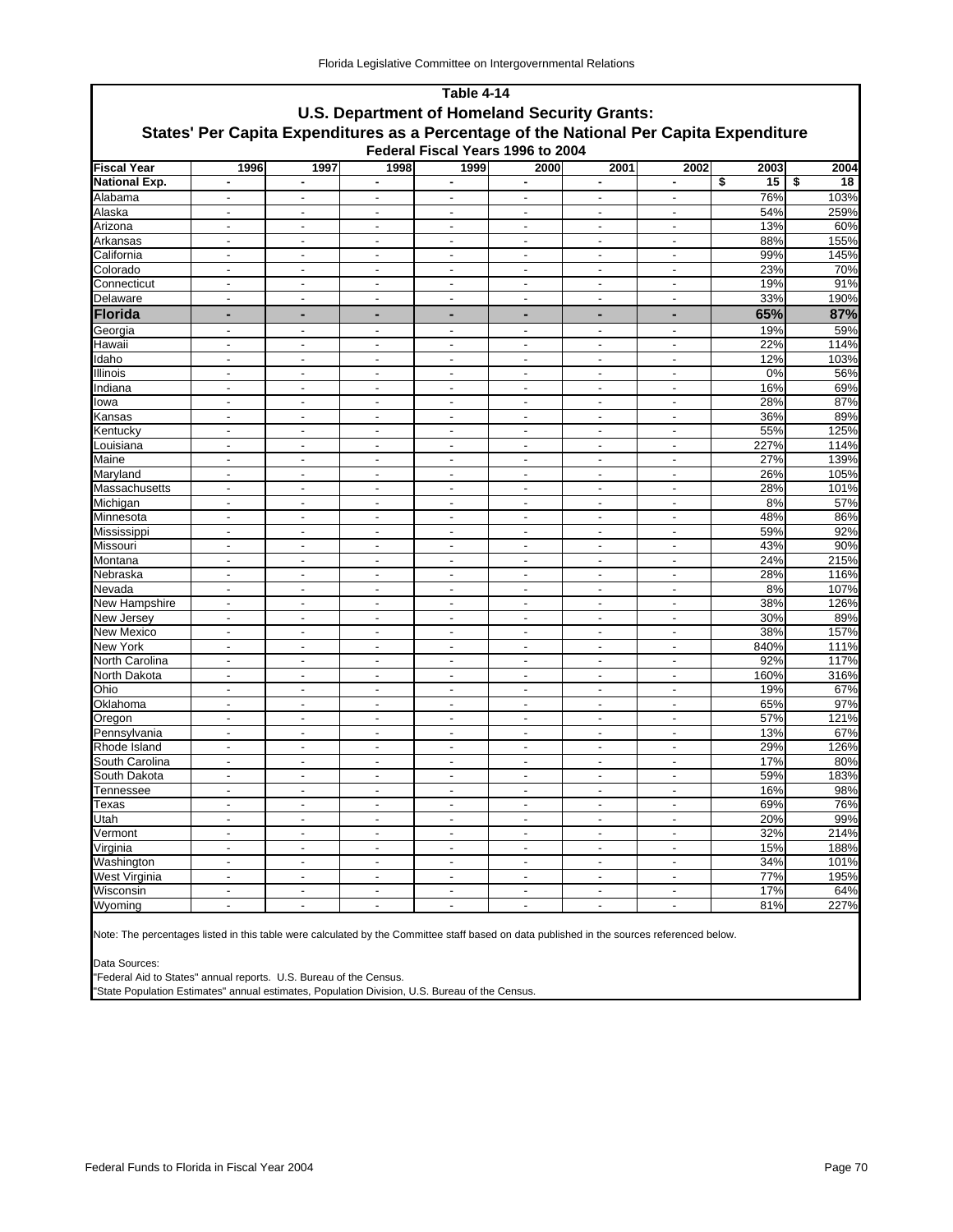|                                            |                                                                                        |                          |                              | Table 4-14                        |                          |                                              |                          |                  |                  |
|--------------------------------------------|----------------------------------------------------------------------------------------|--------------------------|------------------------------|-----------------------------------|--------------------------|----------------------------------------------|--------------------------|------------------|------------------|
|                                            |                                                                                        |                          |                              |                                   |                          | U.S. Department of Homeland Security Grants: |                          |                  |                  |
|                                            | States' Per Capita Expenditures as a Percentage of the National Per Capita Expenditure |                          |                              |                                   |                          |                                              |                          |                  |                  |
|                                            |                                                                                        |                          |                              | Federal Fiscal Years 1996 to 2004 |                          |                                              |                          |                  |                  |
|                                            | 1996                                                                                   |                          | 1998                         | 1999                              | 2000                     |                                              | 2002                     |                  |                  |
| <b>Fiscal Year</b><br><b>National Exp.</b> | $\blacksquare$                                                                         | 1997<br>$\blacksquare$   | ٠                            | ٠                                 | $\blacksquare$           | 2001<br>$\blacksquare$                       | ۰                        | 2003<br>15<br>\$ | 2004<br>18<br>\$ |
| Alabama                                    | $\overline{\phantom{a}}$                                                               | $\overline{\phantom{a}}$ | $\overline{\phantom{a}}$     | $\overline{\phantom{a}}$          | $\overline{\phantom{a}}$ | $\overline{\phantom{a}}$                     | $\overline{\phantom{a}}$ | 76%              | 103%             |
| Alaska                                     | $\overline{\phantom{a}}$                                                               | $\overline{\phantom{a}}$ | $\overline{\phantom{a}}$     | $\overline{\phantom{a}}$          | $\overline{\phantom{a}}$ | $\overline{\phantom{a}}$                     | ä,                       | 54%              | 259%             |
| Arizona                                    | $\blacksquare$                                                                         | $\blacksquare$           | $\blacksquare$               | $\overline{\phantom{a}}$          | $\blacksquare$           | $\blacksquare$                               | $\overline{\phantom{a}}$ | 13%              | 60%              |
| Arkansas                                   | $\overline{\phantom{a}}$                                                               | $\overline{\phantom{a}}$ | $\blacksquare$               | $\overline{\phantom{a}}$          | $\overline{\phantom{a}}$ | $\overline{\phantom{a}}$                     | $\overline{\phantom{a}}$ | 88%              | 155%             |
| California                                 | $\blacksquare$                                                                         | $\blacksquare$           | $\blacksquare$               | $\overline{\phantom{a}}$          | $\blacksquare$           | $\blacksquare$                               | $\overline{\phantom{a}}$ | 99%              | 145%             |
| Colorado                                   | $\overline{\phantom{a}}$                                                               | $\blacksquare$           | $\overline{\phantom{a}}$     | $\blacksquare$                    | $\overline{\phantom{a}}$ | $\overline{\phantom{a}}$                     | $\overline{\phantom{a}}$ | 23%              | 70%              |
| Connecticut                                | $\overline{\phantom{a}}$                                                               | $\overline{\phantom{a}}$ | $\qquad \qquad \blacksquare$ | $\overline{\phantom{a}}$          | $\overline{\phantom{a}}$ | $\overline{\phantom{a}}$                     | $\overline{\phantom{a}}$ | 19%              | 91%              |
| Delaware                                   | $\overline{a}$                                                                         | $\blacksquare$           | $\blacksquare$               | $\overline{\phantom{0}}$          | $\overline{a}$           | $\overline{a}$                               | $\overline{\phantom{a}}$ | 33%              | 190%             |
| <b>Florida</b>                             | ٠                                                                                      | ٠                        | ۰                            | ۰                                 | ٠                        | $\blacksquare$                               | ٠                        | 65%              | 87%              |
| Georgia                                    | $\blacksquare$                                                                         | $\blacksquare$           | $\blacksquare$               | $\overline{\phantom{a}}$          | $\overline{\phantom{a}}$ | $\blacksquare$                               | $\overline{\phantom{a}}$ | 19%              | 59%              |
| Hawaii                                     | $\overline{\phantom{a}}$                                                               | $\blacksquare$           | $\blacksquare$               | $\overline{\phantom{0}}$          | $\blacksquare$           | $\overline{a}$                               | $\overline{\phantom{a}}$ | 22%              | 114%             |
| ldaho                                      | $\overline{\phantom{a}}$                                                               | $\overline{\phantom{a}}$ | $\overline{\phantom{a}}$     | $\overline{\phantom{a}}$          | $\overline{\phantom{a}}$ | $\overline{\phantom{a}}$                     | $\overline{\phantom{a}}$ | 12%              | 103%             |
| Illinois                                   | $\overline{\phantom{a}}$                                                               | $\overline{\phantom{a}}$ | $\overline{\phantom{a}}$     | $\overline{\phantom{a}}$          | $\blacksquare$           | $\blacksquare$                               | $\overline{\phantom{a}}$ | 0%               | 56%              |
| Indiana                                    | $\blacksquare$                                                                         | $\blacksquare$           | $\blacksquare$               | $\overline{\phantom{a}}$          | $\overline{\phantom{a}}$ | $\blacksquare$                               | $\overline{\phantom{a}}$ | 16%              | 69%              |
| lowa                                       | $\overline{\phantom{a}}$                                                               | $\blacksquare$           | $\overline{\phantom{a}}$     | $\overline{\phantom{a}}$          | $\overline{\phantom{a}}$ | $\overline{\phantom{a}}$                     | $\blacksquare$           | 28%              | 87%              |
| Kansas                                     | $\blacksquare$                                                                         | $\overline{\phantom{a}}$ | $\overline{\phantom{a}}$     | $\blacksquare$                    | $\overline{\phantom{a}}$ | $\blacksquare$                               | $\overline{\phantom{a}}$ | 36%              | 89%              |
| Kentucky                                   | $\blacksquare$                                                                         | $\blacksquare$           | $\blacksquare$               | $\overline{\phantom{a}}$          | $\blacksquare$           | $\blacksquare$                               | $\overline{\phantom{a}}$ | 55%              | 125%             |
| Louisiana                                  | $\overline{\phantom{a}}$                                                               | $\overline{\phantom{a}}$ | $\overline{\phantom{a}}$     | $\overline{\phantom{a}}$          | $\overline{\phantom{a}}$ | $\overline{\phantom{a}}$                     | ä,                       | 227%             | 114%             |
| Maine                                      | $\blacksquare$                                                                         | $\blacksquare$           | $\overline{\phantom{a}}$     | $\overline{\phantom{a}}$          | $\blacksquare$           | $\blacksquare$                               | $\overline{\phantom{a}}$ | 27%              | 139%             |
| Maryland                                   | $\overline{\phantom{a}}$                                                               | $\overline{\phantom{a}}$ | $\blacksquare$               | $\overline{\phantom{a}}$          | $\overline{\phantom{a}}$ | $\overline{a}$                               | $\overline{\phantom{a}}$ | 26%              | 105%             |
| Massachusetts                              | $\overline{\phantom{a}}$                                                               | $\blacksquare$           | $\blacksquare$               | $\overline{\phantom{a}}$          | $\blacksquare$           | $\overline{\phantom{a}}$                     | $\overline{\phantom{a}}$ | 28%              | 101%             |
| Michigan                                   | $\overline{a}$                                                                         | $\overline{\phantom{a}}$ | $\overline{\phantom{a}}$     | $\blacksquare$                    | $\overline{\phantom{a}}$ | $\overline{a}$                               | $\overline{\phantom{a}}$ | 8%               | 57%              |
| Minnesota                                  | $\overline{\phantom{a}}$                                                               | $\overline{\phantom{a}}$ | $\overline{\phantom{a}}$     | $\overline{\phantom{a}}$          | $\overline{\phantom{a}}$ | $\blacksquare$                               | $\overline{\phantom{a}}$ | 48%              | 86%              |
| Mississippi                                | $\blacksquare$                                                                         | $\blacksquare$           | $\blacksquare$               | $\overline{\phantom{a}}$          | $\blacksquare$           | $\blacksquare$                               | $\overline{\phantom{a}}$ | 59%              | 92%              |
| Missouri                                   | $\overline{\phantom{a}}$                                                               | $\overline{\phantom{a}}$ | $\overline{\phantom{a}}$     | $\overline{\phantom{a}}$          | $\overline{\phantom{a}}$ | $\overline{\phantom{a}}$                     | $\overline{\phantom{a}}$ | 43%              | 90%              |
| Montana                                    | $\overline{\phantom{a}}$                                                               | $\overline{\phantom{a}}$ | $\overline{\phantom{a}}$     | $\blacksquare$                    | $\overline{\phantom{a}}$ | $\blacksquare$                               | $\overline{\phantom{a}}$ | 24%              | 215%             |
| Nebraska                                   | $\blacksquare$                                                                         | $\blacksquare$           | $\blacksquare$               | $\blacksquare$                    | $\overline{\phantom{a}}$ | $\overline{\phantom{a}}$                     | $\overline{\phantom{a}}$ | 28%              | 116%             |
| Nevada                                     | $\overline{\phantom{a}}$                                                               | $\blacksquare$           | $\overline{\phantom{a}}$     | $\blacksquare$                    | $\overline{\phantom{a}}$ | $\overline{\phantom{a}}$                     | $\blacksquare$           | 8%               | 107%             |
| New Hampshire                              | $\blacksquare$                                                                         | $\overline{\phantom{a}}$ | $\overline{\phantom{a}}$     | $\blacksquare$                    | $\blacksquare$           | $\mathbf{r}$                                 | $\overline{\phantom{a}}$ | 38%              | 126%             |
| New Jersey                                 | $\blacksquare$                                                                         | $\blacksquare$           | $\blacksquare$               | $\overline{\phantom{a}}$          | $\blacksquare$           | $\blacksquare$                               | $\overline{\phantom{a}}$ | 30%              | 89%              |
| New Mexico                                 | $\blacksquare$                                                                         | $\blacksquare$           | $\blacksquare$               | $\blacksquare$                    | $\blacksquare$           | $\blacksquare$                               | $\overline{\phantom{a}}$ | 38%              | 157%             |
| New York                                   | $\overline{\phantom{a}}$                                                               | $\blacksquare$           | $\blacksquare$               | $\blacksquare$                    | $\blacksquare$           | $\blacksquare$                               | $\overline{\phantom{a}}$ | 840%             | 111%             |
| North Carolina                             | $\overline{\phantom{a}}$                                                               | $\overline{\phantom{a}}$ | $\overline{\phantom{a}}$     | $\overline{\phantom{a}}$          | $\overline{\phantom{a}}$ | $\overline{\phantom{a}}$                     | $\overline{\phantom{a}}$ | 92%              | 117%             |
| North Dakota                               | $\blacksquare$                                                                         | $\blacksquare$           | $\blacksquare$               | $\overline{\phantom{a}}$          | $\blacksquare$           | $\blacksquare$                               | $\overline{\phantom{a}}$ | 160%             | 316%             |
| Ohio                                       | $\overline{a}$                                                                         | $\overline{\phantom{a}}$ | $\overline{\phantom{a}}$     | $\blacksquare$                    | $\overline{\phantom{a}}$ | $\overline{\phantom{a}}$                     | $\overline{\phantom{a}}$ | 19%              | 67%              |
| Oklahoma                                   | $\overline{\phantom{a}}$                                                               | $\overline{\phantom{a}}$ | $\overline{\phantom{a}}$     | $\overline{\phantom{a}}$          | $\blacksquare$           | $\blacksquare$                               | $\overline{\phantom{a}}$ | 65%              | 97%              |
| Oregon                                     | $\overline{\phantom{a}}$                                                               | $\overline{\phantom{a}}$ | $\blacksquare$               | $\overline{\phantom{a}}$          | $\blacksquare$           | $\blacksquare$                               | $\overline{\phantom{a}}$ | 57%              | 121%             |
| Pennsylvania                               | $\overline{\phantom{a}}$                                                               | $\overline{\phantom{a}}$ | $\overline{\phantom{a}}$     | $\overline{\phantom{a}}$          | $\overline{\phantom{a}}$ | $\overline{\phantom{a}}$                     | $\overline{\phantom{a}}$ | 13%              | 67%              |
| Rhode Island                               | $\overline{\phantom{a}}$                                                               | $\blacksquare$           | $\blacksquare$               | $\blacksquare$                    | $\blacksquare$           | $\blacksquare$                               | $\overline{\phantom{a}}$ | 29%              | 126%             |
| South Carolina                             | $\blacksquare$                                                                         | $\overline{\phantom{a}}$ | $\overline{\phantom{a}}$     | $\blacksquare$                    | $\overline{\phantom{a}}$ | $\overline{\phantom{a}}$                     | $\overline{\phantom{a}}$ | 17%              | 80%              |
| South Dakota                               | $\overline{a}$                                                                         | $\blacksquare$           | $\overline{\phantom{a}}$     | $\blacksquare$                    | $\overline{\phantom{a}}$ | $\overline{\phantom{a}}$                     | $\overline{\phantom{a}}$ | 59%              | 183%             |
| Tennessee                                  | $\overline{\phantom{a}}$                                                               | $\overline{\phantom{a}}$ | $\overline{\phantom{a}}$     | $\overline{\phantom{a}}$          | $\overline{\phantom{a}}$ | $\overline{\phantom{a}}$                     | $\overline{\phantom{a}}$ | 16%              | 98%              |
| Texas                                      | $\blacksquare$                                                                         | $\overline{\phantom{a}}$ | $\overline{\phantom{a}}$     | $\blacksquare$                    | $\overline{\phantom{a}}$ | $\overline{\phantom{a}}$                     | $\blacksquare$           | 69%              | 76%              |
| Utah                                       | $\overline{\phantom{a}}$                                                               | $\overline{\phantom{a}}$ | $\overline{\phantom{a}}$     | $\overline{\phantom{a}}$          | $\overline{\phantom{a}}$ | $\overline{\phantom{a}}$                     | $\blacksquare$           | 20%              | 99%              |
| Vermont                                    | $\overline{\phantom{a}}$                                                               | $\overline{\phantom{a}}$ | $\overline{\phantom{a}}$     | $\overline{\phantom{a}}$          | $\overline{\phantom{a}}$ | $\overline{\phantom{a}}$                     | $\overline{\phantom{a}}$ | 32%              | 214%             |
| Virginia                                   | $\blacksquare$                                                                         | $\overline{\phantom{a}}$ | $\overline{\phantom{a}}$     | $\overline{\phantom{a}}$          | $\blacksquare$           | $\blacksquare$                               | $\overline{\phantom{a}}$ | 15%              | 188%             |
| Washington                                 | $\overline{\phantom{a}}$                                                               | $\overline{\phantom{a}}$ | $\overline{\phantom{a}}$     | $\overline{\phantom{a}}$          | $\overline{\phantom{a}}$ | $\overline{\phantom{a}}$                     | $\overline{\phantom{a}}$ | 34%              | 101%             |
| West Virginia                              | $\overline{\phantom{a}}$                                                               | $\overline{\phantom{a}}$ | $\blacksquare$               | $\overline{\phantom{0}}$          | $\overline{\phantom{a}}$ | $\overline{\phantom{a}}$                     | $\overline{\phantom{a}}$ | 77%              | 195%             |
| Wisconsin                                  | $\overline{\phantom{a}}$                                                               | $\overline{\phantom{a}}$ | $\overline{\phantom{a}}$     | $\overline{\phantom{a}}$          | $\blacksquare$           | $\overline{\phantom{a}}$                     | $\overline{\phantom{a}}$ | 17%              | 64%              |
| Wyoming                                    | $\overline{\phantom{a}}$                                                               | $\overline{\phantom{a}}$ | $\overline{\phantom{a}}$     | $\overline{\phantom{0}}$          | $\overline{\phantom{a}}$ | $\overline{\phantom{a}}$                     | $\overline{\phantom{a}}$ | 81%              | 227%             |

Data Sources:

"Federal Aid to States" annual reports. U.S. Bureau of the Census.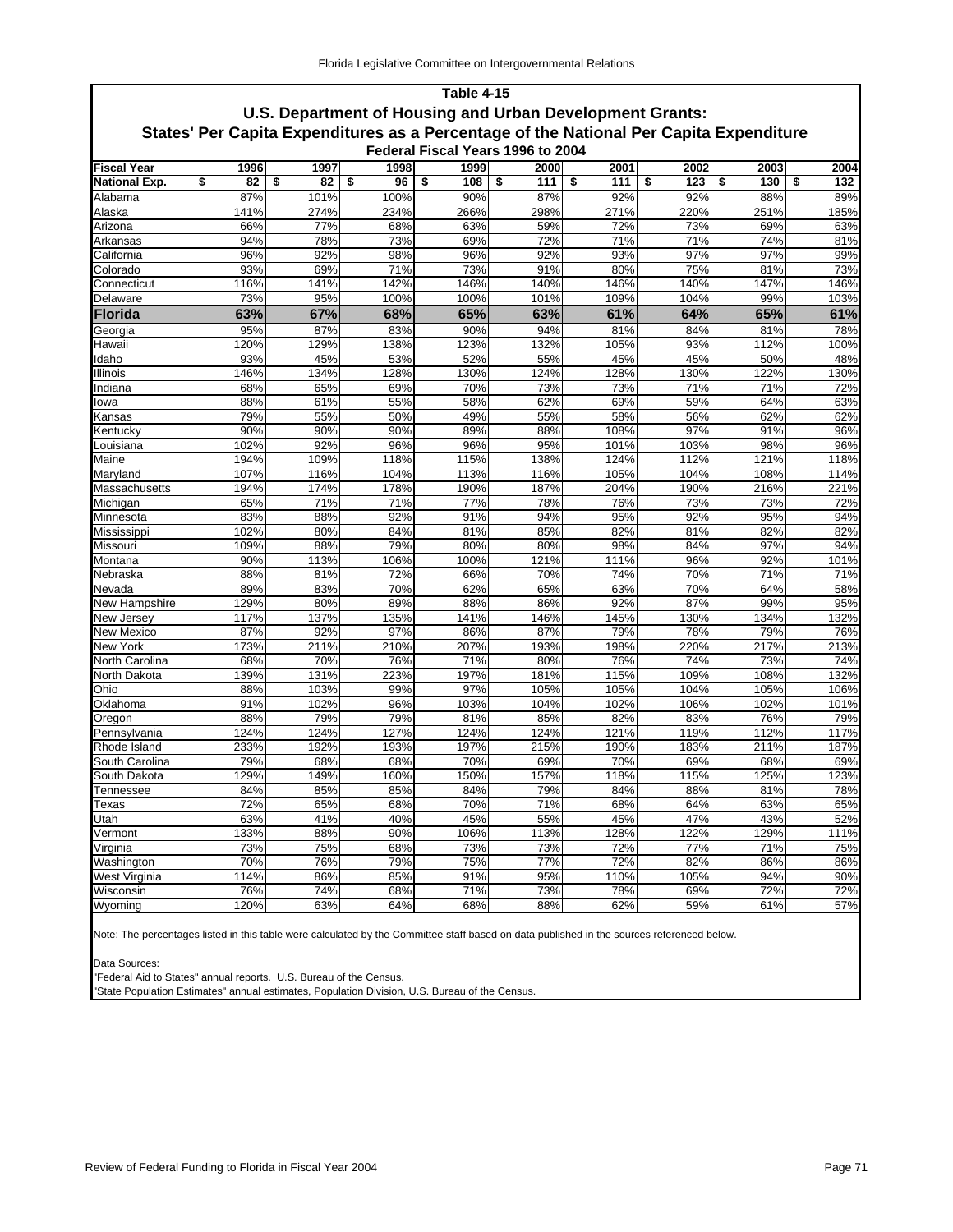| Table 4-15                                                                             |          |          |          |           |           |           |           |           |           |  |  |  |  |
|----------------------------------------------------------------------------------------|----------|----------|----------|-----------|-----------|-----------|-----------|-----------|-----------|--|--|--|--|
| U.S. Department of Housing and Urban Development Grants:                               |          |          |          |           |           |           |           |           |           |  |  |  |  |
| States' Per Capita Expenditures as a Percentage of the National Per Capita Expenditure |          |          |          |           |           |           |           |           |           |  |  |  |  |
| Federal Fiscal Years 1996 to 2004                                                      |          |          |          |           |           |           |           |           |           |  |  |  |  |
| <b>Fiscal Year</b>                                                                     | 1996     | 1997     | 1998     | 1999      | 2000      | 2001      | 2002      | 2003      | 2004      |  |  |  |  |
| <b>National Exp.</b>                                                                   | \$<br>82 | \$<br>82 | 96<br>\$ | 108<br>\$ | \$<br>111 | \$<br>111 | \$<br>123 | \$<br>130 | \$<br>132 |  |  |  |  |
| Alabama                                                                                | 87%      | 101%     | 100%     | 90%       | 87%       | 92%       | 92%       | 88%       | 89%       |  |  |  |  |
| Alaska                                                                                 | 141%     | 274%     | 234%     | 266%      | 298%      | 271%      | 220%      | 251%      | 185%      |  |  |  |  |
| Arizona                                                                                | 66%      | 77%      | 68%      | 63%       | 59%       | 72%       | 73%       | 69%       | 63%       |  |  |  |  |
| Arkansas                                                                               | 94%      | 78%      | 73%      | 69%       | 72%       | 71%       | 71%       | 74%       | 81%       |  |  |  |  |
| California                                                                             | 96%      | 92%      | 98%      | 96%       | 92%       | 93%       | 97%       | 97%       | 99%       |  |  |  |  |
| Colorado                                                                               | 93%      | 69%      | 71%      | 73%       | 91%       | 80%       | 75%       | 81%       | 73%       |  |  |  |  |
| Connecticut                                                                            | 116%     | 141%     | 142%     | 146%      | 140%      | 146%      | 140%      | 147%      | 146%      |  |  |  |  |
| Delaware                                                                               | 73%      | 95%      | 100%     | 100%      | 101%      | 109%      | 104%      | 99%       | 103%      |  |  |  |  |
| Florida                                                                                | 63%      | 67%      | 68%      | 65%       | 63%       | 61%       | 64%       | 65%       | 61%       |  |  |  |  |
| Georgia                                                                                | 95%      | 87%      | 83%      | 90%       | 94%       | 81%       | 84%       | 81%       | 78%       |  |  |  |  |
| Hawaii                                                                                 | 120%     | 129%     | 138%     | 123%      | 132%      | 105%      | 93%       | 112%      | 100%      |  |  |  |  |
| ldaho                                                                                  | 93%      | 45%      | 53%      | 52%       | 55%       | 45%       | 45%       | 50%       | 48%       |  |  |  |  |
| Illinois                                                                               | 146%     | 134%     | 128%     | 130%      | 124%      | 128%      | 130%      | 122%      | 130%      |  |  |  |  |
| Indiana                                                                                | 68%      | 65%      | 69%      | 70%       | 73%       | 73%       | 71%       | 71%       | 72%       |  |  |  |  |
| lowa                                                                                   | 88%      | 61%      | 55%      | 58%       | 62%       | 69%       | 59%       | 64%       | 63%       |  |  |  |  |
| Kansas                                                                                 | 79%      | 55%      | 50%      | 49%       | 55%       | 58%       | 56%       | 62%       | 62%       |  |  |  |  |
| 90%<br>90%<br>89%<br>97%<br>91%<br>96%<br>Kentucky<br>90%<br>88%<br>108%               |          |          |          |           |           |           |           |           |           |  |  |  |  |
| Louisiana                                                                              | 102%     | 92%      | 96%      | 96%       | 95%       | 101%      | 103%      | 98%       | 96%       |  |  |  |  |
| Maine                                                                                  | 194%     | 109%     | 118%     | 115%      | 138%      | 124%      | 112%      | 121%      | 118%      |  |  |  |  |
| Maryland                                                                               | 107%     | 116%     | 104%     | 113%      | 116%      | 105%      | 104%      | 108%      | 114%      |  |  |  |  |
| Massachusetts                                                                          | 194%     | 174%     | 178%     | 190%      | 187%      | 204%      | 190%      | 216%      | 221%      |  |  |  |  |
| Michigan                                                                               | 65%      | 71%      | 71%      | 77%       | 78%       | 76%       | 73%       | 73%       | 72%       |  |  |  |  |
| Minnesota                                                                              | 83%      | 88%      | 92%      | 91%       | 94%       | 95%       | 92%       | 95%       | 94%       |  |  |  |  |
| Mississippi                                                                            | 102%     | 80%      | 84%      | 81%       | 85%       | 82%       | 81%       | 82%       | 82%       |  |  |  |  |
| Missouri                                                                               | 109%     | 88%      | 79%      | 80%       | 80%       | 98%       | 84%       | 97%       | 94%       |  |  |  |  |
| Montana                                                                                | 90%      | 113%     | 106%     | 100%      | 121%      | 111%      | 96%       | 92%       | 101%      |  |  |  |  |
| Nebraska                                                                               | 88%      | 81%      | 72%      | 66%       | 70%       | 74%       | 70%       | 71%       | 71%       |  |  |  |  |
| Nevada                                                                                 | 89%      | 83%      | 70%      | 62%       | 65%       | 63%       | 70%       | 64%       | 58%       |  |  |  |  |
| New Hampshire                                                                          | 129%     | 80%      | 89%      | 88%       | 86%       | 92%       | 87%       | 99%       | 95%       |  |  |  |  |
| New Jersey                                                                             | 117%     | 137%     | 135%     | 141%      | 146%      | 145%      | 130%      | 134%      | 132%      |  |  |  |  |
| New Mexico                                                                             | 87%      | 92%      | 97%      | 86%       | 87%       | 79%       | 78%       | 79%       | 76%       |  |  |  |  |
| New York                                                                               | 173%     | 211%     | 210%     | 207%      | 193%      | 198%      | 220%      | 217%      | 213%      |  |  |  |  |
| North Carolina                                                                         | 68%      | 70%      | 76%      | 71%       | 80%       | 76%       | 74%       | 73%       | 74%       |  |  |  |  |
| North Dakota                                                                           | 139%     | 131%     | 223%     | 197%      | 181%      | 115%      | 109%      | 108%      | 132%      |  |  |  |  |
| Ohio                                                                                   | 88%      | 103%     | 99%      | 97%       | 105%      | 105%      | 104%      | 105%      | 106%      |  |  |  |  |
| Oklahoma                                                                               | 91%      | 102%     | 96%      | 103%      | 104%      | 102%      | 106%      | 102%      | 101%      |  |  |  |  |
| Oregon                                                                                 | 88%      | 79%      | 79%      | 81%       | 85%       | 82%       | 83%       | 76%       | 79%       |  |  |  |  |
| Pennsylvania                                                                           | 124%     | 124%     | 127%     | 124%      | 124%      | 121%      | 119%      | 112%      | 117%      |  |  |  |  |
| Rhode Island                                                                           | 233%     | 192%     | 193%     | 197%      | 215%      | 190%      | 183%      | 211%      | 187%      |  |  |  |  |
| South Carolina                                                                         | 79%      | 68%      | 68%      | 70%       | 69%       | 70%       | 69%       | 68%       | 69%       |  |  |  |  |
| South Dakota                                                                           | 129%     | 149%     | 160%     | 150%      | 157%      | 118%      | 115%      | 125%      | 123%      |  |  |  |  |
| Tennessee                                                                              | 84%      | 85%      | 85%      | 84%       | 79%       | 84%       | 88%       | 81%       | 78%       |  |  |  |  |
| Texas                                                                                  | 72%      | 65%      | 68%      | 70%       | 71%       | 68%       | 64%       | 63%       | 65%       |  |  |  |  |
| Utah                                                                                   | 63%      | 41%      | 40%      | 45%       | 55%       | 45%       | 47%       | 43%       | 52%       |  |  |  |  |
| Vermont                                                                                | 133%     | 88%      | 90%      | 106%      | 113%      | 128%      | 122%      | 129%      | 111%      |  |  |  |  |
| Virginia                                                                               | 73%      | 75%      | 68%      | 73%       | 73%       | 72%       | 77%       | 71%       | 75%       |  |  |  |  |
| Washington                                                                             | 70%      | 76%      | 79%      | 75%       | 77%       | 72%       | 82%       | 86%       | 86%       |  |  |  |  |
| West Virginia                                                                          | 114%     | 86%      | 85%      | 91%       | 95%       | 110%      | 105%      | 94%       | 90%       |  |  |  |  |
| Wisconsin                                                                              | 76%      | 74%      | 68%      | 71%       | 73%       | 78%       | 69%       | 72%       | 72%       |  |  |  |  |
| Wyoming                                                                                | 120%     | 63%      | 64%      | 68%       | 88%       | 62%       | 59%       | 61%       | 57%       |  |  |  |  |

Data Sources:

"Federal Aid to States" annual reports. U.S. Bureau of the Census.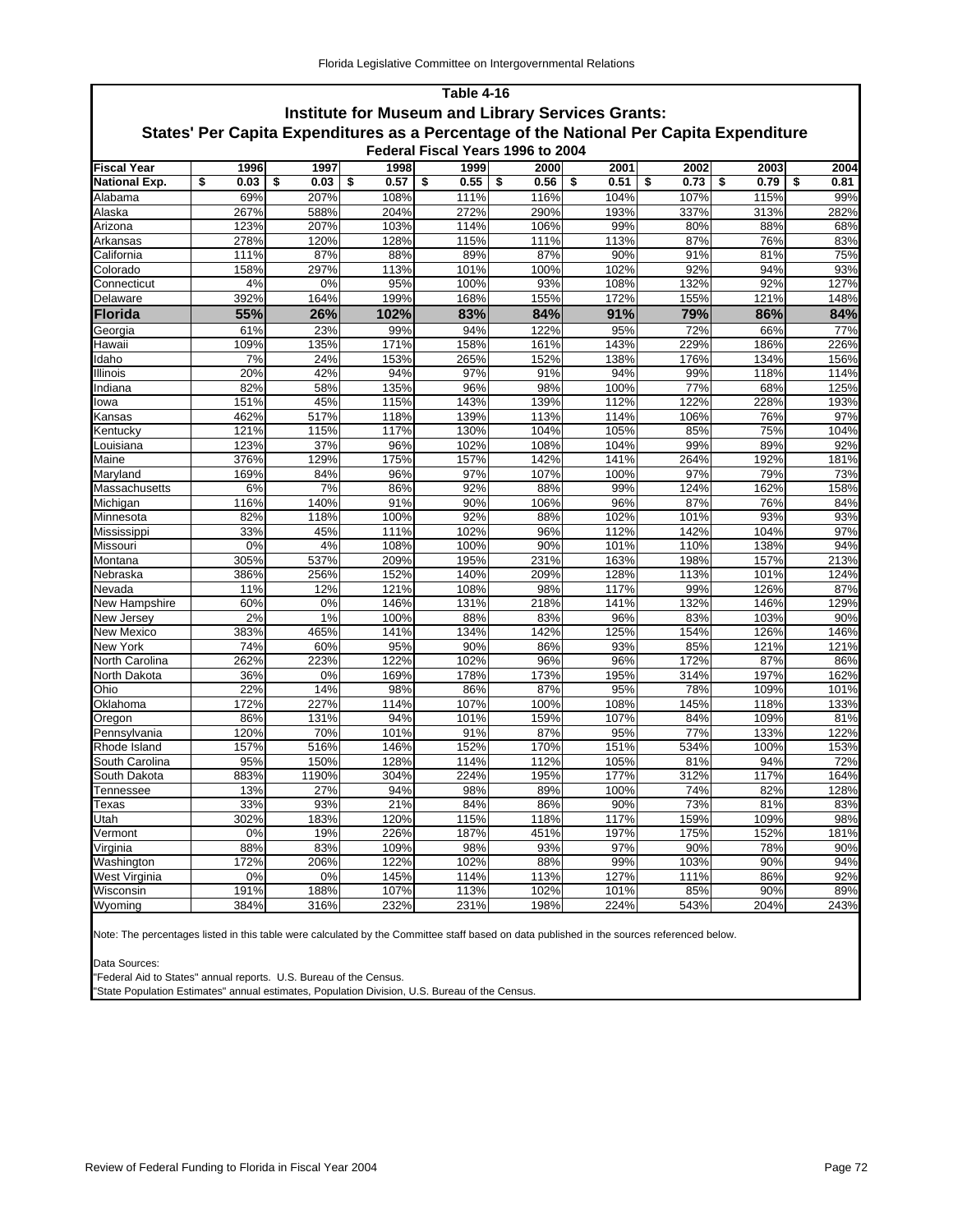|                                                                                                                                                    | Table 4-16 |            |            |            |            |            |             |            |            |  |  |  |
|----------------------------------------------------------------------------------------------------------------------------------------------------|------------|------------|------------|------------|------------|------------|-------------|------------|------------|--|--|--|
|                                                                                                                                                    |            |            |            |            |            |            |             |            |            |  |  |  |
| <b>Institute for Museum and Library Services Grants:</b><br>States' Per Capita Expenditures as a Percentage of the National Per Capita Expenditure |            |            |            |            |            |            |             |            |            |  |  |  |
| Federal Fiscal Years 1996 to 2004                                                                                                                  |            |            |            |            |            |            |             |            |            |  |  |  |
| 1996<br>1998<br>1999<br>2000<br>2001<br><b>Fiscal Year</b><br>1997<br>2002<br>2003<br>2004                                                         |            |            |            |            |            |            |             |            |            |  |  |  |
| <b>National Exp.</b>                                                                                                                               | 0.03<br>\$ | 0.03<br>\$ | 0.57<br>\$ | 0.55<br>\$ | 0.56<br>\$ | 0.51<br>\$ | 0.73<br>\$  | 0.79<br>\$ | 0.81<br>\$ |  |  |  |
| Alabama                                                                                                                                            | 69%        | 207%       | 108%       | 111%       | 116%       | 104%       | 107%        | 115%       | 99%        |  |  |  |
| Alaska                                                                                                                                             | 267%       | 588%       | 204%       | 272%       | 290%       | 193%       | 337%        | 313%       | 282%       |  |  |  |
| Arizona                                                                                                                                            | 123%       | 207%       | 103%       | 114%       | 106%       | 99%        | 80%         | 88%        | 68%        |  |  |  |
| Arkansas                                                                                                                                           | 278%       | 120%       | 128%       | 115%       | 111%       | 113%       | 87%         | 76%        | 83%        |  |  |  |
| California                                                                                                                                         | 111%       | 87%        | 88%        | 89%        | 87%        | 90%        | 91%         | 81%        | 75%        |  |  |  |
| Colorado                                                                                                                                           | 158%       | 297%       | 113%       | 101%       | 100%       | 102%       | 92%         | 94%        | 93%        |  |  |  |
| Connecticut                                                                                                                                        | 4%         | 0%         | 95%        | 100%       | 93%        | 108%       | 132%        | 92%        | 127%       |  |  |  |
| Delaware                                                                                                                                           | 392%       | 164%       | 199%       | 168%       | 155%       | 172%       | 155%        | 121%       | 148%       |  |  |  |
| <b>Florida</b>                                                                                                                                     | 55%        | 26%        | 102%       | 83%        | 84%        | 91%        | 79%         | 86%        | 84%        |  |  |  |
| Georgia                                                                                                                                            | 61%        | 23%        | 99%        | 94%        | 122%       | 95%        | 72%         | 66%        | 77%        |  |  |  |
| Hawaii                                                                                                                                             | 109%       | 135%       | 171%       | 158%       | 161%       | 143%       | 229%        | 186%       | 226%       |  |  |  |
| Idaho                                                                                                                                              | 7%         | 24%        | 153%       | 265%       | 152%       | 138%       | 176%        | 134%       | 156%       |  |  |  |
| Illinois                                                                                                                                           | 20%        | 42%        | 94%        | 97%        | 91%        | 94%        | 99%         | 118%       | 114%       |  |  |  |
| Indiana                                                                                                                                            | 82%        | 58%        | 135%       | 96%        | 98%        | 100%       | 77%         | 68%        | 125%       |  |  |  |
| Iowa                                                                                                                                               | 151%       | 45%        | 115%       | 143%       | 139%       | 112%       | 122%        | 228%       | 193%       |  |  |  |
| Kansas                                                                                                                                             | 462%       | 517%       | 118%       | 139%       | 113%       | 114%       | 106%        | 76%        | 97%        |  |  |  |
| Kentucky                                                                                                                                           | 121%       | 115%       | 117%       | 130%       | 104%       | 105%       | 85%         | 75%        | 104%       |  |  |  |
| Louisiana                                                                                                                                          | 123%       | 37%        | 96%        | 102%       | 108%       | 104%       | 99%         | 89%        | 92%        |  |  |  |
| Maine                                                                                                                                              | 376%       | 129%       | 175%       | 157%       | 142%       | 141%       | 264%        | 192%       | 181%       |  |  |  |
| Maryland                                                                                                                                           | 169%       | 84%        | 96%        | 97%        | 107%       | 100%       | 97%         | 79%        | 73%        |  |  |  |
| Massachusetts                                                                                                                                      | 6%         | 7%         | 86%        | 92%        | 88%        | 99%        | 124%        | 162%       | 158%       |  |  |  |
| Michigan                                                                                                                                           | 116%       | 140%       | 91%        | 90%        | 106%       | 96%        | 87%         | 76%        | 84%        |  |  |  |
| Minnesota                                                                                                                                          | 82%        | 118%       | 100%       | 92%        | 88%        | 102%       | 101%        | 93%        | 93%        |  |  |  |
| Mississippi                                                                                                                                        | 33%        | 45%        | 111%       | 102%       | 96%        | 112%       | 142%        | 104%       | 97%        |  |  |  |
| Missouri                                                                                                                                           | 0%         | 4%         | 108%       | 100%       | 90%        | 101%       | 110%        | 138%       | 94%        |  |  |  |
| Montana                                                                                                                                            | 305%       | 537%       | 209%       | 195%       | 231%       | 163%       | 198%        | 157%       | 213%       |  |  |  |
| Nebraska                                                                                                                                           | 386%       | 256%       | 152%       | 140%       | 209%       | 128%       | 113%        | 101%       | 124%       |  |  |  |
| Nevada                                                                                                                                             | 11%        | 12%        | 121%       | 108%       | 98%        | 117%       | 99%         | 126%       | 87%        |  |  |  |
| New Hampshire                                                                                                                                      | 60%        | 0%         | 146%       | 131%       | 218%       | 141%       | 132%        | 146%       | 129%       |  |  |  |
| New Jersey                                                                                                                                         | 2%         | 1%         | 100%       | 88%        | 83%        | 96%        | 83%         | 103%       | 90%        |  |  |  |
| New Mexico                                                                                                                                         | 383%       | 465%       | 141%       | 134%       | 142%       | 125%       | 154%        | 126%       | 146%       |  |  |  |
| New York                                                                                                                                           | 74%        | 60%        | 95%        | 90%        | 86%        | 93%        | 85%         | 121%       | 121%       |  |  |  |
| North Carolina                                                                                                                                     | 262%       | 223%       | 122%       | 102%       | 96%        | 96%        | 172%        | 87%        | 86%        |  |  |  |
| North Dakota                                                                                                                                       | 36%        | 0%         | 169%       | 178%       | 173%       | 195%       | 314%        | 197%       | 162%       |  |  |  |
| Ohio                                                                                                                                               | 22%        | 14%        | 98%        | 86%        | 87%        | 95%        | 78%         | 109%       | 101%       |  |  |  |
| Oklahoma                                                                                                                                           | 172%       | 227%       | 114%       | 107%       | 100%       | 108%       | 145%        | 118%       | 133%       |  |  |  |
| Oregon                                                                                                                                             | 86%        | 131%       | 94%        | 101%       | 159%       | 107%       | 84%         | 109%       | 81%        |  |  |  |
| Pennsylvania                                                                                                                                       | 120%       | 70%        | 101%       | 91%        | 87%        | 95%        | 77%         | 133%       | 122%       |  |  |  |
| Rhode Island                                                                                                                                       | 157%       | 516%       | 146%       | 152%       | 170%       | 151%       | 534%        | 100%       | 153%       |  |  |  |
| South Carolina                                                                                                                                     | 95%        | 150%       | 128%       | 114%       | 112%       | 105%       | 81%         | 94%        | 72%        |  |  |  |
| South Dakota                                                                                                                                       | 883%       | 1190%      | 304%       | 224%       | 195%       | 177%       | 312%        | 117%       | 164%       |  |  |  |
| Tennessee                                                                                                                                          | 13%        | 27%        | 94%        | 98%        | 89%        | 100%       | 74%         | 82%        | 128%       |  |  |  |
| Texas                                                                                                                                              | 33%        | 93%        | 21%        | 84%        | 86%        | 90%        | 73%         | 81%        | 83%        |  |  |  |
| Utah                                                                                                                                               | 302%       | 183%       | 120%       | 115%       | 118%       | 117%       | 159%        | 109%       | 98%        |  |  |  |
| Vermont                                                                                                                                            | 0%         | 19%        | 226%       | 187%       | 451%       | 197%       | 175%        | 152%       | 181%       |  |  |  |
| Virginia                                                                                                                                           | 88%        | 83%        | 109%       | 98%        | 93%        | 97%        | 90%         | 78%        | 90%        |  |  |  |
| Washington                                                                                                                                         | 172%       | 206%       | 122%       | 102%       | 88%        | 99%        | 103%        | 90%        | 94%        |  |  |  |
| <b>West Virginia</b>                                                                                                                               | 0%         | 0%         | 145%       | 114%       | 113%       | 127%       | 111%        | 86%        | 92%        |  |  |  |
| Wisconsin                                                                                                                                          | 191%       | 188%       | 107%       | 113%       | 102%       | 101%       | 85%<br>543% | 90%        | 89%        |  |  |  |
| Wyoming                                                                                                                                            | 384%       | 316%       | 232%       | 231%       | 198%       | 224%       |             | 204%       | 243%       |  |  |  |

Data Sources:

"Federal Aid to States" annual reports. U.S. Bureau of the Census.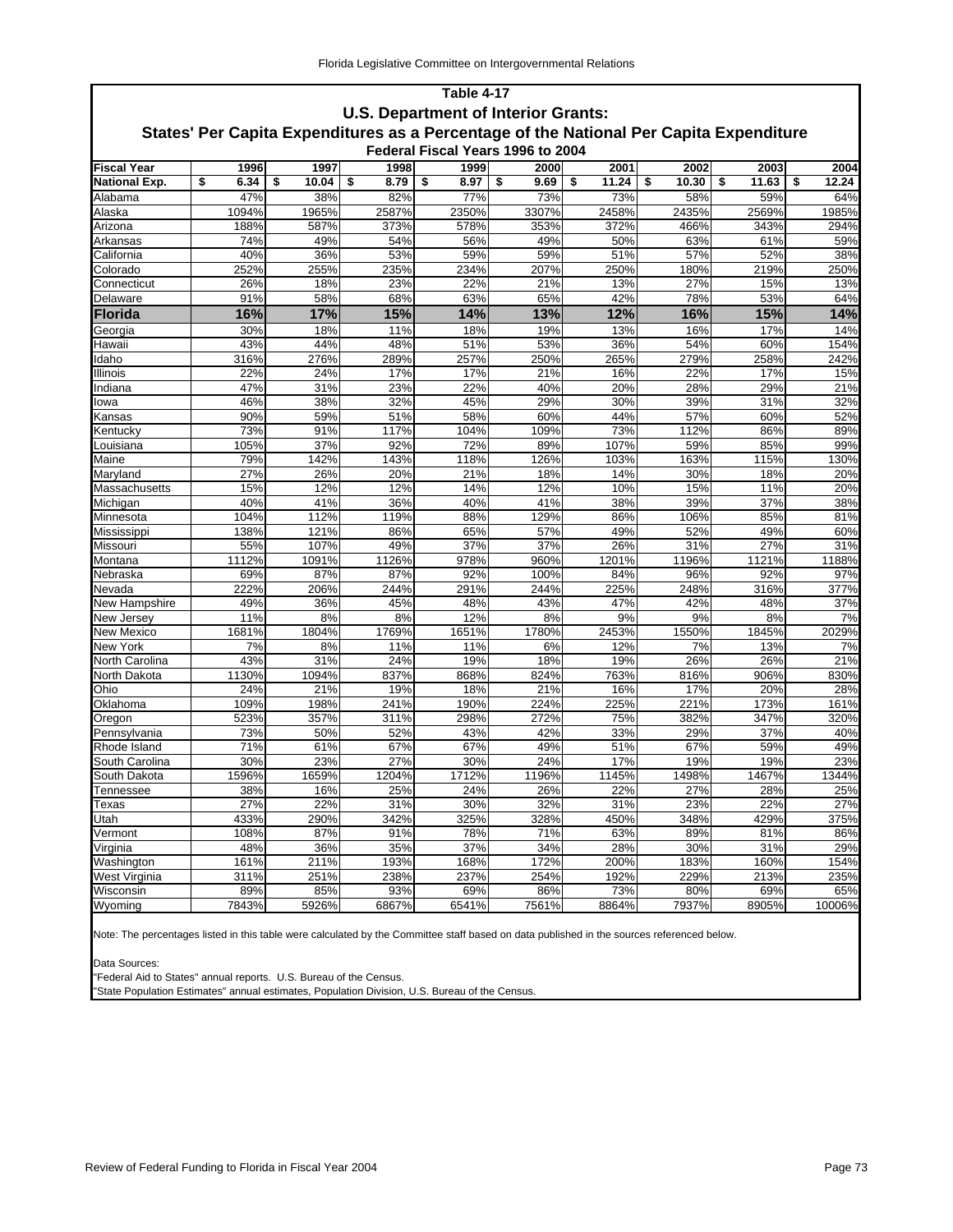| Table 4-17                                                                                                                  |                    |                     |                    |                    |                    |                     |                     |                     |                     |
|-----------------------------------------------------------------------------------------------------------------------------|--------------------|---------------------|--------------------|--------------------|--------------------|---------------------|---------------------|---------------------|---------------------|
| <b>U.S. Department of Interior Grants:</b>                                                                                  |                    |                     |                    |                    |                    |                     |                     |                     |                     |
| States' Per Capita Expenditures as a Percentage of the National Per Capita Expenditure<br>Federal Fiscal Years 1996 to 2004 |                    |                     |                    |                    |                    |                     |                     |                     |                     |
|                                                                                                                             |                    |                     |                    |                    |                    |                     |                     |                     |                     |
| <b>Fiscal Year</b><br><b>National Exp.</b>                                                                                  | 1996<br>\$<br>6.34 | 1997<br>10.04<br>\$ | 1998<br>8.79<br>\$ | 1999<br>8.97<br>\$ | 2000<br>\$<br>9.69 | 2001<br>11.24<br>\$ | 2002<br>10.30<br>\$ | 2003<br>11.63<br>\$ | 2004<br>\$<br>12.24 |
|                                                                                                                             |                    |                     |                    |                    |                    |                     |                     |                     |                     |
| Alabama                                                                                                                     | 47%                | 38%                 | 82%<br>2587%       | 77%<br>2350%       | 73%<br>3307%       | 73%<br>2458%        | 58%                 | 59%                 | 64%                 |
| Alaska<br>Arizona                                                                                                           | 1094%<br>188%      | 1965%<br>587%       | 373%               | 578%               | 353%               | 372%                | 2435%<br>466%       | 2569%<br>343%       | 1985%<br>294%       |
| Arkansas                                                                                                                    | 74%                | 49%                 | 54%                | 56%                | 49%                | 50%                 | 63%                 | 61%                 | 59%                 |
| California                                                                                                                  | 40%                | 36%                 | 53%                | 59%                | 59%                | 51%                 | 57%                 | 52%                 | 38%                 |
| Colorado                                                                                                                    | 252%               | 255%                | 235%               | 234%               | 207%               | 250%                | 180%                | 219%                | 250%                |
| Connecticut                                                                                                                 | 26%                | 18%                 | 23%                | 22%                | 21%                | 13%                 | 27%                 | 15%                 | 13%                 |
| Delaware                                                                                                                    | 91%                | 58%                 | 68%                | 63%                | 65%                | 42%                 | 78%                 | 53%                 | 64%                 |
| Florida                                                                                                                     | 16%                | 17%                 | 15%                | 14%                | 13%                | 12%                 | 16%                 | 15%                 | 14%                 |
| Georgia                                                                                                                     | 30%                | 18%                 | 11%                | 18%                | 19%                | 13%                 | 16%                 | 17%                 | 14%                 |
| Hawaii                                                                                                                      | 43%                | 44%                 | 48%                | 51%                | 53%                | 36%                 | 54%                 | 60%                 | 154%                |
| ldaho                                                                                                                       | 316%               | 276%                | 289%               | 257%               | 250%               | 265%                | 279%                | 258%                | 242%                |
| Illinois                                                                                                                    | 22%                | 24%                 | 17%                | 17%                | 21%                | 16%                 | 22%                 | 17%                 | 15%                 |
| Indiana                                                                                                                     | 47%                | 31%                 | 23%                | 22%                | 40%                | 20%                 | 28%                 | 29%                 | 21%                 |
| lowa                                                                                                                        | 46%                | 38%                 | 32%                | 45%                | 29%                | 30%                 | 39%                 | 31%                 | 32%                 |
| Kansas                                                                                                                      | 90%                | 59%                 | 51%                | 58%                | 60%                | 44%                 | 57%                 | 60%                 | 52%                 |
| Kentucky                                                                                                                    | 73%                | 91%                 | 117%               | 104%               | 109%               | 73%                 | 112%                | 86%                 | 89%                 |
| Louisiana                                                                                                                   | 105%               | 37%                 | 92%                | 72%                | 89%                | 107%                | 59%                 | 85%                 | 99%                 |
| Maine                                                                                                                       | 79%                | 142%                | 143%               | 118%               | 126%               | 103%                | 163%                | 115%                | 130%                |
| Maryland                                                                                                                    | 27%                | 26%                 | 20%                | 21%                | 18%                | 14%                 | 30%                 | 18%                 | 20%                 |
| Massachusetts                                                                                                               | 15%                | 12%                 | 12%                | 14%                | 12%                | 10%                 | 15%                 | 11%                 | 20%                 |
| Michigan                                                                                                                    | 40%                | 41%                 | 36%                | 40%                | 41%                | 38%                 | 39%                 | 37%                 | 38%                 |
| Minnesota                                                                                                                   | 104%               | 112%                | 119%               | 88%                | 129%               | 86%                 | 106%                | 85%                 | 81%                 |
| Mississippi                                                                                                                 | 138%               | 121%                | 86%                | 65%                | 57%                | 49%                 | 52%                 | 49%                 | 60%                 |
| Missouri                                                                                                                    | 55%                | 107%                | 49%                | 37%                | 37%                | 26%                 | 31%                 | 27%                 | 31%                 |
| Montana                                                                                                                     | 1112%              | 1091%               | 1126%              | 978%               | 960%               | 1201%               | 1196%               | 1121%               | 1188%               |
| Nebraska                                                                                                                    | 69%                | 87%                 | 87%                | 92%                | 100%               | 84%                 | 96%                 | 92%                 | 97%                 |
| Nevada                                                                                                                      | 222%               | 206%                | 244%               | 291%               | 244%               | 225%                | 248%                | 316%                | 377%                |
| New Hampshire                                                                                                               | 49%                | 36%                 | 45%                | 48%                | 43%                | 47%                 | 42%                 | 48%                 | 37%                 |
| New Jersey                                                                                                                  | 11%                | 8%                  | 8%                 | 12%                | 8%                 | 9%                  | 9%                  | 8%                  | 7%                  |
| New Mexico                                                                                                                  | 1681%              | 1804%               | 1769%              | 1651%              | 1780%              | 2453%               | 1550%               | 1845%               | 2029%               |
| New York                                                                                                                    | 7%                 | 8%                  | 11%                | 11%                | 6%                 | 12%                 | 7%                  | 13%                 | 7%                  |
| North Carolina                                                                                                              | 43%                | 31%                 | 24%                | 19%                | 18%                | 19%                 | 26%                 | 26%                 | 21%                 |
| North Dakota                                                                                                                | 1130%              | 1094%               | 837%               | 868%               | 824%               | 763%                | 816%                | 906%                | 830%                |
| Ohio                                                                                                                        | 24%                | 21%                 | 19%                | 18%                | 21%                | 16%                 | 17%                 | 20%                 | 28%                 |
| Oklahoma                                                                                                                    | 109%               | 198%                | 241%               | 190%               | 224%               | 225%                | 221%                | 173%                | 161%                |
| Oregon                                                                                                                      | 523%               | 357%                | 311%               | 298%               | 272%               | 75%                 | 382%                | 347%                | 320%                |
| Pennsylvania                                                                                                                | 73%                | 50%                 | 52%                | 43%                | 42%                | 33%                 | 29%                 | 37%                 | 40%                 |
| Rhode Island                                                                                                                | 71%                | 61%                 | 67%                | 67%                | 49%                | 51%                 | 67%                 | 59%                 | 49%                 |
| South Carolina                                                                                                              | 30%                | 23%                 | 27%                | 30%                | 24%                | 17%                 | 19%                 | 19%                 | 23%                 |
| South Dakota                                                                                                                | 1596%              | 1659%               | 1204%              | 1712%              | 1196%              | 1145%               | 1498%               | 1467%               | 1344%               |
| Tennessee                                                                                                                   | 38%                | 16%                 | 25%                | 24%                | 26%                | 22%                 | 27%                 | 28%                 | 25%                 |
| Texas                                                                                                                       | 27%                | 22%                 | 31%                | 30%                | 32%                | 31%                 | 23%                 | 22%                 | 27%                 |
| Utah                                                                                                                        | 433%               | 290%                | 342%               | 325%               | 328%               | 450%                | 348%                | 429%                | 375%                |
| Vermont                                                                                                                     | 108%               | 87%                 | 91%                | 78%                | 71%                | 63%                 | 89%                 | 81%                 | 86%                 |
| Virginia                                                                                                                    | 48%                | 36%                 | 35%                | 37%                | 34%                | 28%                 | 30%                 | 31%                 | 29%                 |
| Washington                                                                                                                  | 161%               | 211%                | 193%               | 168%               | 172%               | 200%                | 183%                | 160%                | 154%                |
| West Virginia                                                                                                               | 311%               | 251%                | 238%               | 237%               | 254%               | 192%                | 229%                | 213%                | 235%                |
| Wisconsin                                                                                                                   | 89%                | 85%                 | 93%                | 69%                | 86%                | 73%                 | 80%                 | 69%                 | 65%                 |
| Wyoming                                                                                                                     | 7843%              | 5926%               | 6867%              | 6541%              | 7561%              | 8864%               | 7937%               | 8905%               | 10006%              |

Data Sources:

"Federal Aid to States" annual reports. U.S. Bureau of the Census.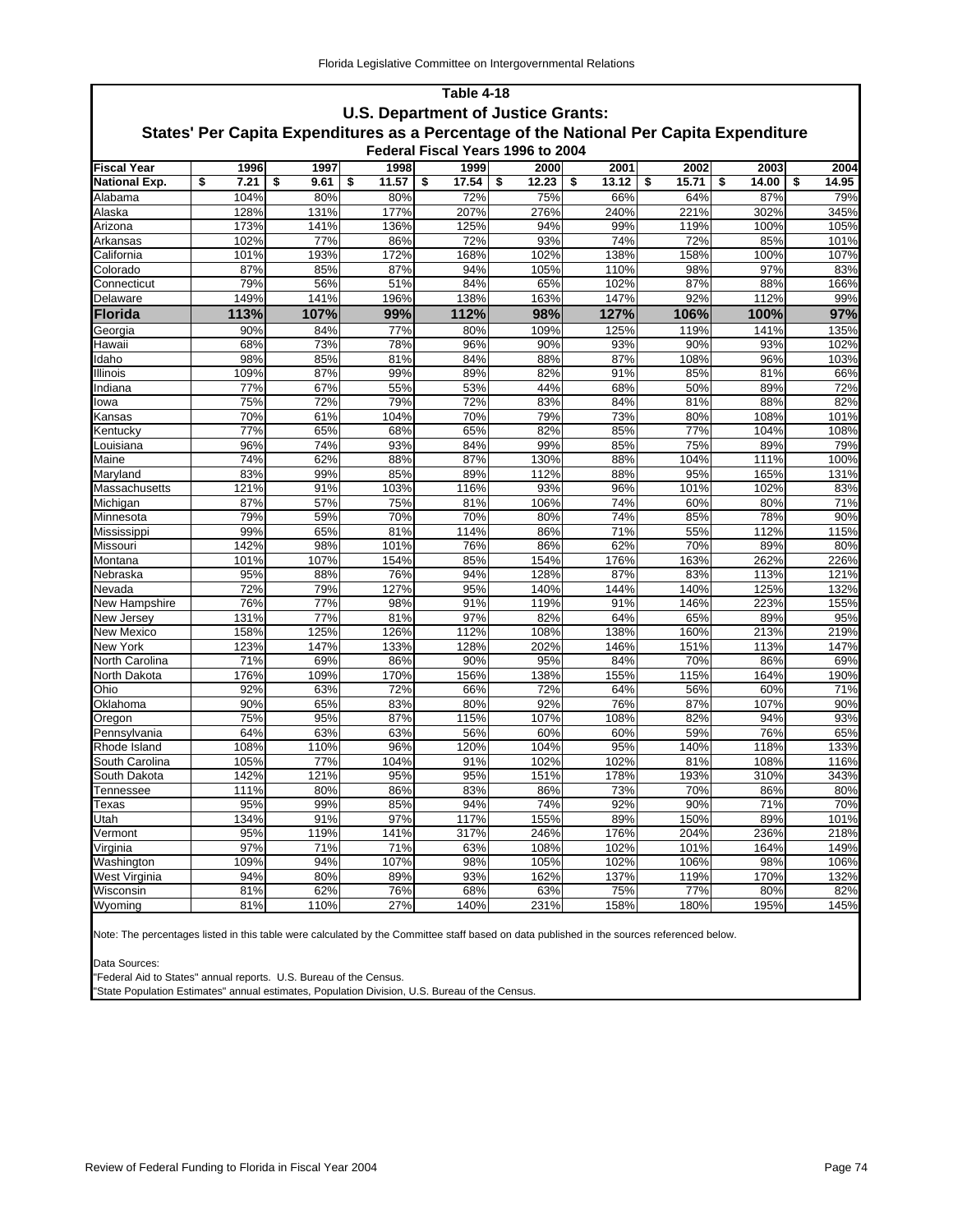| Table 4-18                                                                                                                          |            |            |             |             |             |             |             |             |             |
|-------------------------------------------------------------------------------------------------------------------------------------|------------|------------|-------------|-------------|-------------|-------------|-------------|-------------|-------------|
|                                                                                                                                     |            |            |             |             |             |             |             |             |             |
| <b>U.S. Department of Justice Grants:</b><br>States' Per Capita Expenditures as a Percentage of the National Per Capita Expenditure |            |            |             |             |             |             |             |             |             |
| Federal Fiscal Years 1996 to 2004                                                                                                   |            |            |             |             |             |             |             |             |             |
| <b>Fiscal Year</b>                                                                                                                  | 1996       | 1997       | 1998        | 1999        | 2000        | 2001        | 2002        | 2003        | 2004        |
| <b>National Exp.</b>                                                                                                                | \$<br>7.21 | \$<br>9.61 | 11.57<br>\$ | \$<br>17.54 | 12.23<br>\$ | 13.12<br>\$ | \$<br>15.71 | \$<br>14.00 | \$<br>14.95 |
| Alabama                                                                                                                             | 104%       | 80%        | 80%         | 72%         | 75%         | 66%         | 64%         | 87%         | 79%         |
| Alaska                                                                                                                              | 128%       | 131%       | 177%        | 207%        | 276%        | 240%        | 221%        | 302%        | 345%        |
| Arizona                                                                                                                             | 173%       | 141%       | 136%        | 125%        | 94%         | 99%         | 119%        | 100%        | 105%        |
| Arkansas                                                                                                                            | 102%       | 77%        | 86%         | 72%         | 93%         | 74%         | 72%         | 85%         | 101%        |
| California                                                                                                                          | 101%       | 193%       | 172%        | 168%        | 102%        | 138%        | 158%        | 100%        | 107%        |
| Colorado                                                                                                                            | 87%        | 85%        | 87%         | 94%         | 105%        | 110%        | 98%         | 97%         | 83%         |
| Connecticut                                                                                                                         | 79%        | 56%        | 51%         | 84%         | 65%         | 102%        | 87%         | 88%         | 166%        |
| Delaware                                                                                                                            | 149%       | 141%       | 196%        | 138%        | 163%        | 147%        | 92%         | 112%        | 99%         |
| Florida                                                                                                                             | 113%       | 107%       | 99%         | 112%        | 98%         | 127%        | 106%        | 100%        | 97%         |
| Georgia                                                                                                                             | 90%        | 84%        | 77%         | 80%         | 109%        | 125%        | 119%        | 141%        | 135%        |
| Hawaii                                                                                                                              | 68%        | 73%        | 78%         | 96%         | 90%         | 93%         | 90%         | 93%         | 102%        |
| ldaho                                                                                                                               | 98%        | 85%        | 81%         | 84%         | 88%         | 87%         | 108%        | 96%         | 103%        |
| Illinois                                                                                                                            | 109%       | 87%        | 99%         | 89%         | 82%         | 91%         | 85%         | 81%         | 66%         |
| Indiana                                                                                                                             | 77%        | 67%        | 55%         | 53%         | 44%         | 68%         | 50%         | 89%         | 72%         |
| lowa                                                                                                                                | 75%        | 72%        | 79%         | 72%         | 83%         | 84%         | 81%         | 88%         | 82%         |
| Kansas                                                                                                                              | 70%        | 61%        | 104%        | 70%         | 79%         | 73%         | 80%         | 108%        | 101%        |
| Kentucky                                                                                                                            | 77%        | 65%        | 68%         | 65%         | 82%         | 85%         | 77%         | 104%        | 108%        |
| Louisiana                                                                                                                           | 96%        | 74%        | 93%         | 84%         | 99%         | 85%         | 75%         | 89%         | 79%         |
| Maine                                                                                                                               | 74%        | 62%        | 88%         | 87%         | 130%        | 88%         | 104%        | 111%        | 100%        |
| Maryland                                                                                                                            | 83%        | 99%        | 85%         | 89%         | 112%        | 88%         | 95%         | 165%        | 131%        |
| Massachusetts                                                                                                                       | 121%       | 91%        | 103%        | 116%        | 93%         | 96%         | 101%        | 102%        | 83%         |
| Michigan                                                                                                                            | 87%        | 57%        | 75%         | 81%         | 106%        | 74%         | 60%         | 80%         | 71%         |
| Minnesota                                                                                                                           | 79%        | 59%        | 70%         | 70%         | 80%         | 74%         | 85%         | 78%         | 90%         |
| Mississippi                                                                                                                         | 99%        | 65%        | 81%         | 114%        | 86%         | 71%         | 55%         | 112%        | 115%        |
| Missouri                                                                                                                            | 142%       | 98%        | 101%        | 76%         | 86%         | 62%         | 70%         | 89%         | 80%         |
| Montana                                                                                                                             | 101%       | 107%       | 154%        | 85%         | 154%        | 176%        | 163%        | 262%        | 226%        |
| Nebraska                                                                                                                            | 95%        | 88%        | 76%         | 94%         | 128%        | 87%         | 83%         | 113%        | 121%        |
| Nevada                                                                                                                              | 72%        | 79%        | 127%        | 95%         | 140%        | 144%        | 140%        | 125%        | 132%        |
| New Hampshire                                                                                                                       | 76%        | 77%        | 98%         | 91%         | 119%        | 91%         | 146%        | 223%        | 155%        |
| New Jersey                                                                                                                          | 131%       | 77%        | 81%         | 97%         | 82%         | 64%         | 65%         | 89%         | 95%         |
| New Mexico                                                                                                                          | 158%       | 125%       | 126%        | 112%        | 108%        | 138%        | 160%        | 213%        | 219%        |
| New York                                                                                                                            | 123%       | 147%       | 133%        | 128%        | 202%        | 146%        | 151%        | 113%        | 147%        |
| North Carolina                                                                                                                      | 71%        | 69%        | 86%         | 90%         | 95%         | 84%         | 70%         | 86%         | 69%         |
| North Dakota                                                                                                                        | 176%       | 109%       | 170%        | 156%        | 138%        | 155%        | 115%        | 164%        | 190%        |
| Ohio                                                                                                                                | 92%        | 63%        | 72%         | 66%         | 72%         | 64%         | 56%         | 60%         | 71%         |
| Oklahoma                                                                                                                            | 90%        | 65%        | 83%         | 80%         | 92%         | 76%         | 87%         | 107%        | 90%         |
| Oregon                                                                                                                              | 75%        | 95%        | 87%         | 115%        | 107%        | 108%        | 82%         | 94%         | 93%         |
| Pennsylvania                                                                                                                        | 64%        | 63%        | 63%         | 56%         | 60%         | 60%         | 59%         | 76%         | 65%         |
| Rhode Island                                                                                                                        | 108%       | 110%       | 96%         | 120%        | 104%        | 95%         | 140%        | 118%        | 133%        |
| South Carolina                                                                                                                      | 105%       | 77%        | 104%        | 91%         | 102%        | 102%        | 81%         | 108%        | 116%        |
| South Dakota                                                                                                                        | 142%       | 121%       | 95%         | 95%         | 151%        | 178%        | 193%        | 310%        | 343%        |
| Tennessee                                                                                                                           | 111%       | 80%        | 86%         | 83%         | 86%         | 73%         | 70%         | 86%         | 80%         |
| Texas                                                                                                                               | 95%        | 99%        | 85%         | 94%         | 74%         | 92%         | 90%         | 71%         | 70%         |
| Utah                                                                                                                                | 134%       | 91%        | 97%         | 117%        | 155%        | 89%         | 150%        | 89%         | 101%        |
| Vermont                                                                                                                             | 95%        | 119%       | 141%        | 317%        | 246%        | 176%        | 204%        | 236%        | 218%        |
| Virginia                                                                                                                            | 97%        | 71%        | 71%         | 63%         | 108%        | 102%        | 101%        | 164%        | 149%        |
| Washington                                                                                                                          | 109%       | 94%        | 107%        | 98%         | 105%        | 102%        | 106%        | 98%         | 106%        |
| West Virginia                                                                                                                       | 94%        | 80%        | 89%         | 93%         | 162%        | 137%        | 119%        | 170%        | 132%        |
| Wisconsin                                                                                                                           | 81%        | 62%        | 76%         | 68%         | 63%         | 75%         | 77%         | 80%         | 82%         |
| Wyoming                                                                                                                             | 81%        | 110%       | 27%         | 140%        | 231%        | 158%        | 180%        | 195%        | 145%        |

Data Sources:

"Federal Aid to States" annual reports. U.S. Bureau of the Census.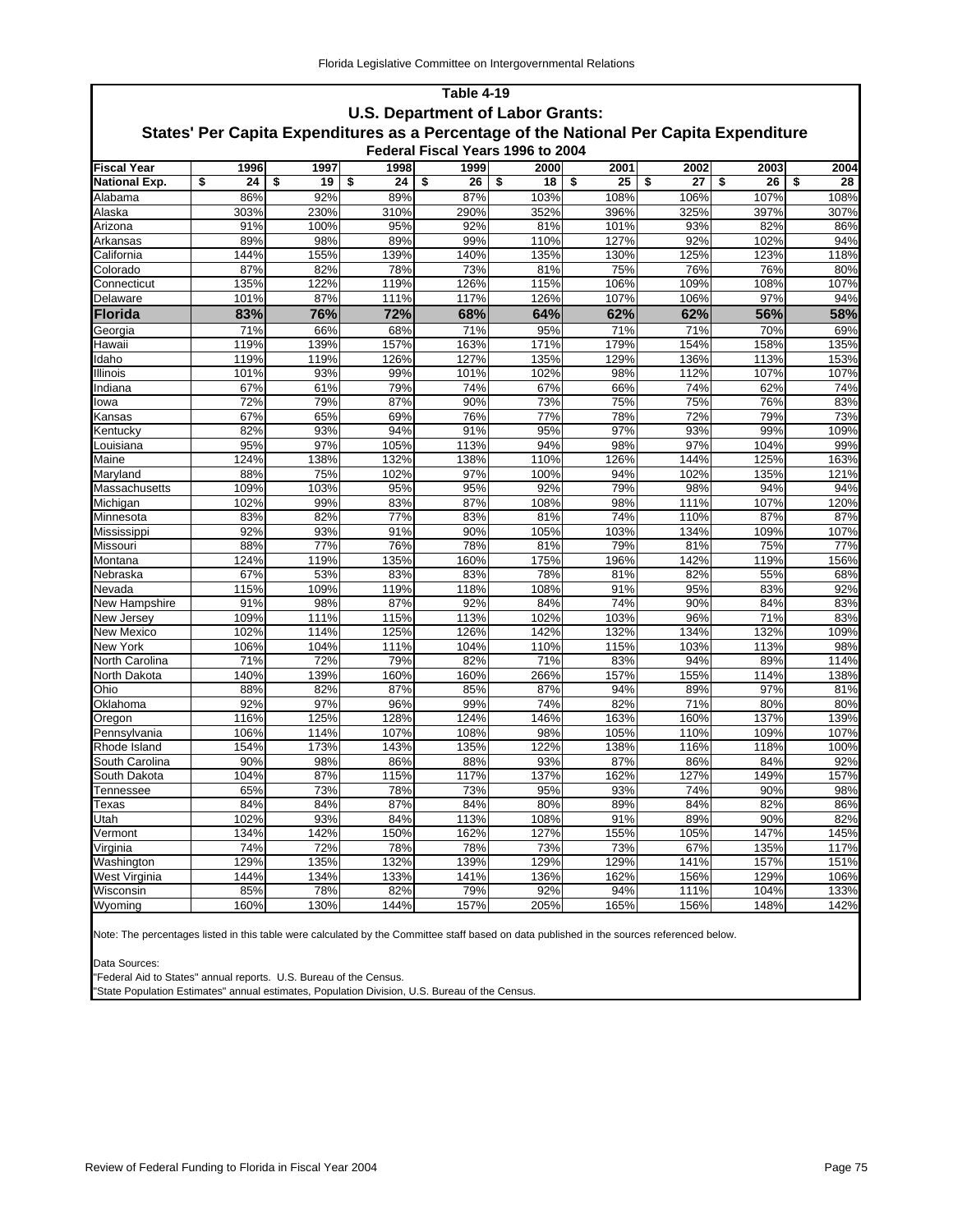| Table 4-19                                                                                                                  |          |          |          |          |          |          |          |          |          |
|-----------------------------------------------------------------------------------------------------------------------------|----------|----------|----------|----------|----------|----------|----------|----------|----------|
| <b>U.S. Department of Labor Grants:</b>                                                                                     |          |          |          |          |          |          |          |          |          |
| States' Per Capita Expenditures as a Percentage of the National Per Capita Expenditure<br>Federal Fiscal Years 1996 to 2004 |          |          |          |          |          |          |          |          |          |
| <b>Fiscal Year</b>                                                                                                          | 1996     | 1997     | 1998     | 1999     | 2000     | 2001     | 2002     | 2003     | 2004     |
| <b>National Exp.</b>                                                                                                        | \$<br>24 | \$<br>19 | \$<br>24 | \$<br>26 | \$<br>18 | \$<br>25 | \$<br>27 | \$<br>26 | \$<br>28 |
| Alabama                                                                                                                     | 86%      | 92%      | 89%      | 87%      | 103%     | 108%     | 106%     | 107%     | 108%     |
| Alaska                                                                                                                      | 303%     | 230%     | 310%     | 290%     | 352%     | 396%     | 325%     | 397%     | 307%     |
| Arizona                                                                                                                     | 91%      | 100%     | 95%      | 92%      | 81%      | 101%     | 93%      | 82%      | 86%      |
| Arkansas                                                                                                                    | 89%      | 98%      | 89%      | 99%      | 110%     | 127%     | 92%      | 102%     | 94%      |
| California                                                                                                                  | 144%     | 155%     | 139%     | 140%     | 135%     | 130%     | 125%     | 123%     | 118%     |
| Colorado                                                                                                                    | 87%      | 82%      | 78%      | 73%      | 81%      | 75%      | 76%      | 76%      | 80%      |
| Connecticut                                                                                                                 | 135%     | 122%     | 119%     | 126%     | 115%     | 106%     | 109%     | 108%     | 107%     |
| Delaware                                                                                                                    | 101%     | 87%      | 111%     | 117%     | 126%     | 107%     | 106%     | 97%      | 94%      |
| Florida                                                                                                                     | 83%      | 76%      | 72%      | 68%      | 64%      | 62%      | 62%      | 56%      | 58%      |
| Georgia                                                                                                                     | 71%      | 66%      | 68%      | 71%      | 95%      | 71%      | 71%      | 70%      | 69%      |
| Hawaii                                                                                                                      | 119%     | 139%     | 157%     | 163%     | 171%     | 179%     | 154%     | 158%     | 135%     |
| ldaho                                                                                                                       | 119%     | 119%     | 126%     | 127%     | 135%     | 129%     | 136%     | 113%     | 153%     |
| Illinois                                                                                                                    | 101%     | 93%      | 99%      | 101%     | 102%     | 98%      | 112%     | 107%     | 107%     |
| Indiana                                                                                                                     | 67%      | 61%      | 79%      | 74%      | 67%      | 66%      | 74%      | 62%      | 74%      |
| lowa                                                                                                                        | 72%      | 79%      | 87%      | 90%      | 73%      | 75%      | 75%      | 76%      | 83%      |
| Kansas                                                                                                                      | 67%      | 65%      | 69%      | 76%      | 77%      | 78%      | 72%      | 79%      | 73%      |
| Kentucky                                                                                                                    | 82%      | 93%      | 94%      | 91%      | 95%      | 97%      | 93%      | 99%      | 109%     |
| Louisiana                                                                                                                   | 95%      | 97%      | 105%     | 113%     | 94%      | 98%      | 97%      | 104%     | 99%      |
| Maine                                                                                                                       | 124%     | 138%     | 132%     | 138%     | 110%     | 126%     | 144%     | 125%     | 163%     |
| Maryland                                                                                                                    | 88%      | 75%      | 102%     | 97%      | 100%     | 94%      | 102%     | 135%     | 121%     |
| Massachusetts                                                                                                               | 109%     | 103%     | 95%      | 95%      | 92%      | 79%      | 98%      | 94%      | 94%      |
| Michigan                                                                                                                    | 102%     | 99%      | 83%      | 87%      | 108%     | 98%      | 111%     | 107%     | 120%     |
| Minnesota                                                                                                                   | 83%      | 82%      | 77%      | 83%      | 81%      | 74%      | 110%     | 87%      | 87%      |
| Mississippi                                                                                                                 | 92%      | 93%      | 91%      | 90%      | 105%     | 103%     | 134%     | 109%     | 107%     |
| Missouri                                                                                                                    | 88%      | 77%      | 76%      | 78%      | 81%      | 79%      | 81%      | 75%      | 77%      |
| Montana                                                                                                                     | 124%     | 119%     | 135%     | 160%     | 175%     | 196%     | 142%     | 119%     | 156%     |
| Nebraska                                                                                                                    | 67%      | 53%      | 83%      | 83%      | 78%      | 81%      | 82%      | 55%      | 68%      |
| Nevada                                                                                                                      | 115%     | 109%     | 119%     | 118%     | 108%     | 91%      | 95%      | 83%      | 92%      |
| New Hampshire                                                                                                               | 91%      | 98%      | 87%      | 92%      | 84%      | 74%      | 90%      | 84%      | 83%      |
| New Jersey                                                                                                                  | 109%     | 111%     | 115%     | 113%     | 102%     | 103%     | 96%      | 71%      | 83%      |
| New Mexico                                                                                                                  | 102%     | 114%     | 125%     | 126%     | 142%     | 132%     | 134%     | 132%     | 109%     |
| New York                                                                                                                    | 106%     | 104%     | 111%     | 104%     | 110%     | 115%     | 103%     | 113%     | 98%      |
| North Carolina                                                                                                              | 71%      | 72%      | 79%      | 82%      | 71%      | 83%      | 94%      | 89%      | 114%     |
| North Dakota                                                                                                                | 140%     | 139%     | 160%     | 160%     | 266%     | 157%     | 155%     | 114%     | 138%     |
| Ohio                                                                                                                        | 88%      | 82%      | 87%      | 85%      | 87%      | 94%      | 89%      | 97%      | 81%      |
| Oklahoma                                                                                                                    | 92%      | 97%      | 96%      | 99%      | 74%      | 82%      | 71%      | 80%      | 80%      |
| Oregon                                                                                                                      | 116%     | 125%     | 128%     | 124%     | 146%     | 163%     | 160%     | 137%     | 139%     |
| Pennsylvania                                                                                                                | 106%     | 114%     | 107%     | 108%     | 98%      | 105%     | 110%     | 109%     | 107%     |
| Rhode Island                                                                                                                | 154%     | 173%     | 143%     | 135%     | 122%     | 138%     | 116%     | 118%     | 100%     |
| South Carolina                                                                                                              | 90%      | 98%      | 86%      | 88%      | 93%      | 87%      | 86%      | 84%      | 92%      |
| South Dakota                                                                                                                | 104%     | 87%      | 115%     | 117%     | 137%     | 162%     | 127%     | 149%     | 157%     |
| Tennessee                                                                                                                   | 65%      | 73%      | 78%      | 73%      | 95%      | 93%      | 74%      | 90%      | 98%      |
| Texas                                                                                                                       | 84%      | 84%      | 87%      | 84%      | 80%      | 89%      | 84%      | 82%      | 86%      |
| Utah                                                                                                                        | 102%     | 93%      | 84%      | 113%     | 108%     | 91%      | 89%      | 90%      | 82%      |
| Vermont                                                                                                                     | 134%     | 142%     | 150%     | 162%     | 127%     | 155%     | 105%     | 147%     | 145%     |
| Virginia                                                                                                                    | 74%      | 72%      | 78%      | 78%      | 73%      | 73%      | 67%      | 135%     | 117%     |
| Washington                                                                                                                  | 129%     | 135%     | 132%     | 139%     | 129%     | 129%     | 141%     | 157%     | 151%     |
| West Virginia                                                                                                               | 144%     | 134%     | 133%     | 141%     | 136%     | 162%     | 156%     | 129%     | 106%     |
| Wisconsin                                                                                                                   | 85%      | 78%      | 82%      | 79%      | 92%      | 94%      | 111%     | 104%     | 133%     |
| Wyoming                                                                                                                     | 160%     | 130%     | 144%     | 157%     | 205%     | 165%     | 156%     | 148%     | 142%     |

Data Sources:

"Federal Aid to States" annual reports. U.S. Bureau of the Census.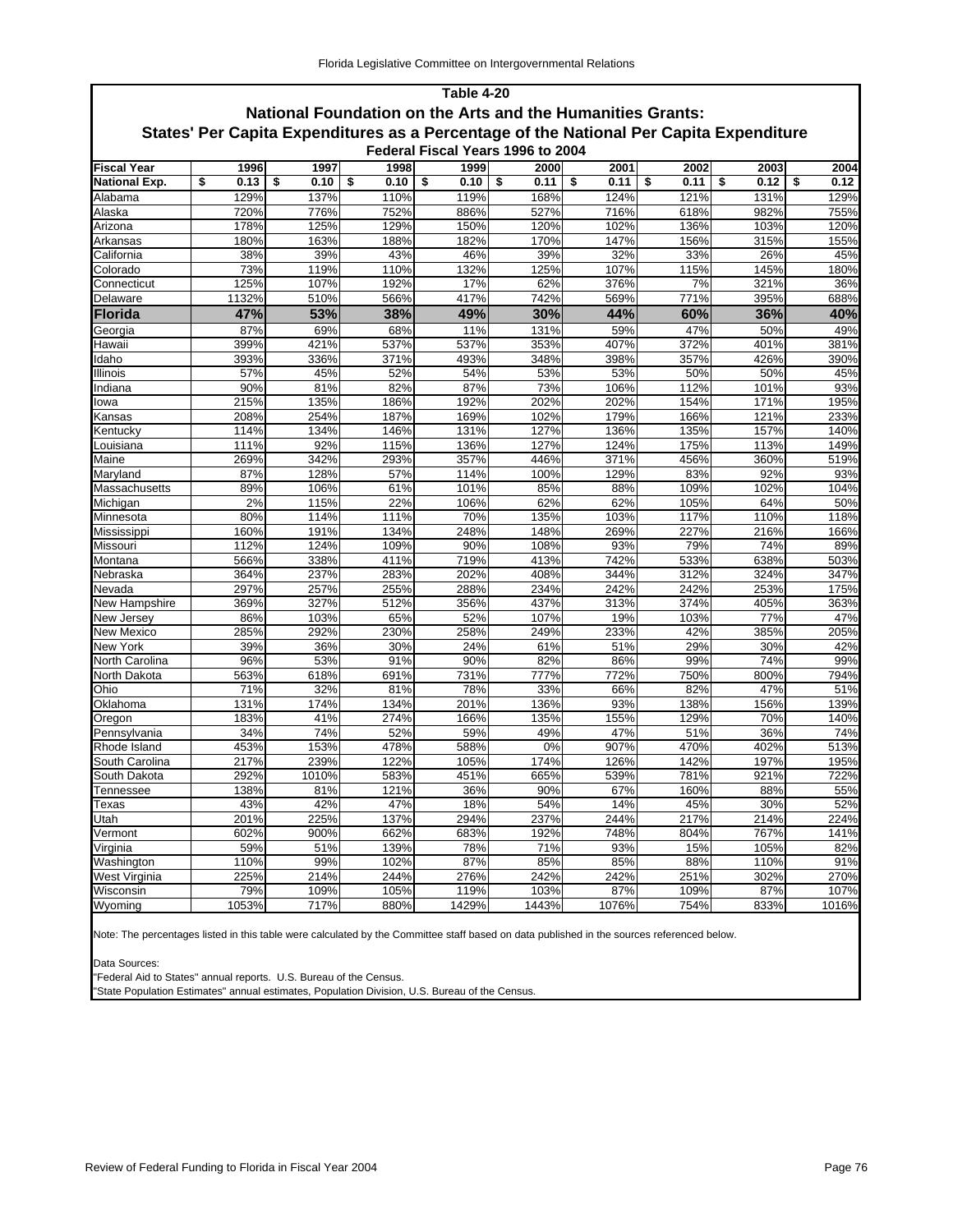| Table 4-20                                                                                                                  |            |            |            |            |            |            |            |            |            |  |
|-----------------------------------------------------------------------------------------------------------------------------|------------|------------|------------|------------|------------|------------|------------|------------|------------|--|
| National Foundation on the Arts and the Humanities Grants:                                                                  |            |            |            |            |            |            |            |            |            |  |
|                                                                                                                             |            |            |            |            |            |            |            |            |            |  |
| States' Per Capita Expenditures as a Percentage of the National Per Capita Expenditure<br>Federal Fiscal Years 1996 to 2004 |            |            |            |            |            |            |            |            |            |  |
| 1996<br>1997<br>1998<br>1999<br>2000<br>2001<br><b>Fiscal Year</b><br>2002<br>2003<br>2004                                  |            |            |            |            |            |            |            |            |            |  |
| <b>National Exp.</b>                                                                                                        | \$<br>0.13 | 0.10<br>\$ | 0.10<br>\$ | 0.10<br>\$ | \$<br>0.11 | 0.11<br>\$ | \$<br>0.11 | 0.12<br>\$ | 0.12<br>\$ |  |
| Alabama                                                                                                                     | 129%       | 137%       | 110%       | 119%       | 168%       | 124%       | 121%       | 131%       | 129%       |  |
| Alaska                                                                                                                      | 720%       | 776%       | 752%       | 886%       | 527%       | 716%       | 618%       | 982%       | 755%       |  |
| Arizona                                                                                                                     | 178%       | 125%       | 129%       | 150%       | 120%       | 102%       | 136%       | 103%       | 120%       |  |
| Arkansas                                                                                                                    | 180%       | 163%       | 188%       | 182%       | 170%       | 147%       | 156%       | 315%       | 155%       |  |
| California                                                                                                                  | 38%        | 39%        | 43%        | 46%        | 39%        | 32%        | 33%        | 26%        | 45%        |  |
| Colorado                                                                                                                    | 73%        | 119%       | 110%       | 132%       | 125%       | 107%       | 115%       | 145%       | 180%       |  |
| Connecticut                                                                                                                 | 125%       | 107%       | 192%       | 17%        | 62%        | 376%       | 7%         | 321%       | 36%        |  |
| Delaware                                                                                                                    | 1132%      | 510%       | 566%       | 417%       | 742%       | 569%       | 771%       | 395%       | 688%       |  |
| <b>Florida</b>                                                                                                              | 47%        | 53%        | 38%        | 49%        | 30%        | 44%        | 60%        | 36%        | 40%        |  |
| Georgia                                                                                                                     | 87%        | 69%        | 68%        | 11%        | 131%       | 59%        | 47%        | 50%        | 49%        |  |
| Hawaii                                                                                                                      | 399%       | 421%       | 537%       | 537%       | 353%       | 407%       | 372%       | 401%       | 381%       |  |
| Idaho                                                                                                                       | 393%       | 336%       | 371%       | 493%       | 348%       | 398%       | 357%       | 426%       | 390%       |  |
| Illinois                                                                                                                    | 57%        | 45%        | 52%        | 54%        | 53%        | 53%        | 50%        | 50%        | 45%        |  |
| Indiana                                                                                                                     | 90%        | 81%        | 82%        | 87%        | 73%        | 106%       | 112%       | 101%       | 93%        |  |
| Iowa                                                                                                                        | 215%       | 135%       | 186%       | 192%       | 202%       | 202%       | 154%       | 171%       | 195%       |  |
| Kansas                                                                                                                      | 208%       | 254%       | 187%       | 169%       | 102%       | 179%       | 166%       | 121%       | 233%       |  |
| Kentuckv                                                                                                                    | 114%       | 134%       | 146%       | 131%       | 127%       | 136%       | 135%       | 157%       | 140%       |  |
| Louisiana                                                                                                                   | 111%       | 92%        | 115%       | 136%       | 127%       | 124%       | 175%       | 113%       | 149%       |  |
| Maine                                                                                                                       | 269%       | 342%       | 293%       | 357%       | 446%       | 371%       | 456%       | 360%       | 519%       |  |
| Maryland                                                                                                                    | 87%        | 128%       | 57%        | 114%       | 100%       | 129%       | 83%        | 92%        | 93%        |  |
| Massachusetts                                                                                                               | 89%        | 106%       | 61%        | 101%       | 85%        | 88%        | 109%       | 102%       | 104%       |  |
| Michigan                                                                                                                    | 2%         | 115%       | 22%        | 106%       | 62%        | 62%        | 105%       | 64%        | 50%        |  |
| Minnesota                                                                                                                   | 80%        | 114%       | 111%       | 70%        | 135%       | 103%       | 117%       | 110%       | 118%       |  |
| Mississippi                                                                                                                 | 160%       | 191%       | 134%       | 248%       | 148%       | 269%       | 227%       | 216%       | 166%       |  |
| Missouri                                                                                                                    | 112%       | 124%       | 109%       | 90%        | 108%       | 93%        | 79%        | 74%        | 89%        |  |
| Montana                                                                                                                     | 566%       | 338%       | 411%       | 719%       | 413%       | 742%       | 533%       | 638%       | 503%       |  |
| Nebraska                                                                                                                    | 364%       | 237%       | 283%       | 202%       | 408%       | 344%       | 312%       | 324%       | 347%       |  |
| Nevada                                                                                                                      | 297%       | 257%       | 255%       | 288%       | 234%       | 242%       | 242%       | 253%       | 175%       |  |
| New Hampshire                                                                                                               | 369%       | 327%       | 512%       | 356%       | 437%       | 313%       | 374%       | 405%       | 363%       |  |
| New Jersey                                                                                                                  | 86%        | 103%       | 65%        | 52%        | 107%       | 19%        | 103%       | 77%        | 47%        |  |
| <b>New Mexico</b>                                                                                                           | 285%       | 292%       | 230%       | 258%       | 249%       | 233%       | 42%        | 385%       | 205%       |  |
| New York                                                                                                                    | 39%        | 36%        | 30%        | 24%        | 61%        | 51%        | 29%        | 30%        | 42%        |  |
| North Carolina                                                                                                              | 96%        | 53%        | 91%        | 90%        | 82%        | 86%        | 99%        | 74%        | 99%        |  |
| North Dakota                                                                                                                | 563%       | 618%       | 691%       | 731%       | 777%       | 772%       | 750%       | 800%       | 794%       |  |
| Ohio                                                                                                                        | 71%        | 32%        | 81%        | 78%        | 33%        | 66%        | 82%        | 47%        | 51%        |  |
| Oklahoma                                                                                                                    | 131%       | 174%       | 134%       | 201%       | 136%       | 93%        | 138%       | 156%       | 139%       |  |
| Oregon                                                                                                                      | 183%       | 41%        | 274%       | 166%       | 135%       | 155%       | 129%       | 70%        | 140%       |  |
| Pennsylvania                                                                                                                | 34%        | 74%        | 52%        | 59%        | 49%        | 47%        | 51%        | 36%        | 74%        |  |
| Rhode Island                                                                                                                | 453%       | 153%       | 478%       | 588%       | 0%         | 907%       | 470%       | 402%       | 513%       |  |
| South Carolina                                                                                                              | 217%       | 239%       | 122%       | 105%       | 174%       | 126%       | 142%       | 197%       | 195%       |  |
| South Dakota                                                                                                                | 292%       | 1010%      | 583%       | 451%       | 665%       | 539%       | 781%       | 921%       | 722%       |  |
| <b>Tennessee</b>                                                                                                            | 138%       | 81%        | 121%       | 36%        | 90%        | 67%        | 160%       | 88%        | 55%        |  |
| Texas                                                                                                                       | 43%        | 42%        | 47%        | 18%        | 54%        | 14%        | 45%        | 30%        | 52%        |  |
| Utah                                                                                                                        | 201%       | 225%       | 137%       | 294%       | 237%       | 244%       | 217%       | 214%       | 224%       |  |
| Vermont                                                                                                                     | 602%       | 900%       | 662%       | 683%       | 192%       | 748%       | 804%       | 767%       | 141%       |  |
| Virginia                                                                                                                    | 59%        | 51%        | 139%       | 78%        | 71%        | 93%        | 15%        | 105%       | 82%        |  |
| Washington                                                                                                                  | 110%       | 99%        | 102%       | 87%        | 85%        | 85%        | 88%        | 110%       | 91%        |  |
| <b>West Virginia</b>                                                                                                        | 225%       | 214%       | 244%       | 276%       | 242%       | 242%       | 251%       | 302%       | 270%       |  |
| Wisconsin                                                                                                                   | 79%        | 109%       | 105%       | 119%       | 103%       | 87%        | 109%       | 87%        | 107%       |  |
| Wyoming                                                                                                                     | 1053%      | 717%       | 880%       | 1429%      | 1443%      | 1076%      | 754%       | 833%       | 1016%      |  |

Data Sources:

"Federal Aid to States" annual reports. U.S. Bureau of the Census.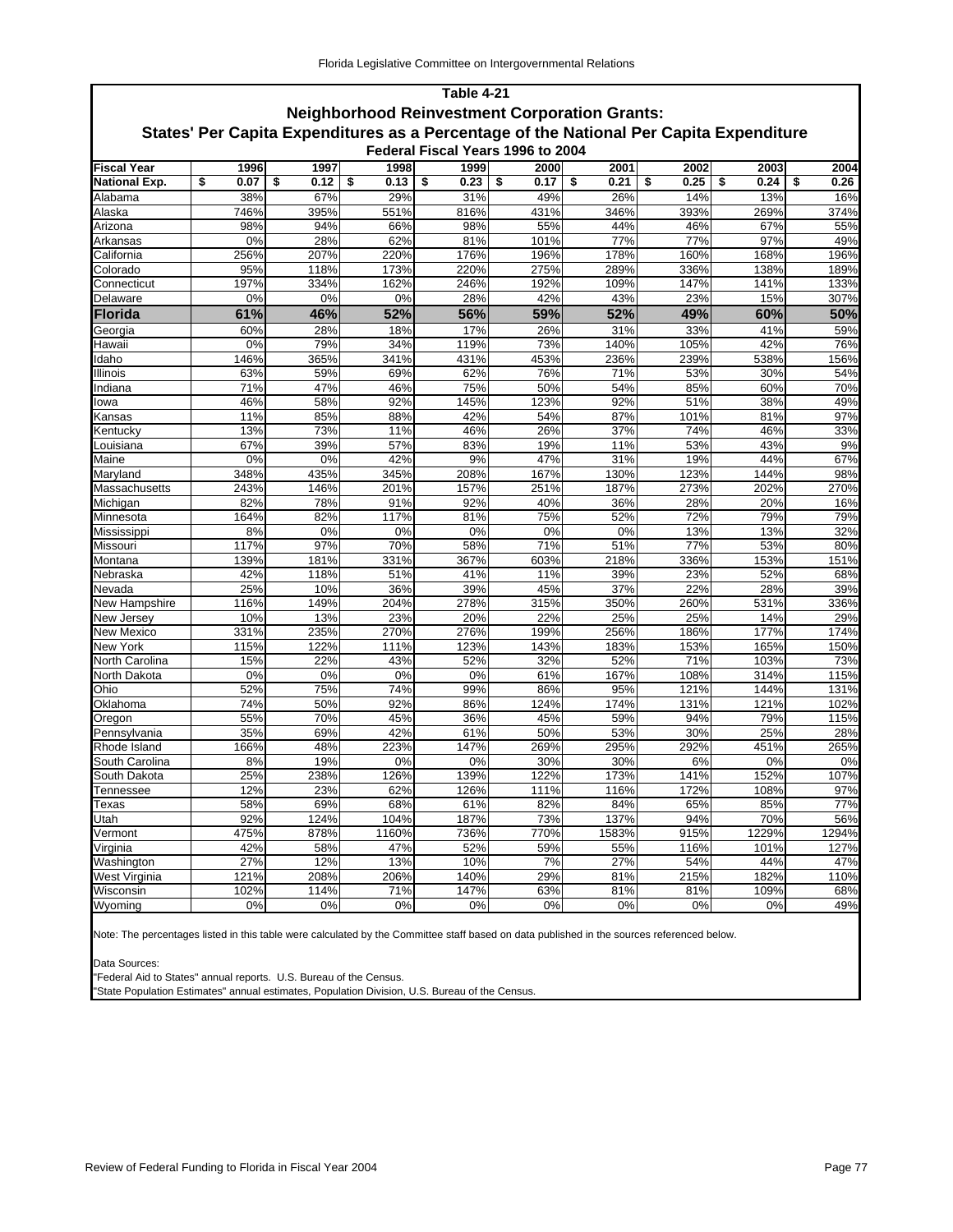| Table 4-21                                                                             |            |            |            |            |            |            |            |            |            |  |
|----------------------------------------------------------------------------------------|------------|------------|------------|------------|------------|------------|------------|------------|------------|--|
| <b>Neighborhood Reinvestment Corporation Grants:</b>                                   |            |            |            |            |            |            |            |            |            |  |
| States' Per Capita Expenditures as a Percentage of the National Per Capita Expenditure |            |            |            |            |            |            |            |            |            |  |
| Federal Fiscal Years 1996 to 2004                                                      |            |            |            |            |            |            |            |            |            |  |
| <b>Fiscal Year</b>                                                                     | 1996       | 1997       | 1998       | 1999       | 2000       | 2001       | 2002       | 2003       | 2004       |  |
| <b>National Exp.</b>                                                                   | 0.07<br>\$ | \$<br>0.12 | \$<br>0.13 | 0.23<br>\$ | \$<br>0.17 | 0.21<br>\$ | 0.25<br>\$ | 0.24<br>\$ | \$<br>0.26 |  |
| Alabama                                                                                | 38%        | 67%        | 29%        | 31%        | 49%        | 26%        | 14%        | 13%        | 16%        |  |
| Alaska                                                                                 | 746%       | 395%       | 551%       | 816%       | 431%       | 346%       | 393%       | 269%       | 374%       |  |
| Arizona                                                                                | 98%        | 94%        | 66%        | 98%        | 55%        | 44%        | 46%        | 67%        | 55%        |  |
| Arkansas                                                                               | 0%         | 28%        | 62%        | 81%        | 101%       | 77%        | 77%        | 97%        | 49%        |  |
| California                                                                             | 256%       | 207%       | 220%       | 176%       | 196%       | 178%       | 160%       | 168%       | 196%       |  |
| Colorado                                                                               | 95%        | 118%       | 173%       | 220%       | 275%       | 289%       | 336%       | 138%       | 189%       |  |
| Connecticut                                                                            | 197%       | 334%       | 162%       | 246%       | 192%       | 109%       | 147%       | 141%       | 133%       |  |
| Delaware                                                                               | 0%         | 0%         | 0%         | 28%        | 42%        | 43%        | 23%        | 15%        | 307%       |  |
| <b>Florida</b>                                                                         | 61%        | 46%        | 52%        | 56%        | 59%        | 52%        | 49%        | 60%        | 50%        |  |
| Georgia                                                                                | 60%        | 28%        | 18%        | 17%        | 26%        | 31%        | 33%        | 41%        | 59%        |  |
| Hawaii                                                                                 | 0%         | 79%        | 34%        | 119%       | 73%        | 140%       | 105%       | 42%        | 76%        |  |
| Idaho                                                                                  | 146%       | 365%       | 341%       | 431%       | 453%       | 236%       | 239%       | 538%       | 156%       |  |
| Illinois                                                                               | 63%        | 59%        | 69%        | 62%        | 76%        | 71%        | 53%        | 30%        | 54%        |  |
| Indiana                                                                                | 71%        | 47%        | 46%        | 75%        | 50%        | 54%        | 85%        | 60%        | 70%        |  |
| Iowa                                                                                   | 46%        | 58%        | 92%        | 145%       | 123%       | 92%        | 51%        | 38%        | 49%        |  |
| Kansas                                                                                 | 11%        | 85%        | 88%        | 42%        | 54%        | 87%        | 101%       | 81%        | 97%        |  |
| Kentucky                                                                               | 13%        | 73%        | 11%        | 46%        | 26%        | 37%        | 74%        | 46%        | 33%        |  |
| Louisiana                                                                              | 67%        | 39%        | 57%        | 83%        | 19%        | 11%        | 53%        | 43%        | 9%         |  |
| Maine                                                                                  | 0%         | 0%         | 42%        | 9%         | 47%        | 31%        | 19%        | 44%        | 67%        |  |
| Marvland                                                                               | 348%       | 435%       | 345%       | 208%       | 167%       | 130%       | 123%       | 144%       | 98%        |  |
| Massachusetts                                                                          | 243%       | 146%       | 201%       | 157%       | 251%       | 187%       | 273%       | 202%       | 270%       |  |
| Michigan                                                                               | 82%        | 78%        | 91%        | 92%        | 40%        | 36%        | 28%        | 20%        | 16%        |  |
| Minnesota                                                                              | 164%       | 82%        | 117%       | 81%        | 75%        | 52%        | 72%        | 79%        | 79%        |  |
| Mississippi                                                                            | 8%         | 0%         | 0%         | 0%         | 0%         | 0%         | 13%        | 13%        | 32%        |  |
| Missouri                                                                               | 117%       | 97%        | 70%        | 58%        | 71%        | 51%        | 77%        | 53%        | 80%        |  |
| Montana                                                                                | 139%       | 181%       | 331%       | 367%       | 603%       | 218%       | 336%       | 153%       | 151%       |  |
| Nebraska                                                                               | 42%        | 118%       | 51%        | 41%        | 11%        | 39%        | 23%        | 52%        | 68%        |  |
| Nevada                                                                                 | 25%        | 10%        | 36%        | 39%        | 45%        | 37%        | 22%        | 28%        | 39%        |  |
| New Hampshire                                                                          | 116%       | 149%       | 204%       | 278%       | 315%       | 350%       | 260%       | 531%       | 336%       |  |
| New Jersey                                                                             | 10%        | 13%        | 23%        | 20%        | 22%        | 25%        | 25%        | 14%        | 29%        |  |
| New Mexico                                                                             | 331%       | 235%       | 270%       | 276%       | 199%       | 256%       | 186%       | 177%       | 174%       |  |
| New York                                                                               | 115%       | 122%       | 111%       | 123%       | 143%       | 183%       | 153%       | 165%       | 150%       |  |
| North Carolina                                                                         | 15%        | 22%        | 43%        | 52%        | 32%        | 52%        | 71%        | 103%       | 73%        |  |
| North Dakota                                                                           | 0%         | 0%         | 0%         | 0%         | 61%        | 167%       | 108%       | 314%       | 115%       |  |
| Ohio                                                                                   | 52%        | 75%        | 74%        | 99%        | 86%        | 95%        | 121%       | 144%       | 131%       |  |
| Oklahoma                                                                               | 74%        | 50%        | 92%        | 86%        | 124%       | 174%       | 131%       | 121%       | 102%       |  |
| Oregon                                                                                 | 55%        | 70%        | 45%        | 36%        | 45%        | 59%        | 94%        | 79%        | 115%       |  |
| Pennsylvania                                                                           | 35%        | 69%        | 42%        | 61%        | 50%        | 53%        | 30%        | 25%        | 28%        |  |
| Rhode Island                                                                           | 166%       | 48%        | 223%       | 147%       | 269%       | 295%       | 292%       | 451%       | 265%       |  |
| South Carolina                                                                         | 8%         | 19%        | 0%         | 0%         | 30%        | 30%        | 6%         | 0%         | 0%         |  |
| South Dakota                                                                           | 25%        | 238%       | 126%       | 139%       | 122%       | 173%       | 141%       | 152%       | 107%       |  |
| <b>Tennessee</b>                                                                       | 12%        | 23%        | 62%        | 126%       | 111%       | 116%       | 172%       | 108%       | 97%        |  |
| Texas                                                                                  | 58%        | 69%        | 68%        | 61%        | 82%        | 84%        | 65%        | 85%        | 77%        |  |
| Utah                                                                                   | 92%        | 124%       | 104%       | 187%       | 73%        | 137%       | 94%        | 70%        | 56%        |  |
| Vermont                                                                                | 475%       | 878%       | 1160%      | 736%       | 770%       | 1583%      | 915%       | 1229%      | 1294%      |  |
| Virginia                                                                               | 42%        | 58%        | 47%        | 52%        | 59%        | 55%        | 116%       | 101%       | 127%       |  |
| Washington                                                                             | 27%        | 12%        | 13%        | 10%        | 7%         | 27%        | 54%        | 44%        | 47%        |  |
| West Virginia                                                                          | 121%       | 208%       | 206%       | 140%       | 29%        | 81%        | 215%       | 182%       | 110%       |  |
| Wisconsin                                                                              | 102%       | 114%       | 71%        | 147%       | 63%        | 81%        | 81%        | 109%       | 68%        |  |
| Wyoming                                                                                | 0%         | $0\%$      | 0%         | $0\%$      | 0%         | $0\%$      | $0\%$      | 0%         | 49%        |  |

Data Sources:

"Federal Aid to States" annual reports. U.S. Bureau of the Census.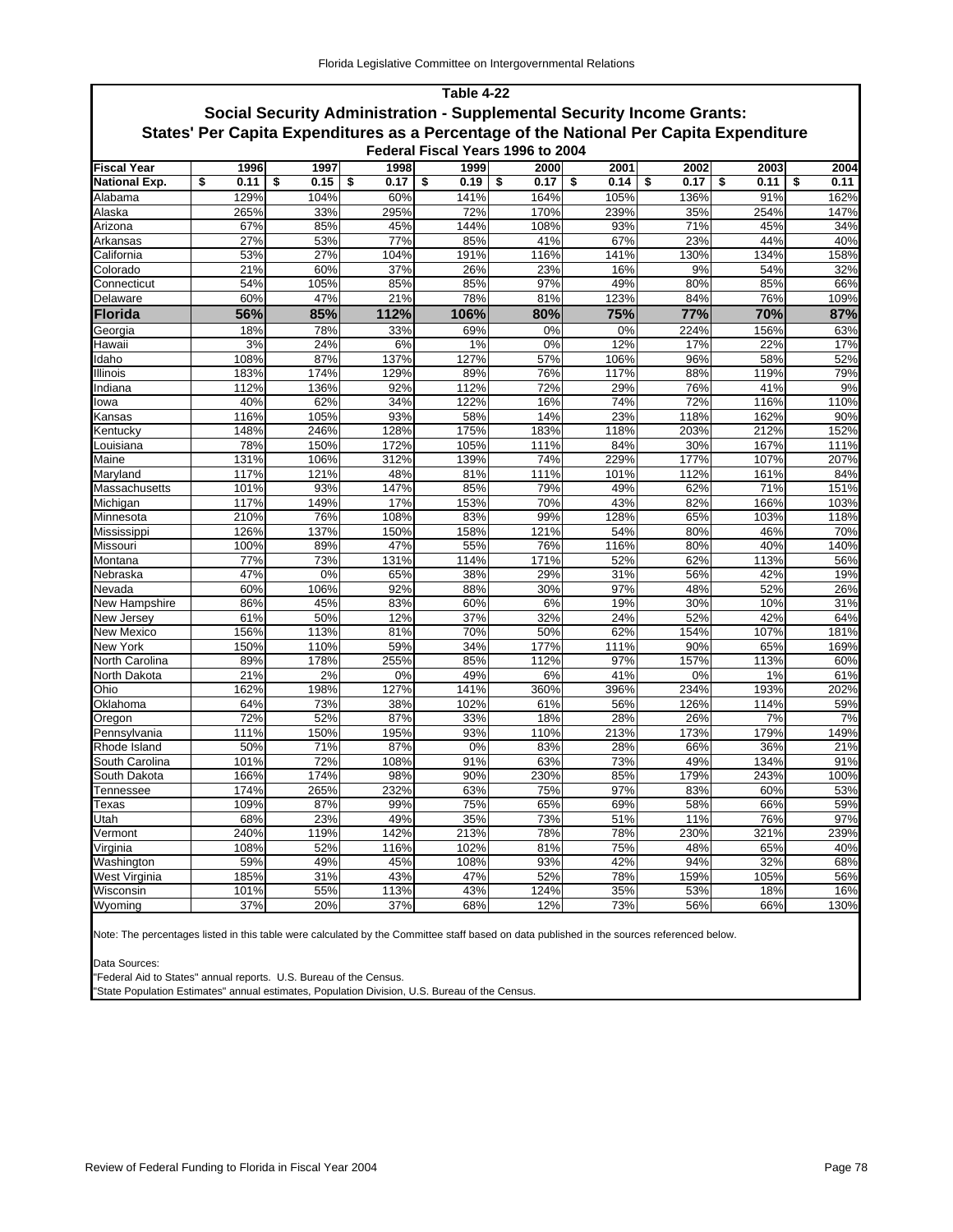| Table 4-22                                                                   |                                                                                        |            |            |            |            |            |            |            |            |
|------------------------------------------------------------------------------|----------------------------------------------------------------------------------------|------------|------------|------------|------------|------------|------------|------------|------------|
| <b>Social Security Administration - Supplemental Security Income Grants:</b> |                                                                                        |            |            |            |            |            |            |            |            |
|                                                                              | States' Per Capita Expenditures as a Percentage of the National Per Capita Expenditure |            |            |            |            |            |            |            |            |
| Federal Fiscal Years 1996 to 2004                                            |                                                                                        |            |            |            |            |            |            |            |            |
| <b>Fiscal Year</b>                                                           | 1996                                                                                   | 1997       | 1998       | 1999       | 2000       | 2001       | 2002       | 2003       | 2004       |
| <b>National Exp.</b>                                                         | 0.11<br>\$                                                                             | 0.15<br>\$ | 0.17<br>\$ | 0.19<br>\$ | \$<br>0.17 | 0.14<br>\$ | \$<br>0.17 | 0.11<br>\$ | 0.11<br>\$ |
| Alabama                                                                      | 129%                                                                                   | 104%       | 60%        | 141%       | 164%       | 105%       | 136%       | 91%        | 162%       |
| Alaska                                                                       | 265%                                                                                   | 33%        | 295%       | 72%        | 170%       | 239%       | 35%        | 254%       | 147%       |
| Arizona                                                                      | 67%                                                                                    | 85%        | 45%        | 144%       | 108%       | 93%        | 71%        | 45%        | 34%        |
| Arkansas                                                                     | 27%                                                                                    | 53%        | 77%        | 85%        | 41%        | 67%        | 23%        | 44%        | 40%        |
| California                                                                   | 53%                                                                                    | 27%        | 104%       | 191%       | 116%       | 141%       | 130%       | 134%       | 158%       |
| Colorado                                                                     | 21%                                                                                    | 60%        | 37%        | 26%        | 23%        | 16%        | 9%         | 54%        | 32%        |
| Connecticut                                                                  | 54%                                                                                    | 105%       | 85%        | 85%        | 97%        | 49%        | 80%        | 85%        | 66%        |
| Delaware                                                                     | 60%                                                                                    | 47%        | 21%        | 78%        | 81%        | 123%       | 84%        | 76%        | 109%       |
| <b>Florida</b>                                                               | 56%                                                                                    | 85%        | 112%       | 106%       | 80%        | 75%        | 77%        | 70%        | 87%        |
| Georgia                                                                      | 18%                                                                                    | 78%        | 33%        | 69%        | 0%         | 0%         | 224%       | 156%       | 63%        |
| Hawaii                                                                       | 3%                                                                                     | 24%        | 6%         | 1%         | 0%         | 12%        | 17%        | 22%        | 17%        |
| Idaho                                                                        | 108%                                                                                   | 87%        | 137%       | 127%       | 57%        | 106%       | 96%        | 58%        | 52%        |
| Illinois                                                                     | 183%                                                                                   | 174%       | 129%       | 89%        | 76%        | 117%       | 88%        | 119%       | 79%        |
| Indiana                                                                      | 112%                                                                                   | 136%       | 92%        | 112%       | 72%        | 29%        | 76%        | 41%        | 9%         |
| Iowa                                                                         | 40%                                                                                    | 62%        | 34%        | 122%       | 16%        | 74%        | 72%        | 116%       | 110%       |
| Kansas                                                                       | 116%                                                                                   | 105%       | 93%        | 58%        | 14%        | 23%        | 118%       | 162%       | 90%        |
| Kentucky                                                                     | 148%                                                                                   | 246%       | 128%       | 175%       | 183%       | 118%       | 203%       | 212%       | 152%       |
| Louisiana                                                                    | 78%                                                                                    | 150%       | 172%       | 105%       | 111%       | 84%        | 30%        | 167%       | 111%       |
| Maine                                                                        | 131%                                                                                   | 106%       | 312%       | 139%       | 74%        | 229%       | 177%       | 107%       | 207%       |
| Maryland                                                                     | 117%                                                                                   | 121%       | 48%        | 81%        | 111%       | 101%       | 112%       | 161%       | 84%        |
| Massachusetts                                                                | 101%                                                                                   | 93%        | 147%       | 85%        | 79%        | 49%        | 62%        | 71%        | 151%       |
| Michigan                                                                     | 117%                                                                                   | 149%       | 17%        | 153%       | 70%        | 43%        | 82%        | 166%       | 103%       |
| Minnesota                                                                    | 210%                                                                                   | 76%        | 108%       | 83%        | 99%        | 128%       | 65%        | 103%       | 118%       |
| Mississippi                                                                  | 126%                                                                                   | 137%       | 150%       | 158%       | 121%       | 54%        | 80%        | 46%        | 70%        |
| Missouri                                                                     | 100%                                                                                   | 89%        | 47%        | 55%        | 76%        | 116%       | 80%        | 40%        | 140%       |
| Montana                                                                      | 77%                                                                                    | 73%        | 131%       | 114%       | 171%       | 52%        | 62%        | 113%       | 56%        |
| Nebraska                                                                     | 47%                                                                                    | 0%         | 65%        | 38%        | 29%        | 31%        | 56%        | 42%        | 19%        |
| Nevada                                                                       | 60%                                                                                    | 106%       | 92%        | 88%        | 30%        | 97%        | 48%        | 52%        | 26%        |
| New Hampshire                                                                | 86%                                                                                    | 45%        | 83%        | 60%        | 6%         | 19%        | 30%        | 10%        | 31%        |
| New Jersey                                                                   | 61%                                                                                    | 50%        | 12%        | 37%        | 32%        | 24%        | 52%        | 42%        | 64%        |
| <b>New Mexico</b>                                                            | 156%                                                                                   | 113%       | 81%        | 70%        | 50%        | 62%        | 154%       | 107%       | 181%       |
| New York                                                                     | 150%                                                                                   | 110%       | 59%        | 34%        | 177%       | 111%       | 90%        | 65%        | 169%       |
| North Carolina                                                               | 89%                                                                                    | 178%       | 255%       | 85%        | 112%       | 97%        | 157%       | 113%       | 60%        |
| North Dakota                                                                 | 21%                                                                                    | 2%         | 0%         | 49%        | 6%         | 41%        | 0%         | 1%         | 61%        |
| Ohio                                                                         | 162%                                                                                   | 198%       | 127%       | 141%       | 360%       | 396%       | 234%       | 193%       | 202%       |
| Oklahoma                                                                     | 64%                                                                                    | 73%        | 38%        | 102%       | 61%        | 56%        | 126%       | 114%       | 59%        |
| Oregon                                                                       | 72%                                                                                    | 52%        | 87%        | 33%        | 18%        | 28%        | 26%        | 7%         | 7%         |
| Pennsylvania                                                                 | 111%                                                                                   | 150%       | 195%       | 93%        | 110%       | 213%       | 173%       | 179%       | 149%       |
| Rhode Island                                                                 | 50%                                                                                    | 71%        | 87%        | 0%         | 83%        | 28%        | 66%        | 36%        | 21%        |
| South Carolina                                                               | 101%                                                                                   | 72%        | 108%       | 91%        | 63%        | 73%        | 49%        | 134%       | 91%        |
| South Dakota                                                                 | 166%                                                                                   | 174%       | 98%        | 90%        | 230%       | 85%        | 179%       | 243%       | 100%       |
| <b>Tennessee</b>                                                             | 174%                                                                                   | 265%       | 232%       | 63%        | 75%        | 97%        | 83%        | 60%        | 53%        |
| Texas                                                                        | 109%                                                                                   | 87%        | 99%        | 75%        | 65%        | 69%        | 58%        | 66%        | 59%        |
| Utah                                                                         | 68%                                                                                    | 23%        | 49%        | 35%        | 73%        | 51%        | 11%        | 76%        | 97%        |
| Vermont                                                                      | 240%                                                                                   | 119%       | 142%       | 213%       | 78%        | 78%        | 230%       | 321%       | 239%       |
| Virginia                                                                     | 108%                                                                                   | 52%        | 116%       | 102%       | 81%        | 75%        | 48%        | 65%        | 40%        |
| Washington                                                                   | 59%                                                                                    | 49%        | 45%        | 108%       | 93%        | 42%        | 94%        | 32%        | 68%        |
| West Virginia                                                                | 185%                                                                                   | 31%        | 43%        | 47%        | 52%        | 78%        | 159%       | 105%       | 56%        |
| Wisconsin                                                                    | 101%                                                                                   | 55%        | 113%       | 43%        | 124%       | 35%        | 53%        | 18%        | 16%        |
| Wyoming                                                                      | 37%                                                                                    | 20%        | 37%        | 68%        | 12%        | 73%        | 56%        | 66%        | 130%       |

Data Sources:

"Federal Aid to States" annual reports. U.S. Bureau of the Census.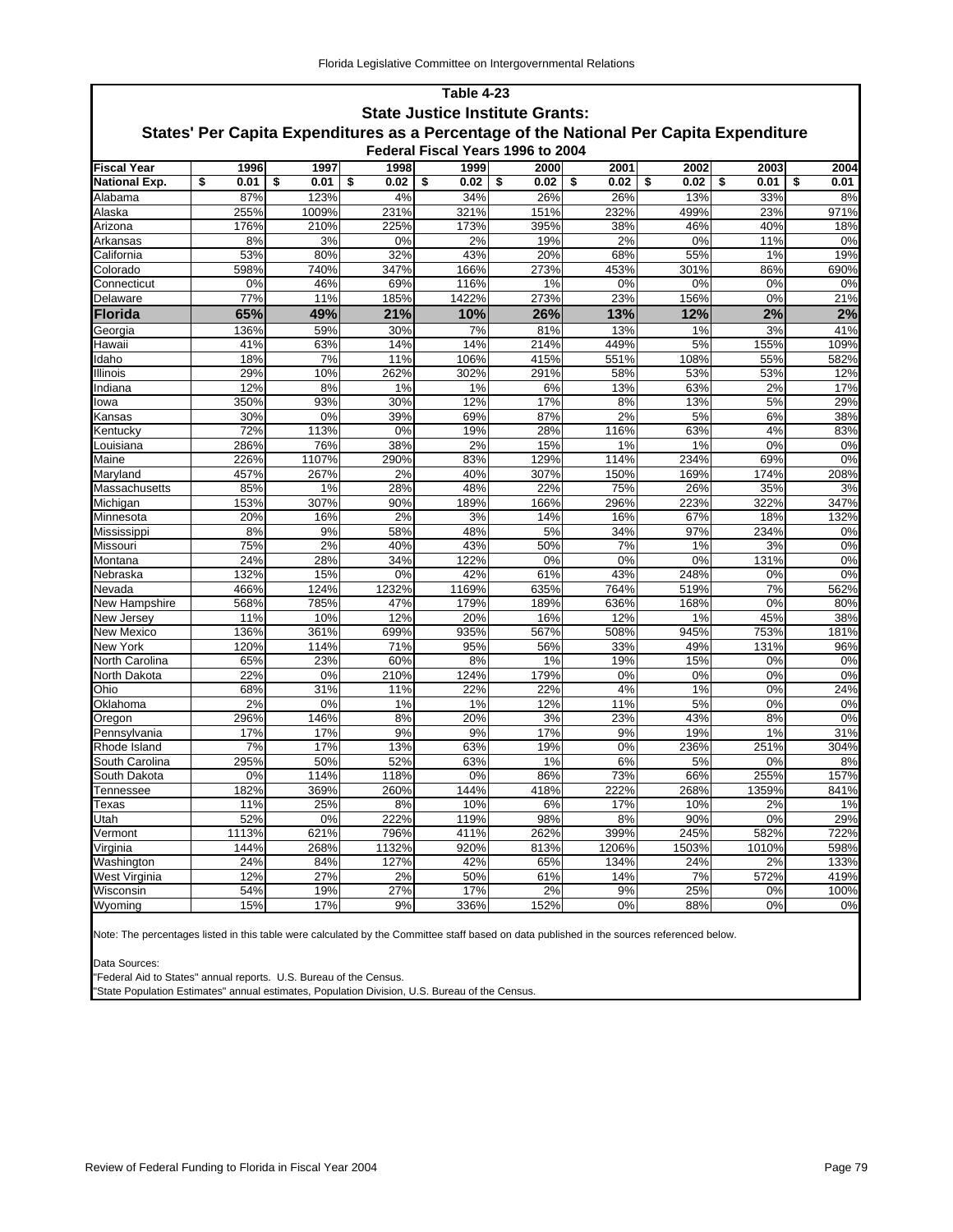| Table 4-23                                                                                 |            |            |            |            |            |            |            |            |            |  |
|--------------------------------------------------------------------------------------------|------------|------------|------------|------------|------------|------------|------------|------------|------------|--|
| <b>State Justice Institute Grants:</b>                                                     |            |            |            |            |            |            |            |            |            |  |
| States' Per Capita Expenditures as a Percentage of the National Per Capita Expenditure     |            |            |            |            |            |            |            |            |            |  |
| Federal Fiscal Years 1996 to 2004                                                          |            |            |            |            |            |            |            |            |            |  |
| 1996<br>1997<br>1998<br>1999<br>2000<br>2001<br>2002<br><b>Fiscal Year</b><br>2003<br>2004 |            |            |            |            |            |            |            |            |            |  |
| <b>National Exp.</b>                                                                       | \$<br>0.01 | \$<br>0.01 | 0.02<br>\$ | 0.02<br>\$ | \$<br>0.02 | 0.02<br>\$ | \$<br>0.02 | 0.01<br>\$ | 0.01<br>\$ |  |
| Alabama                                                                                    | 87%        | 123%       | 4%         | 34%        | 26%        | 26%        | 13%        | 33%        | 8%         |  |
| Alaska                                                                                     | 255%       | 1009%      | 231%       | 321%       | 151%       | 232%       | 499%       | 23%        | 971%       |  |
| Arizona                                                                                    | 176%       | 210%       | 225%       | 173%       | 395%       | 38%        | 46%        | 40%        | 18%        |  |
| Arkansas                                                                                   | 8%         | 3%         | 0%         | 2%         | 19%        | 2%         | 0%         | 11%        | 0%         |  |
| California                                                                                 | 53%        | 80%        | 32%        | 43%        | 20%        | 68%        | 55%        | 1%         | 19%        |  |
| Colorado                                                                                   | 598%       | 740%       | 347%       | 166%       | 273%       | 453%       | 301%       | 86%        | 690%       |  |
| Connecticut                                                                                | 0%         | 46%        | 69%        | 116%       | 1%         | 0%         | 0%         | 0%         | 0%         |  |
| Delaware                                                                                   | 77%        | 11%        | 185%       | 1422%      | 273%       | 23%        | 156%       | 0%         | 21%        |  |
| <b>Florida</b>                                                                             | 65%        | 49%        | 21%        | 10%        | 26%        | 13%        | 12%        | 2%         | 2%         |  |
| Georgia                                                                                    | 136%       | 59%        | 30%        | 7%         | 81%        | 13%        | 1%         | 3%         | 41%        |  |
| Hawaii                                                                                     | 41%        | 63%        | 14%        | 14%        | 214%       | 449%       | 5%         | 155%       | 109%       |  |
| Idaho                                                                                      | 18%        | 7%         | 11%        | 106%       | 415%       | 551%       | 108%       | 55%        | 582%       |  |
| Illinois                                                                                   | 29%        | 10%        | 262%       | 302%       | 291%       | 58%        | 53%        | 53%        | 12%        |  |
| Indiana                                                                                    | 12%        | 8%         | 1%         | 1%         | 6%         | 13%        | 63%        | 2%         | 17%        |  |
| lowa                                                                                       | 350%       | 93%        | 30%        | 12%        | 17%        | 8%         | 13%        | 5%         | 29%        |  |
| Kansas                                                                                     | 30%        | 0%         | 39%        | 69%        | 87%        | 2%         | 5%         | 6%         | 38%        |  |
| Kentuckv                                                                                   | 72%        | 113%       | 0%         | 19%        | 28%        | 116%       | 63%        | 4%         | 83%        |  |
| Louisiana                                                                                  | 286%       | 76%        | 38%        | 2%         | 15%        | 1%         | 1%         | 0%         | 0%         |  |
| Maine                                                                                      | 226%       | 1107%      | 290%       | 83%        | 129%       | 114%       | 234%       | 69%        | 0%         |  |
| Maryland                                                                                   | 457%       | 267%       | 2%         | 40%        | 307%       | 150%       | 169%       | 174%       | 208%       |  |
| Massachusetts                                                                              | 85%        | 1%         | 28%        | 48%        | 22%        | 75%        | 26%        | 35%        | 3%         |  |
| Michigan                                                                                   | 153%       | 307%       | 90%        | 189%       | 166%       | 296%       | 223%       | 322%       | 347%       |  |
| Minnesota                                                                                  | 20%        | 16%        | 2%         | 3%         | 14%        | 16%        | 67%        | 18%        | 132%       |  |
| Mississippi                                                                                | 8%         | 9%         | 58%        | 48%        | 5%         | 34%        | 97%        | 234%       | 0%         |  |
| Missouri                                                                                   | 75%        | 2%         | 40%        | 43%        | 50%        | 7%         | 1%         | 3%         | 0%         |  |
| Montana                                                                                    | 24%        | 28%        | 34%        | 122%       | 0%         | 0%         | 0%         | 131%       | 0%         |  |
| Nebraska                                                                                   | 132%       | 15%        | 0%         | 42%        | 61%        | 43%        | 248%       | 0%         | 0%         |  |
| Nevada                                                                                     | 466%       | 124%       | 1232%      | 1169%      | 635%       | 764%       | 519%       | 7%         | 562%       |  |
| New Hampshire                                                                              | 568%       | 785%       | 47%        | 179%       | 189%       | 636%       | 168%       | 0%         | 80%        |  |
| New Jersey                                                                                 | 11%        | 10%        | 12%        | 20%        | 16%        | 12%        | 1%         | 45%        | 38%        |  |
| New Mexico                                                                                 | 136%       | 361%       | 699%       | 935%       | 567%       | 508%       | 945%       | 753%       | 181%       |  |
| New York                                                                                   | 120%       | 114%       | 71%        | 95%        | 56%        | 33%        | 49%        | 131%       | 96%        |  |
| North Carolina                                                                             | 65%        | 23%        | 60%        | 8%         | 1%         | 19%        | 15%        | 0%         | 0%         |  |
| North Dakota                                                                               | 22%        | 0%         | 210%       | 124%       | 179%       | 0%         | 0%         | 0%         | 0%         |  |
| Ohio                                                                                       | 68%        | 31%        | 11%        | 22%        | 22%        | 4%         | 1%         | 0%         | 24%        |  |
| Oklahoma                                                                                   | 2%         | 0%         | 1%         | 1%         | 12%        | 11%        | 5%         | 0%         | 0%         |  |
| Oregon                                                                                     | 296%       | 146%       | 8%         | 20%        | 3%         | 23%        | 43%        | 8%         | 0%         |  |
| Pennsylvania                                                                               | 17%        | 17%        | 9%         | 9%         | 17%        | 9%         | 19%        | 1%         | 31%        |  |
| Rhode Island                                                                               | 7%         | 17%        | 13%        | 63%        | 19%        | 0%         | 236%       | 251%       | 304%       |  |
| South Carolina                                                                             | 295%       | 50%        | 52%        | 63%        | 1%         | 6%         | 5%         | 0%         | 8%         |  |
| South Dakota                                                                               | 0%         | 114%       | 118%       | 0%         | 86%        | 73%        | 66%        | 255%       | 157%       |  |
| <b>Tennessee</b>                                                                           | 182%       | 369%       | 260%       | 144%       | 418%       | 222%       | 268%       | 1359%      | 841%       |  |
| Texas                                                                                      | 11%        | 25%        | 8%         | 10%        | 6%         | 17%        | 10%        | 2%         | 1%         |  |
| Utah                                                                                       | 52%        | 0%         | 222%       | 119%       | 98%        | 8%         | 90%        | 0%         | 29%        |  |
| Vermont                                                                                    | 1113%      | 621%       | 796%       | 411%       | 262%       | 399%       | 245%       | 582%       | 722%       |  |
| Virginia                                                                                   | 144%       | 268%       | 1132%      | 920%       | 813%       | 1206%      | 1503%      | 1010%      | 598%       |  |
| Washington                                                                                 | 24%        | 84%        | 127%       | 42%        | 65%        | 134%       | 24%        | 2%         | 133%       |  |
| West Virginia                                                                              | 12%        | 27%        | 2%         | 50%        | 61%        | 14%        | 7%         | 572%       | 419%       |  |
| Wisconsin                                                                                  | 54%        | 19%        | 27%        | 17%        | 2%         | 9%         | 25%        | 0%         | 100%       |  |
| Wyoming                                                                                    | 15%        | 17%        | 9%         | 336%       | 152%       | $0\%$      | 88%        | 0%         | 0%         |  |

Data Sources:

"Federal Aid to States" annual reports. U.S. Bureau of the Census.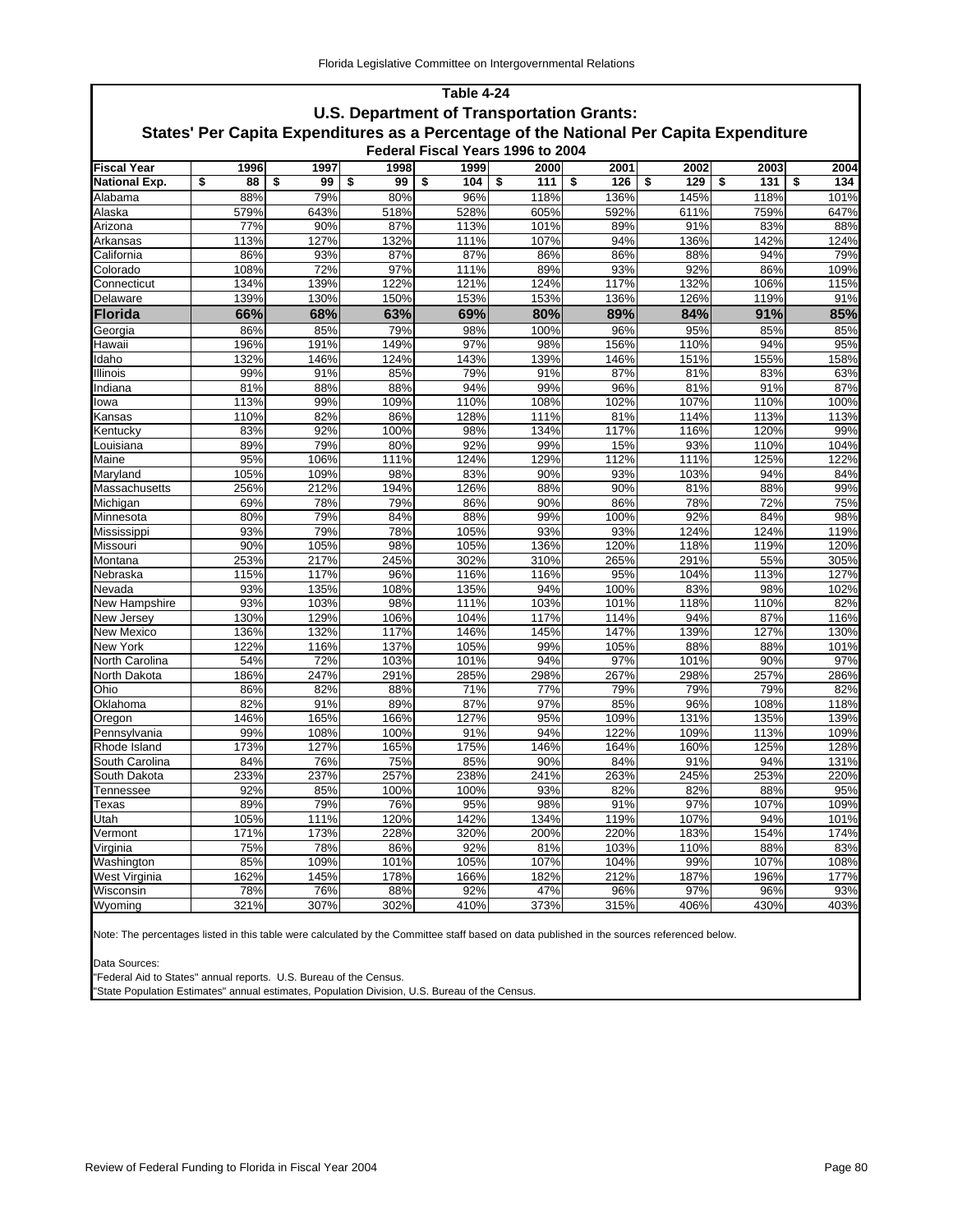| Table 4-24                                                                                 |             |             |             |              |             |              |              |             |              |
|--------------------------------------------------------------------------------------------|-------------|-------------|-------------|--------------|-------------|--------------|--------------|-------------|--------------|
| U.S. Department of Transportation Grants:                                                  |             |             |             |              |             |              |              |             |              |
| States' Per Capita Expenditures as a Percentage of the National Per Capita Expenditure     |             |             |             |              |             |              |              |             |              |
| Federal Fiscal Years 1996 to 2004                                                          |             |             |             |              |             |              |              |             |              |
| 1996<br>1999<br>2001<br><b>Fiscal Year</b><br>1997<br>1998<br>2000<br>2002<br>2003<br>2004 |             |             |             |              |             |              |              |             |              |
| <b>National Exp.</b>                                                                       | 88<br>\$    | 99<br>\$    | 99<br>\$    | 104<br>\$    | \$<br>111   | 126<br>\$    | 129<br>\$    | 131<br>\$   | 134<br>\$    |
| Alabama                                                                                    | 88%         | 79%         | 80%         | 96%          | 118%        | 136%         | 145%         | 118%        | 101%         |
| Alaska                                                                                     | 579%        | 643%        | 518%        | 528%         | 605%        | 592%         | 611%         | 759%        | 647%         |
| Arizona                                                                                    | 77%         | 90%         | 87%         | 113%         | 101%        | 89%          | 91%          | 83%         | 88%          |
| Arkansas                                                                                   | 113%        | 127%        | 132%        | 111%         | 107%        | 94%          | 136%         | 142%        | 124%         |
| California                                                                                 | 86%         | 93%         | 87%         | 87%          | 86%         | 86%          | 88%          | 94%         | 79%          |
| Colorado                                                                                   | 108%        | 72%         | 97%         | 111%         | 89%         | 93%          | 92%          | 86%         | 109%         |
| Connecticut                                                                                | 134%        | 139%        | 122%        | 121%         | 124%        | 117%         | 132%         | 106%        | 115%         |
| Delaware                                                                                   | 139%        | 130%        | 150%        | 153%         | 153%        | 136%         | 126%         | 119%        | 91%          |
| <b>Florida</b>                                                                             | 66%         | 68%         | 63%         | 69%          | 80%         | 89%          | 84%          | 91%         | 85%          |
| Georgia                                                                                    | 86%         | 85%         | 79%         | 98%          | 100%        | 96%          | 95%          | 85%         | 85%          |
| Hawaii                                                                                     | 196%        | 191%        | 149%        | 97%          | 98%         | 156%         | 110%         | 94%         | 95%          |
| ldaho                                                                                      | 132%        | 146%        | 124%        | 143%         | 139%        | 146%         | 151%         | 155%        | 158%         |
| Illinois                                                                                   | 99%         | 91%         | 85%         | 79%          | 91%         | 87%          | 81%          | 83%         | 63%          |
| Indiana                                                                                    | 81%         | 88%         | 88%         | 94%          | 99%         | 96%          | 81%          | 91%         | 87%          |
| lowa                                                                                       | 113%        | 99%         | 109%        | 110%         | 108%        | 102%         | 107%         | 110%        | 100%         |
| Kansas                                                                                     | 110%        | 82%         | 86%         | 128%         | 111%        | 81%          | 114%         | 113%        | 113%         |
| Kentucky                                                                                   | 83%         | 92%         | 100%        | 98%          | 134%        | 117%         | 116%         | 120%        | 99%          |
| Louisiana                                                                                  | 89%         | 79%         | 80%         | 92%          | 99%         | 15%          | 93%          | 110%        | 104%         |
| Maine                                                                                      | 95%         | 106%        | 111%        | 124%         | 129%        | 112%         | 111%         | 125%        | 122%         |
| Maryland                                                                                   | 105%        | 109%        | 98%         | 83%          | 90%         | 93%          | 103%         | 94%         | 84%          |
| Massachusetts                                                                              | 256%        | 212%        | 194%        | 126%         | 88%         | 90%          | 81%          | 88%         | 99%          |
| Michigan                                                                                   | 69%         | 78%         | 79%         | 86%          | 90%         | 86%          | 78%          | 72%         | 75%          |
| Minnesota                                                                                  | 80%         | 79%         | 84%         | 88%          | 99%         | 100%         | 92%          | 84%         | 98%          |
| Mississippi                                                                                | 93%         | 79%         | 78%         | 105%         | 93%         | 93%          | 124%         | 124%        | 119%         |
| Missouri                                                                                   | 90%         | 105%        | 98%         | 105%         | 136%        | 120%         | 118%         | 119%        | 120%         |
| Montana                                                                                    | 253%        | 217%        | 245%        | 302%         | 310%        | 265%         | 291%         | 55%         | 305%         |
| Nebraska                                                                                   | 115%        | 117%        | 96%         | 116%         | 116%        | 95%          | 104%         | 113%        | 127%         |
| Nevada                                                                                     | 93%         | 135%        | 108%        | 135%         | 94%         | 100%         | 83%          | 98%         | 102%         |
| New Hampshire                                                                              | 93%         | 103%        | 98%         | 111%         | 103%        | 101%         | 118%         | 110%        | 82%          |
| New Jersey                                                                                 | 130%        | 129%        | 106%        | 104%         | 117%        | 114%         | 94%          | 87%         | 116%         |
| New Mexico                                                                                 | 136%        | 132%        | 117%        | 146%         | 145%        | 147%         | 139%         | 127%        | 130%         |
| New York                                                                                   | 122%        | 116%        | 137%        | 105%         | 99%         | 105%         | 88%          | 88%         | 101%         |
| North Carolina                                                                             | 54%         | 72%         | 103%        | 101%         | 94%         | 97%          | 101%         | 90%         | 97%          |
| North Dakota                                                                               | 186%        | 247%        | 291%        | 285%         | 298%        | 267%         | 298%         | 257%        | 286%         |
| Ohio                                                                                       | 86%         | 82%         | 88%         | 71%          | 77%         | 79%          | 79%          | 79%         | 82%          |
| Oklahoma                                                                                   | 82%         | 91%         | 89%         | 87%          | 97%         | 85%          | 96%          | 108%        | 118%         |
| Oregon                                                                                     | 146%        | 165%        | 166%        | 127%         | 95%         | 109%         | 131%         | 135%        | 139%         |
| Pennsylvania                                                                               | 99%         | 108%        | 100%        | 91%          | 94%         | 122%         | 109%         | 113%        | 109%         |
| Rhode Island                                                                               | 173%        | 127%        | 165%        | 175%         | 146%        | 164%         | 160%         | 125%        | 128%         |
| South Carolina                                                                             | 84%         | 76%         | 75%         | 85%          | 90%         | 84%          | 91%          | 94%         | 131%         |
| South Dakota                                                                               | 233%        | 237%        | 257%        | 238%         | 241%        | 263%         | 245%         | 253%        | 220%         |
| Tennessee                                                                                  | 92%         | 85%         | 100%        | 100%         | 93%         | 82%          | 82%          | 88%         | 95%          |
| Texas                                                                                      | 89%         | 79%         | 76%         | 95%          | 98%         | 91%          | 97%          | 107%        | 109%         |
| Utah                                                                                       | 105%        | 111%        | 120%        | 142%         | 134%        | 119%         | 107%         | 94%         | 101%         |
| Vermont<br>Virginia                                                                        | 171%<br>75% | 173%<br>78% | 228%<br>86% | 320%<br>92%  | 200%<br>81% | 220%<br>103% | 183%<br>110% | 154%<br>88% | 174%<br>83%  |
|                                                                                            | 85%         | 109%        | 101%        |              | 107%        |              | 99%          | 107%        |              |
| Washington<br>West Virginia                                                                | 162%        | 145%        | 178%        | 105%<br>166% | 182%        | 104%<br>212% | 187%         | 196%        | 108%<br>177% |
| Wisconsin                                                                                  | 78%         | 76%         | 88%         | 92%          | 47%         | 96%          | 97%          | 96%         | 93%          |
| Wyoming                                                                                    | 321%        | 307%        | 302%        | 410%         | 373%        | 315%         | 406%         | 430%        | 403%         |
|                                                                                            |             |             |             |              |             |              |              |             |              |

Data Sources:

"Federal Aid to States" annual reports. U.S. Bureau of the Census.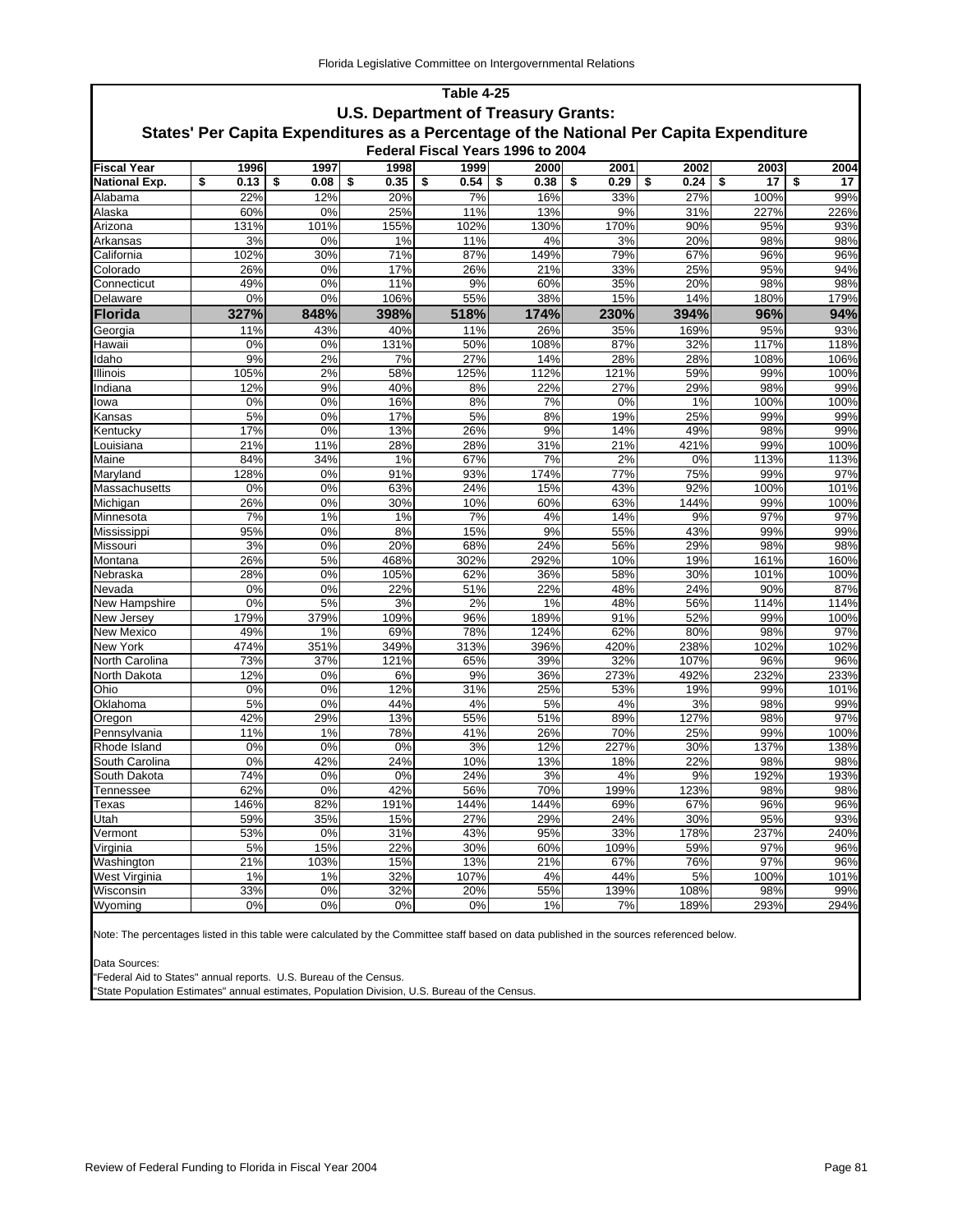| Table 4-25                                                                                                                           |            |            |             |            |            |            |            |          |             |                                   |
|--------------------------------------------------------------------------------------------------------------------------------------|------------|------------|-------------|------------|------------|------------|------------|----------|-------------|-----------------------------------|
| <b>U.S. Department of Treasury Grants:</b><br>States' Per Capita Expenditures as a Percentage of the National Per Capita Expenditure |            |            |             |            |            |            |            |          |             |                                   |
|                                                                                                                                      |            |            |             |            |            |            |            |          |             | Federal Fiscal Years 1996 to 2004 |
| <b>Fiscal Year</b><br>1996<br>1997<br>1998<br>1999<br>2000<br>2001<br>2002<br>2003<br>2004                                           |            |            |             |            |            |            |            |          |             |                                   |
| <b>National Exp.</b>                                                                                                                 | 0.13<br>\$ | \$<br>0.08 | 0.35<br>\$  | 0.54<br>\$ | 0.38<br>\$ | 0.29<br>\$ | \$<br>0.24 | \$<br>17 | 17<br>\$    |                                   |
| Alabama                                                                                                                              | 22%        | 12%        | 20%         | 7%         | 16%        | 33%        | 27%        | 100%     | 99%         |                                   |
| Alaska                                                                                                                               | 60%        | 0%         | 25%         | 11%        | 13%        | 9%         | 31%        | 227%     |             |                                   |
| Arizona                                                                                                                              | 131%       | 101%       | 155%        | 102%       | 130%       | 170%       | 90%        | 95%      | 226%<br>93% |                                   |
| Arkansas                                                                                                                             | 3%         | 0%         | 1%          | 11%        | 4%         | 3%         | 20%        | 98%      | 98%         |                                   |
| California                                                                                                                           | 102%       | 30%        | 71%         | 87%        | 149%       | 79%        | 67%        | 96%      | 96%         |                                   |
| Colorado                                                                                                                             | 26%        | 0%         | 17%         | 26%        | 21%        | 33%        | 25%        | 95%      | 94%         |                                   |
| Connecticut                                                                                                                          | 49%        | 0%         | 11%         | 9%         | 60%        | 35%        | 20%        | 98%      | 98%         |                                   |
| Delaware                                                                                                                             | 0%         | 0%         | 106%        | 55%        | 38%        | 15%        | 14%        | 180%     | 179%        |                                   |
| <b>Florida</b>                                                                                                                       | 327%       | 848%       |             | 518%       | 174%       | 230%       | 394%       | 96%      | 94%         |                                   |
|                                                                                                                                      | 11%        | 43%        | 398%<br>40% | 11%        | 26%        | 35%        | 169%       | 95%      | 93%         |                                   |
| Georgia<br>Hawaii                                                                                                                    | 0%         | 0%         | 131%        | 50%        | 108%       | 87%        | 32%        | 117%     | 118%        |                                   |
| Idaho                                                                                                                                | 9%         | 2%         | 7%          | 27%        | 14%        | 28%        | 28%        | 108%     | 106%        |                                   |
| Illinois                                                                                                                             | 105%       | 2%         | 58%         | 125%       | 112%       | 121%       | 59%        | 99%      | 100%        |                                   |
| Indiana                                                                                                                              | 12%        | 9%         | 40%         | 8%         | 22%        | 27%        | 29%        | 98%      | 99%         |                                   |
| lowa                                                                                                                                 | 0%         | 0%         | 16%         | 8%         | 7%         | 0%         | 1%         | 100%     | 100%        |                                   |
| Kansas                                                                                                                               | 5%         | 0%         | 17%         | 5%         | 8%         | 19%        | 25%        | 99%      | 99%         |                                   |
| Kentucky                                                                                                                             | 17%        | 0%         | 13%         | 26%        | 9%         | 14%        | 49%        | 98%      | 99%         |                                   |
| Louisiana                                                                                                                            | 21%        | 11%        | 28%         | 28%        | 31%        | 21%        | 421%       | 99%      | 100%        |                                   |
| Maine                                                                                                                                | 84%        | 34%        | 1%          | 67%        | 7%         | 2%         | 0%         | 113%     | 113%        |                                   |
| Maryland                                                                                                                             | 128%       | 0%         | 91%         | 93%        | 174%       | 77%        | 75%        | 99%      | 97%         |                                   |
| Massachusetts                                                                                                                        | 0%         | 0%         | 63%         | 24%        | 15%        | 43%        | 92%        | 100%     | 101%        |                                   |
| Michigan                                                                                                                             | 26%        | 0%         | 30%         | 10%        | 60%        | 63%        | 144%       | 99%      | 100%        |                                   |
| Minnesota                                                                                                                            | 7%         | 1%         | 1%          | 7%         | 4%         | 14%        | 9%         | 97%      | 97%         |                                   |
| Mississippi                                                                                                                          | 95%        | 0%         | 8%          | 15%        | 9%         | 55%        | 43%        | 99%      | 99%         |                                   |
| Missouri                                                                                                                             | 3%         | 0%         | 20%         | 68%        | 24%        | 56%        | 29%        | 98%      | 98%         |                                   |
| Montana                                                                                                                              | 26%        | 5%         | 468%        | 302%       | 292%       | 10%        | 19%        | 161%     | 160%        |                                   |
| Nebraska                                                                                                                             | 28%        | 0%         | 105%        | 62%        | 36%        | 58%        | 30%        | 101%     | 100%        |                                   |
| Nevada                                                                                                                               | 0%         | 0%         | 22%         | 51%        | 22%        | 48%        | 24%        | 90%      | 87%         |                                   |
| New Hampshire                                                                                                                        | 0%         | 5%         | 3%          | 2%         | 1%         | 48%        | 56%        | 114%     | 114%        |                                   |
| New Jersey                                                                                                                           | 179%       | 379%       | 109%        | 96%        | 189%       | 91%        | 52%        | 99%      | 100%        |                                   |
| New Mexico                                                                                                                           | 49%        | 1%         | 69%         | 78%        | 124%       | 62%        | 80%        | 98%      | 97%         |                                   |
| New York                                                                                                                             | 474%       | 351%       | 349%        | 313%       | 396%       | 420%       | 238%       | 102%     | 102%        |                                   |
| North Carolina                                                                                                                       | 73%        | 37%        | 121%        | 65%        | 39%        | 32%        | 107%       | 96%      | 96%         |                                   |
| North Dakota                                                                                                                         | 12%        | 0%         | 6%          | 9%         | 36%        | 273%       | 492%       | 232%     | 233%        |                                   |
| Ohio                                                                                                                                 | 0%         | 0%         | 12%         | 31%        | 25%        | 53%        | 19%        | 99%      | 101%        |                                   |
| Oklahoma                                                                                                                             | 5%         | 0%         | 44%         | 4%         | 5%         | 4%         | 3%         | 98%      | 99%         |                                   |
| Oregon                                                                                                                               | 42%        | 29%        | 13%         | 55%        | 51%        | 89%        | 127%       | 98%      | 97%         |                                   |
| Pennsylvania                                                                                                                         | 11%        | 1%         | 78%         | 41%        | 26%        | 70%        | 25%        | 99%      | 100%        |                                   |
| Rhode Island                                                                                                                         | 0%         | 0%         | 0%          | 3%         | 12%        | 227%       | 30%        | 137%     | 138%        |                                   |
| South Carolina                                                                                                                       | 0%         | 42%        | 24%         | 10%        | 13%        | 18%        | 22%        | 98%      | 98%         |                                   |
| South Dakota                                                                                                                         | 74%        | 0%         | 0%          | 24%        | 3%         | 4%         | 9%         | 192%     | 193%        |                                   |
| Tennessee                                                                                                                            | 62%        | 0%         | 42%         | 56%        | 70%        | 199%       | 123%       | 98%      | 98%         |                                   |
| Texas                                                                                                                                | 146%       | 82%        | 191%        | 144%       | 144%       | 69%        | 67%        | 96%      | 96%         |                                   |
| Utah                                                                                                                                 | 59%        | 35%        | 15%         | 27%        | 29%        | 24%        | 30%        | 95%      | 93%         |                                   |
| Vermont                                                                                                                              | 53%        | 0%         | 31%         | 43%        | 95%        | 33%        | 178%       | 237%     | 240%        |                                   |
| Virginia                                                                                                                             | 5%         | 15%        | 22%         | 30%        | 60%        | 109%       | 59%        | 97%      | 96%         |                                   |
| Washington                                                                                                                           | 21%        | 103%       | 15%         | 13%        | 21%        | 67%        | 76%        | 97%      | 96%         |                                   |
| West Virginia                                                                                                                        | 1%         | 1%         | 32%         | 107%       | 4%         | 44%        | 5%         | 100%     | 101%        |                                   |
| Wisconsin                                                                                                                            | 33%        | 0%         | 32%         | 20%        | 55%        | 139%       | 108%       | 98%      | 99%         |                                   |
| Wyoming                                                                                                                              | $0\%$      | $0\%$      | 0%          | $0\%$      | $1\%$      | 7%         | 189%       | 293%     | 294%        |                                   |

Data Sources:

"Federal Aid to States" annual reports. U.S. Bureau of the Census.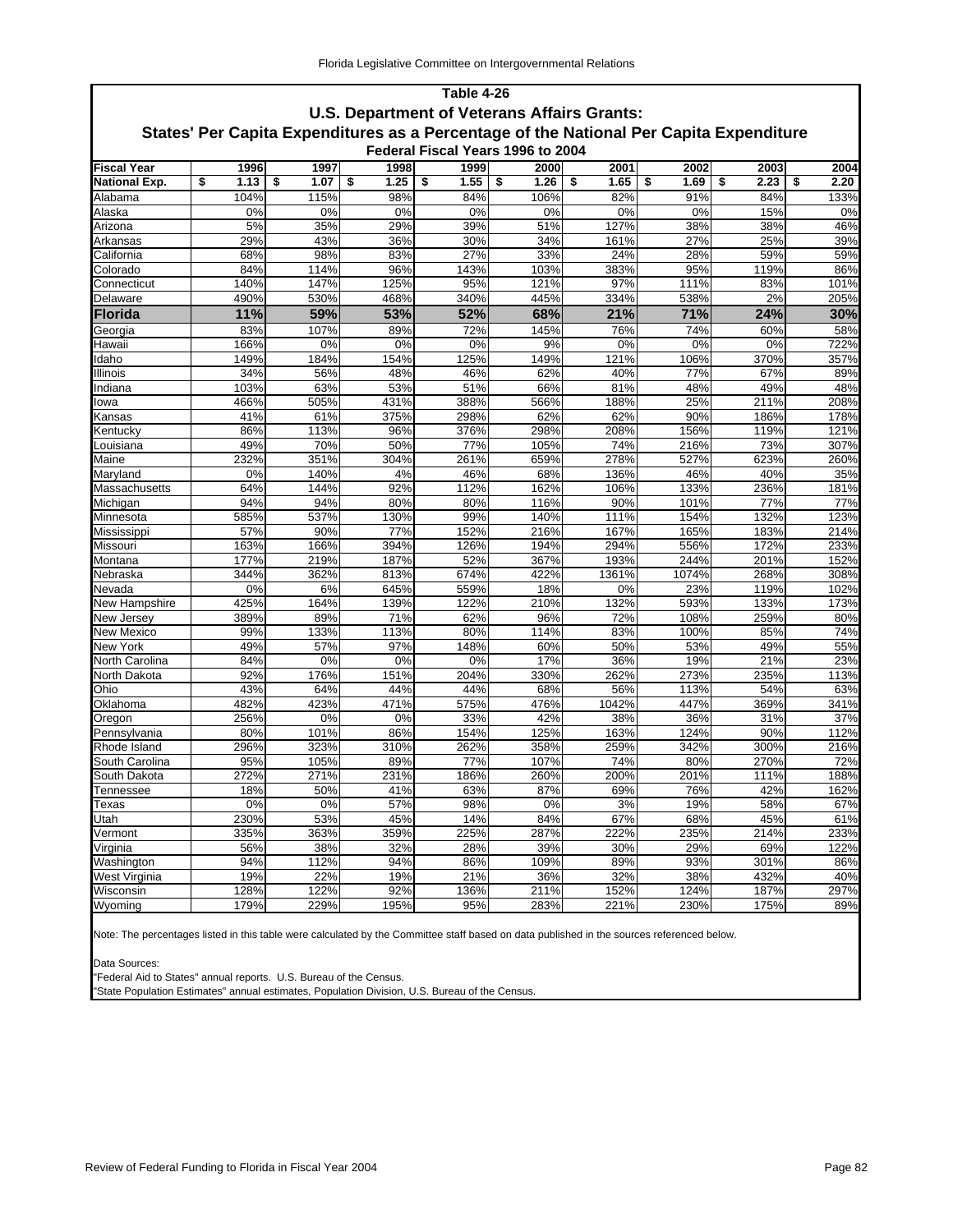| Table 4-26                                                                                                                  |            |            |            |            |            |            |            |            |            |
|-----------------------------------------------------------------------------------------------------------------------------|------------|------------|------------|------------|------------|------------|------------|------------|------------|
| <b>U.S. Department of Veterans Affairs Grants:</b>                                                                          |            |            |            |            |            |            |            |            |            |
|                                                                                                                             |            |            |            |            |            |            |            |            |            |
| States' Per Capita Expenditures as a Percentage of the National Per Capita Expenditure<br>Federal Fiscal Years 1996 to 2004 |            |            |            |            |            |            |            |            |            |
| <b>Fiscal Year</b>                                                                                                          | 1996       | 1997       | 1998       | 1999       | 2000       | 2001       | 2002       | 2003       | 2004       |
| <b>National Exp.</b>                                                                                                        | \$<br>1.13 | \$<br>1.07 | 1.25<br>\$ | 1.55<br>\$ | 1.26<br>\$ | 1.65<br>\$ | 1.69<br>\$ | 2.23<br>\$ | 2.20<br>\$ |
| Alabama                                                                                                                     | 104%       | 115%       | 98%        | 84%        | 106%       | 82%        | 91%        | 84%        | 133%       |
| Alaska                                                                                                                      | 0%         | 0%         | 0%         | 0%         | 0%         | 0%         | 0%         | 15%        | 0%         |
| Arizona                                                                                                                     | 5%         | 35%        | 29%        | 39%        | 51%        | 127%       | 38%        | 38%        | 46%        |
| Arkansas                                                                                                                    | 29%        | 43%        | 36%        | 30%        | 34%        | 161%       | 27%        | 25%        | 39%        |
| California                                                                                                                  | 68%        | 98%        | 83%        | 27%        | 33%        | 24%        | 28%        | 59%        | 59%        |
| Colorado                                                                                                                    | 84%        | 114%       | 96%        | 143%       | 103%       | 383%       | 95%        | 119%       | 86%        |
| Connecticut                                                                                                                 | 140%       | 147%       | 125%       | 95%        | 121%       | 97%        | 111%       | 83%        | 101%       |
| Delaware                                                                                                                    | 490%       | 530%       | 468%       | 340%       | 445%       | 334%       | 538%       | 2%         | 205%       |
| <b>Florida</b>                                                                                                              | 11%        | 59%        | 53%        | 52%        | 68%        | 21%        | 71%        | 24%        | 30%        |
| Georgia                                                                                                                     | 83%        | 107%       | 89%        | 72%        | 145%       | 76%        | 74%        | 60%        | 58%        |
| Hawaii                                                                                                                      | 166%       | 0%         | 0%         | 0%         | 9%         | 0%         | 0%         | 0%         | 722%       |
| Idaho                                                                                                                       | 149%       | 184%       | 154%       | 125%       | 149%       | 121%       | 106%       | 370%       | 357%       |
| Illinois                                                                                                                    | 34%        | 56%        | 48%        | 46%        | 62%        | 40%        | 77%        | 67%        | 89%        |
| Indiana                                                                                                                     | 103%       | 63%        | 53%        | 51%        | 66%        | 81%        | 48%        | 49%        | 48%        |
| Iowa                                                                                                                        | 466%       | 505%       | 431%       | 388%       | 566%       | 188%       | 25%        | 211%       | 208%       |
| Kansas                                                                                                                      | 41%        | 61%        | 375%       | 298%       | 62%        | 62%        | 90%        | 186%       | 178%       |
| Kentucky                                                                                                                    | 86%        | 113%       | 96%        | 376%       | 298%       | 208%       | 156%       | 119%       | 121%       |
| Louisiana                                                                                                                   | 49%        | 70%        | 50%        | 77%        | 105%       | 74%        | 216%       | 73%        | 307%       |
| Maine                                                                                                                       | 232%       | 351%       | 304%       | 261%       | 659%       | 278%       | 527%       | 623%       | 260%       |
| Marvland                                                                                                                    | 0%         | 140%       | 4%         | 46%        | 68%        | 136%       | 46%        | 40%        | 35%        |
| Massachusetts                                                                                                               | 64%        | 144%       | 92%        | 112%       | 162%       | 106%       | 133%       | 236%       | 181%       |
| Michigan                                                                                                                    | 94%        | 94%        | 80%        | 80%        | 116%       | 90%        | 101%       | 77%        | 77%        |
| Minnesota                                                                                                                   | 585%       | 537%       | 130%       | 99%        | 140%       | 111%       | 154%       | 132%       | 123%       |
| Mississippi                                                                                                                 | 57%        | 90%        | 77%        | 152%       | 216%       | 167%       | 165%       | 183%       | 214%       |
| Missouri                                                                                                                    | 163%       | 166%       | 394%       | 126%       | 194%       | 294%       | 556%       | 172%       | 233%       |
| Montana                                                                                                                     | 177%       | 219%       | 187%       | 52%        | 367%       | 193%       | 244%       | 201%       | 152%       |
| Nebraska                                                                                                                    | 344%       | 362%       | 813%       | 674%       | 422%       | 1361%      | 1074%      | 268%       | 308%       |
| Nevada                                                                                                                      | 0%         | 6%         | 645%       | 559%       | 18%        | 0%         | 23%        | 119%       | 102%       |
| New Hampshire                                                                                                               | 425%       | 164%       | 139%       | 122%       | 210%       | 132%       | 593%       | 133%       | 173%       |
| New Jersey                                                                                                                  | 389%       | 89%        | 71%        | 62%        | 96%        | 72%        | 108%       | 259%       | 80%        |
| <b>New Mexico</b>                                                                                                           | 99%        | 133%       | 113%       | 80%        | 114%       | 83%        | 100%       | 85%        | 74%        |
| New York                                                                                                                    | 49%        | 57%        | 97%        | 148%       | 60%        | 50%        | 53%        | 49%        | 55%        |
| North Carolina                                                                                                              | 84%        | 0%         | 0%         | 0%         | 17%        | 36%        | 19%        | 21%        | 23%        |
| North Dakota                                                                                                                | 92%        | 176%       | 151%       | 204%       | 330%       | 262%       | 273%       | 235%       | 113%       |
| Ohio                                                                                                                        | 43%        | 64%        | 44%        | 44%        | 68%        | 56%        | 113%       | 54%        | 63%        |
| Oklahoma                                                                                                                    | 482%       | 423%       | 471%       | 575%       | 476%       | 1042%      | 447%       | 369%       | 341%       |
| Oregon                                                                                                                      | 256%       | 0%         | 0%         | 33%        | 42%        | 38%        | 36%        | 31%        | 37%        |
| Pennsylvania                                                                                                                | 80%        | 101%       | 86%        | 154%       | 125%       | 163%       | 124%       | 90%        | 112%       |
| Rhode Island                                                                                                                | 296%       | 323%       | 310%       | 262%       | 358%       | 259%       | 342%       | 300%       | 216%       |
| South Carolina                                                                                                              | 95%        | 105%       | 89%        | 77%        | 107%       | 74%        | 80%        | 270%       | 72%        |
| South Dakota                                                                                                                | 272%       | 271%       | 231%       | 186%       | 260%       | 200%       | 201%       | 111%       | 188%       |
| <b>Tennessee</b>                                                                                                            | 18%        | 50%        | 41%        | 63%        | 87%        | 69%        | 76%        | 42%        | 162%       |
| Texas                                                                                                                       | 0%         | 0%         | 57%        | 98%        | 0%         | 3%         | 19%        | 58%        | 67%        |
| Utah                                                                                                                        | 230%       | 53%        | 45%        | 14%        | 84%        | 67%        | 68%        | 45%        | 61%        |
| Vermont                                                                                                                     | 335%       | 363%       | 359%       | 225%       | 287%       | 222%       | 235%       | 214%       | 233%       |
| Virginia                                                                                                                    | 56%        | 38%        | 32%        | 28%        | 39%        | 30%        | 29%        | 69%        | 122%       |
| Washington                                                                                                                  | 94%        | 112%       | 94%        | 86%        | 109%       | 89%        | 93%        | 301%       | 86%        |
| West Virginia                                                                                                               | 19%        | 22%        | 19%        | 21%        | 36%        | 32%        | 38%        | 432%       | 40%        |
| Wisconsin                                                                                                                   | 128%       | 122%       | 92%        | 136%       | 211%       | 152%       | 124%       | 187%       | 297%       |
| Wyoming                                                                                                                     | 179%       | 229%       | 195%       | 95%        | 283%       | 221%       | 230%       | 175%       | 89%        |

Data Sources:

"Federal Aid to States" annual reports. U.S. Bureau of the Census.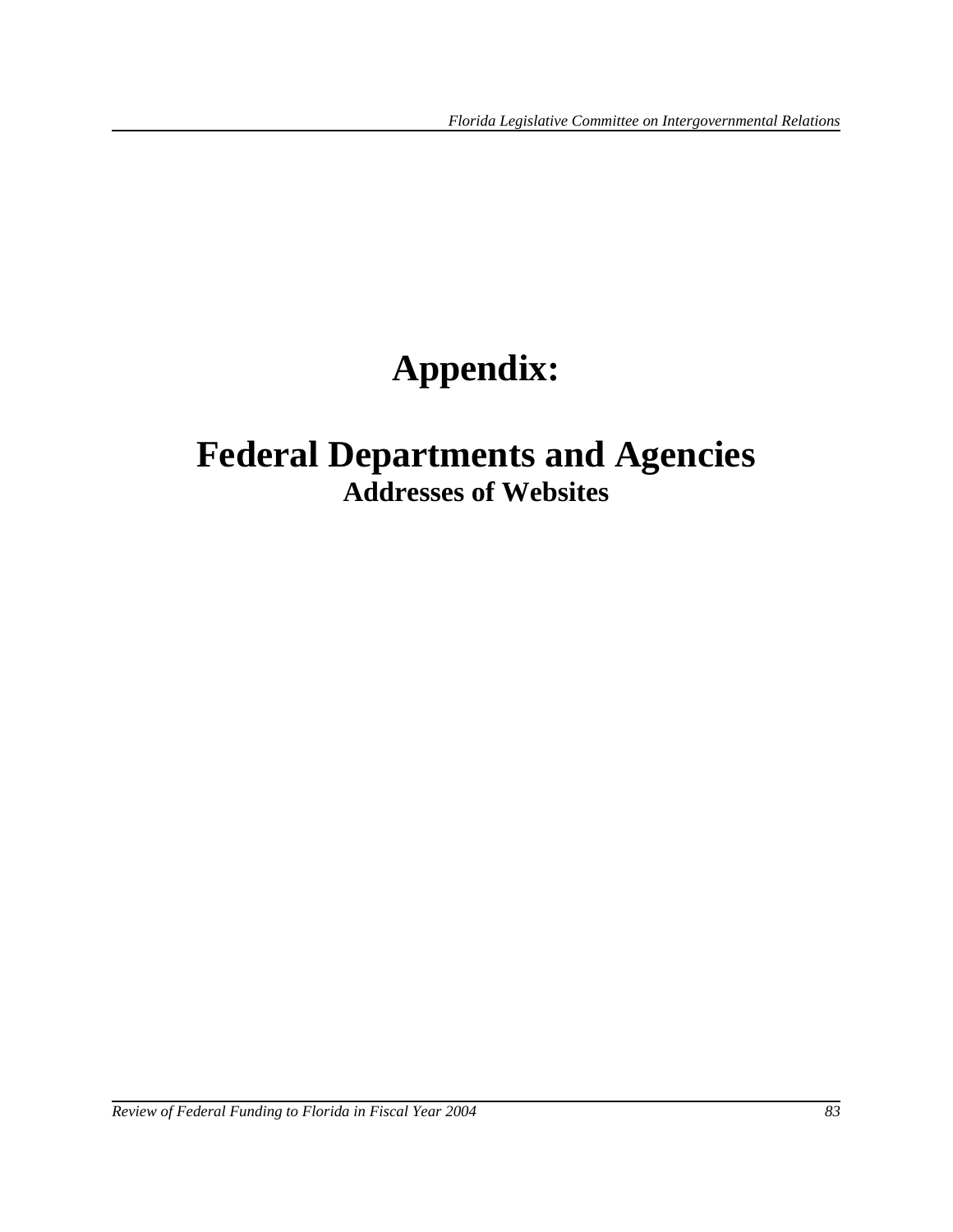## **Appendix:**

## **Federal Departments and Agencies Addresses of Websites**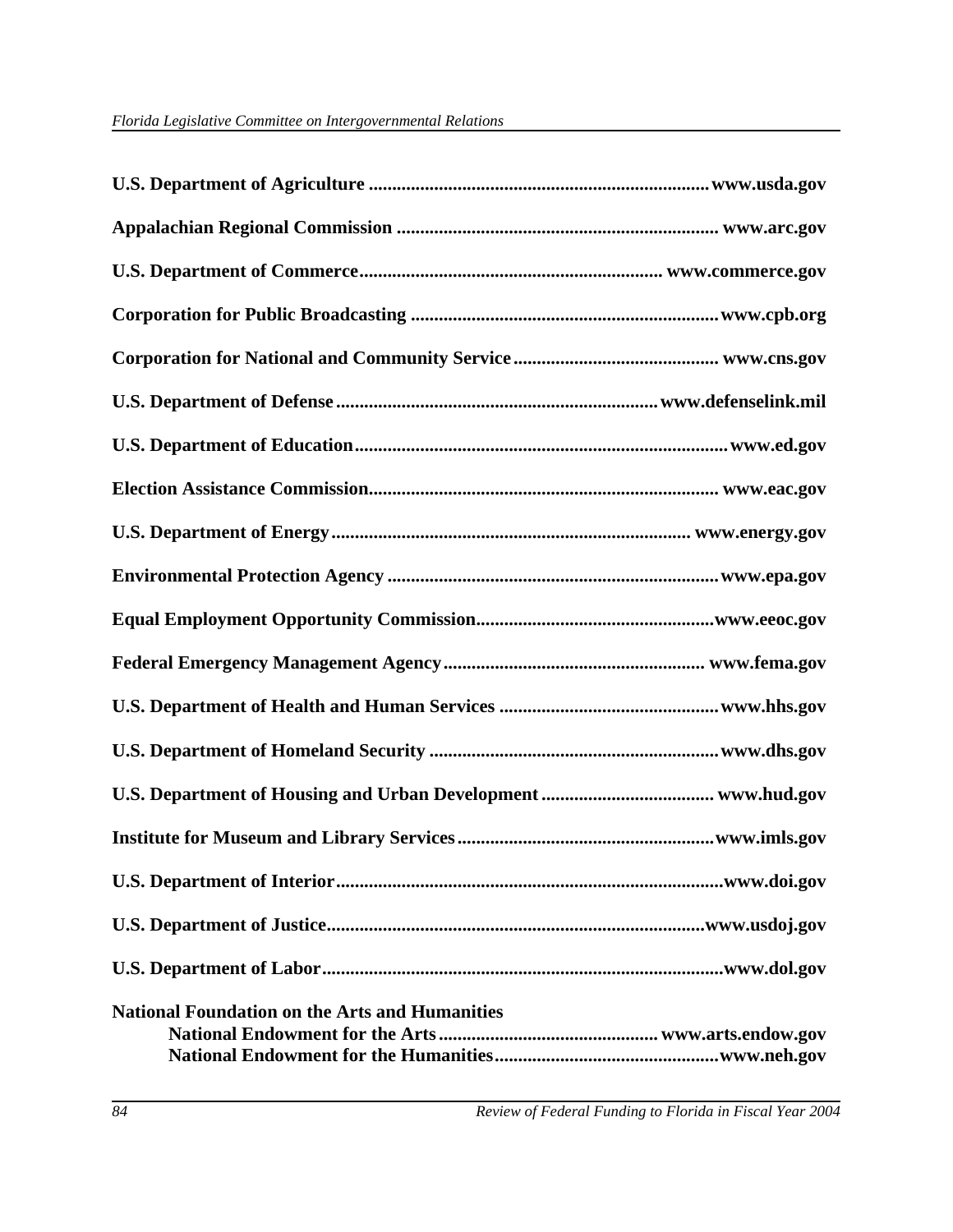| <b>National Foundation on the Arts and Humanities</b> |
|-------------------------------------------------------|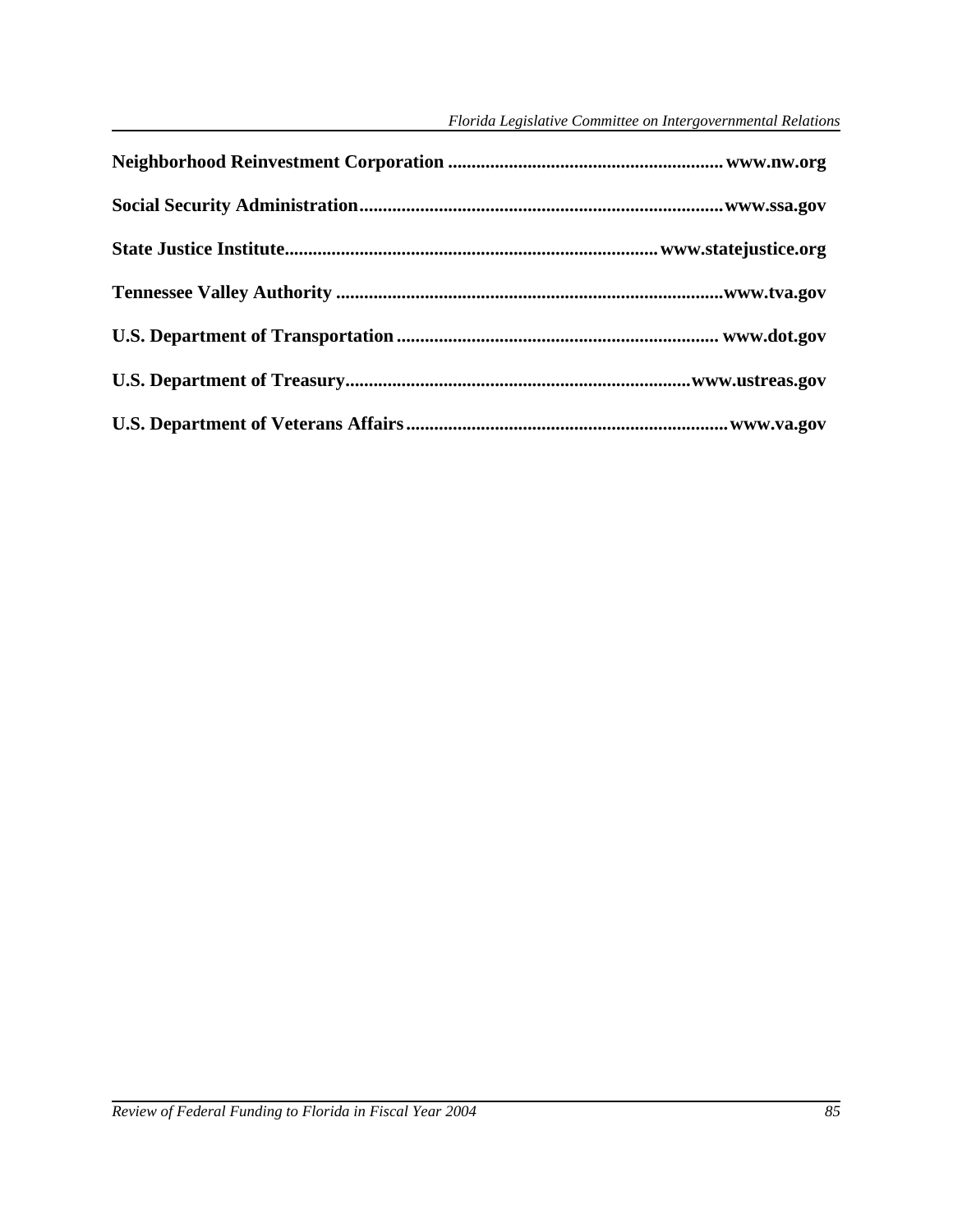*Florida Legislative Committee on Intergovernmental Relations*